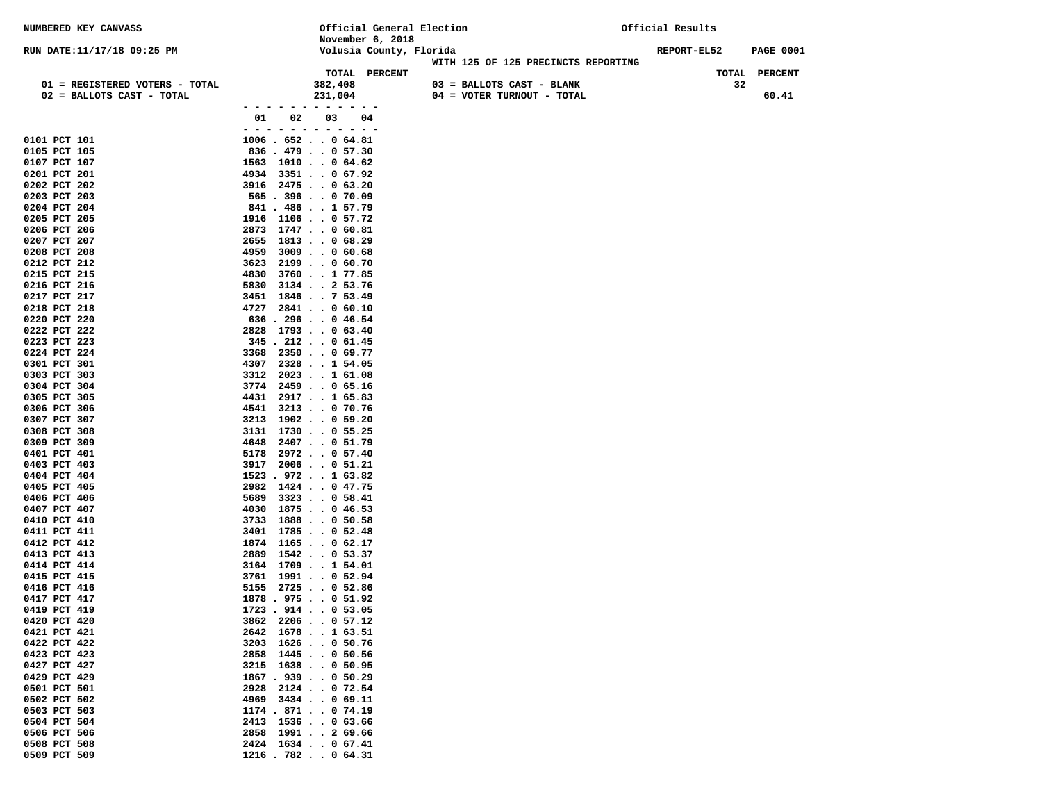| NUMBERED KEY CANVASS                                        |                                           | Official General Election                               | Official Results |                     |
|-------------------------------------------------------------|-------------------------------------------|---------------------------------------------------------|------------------|---------------------|
|                                                             | November 6, 2018                          |                                                         |                  |                     |
| RUN DATE: 11/17/18 09:25 PM                                 |                                           | Volusia County, Florida                                 | REPORT-EL52      | <b>PAGE 0001</b>    |
|                                                             |                                           | WITH 125 OF 125 PRECINCTS REPORTING                     |                  |                     |
|                                                             | TOTAL PERCENT                             |                                                         |                  | TOTAL PERCENT<br>32 |
| 01 = REGISTERED VOTERS - TOTAL<br>02 = BALLOTS CAST - TOTAL | 382,408<br>231,004                        | 03 = BALLOTS CAST - BLANK<br>04 = VOTER TURNOUT - TOTAL |                  | 60.41               |
|                                                             | .                                         |                                                         |                  |                     |
|                                                             | 03<br>01<br>02<br>04                      |                                                         |                  |                     |
|                                                             | - - - - - - - - - - - -                   |                                                         |                  |                     |
| 0101 PCT 101                                                | $1006$ . 652 0 64.81                      |                                                         |                  |                     |
| 0105 PCT 105                                                | $836$ . $479$ 0 57.30                     |                                                         |                  |                     |
| 0107 PCT 107                                                | 1563 1010 0 64.62                         |                                                         |                  |                     |
| 0201 PCT 201                                                | 4934 3351 0 67.92                         |                                                         |                  |                     |
| 0202 PCT 202                                                | 3916 2475 0 63.20                         |                                                         |                  |                     |
| 0203 PCT 203                                                | $565$ . 396 0 70.09                       |                                                         |                  |                     |
| 0204 PCT 204                                                | 841 . 486 1 57.79                         |                                                         |                  |                     |
| 0205 PCT 205                                                | 1916 1106 0 57.72                         |                                                         |                  |                     |
| 0206 PCT 206<br>0207 PCT 207                                | 1747 0 60.81<br>2873<br>2655 1813 0 68.29 |                                                         |                  |                     |
| 0208 PCT 208                                                | 4959<br>$3009$ 0 60.68                    |                                                         |                  |                     |
| 0212 PCT 212                                                | $2199$ 0 60.70<br>3623                    |                                                         |                  |                     |
| 0215 PCT 215                                                | $3760$ 1 77.85<br>4830                    |                                                         |                  |                     |
| 0216 PCT 216                                                | $3134$ 2 53.76<br>5830                    |                                                         |                  |                     |
| 0217 PCT 217                                                | 1846 7 53.49<br>3451                      |                                                         |                  |                     |
| 0218 PCT 218                                                | 4727<br>$2841$ 0 60.10                    |                                                         |                  |                     |
| 0220 PCT 220                                                | $636$ . 296 0 46.54                       |                                                         |                  |                     |
| 0222 PCT 222                                                | 2828 1793 0 63.40                         |                                                         |                  |                     |
| 0223 PCT 223                                                | $345$ . 212 0 61.45                       |                                                         |                  |                     |
| 0224 PCT 224                                                | 3368 2350 0 69.77                         |                                                         |                  |                     |
| 0301 PCT 301                                                | 4307 2328 1 54.05                         |                                                         |                  |                     |
| 0303 PCT 303                                                | 3312 2023 1 61.08                         |                                                         |                  |                     |
| 0304 PCT 304<br>0305 PCT 305                                | $3774$ 2459 0 65.16<br>4431               |                                                         |                  |                     |
| 0306 PCT 306                                                | $2917$ 1 65.83<br>4541 3213 0 70.76       |                                                         |                  |                     |
| 0307 PCT 307                                                | 3213<br>1902 0 59.20                      |                                                         |                  |                     |
| 0308 PCT 308                                                | $1730$ 0 55.25<br>3131                    |                                                         |                  |                     |
| 0309 PCT 309                                                | 2407 0 51.79<br>4648                      |                                                         |                  |                     |
| 0401 PCT 401                                                | $5178$ 2972 0 57.40                       |                                                         |                  |                     |
| 0403 PCT 403                                                | 3917 2006 0 51.21                         |                                                         |                  |                     |
| 0404 PCT 404                                                | $1523$ . $972$ 1 63.82                    |                                                         |                  |                     |
| 0405 PCT 405                                                | 2982 1424 0 47.75                         |                                                         |                  |                     |
| 0406 PCT 406                                                | $3323$ 0 58.41<br>5689                    |                                                         |                  |                     |
| 0407 PCT 407                                                | 4030 1875 0 46.53                         |                                                         |                  |                     |
| 0410 PCT 410<br>0411 PCT 411                                | 3733 1888 0 50.58<br>3401 1785 0 52.48    |                                                         |                  |                     |
| 0412 PCT 412                                                | $1165$ 0 62.17<br>1874                    |                                                         |                  |                     |
| 0413 PCT 413                                                | 2889<br>$1542$ 0 53.37                    |                                                         |                  |                     |
| 0414 PCT 414                                                | 3164 1709 1 54.01                         |                                                         |                  |                     |
| 0415 PCT 415                                                | 3761 1991 0 52.94                         |                                                         |                  |                     |
| 0416 PCT 416                                                | $5155$ $2725$ 0 52.86                     |                                                         |                  |                     |
| 0417 PCT 417                                                | $1878$ . 975 0 51.92                      |                                                         |                  |                     |
| 0419 PCT 419                                                | $1723$ . $914$ 0 53.05                    |                                                         |                  |                     |
| 0420 PCT 420                                                | $3862$ 2206057.12                         |                                                         |                  |                     |
| 0421 PCT 421                                                | 2642 1678 1 63.51                         |                                                         |                  |                     |
| 0422 PCT 422<br>0423 PCT 423                                | 3203 1626 0 50.76<br>2858 1445 0 50.56    |                                                         |                  |                     |
| 0427 PCT 427                                                | 3215 1638 0 50.95                         |                                                         |                  |                     |
| 0429 PCT 429                                                | 1867 . 939 0 50.29                        |                                                         |                  |                     |
| 0501 PCT 501                                                | 2928 2124 0 72.54                         |                                                         |                  |                     |
| 0502 PCT 502                                                | 4969 3434 0 69.11                         |                                                         |                  |                     |
| 0503 PCT 503                                                | $1174$ . 871 0 74.19                      |                                                         |                  |                     |
| 0504 PCT 504                                                | 2413 1536 0 63.66                         |                                                         |                  |                     |
| 0506 PCT 506                                                | 2858 1991 2 69.66                         |                                                         |                  |                     |
| 0508 PCT 508                                                | 2424 1634 0 67.41                         |                                                         |                  |                     |
| 0509 PCT 509                                                | $1216$ . 782 0 64.31                      |                                                         |                  |                     |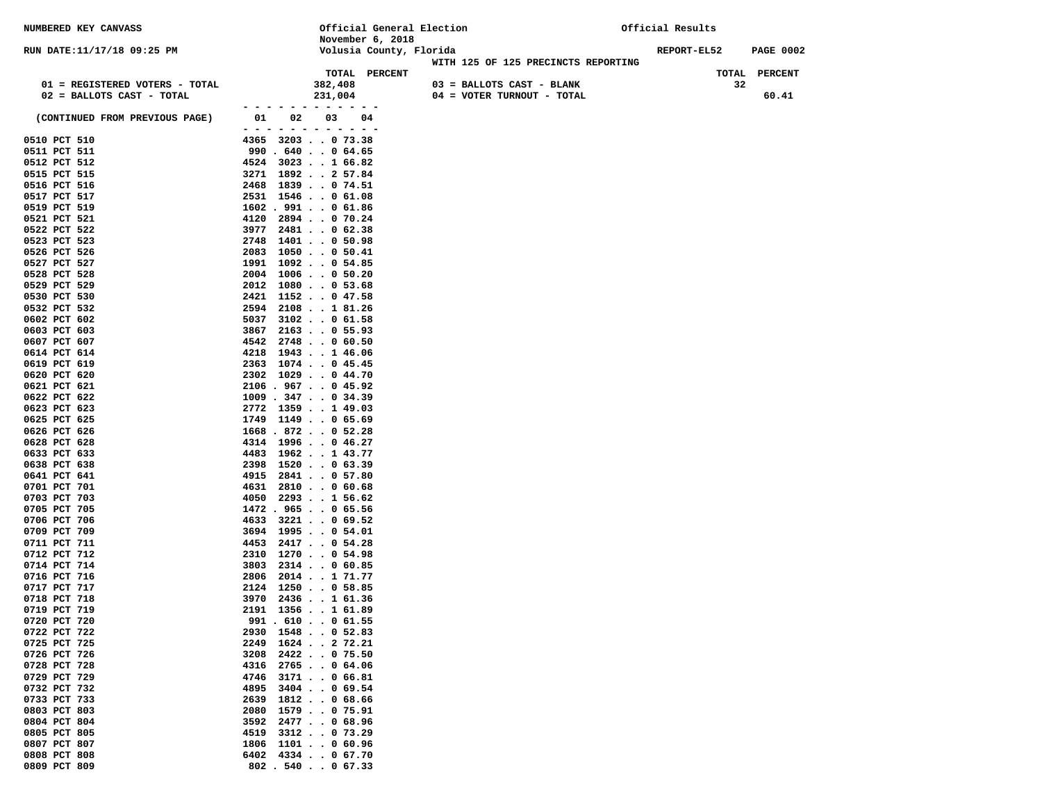| NUMBERED KEY CANVASS           |                                                               | Official General Election<br>November 6, 2018 |                                     | Official Results                |  |
|--------------------------------|---------------------------------------------------------------|-----------------------------------------------|-------------------------------------|---------------------------------|--|
| RUN DATE:11/17/18 09:25 PM     |                                                               | Volusia County, Florida                       |                                     | REPORT-EL52<br><b>PAGE 0002</b> |  |
|                                |                                                               | TOTAL PERCENT                                 | WITH 125 OF 125 PRECINCTS REPORTING | TOTAL PERCENT                   |  |
| 01 = REGISTERED VOTERS - TOTAL |                                                               | 382,408                                       | 03 = BALLOTS CAST - BLANK           | 32                              |  |
| 02 = BALLOTS CAST - TOTAL      |                                                               | 231,004                                       | 04 = VOTER TURNOUT - TOTAL          | 60.41                           |  |
| (CONTINUED FROM PREVIOUS PAGE) | 01<br>02<br>- - -<br>-----                                    | 03<br>04                                      |                                     |                                 |  |
| 0510 PCT 510                   | 4365 3203 0 73.38                                             |                                               |                                     |                                 |  |
| 0511 PCT 511                   | 990.640.064.65                                                |                                               |                                     |                                 |  |
| 0512 PCT 512                   | 4524 3023 1 66.82                                             |                                               |                                     |                                 |  |
| 0515 PCT 515<br>0516 PCT 516   | 3271 1892 2 57.84<br>2468 1839 0 74.51                        |                                               |                                     |                                 |  |
| 0517 PCT 517                   | 2531 1546 0 61.08                                             |                                               |                                     |                                 |  |
| 0519 PCT 519                   | $1602$ . 991 0 61.86                                          |                                               |                                     |                                 |  |
| 0521 PCT 521                   | 4120                                                          | 2894 0 70.24                                  |                                     |                                 |  |
| 0522 PCT 522                   | 3977                                                          | 2481 0 62.38                                  |                                     |                                 |  |
| 0523 PCT 523<br>0526 PCT 526   | 2748<br>2083                                                  | $1401$ 0 50.98<br>$1050$ 0 50.41              |                                     |                                 |  |
| 0527 PCT 527                   | $1991$ $1092$ 0 54.85                                         |                                               |                                     |                                 |  |
| 0528 PCT 528                   | $2004$ 1006050.20                                             |                                               |                                     |                                 |  |
| 0529 PCT 529                   | 2012                                                          | $1080 \cdot . 053.68$                         |                                     |                                 |  |
| 0530 PCT 530<br>0532 PCT 532   | 2421 1152 0 47.58<br>2594 2108 1 81.26                        |                                               |                                     |                                 |  |
| 0602 PCT 602                   | 5037                                                          | $3102$ 0 61.58                                |                                     |                                 |  |
| 0603 PCT 603                   | 3867                                                          | $2163$ 0 55.93                                |                                     |                                 |  |
| 0607 PCT 607                   | 4542                                                          | $2748$ $\cdot$ 0 60.50                        |                                     |                                 |  |
| 0614 PCT 614<br>0619 PCT 619   | 4218<br>2363 1074 0 45.45                                     | $1943$ 1 $46.06$                              |                                     |                                 |  |
| 0620 PCT 620                   | 2302 1029 0 44.70                                             |                                               |                                     |                                 |  |
| 0621 PCT 621                   | $2106$ . 967 0 45.92                                          |                                               |                                     |                                 |  |
| 0622 PCT 622                   | $1009$ . 347 0 34.39                                          |                                               |                                     |                                 |  |
| 0623 PCT 623                   | $2772$ 1359 1 49.03                                           |                                               |                                     |                                 |  |
| 0625 PCT 625<br>0626 PCT 626   | $1749$ $1149$ $\cdot$ $\cdot$ 0 65.69<br>$1668$ . 872 0 52.28 |                                               |                                     |                                 |  |
| 0628 PCT 628                   | 4314 1996 0 46.27                                             |                                               |                                     |                                 |  |
| 0633 PCT 633                   | 4483 1962 1 43.77                                             |                                               |                                     |                                 |  |
| 0638 PCT 638                   | 2398                                                          | $1520$ 0 63.39                                |                                     |                                 |  |
| 0641 PCT 641<br>0701 PCT 701   | 4915<br>4631                                                  | 2841 0 57.80<br>$2810$ 0 60.68                |                                     |                                 |  |
| 0703 PCT 703                   | 4050                                                          | 2293 1 56.62                                  |                                     |                                 |  |
| 0705 PCT 705                   | $1472$ . 965 0 65.56                                          |                                               |                                     |                                 |  |
| 0706 PCT 706                   | 4633                                                          | 3221 0 69.52                                  |                                     |                                 |  |
| 0709 PCT 709<br>0711 PCT 711   | $3694$ 1995 0 54.01<br>4453 2417 0 54.28                      |                                               |                                     |                                 |  |
| 0712 PCT 712                   | 2310                                                          | $1270$ 0 54.98                                |                                     |                                 |  |
| 0714 PCT 714                   | 3803                                                          | $2314$ 0 60.85                                |                                     |                                 |  |
| 0716 PCT 716                   | 2806                                                          | 2014171.77                                    |                                     |                                 |  |
| 0717 PCT 717<br>0718 PCT 718   | 2124 1250 0 58.85<br>3970 2436 1 61.36                        |                                               |                                     |                                 |  |
| 0719 PCT 719                   | 2191 1356 1 61.89                                             |                                               |                                     |                                 |  |
| 0720 PCT 720                   | 991.610.0061.55                                               |                                               |                                     |                                 |  |
| 0722 PCT 722                   | 2930 1548 0 52.83                                             |                                               |                                     |                                 |  |
| 0725 PCT 725                   | 2249 1624 2 72.21                                             |                                               |                                     |                                 |  |
| 0726 PCT 726<br>0728 PCT 728   | 3208<br>4316                                                  | 2422 0 75.50<br>$2765$ 0 64.06                |                                     |                                 |  |
| 0729 PCT 729                   | 4746                                                          | $3171$ 0 66.81                                |                                     |                                 |  |
| 0732 PCT 732                   | 4895                                                          | $3404$ 0 69.54                                |                                     |                                 |  |
| 0733 PCT 733                   | 2639                                                          | $1812$ 0 68.66                                |                                     |                                 |  |
| 0803 PCT 803<br>0804 PCT 804   | 2080 1579 0 75.91<br>3592                                     | 2477068.96                                    |                                     |                                 |  |
| 0805 PCT 805                   | 4519                                                          | $3312$ 0 73.29                                |                                     |                                 |  |
| 0807 PCT 807                   | 1806 1101 0 60.96                                             |                                               |                                     |                                 |  |
| 0808 PCT 808                   | 6402 4334 0 67.70                                             |                                               |                                     |                                 |  |
| 0809 PCT 809                   | $802$ . 540 0 67.33                                           |                                               |                                     |                                 |  |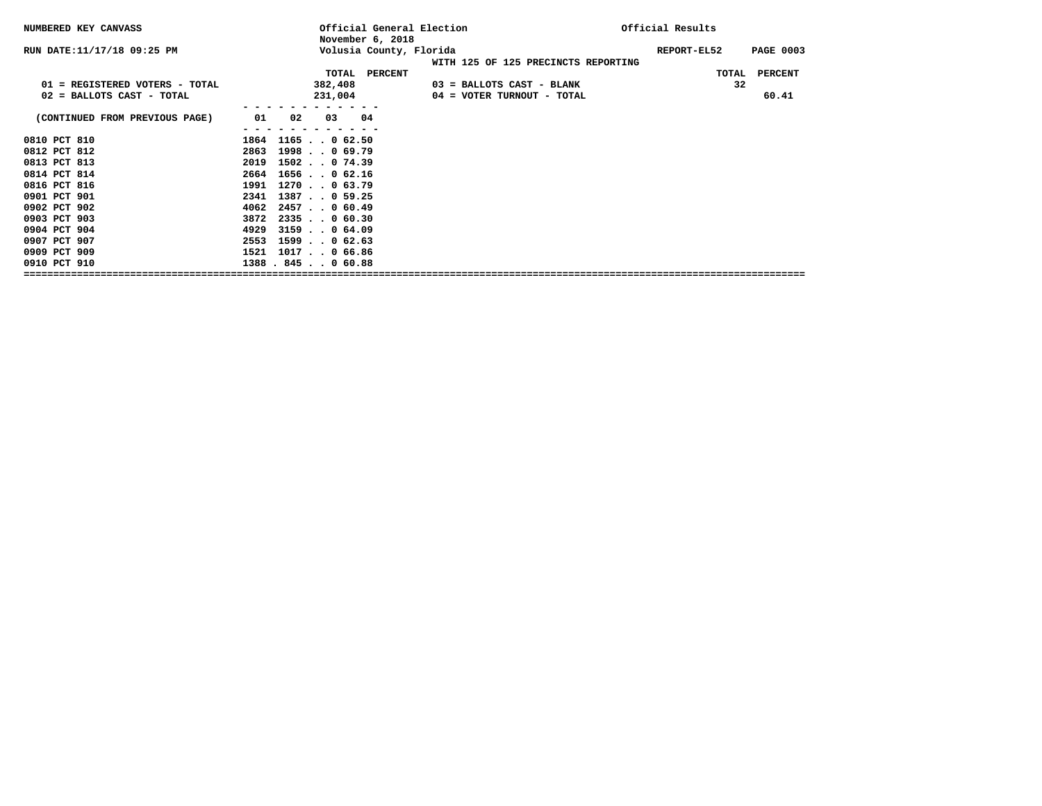| NUMBERED KEY CANVASS           | Official General Election<br>November 6, 2018 |                                     | Official Results                |
|--------------------------------|-----------------------------------------------|-------------------------------------|---------------------------------|
| RUN DATE: 11/17/18 09:25 PM    | Volusia County, Florida                       | WITH 125 OF 125 PRECINCTS REPORTING | REPORT-EL52<br><b>PAGE 0003</b> |
|                                | TOTAL PERCENT                                 |                                     | TOTAL<br><b>PERCENT</b>         |
| 01 = REGISTERED VOTERS - TOTAL | 382,408                                       | 03 = BALLOTS CAST - BLANK           | 32                              |
| 02 = BALLOTS CAST - TOTAL      | 231,004                                       | 04 = VOTER TURNOUT - TOTAL          | 60.41                           |
|                                |                                               |                                     |                                 |
| (CONTINUED FROM PREVIOUS PAGE) | $_{02}$<br>04<br>01<br>03                     |                                     |                                 |
|                                |                                               |                                     |                                 |
| 0810 PCT 810                   | 1864 1165 0 62.50                             |                                     |                                 |
| 0812 PCT 812                   | 2863 1998 0 69.79                             |                                     |                                 |
| 0813 PCT 813                   | 2019 1502 0 74.39                             |                                     |                                 |
| 0814 PCT 814                   | 2664 1656 0 62.16                             |                                     |                                 |
| 0816 PCT 816                   | 1991 1270 0 63.79                             |                                     |                                 |
| 0901 PCT 901                   | 2341 1387 0 59.25                             |                                     |                                 |
| 0902 PCT 902                   | $4062$ 2457. 0 60.49                          |                                     |                                 |
| 0903 PCT 903                   | $3872$ $2335$ $\ldots$ 0 60.30                |                                     |                                 |
| 0904 PCT 904                   | $3159$ , , 0 64.09<br>4929                    |                                     |                                 |
| 0907 PCT 907                   | 2553<br>$1599$ 0 62.63                        |                                     |                                 |
| 0909 PCT 909                   | 1521 1017. . 0 66.86                          |                                     |                                 |
| 0910 PCT 910                   | 1388.845.060.88                               |                                     |                                 |
|                                |                                               |                                     |                                 |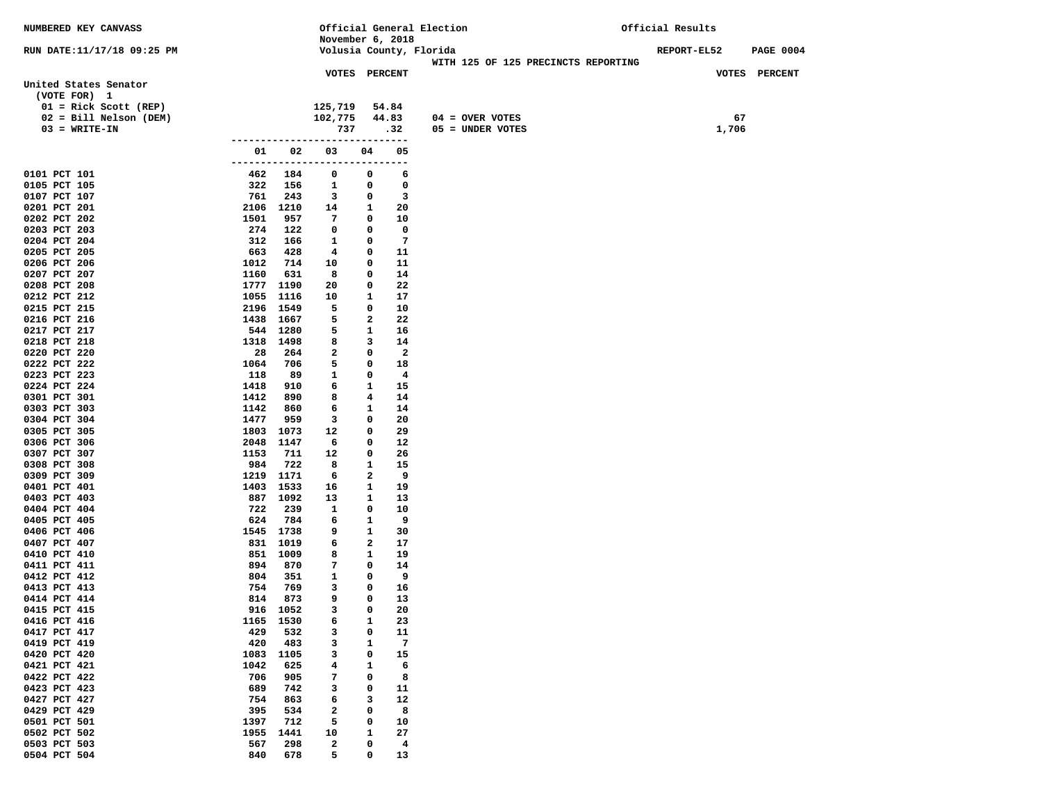| NUMBERED KEY CANVASS         |                                 |                   | Official General Election               |                                     | Official Results                       |
|------------------------------|---------------------------------|-------------------|-----------------------------------------|-------------------------------------|----------------------------------------|
|                              |                                 |                   | November 6, 2018                        |                                     |                                        |
| RUN DATE:11/17/18 09:25 PM   |                                 |                   | Volusia County, Florida                 |                                     | <b>REPORT-EL52</b><br><b>PAGE 0004</b> |
|                              |                                 |                   | <b>VOTES PERCENT</b>                    | WITH 125 OF 125 PRECINCTS REPORTING | VOTES PERCENT                          |
| United States Senator        |                                 |                   |                                         |                                     |                                        |
| (VOTE FOR) 1                 |                                 |                   |                                         |                                     |                                        |
| $01 =$ Rick Scott (REP)      |                                 | 125,719           | 54.84                                   |                                     |                                        |
| 02 = Bill Nelson (DEM)       |                                 | 102,775           | 44.83                                   | $04 =$ OVER VOTES                   | 67                                     |
| $03 = WRITE-IN$              |                                 | 737               | .32                                     | 05 = UNDER VOTES                    | 1,706                                  |
|                              | ------------------------------- |                   |                                         |                                     |                                        |
|                              | 01<br>02                        | 03                | 04<br>05                                |                                     |                                        |
|                              | ------------------------------  |                   |                                         |                                     |                                        |
| 0101 PCT 101                 | 462<br>184                      | 0                 | 6<br>$\mathbf{o}$                       |                                     |                                        |
| 0105 PCT 105<br>0107 PCT 107 | 322<br>156                      | $\mathbf{1}$      | $\mathbf 0$<br>0<br>3<br>0              |                                     |                                        |
| 0201 PCT 201                 | 761<br>243<br>2106 1210         | 3<br>14           | 20<br>1                                 |                                     |                                        |
| 0202 PCT 202                 | 1501<br>957                     | 7                 | 0<br>10                                 |                                     |                                        |
| 0203 PCT 203                 | 274<br>122                      | $\mathbf 0$       | $\mathbf{o}$<br>0                       |                                     |                                        |
| 0204 PCT 204                 | 312<br>166                      | 1                 | $\overline{7}$<br>0                     |                                     |                                        |
| 0205 PCT 205                 | 663<br>428                      | $4\phantom{1}$    | 0<br>11                                 |                                     |                                        |
| 0206 PCT 206                 | 1012<br>714                     | 10                | 11<br>0                                 |                                     |                                        |
| 0207 PCT 207                 | 631<br>1160                     | 8                 | 14<br>0                                 |                                     |                                        |
| 0208 PCT 208                 | 1777 1190                       | 20                | 22<br>0                                 |                                     |                                        |
| 0212 PCT 212                 | 1055 1116                       | 10                | 17<br>1                                 |                                     |                                        |
| 0215 PCT 215                 | 2196<br>1549                    | 5                 | 0<br>10                                 |                                     |                                        |
| 0216 PCT 216                 | 1438<br>1667                    | 5                 | 2<br>22                                 |                                     |                                        |
| 0217 PCT 217                 | 544 1280                        | 5                 | 1<br>16                                 |                                     |                                        |
| 0218 PCT 218<br>0220 PCT 220 | 1318 1498<br>28<br>264          | 8<br>$\mathbf{2}$ | 14<br>3<br>0<br>$\overline{\mathbf{2}}$ |                                     |                                        |
| 0222 PCT 222                 | 1064<br>706                     | 5                 | 18<br>0                                 |                                     |                                        |
| 0223 PCT 223                 | 118<br>89                       | 1                 | $\overline{4}$<br>0                     |                                     |                                        |
| 0224 PCT 224                 | 1418<br>910                     | 6                 | $\mathbf{1}$<br>15                      |                                     |                                        |
| 0301 PCT 301                 | 1412<br>890                     | 8                 | 14<br>4                                 |                                     |                                        |
| 0303 PCT 303                 | 1142<br>860                     | 6                 | $\mathbf{1}$<br>14                      |                                     |                                        |
| 0304 PCT 304                 | 1477<br>959                     | 3                 | 20<br>0                                 |                                     |                                        |
| 0305 PCT 305                 | 1803 1073                       | 12                | 29<br>0                                 |                                     |                                        |
| 0306 PCT 306                 | 2048 1147                       | 6                 | 12<br>0                                 |                                     |                                        |
| 0307 PCT 307                 | 711<br>1153                     | 12                | 26<br>0                                 |                                     |                                        |
| 0308 PCT 308                 | 984<br>722                      | 8                 | 1<br>15                                 |                                     |                                        |
| 0309 PCT 309                 | 1219 1171                       | 6                 | 9<br>2                                  |                                     |                                        |
| 0401 PCT 401                 | 1403 1533                       | 16                | 19<br>1<br>13                           |                                     |                                        |
| 0403 PCT 403<br>0404 PCT 404 | 887 1092<br>722<br>239          | 13<br>1           | 1<br>0<br>10                            |                                     |                                        |
| 0405 PCT 405                 | 624<br>784                      | 6                 | 1<br>9                                  |                                     |                                        |
| 0406 PCT 406                 | 1545 1738                       | 9                 | $\mathbf{1}$<br>30                      |                                     |                                        |
| 0407 PCT 407                 | 831 1019                        | 6                 | 2<br>17                                 |                                     |                                        |
| 0410 PCT 410                 | 851 1009                        | 8                 | 19<br>1                                 |                                     |                                        |
| 0411 PCT 411                 | 894<br>870                      | 7                 | 0<br>14                                 |                                     |                                        |
| 0412 PCT 412                 | 804<br>351                      | 1                 | 9<br>0                                  |                                     |                                        |
| 0413 PCT 413                 | 754<br>769                      | 3                 | 16<br>0                                 |                                     |                                        |
| 0414 PCT 414                 | 814<br>873                      | 9                 | 0<br>13                                 |                                     |                                        |
| 0415 PCT 415                 | 916 1052                        | 3                 | 0<br>20                                 |                                     |                                        |
| 0416 PCT 416                 | 1165<br>1530                    | 6                 | 23<br>1                                 |                                     |                                        |
| 0417 PCT 417                 | 429<br>532                      | з                 | 0<br>11                                 |                                     |                                        |
| 0419 PCT 419<br>0420 PCT 420 | 420<br>483<br>1105<br>1083      | 3<br>3            | $\overline{7}$<br>1<br>0<br>15          |                                     |                                        |
| 0421 PCT 421                 | 1042<br>625                     | 4                 | 1<br>6                                  |                                     |                                        |
| 0422 PCT 422                 | 706<br>905                      | 7                 | 0<br>8                                  |                                     |                                        |
| 0423 PCT 423                 | 689<br>742                      | 3                 | 11<br>0                                 |                                     |                                        |
| 0427 PCT 427                 | 863<br>754                      | 6                 | 12<br>з                                 |                                     |                                        |
| 0429 PCT 429                 | 395<br>534                      | $\mathbf{2}$      | 8<br>0                                  |                                     |                                        |
| 0501 PCT 501                 | 712<br>1397                     | 5                 | 10<br>0                                 |                                     |                                        |
| 0502 PCT 502                 | 1955<br>1441                    | 10                | 1<br>27                                 |                                     |                                        |
| 0503 PCT 503                 | 567<br>298                      | $\mathbf{2}$      | 4<br>0                                  |                                     |                                        |
| 0504 PCT 504                 | 840<br>678                      | 5                 | 0<br>13                                 |                                     |                                        |
|                              |                                 |                   |                                         |                                     |                                        |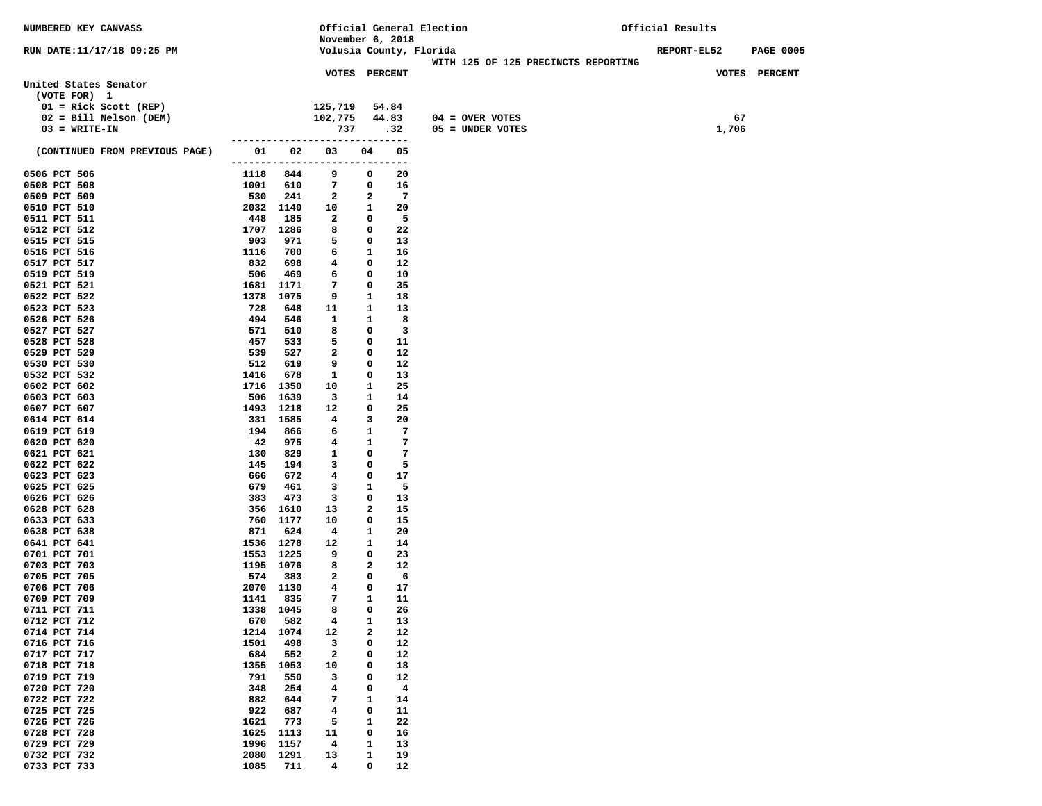| <b>NUMBERED KEY CANVASS</b>    |             |                 |                                |              |                | Official General Election           | Official Results   |                  |
|--------------------------------|-------------|-----------------|--------------------------------|--------------|----------------|-------------------------------------|--------------------|------------------|
|                                |             |                 | November 6, 2018               |              |                |                                     |                    |                  |
| RUN DATE: 11/17/18 09:25 PM    |             |                 | Volusia County, Florida        |              |                |                                     | <b>REPORT-EL52</b> | <b>PAGE 0005</b> |
|                                |             |                 | <b>VOTES PERCENT</b>           |              |                | WITH 125 OF 125 PRECINCTS REPORTING |                    | VOTES PERCENT    |
| United States Senator          |             |                 |                                |              |                |                                     |                    |                  |
| (VOTE FOR) 1                   |             |                 |                                |              |                |                                     |                    |                  |
| $01 =$ Rick Scott (REP)        |             |                 | 125,719                        |              | 54.84          |                                     |                    |                  |
| $02 = Bill Nelson (DEM)$       |             |                 | 102,775                        |              | 44.83          | $04 = OVER VOTES$                   | 67                 |                  |
| $03 = WRTTE-TN$                |             |                 | 737                            |              | .32            | $05 =$ UNDER VOTES                  | 1,706              |                  |
|                                |             |                 | ------------------------------ |              |                |                                     |                    |                  |
| (CONTINUED FROM PREVIOUS PAGE) |             |                 | 01 02 03                       | 04           | 05             |                                     |                    |                  |
|                                |             |                 | ---------------------------    |              | $---$          |                                     |                    |                  |
| 0506 PCT 506                   |             | 1118 844        | 9                              | 0            | 20             |                                     |                    |                  |
| 0508 PCT 508                   | 1001        | 610             | 7                              | 0            | 16             |                                     |                    |                  |
| 0509 PCT 509                   | 530         | 241             | $\overline{\mathbf{2}}$        | 2            | $\overline{7}$ |                                     |                    |                  |
| 0510 PCT 510                   | 2032 1140   |                 | 10                             | $\mathbf{1}$ | 20             |                                     |                    |                  |
| 0511 PCT 511                   | 448         | 185             | $\overline{a}$                 | $\mathbf 0$  | 5              |                                     |                    |                  |
| 0512 PCT 512                   | 1707 1286   |                 | 8                              | $\mathbf 0$  | 22             |                                     |                    |                  |
| 0515 PCT 515                   | 903         | 971             | 5                              | $\mathbf 0$  | 13             |                                     |                    |                  |
| 0516 PCT 516                   | 1116        | 700             | 6                              | 1            | 16             |                                     |                    |                  |
| 0517 PCT 517                   | 832         | 698             | 4                              | 0            | 12             |                                     |                    |                  |
| 0519 PCT 519                   | 506         | 469             | 6                              | 0            | 10             |                                     |                    |                  |
| 0521 PCT 521                   | 1681 1171   |                 | 7                              | 0            | 35             |                                     |                    |                  |
| 0522 PCT 522                   | 1378        | 1075            | 9                              | 1            | 18             |                                     |                    |                  |
| 0523 PCT 523<br>0526 PCT 526   | 728<br>494  | 648<br>546      | 11<br>1                        | 1<br>1       | 13<br>8        |                                     |                    |                  |
| 0527 PCT 527                   | 571         | 510             | 8                              | 0            | $_{3}$         |                                     |                    |                  |
| 0528 PCT 528                   | 457         | 533             | 5                              | 0            | 11             |                                     |                    |                  |
| 0529 PCT 529                   | 539         | 527             | 2                              | 0            | 12             |                                     |                    |                  |
| 0530 PCT 530                   | 512         | 619             | 9                              | 0            | 12             |                                     |                    |                  |
| 0532 PCT 532                   | 1416        | 678             | 1                              | 0            | 13             |                                     |                    |                  |
| 0602 PCT 602                   | 1716 1350   |                 | 10                             | $\mathbf{1}$ | 25             |                                     |                    |                  |
| 0603 PCT 603                   | 506         | 1639            | $\mathbf{3}$                   | 1            | 14             |                                     |                    |                  |
| 0607 PCT 607                   | 1493 1218   |                 | 12                             | 0            | 25             |                                     |                    |                  |
| 0614 PCT 614                   |             | 331 1585        | 4                              | 3            | 20             |                                     |                    |                  |
| 0619 PCT 619                   | 194         | 866             | 6                              | 1            | $\overline{7}$ |                                     |                    |                  |
| 0620 PCT 620                   | 42          | 975             | 4                              | $\mathbf{1}$ | -7             |                                     |                    |                  |
| 0621 PCT 621                   | 130         | 829             | 1                              | 0            | $\overline{7}$ |                                     |                    |                  |
| 0622 PCT 622                   | 145         | 194             | 3                              | 0            | - 5            |                                     |                    |                  |
| 0623 PCT 623                   | 666         | 672             | 4                              | 0            | 17             |                                     |                    |                  |
| 0625 PCT 625                   | 679         | 461             | 3<br>3                         | $\mathbf{1}$ | - 5            |                                     |                    |                  |
| 0626 PCT 626<br>0628 PCT 628   | 383         | 473<br>356 1610 | 13                             | 0<br>2       | 13<br>15       |                                     |                    |                  |
| 0633 PCT 633                   |             | 760 1177        | 10                             | 0            | 15             |                                     |                    |                  |
| 0638 PCT 638                   | 871         | 624             | $\overline{4}$                 | 1            | 20             |                                     |                    |                  |
| 0641 PCT 641                   | 1536 1278   |                 | 12                             | 1            | 14             |                                     |                    |                  |
| 0701 PCT 701                   | 1553 1225   |                 | 9                              | 0            | 23             |                                     |                    |                  |
| 0703 PCT 703                   | 1195 1076   |                 | 8                              | 2            | 12             |                                     |                    |                  |
| 0705 PCT 705                   | 574         | - 383           | 2                              | 0            | - 6            |                                     |                    |                  |
| 0706 PCT 706                   | 2070 1130   |                 | 4                              | 0            | 17             |                                     |                    |                  |
| 0709 PCT 709                   | 1141        | 835             | 7                              | $\mathbf{1}$ | 11             |                                     |                    |                  |
| 0711 PCT 711                   | 1338 1045   |                 | 8                              | 0            | 26             |                                     |                    |                  |
| 0712 PCT 712                   | 670         | 582             | 4                              | 1            | 13             |                                     |                    |                  |
| 0714 PCT 714                   | 1214        | 1074            | 12                             | 2            | 12             |                                     |                    |                  |
| 0716 PCT 716                   | 1501        | 498             | з                              | 0            | 12             |                                     |                    |                  |
| 0717 PCT 717                   | 684         | 552             | 2                              | 0            | 12             |                                     |                    |                  |
| 0718 PCT 718                   | 1355        | 1053            | 10                             | 0            | 18             |                                     |                    |                  |
| 0719 PCT 719                   | 791         | 550             | з                              | 0            | 12             |                                     |                    |                  |
| 0720 PCT 720                   | 348         | 254             | 4                              | 0            | 4              |                                     |                    |                  |
| 0722 PCT 722                   | 882         | 644             | 7                              | 1            | 14             |                                     |                    |                  |
| 0725 PCT 725<br>0726 PCT 726   | 922<br>1621 | 687<br>773      | 4<br>5                         | 0<br>1       | 11<br>22       |                                     |                    |                  |
| 0728 PCT 728                   | 1625        | 1113            | 11                             | 0            | 16             |                                     |                    |                  |
| 0729 PCT 729                   | 1996        | 1157            | $\overline{\mathbf{4}}$        | 1            | 13             |                                     |                    |                  |
| 0732 PCT 732                   | 2080        | 1291            | 13                             | 1            | 19             |                                     |                    |                  |
| 0733 PCT 733                   | 1085        | 711             | 4                              | 0            | 12             |                                     |                    |                  |
|                                |             |                 |                                |              |                |                                     |                    |                  |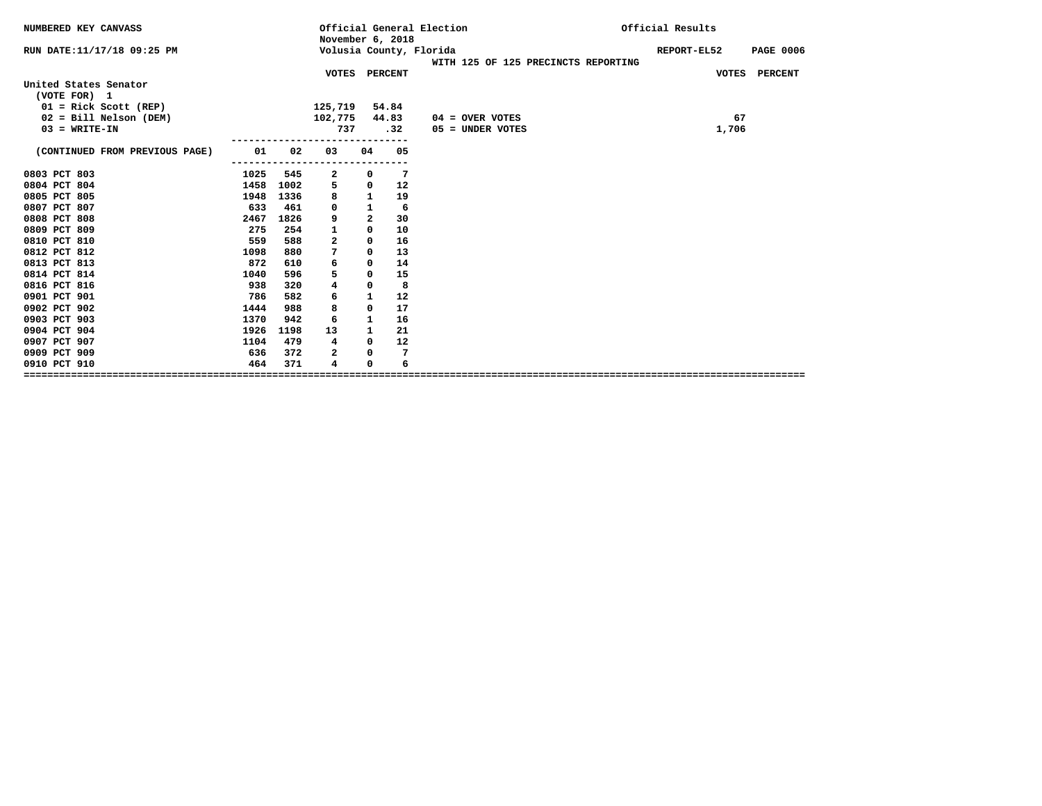| NUMBERED KEY CANVASS           |            | November 6, 2018        |                |     | Official General Election           | Official Results |                  |
|--------------------------------|------------|-------------------------|----------------|-----|-------------------------------------|------------------|------------------|
| RUN DATE: 11/17/18 09:25 PM    |            | Volusia County, Florida |                |     | WITH 125 OF 125 PRECINCTS REPORTING | REPORT-EL52      | <b>PAGE 0006</b> |
|                                |            | VOTES PERCENT           |                |     |                                     | VOTES PERCENT    |                  |
| United States Senator          |            |                         |                |     |                                     |                  |                  |
| (VOTE FOR) 1                   |            |                         |                |     |                                     |                  |                  |
| $01 =$ Rick Scott (REP)        |            | 125,719 54.84           |                |     |                                     |                  |                  |
| $02 = Bill Nelson (DEM)$       |            | 102,775 44.83           |                |     | $04 =$ OVER VOTES                   | 67               |                  |
| $03 = WRTTE-IN$                |            | 737                     |                | .32 | $05 =$ UNDER VOTES                  | 1,706            |                  |
| (CONTINUED FROM PREVIOUS PAGE) | 01<br>02   | 03                      | 04             | 05  |                                     |                  |                  |
|                                | ---------- |                         |                |     |                                     |                  |                  |
| 0803 PCT 803<br>1025           | 545        | 2                       | 0              | 7   |                                     |                  |                  |
| 0804 PCT 804<br>1458           | 1002       | 5                       | 0              | 12  |                                     |                  |                  |
| 0805 PCT 805<br>1948           | 1336       | 8                       | $\mathbf{1}$   | 19  |                                     |                  |                  |
| 0807 PCT 807<br>633            | 461        | 0                       | $\mathbf{1}$   | 6   |                                     |                  |                  |
| 0808 PCT 808<br>2467           | 1826       | 9                       | $\overline{a}$ | 30  |                                     |                  |                  |
| 0809 PCT 809<br>275            | 254        | 1                       | 0              | 10  |                                     |                  |                  |
| 0810 PCT 810                   | 559<br>588 | $\overline{\mathbf{2}}$ | 0              | 16  |                                     |                  |                  |
| 0812 PCT 812<br>1098           | 880        | 7                       | 0              | 13  |                                     |                  |                  |
| 0813 PCT 813<br>872            | 610        | 6                       | 0              | 14  |                                     |                  |                  |
| 0814 PCT 814<br>1040           | 596        | 5                       | 0              | 15  |                                     |                  |                  |
| 0816 PCT 816                   | 938<br>320 | 4                       | 0              | 8   |                                     |                  |                  |
| 0901 PCT 901<br>786            | 582        | 6                       | 1              | 12  |                                     |                  |                  |
| 0902 PCT 902<br>1444           | 988        | 8                       | 0              | 17  |                                     |                  |                  |
| 0903 PCT 903<br>1370           | 942        | 6                       | 1              | 16  |                                     |                  |                  |
| 0904 PCT 904<br>1926           | 1198       | 13                      | 1              | 21  |                                     |                  |                  |
| 0907 PCT 907<br>1104           | 479        | $\overline{4}$          | 0              | 12  |                                     |                  |                  |
| 0909 PCT 909                   | 636<br>372 | 2                       | 0              | 7   |                                     |                  |                  |
| 0910 PCT 910                   | 464<br>371 | 4                       | 0              | 6   |                                     |                  |                  |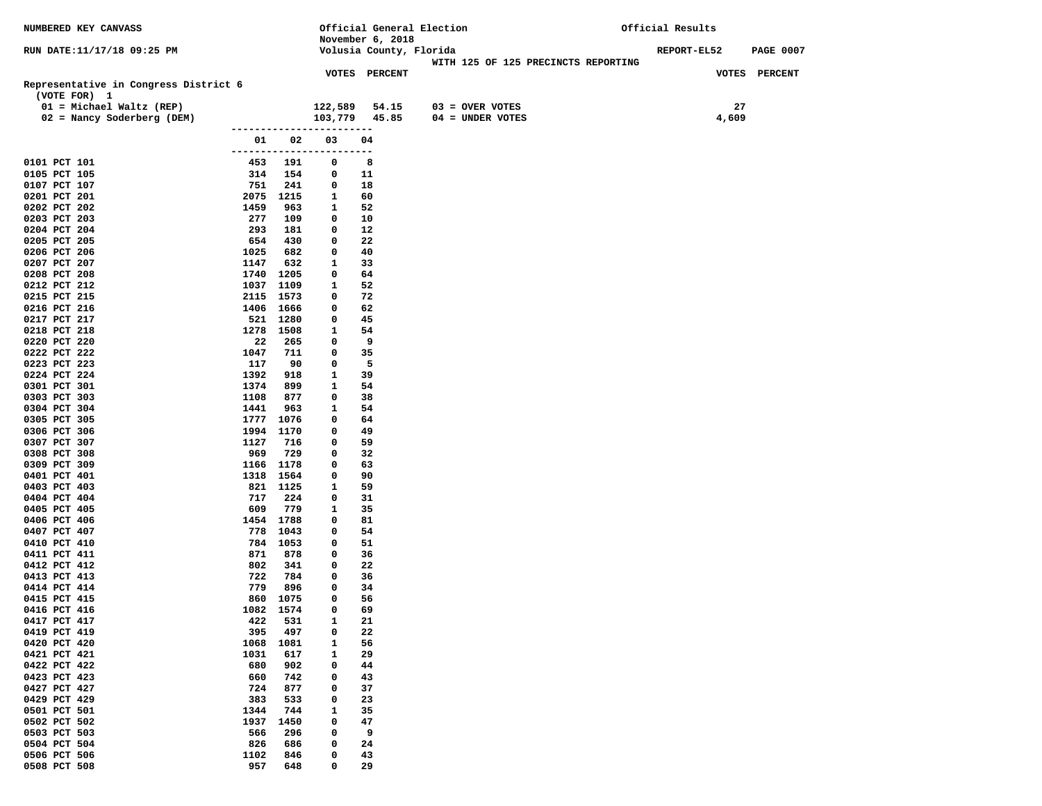| NUMBERED KEY CANVASS                  |              |                        |                          | Official General Election |                                     | Official Results |                  |
|---------------------------------------|--------------|------------------------|--------------------------|---------------------------|-------------------------------------|------------------|------------------|
|                                       |              |                        |                          | November 6, 2018          |                                     |                  |                  |
| RUN DATE:11/17/18 09:25 PM            |              |                        |                          | Volusia County, Florida   |                                     | REPORT-EL52      | <b>PAGE 0007</b> |
|                                       |              |                        |                          | VOTES PERCENT             | WITH 125 OF 125 PRECINCTS REPORTING |                  | VOTES PERCENT    |
| Representative in Congress District 6 |              |                        |                          |                           |                                     |                  |                  |
| (VOTE FOR) 1                          |              |                        |                          |                           |                                     |                  |                  |
| 01 = Michael Waltz (REP)              |              |                        | 122,589                  | 54.15                     | $03 =$ OVER VOTES                   | 27               |                  |
| 02 = Nancy Soderberg (DEM)            |              |                        | 103,779                  | 45.85                     | $04 = UNDER VOTES$                  | 4,609            |                  |
|                                       |              |                        |                          |                           |                                     |                  |                  |
|                                       | 01           | 02                     | 03                       | 04                        |                                     |                  |                  |
|                                       |              |                        | ------------------------ |                           |                                     |                  |                  |
| 0101 PCT 101                          | 453          | 191                    | 0                        | 8                         |                                     |                  |                  |
| 0105 PCT 105                          | 314          | 154                    | 0                        | 11                        |                                     |                  |                  |
| 0107 PCT 107<br>0201 PCT 201          | 751          | 241<br>2075 1215       | 0<br>1                   | 18<br>60                  |                                     |                  |                  |
| 0202 PCT 202                          | 1459         | 963                    | 1                        | 52                        |                                     |                  |                  |
| 0203 PCT 203                          | 277          | 109                    | 0                        | 10                        |                                     |                  |                  |
| 0204 PCT 204                          | 293          | 181                    | 0                        | 12                        |                                     |                  |                  |
| 0205 PCT 205                          | 654          | 430                    | 0                        | 22                        |                                     |                  |                  |
| 0206 PCT 206                          | 1025         | 682                    | 0                        | 40                        |                                     |                  |                  |
| 0207 PCT 207                          | 1147         | 632                    | 1                        | 33                        |                                     |                  |                  |
| 0208 PCT 208                          |              | 1740 1205              | 0                        | 64                        |                                     |                  |                  |
| 0212 PCT 212                          |              | 1037 1109              | 1                        | 52                        |                                     |                  |                  |
| 0215 PCT 215                          |              | 2115 1573              | 0                        | 72                        |                                     |                  |                  |
| 0216 PCT 216                          |              | 1406 1666              | 0                        | 62<br>45                  |                                     |                  |                  |
| 0217 PCT 217<br>0218 PCT 218          |              | 521 1280<br>1278 1508  | 0<br>1                   | 54                        |                                     |                  |                  |
| 0220 PCT 220                          | 22           | 265                    | 0                        | 9                         |                                     |                  |                  |
| 0222 PCT 222                          | 1047         | 711                    | 0                        | 35                        |                                     |                  |                  |
| 0223 PCT 223                          | 117          | 90                     | 0                        | 5                         |                                     |                  |                  |
| 0224 PCT 224                          | 1392         | 918                    | $\mathbf{1}$             | 39                        |                                     |                  |                  |
| 0301 PCT 301                          | 1374         | 899                    | 1                        | 54                        |                                     |                  |                  |
| 0303 PCT 303                          | 1108         | 877                    | 0                        | 38                        |                                     |                  |                  |
| 0304 PCT 304                          | 1441         | 963                    | 1                        | 54                        |                                     |                  |                  |
| 0305 PCT 305<br>0306 PCT 306          |              | 1777 1076<br>1994 1170 | 0<br>0                   | 64<br>49                  |                                     |                  |                  |
| 0307 PCT 307                          | 1127         | 716                    | 0                        | 59                        |                                     |                  |                  |
| 0308 PCT 308                          | 969          | 729                    | 0                        | 32                        |                                     |                  |                  |
| 0309 PCT 309                          |              | 1166 1178              | 0                        | 63                        |                                     |                  |                  |
| 0401 PCT 401                          |              | 1318 1564              | 0                        | 90                        |                                     |                  |                  |
| 0403 PCT 403                          |              | 821 1125               | 1                        | 59                        |                                     |                  |                  |
| 0404 PCT 404                          | 717          | 224                    | 0                        | 31                        |                                     |                  |                  |
| 0405 PCT 405                          | 609          | 779<br>1454 1788       | 1<br>0                   | 35<br>81                  |                                     |                  |                  |
| 0406 PCT 406<br>0407 PCT 407          |              | 778 1043               | 0                        | 54                        |                                     |                  |                  |
| 0410 PCT 410                          |              | 784 1053               | 0                        | 51                        |                                     |                  |                  |
| 0411 PCT 411                          | 871          | 878                    | 0                        | 36                        |                                     |                  |                  |
| 0412 PCT 412                          | 802          | 341                    | 0                        | 22                        |                                     |                  |                  |
| 0413 PCT 413                          | 722          | 784                    | 0                        | 36                        |                                     |                  |                  |
| 0414 PCT 414                          | 779          | 896                    | 0                        | 34                        |                                     |                  |                  |
| 0415 PCT 415                          |              | 860 1075               | 0                        | 56                        |                                     |                  |                  |
| 0416 PCT 416                          | 422          | 1082 1574<br>531       | 0<br>1                   | 69<br>21                  |                                     |                  |                  |
| 0417 PCT 417<br>0419 PCT 419          | 395          | 497                    | 0                        | 22                        |                                     |                  |                  |
| 0420 PCT 420                          | 1068         | 1081                   | 1                        | 56                        |                                     |                  |                  |
| 0421 PCT 421                          | 1031         | 617                    | 1                        | 29                        |                                     |                  |                  |
| 0422 PCT 422                          | 680          | 902                    | 0                        | 44                        |                                     |                  |                  |
| 0423 PCT 423                          | 660          | 742                    | 0                        | 43                        |                                     |                  |                  |
| 0427 PCT 427                          | 724          | 877                    | 0                        | 37                        |                                     |                  |                  |
| 0429 PCT 429                          | 383          | 533                    | 0                        | 23                        |                                     |                  |                  |
| 0501 PCT 501<br>0502 PCT 502          | 1344<br>1937 | 744<br>1450            | $\mathbf{1}$<br>0        | 35<br>47                  |                                     |                  |                  |
| 0503 PCT 503                          | 566          | 296                    | 0                        | 9                         |                                     |                  |                  |
| 0504 PCT 504                          | 826          | 686                    | 0                        | 24                        |                                     |                  |                  |
| 0506 PCT 506                          | 1102         | 846                    | 0                        | 43                        |                                     |                  |                  |
| 0508 PCT 508                          | 957          | 648                    | 0                        | 29                        |                                     |                  |                  |
|                                       |              |                        |                          |                           |                                     |                  |                  |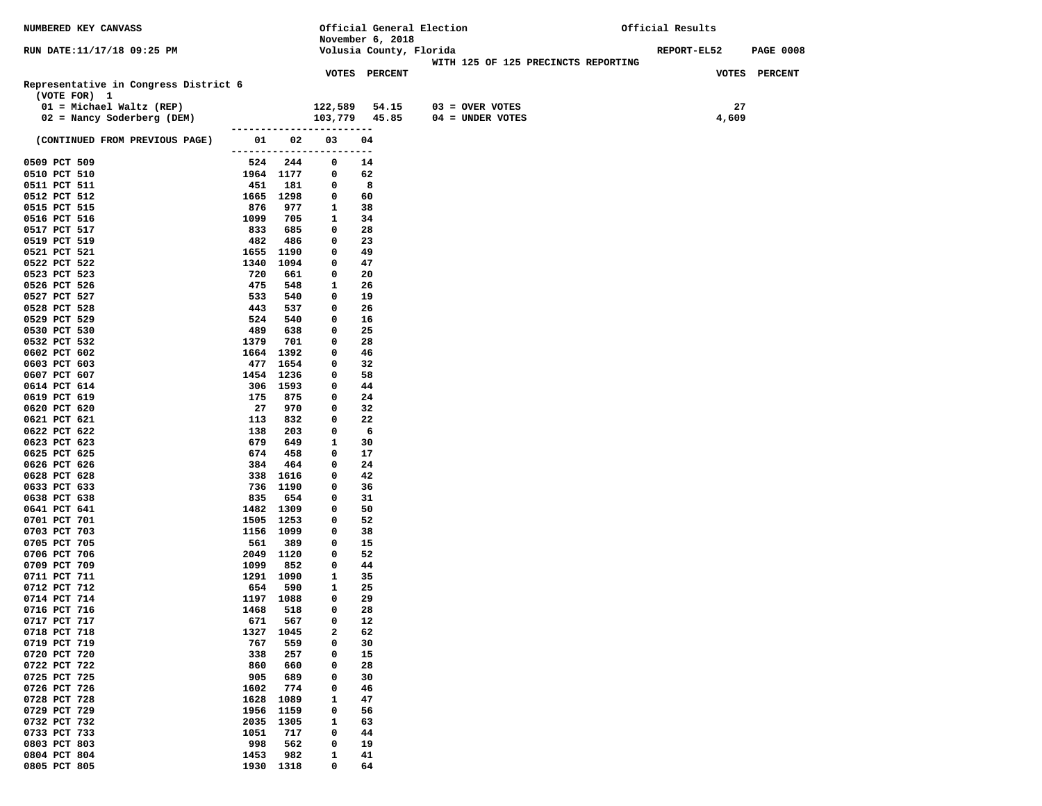| NUMBERED KEY CANVASS                       |             |                  |                          | Official General Election |                                     | Official Results                |
|--------------------------------------------|-------------|------------------|--------------------------|---------------------------|-------------------------------------|---------------------------------|
|                                            |             |                  |                          | November 6, 2018          |                                     |                                 |
| RUN DATE:11/17/18 09:25 PM                 |             |                  |                          | Volusia County, Florida   |                                     | REPORT-EL52<br><b>PAGE 0008</b> |
|                                            |             |                  |                          |                           | WITH 125 OF 125 PRECINCTS REPORTING |                                 |
|                                            |             |                  |                          | VOTES PERCENT             |                                     | VOTES PERCENT                   |
| Representative in Congress District 6      |             |                  |                          |                           |                                     |                                 |
| (VOTE FOR) 1<br>$01 = Michael Waltz (REP)$ |             |                  |                          |                           |                                     |                                 |
|                                            |             |                  | 122,589                  | 54.15                     | 03 = OVER VOTES                     | 27                              |
| 02 = Nancy Soderberg (DEM)                 |             |                  | ------------------------ | 103,779 45.85             | 04 = UNDER VOTES                    | 4,609                           |
| (CONTINUED FROM PREVIOUS PAGE)             | 01          | 02               | 03                       | 04                        |                                     |                                 |
|                                            |             |                  | ------------------------ |                           |                                     |                                 |
| 0509 PCT 509                               |             | 524 244          | 0                        | 14                        |                                     |                                 |
| 0510 PCT 510                               |             | 1964 1177        | 0                        | 62                        |                                     |                                 |
| 0511 PCT 511                               | 451         | 181              | 0                        | 8                         |                                     |                                 |
| 0512 PCT 512                               |             | 1665 1298        | 0                        | 60                        |                                     |                                 |
| 0515 PCT 515                               | 876         | 977              | 1                        | 38                        |                                     |                                 |
| 0516 PCT 516                               | 1099        | 705              | 1                        | 34                        |                                     |                                 |
| 0517 PCT 517                               | 833         | 685              | 0                        | 28                        |                                     |                                 |
| 0519 PCT 519                               | 482         | 486              | 0                        | 23                        |                                     |                                 |
| 0521 PCT 521                               | 1655        | 1190             | 0                        | 49                        |                                     |                                 |
| 0522 PCT 522                               | 1340        | 1094             | 0                        | 47                        |                                     |                                 |
| 0523 PCT 523                               | 720         | 661              | 0                        | 20                        |                                     |                                 |
| 0526 PCT 526                               | 475         | 548              | 1                        | 26                        |                                     |                                 |
| 0527 PCT 527                               | 533         | 540              | 0                        | 19                        |                                     |                                 |
| 0528 PCT 528                               | 443         | 537              | 0                        | 26                        |                                     |                                 |
| 0529 PCT 529                               | 524         | 540              | 0                        | 16                        |                                     |                                 |
| 0530 PCT 530                               | 489         | 638              | 0                        | 25                        |                                     |                                 |
| 0532 PCT 532<br>0602 PCT 602               | 1379        | 701              | 0                        | 28                        |                                     |                                 |
|                                            | 1664<br>477 | 1392             | 0<br>0                   | 46<br>32                  |                                     |                                 |
| 0603 PCT 603<br>0607 PCT 607               | 1454        | 1654<br>1236     | 0                        | 58                        |                                     |                                 |
| 0614 PCT 614                               |             | 306 1593         | 0                        | 44                        |                                     |                                 |
| 0619 PCT 619                               | 175         | 875              | 0                        | 24                        |                                     |                                 |
| 0620 PCT 620                               | 27          | 970              | 0                        | 32                        |                                     |                                 |
| 0621 PCT 621                               | 113         | 832              | 0                        | 22                        |                                     |                                 |
| 0622 PCT 622                               | 138         | 203              | 0                        | 6                         |                                     |                                 |
| 0623 PCT 623                               | 679         | 649              | 1                        | 30                        |                                     |                                 |
| 0625 PCT 625                               | 674         | 458              | 0                        | 17                        |                                     |                                 |
| 0626 PCT 626                               | 384         | 464              | 0                        | 24                        |                                     |                                 |
| 0628 PCT 628                               | 338         | 1616             | 0                        | 42                        |                                     |                                 |
| 0633 PCT 633                               |             | 736 1190         | 0                        | 36                        |                                     |                                 |
| 0638 PCT 638                               | 835         | 654              | 0                        | 31                        |                                     |                                 |
| 0641 PCT 641                               | 1482        | 1309             | 0                        | 50                        |                                     |                                 |
| 0701 PCT 701                               |             | 1505 1253        | 0                        | 52                        |                                     |                                 |
| 0703 PCT 703                               |             | 1156 1099        | 0                        | 38                        |                                     |                                 |
| 0705 PCT 705<br>0706 PCT 706               | 561         | 389<br>2049 1120 | 0<br>0                   | 15<br>52                  |                                     |                                 |
| 0709 PCT 709                               | 1099        | 852              | 0                        | 44                        |                                     |                                 |
| 0711 PCT 711                               |             | 1291 1090        | 1                        | 35                        |                                     |                                 |
| 0712 PCT 712                               | 654         | 590              | 1                        | 25                        |                                     |                                 |
| 0714 PCT 714                               | 1197        | 1088             | 0                        | 29                        |                                     |                                 |
| 0716 PCT 716                               | 1468        | 518              | 0                        | 28                        |                                     |                                 |
| 0717 PCT 717                               | 671         | 567              | 0                        | 12                        |                                     |                                 |
| 0718 PCT 718                               | 1327        | 1045             | 2                        | 62                        |                                     |                                 |
| 0719 PCT 719                               | 767         | 559              | 0                        | 30                        |                                     |                                 |
| 0720 PCT 720                               | 338         | 257              | 0                        | 15                        |                                     |                                 |
| 0722 PCT 722                               | 860         | 660              | 0                        | 28                        |                                     |                                 |
| 0725 PCT 725                               | 905         | 689              | 0                        | 30                        |                                     |                                 |
| 0726 PCT 726                               | 1602        | 774              | 0                        | 46                        |                                     |                                 |
| 0728 PCT 728                               | 1628        | 1089             | $\mathbf{1}$             | 47                        |                                     |                                 |
| 0729 PCT 729                               | 1956        | 1159             | 0                        | 56                        |                                     |                                 |
| 0732 PCT 732                               | 2035        | 1305             | 1                        | 63                        |                                     |                                 |
| 0733 PCT 733                               | 1051        | 717              | 0                        | 44                        |                                     |                                 |
| 0803 PCT 803                               | 998         | 562              | $\mathbf 0$              | 19                        |                                     |                                 |
| 0804 PCT 804                               | 1453        | 982<br>1318      | 1<br>0                   | 41<br>64                  |                                     |                                 |
| 0805 PCT 805                               | 1930        |                  |                          |                           |                                     |                                 |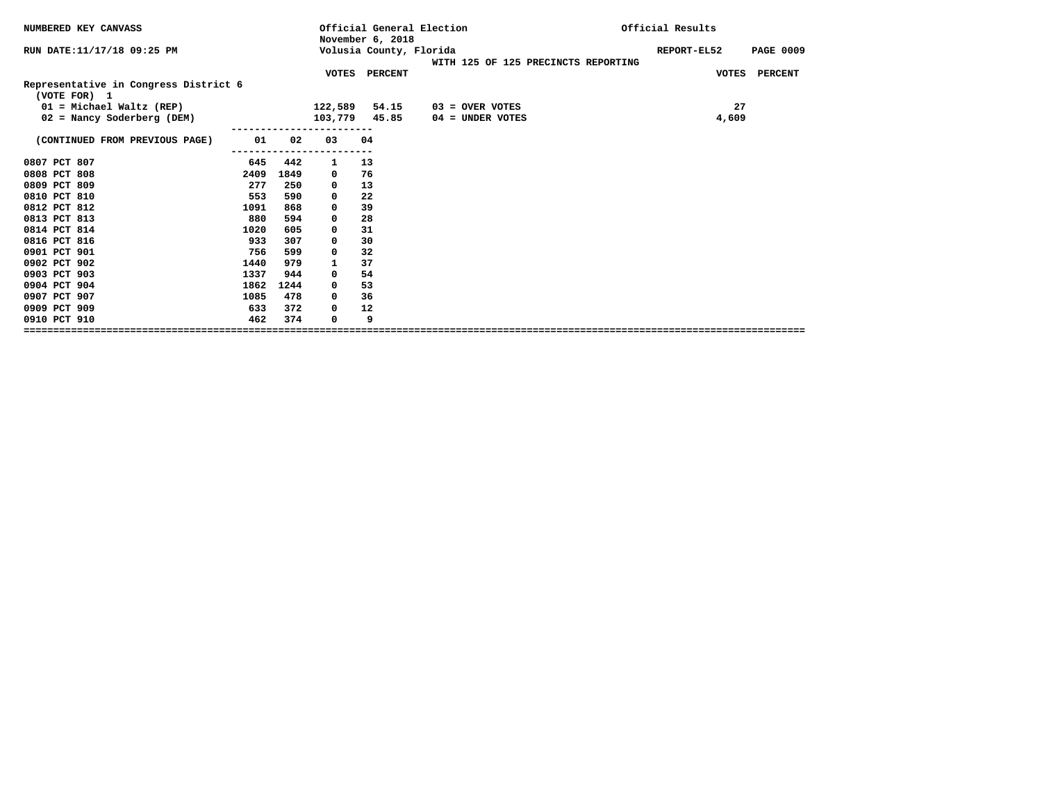|      |      |    |       |                                                                                       |                                                      | Official Results                    |
|------|------|----|-------|---------------------------------------------------------------------------------------|------------------------------------------------------|-------------------------------------|
|      |      |    |       |                                                                                       |                                                      | REPORT-EL52<br><b>PAGE 0009</b>     |
|      |      |    |       |                                                                                       |                                                      | VOTES PERCENT                       |
|      |      |    |       |                                                                                       |                                                      |                                     |
|      |      |    | 54.15 | $03 =$ OVER VOTES                                                                     |                                                      | 27                                  |
|      |      |    |       | $04 =$ UNDER VOTES                                                                    |                                                      | 4,609                               |
| 01   | 02   | 03 |       |                                                                                       |                                                      |                                     |
| 645  | 442  | 1  |       |                                                                                       |                                                      |                                     |
| 2409 | 1849 | 0  |       |                                                                                       |                                                      |                                     |
| 277  | 250  | 0  |       |                                                                                       |                                                      |                                     |
| 553  | 590  | 0  | 22    |                                                                                       |                                                      |                                     |
| 1091 | 868  | 0  | 39    |                                                                                       |                                                      |                                     |
| 880  | 594  | 0  | 28    |                                                                                       |                                                      |                                     |
| 1020 | 605  | 0  | 31    |                                                                                       |                                                      |                                     |
| 933  | 307  | 0  | 30    |                                                                                       |                                                      |                                     |
| 756  | 599  | 0  | 32    |                                                                                       |                                                      |                                     |
| 1440 | 979  | 1  | 37    |                                                                                       |                                                      |                                     |
| 1337 | 944  | 0  | 54    |                                                                                       |                                                      |                                     |
| 1862 | 1244 | 0  | 53    |                                                                                       |                                                      |                                     |
| 1085 | 478  | 0  | 36    |                                                                                       |                                                      |                                     |
| 633  | 372  | 0  | 12    |                                                                                       |                                                      |                                     |
| 462  | 374  | 0  | 9     |                                                                                       |                                                      |                                     |
|      |      |    |       | November 6, 2018<br>VOTES PERCENT<br>122,589<br>103,779 45.85<br>04<br>13<br>76<br>13 | Official General Election<br>Volusia County, Florida | WITH 125 OF 125 PRECINCTS REPORTING |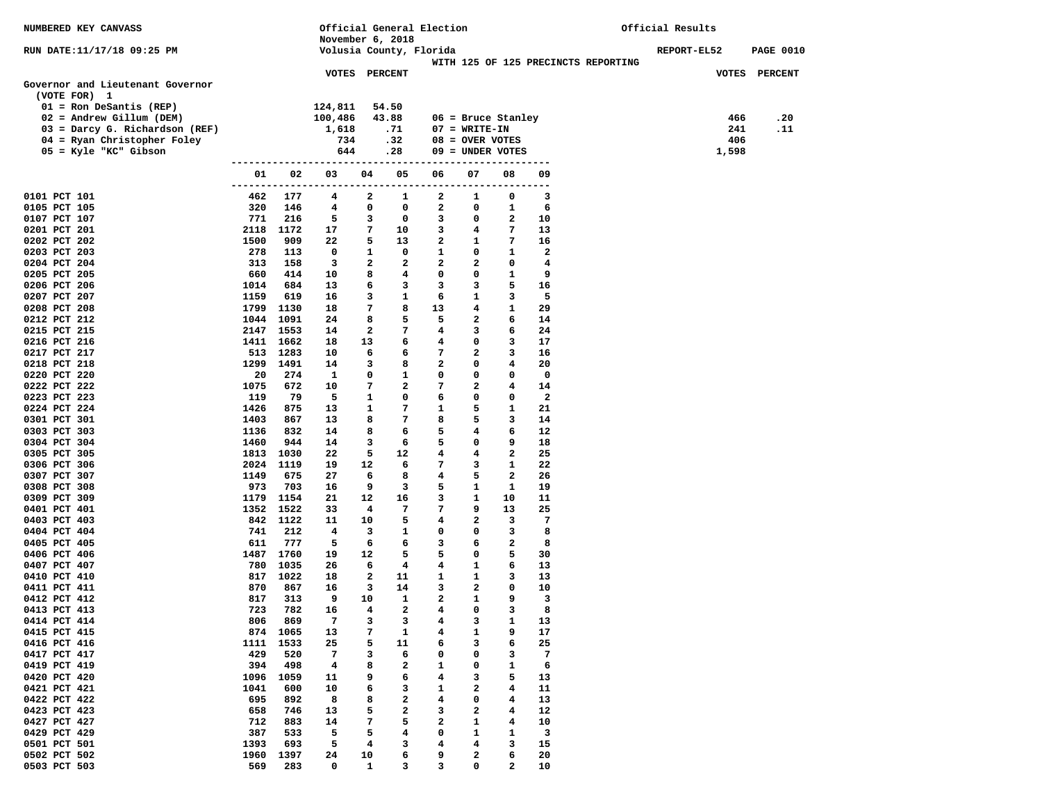| NUMBERED KEY CANVASS                                    |                      |             |                      |                | Official General Election |                   |                   |                         |                                     | Official Results |       |                  |
|---------------------------------------------------------|----------------------|-------------|----------------------|----------------|---------------------------|-------------------|-------------------|-------------------------|-------------------------------------|------------------|-------|------------------|
|                                                         |                      |             | November 6, 2018     |                |                           |                   |                   |                         |                                     |                  |       |                  |
| RUN DATE:11/17/18 09:25 PM                              |                      |             |                      |                | Volusia County, Florida   |                   |                   |                         | WITH 125 OF 125 PRECINCTS REPORTING | REPORT-EL52      |       | <b>PAGE 0010</b> |
|                                                         |                      |             | <b>VOTES PERCENT</b> |                |                           |                   |                   |                         |                                     |                  |       | VOTES PERCENT    |
| Governor and Lieutenant Governor                        |                      |             |                      |                |                           |                   |                   |                         |                                     |                  |       |                  |
| (VOTE FOR) 1                                            |                      |             |                      |                |                           |                   |                   |                         |                                     |                  |       |                  |
| $01 =$ Ron DeSantis (REP)<br>$02$ = Andrew Gillum (DEM) |                      |             | 124,811<br>100,486   |                | 54.50<br>43.88            |                   |                   | $06$ = Bruce Stanley    |                                     |                  | 466   | .20              |
| 03 = Darcy G. Richardson (REF)                          |                      |             | 1,618                |                | .71                       |                   | $07 = WRTTE-TN$   |                         |                                     |                  | 241   | .11              |
| 04 = Ryan Christopher Foley                             |                      |             | 734                  |                | .32                       |                   | $08 =$ OVER VOTES |                         |                                     |                  | 406   |                  |
| 05 = Kyle "KC" Gibson                                   |                      |             | 644                  |                | .28                       |                   | 09 = UNDER VOTES  |                         |                                     |                  | 1,598 |                  |
|                                                         |                      |             |                      |                |                           |                   |                   | ----------------        |                                     |                  |       |                  |
|                                                         | 01                   | 02          | 03                   | 04             | 05                        | 06                | 07                | 08                      | 09                                  |                  |       |                  |
| 0101 PCT 101                                            | -------------<br>462 | 177         | -------<br>4         | -----<br>2     | ----<br>1                 | ------------<br>2 | 1                 | ---------<br>0          | 3                                   |                  |       |                  |
| 0105 PCT 105                                            | 320                  | 146         | 4                    | 0              | 0                         | 2                 | 0                 | $\mathbf{1}$            | 6                                   |                  |       |                  |
| 0107 PCT 107                                            | 771                  | 216         | 5                    | 3              | 0                         | 3                 | 0                 | 2                       | 10                                  |                  |       |                  |
| 0201 PCT 201                                            | 2118                 | 1172        | 17                   | 7              | 10                        | 3                 | 4                 | 7                       | 13                                  |                  |       |                  |
| 0202 PCT 202                                            | 1500                 | 909         | 22                   | 5              | 13                        | $\mathbf{2}$      | $\mathbf{1}$      | 7                       | 16                                  |                  |       |                  |
| 0203 PCT 203                                            | 278                  | 113         | 0                    | 1              | $\mathbf 0$               | 1                 | 0                 | 1                       | $\mathbf{2}$                        |                  |       |                  |
| 0204 PCT 204                                            | 313                  | 158         | 3                    | 2              | $\mathbf{2}$              | $\mathbf{2}$      | 2                 | 0                       | 4                                   |                  |       |                  |
| 0205 PCT 205                                            | 660                  | 414         | 10                   | 8              | $\overline{4}$            | 0                 | 0                 | 1                       | 9                                   |                  |       |                  |
| 0206 PCT 206                                            | 1014                 | 684         | 13                   | 6              | 3                         | 3                 | 3                 | 5                       | 16                                  |                  |       |                  |
| 0207 PCT 207                                            | 1159                 | 619         | 16                   | 3              | 1                         | 6                 | 1                 | 3                       | 5                                   |                  |       |                  |
| 0208 PCT 208                                            | 1799 1130            |             | 18                   | 7              | 8                         | 13                | 4                 | $\mathbf{1}$            | 29                                  |                  |       |                  |
| 0212 PCT 212                                            | 1044 1091            | 2147 1553   | 24<br>14             | 8<br>2         | 5<br>7                    | 5<br>4            | $\mathbf{2}$      | 6<br>6                  | 14<br>24                            |                  |       |                  |
| 0215 PCT 215<br>0216 PCT 216                            | 1411 1662            |             | 18                   | 13             | 6                         | 4                 | 3<br>0            | 3                       | 17                                  |                  |       |                  |
| 0217 PCT 217                                            |                      | 513 1283    | 10                   | 6              | 6                         | 7                 | $\mathbf{2}$      | 3                       | 16                                  |                  |       |                  |
| 0218 PCT 218                                            |                      | 1299 1491   | 14                   | 3              | 8                         | $\mathbf{2}$      | 0                 | $\overline{\mathbf{4}}$ | 20                                  |                  |       |                  |
| 0220 PCT 220                                            | 20                   | 274         | <b>1</b>             | 0              | 1                         | 0                 | 0                 | $\mathbf 0$             | 0                                   |                  |       |                  |
| 0222 PCT 222                                            | 1075                 | 672         | 10                   | 7              | 2                         | 7                 | 2                 | 4                       | 14                                  |                  |       |                  |
| 0223 PCT 223                                            | 119                  | 79          | 5                    | 1              | 0                         | 6                 | 0                 | 0                       | $\mathbf{2}$                        |                  |       |                  |
| 0224 PCT 224                                            | 1426                 | 875         | 13                   | 1              | 7                         | 1                 | 5                 | $\mathbf{1}$            | 21                                  |                  |       |                  |
| 0301 PCT 301                                            | 1403                 | 867         | 13                   | 8              | $\overline{7}$            | 8                 | 5                 | 3                       | 14                                  |                  |       |                  |
| 0303 PCT 303                                            | 1136                 | 832         | 14                   | 8              | 6                         | 5                 | 4                 | 6                       | 12                                  |                  |       |                  |
| 0304 PCT 304                                            | 1460                 | 944         | 14                   | 3              | 6                         | 5                 | 0                 | 9                       | 18                                  |                  |       |                  |
| 0305 PCT 305                                            |                      | 1813 1030   | 22                   | 5              | 12                        | 4                 | 4                 | $\mathbf{2}$            | 25                                  |                  |       |                  |
| 0306 PCT 306                                            |                      | 2024 1119   | 19                   | 12             | 6                         | 7                 | 3                 | 1                       | 22                                  |                  |       |                  |
| 0307 PCT 307                                            | 1149<br>973          | 675<br>703  | 27<br>16             | 6<br>9         | 8<br>3                    | 4<br>5            | 5<br>1            | 2<br>1                  | 26<br>19                            |                  |       |                  |
| 0308 PCT 308<br>0309 PCT 309                            |                      | 1179 1154   | 21                   | 12             | 16                        | 3                 | 1                 | 10                      | 11                                  |                  |       |                  |
| 0401 PCT 401                                            |                      | 1352 1522   | 33                   | 4              | 7                         | 7                 | 9                 | 13                      | 25                                  |                  |       |                  |
| 0403 PCT 403                                            |                      | 842 1122    | 11                   | 10             | 5                         | 4                 | 2                 | $\overline{\mathbf{3}}$ | 7                                   |                  |       |                  |
| 0404 PCT 404                                            | 741                  | 212         | 4                    | 3              | 1                         | 0                 | 0                 | 3                       | 8                                   |                  |       |                  |
| 0405 PCT 405                                            | 611                  | 777         | 5                    | 6              | 6                         | 3                 | 6                 | $\mathbf{2}$            | 8                                   |                  |       |                  |
| 0406 PCT 406                                            |                      | 1487 1760   | 19                   | 12             | 5                         | 5                 | 0                 | 5                       | 30                                  |                  |       |                  |
| 0407 PCT 407                                            | 780                  | 1035        | 26                   | 6              | $\overline{4}$            | 4                 | 1                 | 6                       | 13                                  |                  |       |                  |
| 0410 PCT 410                                            |                      | 817 1022    | 18                   | 2              | 11                        | 1                 | 1                 | 3                       | 13                                  |                  |       |                  |
| 0411 PCT 411                                            | 870                  | 867         | 16                   | 3              | 14                        | 3                 | 2                 | 0                       | 10                                  |                  |       |                  |
| 0412 PCT 412                                            | 817                  | 313         | 9                    | 10             | $\mathbf{1}$              | $\overline{2}$    | $\mathbf{1}$      | 9                       | 3                                   |                  |       |                  |
| 0413 PCT 413                                            | 723                  | 782         | 16                   | $\overline{4}$ | 2                         | $\overline{4}$    | 0                 | з                       | 8                                   |                  |       |                  |
| 0414 PCT 414                                            | 806                  | 869         | 7                    | з              | 3                         | 4                 | з                 | 1                       | 13                                  |                  |       |                  |
| 0415 PCT 415<br>0416 PCT 416                            | 874                  | 1065        | 13                   | 7              | $\mathbf{1}$              | 4                 | 1                 | 9                       | 17                                  |                  |       |                  |
| 0417 PCT 417                                            | 1111<br>429          | 1533<br>520 | 25<br>7              | 5<br>3         | 11<br>6                   | 6<br>0            | 3<br>0            | 6<br>3                  | 25<br>7                             |                  |       |                  |
| 0419 PCT 419                                            | 394                  | 498         | 4                    | 8              | 2                         | 1                 | 0                 | 1                       | 6                                   |                  |       |                  |
| 0420 PCT 420                                            | 1096                 | 1059        | 11                   | 9              | 6                         | 4                 | 3                 | 5                       | 13                                  |                  |       |                  |
| 0421 PCT 421                                            | 1041                 | 600         | 10                   | 6              | з                         | 1                 | 2                 | 4                       | 11                                  |                  |       |                  |
| 0422 PCT 422                                            | 695                  | 892         | 8                    | 8              | 2                         | 4                 | 0                 | 4                       | 13                                  |                  |       |                  |
| 0423 PCT 423                                            | 658                  | 746         | 13                   | 5              | 2                         | з                 | 2                 | 4                       | 12                                  |                  |       |                  |
| 0427 PCT 427                                            | 712                  | 883         | 14                   | 7              | 5                         | 2                 | 1                 | 4                       | 10                                  |                  |       |                  |
| 0429 PCT 429                                            | 387                  | 533         | 5                    | 5              | 4                         | 0                 | 1                 | 1                       | 3                                   |                  |       |                  |
| 0501 PCT 501                                            | 1393                 | 693         | 5                    | 4              | 3                         | 4                 | 4                 | з                       | 15                                  |                  |       |                  |
| 0502 PCT 502                                            | 1960                 | 1397        | 24                   | 10             | 6                         | 9                 | 2                 | 6                       | 20                                  |                  |       |                  |
| 0503 PCT 503                                            | 569                  | 283         | 0                    | $\mathbf{1}$   | 3                         | 3                 | 0                 | 2                       | 10                                  |                  |       |                  |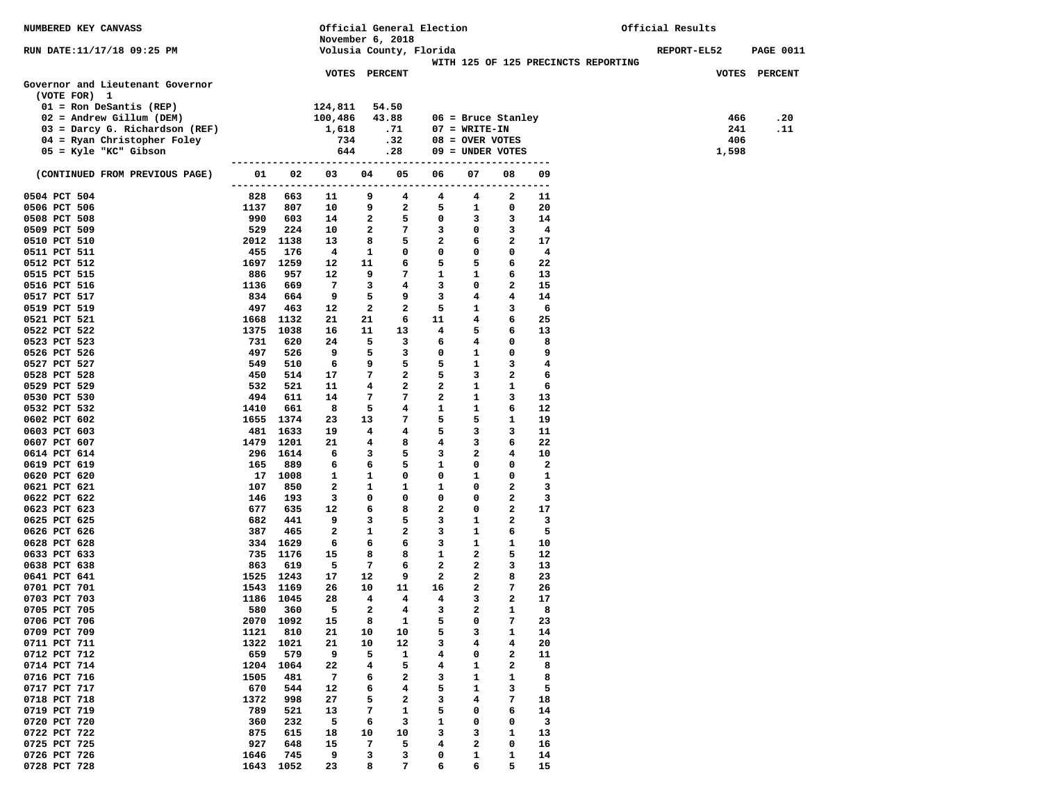| NUMBERED KEY CANVASS                                   |             |                        | Official General Election |                            |                              |                         |                                      |                             | Official Results                    |  |             |            |                  |
|--------------------------------------------------------|-------------|------------------------|---------------------------|----------------------------|------------------------------|-------------------------|--------------------------------------|-----------------------------|-------------------------------------|--|-------------|------------|------------------|
|                                                        |             |                        |                           |                            | November 6, 2018             |                         |                                      |                             |                                     |  |             |            |                  |
| RUN DATE:11/17/18 09:25 PM                             |             |                        |                           |                            | Volusia County, Florida      |                         |                                      |                             | WITH 125 OF 125 PRECINCTS REPORTING |  | REPORT-EL52 |            | <b>PAGE 0011</b> |
|                                                        |             |                        | <b>VOTES PERCENT</b>      |                            |                              |                         |                                      |                             |                                     |  |             |            | VOTES PERCENT    |
| Governor and Lieutenant Governor                       |             |                        |                           |                            |                              |                         |                                      |                             |                                     |  |             |            |                  |
| (VOTE FOR) 1                                           |             |                        |                           |                            |                              |                         |                                      |                             |                                     |  |             |            |                  |
| $01 =$ Ron DeSantis (REP)                              |             |                        | 124,811                   |                            | 54.50                        |                         |                                      |                             |                                     |  |             |            |                  |
| $02$ = Andrew Gillum (DEM)                             |             |                        | 100,486                   |                            | 43.88                        |                         | $06$ = Bruce Stanley                 |                             |                                     |  |             | 466        | .20              |
| 03 = Darcy G. Richardson (REF)                         |             |                        | 1,618<br>734              |                            | .71<br>.32                   |                         | $07 = WRTTE-TN$<br>$08 =$ OVER VOTES |                             |                                     |  |             | 241<br>406 | .11              |
| 04 = Ryan Christopher Foley<br>$05 =$ Kyle "KC" Gibson |             |                        | 644                       |                            | .28                          |                         | $09 =$ UNDER VOTES                   |                             |                                     |  |             | 1,598      |                  |
|                                                        |             |                        |                           |                            |                              |                         |                                      |                             |                                     |  |             |            |                  |
| (CONTINUED FROM PREVIOUS PAGE)                         | 01          | 02                     | 03                        | 04                         | 05                           | 06                      | 07                                   | 08                          | 09                                  |  |             |            |                  |
|                                                        |             |                        |                           |                            |                              |                         |                                      |                             |                                     |  |             |            |                  |
| 0504 PCT 504                                           | 828         | 663                    | 11                        | 9                          | 4                            | 4                       | 4                                    | 2                           | 11                                  |  |             |            |                  |
| 0506 PCT 506<br>0508 PCT 508                           | 1137<br>990 | 807<br>603             | 10<br>14                  | 9<br>$\overline{a}$        | $\overline{a}$<br>5          | 5<br>0                  | $\mathbf{1}$                         | 0<br>3                      | 20<br>14                            |  |             |            |                  |
| 0509 PCT 509                                           | 529         | 224                    | 10                        | $\overline{a}$             | 7                            | 3                       | 3<br>$\mathbf 0$                     | 3                           | $\overline{4}$                      |  |             |            |                  |
| 0510 PCT 510                                           | 2012        | 1138                   | 13                        | 8                          | 5                            | $\overline{\mathbf{2}}$ | 6                                    | $\mathbf{2}$                | 17                                  |  |             |            |                  |
| 0511 PCT 511                                           | 455         | 176                    | $\overline{\mathbf{4}}$   | $\mathbf{1}$               | 0                            | 0                       | 0                                    | $\mathbf 0$                 | $\overline{4}$                      |  |             |            |                  |
| 0512 PCT 512                                           |             | 1697 1259              | 12                        | 11                         | 6                            | 5                       | 5                                    | 6                           | 22                                  |  |             |            |                  |
| 0515 PCT 515                                           | 886         | 957                    | 12                        | 9                          | $7\phantom{.0}$              | 1                       | $\mathbf{1}$                         | 6                           | 13                                  |  |             |            |                  |
| 0516 PCT 516                                           | 1136        | 669                    | 7                         | 3                          | $4\phantom{1}$               | 3                       | $^{\circ}$                           | $\overline{a}$              | 15                                  |  |             |            |                  |
| 0517 PCT 517                                           | 834         | 664                    | 9                         | 5                          | 9                            | 3                       | 4                                    | 4                           | 14                                  |  |             |            |                  |
| 0519 PCT 519                                           | 497         | 463                    | 12                        | $\mathbf{2}$               | $\overline{a}$               | 5                       | $\mathbf{1}$                         | 3                           | 6                                   |  |             |            |                  |
| 0521 PCT 521                                           |             | 1668 1132              | 21                        | 21                         | 6                            | 11                      | 4                                    | 6                           | 25                                  |  |             |            |                  |
| 0522 PCT 522                                           | 1375        | 1038                   | 16                        | 11                         | 13                           | 4                       | 5                                    | 6                           | 13                                  |  |             |            |                  |
| 0523 PCT 523<br>0526 PCT 526                           | 731<br>497  | 620<br>526             | 24<br>9                   | 5<br>5                     | $\overline{\mathbf{3}}$<br>3 | 6<br>0                  | 4<br>$\mathbf{1}$                    | $\mathbf 0$<br>$\mathbf 0$  | 8<br>9                              |  |             |            |                  |
| 0527 PCT 527                                           | 549         | 510                    | 6                         | 9                          | 5                            | 5                       | $\mathbf{1}$                         | 3                           | 4                                   |  |             |            |                  |
| 0528 PCT 528                                           | 450         | 514                    | 17                        | 7                          | $\mathbf{2}$                 | 5                       | 3                                    | $\mathbf{2}$                | 6                                   |  |             |            |                  |
| 0529 PCT 529                                           | 532         | 521                    | 11                        | 4                          | $\overline{a}$               | 2                       | $\mathbf{1}$                         | $\mathbf{1}$                | 6                                   |  |             |            |                  |
| 0530 PCT 530                                           | 494         | 611                    | 14                        | 7                          | $\overline{7}$               | $\mathbf{2}$            | $\mathbf{1}$                         | 3                           | 13                                  |  |             |            |                  |
| 0532 PCT 532                                           | 1410        | 661                    | 8                         | 5                          | $\overline{4}$               | 1                       | 1                                    | 6                           | 12                                  |  |             |            |                  |
| 0602 PCT 602                                           |             | 1655 1374              | 23                        | 13                         | 7                            | 5                       | 5                                    | $\mathbf{1}$                | 19                                  |  |             |            |                  |
| 0603 PCT 603                                           |             | 481 1633               | 19                        | $\overline{4}$             | $4\overline{ }$              | 5                       | 3                                    | 3                           | 11                                  |  |             |            |                  |
| 0607 PCT 607                                           | 1479        | 1201                   | 21                        | $\overline{4}$             | 8                            | $4\phantom{1}$          | 3                                    | 6                           | 22                                  |  |             |            |                  |
| 0614 PCT 614                                           |             | 296 1614               | 6                         | 3                          | 5                            | 3                       | 2                                    | 4                           | 10                                  |  |             |            |                  |
| 0619 PCT 619                                           | 165         | 889                    | 6                         | 6                          | 5                            | 1                       | 0                                    | $\mathbf 0$                 | $\mathbf{z}$                        |  |             |            |                  |
| 0620 PCT 620<br>0621 PCT 621                           | 107         | 17 1008<br>850         | 1<br>2                    | 1<br>$\mathbf{1}$          | $\mathbf 0$<br>$\mathbf{1}$  | 0<br>1                  | $\mathbf{1}$<br>0                    | $\mathbf 0$<br>$\mathbf{2}$ | 1<br>3                              |  |             |            |                  |
| 0622 PCT 622                                           | 146         | 193                    | 3                         | $\mathbf 0$                | 0                            | 0                       | 0                                    | $\mathbf{2}$                | 3                                   |  |             |            |                  |
| 0623 PCT 623                                           | 677         | 635                    | 12                        | 6                          | 8                            | $\mathbf{2}$            | 0                                    | $\mathbf{2}$                | 17                                  |  |             |            |                  |
| 0625 PCT 625                                           | 682         | 441                    | 9                         | 3                          | 5                            | 3                       | $\mathbf{1}$                         | $\mathbf{2}$                | 3                                   |  |             |            |                  |
| 0626 PCT 626                                           | 387         | 465                    | 2                         | $\mathbf{1}$               | $\mathbf{2}$                 | 3                       | $\mathbf{1}$                         | 6                           | 5                                   |  |             |            |                  |
| 0628 PCT 628                                           |             | 334 1629               | 6                         | 6                          | 6                            | 3                       | $\mathbf{1}$                         | 1                           | 10                                  |  |             |            |                  |
| 0633 PCT 633                                           |             | 735 1176               | 15                        | 8                          | 8                            | 1                       | $\overline{a}$                       | 5                           | 12                                  |  |             |            |                  |
| 0638 PCT 638                                           | 863         | 619                    | 5                         | 7                          | 6                            | $\mathbf{2}$            | $\overline{2}$                       | 3                           | 13                                  |  |             |            |                  |
| 0641 PCT 641                                           |             | 1525 1243              | 17                        | 12                         | 9                            | $\overline{a}$          | 2                                    | 8                           | 23                                  |  |             |            |                  |
| 0701 PCT 701<br>0703 PCT 703                           |             | 1543 1169<br>1186 1045 | 26<br>28                  | 10<br>$\overline{4}$       | 11<br>$\overline{4}$         | 16<br>4                 | 2<br>3                               | 7<br>$\overline{a}$         | 26<br>17                            |  |             |            |                  |
| 0705 PCT 705                                           |             | 580 360                | $5 -$                     | $\overline{\phantom{a}}$ 2 | $\overline{4}$               | 3                       | $\overline{a}$                       | 1                           | 8                                   |  |             |            |                  |
| 0706 PCT 706                                           |             | 2070 1092              | 15                        | 8                          | 1                            | 5                       | 0                                    | 7                           | 23                                  |  |             |            |                  |
| 0709 PCT 709                                           | 1121        | 810                    | 21                        | 10                         | 10                           | 5                       | 3                                    | 1                           | 14                                  |  |             |            |                  |
| 0711 PCT 711                                           | 1322        | 1021                   | 21                        | 10                         | 12                           | з                       | 4                                    | 4                           | 20                                  |  |             |            |                  |
| 0712 PCT 712                                           | 659         | 579                    | 9                         | 5                          | 1                            | 4                       | 0                                    | 2                           | 11                                  |  |             |            |                  |
| 0714 PCT 714                                           | 1204        | 1064                   | 22                        | 4                          | 5                            | 4                       | 1                                    | 2                           | 8                                   |  |             |            |                  |
| 0716 PCT 716                                           | 1505        | 481                    | 7                         | 6                          | 2                            | 3                       | 1                                    | 1                           | 8                                   |  |             |            |                  |
| 0717 PCT 717                                           | 670         | 544                    | 12                        | 6                          | 4                            | 5                       | 1                                    | 3                           | 5                                   |  |             |            |                  |
| 0718 PCT 718                                           | 1372        | 998                    | 27                        | 5                          | $\mathbf{2}$                 | з                       | 4                                    | 7                           | 18                                  |  |             |            |                  |
| 0719 PCT 719<br>0720 PCT 720                           | 789<br>360  | 521<br>232             | 13<br>5                   | 7                          | 1<br>3                       | 5<br>1                  | 0                                    | 6<br>0                      | 14<br>3                             |  |             |            |                  |
| 0722 PCT 722                                           | 875         | 615                    | 18                        | 6<br>10                    | 10                           | з                       | 0<br>з                               | 1                           | 13                                  |  |             |            |                  |
| 0725 PCT 725                                           | 927         | 648                    | 15                        | 7                          | 5                            | 4                       | 2                                    | 0                           | 16                                  |  |             |            |                  |
| 0726 PCT 726                                           | 1646        | 745                    | 9                         | з                          | 3                            | 0                       | 1                                    | 1                           | 14                                  |  |             |            |                  |
| 0728 PCT 728                                           | 1643        | 1052                   | 23                        | 8                          | 7                            | 6                       | 6                                    | 5                           | 15                                  |  |             |            |                  |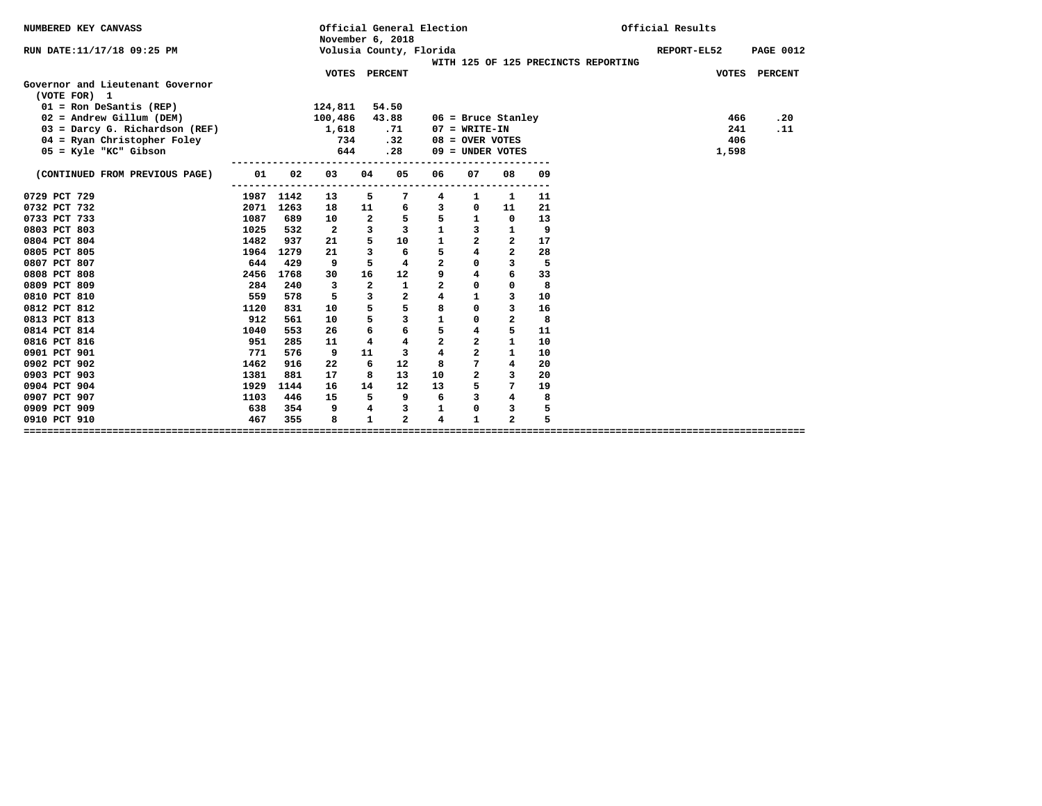| NUMBERED KEY CANVASS             |      | Official General Election<br>November 6, 2018 |                         |                |                         |                         |                         |                |    |                                     | Official Results |                  |  |
|----------------------------------|------|-----------------------------------------------|-------------------------|----------------|-------------------------|-------------------------|-------------------------|----------------|----|-------------------------------------|------------------|------------------|--|
| RUN DATE:11/17/18 09:25 PM       |      |                                               | Volusia County, Florida |                |                         |                         |                         |                |    |                                     | REPORT-EL52      | <b>PAGE 0012</b> |  |
|                                  |      |                                               |                         |                |                         |                         |                         |                |    | WITH 125 OF 125 PRECINCTS REPORTING |                  |                  |  |
| Governor and Lieutenant Governor |      |                                               | VOTES PERCENT           |                |                         |                         |                         |                |    |                                     |                  | VOTES PERCENT    |  |
| (VOTE FOR) 1                     |      |                                               |                         |                |                         |                         |                         |                |    |                                     |                  |                  |  |
| $01 =$ Ron DeSantis (REP)        |      |                                               | 124,811                 | 54.50          |                         |                         |                         |                |    |                                     |                  |                  |  |
| $02$ = Andrew Gillum (DEM)       |      |                                               | 100,486                 | 43.88          |                         |                         | $06$ = Bruce Stanley    |                |    |                                     | 466              | .20              |  |
| 03 = Darcy G. Richardson (REF)   |      |                                               | 1,618                   |                | .71                     |                         | $07 = WRTTE-IN$         |                |    |                                     | 241              | .11              |  |
| 04 = Ryan Christopher Foley      |      |                                               | 734                     |                | .32                     |                         | $08 =$ OVER VOTES       |                |    |                                     | 406              |                  |  |
| 05 = Kyle "KC" Gibson            |      |                                               | 644                     |                | .28                     |                         | $09 =$ UNDER VOTES      |                |    |                                     | 1,598            |                  |  |
| (CONTINUED FROM PREVIOUS PAGE)   | 01   | 02                                            | 03                      | 04             | 05                      | 06                      | 07                      | 08             | 09 |                                     |                  |                  |  |
| 0729 PCT 729                     | 1987 | 1142                                          | 13                      | 5              | 7                       | 4                       | 1                       | 1              | 11 |                                     |                  |                  |  |
| 0732 PCT 732                     | 2071 | 1263                                          | 18                      | 11             | 6                       | $\overline{3}$          | $\mathbf{0}$            | 11             | 21 |                                     |                  |                  |  |
| 0733 PCT 733                     | 1087 | 689                                           | 10                      | $\overline{a}$ | 5                       | 5                       | $\mathbf{1}$            | $\Omega$       | 13 |                                     |                  |                  |  |
| 0803 PCT 803                     | 1025 | 532                                           | $\overline{2}$          | $\mathbf{3}$   | 3                       | $\mathbf{1}$            | $\mathbf{3}$            | $\mathbf{1}$   | 9  |                                     |                  |                  |  |
| 0804 PCT 804                     | 1482 | 937                                           | 21                      | 5              | 10                      | $\mathbf{1}$            | $\overline{a}$          | $\overline{2}$ | 17 |                                     |                  |                  |  |
| 0805 PCT 805                     | 1964 | 1279                                          | 21                      | $\overline{3}$ | 6                       | 5                       | $\overline{4}$          | $\overline{a}$ | 28 |                                     |                  |                  |  |
| 0807 PCT 807                     | 644  | 429                                           | 9                       | 5              | 4                       | $\overline{a}$          | $\Omega$                | 3              | 5  |                                     |                  |                  |  |
| 0808 PCT 808                     | 2456 | 1768                                          | 30                      | 16             | 12                      | 9                       | $\overline{4}$          | 6              | 33 |                                     |                  |                  |  |
| 0809 PCT 809                     | 284  | 240                                           | 3                       | $\overline{a}$ | $\mathbf{1}$            | $\overline{a}$          | $\Omega$                | $\mathbf 0$    | 8  |                                     |                  |                  |  |
| 0810 PCT 810                     | 559  | 578                                           | 5.                      | $\overline{3}$ | $\mathbf{2}$            | $\overline{4}$          | $\mathbf{1}$            | $\overline{3}$ | 10 |                                     |                  |                  |  |
| 0812 PCT 812                     | 1120 | 831                                           | 10                      | 5              | 5                       | 8                       | $\Omega$                | 3              | 16 |                                     |                  |                  |  |
| 0813 PCT 813                     | 912  | 561                                           | 10                      | 5              | $\overline{\mathbf{3}}$ | $\mathbf{1}$            | $\Omega$                | 2              | 8  |                                     |                  |                  |  |
| 0814 PCT 814                     | 1040 | 553                                           | 26                      | 6              | 6                       | 5                       | $\overline{\mathbf{4}}$ | 5              | 11 |                                     |                  |                  |  |
| 0816 PCT 816                     | 951  | 285                                           | 11                      | $\overline{4}$ | 4                       | $\overline{a}$          | $\overline{a}$          | $\mathbf{1}$   | 10 |                                     |                  |                  |  |
| 0901 PCT 901                     | 771  | 576                                           | 9                       | 11             | 3                       | $\overline{\mathbf{4}}$ | $\overline{a}$          | $\mathbf{1}$   | 10 |                                     |                  |                  |  |
| 0902 PCT 902                     | 1462 | 916                                           | 22                      | 6              | 12                      | 8                       | 7                       | $\overline{4}$ | 20 |                                     |                  |                  |  |
| 0903 PCT 903                     | 1381 | 881                                           | 17                      | 8              | 13                      | 10                      | $\overline{a}$          | 3              | 20 |                                     |                  |                  |  |
| 0904 PCT 904                     | 1929 | 1144                                          | 16                      | 14             | 12                      | 13                      | 5                       | $7\phantom{.}$ | 19 |                                     |                  |                  |  |
| 0907 PCT 907                     | 1103 | 446                                           | 15                      | 5              | 9                       | 6                       | 3                       | $\overline{4}$ | 8  |                                     |                  |                  |  |
| 0909 PCT 909                     | 638  | 354                                           | 9                       | 4              | 3                       | 1                       | 0                       | 3              | 5  |                                     |                  |                  |  |
| 0910 PCT 910                     | 467  | 355                                           | 8                       | $\mathbf{1}$   | $\overline{a}$          | 4                       | $\mathbf{1}$            | $\overline{a}$ | 5  |                                     |                  |                  |  |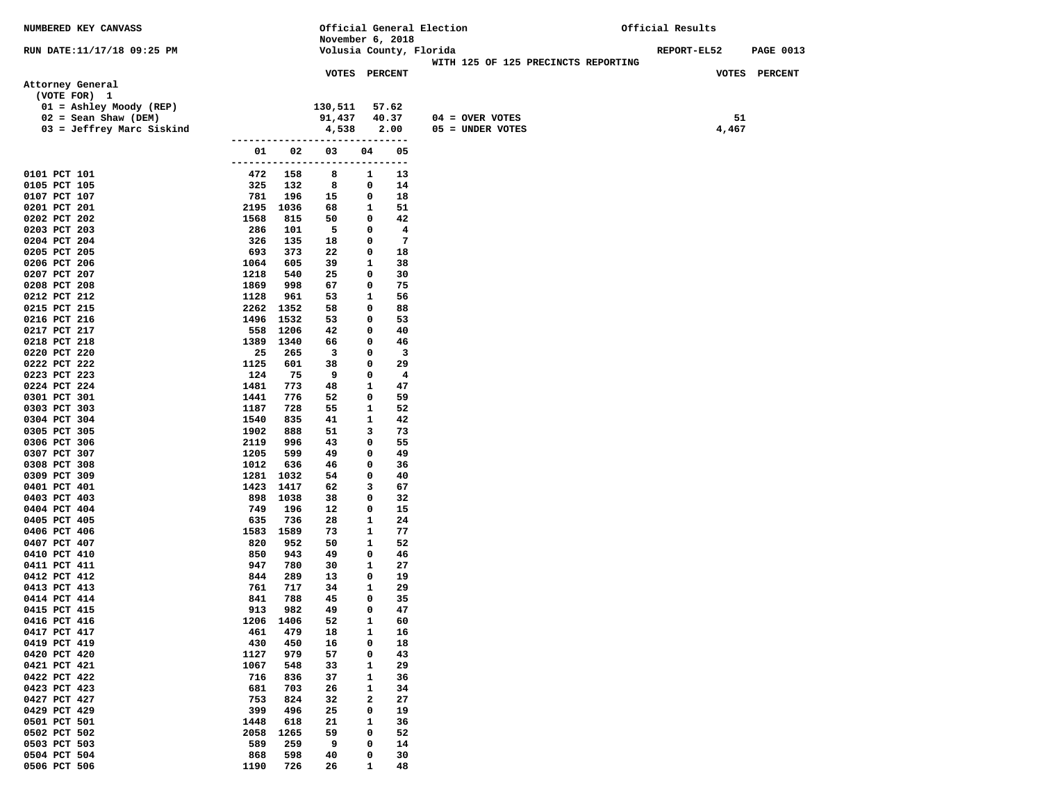| NUMBERED KEY CANVASS         |                      |             |                                      |              |                                   | Official General Election           | Official Results   |       |                  |
|------------------------------|----------------------|-------------|--------------------------------------|--------------|-----------------------------------|-------------------------------------|--------------------|-------|------------------|
|                              |                      |             | November 6, 2018                     |              |                                   |                                     |                    |       |                  |
| RUN DATE:11/17/18 09:25 PM   |                      |             | Volusia County, Florida              |              |                                   | WITH 125 OF 125 PRECINCTS REPORTING | <b>REPORT-EL52</b> |       | <b>PAGE 0013</b> |
|                              |                      |             | VOTES PERCENT                        |              |                                   |                                     |                    |       | VOTES PERCENT    |
| Attorney General             |                      |             |                                      |              |                                   |                                     |                    |       |                  |
| (VOTE FOR) 1                 |                      |             |                                      |              |                                   |                                     |                    |       |                  |
| 01 = Ashley Moody (REP)      |                      |             | 130,511                              |              | 57.62                             |                                     |                    |       |                  |
| $02 =$ Sean Shaw (DEM)       |                      |             | 91,437                               |              | 40.37                             | 04 = OVER VOTES                     |                    | 51    |                  |
| 03 = Jeffrey Marc Siskind    |                      |             | 4,538                                |              | 2.00                              | 05 = UNDER VOTES                    |                    | 4,467 |                  |
|                              | 01                   | 02          | ------------------------------<br>03 | 04           | 05                                |                                     |                    |       |                  |
|                              | -------------------- |             |                                      | -----        | $---$                             |                                     |                    |       |                  |
| 0101 PCT 101                 | 472                  | 158         | 8                                    | 1            | 13                                |                                     |                    |       |                  |
| 0105 PCT 105                 | 325                  | 132         | 8                                    | 0            | 14                                |                                     |                    |       |                  |
| 0107 PCT 107                 | 781                  | 196         | 15                                   | 0            | 18                                |                                     |                    |       |                  |
| 0201 PCT 201                 | 2195 1036            |             | 68                                   | 1            | 51                                |                                     |                    |       |                  |
| 0202 PCT 202                 | 1568                 | 815         | 50                                   | 0            | 42                                |                                     |                    |       |                  |
| 0203 PCT 203<br>0204 PCT 204 | 286<br>326           | 101<br>135  | 5<br>18                              | 0<br>0       | $\overline{4}$<br>$7\phantom{.0}$ |                                     |                    |       |                  |
| 0205 PCT 205                 | 693                  | 373         | 22                                   | 0            | 18                                |                                     |                    |       |                  |
| 0206 PCT 206                 | 1064                 | 605         | 39                                   | $\mathbf{1}$ | 38                                |                                     |                    |       |                  |
| 0207 PCT 207                 | 1218                 | 540         | 25                                   | 0            | 30                                |                                     |                    |       |                  |
| 0208 PCT 208                 | 1869                 | 998         | 67                                   | 0            | 75                                |                                     |                    |       |                  |
| 0212 PCT 212                 | 1128                 | 961         | 53                                   | 1            | 56                                |                                     |                    |       |                  |
| 0215 PCT 215                 | 2262 1352            |             | 58                                   | 0            | 88                                |                                     |                    |       |                  |
| 0216 PCT 216                 | 1496 1532            |             | 53                                   | 0            | 53                                |                                     |                    |       |                  |
| 0217 PCT 217                 | 558                  | 1206        | 42                                   | 0            | 40<br>46                          |                                     |                    |       |                  |
| 0218 PCT 218<br>0220 PCT 220 | 1389<br>25           | 1340<br>265 | 66<br>$\overline{\mathbf{3}}$        | 0<br>0       | $\overline{\mathbf{3}}$           |                                     |                    |       |                  |
| 0222 PCT 222                 | 1125                 | 601         | 38                                   | 0            | 29                                |                                     |                    |       |                  |
| 0223 PCT 223                 | 124                  | 75          | 9                                    | 0            | $\overline{\mathbf{4}}$           |                                     |                    |       |                  |
| 0224 PCT 224                 | 1481                 | 773         | 48                                   | 1            | 47                                |                                     |                    |       |                  |
| 0301 PCT 301                 | 1441                 | 776         | 52                                   | 0            | 59                                |                                     |                    |       |                  |
| 0303 PCT 303                 | 1187                 | 728         | 55                                   | 1            | 52                                |                                     |                    |       |                  |
| 0304 PCT 304                 | 1540                 | 835         | 41                                   | 1            | 42                                |                                     |                    |       |                  |
| 0305 PCT 305<br>0306 PCT 306 | 1902<br>2119         | 888<br>996  | 51<br>43                             | 3<br>0       | 73<br>55                          |                                     |                    |       |                  |
| 0307 PCT 307                 | 1205                 | 599         | 49                                   | 0            | 49                                |                                     |                    |       |                  |
| 0308 PCT 308                 | 1012                 | 636         | 46                                   | 0            | 36                                |                                     |                    |       |                  |
| 0309 PCT 309                 | 1281 1032            |             | 54                                   | 0            | 40                                |                                     |                    |       |                  |
| 0401 PCT 401                 | 1423                 | 1417        | 62                                   | 3            | 67                                |                                     |                    |       |                  |
| 0403 PCT 403                 | 898 1038             |             | 38                                   | 0            | 32                                |                                     |                    |       |                  |
| 0404 PCT 404                 | 749                  | 196         | 12                                   | 0            | 15                                |                                     |                    |       |                  |
| 0405 PCT 405                 | 635                  | 736         | 28                                   | 1            | 24                                |                                     |                    |       |                  |
| 0406 PCT 406<br>0407 PCT 407 | 1583<br>820          | 1589<br>952 | 73<br>50                             | 1<br>1       | 77<br>52                          |                                     |                    |       |                  |
| 0410 PCT 410                 | 850                  | 943         | 49                                   | 0            | 46                                |                                     |                    |       |                  |
| 0411 PCT 411                 | 947                  | 780         | 30                                   | 1            | 27                                |                                     |                    |       |                  |
| 0412 PCT 412                 | 844                  | 289         | 13                                   | 0            | 19                                |                                     |                    |       |                  |
| 0413 PCT 413                 | 761                  | 717         | 34                                   | 1            | 29                                |                                     |                    |       |                  |
| 0414 PCT 414                 | 841                  | 788         | 45                                   | 0            | 35                                |                                     |                    |       |                  |
| 0415 PCT 415                 | 913                  | 982         | 49                                   | $\mathbf 0$  | 47                                |                                     |                    |       |                  |
| 0416 PCT 416                 | 1206                 | 1406        | 52                                   | 1            | 60                                |                                     |                    |       |                  |
| 0417 PCT 417                 | 461                  | 479         | 18                                   | 1<br>0       | 16                                |                                     |                    |       |                  |
| 0419 PCT 419<br>0420 PCT 420 | 430<br>1127          | 450<br>979  | 16<br>57                             | 0            | 18<br>43                          |                                     |                    |       |                  |
| 0421 PCT 421                 | 1067                 | 548         | 33                                   | 1            | 29                                |                                     |                    |       |                  |
| 0422 PCT 422                 | 716                  | 836         | 37                                   | 1            | 36                                |                                     |                    |       |                  |
| 0423 PCT 423                 | 681                  | 703         | 26                                   | 1            | 34                                |                                     |                    |       |                  |
| 0427 PCT 427                 | 753                  | 824         | 32                                   | 2            | 27                                |                                     |                    |       |                  |
| 0429 PCT 429                 | 399                  | 496         | 25                                   | 0            | 19                                |                                     |                    |       |                  |
| 0501 PCT 501                 | 1448                 | 618         | 21                                   | 1            | 36                                |                                     |                    |       |                  |
| 0502 PCT 502                 | 2058                 | 1265        | 59                                   | 0            | 52                                |                                     |                    |       |                  |
| 0503 PCT 503<br>0504 PCT 504 | 589<br>868           | 259<br>598  | 9<br>40                              | 0<br>0       | 14<br>30                          |                                     |                    |       |                  |
| 0506 PCT 506                 | 1190                 | 726         | 26                                   | 1            | 48                                |                                     |                    |       |                  |
|                              |                      |             |                                      |              |                                   |                                     |                    |       |                  |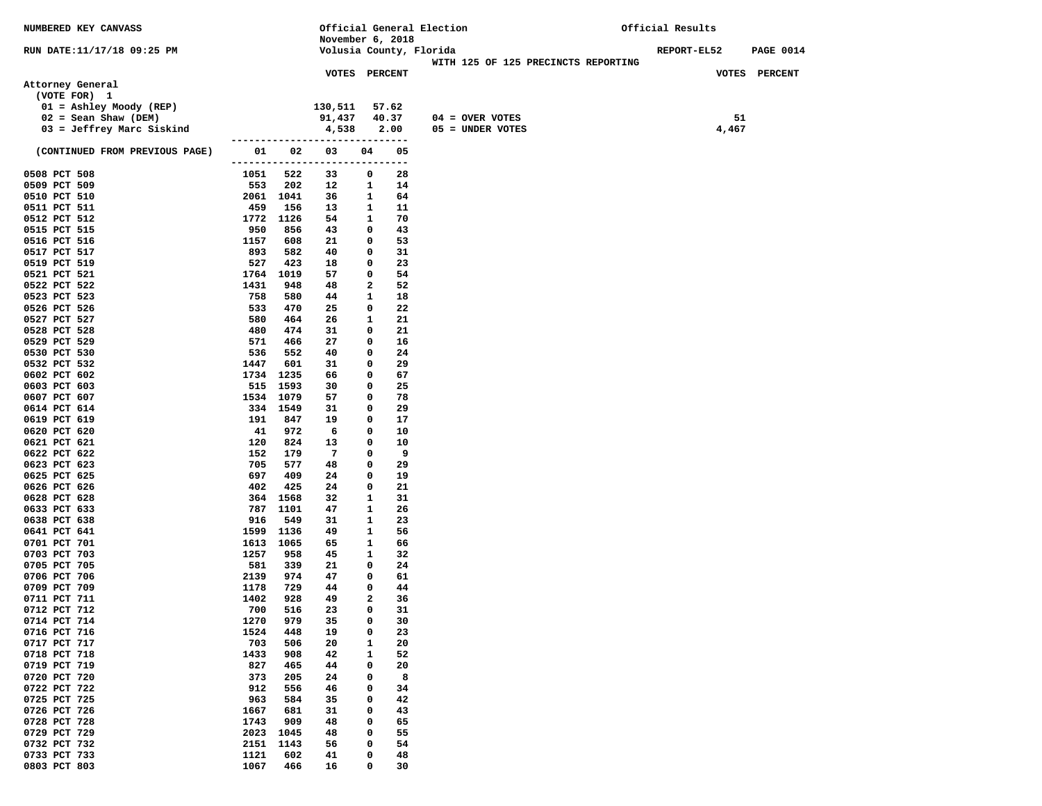| NUMBERED KEY CANVASS           |                     |             |                                |                   |                     | Official General Election           | Official Results |                  |  |
|--------------------------------|---------------------|-------------|--------------------------------|-------------------|---------------------|-------------------------------------|------------------|------------------|--|
|                                |                     |             | November 6, 2018               |                   |                     |                                     |                  |                  |  |
| RUN DATE:11/17/18 09:25 PM     |                     |             | Volusia County, Florida        |                   |                     | WITH 125 OF 125 PRECINCTS REPORTING | REPORT-EL52      | <b>PAGE 0014</b> |  |
|                                |                     |             | VOTES PERCENT                  |                   |                     |                                     |                  | VOTES PERCENT    |  |
| Attorney General               |                     |             |                                |                   |                     |                                     |                  |                  |  |
| (VOTE FOR) 1                   |                     |             |                                |                   |                     |                                     |                  |                  |  |
| 01 = Ashley Moody (REP)        |                     |             | 130,511                        |                   | 57.62               |                                     |                  |                  |  |
| $02 =$ Sean Shaw (DEM)         |                     |             | 91,437                         |                   | 40.37               | $04 =$ OVER VOTES                   |                  | 51               |  |
| 03 = Jeffrey Marc Siskind      |                     |             | 4,538                          |                   | 2.00                | 05 = UNDER VOTES                    |                  | 4,467            |  |
|                                |                     |             | ------------------------------ |                   |                     |                                     |                  |                  |  |
| (CONTINUED FROM PREVIOUS PAGE) | 01                  | 02          | 03                             | 04                | 05                  |                                     |                  |                  |  |
|                                | ------------------- |             |                                |                   | $\qquad \qquad - -$ |                                     |                  |                  |  |
| 0508 PCT 508<br>0509 PCT 509   | 1051<br>553         | 522<br>202  | 33<br>12                       | 0<br>$\mathbf{1}$ | 28<br>14            |                                     |                  |                  |  |
| 0510 PCT 510                   |                     | 2061 1041   | 36                             | 1                 | 64                  |                                     |                  |                  |  |
| 0511 PCT 511                   | 459                 | 156         | 13                             | 1                 | 11                  |                                     |                  |                  |  |
| 0512 PCT 512                   | 1772                | 1126        | 54                             | 1                 | 70                  |                                     |                  |                  |  |
| 0515 PCT 515                   | 950                 | 856         | 43                             | 0                 | 43                  |                                     |                  |                  |  |
| 0516 PCT 516                   | 1157                | 608         | 21                             | 0                 | 53                  |                                     |                  |                  |  |
| 0517 PCT 517                   | 893                 | 582         | 40                             | 0                 | 31                  |                                     |                  |                  |  |
| 0519 PCT 519                   | 527                 | 423         | 18                             | 0                 | 23                  |                                     |                  |                  |  |
| 0521 PCT 521                   | 1764                | 1019        | 57                             | 0                 | 54                  |                                     |                  |                  |  |
| 0522 PCT 522                   | 1431                | 948         | 48                             | 2                 | 52                  |                                     |                  |                  |  |
| 0523 PCT 523                   | 758                 | 580         | 44                             | 1                 | 18                  |                                     |                  |                  |  |
| 0526 PCT 526                   | 533                 | 470         | 25                             | 0                 | 22                  |                                     |                  |                  |  |
| 0527 PCT 527                   | 580                 | 464         | 26                             | 1                 | 21                  |                                     |                  |                  |  |
| 0528 PCT 528                   | 480                 | 474<br>466  | 31<br>27                       | 0                 | 21<br>16            |                                     |                  |                  |  |
| 0529 PCT 529<br>0530 PCT 530   | 571<br>536          | 552         | 40                             | 0<br>0            | 24                  |                                     |                  |                  |  |
| 0532 PCT 532                   | 1447                | 601         | 31                             | 0                 | 29                  |                                     |                  |                  |  |
| 0602 PCT 602                   | 1734                | 1235        | 66                             | 0                 | 67                  |                                     |                  |                  |  |
| 0603 PCT 603                   |                     | 515 1593    | 30                             | 0                 | 25                  |                                     |                  |                  |  |
| 0607 PCT 607                   |                     | 1534 1079   | 57                             | 0                 | 78                  |                                     |                  |                  |  |
| 0614 PCT 614                   |                     | 334 1549    | 31                             | 0                 | 29                  |                                     |                  |                  |  |
| 0619 PCT 619                   | 191                 | 847         | 19                             | 0                 | 17                  |                                     |                  |                  |  |
| 0620 PCT 620                   | 41                  | 972         | 6                              | 0                 | 10                  |                                     |                  |                  |  |
| 0621 PCT 621                   | 120                 | 824         | 13                             | 0                 | 10                  |                                     |                  |                  |  |
| 0622 PCT 622                   | 152                 | 179         | 7                              | 0                 | - 9                 |                                     |                  |                  |  |
| 0623 PCT 623                   | 705                 | 577         | 48                             | 0                 | 29                  |                                     |                  |                  |  |
| 0625 PCT 625                   | 697                 | 409         | 24                             | 0                 | 19                  |                                     |                  |                  |  |
| 0626 PCT 626<br>0628 PCT 628   | 402<br>364          | 425<br>1568 | 24<br>32                       | 0<br>1            | 21<br>31            |                                     |                  |                  |  |
| 0633 PCT 633                   | 787                 | 1101        | 47                             | 1                 | 26                  |                                     |                  |                  |  |
| 0638 PCT 638                   | 916                 | 549         | 31                             | 1                 | 23                  |                                     |                  |                  |  |
| 0641 PCT 641                   | 1599                | 1136        | 49                             | 1                 | 56                  |                                     |                  |                  |  |
| 0701 PCT 701                   | 1613                | 1065        | 65                             | 1                 | 66                  |                                     |                  |                  |  |
| 0703 PCT 703                   | 1257                | 958         | 45                             | 1                 | 32                  |                                     |                  |                  |  |
| 0705 PCT 705                   | 581                 | 339         | 21                             | 0                 | 24                  |                                     |                  |                  |  |
| 0706 PCT 706                   | 2139                | 974         | 47                             | 0                 | 61                  |                                     |                  |                  |  |
| 0709 PCT 709                   | 1178                | 729         | 44                             | 0                 | 44                  |                                     |                  |                  |  |
| 0711 PCT 711                   | 1402                | 928         | 49                             | 2                 | 36                  |                                     |                  |                  |  |
| 0712 PCT 712                   | 700                 | 516         | 23                             | 0                 | 31                  |                                     |                  |                  |  |
| 0714 PCT 714                   | 1270                | 979         | 35                             | 0                 | 30                  |                                     |                  |                  |  |
| 0716 PCT 716                   | 1524                | 448         | 19                             | 0                 | 23                  |                                     |                  |                  |  |
| 0717 PCT 717<br>0718 PCT 718   | 703<br>1433         | 506<br>908  | 20<br>42                       | 1<br>1            | 20<br>52            |                                     |                  |                  |  |
| 0719 PCT 719                   | 827                 | 465         | 44                             | 0                 | 20                  |                                     |                  |                  |  |
| 0720 PCT 720                   | 373                 | 205         | 24                             | 0                 | 8                   |                                     |                  |                  |  |
| 0722 PCT 722                   | 912                 | 556         | 46                             | 0                 | 34                  |                                     |                  |                  |  |
| 0725 PCT 725                   | 963                 | 584         | 35                             | 0                 | 42                  |                                     |                  |                  |  |
| 0726 PCT 726                   | 1667                | 681         | 31                             | 0                 | 43                  |                                     |                  |                  |  |
| 0728 PCT 728                   | 1743                | 909         | 48                             | 0                 | 65                  |                                     |                  |                  |  |
| 0729 PCT 729                   | 2023                | 1045        | 48                             | 0                 | 55                  |                                     |                  |                  |  |
| 0732 PCT 732                   | 2151                | 1143        | 56                             | 0                 | 54                  |                                     |                  |                  |  |
| 0733 PCT 733                   | 1121                | 602         | 41                             | 0                 | 48                  |                                     |                  |                  |  |
| 0803 PCT 803                   | 1067                | 466         | 16                             | 0                 | 30                  |                                     |                  |                  |  |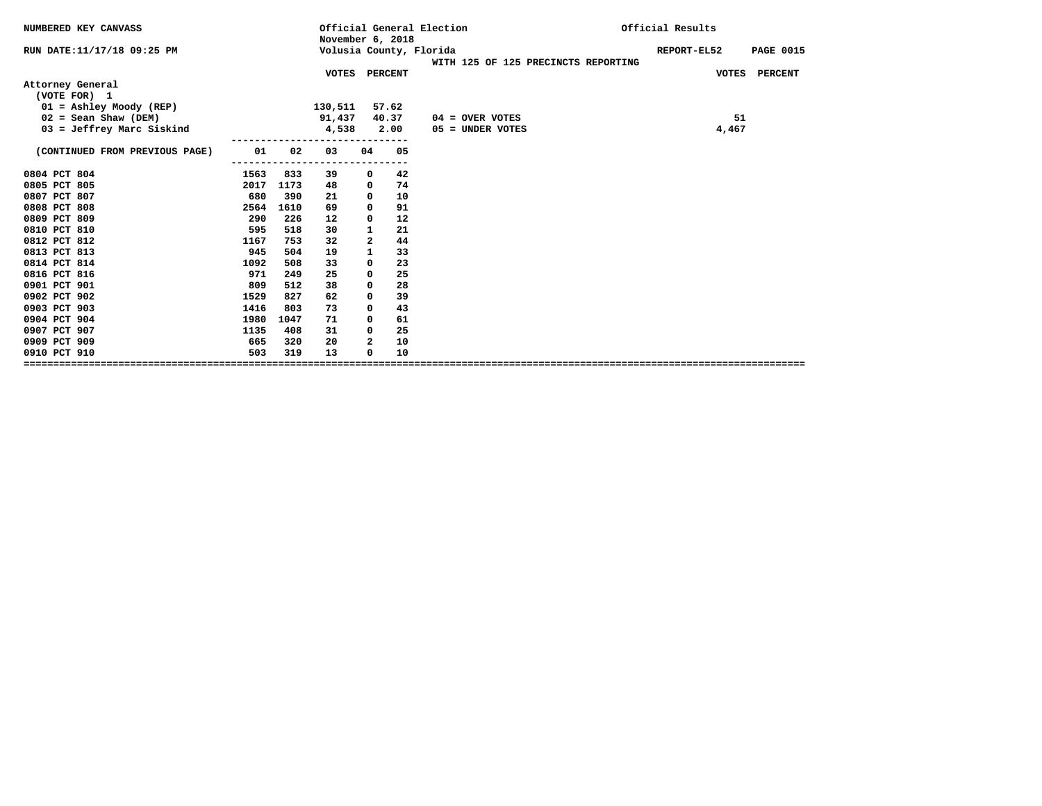| NUMBERED KEY CANVASS             |      |      | November 6, 2018 |              |       | Official General Election |                                     | Official Results |                  |
|----------------------------------|------|------|------------------|--------------|-------|---------------------------|-------------------------------------|------------------|------------------|
| RUN DATE:11/17/18 09:25 PM       |      |      |                  |              |       | Volusia County, Florida   | WITH 125 OF 125 PRECINCTS REPORTING | REPORT-EL52      | <b>PAGE 0015</b> |
|                                  |      |      | VOTES PERCENT    |              |       |                           |                                     |                  | VOTES PERCENT    |
| Attorney General<br>(VOTE FOR) 1 |      |      |                  |              |       |                           |                                     |                  |                  |
| 01 = Ashley Moody (REP)          |      |      | 130,511          |              | 57.62 |                           |                                     |                  |                  |
| $02 =$ Sean Shaw (DEM)           |      |      | 91,437           |              | 40.37 | $04 =$ OVER VOTES         |                                     | 51               |                  |
| $03 = Jeffrey Marc Siskind$      |      |      | 4,538            |              | 2.00  | $05 =$ UNDER VOTES        |                                     | 4,467            |                  |
|                                  |      |      |                  |              |       |                           |                                     |                  |                  |
| (CONTINUED FROM PREVIOUS PAGE)   | 01   | 02   | 03               | 04           | 05    |                           |                                     |                  |                  |
|                                  |      |      | ------           |              | 42    |                           |                                     |                  |                  |
| 0804 PCT 804                     | 1563 | 833  | 39               | 0            |       |                           |                                     |                  |                  |
| 0805 PCT 805                     | 2017 | 1173 | 48               | 0            | 74    |                           |                                     |                  |                  |
| 0807 PCT 807                     | 680  | 390  | 21               | 0            | 10    |                           |                                     |                  |                  |
| 0808 PCT 808                     | 2564 | 1610 | 69               | 0            | 91    |                           |                                     |                  |                  |
| 0809 PCT 809                     | 290  | 226  | 12               | 0            | 12    |                           |                                     |                  |                  |
| 0810 PCT 810                     | 595  | 518  | 30               | $\mathbf{1}$ | 21    |                           |                                     |                  |                  |
| 0812 PCT 812                     | 1167 | 753  | 32               | 2            | 44    |                           |                                     |                  |                  |
| 0813 PCT 813                     | 945  | 504  | 19               | 1            | 33    |                           |                                     |                  |                  |
| 0814 PCT 814                     | 1092 | 508  | 33               | 0            | 23    |                           |                                     |                  |                  |
| 0816 PCT 816                     | 971  | 249  | 25               | 0            | 25    |                           |                                     |                  |                  |
| 0901 PCT 901                     | 809  | 512  | 38               | 0            | 28    |                           |                                     |                  |                  |
| 0902 PCT 902                     | 1529 | 827  | 62               | 0            | 39    |                           |                                     |                  |                  |
| 0903 PCT 903                     | 1416 | 803  | 73               | $\Omega$     | 43    |                           |                                     |                  |                  |
| 0904 PCT 904                     | 1980 | 1047 | 71               | $\Omega$     | 61    |                           |                                     |                  |                  |
| 0907 PCT 907                     | 1135 | 408  | 31               | 0            | 25    |                           |                                     |                  |                  |
| 0909 PCT 909                     | 665  | 320  | 20               | $\mathbf{2}$ | 10    |                           |                                     |                  |                  |
| 0910 PCT 910                     | 503  | 319  | 13               | $\Omega$     | 10    |                           |                                     |                  |                  |
|                                  |      |      |                  |              |       |                           |                                     |                  |                  |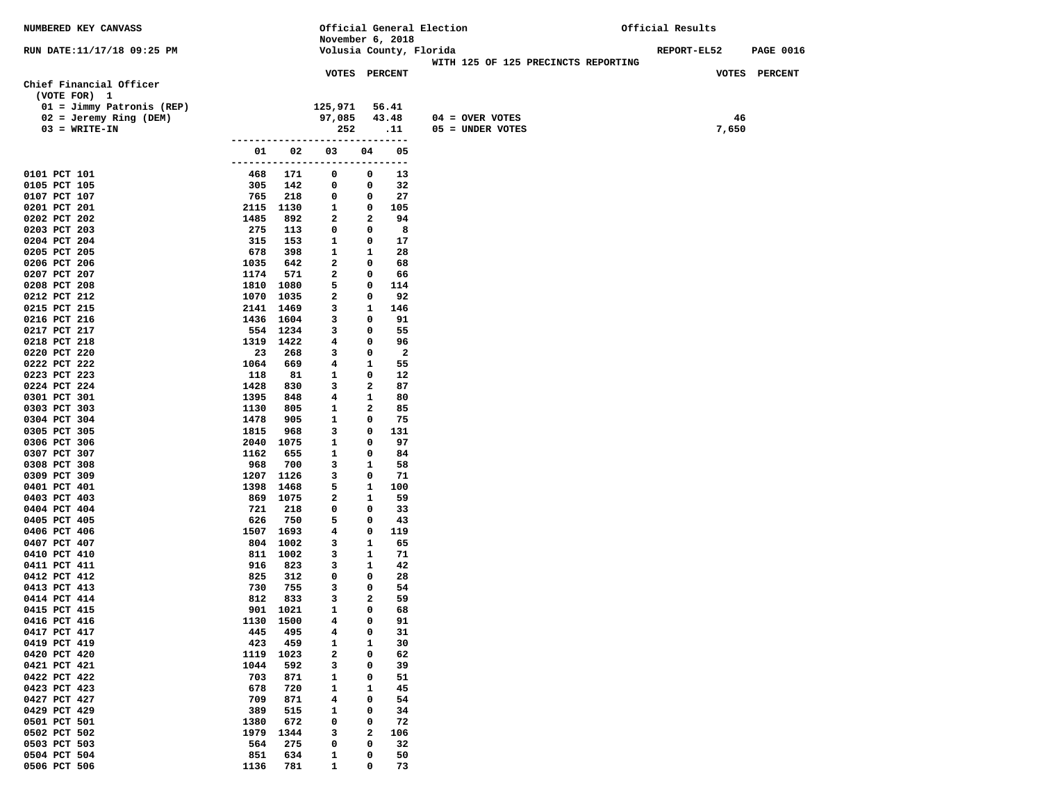| NUMBERED KEY CANVASS                    |                 |                 |                                |                   |                         | Official General Election           | Official Results   |       |                  |
|-----------------------------------------|-----------------|-----------------|--------------------------------|-------------------|-------------------------|-------------------------------------|--------------------|-------|------------------|
|                                         |                 |                 | November 6, 2018               |                   |                         |                                     |                    |       |                  |
| RUN DATE:11/17/18 09:25 PM              |                 |                 | Volusia County, Florida        |                   |                         | WITH 125 OF 125 PRECINCTS REPORTING | <b>REPORT-EL52</b> |       | <b>PAGE 0016</b> |
|                                         |                 |                 | VOTES PERCENT                  |                   |                         |                                     |                    |       | VOTES PERCENT    |
| Chief Financial Officer<br>(VOTE FOR) 1 |                 |                 |                                |                   |                         |                                     |                    |       |                  |
| $01 = Jimmy Patronis (REP)$             |                 |                 | 125,971                        |                   | 56.41                   |                                     |                    |       |                  |
| $02 = Jeremy Ring (DEM)$                |                 |                 | 97,085                         |                   | 43.48                   | $04 = OVER VOTES$                   |                    | 46    |                  |
| $03 = WRITE-IN$                         |                 |                 | 252                            |                   | .11                     | 05 = UNDER VOTES                    |                    | 7,650 |                  |
|                                         |                 |                 | ------------------------------ |                   |                         |                                     |                    |       |                  |
|                                         | 01<br>--------- | 02              | 03<br>-----------              | 04<br>-----       | 05<br>$---$             |                                     |                    |       |                  |
| 0101 PCT 101                            | 468             | 171             | 0                              | 0                 | 13                      |                                     |                    |       |                  |
| 0105 PCT 105                            | 305             | 142             | 0                              | 0                 | 32                      |                                     |                    |       |                  |
| 0107 PCT 107                            | 765             | 218             | 0                              | 0                 | 27                      |                                     |                    |       |                  |
| 0201 PCT 201                            |                 | 2115 1130       | $\mathbf{1}$                   | 0                 | 105                     |                                     |                    |       |                  |
| 0202 PCT 202                            | 1485            | 892             | $\overline{a}$                 | $\mathbf{2}$      | 94                      |                                     |                    |       |                  |
| 0203 PCT 203                            | 275             | 113             | $\mathbf 0$                    | 0                 | 8                       |                                     |                    |       |                  |
| 0204 PCT 204                            | 315             | 153             | $\mathbf{1}$                   | 0                 | 17                      |                                     |                    |       |                  |
| 0205 PCT 205<br>0206 PCT 206            | 678<br>1035     | 398<br>642      | $\mathbf{1}$<br>$\mathbf{2}$   | $\mathbf{1}$<br>0 | 28<br>68                |                                     |                    |       |                  |
| 0207 PCT 207                            | 1174            | 571             | $\mathbf{2}$                   | 0                 | 66                      |                                     |                    |       |                  |
| 0208 PCT 208                            |                 | 1810 1080       | 5                              | 0                 | 114                     |                                     |                    |       |                  |
| 0212 PCT 212                            | 1070            | 1035            | 2                              | 0                 | 92                      |                                     |                    |       |                  |
| 0215 PCT 215                            |                 | 2141 1469       | 3                              | $\mathbf{1}$      | 146                     |                                     |                    |       |                  |
| 0216 PCT 216                            |                 | 1436 1604       | 3                              | 0                 | 91                      |                                     |                    |       |                  |
| 0217 PCT 217                            |                 | 554 1234        | 3                              | 0                 | 55                      |                                     |                    |       |                  |
| 0218 PCT 218                            |                 | 1319 1422       | 4                              | 0                 | 96                      |                                     |                    |       |                  |
| 0220 PCT 220                            | 23              | 268             | 3                              | 0                 | $\overline{\mathbf{2}}$ |                                     |                    |       |                  |
| 0222 PCT 222                            | 1064            | 669             | 4                              | 1                 | 55                      |                                     |                    |       |                  |
| 0223 PCT 223                            | 118             | 81              | $\mathbf{1}$                   | 0                 | 12                      |                                     |                    |       |                  |
| 0224 PCT 224<br>0301 PCT 301            | 1428<br>1395    | 830<br>848      | 3<br>$\overline{\mathbf{4}}$   | 2<br>1            | 87<br>80                |                                     |                    |       |                  |
| 0303 PCT 303                            | 1130            | 805             | 1                              | $\mathbf{2}$      | 85                      |                                     |                    |       |                  |
| 0304 PCT 304                            | 1478            | 905             | 1                              | 0                 | 75                      |                                     |                    |       |                  |
| 0305 PCT 305                            | 1815            | 968             | 3                              | 0                 | 131                     |                                     |                    |       |                  |
| 0306 PCT 306                            |                 | 2040 1075       | 1                              | 0                 | 97                      |                                     |                    |       |                  |
| 0307 PCT 307                            | 1162            | 655             | 1                              | 0                 | 84                      |                                     |                    |       |                  |
| 0308 PCT 308                            | 968             | 700             | 3                              | 1                 | 58                      |                                     |                    |       |                  |
| 0309 PCT 309                            |                 | 1207 1126       | 3                              | 0                 | 71                      |                                     |                    |       |                  |
| 0401 PCT 401                            | 1398            | 1468            | 5                              | 1                 | 100                     |                                     |                    |       |                  |
| 0403 PCT 403                            | 721             | 869 1075<br>218 | 2<br>0                         | 1<br>0            | 59<br>33                |                                     |                    |       |                  |
| 0404 PCT 404<br>0405 PCT 405            | 626             | 750             | 5                              | 0                 | 43                      |                                     |                    |       |                  |
| 0406 PCT 406                            |                 | 1507 1693       | 4                              | 0                 | 119                     |                                     |                    |       |                  |
| 0407 PCT 407                            |                 | 804 1002        | 3                              | 1                 | 65                      |                                     |                    |       |                  |
| 0410 PCT 410                            |                 | 811 1002        | 3                              | 1                 | 71                      |                                     |                    |       |                  |
| 0411 PCT 411                            | 916             | 823             | 3                              | 1                 | 42                      |                                     |                    |       |                  |
| 0412 PCT 412                            | 825             | 312             | 0                              | 0                 | 28                      |                                     |                    |       |                  |
| 0413 PCT 413                            | 730             | 755             | 3                              | 0                 | 54                      |                                     |                    |       |                  |
| 0414 PCT 414                            | 812             | 833             | 3                              | $\mathbf{2}$      | 59                      |                                     |                    |       |                  |
| 0415 PCT 415                            | 901             | 1021            | 1                              | $\mathbf 0$       | 68                      |                                     |                    |       |                  |
| 0416 PCT 416<br>0417 PCT 417            | 1130<br>445     | 1500<br>495     | 4<br>4                         | 0<br>0            | 91<br>31                |                                     |                    |       |                  |
| 0419 PCT 419                            | 423             | 459             | 1                              | 1                 | 30                      |                                     |                    |       |                  |
| 0420 PCT 420                            | 1119            | 1023            | 2                              | 0                 | 62                      |                                     |                    |       |                  |
| 0421 PCT 421                            | 1044            | 592             | з                              | 0                 | 39                      |                                     |                    |       |                  |
| 0422 PCT 422                            | 703             | 871             | 1                              | 0                 | 51                      |                                     |                    |       |                  |
| 0423 PCT 423                            | 678             | 720             | 1                              | 1                 | 45                      |                                     |                    |       |                  |
| 0427 PCT 427                            | 709             | 871             | 4                              | 0                 | 54                      |                                     |                    |       |                  |
| 0429 PCT 429                            | 389             | 515             | 1                              | 0                 | 34                      |                                     |                    |       |                  |
| 0501 PCT 501                            | 1380            | 672             | 0                              | 0                 | 72                      |                                     |                    |       |                  |
| 0502 PCT 502                            | 1979            | 1344            | з                              | 2                 | 106                     |                                     |                    |       |                  |
| 0503 PCT 503<br>0504 PCT 504            | 564             | 275<br>634      | 0                              | 0<br>0            | 32<br>50                |                                     |                    |       |                  |
| 0506 PCT 506                            | 851<br>1136     | 781             | 1<br>1                         | 0                 | 73                      |                                     |                    |       |                  |
|                                         |                 |                 |                                |                   |                         |                                     |                    |       |                  |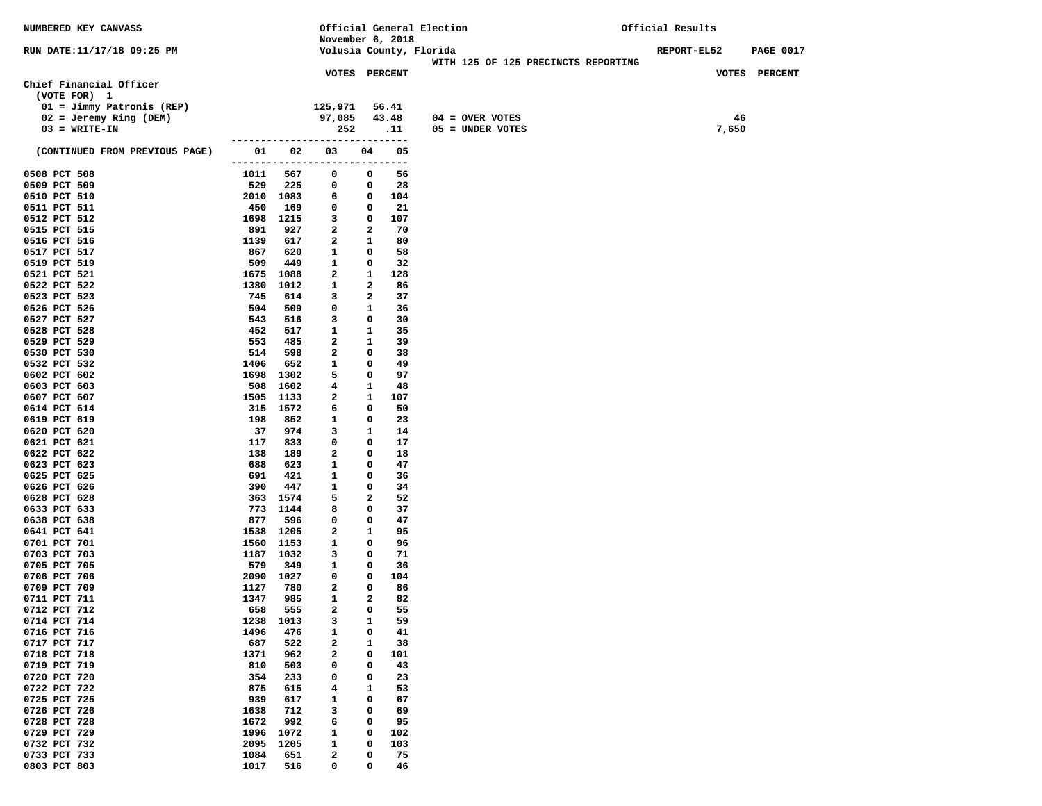| NUMBERED KEY CANVASS                        |            |                      |                                |              | Official General Election |  |                                         | Official Results |       |                  |
|---------------------------------------------|------------|----------------------|--------------------------------|--------------|---------------------------|--|-----------------------------------------|------------------|-------|------------------|
|                                             |            |                      | November 6, 2018               |              |                           |  |                                         |                  |       |                  |
| RUN DATE:11/17/18 09:25 PM                  |            |                      | Volusia County, Florida        |              |                           |  |                                         | REPORT-EL52      |       | <b>PAGE 0017</b> |
|                                             |            |                      |                                |              |                           |  | WITH 125 OF 125 PRECINCTS REPORTING     |                  |       |                  |
|                                             |            |                      | <b>VOTES PERCENT</b>           |              |                           |  |                                         |                  |       | VOTES PERCENT    |
| Chief Financial Officer<br>(VOTE FOR) 1     |            |                      |                                |              |                           |  |                                         |                  |       |                  |
| $01 = Jimmy Patronis (REP)$                 |            |                      | 125,971                        |              |                           |  |                                         |                  |       |                  |
|                                             |            |                      |                                |              | 56.41                     |  |                                         |                  | 46    |                  |
| $02 = Jeremy Ring (DEM)$<br>$03 = WRTTE-TN$ |            |                      | 97,085<br>252                  |              | 43.48<br>.11              |  | $04 = OVER VOTES$<br>$05 =$ UNDER VOTES |                  | 7,650 |                  |
|                                             |            |                      | ------------------------------ |              |                           |  |                                         |                  |       |                  |
| (CONTINUED FROM PREVIOUS PAGE)              | 01         | 02                   | 03                             | 04           | 05                        |  |                                         |                  |       |                  |
|                                             |            |                      | --------------------------     |              | $---$                     |  |                                         |                  |       |                  |
| 0508 PCT 508                                | 1011       | 567                  | 0                              | 0            | 56                        |  |                                         |                  |       |                  |
| 0509 PCT 509                                | 529        | 225                  | 0                              | 0            | 28                        |  |                                         |                  |       |                  |
| 0510 PCT 510                                |            | 2010 1083            | 6                              | 0            | 104                       |  |                                         |                  |       |                  |
| 0511 PCT 511                                | 450        | 169                  | 0                              | 0            | 21                        |  |                                         |                  |       |                  |
| 0512 PCT 512                                | 1698       | 1215                 | 3                              | 0            | 107                       |  |                                         |                  |       |                  |
| 0515 PCT 515                                | 891        | 927                  | 2                              | 2            | 70                        |  |                                         |                  |       |                  |
| 0516 PCT 516                                | 1139       | 617                  | 2                              | 1            | 80                        |  |                                         |                  |       |                  |
| 0517 PCT 517                                | 867        | 620                  | 1                              | 0            | 58                        |  |                                         |                  |       |                  |
| 0519 PCT 519                                | 509        | 449                  | 1                              | 0            | 32                        |  |                                         |                  |       |                  |
| 0521 PCT 521                                | 1675       | 1088                 | $\mathbf{2}$                   | 1            | 128                       |  |                                         |                  |       |                  |
| 0522 PCT 522                                | 1380       | 1012                 | 1                              | 2            | 86                        |  |                                         |                  |       |                  |
| 0523 PCT 523                                | 745        | 614                  | 3                              | 2            | 37                        |  |                                         |                  |       |                  |
| 0526 PCT 526                                | 504        | 509                  | 0                              | 1            | 36                        |  |                                         |                  |       |                  |
| 0527 PCT 527<br>0528 PCT 528                | 543<br>452 | 516<br>517           | 3                              | 0<br>1       | 30<br>35                  |  |                                         |                  |       |                  |
| 0529 PCT 529                                | 553        | 485                  | $\mathbf{1}$<br>2              | 1            | 39                        |  |                                         |                  |       |                  |
| 0530 PCT 530                                | 514        | 598                  | 2                              | 0            | 38                        |  |                                         |                  |       |                  |
| 0532 PCT 532                                | 1406       | 652                  | 1                              | 0            | 49                        |  |                                         |                  |       |                  |
| 0602 PCT 602                                | 1698       | 1302                 | 5                              | 0            | 97                        |  |                                         |                  |       |                  |
| 0603 PCT 603                                | 508        | 1602                 | 4                              | 1            | 48                        |  |                                         |                  |       |                  |
| 0607 PCT 607                                |            | 1505 1133            | 2                              | 1            | 107                       |  |                                         |                  |       |                  |
| 0614 PCT 614                                |            | 315 1572             | 6                              | 0            | 50                        |  |                                         |                  |       |                  |
| 0619 PCT 619                                | 198        | 852                  | 1                              | 0            | 23                        |  |                                         |                  |       |                  |
| 0620 PCT 620                                | 37         | 974                  | 3                              | 1            | 14                        |  |                                         |                  |       |                  |
| 0621 PCT 621                                | 117        | 833                  | 0                              | 0            | 17                        |  |                                         |                  |       |                  |
| 0622 PCT 622                                | 138        | 189                  | 2                              | 0            | 18                        |  |                                         |                  |       |                  |
| 0623 PCT 623                                | 688        | 623                  | 1                              | 0            | 47                        |  |                                         |                  |       |                  |
| 0625 PCT 625                                | 691        | 421                  | 1                              | 0            | 36                        |  |                                         |                  |       |                  |
| 0626 PCT 626                                | 390        | 447                  | 1                              | 0            | 34                        |  |                                         |                  |       |                  |
| 0628 PCT 628                                |            | 363 1574<br>773 1144 | 5                              | $\mathbf{2}$ | 52<br>37                  |  |                                         |                  |       |                  |
| 0633 PCT 633<br>0638 PCT 638                | 877        | 596                  | 8<br>0                         | 0<br>0       | 47                        |  |                                         |                  |       |                  |
| 0641 PCT 641                                | 1538       | 1205                 | 2                              | 1            | 95                        |  |                                         |                  |       |                  |
| 0701 PCT 701                                | 1560       | 1153                 | 1                              | 0            | 96                        |  |                                         |                  |       |                  |
| 0703 PCT 703                                |            | 1187 1032            | 3                              | 0            | 71                        |  |                                         |                  |       |                  |
| 0705 PCT 705                                | 579        | 349                  | 1                              | 0            | 36                        |  |                                         |                  |       |                  |
| 0706 PCT 706                                | 2090       | 1027                 | 0                              | 0            | 104                       |  |                                         |                  |       |                  |
| 0709 PCT 709                                | 1127       | 780                  | 2                              | 0            | 86                        |  |                                         |                  |       |                  |
| 0711 PCT 711                                | 1347       | 985                  | $\mathbf{1}$                   | $\mathbf{z}$ | 82                        |  |                                         |                  |       |                  |
| 0712 PCT 712                                | 658        | 555                  | $\overline{a}$                 | 0            | 55                        |  |                                         |                  |       |                  |
| 0714 PCT 714                                | 1238       | 1013                 | 3                              | 1            | 59                        |  |                                         |                  |       |                  |
| 0716 PCT 716                                | 1496       | 476                  | 1                              | 0            | 41                        |  |                                         |                  |       |                  |
| 0717 PCT 717                                | 687        | 522                  | $\mathbf{2}$                   | 1            | 38                        |  |                                         |                  |       |                  |
| 0718 PCT 718                                | 1371       | 962                  | 2                              | 0            | 101                       |  |                                         |                  |       |                  |
| 0719 PCT 719                                | 810        | 503                  | 0                              | 0            | 43                        |  |                                         |                  |       |                  |
| 0720 PCT 720<br>0722 PCT 722                | 354        | 233                  | 0                              | 0            | 23                        |  |                                         |                  |       |                  |
| 0725 PCT 725                                | 875<br>939 | 615<br>617           | 4<br>1                         | 1<br>0       | 53<br>67                  |  |                                         |                  |       |                  |
| 0726 PCT 726                                | 1638       | 712                  | 3                              | 0            | 69                        |  |                                         |                  |       |                  |
| 0728 PCT 728                                | 1672       | 992                  | 6                              | 0            | 95                        |  |                                         |                  |       |                  |
| 0729 PCT 729                                | 1996       | 1072                 | 1                              | 0            | 102                       |  |                                         |                  |       |                  |
| 0732 PCT 732                                | 2095       | 1205                 | 1                              | 0            | 103                       |  |                                         |                  |       |                  |
| 0733 PCT 733                                | 1084       | 651                  | 2                              | 0            | 75                        |  |                                         |                  |       |                  |
| 0803 PCT 803                                | 1017       | 516                  | 0                              | 0            | 46                        |  |                                         |                  |       |                  |
|                                             |            |                      |                                |              |                           |  |                                         |                  |       |                  |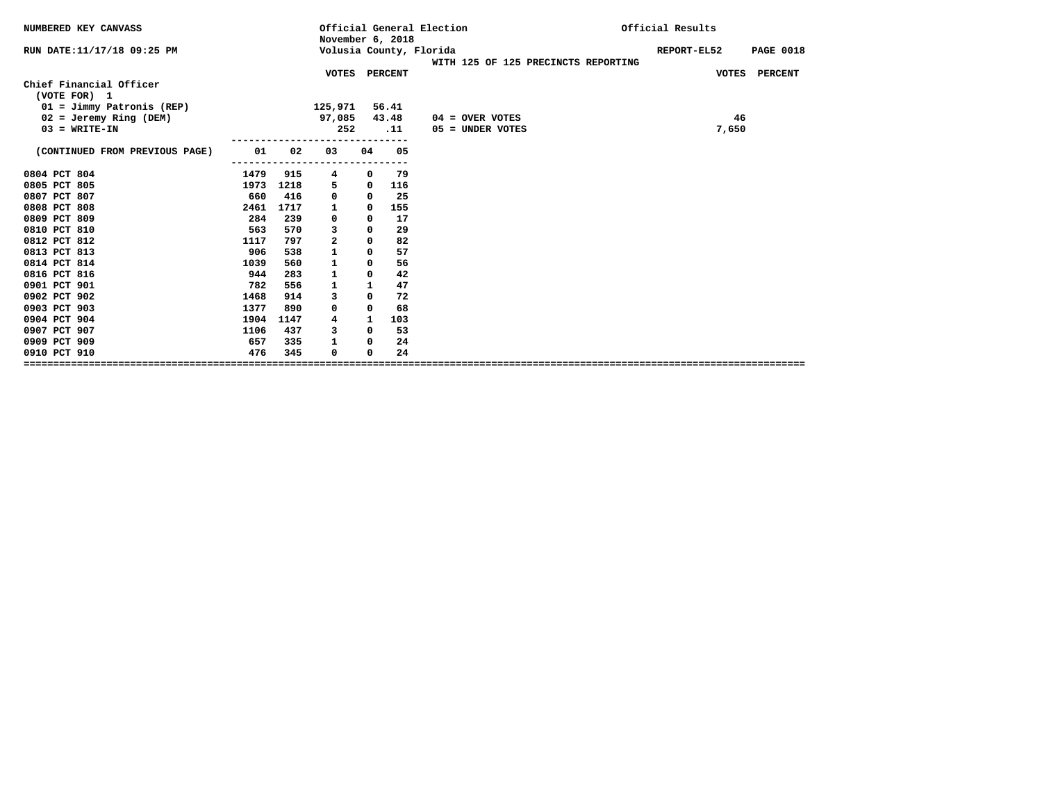| NUMBERED KEY CANVASS                    |      |      | November 6, 2018 |            |       | Official General Election                                      | Official Results |                  |
|-----------------------------------------|------|------|------------------|------------|-------|----------------------------------------------------------------|------------------|------------------|
| RUN DATE:11/17/18 09:25 PM              |      |      |                  |            |       | Volusia County, Florida<br>WITH 125 OF 125 PRECINCTS REPORTING | REPORT-EL52      | <b>PAGE 0018</b> |
|                                         |      |      | VOTES PERCENT    |            |       |                                                                |                  | VOTES PERCENT    |
| Chief Financial Officer<br>(VOTE FOR) 1 |      |      |                  |            |       |                                                                |                  |                  |
| $01 = Jimmy Patronis (REF)$             |      |      | 125,971          |            | 56.41 |                                                                |                  |                  |
| $02 =$ Jeremy Ring (DEM)                |      |      | 97,085           |            | 43.48 | $04 =$ OVER VOTES                                              |                  | 46               |
| $03 = WRITE-IN$                         |      |      | 252              |            | .11   | $05 =$ UNDER VOTES                                             |                  | 7,650            |
| (CONTINUED FROM PREVIOUS PAGE)          | 01   | 02   | 03               | 04         | 05    |                                                                |                  |                  |
| 0804 PCT 804                            | 1479 | 915  | 4                | 0          | 79    |                                                                |                  |                  |
| 0805 PCT 805                            | 1973 | 1218 | 5                | 0          | 116   |                                                                |                  |                  |
| 0807 PCT 807                            | 660  | 416  | 0                | 0          | 25    |                                                                |                  |                  |
| 0808 PCT 808                            | 2461 | 1717 | 1                | 0          | 155   |                                                                |                  |                  |
| 0809 PCT 809                            | 284  | 239  | 0                | 0          | 17    |                                                                |                  |                  |
| 0810 PCT 810                            | 563  | 570  | 3                | $\Omega$   | 29    |                                                                |                  |                  |
| 0812 PCT 812                            | 1117 | 797  | $\overline{a}$   | $\Omega$   | 82    |                                                                |                  |                  |
| 0813 PCT 813                            | 906  | 538  | 1                | $^{\circ}$ | 57    |                                                                |                  |                  |
| 0814 PCT 814                            | 1039 | 560  | 1                | 0          | 56    |                                                                |                  |                  |
| 0816 PCT 816                            | 944  | 283  | 1                | 0          | 42    |                                                                |                  |                  |
| 0901 PCT 901                            | 782  | 556  | 1                | 1          | 47    |                                                                |                  |                  |
| 0902 PCT 902                            | 1468 | 914  | 3                | $\Omega$   | 72    |                                                                |                  |                  |
| 0903 PCT 903                            | 1377 | 890  | 0                | 0          | 68    |                                                                |                  |                  |
| 0904 PCT 904                            | 1904 | 1147 | 4                | 1          | 103   |                                                                |                  |                  |
| 0907 PCT 907                            | 1106 | 437  | 3                | 0          | 53    |                                                                |                  |                  |
| 0909 PCT 909                            | 657  | 335  | 1                | 0          | 24    |                                                                |                  |                  |
| 0910 PCT 910                            | 476  | 345  | $\Omega$         | 0          | 24    |                                                                |                  |                  |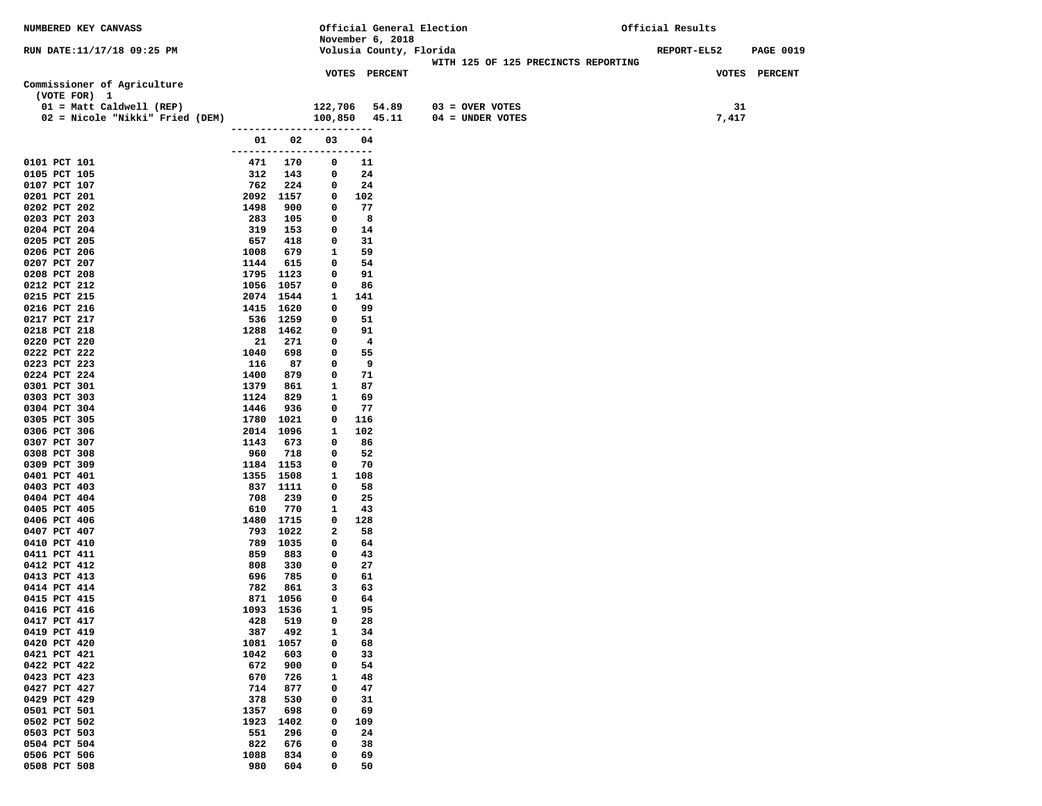| NUMBERED KEY CANVASS            |             |             |                                | Official General Election |                                     | Official Results |                  |
|---------------------------------|-------------|-------------|--------------------------------|---------------------------|-------------------------------------|------------------|------------------|
|                                 |             |             |                                | November 6, 2018          |                                     |                  |                  |
| RUN DATE:11/17/18 09:25 PM      |             |             |                                | Volusia County, Florida   |                                     | REPORT-EL52      | <b>PAGE 0019</b> |
|                                 |             |             |                                |                           | WITH 125 OF 125 PRECINCTS REPORTING |                  |                  |
|                                 |             |             |                                | <b>VOTES PERCENT</b>      |                                     | VOTES PERCENT    |                  |
| Commissioner of Agriculture     |             |             |                                |                           |                                     |                  |                  |
| (VOTE FOR) 1                    |             |             |                                |                           |                                     |                  |                  |
| 01 = Matt Caldwell (REP)        |             |             | 122,706                        | 54.89                     | $03 =$ OVER VOTES                   | 31               |                  |
| 02 = Nicole "Nikki" Fried (DEM) |             |             | 100,850                        | 45.11                     | $04 = UNDER VOTES$                  | 7,417            |                  |
|                                 |             |             | ------------------------       |                           |                                     |                  |                  |
|                                 | 01 1        | 02          | 03<br>------------------------ | 04                        |                                     |                  |                  |
| 0101 PCT 101                    | 471         | 170         | 0                              | 11                        |                                     |                  |                  |
| 0105 PCT 105                    | 312         | 143         | 0                              | 24                        |                                     |                  |                  |
| 0107 PCT 107                    | 762         | 224         | 0                              | 24                        |                                     |                  |                  |
| 0201 PCT 201                    |             | 2092 1157   | 0                              | 102                       |                                     |                  |                  |
| 0202 PCT 202                    | 1498        | 900         | 0                              | 77                        |                                     |                  |                  |
| 0203 PCT 203                    | 283         | 105         | 0                              | 8                         |                                     |                  |                  |
| 0204 PCT 204                    | 319         | 153         | 0                              | 14                        |                                     |                  |                  |
| 0205 PCT 205                    | 657         | 418         | 0                              | 31                        |                                     |                  |                  |
| 0206 PCT 206                    | 1008        | 679         | 1                              | 59                        |                                     |                  |                  |
| 0207 PCT 207                    | 1144        | 615         | 0                              | 54                        |                                     |                  |                  |
| 0208 PCT 208                    |             | 1795 1123   | 0                              | 91                        |                                     |                  |                  |
| 0212 PCT 212                    |             | 1056 1057   | 0                              | 86                        |                                     |                  |                  |
| 0215 PCT 215                    |             | 2074 1544   | 1                              | 141                       |                                     |                  |                  |
| 0216 PCT 216                    |             | 1415 1620   | 0                              | 99                        |                                     |                  |                  |
| 0217 PCT 217                    | 536         | 1259        | 0                              | 51                        |                                     |                  |                  |
| 0218 PCT 218                    |             | 1288 1462   | 0                              | 91                        |                                     |                  |                  |
| 0220 PCT 220                    | 21          | 271         | 0                              | $\overline{\mathbf{4}}$   |                                     |                  |                  |
| 0222 PCT 222                    | 1040        | 698         | 0                              | 55                        |                                     |                  |                  |
| 0223 PCT 223<br>0224 PCT 224    | 116<br>1400 | 87<br>879   | 0<br>0                         | 9<br>71                   |                                     |                  |                  |
| 0301 PCT 301                    | 1379        | 861         | 1                              | 87                        |                                     |                  |                  |
| 0303 PCT 303                    | 1124        | 829         | 1                              | 69                        |                                     |                  |                  |
| 0304 PCT 304                    | 1446        | 936         | 0                              | 77                        |                                     |                  |                  |
| 0305 PCT 305                    |             | 1780 1021   | 0                              | 116                       |                                     |                  |                  |
| 0306 PCT 306                    |             | 2014 1096   | 1                              | 102                       |                                     |                  |                  |
| 0307 PCT 307                    | 1143        | 673         | 0                              | 86                        |                                     |                  |                  |
| 0308 PCT 308                    | 960         | 718         | 0                              | 52                        |                                     |                  |                  |
| 0309 PCT 309                    |             | 1184 1153   | 0                              | 70                        |                                     |                  |                  |
| 0401 PCT 401                    |             | 1355 1508   | 1                              | 108                       |                                     |                  |                  |
| 0403 PCT 403                    |             | 837 1111    | 0                              | 58                        |                                     |                  |                  |
| 0404 PCT 404                    | 708         | 239         | 0                              | 25                        |                                     |                  |                  |
| 0405 PCT 405                    | 610         | 770         | 1                              | 43                        |                                     |                  |                  |
| 0406 PCT 406                    |             | 1480 1715   | 0                              | 128                       |                                     |                  |                  |
| 0407 PCT 407                    | 793         | 1022        | 2                              | 58                        |                                     |                  |                  |
| 0410 PCT 410                    | 789<br>859  | 1035<br>883 | 0<br>0                         | 64                        |                                     |                  |                  |
| 0411 PCT 411<br>0412 PCT 412    | 808         | 330         | 0                              | 43<br>27                  |                                     |                  |                  |
| 0413 PCT 413                    | 696         | 785         | 0                              | 61                        |                                     |                  |                  |
| 0414 PCT 414                    | 782         | 861         | 3                              | 63                        |                                     |                  |                  |
| 0415 PCT 415                    | 871         | 1056        | 0                              | 64                        |                                     |                  |                  |
| 0416 PCT 416                    | 1093        | 1536        | 1                              | 95                        |                                     |                  |                  |
| 0417 PCT 417                    | 428         | 519         | 0                              | 28                        |                                     |                  |                  |
| 0419 PCT 419                    | 387         | 492         | 1                              | 34                        |                                     |                  |                  |
| 0420 PCT 420                    | 1081        | 1057        | 0                              | 68                        |                                     |                  |                  |
| 0421 PCT 421                    | 1042        | 603         | 0                              | 33                        |                                     |                  |                  |
| 0422 PCT 422                    | 672         | 900         | 0                              | 54                        |                                     |                  |                  |
| 0423 PCT 423                    | 670         | 726         | $\mathbf{1}$                   | 48                        |                                     |                  |                  |
| 0427 PCT 427                    | 714         | 877         | 0                              | 47                        |                                     |                  |                  |
| 0429 PCT 429                    | 378         | 530         | 0                              | 31                        |                                     |                  |                  |
| 0501 PCT 501                    | 1357        | 698         | $\mathbf 0$                    | 69                        |                                     |                  |                  |
| 0502 PCT 502                    | 1923        | 1402        | 0                              | 109                       |                                     |                  |                  |
| 0503 PCT 503                    | 551         | 296         | 0                              | 24                        |                                     |                  |                  |
| 0504 PCT 504                    | 822         | 676         | 0                              | 38                        |                                     |                  |                  |
| 0506 PCT 506<br>0508 PCT 508    | 1088<br>980 | 834<br>604  | 0<br>0                         | 69<br>50                  |                                     |                  |                  |
|                                 |             |             |                                |                           |                                     |                  |                  |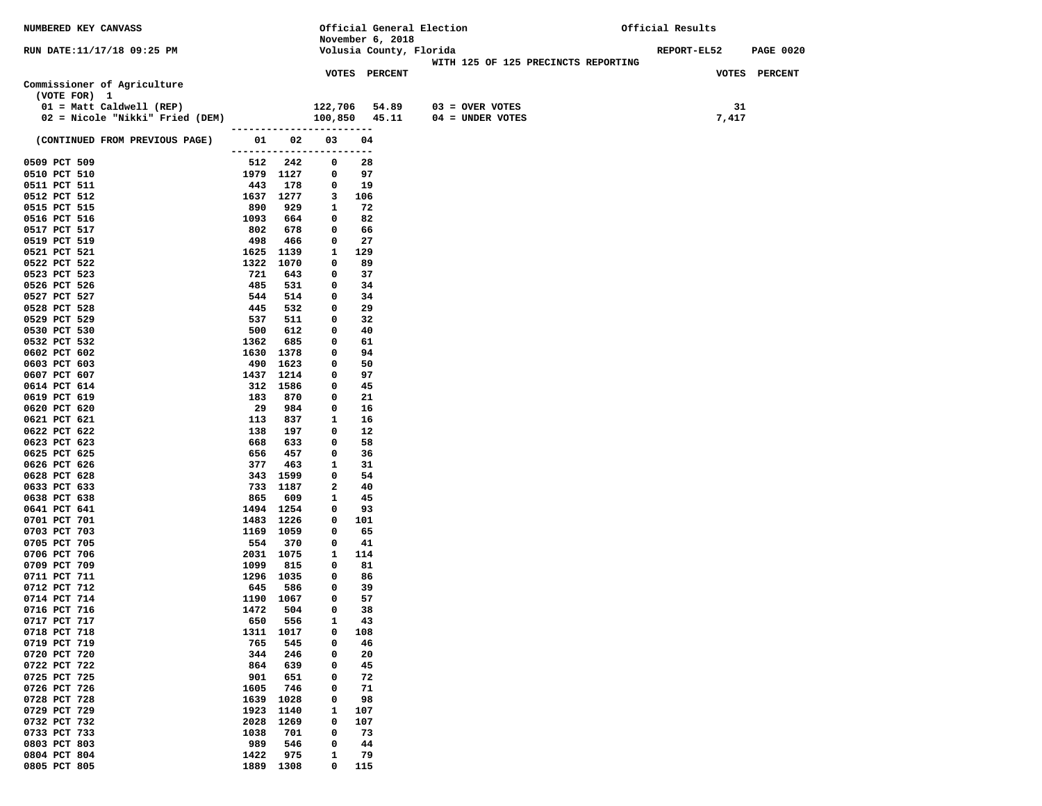| NUMBERED KEY CANVASS            |      |                   |                           | Official General Election            |                                     | Official Results   |                  |
|---------------------------------|------|-------------------|---------------------------|--------------------------------------|-------------------------------------|--------------------|------------------|
|                                 |      |                   |                           | November 6, 2018                     |                                     |                    |                  |
| RUN DATE:11/17/18 09:25 PM      |      |                   |                           | Volusia County, Florida              |                                     | <b>REPORT-EL52</b> | <b>PAGE 0020</b> |
|                                 |      |                   |                           |                                      | WITH 125 OF 125 PRECINCTS REPORTING |                    |                  |
|                                 |      |                   |                           | <b>VOTES PERCENT</b>                 |                                     |                    | VOTES PERCENT    |
| Commissioner of Agriculture     |      |                   |                           |                                      |                                     |                    |                  |
| (VOTE FOR) 1                    |      |                   |                           |                                      |                                     |                    |                  |
| $01 = Matt$ Caldwell (REP)      |      |                   |                           | 122,706    54.89<br>100,850    45.11 | $03 =$ OVER VOTES                   | 31                 |                  |
| 02 = Nicole "Nikki" Fried (DEM) |      |                   | ------------------------  |                                      | $04 = UNDER VOTES$                  | 7,417              |                  |
|                                 |      | 01 02             | 03                        | 04                                   |                                     |                    |                  |
| (CONTINUED FROM PREVIOUS PAGE)  |      |                   | ------------------------- |                                      |                                     |                    |                  |
| 0509 PCT 509                    |      | 512 242           | 0                         | 28                                   |                                     |                    |                  |
| 0510 PCT 510                    |      | 1979 1127         | $\mathbf{0}$              | 97                                   |                                     |                    |                  |
| 0511 PCT 511                    | 443  | 178               | 0                         | 19                                   |                                     |                    |                  |
| 0512 PCT 512                    |      | 1637 1277         | 3                         | 106                                  |                                     |                    |                  |
| 0515 PCT 515                    | 890  | 929               | 1                         | 72                                   |                                     |                    |                  |
| 0516 PCT 516                    | 1093 | 664               | $\mathbf 0$               | 82                                   |                                     |                    |                  |
| 0517 PCT 517                    | 802  | 678               | $\mathbf 0$               | 66                                   |                                     |                    |                  |
| 0519 PCT 519                    | 498  | 466               | 0                         | 27                                   |                                     |                    |                  |
| 0521 PCT 521                    |      | 1625 1139         | 1                         | 129                                  |                                     |                    |                  |
| 0522 PCT 522                    | 1322 | 1070              | 0                         | 89                                   |                                     |                    |                  |
| 0523 PCT 523                    | 721  | 643               | 0                         | 37                                   |                                     |                    |                  |
| 0526 PCT 526                    | 485  | 531               | $\mathbf 0$               | 34                                   |                                     |                    |                  |
| 0527 PCT 527                    | 544  | 514               | $^{\circ}$                | 34                                   |                                     |                    |                  |
| 0528 PCT 528                    | 445  | 532               | 0                         | 29                                   |                                     |                    |                  |
| 0529 PCT 529                    | 537  | 511               | 0                         | 32                                   |                                     |                    |                  |
| 0530 PCT 530                    | 500  | 612               | 0                         | 40                                   |                                     |                    |                  |
| 0532 PCT 532                    | 1362 | 685               | 0                         | 61                                   |                                     |                    |                  |
| 0602 PCT 602                    | 490  | 1630 1378<br>1623 | 0<br>0                    | 94<br>50                             |                                     |                    |                  |
| 0603 PCT 603<br>0607 PCT 607    | 1437 | 1214              | $\mathbf 0$               | 97                                   |                                     |                    |                  |
| 0614 PCT 614                    |      | 312 1586          | 0                         | 45                                   |                                     |                    |                  |
| 0619 PCT 619                    | 183  | 870               | 0                         | 21                                   |                                     |                    |                  |
| 0620 PCT 620                    | 29   | 984               | 0                         | 16                                   |                                     |                    |                  |
| 0621 PCT 621                    | 113  | 837               | 1                         | 16                                   |                                     |                    |                  |
| 0622 PCT 622                    | 138  | 197               | 0                         | 12                                   |                                     |                    |                  |
| 0623 PCT 623                    | 668  | 633               | 0                         | 58                                   |                                     |                    |                  |
| 0625 PCT 625                    | 656  | 457               | 0                         | 36                                   |                                     |                    |                  |
| 0626 PCT 626                    | 377  | 463               | 1                         | 31                                   |                                     |                    |                  |
| 0628 PCT 628                    |      | 343 1599          | 0                         | 54                                   |                                     |                    |                  |
| 0633 PCT 633                    |      | 733 1187          | 2                         | 40                                   |                                     |                    |                  |
| 0638 PCT 638                    | 865  | 609               | 1                         | 45                                   |                                     |                    |                  |
| 0641 PCT 641                    |      | 1494 1254         | 0                         | 93                                   |                                     |                    |                  |
| 0701 PCT 701                    |      | 1483 1226         | 0                         | 101                                  |                                     |                    |                  |
| 0703 PCT 703                    |      | 1169 1059         | 0                         | 65<br>41                             |                                     |                    |                  |
| 0705 PCT 705<br>0706 PCT 706    | 554  | 370<br>2031 1075  | 0<br>$\mathbf{1}$         | 114                                  |                                     |                    |                  |
| 0709 PCT 709                    | 1099 | 815               | $\mathbf 0$               | 81                                   |                                     |                    |                  |
| 0711 PCT 711                    |      | 1296 1035         | 0                         | 86                                   |                                     |                    |                  |
| 0712 PCT 712                    | 645  | 586               | 0                         | 39                                   |                                     |                    |                  |
| 0714 PCT 714                    |      | 1190 1067         | 0                         | 57                                   |                                     |                    |                  |
| 0716 PCT 716                    | 1472 | 504               | 0                         | 38                                   |                                     |                    |                  |
| 0717 PCT 717                    | 650  | 556               | 1                         | 43                                   |                                     |                    |                  |
| 0718 PCT 718                    | 1311 | 1017              | 0                         | 108                                  |                                     |                    |                  |
| 0719 PCT 719                    | 765  | 545               | 0                         | 46                                   |                                     |                    |                  |
| 0720 PCT 720                    | 344  | 246               | 0                         | 20                                   |                                     |                    |                  |
| 0722 PCT 722                    | 864  | 639               | 0                         | 45                                   |                                     |                    |                  |
| 0725 PCT 725                    | 901  | 651               | $\mathbf 0$               | 72                                   |                                     |                    |                  |
| 0726 PCT 726                    | 1605 | 746               | 0                         | 71                                   |                                     |                    |                  |
| 0728 PCT 728                    | 1639 | 1028              | $\mathbf 0$               | 98                                   |                                     |                    |                  |
| 0729 PCT 729                    | 1923 | 1140              | $\mathbf{1}$              | 107                                  |                                     |                    |                  |
| 0732 PCT 732                    | 2028 | 1269              | 0                         | 107                                  |                                     |                    |                  |
| 0733 PCT 733                    | 1038 | 701               | 0                         | 73                                   |                                     |                    |                  |
| 0803 PCT 803                    | 989  | 546               | 0                         | 44                                   |                                     |                    |                  |
| 0804 PCT 804                    | 1422 | 975               | 1                         | 79                                   |                                     |                    |                  |
| 0805 PCT 805                    | 1889 | 1308              | 0                         | 115                                  |                                     |                    |                  |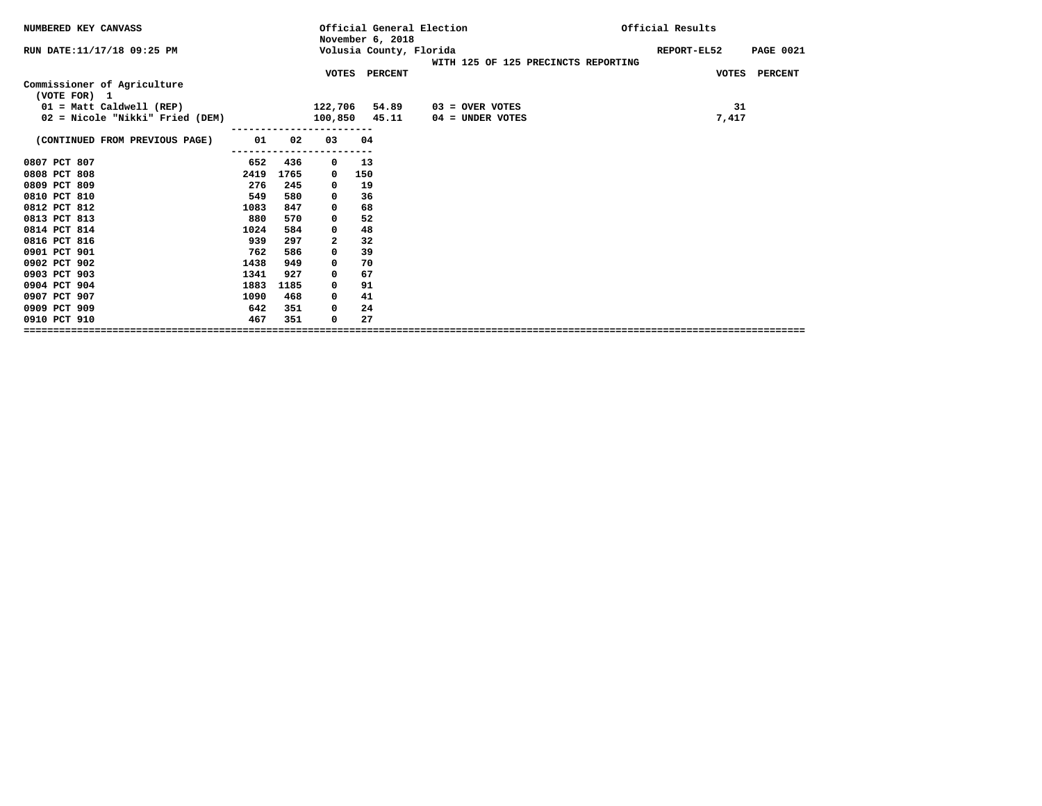| NUMBERED KEY CANVASS                        |      |      |    | November 6, 2018        | Official General Election           | Official Results |             |                  |
|---------------------------------------------|------|------|----|-------------------------|-------------------------------------|------------------|-------------|------------------|
| RUN DATE: 11/17/18 09:25 PM                 |      |      |    | Volusia County, Florida | WITH 125 OF 125 PRECINCTS REPORTING |                  | REPORT-EL52 | <b>PAGE 0021</b> |
|                                             |      |      |    | VOTES PERCENT           |                                     |                  |             | VOTES PERCENT    |
| Commissioner of Agriculture<br>(VOTE FOR) 1 |      |      |    |                         |                                     |                  |             |                  |
| $01 = Matt$ Caldwell (REP)                  |      |      |    | 122,706 54.89           | $03 =$ OVER VOTES                   |                  | 31          |                  |
| 02 = Nicole "Nikki" Fried (DEM)             |      |      |    | 100,850 45.11           | 04 = UNDER VOTES                    |                  | 7,417       |                  |
| (CONTINUED FROM PREVIOUS PAGE)              | 01   | 02   | 03 | 04                      |                                     |                  |             |                  |
| 0807 PCT 807                                | 652  | 436  | 0  | 13                      |                                     |                  |             |                  |
| 0808 PCT 808                                | 2419 | 1765 | 0  | 150                     |                                     |                  |             |                  |
| 0809 PCT 809                                | 276  | 245  | 0  | 19                      |                                     |                  |             |                  |
| 0810 PCT 810                                | 549  | 580  | 0  | 36                      |                                     |                  |             |                  |
| 0812 PCT 812                                | 1083 | 847  | 0  | 68                      |                                     |                  |             |                  |
| 0813 PCT 813                                | 880  | 570  | 0  | 52                      |                                     |                  |             |                  |
| 0814 PCT 814                                | 1024 | 584  | 0  | 48                      |                                     |                  |             |                  |
| 0816 PCT 816                                | 939  | 297  | 2  | 32                      |                                     |                  |             |                  |
| 0901 PCT 901                                | 762  | 586  | 0  | 39                      |                                     |                  |             |                  |
| 0902 PCT 902                                | 1438 | 949  | 0  | 70                      |                                     |                  |             |                  |
| 0903 PCT 903                                | 1341 | 927  | 0  | 67                      |                                     |                  |             |                  |
| 0904 PCT 904                                | 1883 | 1185 | 0  | 91                      |                                     |                  |             |                  |
| 0907 PCT 907                                | 1090 | 468  | 0  | 41                      |                                     |                  |             |                  |
| 0909 PCT 909                                | 642  | 351  | 0  | 24                      |                                     |                  |             |                  |
| 0910 PCT 910                                | 467  | 351  | 0  | 27                      |                                     |                  |             |                  |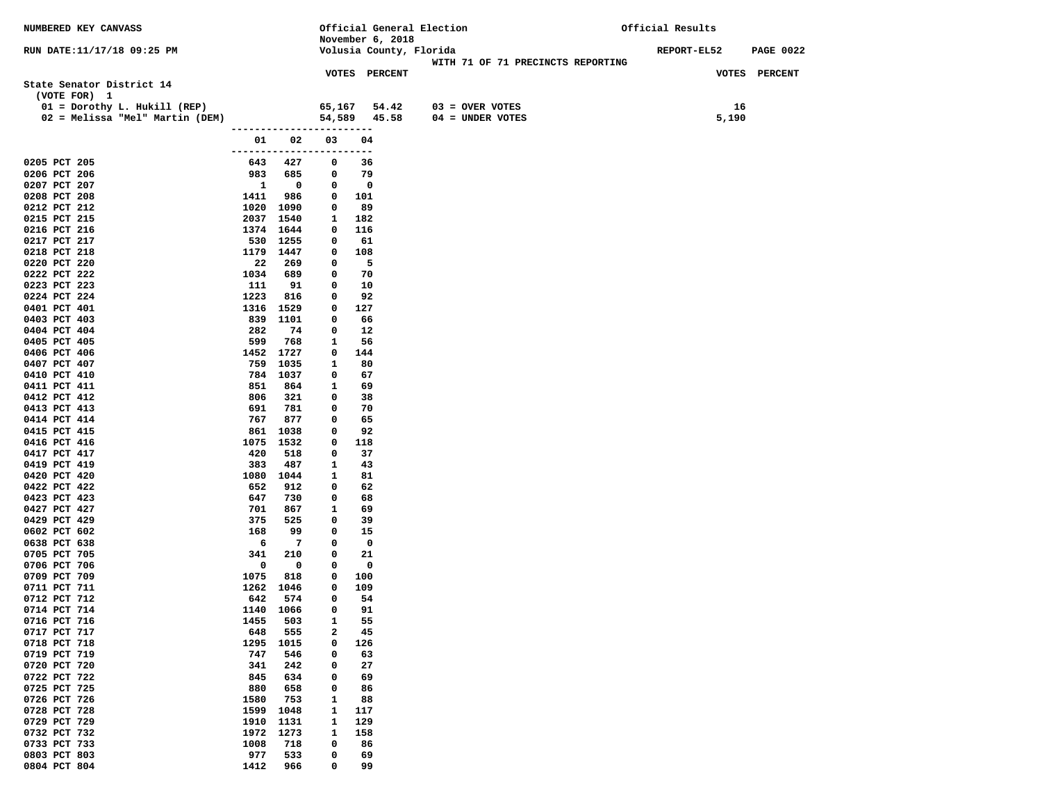| NUMBERED KEY CANVASS            |                          |                          |                  | Official General Election                   |                                   | Official Results   |                  |
|---------------------------------|--------------------------|--------------------------|------------------|---------------------------------------------|-----------------------------------|--------------------|------------------|
| RUN DATE:11/17/18 09:25 PM      |                          |                          |                  | November 6, 2018<br>Volusia County, Florida |                                   | <b>REPORT-EL52</b> | <b>PAGE 0022</b> |
|                                 |                          |                          |                  |                                             | WITH 71 OF 71 PRECINCTS REPORTING |                    |                  |
|                                 |                          |                          |                  | <b>VOTES PERCENT</b>                        |                                   |                    | VOTES PERCENT    |
| State Senator District 14       |                          |                          |                  |                                             |                                   |                    |                  |
| (VOTE FOR) 1                    |                          |                          |                  |                                             |                                   |                    |                  |
| $01 = Dorothy L. Hukill (REF)$  |                          |                          | 65,167           | 54.42                                       | $03 =$ OVER VOTES                 |                    | 16               |
| 02 = Melissa "Mel" Martin (DEM) |                          |                          |                  | 54,589 45.58                                | $04 = UNDER VOTES$                |                    | 5,190            |
|                                 | ------------------------ |                          |                  |                                             |                                   |                    |                  |
|                                 |                          | 01 02                    | 03               | 04                                          |                                   |                    |                  |
| 0205 PCT 205                    | ------------------------ | 643 427                  | $\mathbf 0$      | 36                                          |                                   |                    |                  |
| 0206 PCT 206                    |                          | 983 685                  | $\mathbf{0}$     | 79                                          |                                   |                    |                  |
| 0207 PCT 207                    | $\mathbf{1}$             | $\overline{\phantom{0}}$ | 0                | $\mathbf 0$                                 |                                   |                    |                  |
| 0208 PCT 208                    | 1411                     | 986                      | 0                | 101                                         |                                   |                    |                  |
| 0212 PCT 212                    | 1020 1090                |                          | $\mathbf 0$      | 89                                          |                                   |                    |                  |
| 0215 PCT 215                    |                          | 2037 1540                | 1                | 182                                         |                                   |                    |                  |
| 0216 PCT 216                    |                          | 1374 1644                | $\mathbf 0$      | 116                                         |                                   |                    |                  |
| 0217 PCT 217                    |                          | 530 1255                 | 0                | 61                                          |                                   |                    |                  |
| 0218 PCT 218                    |                          | 1179 1447                | 0                | 108                                         |                                   |                    |                  |
| 0220 PCT 220<br>0222 PCT 222    | 22<br>1034               | 269<br>689               | 0<br>$\mathbf 0$ | -5<br>70                                    |                                   |                    |                  |
| 0223 PCT 223                    | 111                      | 91                       | 0                | 10                                          |                                   |                    |                  |
| 0224 PCT 224                    | 1223                     | 816                      | 0                | 92                                          |                                   |                    |                  |
| 0401 PCT 401                    |                          | 1316 1529                | 0                | 127                                         |                                   |                    |                  |
| 0403 PCT 403                    |                          | 839 1101                 | 0                | 66                                          |                                   |                    |                  |
| 0404 PCT 404                    | 282                      | 74                       | 0                | 12                                          |                                   |                    |                  |
| 0405 PCT 405                    | 599                      | 768                      | 1                | 56                                          |                                   |                    |                  |
| 0406 PCT 406                    |                          | 1452 1727                | $\mathbf 0$      | 144                                         |                                   |                    |                  |
| 0407 PCT 407                    | 759                      | 1035                     | $\mathbf{1}$     | 80                                          |                                   |                    |                  |
| 0410 PCT 410                    |                          | 784 1037                 | $\mathbf 0$      | 67                                          |                                   |                    |                  |
| 0411 PCT 411<br>0412 PCT 412    | 851<br>806               | 864<br>321               | 1<br>0           | 69<br>38                                    |                                   |                    |                  |
| 0413 PCT 413                    | 691                      | 781                      | $\mathbf 0$      | 70                                          |                                   |                    |                  |
| 0414 PCT 414                    | 767                      | 877                      | 0                | 65                                          |                                   |                    |                  |
| 0415 PCT 415                    |                          | 861 1038                 | 0                | 92                                          |                                   |                    |                  |
| 0416 PCT 416                    | 1075                     | 1532                     | 0                | 118                                         |                                   |                    |                  |
| 0417 PCT 417                    | 420                      | 518                      | 0                | 37                                          |                                   |                    |                  |
| 0419 PCT 419                    | 383                      | 487                      | $\mathbf{1}$     | 43                                          |                                   |                    |                  |
| 0420 PCT 420                    |                          | 1080 1044                | 1                | 81                                          |                                   |                    |                  |
| 0422 PCT 422<br>0423 PCT 423    | 652<br>647               | 912<br>730               | $\mathbf 0$<br>0 | 62<br>68                                    |                                   |                    |                  |
| 0427 PCT 427                    | 701                      | 867                      | 1                | 69                                          |                                   |                    |                  |
| 0429 PCT 429                    | 375                      | 525                      | 0                | 39                                          |                                   |                    |                  |
| 0602 PCT 602                    | 168                      | 99                       | 0                | 15                                          |                                   |                    |                  |
| 0638 PCT 638                    | 6                        | - 7                      | $\mathbf 0$      | $\mathbf 0$                                 |                                   |                    |                  |
| 0705 PCT 705                    | 341                      | 210                      | $\mathbf 0$      | 21                                          |                                   |                    |                  |
| 0706 PCT 706                    | $\mathbf 0$              | 0                        | 0                | 0                                           |                                   |                    |                  |
| 0709 PCT 709<br>0711 PCT 711    | 1075                     | 818<br>1262 1046         | 0<br>0           | 100<br>109                                  |                                   |                    |                  |
| 0712 PCT 712                    | 642                      | 574                      | 0                | 54                                          |                                   |                    |                  |
| 0714 PCT 714                    |                          | 1140 1066                | 0                | 91                                          |                                   |                    |                  |
| 0716 PCT 716                    | 1455                     | 503                      | 1                | 55                                          |                                   |                    |                  |
| 0717 PCT 717                    | 648                      | 555                      | $\mathbf{2}$     | 45                                          |                                   |                    |                  |
| 0718 PCT 718                    | 1295                     | 1015                     | $\mathbf 0$      | 126                                         |                                   |                    |                  |
| 0719 PCT 719                    | 747                      | 546                      | 0                | 63                                          |                                   |                    |                  |
| 0720 PCT 720                    | 341                      | 242                      | 0                | 27                                          |                                   |                    |                  |
| 0722 PCT 722<br>0725 PCT 725    | 845<br>880               | 634<br>658               | 0<br>0           | 69<br>86                                    |                                   |                    |                  |
| 0726 PCT 726                    | 1580                     | 753                      | $\mathbf{1}$     | 88                                          |                                   |                    |                  |
| 0728 PCT 728                    | 1599                     | 1048                     | 1                | 117                                         |                                   |                    |                  |
| 0729 PCT 729                    | 1910                     | 1131                     | $\mathbf{1}$     | 129                                         |                                   |                    |                  |
| 0732 PCT 732                    | 1972                     | 1273                     | $\mathbf{1}$     | 158                                         |                                   |                    |                  |
| 0733 PCT 733                    | 1008                     | 718                      | 0                | 86                                          |                                   |                    |                  |
| 0803 PCT 803                    | 977                      | 533                      | 0                | 69                                          |                                   |                    |                  |
| 0804 PCT 804                    | 1412                     | 966                      | 0                | 99                                          |                                   |                    |                  |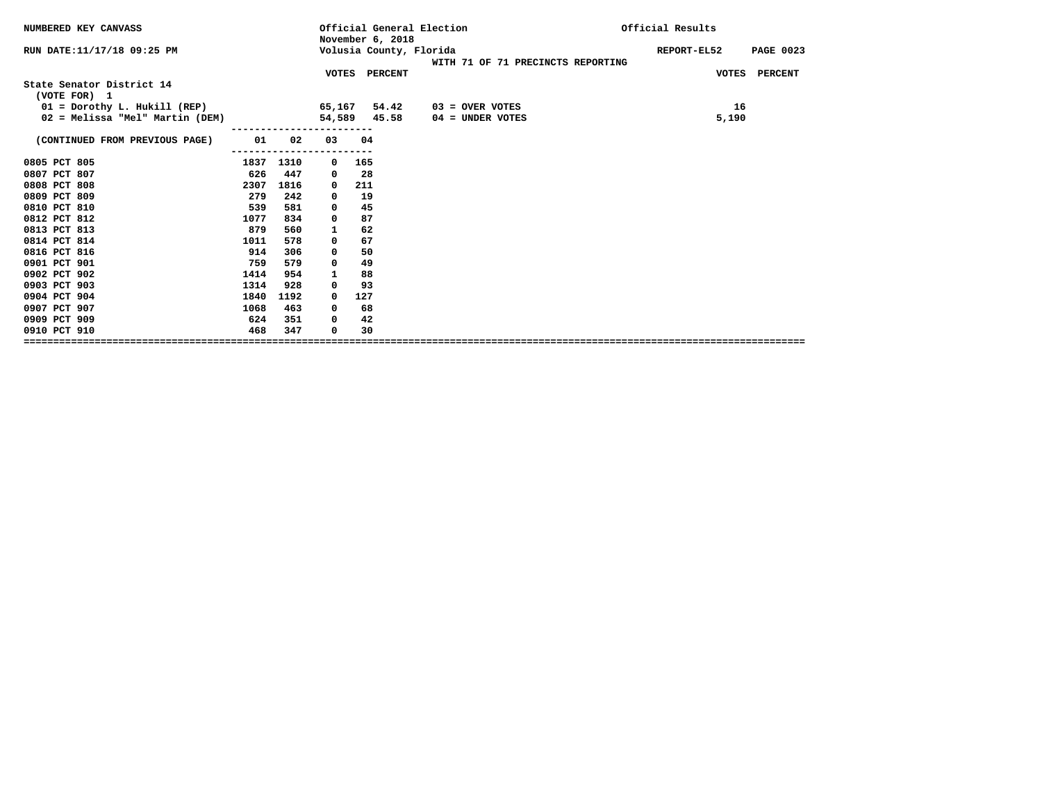| NUMBERED KEY CANVASS                        |      |                                    |              |     | Official General Election<br>November 6, 2018 |  |                    |                                   | Official Results |              |                  |
|---------------------------------------------|------|------------------------------------|--------------|-----|-----------------------------------------------|--|--------------------|-----------------------------------|------------------|--------------|------------------|
| RUN DATE: 11/17/18 09:25 PM                 |      |                                    |              |     | Volusia County, Florida                       |  |                    |                                   | REPORT-EL52      |              | <b>PAGE 0023</b> |
|                                             |      |                                    |              |     |                                               |  |                    | WITH 71 OF 71 PRECINCTS REPORTING |                  |              |                  |
|                                             |      |                                    |              |     | VOTES PERCENT                                 |  |                    |                                   |                  | <b>VOTES</b> | PERCENT          |
| State Senator District 14                   |      |                                    |              |     |                                               |  |                    |                                   |                  |              |                  |
| (VOTE FOR) 1                                |      |                                    |              |     |                                               |  |                    |                                   |                  |              |                  |
| $01 =$ Dorothy L. Hukill (REP) 65,167 54.42 |      |                                    |              |     |                                               |  | 03 = OVER VOTES    |                                   |                  | 16           |                  |
| 02 = Melissa "Mel" Martin (DEM)             |      |                                    |              |     | 54,589 45.58                                  |  | $04 =$ UNDER VOTES |                                   |                  | 5,190        |                  |
| (CONTINUED FROM PREVIOUS PAGE)              | 01 1 | 02                                 | 03           | 04  |                                               |  |                    |                                   |                  |              |                  |
| 0805 PCT 805                                |      | ---------------------<br>1837 1310 | $\mathbf 0$  | 165 |                                               |  |                    |                                   |                  |              |                  |
| 0807 PCT 807                                | 626  | 447                                | 0            | 28  |                                               |  |                    |                                   |                  |              |                  |
| 0808 PCT 808                                | 2307 | 1816                               | 0            | 211 |                                               |  |                    |                                   |                  |              |                  |
| 0809 PCT 809                                | 279  | 242                                | 0            | 19  |                                               |  |                    |                                   |                  |              |                  |
| 0810 PCT 810                                | 539  | 581                                | $\mathbf 0$  | 45  |                                               |  |                    |                                   |                  |              |                  |
| 0812 PCT 812                                | 1077 | 834                                | 0            | 87  |                                               |  |                    |                                   |                  |              |                  |
| 0813 PCT 813                                | 879  | 560                                | $\mathbf{1}$ | 62  |                                               |  |                    |                                   |                  |              |                  |
| 0814 PCT 814                                | 1011 | 578                                | 0            | 67  |                                               |  |                    |                                   |                  |              |                  |
| 0816 PCT 816                                | 914  | 306                                | 0            | 50  |                                               |  |                    |                                   |                  |              |                  |
| 0901 PCT 901                                | 759  | 579                                | 0            | 49  |                                               |  |                    |                                   |                  |              |                  |
| 0902 PCT 902                                | 1414 | 954                                | 1            | 88  |                                               |  |                    |                                   |                  |              |                  |
| 0903 PCT 903                                | 1314 | 928                                | $^{\circ}$   | 93  |                                               |  |                    |                                   |                  |              |                  |
| 0904 PCT 904                                | 1840 | 1192                               | 0            | 127 |                                               |  |                    |                                   |                  |              |                  |
| 0907 PCT 907                                | 1068 | 463                                | 0            | 68  |                                               |  |                    |                                   |                  |              |                  |
| 0909 PCT 909                                | 624  | 351                                | $\mathbf 0$  | 42  |                                               |  |                    |                                   |                  |              |                  |
| 0910 PCT 910                                | 468  | 347                                | 0            | 30  |                                               |  |                    |                                   |                  |              |                  |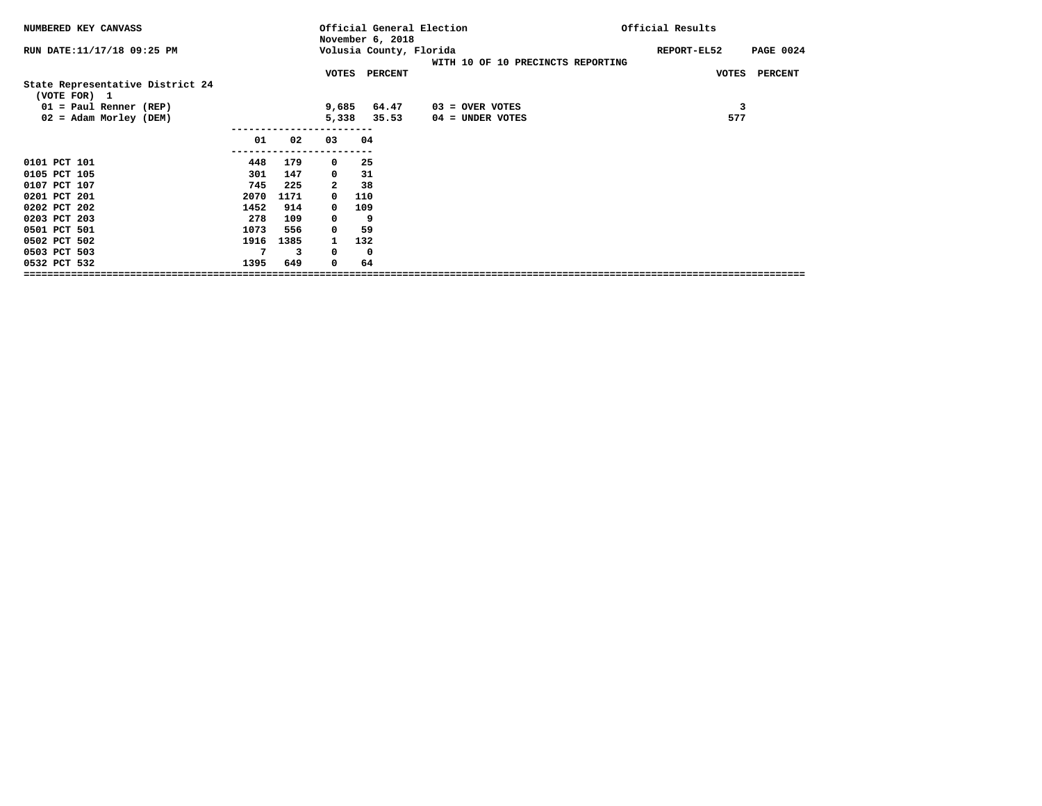| NUMBERED KEY CANVASS                             |      |      |              | Official Results<br>Official General Election<br>November 6, 2018 |                                   |  |                    |                  |  |  |  |
|--------------------------------------------------|------|------|--------------|-------------------------------------------------------------------|-----------------------------------|--|--------------------|------------------|--|--|--|
| RUN DATE: 11/17/18 09:25 PM                      |      |      |              | Volusia County, Florida                                           | WITH 10 OF 10 PRECINCTS REPORTING |  | <b>REPORT-EL52</b> | <b>PAGE 0024</b> |  |  |  |
| State Representative District 24<br>(VOTE FOR) 1 |      |      |              | VOTES PERCENT                                                     |                                   |  |                    | VOTES PERCENT    |  |  |  |
| $01 = Paul Renner (REF)$                         |      |      | 9,685        | 64.47                                                             | $03 =$ OVER VOTES                 |  | 3                  |                  |  |  |  |
| 02 = Adam Morley (DEM)                           |      |      | 5,338        | 35.53                                                             | 04 = UNDER VOTES                  |  | 577                |                  |  |  |  |
|                                                  | 01   | 02   | 03           | 04                                                                |                                   |  |                    |                  |  |  |  |
| 0101 PCT 101                                     | 448  | 179  | $\mathbf 0$  | 25                                                                |                                   |  |                    |                  |  |  |  |
| 0105 PCT 105                                     | 301  | 147  | $\mathbf 0$  | 31                                                                |                                   |  |                    |                  |  |  |  |
| 0107 PCT 107                                     | 745  | 225  | $\mathbf{2}$ | 38                                                                |                                   |  |                    |                  |  |  |  |
| 0201 PCT 201                                     | 2070 | 1171 | $\mathbf 0$  | 110                                                               |                                   |  |                    |                  |  |  |  |
| 0202 PCT 202                                     | 1452 | 914  | $^{\circ}$   | 109                                                               |                                   |  |                    |                  |  |  |  |
| 0203 PCT 203                                     | 278  | 109  | 0            | 9                                                                 |                                   |  |                    |                  |  |  |  |
| 0501 PCT 501                                     | 1073 | 556  | 0            | 59                                                                |                                   |  |                    |                  |  |  |  |
| 0502 PCT 502                                     | 1916 | 1385 | $\mathbf{1}$ | 132                                                               |                                   |  |                    |                  |  |  |  |
| 0503 PCT 503                                     | 7    | 3    | $^{\circ}$   | - 0                                                               |                                   |  |                    |                  |  |  |  |
| 0532 PCT 532                                     | 1395 | 649  | $^{\circ}$   | 64                                                                |                                   |  |                    |                  |  |  |  |
|                                                  |      |      |              |                                                                   |                                   |  |                    |                  |  |  |  |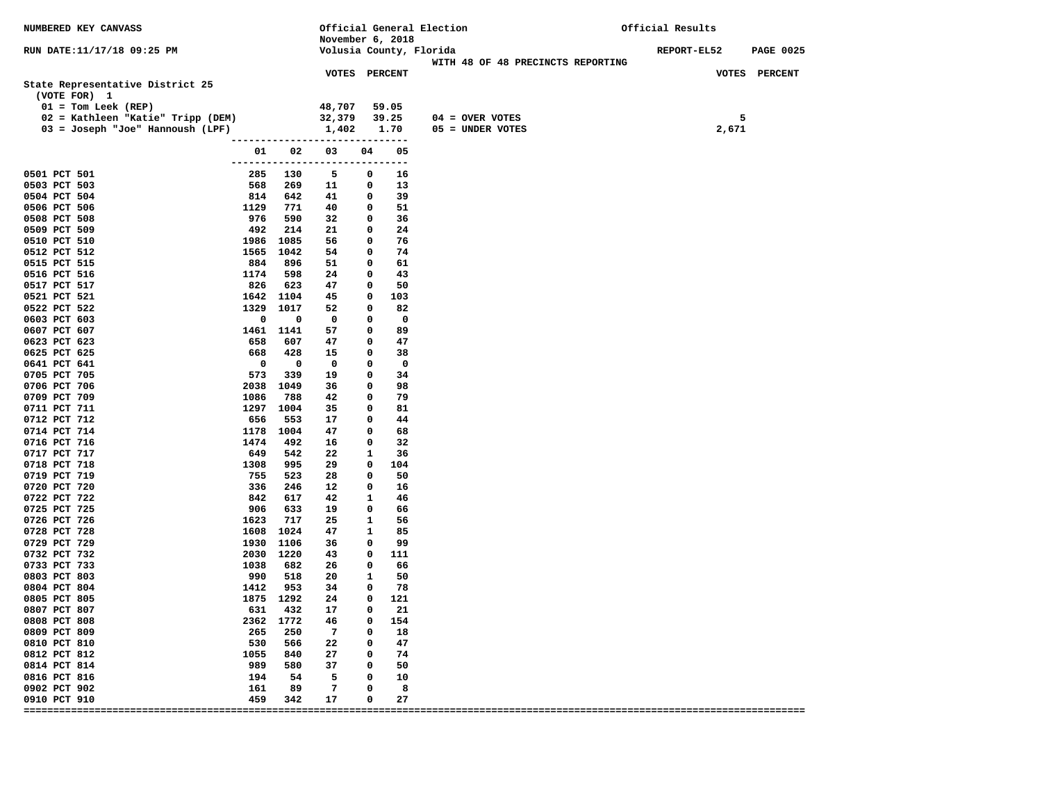| NUMBERED KEY CANVASS                                                                                                                               |                     |                      | November 6, 2018                           |              |                                     | Official General Election                                    | Official Results |                    |  |
|----------------------------------------------------------------------------------------------------------------------------------------------------|---------------------|----------------------|--------------------------------------------|--------------|-------------------------------------|--------------------------------------------------------------|------------------|--------------------|--|
| RUN DATE:11/17/18 09:25 PM                                                                                                                         |                     |                      |                                            |              |                                     | Volusia County, Florida<br>WITH 48 OF 48 PRECINCTS REPORTING | REPORT-EL52      | <b>PAGE 0025</b>   |  |
| State Representative District 25<br>(VOTE FOR) 1<br>$01 = Tom Leek (REF)$<br>02 = Kathleen "Katie" Tripp (DEM)<br>03 = Joseph "Joe" Hannoush (LPF) |                     | -------------------  | VOTES PERCENT<br>48,707<br>32,379<br>1,402 |              | 59.05<br>39.25<br>1.70<br>--------- | $04 =$ OVER VOTES<br>05 = UNDER VOTES                        | 2,671            | VOTES PERCENT<br>5 |  |
|                                                                                                                                                    | 01<br>------------- | 02                   | 03                                         | 04           | 05<br>$---$                         |                                                              |                  |                    |  |
| 0501 PCT 501<br>0503 PCT 503                                                                                                                       | 285<br>568          | 130<br>269           | 5<br>11                                    | 0<br>0       | 16<br>13                            |                                                              |                  |                    |  |
| 0504 PCT 504                                                                                                                                       | 814                 | 642                  | 41                                         | 0            | 39                                  |                                                              |                  |                    |  |
| 0506 PCT 506<br>0508 PCT 508                                                                                                                       | 1129<br>976         | 771<br>590           | 40<br>32                                   | 0<br>0       | 51<br>36                            |                                                              |                  |                    |  |
| 0509 PCT 509                                                                                                                                       | 492                 | 214                  | 21                                         | 0            | 24                                  |                                                              |                  |                    |  |
| 0510 PCT 510                                                                                                                                       | 1986                | 1085                 | 56                                         | 0            | 76                                  |                                                              |                  |                    |  |
| 0512 PCT 512                                                                                                                                       | 1565                | 1042                 | 54                                         | 0            | 74                                  |                                                              |                  |                    |  |
| 0515 PCT 515                                                                                                                                       | 884                 | 896                  | 51                                         | 0            | 61                                  |                                                              |                  |                    |  |
| 0516 PCT 516                                                                                                                                       | 1174                | 598                  | 24                                         | 0            | 43                                  |                                                              |                  |                    |  |
| 0517 PCT 517                                                                                                                                       | 826                 | 623                  | 47                                         | 0            | 50                                  |                                                              |                  |                    |  |
| 0521 PCT 521                                                                                                                                       | 1642 1104           |                      | 45                                         | 0            | 103                                 |                                                              |                  |                    |  |
| 0522 PCT 522                                                                                                                                       | 1329<br>0           | 1017<br>0            | 52                                         | 0            | 82<br>0                             |                                                              |                  |                    |  |
| 0603 PCT 603<br>0607 PCT 607                                                                                                                       | 1461                | 1141                 | 0<br>57                                    | 0<br>0       | 89                                  |                                                              |                  |                    |  |
| 0623 PCT 623                                                                                                                                       | 658                 | 607                  | 47                                         | 0            | 47                                  |                                                              |                  |                    |  |
| 0625 PCT 625                                                                                                                                       | 668                 | 428                  | 15                                         | 0            | 38                                  |                                                              |                  |                    |  |
| 0641 PCT 641                                                                                                                                       | 0                   | 0                    | 0                                          | 0            | $\mathbf 0$                         |                                                              |                  |                    |  |
| 0705 PCT 705                                                                                                                                       | 573                 | 339                  | 19                                         | 0            | 34                                  |                                                              |                  |                    |  |
| 0706 PCT 706                                                                                                                                       | 2038                | 1049                 | 36                                         | 0            | 98                                  |                                                              |                  |                    |  |
| 0709 PCT 709                                                                                                                                       | 1086                | 788                  | 42                                         | 0            | 79                                  |                                                              |                  |                    |  |
| 0711 PCT 711                                                                                                                                       | 1297                | 1004                 | 35                                         | 0            | 81                                  |                                                              |                  |                    |  |
| 0712 PCT 712<br>0714 PCT 714                                                                                                                       | 656<br>1178         | 553<br>1004          | 17<br>47                                   | 0<br>0       | 44<br>68                            |                                                              |                  |                    |  |
| 0716 PCT 716                                                                                                                                       | 1474                | 492                  | 16                                         | 0            | 32                                  |                                                              |                  |                    |  |
| 0717 PCT 717                                                                                                                                       | 649                 | 542                  | 22                                         | 1            | 36                                  |                                                              |                  |                    |  |
| 0718 PCT 718                                                                                                                                       | 1308                | 995                  | 29                                         | 0            | 104                                 |                                                              |                  |                    |  |
| 0719 PCT 719                                                                                                                                       | 755                 | 523                  | 28                                         | 0            | 50                                  |                                                              |                  |                    |  |
| 0720 PCT 720                                                                                                                                       | 336                 | 246                  | 12                                         | 0            | 16                                  |                                                              |                  |                    |  |
| 0722 PCT 722                                                                                                                                       | 842                 | 617                  | 42                                         | 1            | 46                                  |                                                              |                  |                    |  |
| 0725 PCT 725                                                                                                                                       | 906                 | 633                  | 19                                         | 0            | 66                                  |                                                              |                  |                    |  |
| 0726 PCT 726<br>0728 PCT 728                                                                                                                       | 1623<br>1608        | 717<br>1024          | 25<br>47                                   | 1<br>1       | 56<br>85                            |                                                              |                  |                    |  |
| 0729 PCT 729                                                                                                                                       | 1930                | 1106                 | 36                                         | 0            | 99                                  |                                                              |                  |                    |  |
| 0732 PCT 732                                                                                                                                       | 2030                | 1220                 | 43                                         | 0            | 111                                 |                                                              |                  |                    |  |
| 0733 PCT 733                                                                                                                                       | 1038                | 682                  | 26                                         | 0            | 66                                  |                                                              |                  |                    |  |
| 0803 PCT 803                                                                                                                                       | 990                 | 518                  | 20                                         | 1            | 50                                  |                                                              |                  |                    |  |
| 0804 PCT 804                                                                                                                                       | 1412                | 953                  | 34                                         | 0            | 78                                  |                                                              |                  |                    |  |
| 0805 PCT 805                                                                                                                                       | 1875 1292           |                      | 24                                         | 0            | 121                                 |                                                              |                  |                    |  |
| 0807 PCT 807                                                                                                                                       |                     | 631 432              | 17                                         | 0            | -21                                 |                                                              |                  |                    |  |
| 0808 PCT 808<br>0809 PCT 809                                                                                                                       |                     | 2362 1772<br>265 250 | 46<br>$\overline{7}$                       |              | $0\qquad 154$<br>$0\qquad 18$       |                                                              |                  |                    |  |
| 0810 PCT 810                                                                                                                                       |                     | 530 566              | 22                                         | $\mathbf{0}$ | 47                                  |                                                              |                  |                    |  |
| 0812 PCT 812                                                                                                                                       |                     | 1055 840             | 27                                         | $\mathbf{0}$ | 74                                  |                                                              |                  |                    |  |
| 0814 PCT 814                                                                                                                                       |                     | 989 580              | 37                                         | $^{\circ}$   | 50                                  |                                                              |                  |                    |  |
| 0816 PCT 816                                                                                                                                       |                     | 194 54               | 5                                          | $\mathbf{o}$ | 10                                  |                                                              |                  |                    |  |
| 0902 PCT 902                                                                                                                                       | 161                 | 89                   | $\overline{7}$                             | $^{\circ}$   | 8                                   |                                                              |                  |                    |  |
| 0910 PCT 910                                                                                                                                       |                     | 459 342              | 17                                         | $\mathbf 0$  | 27                                  |                                                              |                  |                    |  |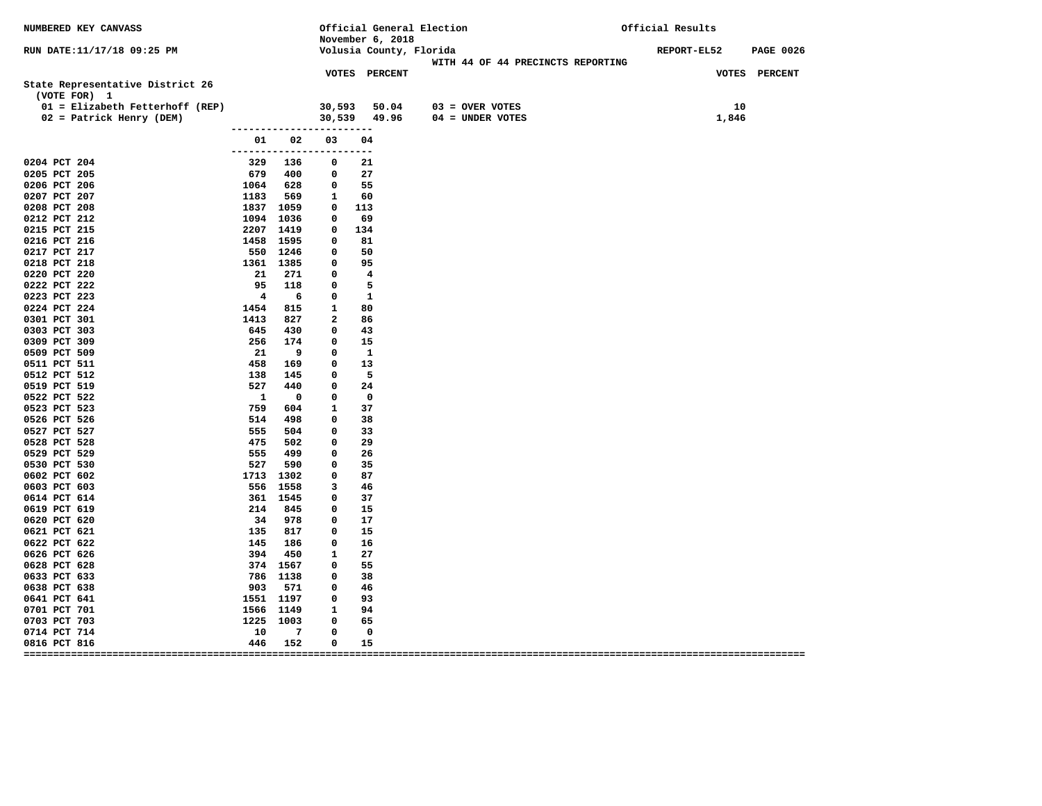| NUMBERED KEY CANVASS             |                                                          |                          |                | November 6, 2018         | Official General Election                                    | Official Results                |  |  |
|----------------------------------|----------------------------------------------------------|--------------------------|----------------|--------------------------|--------------------------------------------------------------|---------------------------------|--|--|
| RUN DATE:11/17/18 09:25 PM       |                                                          |                          |                |                          | Volusia County, Florida<br>WITH 44 OF 44 PRECINCTS REPORTING | REPORT-EL52<br><b>PAGE 0026</b> |  |  |
| State Representative District 26 |                                                          |                          |                | <b>VOTES PERCENT</b>     |                                                              | VOTES PERCENT                   |  |  |
| (VOTE FOR) 1                     |                                                          |                          |                |                          |                                                              |                                 |  |  |
| 01 = Elizabeth Fetterhoff (REP)  |                                                          |                          |                |                          | 30,593 50.04 03 = OVER VOTES                                 | 10                              |  |  |
| 02 = Patrick Henry (DEM)         |                                                          |                          |                |                          | $30,539$ 49.96 04 = UNDER VOTES                              | 1,846                           |  |  |
|                                  | ------------------------                                 |                          |                |                          |                                                              |                                 |  |  |
|                                  | ------------------------                                 | 01 02                    | 03             | 04                       |                                                              |                                 |  |  |
| 0204 PCT 204                     |                                                          | 329 136                  | $\mathbf{o}$   | 21                       |                                                              |                                 |  |  |
| 0205 PCT 205                     | 679                                                      | 400                      | $\mathbf 0$    | 27                       |                                                              |                                 |  |  |
| 0206 PCT 206                     |                                                          | 628                      | $^{\circ}$     | 55                       |                                                              |                                 |  |  |
| 0207 PCT 207                     | 1064<br>1183                                             | 569                      | $\mathbf{1}$   | 60                       |                                                              |                                 |  |  |
| 0208 PCT 208                     | 1837 1059                                                |                          |                | $0\quad 113$             |                                                              |                                 |  |  |
| 0212 PCT 212                     | 1094 1036                                                |                          | $\mathbf 0$    | 69                       |                                                              |                                 |  |  |
| 0215 PCT 215                     | 2207 1419                                                |                          | $\mathbf 0$    | 134                      |                                                              |                                 |  |  |
| 0216 PCT 216                     | 1458 1595                                                |                          | $\mathbf 0$    | 81                       |                                                              |                                 |  |  |
| 0217 PCT 217                     | 550 1246                                                 |                          | $\mathbf 0$    | 50                       |                                                              |                                 |  |  |
| 0218 PCT 218                     | 1361 1385                                                |                          | $\mathbf 0$    | 95                       |                                                              |                                 |  |  |
| 0220 PCT 220                     | 21 271                                                   |                          | $\mathbf 0$    | $\overline{\mathbf{4}}$  |                                                              |                                 |  |  |
| 0222 PCT 222                     | $\begin{array}{r} 95 \quad 118 \\ 4 \quad 6 \end{array}$ |                          | $\mathbf 0$    | $5^{\circ}$              |                                                              |                                 |  |  |
| 0223 PCT 223                     |                                                          |                          | $\mathbf 0$    | $\overline{\phantom{a}}$ |                                                              |                                 |  |  |
| 0224 PCT 224                     | 1454 815                                                 |                          | $\mathbf{1}$   | 80                       |                                                              |                                 |  |  |
| 0301 PCT 301                     | 1413                                                     | 827                      | $\overline{a}$ | 86                       |                                                              |                                 |  |  |
| 0303 PCT 303                     | 645                                                      | 430                      | $^{\circ}$     | 43                       |                                                              |                                 |  |  |
| 0309 PCT 309                     | 256                                                      | 174                      | $\mathbf 0$    | 15                       |                                                              |                                 |  |  |
| 0509 PCT 509                     | 21                                                       | - 9                      | 0              | $\mathbf{1}$             |                                                              |                                 |  |  |
| 0511 PCT 511                     | 458                                                      | 169                      | $\mathbf 0$    | 13                       |                                                              |                                 |  |  |
| 0512 PCT 512                     | 138                                                      | 145                      | $\mathbf{o}$   | $\overline{\phantom{0}}$ |                                                              |                                 |  |  |
| 0519 PCT 519                     | 527                                                      | 440                      | $\mathbf 0$    | 24                       |                                                              |                                 |  |  |
| 0522 PCT 522                     | $\overline{\mathbf{1}}$                                  | $\overline{\phantom{0}}$ | $\mathbf 0$    | $\overline{\mathbf{0}}$  |                                                              |                                 |  |  |
| 0523 PCT 523                     | 759                                                      | 604                      | $\mathbf{1}$   | 37                       |                                                              |                                 |  |  |
| 0526 PCT 526                     |                                                          | 514 498                  | 0              | 38                       |                                                              |                                 |  |  |
| 0527 PCT 527                     | 555                                                      | 504                      | $\mathbf 0$    | 33                       |                                                              |                                 |  |  |
| 0528 PCT 528                     | 475                                                      | 502                      | $\mathbf 0$    | 29                       |                                                              |                                 |  |  |
| 0529 PCT 529                     | 555                                                      | 499                      | $^{\circ}$     | -26                      |                                                              |                                 |  |  |
| 0530 PCT 530                     | 527                                                      | 590                      | $\mathbf 0$    | -35                      |                                                              |                                 |  |  |
| 0602 PCT 602                     | 1713 1302                                                |                          | $\mathbf 0$    | 87                       |                                                              |                                 |  |  |
| 0603 PCT 603                     | 556 1558                                                 |                          | 3              | 46                       |                                                              |                                 |  |  |
| 0614 PCT 614                     | $214$ $845$<br>$34$ $34$                                 |                          | $\mathbf 0$    | 37                       |                                                              |                                 |  |  |
| 0619 PCT 619                     |                                                          |                          | $\mathbf 0$    | 15                       |                                                              |                                 |  |  |
| 0620 PCT 620                     |                                                          |                          | $\mathbf 0$    | 17                       |                                                              |                                 |  |  |
| 0621 PCT 621                     | 135                                                      | 817                      | $^{\circ}$     | 15                       |                                                              |                                 |  |  |
| 0622 PCT 622                     | 145 186<br>394 450                                       |                          | $\mathbf 0$    | 16                       |                                                              |                                 |  |  |
| 0626 PCT 626                     |                                                          |                          | $\mathbf{1}$   | 27                       |                                                              |                                 |  |  |
| 0628 PCT 628                     | 374 1567                                                 |                          | $\mathbf{0}$   | 55                       |                                                              |                                 |  |  |
| 0633 PCT 633                     | 786 1138                                                 |                          | $\mathbf 0$    | 38                       |                                                              |                                 |  |  |
| 0638 PCT 638                     | 903                                                      | 571                      | $\mathbf 0$    | -46                      |                                                              |                                 |  |  |
| 0641 PCT 641                     | 1551 1197                                                |                          | $\mathbf 0$    | 93                       |                                                              |                                 |  |  |
| 0701 PCT 701                     | 1566 1149                                                |                          | $\mathbf{1}$   | 94                       |                                                              |                                 |  |  |
| 0703 PCT 703                     | 1225 1003                                                |                          | $\mathbf 0$    | 65                       |                                                              |                                 |  |  |
| 0714 PCT 714                     | 10                                                       | $\overline{7}$           | 0              | $\mathbf 0$              |                                                              |                                 |  |  |
| 0816 PCT 816                     | 446                                                      | 152                      | 0              | 15                       |                                                              |                                 |  |  |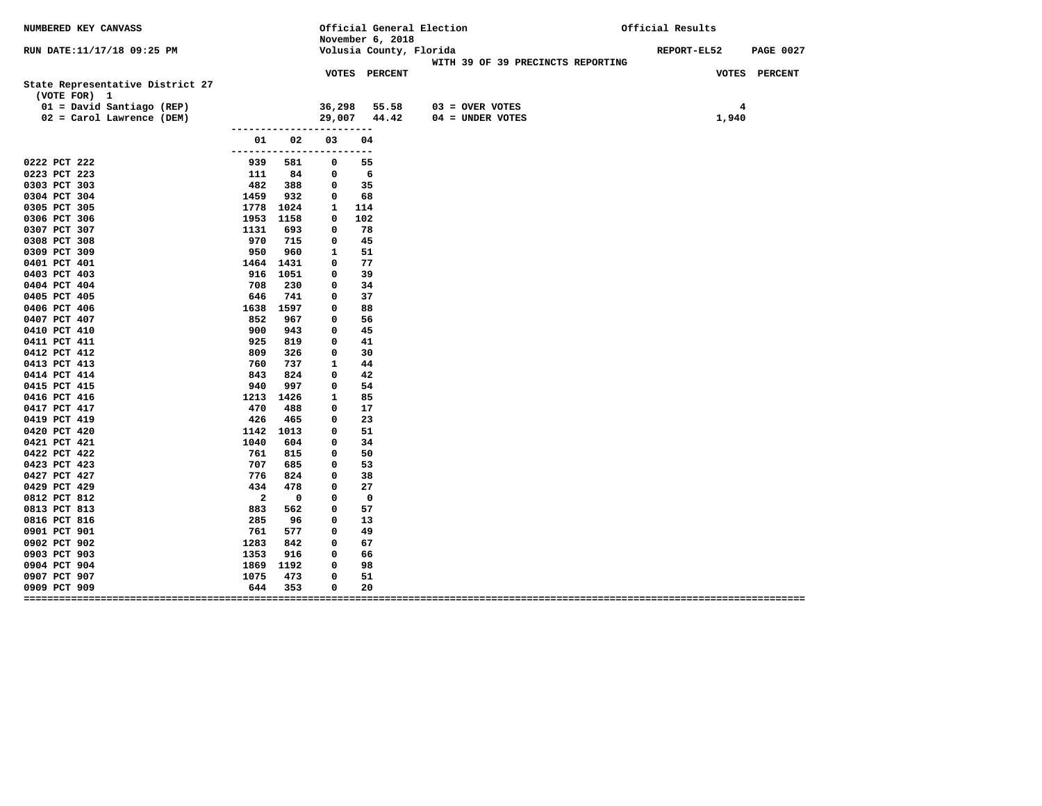| NUMBERED KEY CANVASS                             |                                |             |              |             | Official General Election<br>November 6, 2018 |                   |                                   | Official Results |       |                  |
|--------------------------------------------------|--------------------------------|-------------|--------------|-------------|-----------------------------------------------|-------------------|-----------------------------------|------------------|-------|------------------|
| RUN DATE:11/17/18 09:25 PM                       |                                |             |              |             | Volusia County, Florida                       |                   | WITH 39 OF 39 PRECINCTS REPORTING | REPORT-EL52      |       | <b>PAGE 0027</b> |
| State Representative District 27<br>(VOTE FOR) 1 |                                |             |              |             | <b>VOTES PERCENT</b>                          |                   |                                   |                  |       | VOTES PERCENT    |
| 01 = David Santiago (REP)                        |                                |             | 36,298       |             | 55.58                                         | $03 =$ OVER VOTES |                                   |                  | 4     |                  |
| 02 = Carol Lawrence (DEM)                        |                                |             | 29,007       |             | 44.42                                         | 04 = UNDER VOTES  |                                   |                  | 1,940 |                  |
|                                                  | -------------------------      |             |              |             |                                               |                   |                                   |                  |       |                  |
|                                                  | 01<br>------------------------ | 02          | 03           | 04          |                                               |                   |                                   |                  |       |                  |
| 0222 PCT 222                                     | 939                            | 581         | 0            | 55          |                                               |                   |                                   |                  |       |                  |
| 0223 PCT 223                                     | 111                            | 84          | 0            | 6           |                                               |                   |                                   |                  |       |                  |
| 0303 PCT 303                                     | 482                            | 388         | 0            | 35          |                                               |                   |                                   |                  |       |                  |
| 0304 PCT 304                                     | 1459                           | 932         | 0            | 68          |                                               |                   |                                   |                  |       |                  |
| 0305 PCT 305                                     | 1778 1024                      |             | $\mathbf{1}$ | 114         |                                               |                   |                                   |                  |       |                  |
| 0306 PCT 306                                     | 1953 1158                      |             | 0            | 102         |                                               |                   |                                   |                  |       |                  |
| 0307 PCT 307                                     | 1131                           | 693         | 0            | 78          |                                               |                   |                                   |                  |       |                  |
| 0308 PCT 308                                     | 970                            | 715         | 0            | 45          |                                               |                   |                                   |                  |       |                  |
| 0309 PCT 309                                     | 950                            | 960         | 1            | 51          |                                               |                   |                                   |                  |       |                  |
| 0401 PCT 401                                     | 1464 1431                      |             | 0            | 77          |                                               |                   |                                   |                  |       |                  |
| 0403 PCT 403                                     | 916 1051                       |             | 0            | 39          |                                               |                   |                                   |                  |       |                  |
| 0404 PCT 404                                     | 708                            | 230         | 0            | 34          |                                               |                   |                                   |                  |       |                  |
| 0405 PCT 405                                     | 646                            | 741         | 0            | 37          |                                               |                   |                                   |                  |       |                  |
| 0406 PCT 406                                     | 1638                           | 1597        | 0            | 88          |                                               |                   |                                   |                  |       |                  |
| 0407 PCT 407<br>0410 PCT 410                     | 852<br>900                     | 967<br>943  | 0<br>0       | 56<br>45    |                                               |                   |                                   |                  |       |                  |
|                                                  | 925                            |             | 0            | 41          |                                               |                   |                                   |                  |       |                  |
| 0411 PCT 411<br>0412 PCT 412                     | 809                            | 819<br>326  | 0            | 30          |                                               |                   |                                   |                  |       |                  |
| 0413 PCT 413                                     | 760                            | 737         | $\mathbf{1}$ | 44          |                                               |                   |                                   |                  |       |                  |
| 0414 PCT 414                                     | 843                            | 824         | 0            | 42          |                                               |                   |                                   |                  |       |                  |
| 0415 PCT 415                                     | 940                            | 997         | 0            | 54          |                                               |                   |                                   |                  |       |                  |
| 0416 PCT 416                                     | 1213                           | 1426        | 1            | 85          |                                               |                   |                                   |                  |       |                  |
| 0417 PCT 417                                     | 470                            | 488         | 0            | 17          |                                               |                   |                                   |                  |       |                  |
| 0419 PCT 419                                     | 426                            | 465         | 0            | 23          |                                               |                   |                                   |                  |       |                  |
| 0420 PCT 420                                     | 1142                           | 1013        | 0            | 51          |                                               |                   |                                   |                  |       |                  |
| 0421 PCT 421                                     | 1040                           | 604         | 0            | 34          |                                               |                   |                                   |                  |       |                  |
| 0422 PCT 422                                     | 761                            | 815         | 0            | 50          |                                               |                   |                                   |                  |       |                  |
| 0423 PCT 423                                     | 707                            | 685         | 0            | 53          |                                               |                   |                                   |                  |       |                  |
| 0427 PCT 427                                     | 776                            | 824         | 0            | 38          |                                               |                   |                                   |                  |       |                  |
| 0429 PCT 429                                     | 434                            | 478         | 0            | 27          |                                               |                   |                                   |                  |       |                  |
| 0812 PCT 812                                     | $\mathbf{2}$                   | $\mathbf 0$ | 0            | $\mathbf 0$ |                                               |                   |                                   |                  |       |                  |
| 0813 PCT 813                                     | 883                            | 562         | 0            | 57          |                                               |                   |                                   |                  |       |                  |
| 0816 PCT 816                                     | 285                            | 96          | 0            | 13          |                                               |                   |                                   |                  |       |                  |
| 0901 PCT 901                                     | 761                            | 577         | 0            | 49          |                                               |                   |                                   |                  |       |                  |
| 0902 PCT 902                                     | 1283                           | 842         | 0            | 67          |                                               |                   |                                   |                  |       |                  |
| 0903 PCT 903                                     | 1353                           | 916         | 0            | 66          |                                               |                   |                                   |                  |       |                  |
| 0904 PCT 904                                     | 1869                           | 1192        | 0            | 98          |                                               |                   |                                   |                  |       |                  |
| 0907 PCT 907                                     | 1075                           | 473         | $\mathbf 0$  | 51          |                                               |                   |                                   |                  |       |                  |
| 0909 PCT 909                                     | 644                            | 353         | 0            | 20          |                                               |                   |                                   |                  |       |                  |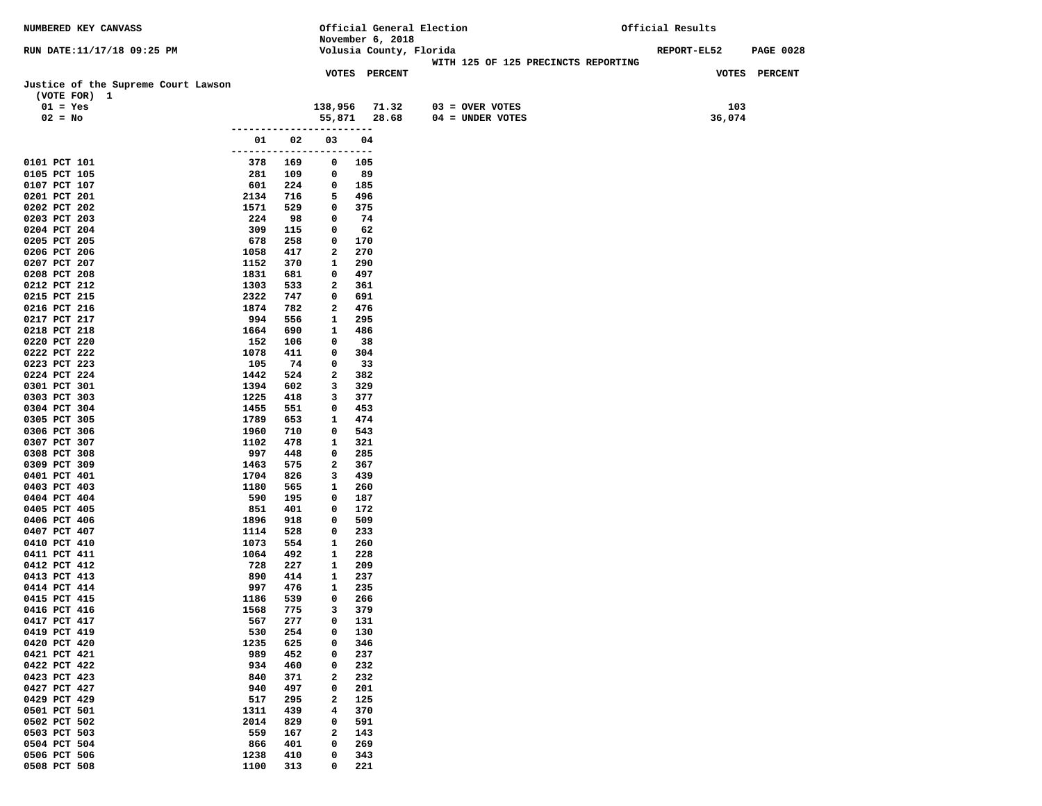| NUMBERED KEY CANVASS                                |                       |             |                               |                  | Official General Election                                      | Official Results |             |                  |
|-----------------------------------------------------|-----------------------|-------------|-------------------------------|------------------|----------------------------------------------------------------|------------------|-------------|------------------|
|                                                     |                       |             |                               | November 6, 2018 |                                                                |                  | REPORT-EL52 |                  |
| RUN DATE:11/17/18 09:25 PM                          |                       |             |                               |                  | Volusia County, Florida<br>WITH 125 OF 125 PRECINCTS REPORTING |                  |             | <b>PAGE 0028</b> |
|                                                     |                       |             |                               | VOTES PERCENT    |                                                                |                  |             | VOTES PERCENT    |
| Justice of the Supreme Court Lawson<br>(VOTE FOR) 1 |                       |             |                               |                  |                                                                |                  |             |                  |
| $01 = Yes$                                          |                       |             | 138,956                       | 71.32            | $03 =$ OVER VOTES                                              |                  | 103         |                  |
| $02 = No$                                           |                       |             | 55,871                        | 28.68            | $04 = UNDER VOTES$                                             |                  | 36,074      |                  |
|                                                     |                       | ----------- |                               |                  |                                                                |                  |             |                  |
|                                                     | 01                    | 02          | 03                            | 04               |                                                                |                  |             |                  |
| 0101 PCT 101                                        | --------------<br>378 | 169         | 0                             | ----<br>105      |                                                                |                  |             |                  |
| 0105 PCT 105                                        | 281                   | 109         | 0                             | 89               |                                                                |                  |             |                  |
| 0107 PCT 107                                        | 601                   | 224         | 0                             | 185              |                                                                |                  |             |                  |
| 0201 PCT 201                                        | 2134                  | 716         | 5                             | 496              |                                                                |                  |             |                  |
| 0202 PCT 202                                        | 1571                  | 529         | 0                             | 375              |                                                                |                  |             |                  |
| 0203 PCT 203<br>0204 PCT 204                        | 224<br>309            | 98<br>115   | 0<br>0                        | 74<br>62         |                                                                |                  |             |                  |
| 0205 PCT 205                                        | 678                   | 258         | 0                             | 170              |                                                                |                  |             |                  |
| 0206 PCT 206                                        | 1058                  | 417         | 2                             | 270              |                                                                |                  |             |                  |
| 0207 PCT 207                                        | 1152                  | 370         | 1                             | 290              |                                                                |                  |             |                  |
| 0208 PCT 208                                        | 1831                  | 681         | 0                             | 497              |                                                                |                  |             |                  |
| 0212 PCT 212                                        | 1303                  | 533         | 2                             | 361              |                                                                |                  |             |                  |
| 0215 PCT 215<br>0216 PCT 216                        | 2322<br>1874          | 747<br>782  | $\mathbf 0$<br>$\mathbf{2}$   | 691<br>476       |                                                                |                  |             |                  |
| 0217 PCT 217                                        | 994                   | 556         | $\mathbf{1}$                  | 295              |                                                                |                  |             |                  |
| 0218 PCT 218                                        | 1664                  | 690         | 1                             | 486              |                                                                |                  |             |                  |
| 0220 PCT 220                                        | 152                   | 106         | 0                             | 38               |                                                                |                  |             |                  |
| 0222 PCT 222                                        | 1078                  | 411         | 0                             | 304              |                                                                |                  |             |                  |
| 0223 PCT 223                                        | 105                   | 74          | 0                             | 33               |                                                                |                  |             |                  |
| 0224 PCT 224                                        | 1442                  | 524         | $\mathbf{2}$<br>3             | 382              |                                                                |                  |             |                  |
| 0301 PCT 301<br>0303 PCT 303                        | 1394<br>1225          | 602<br>418  | 3                             | 329<br>377       |                                                                |                  |             |                  |
| 0304 PCT 304                                        | 1455                  | 551         | 0                             | 453              |                                                                |                  |             |                  |
| 0305 PCT 305                                        | 1789                  | 653         | 1                             | 474              |                                                                |                  |             |                  |
| 0306 PCT 306                                        | 1960                  | 710         | 0                             | 543              |                                                                |                  |             |                  |
| 0307 PCT 307                                        | 1102                  | 478         | 1                             | 321              |                                                                |                  |             |                  |
| 0308 PCT 308                                        | 997                   | 448         | $\mathbf 0$<br>$\overline{a}$ | 285              |                                                                |                  |             |                  |
| 0309 PCT 309<br>0401 PCT 401                        | 1463<br>1704          | 575<br>826  | 3                             | 367<br>439       |                                                                |                  |             |                  |
| 0403 PCT 403                                        | 1180                  | 565         | $\mathbf{1}$                  | 260              |                                                                |                  |             |                  |
| 0404 PCT 404                                        | 590                   | 195         | $\mathbf 0$                   | 187              |                                                                |                  |             |                  |
| 0405 PCT 405                                        | 851                   | 401         | 0                             | 172              |                                                                |                  |             |                  |
| 0406 PCT 406                                        | 1896                  | 918         | 0                             | 509              |                                                                |                  |             |                  |
| 0407 PCT 407<br>0410 PCT 410                        | 1114<br>1073          | 528<br>554  | 0<br>1                        | 233<br>260       |                                                                |                  |             |                  |
| 0411 PCT 411                                        | 1064                  | 492         | 1                             | 228              |                                                                |                  |             |                  |
| 0412 PCT 412                                        | 728                   | 227         | $\mathbf{1}$                  | 209              |                                                                |                  |             |                  |
| 0413 PCT 413                                        | 890                   | 414         | 1                             | 237              |                                                                |                  |             |                  |
| 0414 PCT 414                                        | 997                   | 476         | 1                             | 235              |                                                                |                  |             |                  |
| 0415 PCT 415                                        | 1186                  | 539         | 0<br>3                        | 266              |                                                                |                  |             |                  |
| 0416 PCT 416<br>0417 PCT 417                        | 1568<br>567           | 775<br>277  | 0                             | 379<br>131       |                                                                |                  |             |                  |
| 0419 PCT 419                                        | 530                   | 254         | 0                             | 130              |                                                                |                  |             |                  |
| 0420 PCT 420                                        | 1235                  | 625         | 0                             | 346              |                                                                |                  |             |                  |
| 0421 PCT 421                                        | 989                   | 452         | 0                             | 237              |                                                                |                  |             |                  |
| 0422 PCT 422                                        | 934                   | 460         | 0                             | 232              |                                                                |                  |             |                  |
| 0423 PCT 423                                        | 840                   | 371         | 2                             | 232              |                                                                |                  |             |                  |
| 0427 PCT 427<br>0429 PCT 429                        | 940<br>517            | 497<br>295  | 0<br>2                        | 201<br>125       |                                                                |                  |             |                  |
| 0501 PCT 501                                        | 1311                  | 439         | 4                             | 370              |                                                                |                  |             |                  |
| 0502 PCT 502                                        | 2014                  | 829         | 0                             | 591              |                                                                |                  |             |                  |
| 0503 PCT 503                                        | 559                   | 167         | 2                             | 143              |                                                                |                  |             |                  |
| 0504 PCT 504                                        | 866                   | 401         | 0                             | 269              |                                                                |                  |             |                  |
| 0506 PCT 506                                        | 1238                  | 410         | 0                             | 343              |                                                                |                  |             |                  |
| 0508 PCT 508                                        | 1100                  | 313         | 0                             | 221              |                                                                |                  |             |                  |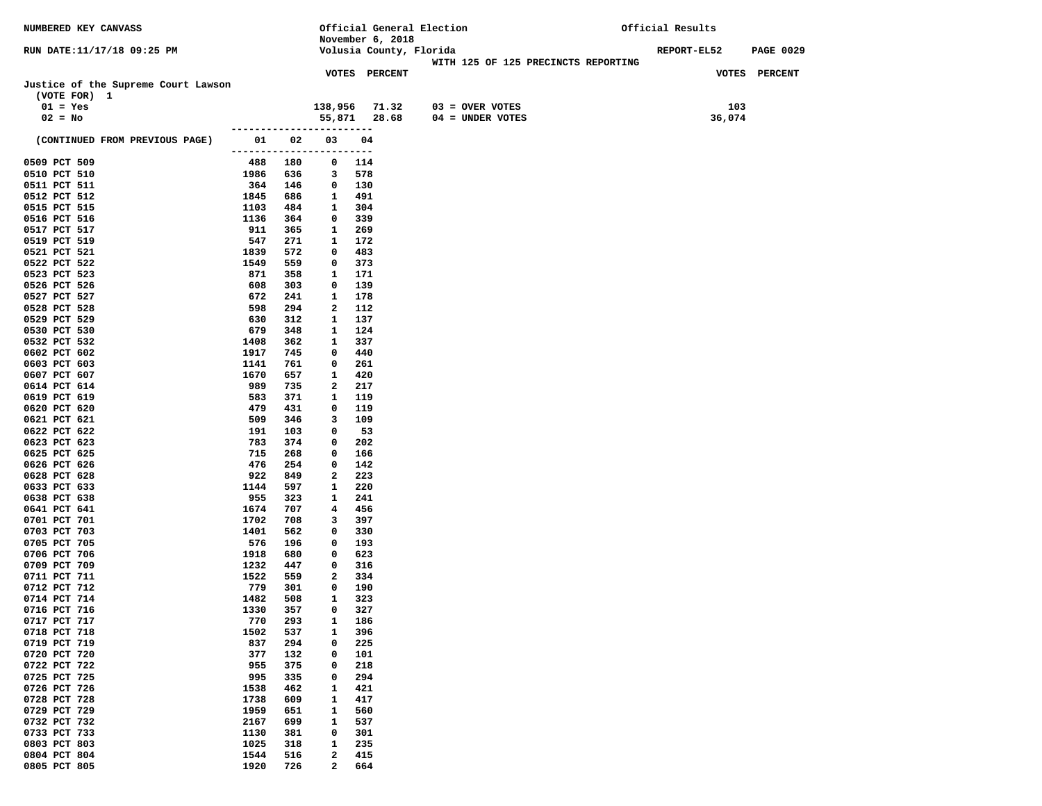| NUMBERED KEY CANVASS                |                     |             |                              |                  | Official General Election                                      | Official Results |                  |  |
|-------------------------------------|---------------------|-------------|------------------------------|------------------|----------------------------------------------------------------|------------------|------------------|--|
|                                     |                     |             |                              | November 6, 2018 |                                                                |                  |                  |  |
| RUN DATE:11/17/18 09:25 PM          |                     |             |                              |                  | Volusia County, Florida<br>WITH 125 OF 125 PRECINCTS REPORTING | REPORT-EL52      | <b>PAGE 0029</b> |  |
|                                     |                     |             |                              | VOTES PERCENT    |                                                                |                  | VOTES PERCENT    |  |
| Justice of the Supreme Court Lawson |                     |             |                              |                  |                                                                |                  |                  |  |
| (VOTE FOR) 1                        |                     |             |                              |                  |                                                                |                  |                  |  |
| $01 = Yes$                          |                     |             | 138,956                      | 71.32            | $03 =$ OVER VOTES                                              | 103              |                  |  |
| $02 = No$                           |                     |             |                              | 55,871 28.68     | $04 = UNDER VOTES$                                             | 36,074           |                  |  |
|                                     |                     | ----------- |                              |                  |                                                                |                  |                  |  |
| (CONTINUED FROM PREVIOUS PAGE)      | 01                  | 02          | 03                           | 04               |                                                                |                  |                  |  |
|                                     | ------------------- |             |                              | -----            |                                                                |                  |                  |  |
| 0509 PCT 509                        | 488                 | 180         | $\mathbf 0$                  | 114              |                                                                |                  |                  |  |
| 0510 PCT 510<br>0511 PCT 511        | 1986<br>364         | 636<br>146  | 3<br>$\mathbf{0}$            | 578<br>130       |                                                                |                  |                  |  |
| 0512 PCT 512                        | 1845                | 686         | $\mathbf{1}$                 | 491              |                                                                |                  |                  |  |
| 0515 PCT 515                        | 1103                | 484         | 1                            | 304              |                                                                |                  |                  |  |
| 0516 PCT 516                        | 1136                | 364         | $^{\circ}$                   | 339              |                                                                |                  |                  |  |
| 0517 PCT 517                        | 911                 | 365         | $\mathbf{1}$                 | 269              |                                                                |                  |                  |  |
| 0519 PCT 519                        | 547                 | 271         | $\mathbf{1}$                 | 172              |                                                                |                  |                  |  |
| 0521 PCT 521                        | 1839                | 572         | $\mathbf 0$                  | 483              |                                                                |                  |                  |  |
| 0522 PCT 522                        | 1549                | 559         | 0                            | 373              |                                                                |                  |                  |  |
| 0523 PCT 523                        | 871                 | 358         | 1                            | 171              |                                                                |                  |                  |  |
| 0526 PCT 526<br>0527 PCT 527        | 608<br>672          | 303<br>241  | 0<br>1                       | 139<br>178       |                                                                |                  |                  |  |
| 0528 PCT 528                        | 598                 | 294         | 2                            | 112              |                                                                |                  |                  |  |
| 0529 PCT 529                        | 630                 | 312         | 1                            | 137              |                                                                |                  |                  |  |
| 0530 PCT 530                        | 679                 | 348         | 1                            | 124              |                                                                |                  |                  |  |
| 0532 PCT 532                        | 1408                | 362         | 1                            | 337              |                                                                |                  |                  |  |
| 0602 PCT 602                        | 1917                | 745         | $^{\circ}$                   | 440              |                                                                |                  |                  |  |
| 0603 PCT 603                        | 1141                | 761         | $\mathbf 0$                  | 261              |                                                                |                  |                  |  |
| 0607 PCT 607                        | 1670                | 657         | $\mathbf{1}$                 | 420              |                                                                |                  |                  |  |
| 0614 PCT 614<br>0619 PCT 619        | 989<br>583          | 735<br>371  | $\mathbf{2}$<br>$\mathbf{1}$ | 217<br>119       |                                                                |                  |                  |  |
| 0620 PCT 620                        | 479                 | 431         | 0                            | 119              |                                                                |                  |                  |  |
| 0621 PCT 621                        | 509                 | 346         | 3                            | 109              |                                                                |                  |                  |  |
| 0622 PCT 622                        | 191                 | 103         | $\mathbf 0$                  | 53               |                                                                |                  |                  |  |
| 0623 PCT 623                        | 783                 | 374         | 0                            | 202              |                                                                |                  |                  |  |
| 0625 PCT 625                        | 715                 | 268         | $\mathbf 0$                  | 166              |                                                                |                  |                  |  |
| 0626 PCT 626                        | 476                 | 254         | 0                            | 142              |                                                                |                  |                  |  |
| 0628 PCT 628<br>0633 PCT 633        | 922<br>1144         | 849<br>597  | 2<br>$\mathbf{1}$            | 223<br>220       |                                                                |                  |                  |  |
| 0638 PCT 638                        | 955                 | 323         | $\mathbf{1}$                 | 241              |                                                                |                  |                  |  |
| 0641 PCT 641                        | 1674                | 707         | 4                            | 456              |                                                                |                  |                  |  |
| 0701 PCT 701                        | 1702                | 708         | 3                            | 397              |                                                                |                  |                  |  |
| 0703 PCT 703                        | 1401                | 562         | $\mathbf 0$                  | 330              |                                                                |                  |                  |  |
| 0705 PCT 705                        | 576                 | 196         | 0                            | 193              |                                                                |                  |                  |  |
| 0706 PCT 706                        | 1918                | 680         | $\mathbf 0$                  | 623              |                                                                |                  |                  |  |
| 0709 PCT 709<br>0711 PCT 711        | 1232<br>1522        | 447<br>559  | $^{\circ}$<br>$\mathbf{2}$   | 316<br>334       |                                                                |                  |                  |  |
| 0712 PCT 712                        | 779                 | 301         | 0                            | 190              |                                                                |                  |                  |  |
| 0714 PCT 714                        | 1482                | 508         | 1                            | 323              |                                                                |                  |                  |  |
| 0716 PCT 716                        | 1330                | 357         | 0                            | 327              |                                                                |                  |                  |  |
| 0717 PCT 717                        | 770                 | 293         | 1                            | 186              |                                                                |                  |                  |  |
| 0718 PCT 718                        | 1502                | 537         | 1                            | 396              |                                                                |                  |                  |  |
| 0719 PCT 719                        | 837                 | 294         | 0                            | 225              |                                                                |                  |                  |  |
| 0720 PCT 720<br>0722 PCT 722        | 377<br>955          | 132<br>375  | 0<br>0                       | 101<br>218       |                                                                |                  |                  |  |
| 0725 PCT 725                        | 995                 | 335         | 0                            | 294              |                                                                |                  |                  |  |
| 0726 PCT 726                        | 1538                | 462         | 1                            | 421              |                                                                |                  |                  |  |
| 0728 PCT 728                        | 1738                | 609         | 1                            | 417              |                                                                |                  |                  |  |
| 0729 PCT 729                        | 1959                | 651         | 1                            | 560              |                                                                |                  |                  |  |
| 0732 PCT 732                        | 2167                | 699         | 1                            | 537              |                                                                |                  |                  |  |
| 0733 PCT 733                        | 1130                | 381         | 0                            | 301              |                                                                |                  |                  |  |
| 0803 PCT 803<br>0804 PCT 804        | 1025<br>1544        | 318<br>516  | 1<br>$\mathbf{2}$            | 235<br>415       |                                                                |                  |                  |  |
| 0805 PCT 805                        | 1920                | 726         | 2                            | 664              |                                                                |                  |                  |  |
|                                     |                     |             |                              |                  |                                                                |                  |                  |  |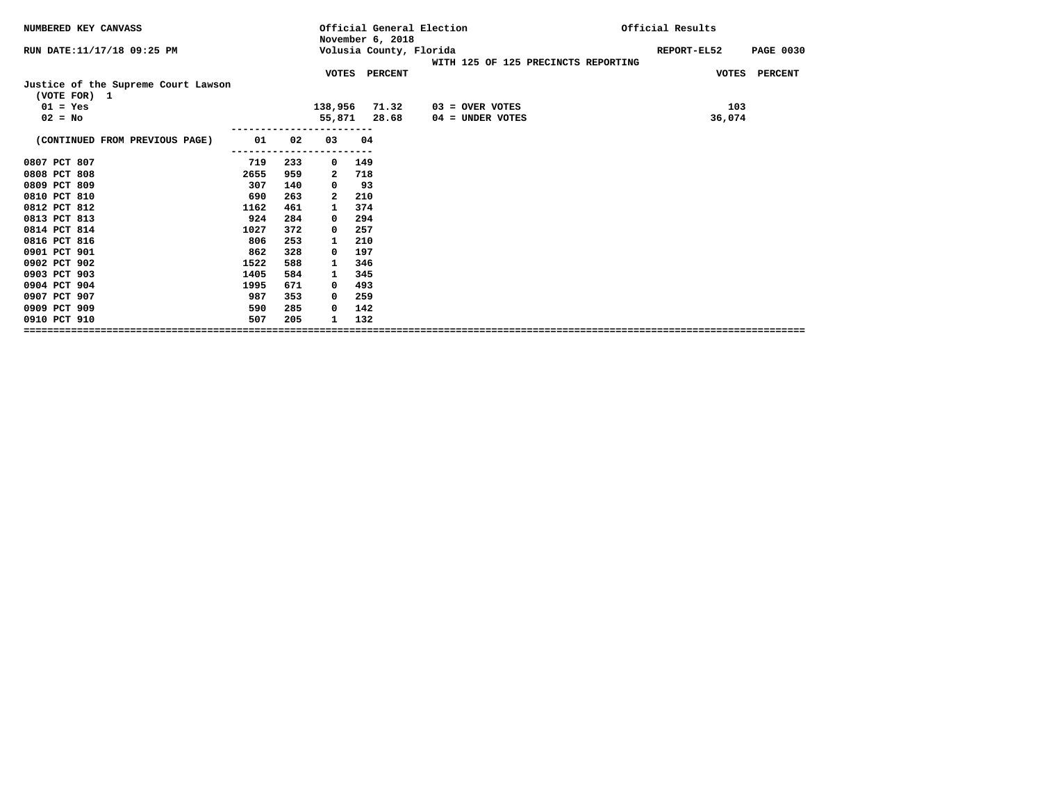| NUMBERED KEY CANVASS                                |      |     |                         | November 6, 2018        | Official General Election           | Official Results                |
|-----------------------------------------------------|------|-----|-------------------------|-------------------------|-------------------------------------|---------------------------------|
| RUN DATE:11/17/18 09:25 PM                          |      |     |                         | Volusia County, Florida | WITH 125 OF 125 PRECINCTS REPORTING | REPORT-EL52<br><b>PAGE 0030</b> |
|                                                     |      |     |                         | VOTES PERCENT           |                                     | VOTES PERCENT                   |
| Justice of the Supreme Court Lawson<br>(VOTE FOR) 1 |      |     |                         |                         |                                     |                                 |
| $01 = Yes$                                          |      |     | 138,956                 | 71.32                   | 03 = OVER VOTES                     | 103                             |
| $02 = No$                                           |      |     | 55,871                  | 28.68                   | 04 = UNDER VOTES                    | 36,074                          |
|                                                     |      |     |                         |                         |                                     |                                 |
| (CONTINUED FROM PREVIOUS PAGE)                      | 01   | 02  | 03                      | 04                      |                                     |                                 |
|                                                     |      |     |                         |                         |                                     |                                 |
| 0807 PCT 807                                        | 719  | 233 | 0                       | 149                     |                                     |                                 |
| 0808 PCT 808                                        | 2655 | 959 | 2                       | 718                     |                                     |                                 |
| 0809 PCT 809                                        | 307  | 140 | 0                       | 93                      |                                     |                                 |
| 0810 PCT 810                                        | 690  | 263 | $\overline{\mathbf{2}}$ | 210                     |                                     |                                 |
| 0812 PCT 812                                        | 1162 | 461 | 1                       | 374                     |                                     |                                 |
| 0813 PCT 813                                        | 924  | 284 | $^{\circ}$              | 294                     |                                     |                                 |
| 0814 PCT 814                                        | 1027 | 372 | 0                       | 257                     |                                     |                                 |
| 0816 PCT 816                                        | 806  | 253 | 1                       | 210                     |                                     |                                 |
| 0901 PCT 901                                        | 862  | 328 | 0                       | 197                     |                                     |                                 |
| 0902 PCT 902                                        | 1522 | 588 | 1                       | 346                     |                                     |                                 |
| 0903 PCT 903                                        | 1405 | 584 | 1                       | 345                     |                                     |                                 |
| 0904 PCT 904                                        | 1995 | 671 | $\Omega$                | 493                     |                                     |                                 |
| 0907 PCT 907                                        | 987  | 353 | $\Omega$                | 259                     |                                     |                                 |
| 0909 PCT 909                                        | 590  | 285 | 0                       | 142                     |                                     |                                 |
| 0910 PCT 910                                        | 507  | 205 |                         | 132                     |                                     |                                 |
|                                                     |      |     |                         |                         |                                     |                                 |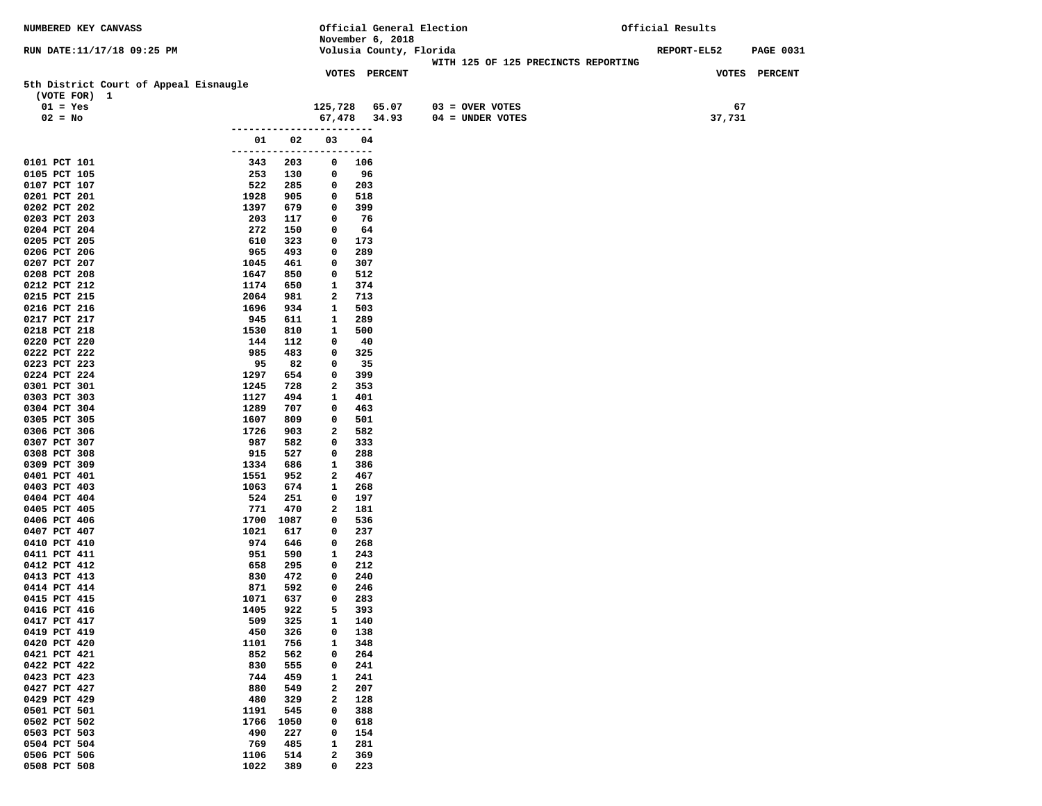| November 6, 2018<br>Volusia County, Florida<br>REPORT-EL52<br><b>PAGE 0031</b><br>RUN DATE:11/17/18 09:25 PM<br>WITH 125 OF 125 PRECINCTS REPORTING<br>VOTES PERCENT<br><b>VOTES PERCENT</b><br>5th District Court of Appeal Eisnaugle<br>(VOTE FOR) 1<br>67<br>$01 = Yes$<br>125,728 65.07<br>$03 =$ OVER VOTES<br>37,731<br>$02 = No$<br>67,478 34.93<br>$04 = UNDER VOTES$<br>--------------<br>01<br>02<br>03<br>04<br>------------------------<br>203<br>0101 PCT 101<br>343<br>106<br>0<br>0105 PCT 105<br>253<br>96<br>130<br>0<br>0107 PCT 107<br>522<br>285<br>203<br>0<br>1928<br>905<br>518<br>0201 PCT 201<br>0<br>0202 PCT 202<br>1397<br>679<br>399<br>0<br>0203 PCT 203<br>203<br>117<br>76<br>$\mathbf 0$<br>272<br>0204 PCT 204<br>150<br>64<br>0<br>0205 PCT 205<br>610<br>323<br>173<br>0<br>0206 PCT 206<br>965<br>493<br>0<br>289<br>307<br>0207 PCT 207<br>1045<br>461<br>0<br>0208 PCT 208<br>1647<br>850<br>512<br>0<br>0212 PCT 212<br>1174<br>650<br>1<br>374<br>2064<br>2<br>713<br>0215 PCT 215<br>981<br>0216 PCT 216<br>1696<br>934<br>1<br>503<br>0217 PCT 217<br>945<br>$\mathbf{1}$<br>289<br>611<br>0218 PCT 218<br>500<br>1530<br>810<br>1<br>0220 PCT 220<br>144<br>112<br>40<br>0<br>0222 PCT 222<br>985<br>483<br>325<br>$\mathbf 0$<br>95<br>35<br>0223 PCT 223<br>82<br>0<br>399<br>0224 PCT 224<br>1297<br>654<br>0<br>2<br>353<br>0301 PCT 301<br>1245<br>728<br>1127<br>494<br>401<br>0303 PCT 303<br>1<br>0304 PCT 304<br>1289<br>707<br>463<br>0<br>0305 PCT 305<br>1607<br>809<br>0<br>501<br>0306 PCT 306<br>1726<br>2<br>582<br>903<br>0307 PCT 307<br>987<br>582<br>333<br>0<br>527<br>0<br>288<br>0308 PCT 308<br>915<br>0309 PCT 309<br>1334<br>686<br>$\mathbf{1}$<br>386<br>0401 PCT 401<br>1551<br>952<br>467<br>2<br>268<br>0403 PCT 403<br>1063<br>674<br>1<br>0404 PCT 404<br>524<br>251<br>197<br>0<br>0405 PCT 405<br>771<br>470<br>2<br>181<br>0406 PCT 406<br>1700<br>1087<br>0<br>536<br>0407 PCT 407<br>1021<br>617<br>237<br>0<br>0410 PCT 410<br>974<br>646<br>268<br>0<br>0411 PCT 411<br>951<br>590<br>1<br>243<br>0412 PCT 412<br>658<br>295<br>212<br>0<br>0413 PCT 413<br>830<br>472<br>240<br>0<br>592<br>0414 PCT 414<br>871<br>0<br>246<br>637<br>0415 PCT 415<br>1071<br>0<br>283<br>1405<br>922<br>5<br>393<br>0416 PCT 416<br>0417 PCT 417<br>509<br>325<br>140<br>1<br>0419 PCT 419<br>450<br>326<br>138<br>0<br>0420 PCT 420<br>$\mathbf{1}$<br>1101<br>756<br>348<br>0421 PCT 421<br>852<br>562<br>0<br>264<br>0422 PCT 422<br>830<br>555<br>0<br>241<br>0423 PCT 423<br>744<br>459<br>241<br>1<br>0427 PCT 427<br>880<br>$\mathbf{2}$<br>549<br>207<br>0429 PCT 429<br>480<br>329<br>$\mathbf{2}$<br>128<br>0501 PCT 501<br>0<br>1191<br>545<br>388<br>0502 PCT 502<br>1766<br>1050<br>0<br>618<br>0503 PCT 503<br>490<br>227<br>0<br>154<br>0504 PCT 504<br>769<br>485<br>281<br>1<br>$\mathbf{2}$<br>0506 PCT 506<br>1106<br>514<br>369<br>0508 PCT 508<br>1022<br>389<br>$\mathbf 0$<br>223 | <b>NUMBERED KEY CANVASS</b> |  |  | Official General Election | Official Results |  |  |
|--------------------------------------------------------------------------------------------------------------------------------------------------------------------------------------------------------------------------------------------------------------------------------------------------------------------------------------------------------------------------------------------------------------------------------------------------------------------------------------------------------------------------------------------------------------------------------------------------------------------------------------------------------------------------------------------------------------------------------------------------------------------------------------------------------------------------------------------------------------------------------------------------------------------------------------------------------------------------------------------------------------------------------------------------------------------------------------------------------------------------------------------------------------------------------------------------------------------------------------------------------------------------------------------------------------------------------------------------------------------------------------------------------------------------------------------------------------------------------------------------------------------------------------------------------------------------------------------------------------------------------------------------------------------------------------------------------------------------------------------------------------------------------------------------------------------------------------------------------------------------------------------------------------------------------------------------------------------------------------------------------------------------------------------------------------------------------------------------------------------------------------------------------------------------------------------------------------------------------------------------------------------------------------------------------------------------------------------------------------------------------------------------------------------------------------------------------------------------------------------------------------------------------------------------------------------------------------------------------------------------------------------------------------------------------------------------------------------------------------------------------------------------------------------------------------------------------------------------------------------------------------------------------------------------------------------------------------------------------|-----------------------------|--|--|---------------------------|------------------|--|--|
|                                                                                                                                                                                                                                                                                                                                                                                                                                                                                                                                                                                                                                                                                                                                                                                                                                                                                                                                                                                                                                                                                                                                                                                                                                                                                                                                                                                                                                                                                                                                                                                                                                                                                                                                                                                                                                                                                                                                                                                                                                                                                                                                                                                                                                                                                                                                                                                                                                                                                                                                                                                                                                                                                                                                                                                                                                                                                                                                                                                |                             |  |  |                           |                  |  |  |
|                                                                                                                                                                                                                                                                                                                                                                                                                                                                                                                                                                                                                                                                                                                                                                                                                                                                                                                                                                                                                                                                                                                                                                                                                                                                                                                                                                                                                                                                                                                                                                                                                                                                                                                                                                                                                                                                                                                                                                                                                                                                                                                                                                                                                                                                                                                                                                                                                                                                                                                                                                                                                                                                                                                                                                                                                                                                                                                                                                                |                             |  |  |                           |                  |  |  |
|                                                                                                                                                                                                                                                                                                                                                                                                                                                                                                                                                                                                                                                                                                                                                                                                                                                                                                                                                                                                                                                                                                                                                                                                                                                                                                                                                                                                                                                                                                                                                                                                                                                                                                                                                                                                                                                                                                                                                                                                                                                                                                                                                                                                                                                                                                                                                                                                                                                                                                                                                                                                                                                                                                                                                                                                                                                                                                                                                                                |                             |  |  |                           |                  |  |  |
|                                                                                                                                                                                                                                                                                                                                                                                                                                                                                                                                                                                                                                                                                                                                                                                                                                                                                                                                                                                                                                                                                                                                                                                                                                                                                                                                                                                                                                                                                                                                                                                                                                                                                                                                                                                                                                                                                                                                                                                                                                                                                                                                                                                                                                                                                                                                                                                                                                                                                                                                                                                                                                                                                                                                                                                                                                                                                                                                                                                |                             |  |  |                           |                  |  |  |
|                                                                                                                                                                                                                                                                                                                                                                                                                                                                                                                                                                                                                                                                                                                                                                                                                                                                                                                                                                                                                                                                                                                                                                                                                                                                                                                                                                                                                                                                                                                                                                                                                                                                                                                                                                                                                                                                                                                                                                                                                                                                                                                                                                                                                                                                                                                                                                                                                                                                                                                                                                                                                                                                                                                                                                                                                                                                                                                                                                                |                             |  |  |                           |                  |  |  |
|                                                                                                                                                                                                                                                                                                                                                                                                                                                                                                                                                                                                                                                                                                                                                                                                                                                                                                                                                                                                                                                                                                                                                                                                                                                                                                                                                                                                                                                                                                                                                                                                                                                                                                                                                                                                                                                                                                                                                                                                                                                                                                                                                                                                                                                                                                                                                                                                                                                                                                                                                                                                                                                                                                                                                                                                                                                                                                                                                                                |                             |  |  |                           |                  |  |  |
|                                                                                                                                                                                                                                                                                                                                                                                                                                                                                                                                                                                                                                                                                                                                                                                                                                                                                                                                                                                                                                                                                                                                                                                                                                                                                                                                                                                                                                                                                                                                                                                                                                                                                                                                                                                                                                                                                                                                                                                                                                                                                                                                                                                                                                                                                                                                                                                                                                                                                                                                                                                                                                                                                                                                                                                                                                                                                                                                                                                |                             |  |  |                           |                  |  |  |
|                                                                                                                                                                                                                                                                                                                                                                                                                                                                                                                                                                                                                                                                                                                                                                                                                                                                                                                                                                                                                                                                                                                                                                                                                                                                                                                                                                                                                                                                                                                                                                                                                                                                                                                                                                                                                                                                                                                                                                                                                                                                                                                                                                                                                                                                                                                                                                                                                                                                                                                                                                                                                                                                                                                                                                                                                                                                                                                                                                                |                             |  |  |                           |                  |  |  |
|                                                                                                                                                                                                                                                                                                                                                                                                                                                                                                                                                                                                                                                                                                                                                                                                                                                                                                                                                                                                                                                                                                                                                                                                                                                                                                                                                                                                                                                                                                                                                                                                                                                                                                                                                                                                                                                                                                                                                                                                                                                                                                                                                                                                                                                                                                                                                                                                                                                                                                                                                                                                                                                                                                                                                                                                                                                                                                                                                                                |                             |  |  |                           |                  |  |  |
|                                                                                                                                                                                                                                                                                                                                                                                                                                                                                                                                                                                                                                                                                                                                                                                                                                                                                                                                                                                                                                                                                                                                                                                                                                                                                                                                                                                                                                                                                                                                                                                                                                                                                                                                                                                                                                                                                                                                                                                                                                                                                                                                                                                                                                                                                                                                                                                                                                                                                                                                                                                                                                                                                                                                                                                                                                                                                                                                                                                |                             |  |  |                           |                  |  |  |
|                                                                                                                                                                                                                                                                                                                                                                                                                                                                                                                                                                                                                                                                                                                                                                                                                                                                                                                                                                                                                                                                                                                                                                                                                                                                                                                                                                                                                                                                                                                                                                                                                                                                                                                                                                                                                                                                                                                                                                                                                                                                                                                                                                                                                                                                                                                                                                                                                                                                                                                                                                                                                                                                                                                                                                                                                                                                                                                                                                                |                             |  |  |                           |                  |  |  |
|                                                                                                                                                                                                                                                                                                                                                                                                                                                                                                                                                                                                                                                                                                                                                                                                                                                                                                                                                                                                                                                                                                                                                                                                                                                                                                                                                                                                                                                                                                                                                                                                                                                                                                                                                                                                                                                                                                                                                                                                                                                                                                                                                                                                                                                                                                                                                                                                                                                                                                                                                                                                                                                                                                                                                                                                                                                                                                                                                                                |                             |  |  |                           |                  |  |  |
|                                                                                                                                                                                                                                                                                                                                                                                                                                                                                                                                                                                                                                                                                                                                                                                                                                                                                                                                                                                                                                                                                                                                                                                                                                                                                                                                                                                                                                                                                                                                                                                                                                                                                                                                                                                                                                                                                                                                                                                                                                                                                                                                                                                                                                                                                                                                                                                                                                                                                                                                                                                                                                                                                                                                                                                                                                                                                                                                                                                |                             |  |  |                           |                  |  |  |
|                                                                                                                                                                                                                                                                                                                                                                                                                                                                                                                                                                                                                                                                                                                                                                                                                                                                                                                                                                                                                                                                                                                                                                                                                                                                                                                                                                                                                                                                                                                                                                                                                                                                                                                                                                                                                                                                                                                                                                                                                                                                                                                                                                                                                                                                                                                                                                                                                                                                                                                                                                                                                                                                                                                                                                                                                                                                                                                                                                                |                             |  |  |                           |                  |  |  |
|                                                                                                                                                                                                                                                                                                                                                                                                                                                                                                                                                                                                                                                                                                                                                                                                                                                                                                                                                                                                                                                                                                                                                                                                                                                                                                                                                                                                                                                                                                                                                                                                                                                                                                                                                                                                                                                                                                                                                                                                                                                                                                                                                                                                                                                                                                                                                                                                                                                                                                                                                                                                                                                                                                                                                                                                                                                                                                                                                                                |                             |  |  |                           |                  |  |  |
|                                                                                                                                                                                                                                                                                                                                                                                                                                                                                                                                                                                                                                                                                                                                                                                                                                                                                                                                                                                                                                                                                                                                                                                                                                                                                                                                                                                                                                                                                                                                                                                                                                                                                                                                                                                                                                                                                                                                                                                                                                                                                                                                                                                                                                                                                                                                                                                                                                                                                                                                                                                                                                                                                                                                                                                                                                                                                                                                                                                |                             |  |  |                           |                  |  |  |
|                                                                                                                                                                                                                                                                                                                                                                                                                                                                                                                                                                                                                                                                                                                                                                                                                                                                                                                                                                                                                                                                                                                                                                                                                                                                                                                                                                                                                                                                                                                                                                                                                                                                                                                                                                                                                                                                                                                                                                                                                                                                                                                                                                                                                                                                                                                                                                                                                                                                                                                                                                                                                                                                                                                                                                                                                                                                                                                                                                                |                             |  |  |                           |                  |  |  |
|                                                                                                                                                                                                                                                                                                                                                                                                                                                                                                                                                                                                                                                                                                                                                                                                                                                                                                                                                                                                                                                                                                                                                                                                                                                                                                                                                                                                                                                                                                                                                                                                                                                                                                                                                                                                                                                                                                                                                                                                                                                                                                                                                                                                                                                                                                                                                                                                                                                                                                                                                                                                                                                                                                                                                                                                                                                                                                                                                                                |                             |  |  |                           |                  |  |  |
|                                                                                                                                                                                                                                                                                                                                                                                                                                                                                                                                                                                                                                                                                                                                                                                                                                                                                                                                                                                                                                                                                                                                                                                                                                                                                                                                                                                                                                                                                                                                                                                                                                                                                                                                                                                                                                                                                                                                                                                                                                                                                                                                                                                                                                                                                                                                                                                                                                                                                                                                                                                                                                                                                                                                                                                                                                                                                                                                                                                |                             |  |  |                           |                  |  |  |
|                                                                                                                                                                                                                                                                                                                                                                                                                                                                                                                                                                                                                                                                                                                                                                                                                                                                                                                                                                                                                                                                                                                                                                                                                                                                                                                                                                                                                                                                                                                                                                                                                                                                                                                                                                                                                                                                                                                                                                                                                                                                                                                                                                                                                                                                                                                                                                                                                                                                                                                                                                                                                                                                                                                                                                                                                                                                                                                                                                                |                             |  |  |                           |                  |  |  |
|                                                                                                                                                                                                                                                                                                                                                                                                                                                                                                                                                                                                                                                                                                                                                                                                                                                                                                                                                                                                                                                                                                                                                                                                                                                                                                                                                                                                                                                                                                                                                                                                                                                                                                                                                                                                                                                                                                                                                                                                                                                                                                                                                                                                                                                                                                                                                                                                                                                                                                                                                                                                                                                                                                                                                                                                                                                                                                                                                                                |                             |  |  |                           |                  |  |  |
|                                                                                                                                                                                                                                                                                                                                                                                                                                                                                                                                                                                                                                                                                                                                                                                                                                                                                                                                                                                                                                                                                                                                                                                                                                                                                                                                                                                                                                                                                                                                                                                                                                                                                                                                                                                                                                                                                                                                                                                                                                                                                                                                                                                                                                                                                                                                                                                                                                                                                                                                                                                                                                                                                                                                                                                                                                                                                                                                                                                |                             |  |  |                           |                  |  |  |
|                                                                                                                                                                                                                                                                                                                                                                                                                                                                                                                                                                                                                                                                                                                                                                                                                                                                                                                                                                                                                                                                                                                                                                                                                                                                                                                                                                                                                                                                                                                                                                                                                                                                                                                                                                                                                                                                                                                                                                                                                                                                                                                                                                                                                                                                                                                                                                                                                                                                                                                                                                                                                                                                                                                                                                                                                                                                                                                                                                                |                             |  |  |                           |                  |  |  |
|                                                                                                                                                                                                                                                                                                                                                                                                                                                                                                                                                                                                                                                                                                                                                                                                                                                                                                                                                                                                                                                                                                                                                                                                                                                                                                                                                                                                                                                                                                                                                                                                                                                                                                                                                                                                                                                                                                                                                                                                                                                                                                                                                                                                                                                                                                                                                                                                                                                                                                                                                                                                                                                                                                                                                                                                                                                                                                                                                                                |                             |  |  |                           |                  |  |  |
|                                                                                                                                                                                                                                                                                                                                                                                                                                                                                                                                                                                                                                                                                                                                                                                                                                                                                                                                                                                                                                                                                                                                                                                                                                                                                                                                                                                                                                                                                                                                                                                                                                                                                                                                                                                                                                                                                                                                                                                                                                                                                                                                                                                                                                                                                                                                                                                                                                                                                                                                                                                                                                                                                                                                                                                                                                                                                                                                                                                |                             |  |  |                           |                  |  |  |
|                                                                                                                                                                                                                                                                                                                                                                                                                                                                                                                                                                                                                                                                                                                                                                                                                                                                                                                                                                                                                                                                                                                                                                                                                                                                                                                                                                                                                                                                                                                                                                                                                                                                                                                                                                                                                                                                                                                                                                                                                                                                                                                                                                                                                                                                                                                                                                                                                                                                                                                                                                                                                                                                                                                                                                                                                                                                                                                                                                                |                             |  |  |                           |                  |  |  |
|                                                                                                                                                                                                                                                                                                                                                                                                                                                                                                                                                                                                                                                                                                                                                                                                                                                                                                                                                                                                                                                                                                                                                                                                                                                                                                                                                                                                                                                                                                                                                                                                                                                                                                                                                                                                                                                                                                                                                                                                                                                                                                                                                                                                                                                                                                                                                                                                                                                                                                                                                                                                                                                                                                                                                                                                                                                                                                                                                                                |                             |  |  |                           |                  |  |  |
|                                                                                                                                                                                                                                                                                                                                                                                                                                                                                                                                                                                                                                                                                                                                                                                                                                                                                                                                                                                                                                                                                                                                                                                                                                                                                                                                                                                                                                                                                                                                                                                                                                                                                                                                                                                                                                                                                                                                                                                                                                                                                                                                                                                                                                                                                                                                                                                                                                                                                                                                                                                                                                                                                                                                                                                                                                                                                                                                                                                |                             |  |  |                           |                  |  |  |
|                                                                                                                                                                                                                                                                                                                                                                                                                                                                                                                                                                                                                                                                                                                                                                                                                                                                                                                                                                                                                                                                                                                                                                                                                                                                                                                                                                                                                                                                                                                                                                                                                                                                                                                                                                                                                                                                                                                                                                                                                                                                                                                                                                                                                                                                                                                                                                                                                                                                                                                                                                                                                                                                                                                                                                                                                                                                                                                                                                                |                             |  |  |                           |                  |  |  |
|                                                                                                                                                                                                                                                                                                                                                                                                                                                                                                                                                                                                                                                                                                                                                                                                                                                                                                                                                                                                                                                                                                                                                                                                                                                                                                                                                                                                                                                                                                                                                                                                                                                                                                                                                                                                                                                                                                                                                                                                                                                                                                                                                                                                                                                                                                                                                                                                                                                                                                                                                                                                                                                                                                                                                                                                                                                                                                                                                                                |                             |  |  |                           |                  |  |  |
|                                                                                                                                                                                                                                                                                                                                                                                                                                                                                                                                                                                                                                                                                                                                                                                                                                                                                                                                                                                                                                                                                                                                                                                                                                                                                                                                                                                                                                                                                                                                                                                                                                                                                                                                                                                                                                                                                                                                                                                                                                                                                                                                                                                                                                                                                                                                                                                                                                                                                                                                                                                                                                                                                                                                                                                                                                                                                                                                                                                |                             |  |  |                           |                  |  |  |
|                                                                                                                                                                                                                                                                                                                                                                                                                                                                                                                                                                                                                                                                                                                                                                                                                                                                                                                                                                                                                                                                                                                                                                                                                                                                                                                                                                                                                                                                                                                                                                                                                                                                                                                                                                                                                                                                                                                                                                                                                                                                                                                                                                                                                                                                                                                                                                                                                                                                                                                                                                                                                                                                                                                                                                                                                                                                                                                                                                                |                             |  |  |                           |                  |  |  |
|                                                                                                                                                                                                                                                                                                                                                                                                                                                                                                                                                                                                                                                                                                                                                                                                                                                                                                                                                                                                                                                                                                                                                                                                                                                                                                                                                                                                                                                                                                                                                                                                                                                                                                                                                                                                                                                                                                                                                                                                                                                                                                                                                                                                                                                                                                                                                                                                                                                                                                                                                                                                                                                                                                                                                                                                                                                                                                                                                                                |                             |  |  |                           |                  |  |  |
|                                                                                                                                                                                                                                                                                                                                                                                                                                                                                                                                                                                                                                                                                                                                                                                                                                                                                                                                                                                                                                                                                                                                                                                                                                                                                                                                                                                                                                                                                                                                                                                                                                                                                                                                                                                                                                                                                                                                                                                                                                                                                                                                                                                                                                                                                                                                                                                                                                                                                                                                                                                                                                                                                                                                                                                                                                                                                                                                                                                |                             |  |  |                           |                  |  |  |
|                                                                                                                                                                                                                                                                                                                                                                                                                                                                                                                                                                                                                                                                                                                                                                                                                                                                                                                                                                                                                                                                                                                                                                                                                                                                                                                                                                                                                                                                                                                                                                                                                                                                                                                                                                                                                                                                                                                                                                                                                                                                                                                                                                                                                                                                                                                                                                                                                                                                                                                                                                                                                                                                                                                                                                                                                                                                                                                                                                                |                             |  |  |                           |                  |  |  |
|                                                                                                                                                                                                                                                                                                                                                                                                                                                                                                                                                                                                                                                                                                                                                                                                                                                                                                                                                                                                                                                                                                                                                                                                                                                                                                                                                                                                                                                                                                                                                                                                                                                                                                                                                                                                                                                                                                                                                                                                                                                                                                                                                                                                                                                                                                                                                                                                                                                                                                                                                                                                                                                                                                                                                                                                                                                                                                                                                                                |                             |  |  |                           |                  |  |  |
|                                                                                                                                                                                                                                                                                                                                                                                                                                                                                                                                                                                                                                                                                                                                                                                                                                                                                                                                                                                                                                                                                                                                                                                                                                                                                                                                                                                                                                                                                                                                                                                                                                                                                                                                                                                                                                                                                                                                                                                                                                                                                                                                                                                                                                                                                                                                                                                                                                                                                                                                                                                                                                                                                                                                                                                                                                                                                                                                                                                |                             |  |  |                           |                  |  |  |
|                                                                                                                                                                                                                                                                                                                                                                                                                                                                                                                                                                                                                                                                                                                                                                                                                                                                                                                                                                                                                                                                                                                                                                                                                                                                                                                                                                                                                                                                                                                                                                                                                                                                                                                                                                                                                                                                                                                                                                                                                                                                                                                                                                                                                                                                                                                                                                                                                                                                                                                                                                                                                                                                                                                                                                                                                                                                                                                                                                                |                             |  |  |                           |                  |  |  |
|                                                                                                                                                                                                                                                                                                                                                                                                                                                                                                                                                                                                                                                                                                                                                                                                                                                                                                                                                                                                                                                                                                                                                                                                                                                                                                                                                                                                                                                                                                                                                                                                                                                                                                                                                                                                                                                                                                                                                                                                                                                                                                                                                                                                                                                                                                                                                                                                                                                                                                                                                                                                                                                                                                                                                                                                                                                                                                                                                                                |                             |  |  |                           |                  |  |  |
|                                                                                                                                                                                                                                                                                                                                                                                                                                                                                                                                                                                                                                                                                                                                                                                                                                                                                                                                                                                                                                                                                                                                                                                                                                                                                                                                                                                                                                                                                                                                                                                                                                                                                                                                                                                                                                                                                                                                                                                                                                                                                                                                                                                                                                                                                                                                                                                                                                                                                                                                                                                                                                                                                                                                                                                                                                                                                                                                                                                |                             |  |  |                           |                  |  |  |
|                                                                                                                                                                                                                                                                                                                                                                                                                                                                                                                                                                                                                                                                                                                                                                                                                                                                                                                                                                                                                                                                                                                                                                                                                                                                                                                                                                                                                                                                                                                                                                                                                                                                                                                                                                                                                                                                                                                                                                                                                                                                                                                                                                                                                                                                                                                                                                                                                                                                                                                                                                                                                                                                                                                                                                                                                                                                                                                                                                                |                             |  |  |                           |                  |  |  |
|                                                                                                                                                                                                                                                                                                                                                                                                                                                                                                                                                                                                                                                                                                                                                                                                                                                                                                                                                                                                                                                                                                                                                                                                                                                                                                                                                                                                                                                                                                                                                                                                                                                                                                                                                                                                                                                                                                                                                                                                                                                                                                                                                                                                                                                                                                                                                                                                                                                                                                                                                                                                                                                                                                                                                                                                                                                                                                                                                                                |                             |  |  |                           |                  |  |  |
|                                                                                                                                                                                                                                                                                                                                                                                                                                                                                                                                                                                                                                                                                                                                                                                                                                                                                                                                                                                                                                                                                                                                                                                                                                                                                                                                                                                                                                                                                                                                                                                                                                                                                                                                                                                                                                                                                                                                                                                                                                                                                                                                                                                                                                                                                                                                                                                                                                                                                                                                                                                                                                                                                                                                                                                                                                                                                                                                                                                |                             |  |  |                           |                  |  |  |
|                                                                                                                                                                                                                                                                                                                                                                                                                                                                                                                                                                                                                                                                                                                                                                                                                                                                                                                                                                                                                                                                                                                                                                                                                                                                                                                                                                                                                                                                                                                                                                                                                                                                                                                                                                                                                                                                                                                                                                                                                                                                                                                                                                                                                                                                                                                                                                                                                                                                                                                                                                                                                                                                                                                                                                                                                                                                                                                                                                                |                             |  |  |                           |                  |  |  |
|                                                                                                                                                                                                                                                                                                                                                                                                                                                                                                                                                                                                                                                                                                                                                                                                                                                                                                                                                                                                                                                                                                                                                                                                                                                                                                                                                                                                                                                                                                                                                                                                                                                                                                                                                                                                                                                                                                                                                                                                                                                                                                                                                                                                                                                                                                                                                                                                                                                                                                                                                                                                                                                                                                                                                                                                                                                                                                                                                                                |                             |  |  |                           |                  |  |  |
|                                                                                                                                                                                                                                                                                                                                                                                                                                                                                                                                                                                                                                                                                                                                                                                                                                                                                                                                                                                                                                                                                                                                                                                                                                                                                                                                                                                                                                                                                                                                                                                                                                                                                                                                                                                                                                                                                                                                                                                                                                                                                                                                                                                                                                                                                                                                                                                                                                                                                                                                                                                                                                                                                                                                                                                                                                                                                                                                                                                |                             |  |  |                           |                  |  |  |
|                                                                                                                                                                                                                                                                                                                                                                                                                                                                                                                                                                                                                                                                                                                                                                                                                                                                                                                                                                                                                                                                                                                                                                                                                                                                                                                                                                                                                                                                                                                                                                                                                                                                                                                                                                                                                                                                                                                                                                                                                                                                                                                                                                                                                                                                                                                                                                                                                                                                                                                                                                                                                                                                                                                                                                                                                                                                                                                                                                                |                             |  |  |                           |                  |  |  |
|                                                                                                                                                                                                                                                                                                                                                                                                                                                                                                                                                                                                                                                                                                                                                                                                                                                                                                                                                                                                                                                                                                                                                                                                                                                                                                                                                                                                                                                                                                                                                                                                                                                                                                                                                                                                                                                                                                                                                                                                                                                                                                                                                                                                                                                                                                                                                                                                                                                                                                                                                                                                                                                                                                                                                                                                                                                                                                                                                                                |                             |  |  |                           |                  |  |  |
|                                                                                                                                                                                                                                                                                                                                                                                                                                                                                                                                                                                                                                                                                                                                                                                                                                                                                                                                                                                                                                                                                                                                                                                                                                                                                                                                                                                                                                                                                                                                                                                                                                                                                                                                                                                                                                                                                                                                                                                                                                                                                                                                                                                                                                                                                                                                                                                                                                                                                                                                                                                                                                                                                                                                                                                                                                                                                                                                                                                |                             |  |  |                           |                  |  |  |
|                                                                                                                                                                                                                                                                                                                                                                                                                                                                                                                                                                                                                                                                                                                                                                                                                                                                                                                                                                                                                                                                                                                                                                                                                                                                                                                                                                                                                                                                                                                                                                                                                                                                                                                                                                                                                                                                                                                                                                                                                                                                                                                                                                                                                                                                                                                                                                                                                                                                                                                                                                                                                                                                                                                                                                                                                                                                                                                                                                                |                             |  |  |                           |                  |  |  |
|                                                                                                                                                                                                                                                                                                                                                                                                                                                                                                                                                                                                                                                                                                                                                                                                                                                                                                                                                                                                                                                                                                                                                                                                                                                                                                                                                                                                                                                                                                                                                                                                                                                                                                                                                                                                                                                                                                                                                                                                                                                                                                                                                                                                                                                                                                                                                                                                                                                                                                                                                                                                                                                                                                                                                                                                                                                                                                                                                                                |                             |  |  |                           |                  |  |  |
|                                                                                                                                                                                                                                                                                                                                                                                                                                                                                                                                                                                                                                                                                                                                                                                                                                                                                                                                                                                                                                                                                                                                                                                                                                                                                                                                                                                                                                                                                                                                                                                                                                                                                                                                                                                                                                                                                                                                                                                                                                                                                                                                                                                                                                                                                                                                                                                                                                                                                                                                                                                                                                                                                                                                                                                                                                                                                                                                                                                |                             |  |  |                           |                  |  |  |
|                                                                                                                                                                                                                                                                                                                                                                                                                                                                                                                                                                                                                                                                                                                                                                                                                                                                                                                                                                                                                                                                                                                                                                                                                                                                                                                                                                                                                                                                                                                                                                                                                                                                                                                                                                                                                                                                                                                                                                                                                                                                                                                                                                                                                                                                                                                                                                                                                                                                                                                                                                                                                                                                                                                                                                                                                                                                                                                                                                                |                             |  |  |                           |                  |  |  |
|                                                                                                                                                                                                                                                                                                                                                                                                                                                                                                                                                                                                                                                                                                                                                                                                                                                                                                                                                                                                                                                                                                                                                                                                                                                                                                                                                                                                                                                                                                                                                                                                                                                                                                                                                                                                                                                                                                                                                                                                                                                                                                                                                                                                                                                                                                                                                                                                                                                                                                                                                                                                                                                                                                                                                                                                                                                                                                                                                                                |                             |  |  |                           |                  |  |  |
|                                                                                                                                                                                                                                                                                                                                                                                                                                                                                                                                                                                                                                                                                                                                                                                                                                                                                                                                                                                                                                                                                                                                                                                                                                                                                                                                                                                                                                                                                                                                                                                                                                                                                                                                                                                                                                                                                                                                                                                                                                                                                                                                                                                                                                                                                                                                                                                                                                                                                                                                                                                                                                                                                                                                                                                                                                                                                                                                                                                |                             |  |  |                           |                  |  |  |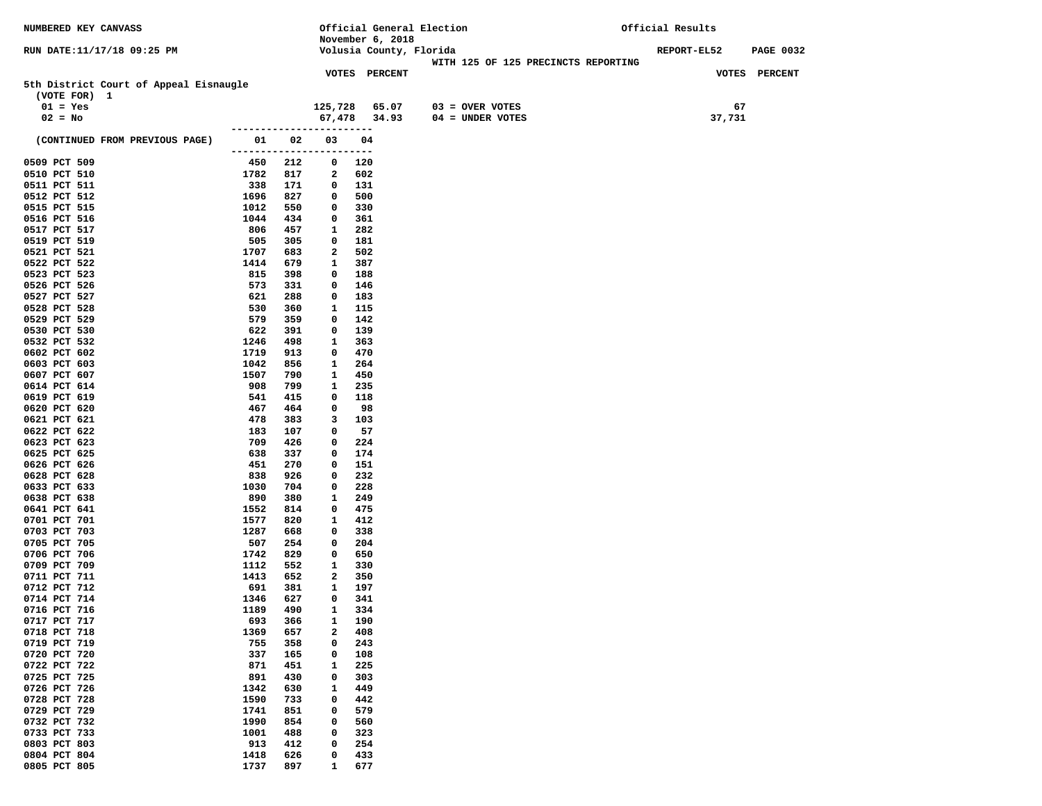| <b>NUMBERED KEY CANVASS</b>            |                                 |            |                         | Official General Election |                                     | Official Results                       |  |  |
|----------------------------------------|---------------------------------|------------|-------------------------|---------------------------|-------------------------------------|----------------------------------------|--|--|
|                                        |                                 |            |                         | November 6, 2018          |                                     |                                        |  |  |
| RUN DATE:11/17/18 09:25 PM             |                                 |            |                         | Volusia County, Florida   | WITH 125 OF 125 PRECINCTS REPORTING | <b>REPORT-EL52</b><br><b>PAGE 0032</b> |  |  |
|                                        |                                 |            |                         | <b>VOTES PERCENT</b>      |                                     | VOTES PERCENT                          |  |  |
| 5th District Court of Appeal Eisnaugle |                                 |            |                         |                           |                                     |                                        |  |  |
| (VOTE FOR) 1                           |                                 |            |                         |                           |                                     |                                        |  |  |
| $01 = Yes$                             |                                 |            |                         | 125,728 65.07             | 03 = OVER VOTES                     | 67                                     |  |  |
| $02 = No$                              |                                 |            |                         | 67,478 34.93              | $04 = UNDER VOTES$                  | 37,731                                 |  |  |
|                                        |                                 |            | ----------------------- |                           |                                     |                                        |  |  |
| (CONTINUED FROM PREVIOUS PAGE)         | 01 1                            | 02         | 03                      | 04                        |                                     |                                        |  |  |
| 0509 PCT 509                           | ------------------------<br>450 | 212        | $\mathbf 0$             | 120                       |                                     |                                        |  |  |
| 0510 PCT 510                           | 1782                            | 817        | $\mathbf{2}$            | 602                       |                                     |                                        |  |  |
| 0511 PCT 511                           | 338                             | 171        | 0                       | 131                       |                                     |                                        |  |  |
| 0512 PCT 512                           | 1696                            | 827        | 0                       | 500                       |                                     |                                        |  |  |
| 0515 PCT 515                           | 1012                            | 550        | 0                       | 330                       |                                     |                                        |  |  |
| 0516 PCT 516                           | 1044                            | 434        | 0                       | 361                       |                                     |                                        |  |  |
| 0517 PCT 517                           | 806                             | 457        | 1                       | 282                       |                                     |                                        |  |  |
| 0519 PCT 519                           | 505                             | 305        | 0                       | 181                       |                                     |                                        |  |  |
| 0521 PCT 521                           | 1707                            | 683        | 2                       | 502                       |                                     |                                        |  |  |
| 0522 PCT 522                           | 1414                            | 679        | 1                       | 387                       |                                     |                                        |  |  |
| 0523 PCT 523<br>0526 PCT 526           | 815<br>573                      | 398<br>331 | 0<br>0                  | 188<br>146                |                                     |                                        |  |  |
| 0527 PCT 527                           | 621                             | 288        | 0                       | 183                       |                                     |                                        |  |  |
| 0528 PCT 528                           | 530                             | 360        | 1                       | 115                       |                                     |                                        |  |  |
| 0529 PCT 529                           | 579                             | 359        | 0                       | 142                       |                                     |                                        |  |  |
| 0530 PCT 530                           | 622                             | 391        | 0                       | 139                       |                                     |                                        |  |  |
| 0532 PCT 532                           | 1246                            | 498        | 1                       | 363                       |                                     |                                        |  |  |
| 0602 PCT 602                           | 1719                            | 913        | 0                       | 470                       |                                     |                                        |  |  |
| 0603 PCT 603                           | 1042                            | 856        | 1                       | 264                       |                                     |                                        |  |  |
| 0607 PCT 607                           | 1507                            | 790        | 1                       | 450                       |                                     |                                        |  |  |
| 0614 PCT 614                           | 908                             | 799        | 1                       | 235                       |                                     |                                        |  |  |
| 0619 PCT 619<br>0620 PCT 620           | 541<br>467                      | 415<br>464 | 0<br>0                  | 118<br>98                 |                                     |                                        |  |  |
| 0621 PCT 621                           | 478                             | 383        | 3                       | 103                       |                                     |                                        |  |  |
| 0622 PCT 622                           | 183                             | 107        | 0                       | 57                        |                                     |                                        |  |  |
| 0623 PCT 623                           | 709                             | 426        | 0                       | 224                       |                                     |                                        |  |  |
| 0625 PCT 625                           | 638                             | 337        | 0                       | 174                       |                                     |                                        |  |  |
| 0626 PCT 626                           | 451                             | 270        | 0                       | 151                       |                                     |                                        |  |  |
| 0628 PCT 628                           | 838                             | 926        | 0                       | 232                       |                                     |                                        |  |  |
| 0633 PCT 633                           | 1030                            | 704        | 0                       | 228                       |                                     |                                        |  |  |
| 0638 PCT 638<br>0641 PCT 641           | 890<br>1552                     | 380<br>814 | 1<br>0                  | 249<br>475                |                                     |                                        |  |  |
| 0701 PCT 701                           | 1577                            | 820        | 1                       | 412                       |                                     |                                        |  |  |
| 0703 PCT 703                           | 1287                            | 668        | 0                       | 338                       |                                     |                                        |  |  |
| 0705 PCT 705                           | 507                             | 254        | 0                       | 204                       |                                     |                                        |  |  |
| 0706 PCT 706                           | 1742                            | 829        | 0                       | 650                       |                                     |                                        |  |  |
| 0709 PCT 709                           | 1112                            | 552        | 1                       | 330                       |                                     |                                        |  |  |
| 0711 PCT 711                           | 1413                            | 652        | 2                       | 350                       |                                     |                                        |  |  |
| 0712 PCT 712                           | 691                             | 381        | 1                       | 197                       |                                     |                                        |  |  |
| 0714 PCT 714                           | 1346                            | 627        | 0                       | 341                       |                                     |                                        |  |  |
| 0716 PCT 716                           | 1189                            | 490<br>366 | $\mathbf{1}$<br>1       | 334                       |                                     |                                        |  |  |
| 0717 PCT 717<br>0718 PCT 718           | 693<br>1369                     | 657        | $\mathbf{2}$            | 190<br>408                |                                     |                                        |  |  |
| 0719 PCT 719                           | 755                             | 358        | 0                       | 243                       |                                     |                                        |  |  |
| 0720 PCT 720                           | 337                             | 165        | 0                       | 108                       |                                     |                                        |  |  |
| 0722 PCT 722                           | 871                             | 451        | 1                       | 225                       |                                     |                                        |  |  |
| 0725 PCT 725                           | 891                             | 430        | 0                       | 303                       |                                     |                                        |  |  |
| 0726 PCT 726                           | 1342                            | 630        | 1                       | 449                       |                                     |                                        |  |  |
| 0728 PCT 728                           | 1590                            | 733        | 0                       | 442                       |                                     |                                        |  |  |
| 0729 PCT 729                           | 1741                            | 851        | 0                       | 579                       |                                     |                                        |  |  |
| 0732 PCT 732                           | 1990                            | 854        | 0                       | 560                       |                                     |                                        |  |  |
| 0733 PCT 733<br>0803 PCT 803           | 1001<br>913                     | 488<br>412 | 0<br>0                  | 323<br>254                |                                     |                                        |  |  |
| 0804 PCT 804                           | 1418                            | 626        | 0                       | 433                       |                                     |                                        |  |  |
| 0805 PCT 805                           | 1737                            | 897        | $\mathbf{1}$            | 677                       |                                     |                                        |  |  |
|                                        |                                 |            |                         |                           |                                     |                                        |  |  |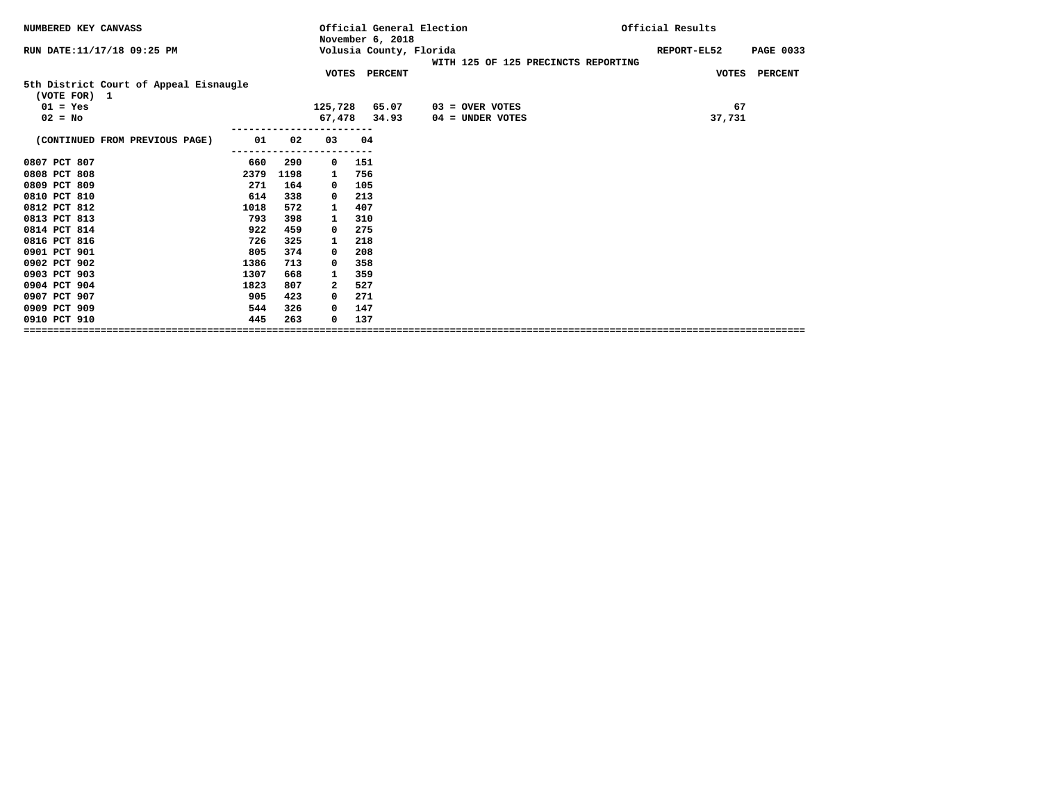| NUMBERED KEY CANVASS                                   |      |      |            | Official General Election<br>November 6, 2018 |                                     | Official Results                |
|--------------------------------------------------------|------|------|------------|-----------------------------------------------|-------------------------------------|---------------------------------|
| RUN DATE: 11/17/18 09:25 PM                            |      |      |            | Volusia County, Florida                       | WITH 125 OF 125 PRECINCTS REPORTING | REPORT-EL52<br><b>PAGE 0033</b> |
|                                                        |      |      |            | VOTES PERCENT                                 |                                     | VOTES PERCENT                   |
| 5th District Court of Appeal Eisnaugle<br>(VOTE FOR) 1 |      |      |            |                                               |                                     |                                 |
| $01 = Yes$                                             |      |      |            | 125,728 65.07                                 | $03 =$ OVER VOTES                   | 67                              |
| $02 = No$                                              |      |      |            | 67,478 34.93                                  | $04 =$ UNDER VOTES                  | 37,731                          |
|                                                        |      |      |            |                                               |                                     |                                 |
| (CONTINUED FROM PREVIOUS PAGE)                         | 01   | 02   | 03         | 04                                            |                                     |                                 |
|                                                        |      |      |            |                                               |                                     |                                 |
| 0807 PCT 807                                           | 660  | 290  | 0          | 151                                           |                                     |                                 |
| 0808 PCT 808                                           | 2379 | 1198 | 1          | 756                                           |                                     |                                 |
| 0809 PCT 809                                           | 271  | 164  | 0          | 105                                           |                                     |                                 |
| 0810 PCT 810                                           | 614  | 338  | 0          | 213                                           |                                     |                                 |
| 0812 PCT 812                                           | 1018 | 572  | 1          | 407                                           |                                     |                                 |
| 0813 PCT 813                                           | 793  | 398  | 1          | 310                                           |                                     |                                 |
| 0814 PCT 814                                           | 922  | 459  | 0          | 275                                           |                                     |                                 |
| 0816 PCT 816                                           | 726  | 325  | 1          | 218                                           |                                     |                                 |
| 0901 PCT 901                                           | 805  | 374  | 0          | 208                                           |                                     |                                 |
| 0902 PCT 902                                           | 1386 | 713  | $\Omega$   | 358                                           |                                     |                                 |
| 0903 PCT 903                                           | 1307 | 668  | 1          | 359                                           |                                     |                                 |
| 0904 PCT 904                                           | 1823 | 807  | 2          | 527                                           |                                     |                                 |
| 0907 PCT 907                                           | 905  | 423  | $\Omega$   | 271                                           |                                     |                                 |
| 0909 PCT 909                                           | 544  | 326  | $^{\circ}$ | 147                                           |                                     |                                 |
| 0910 PCT 910                                           | 445  | 263  | 0          | 137                                           |                                     |                                 |
|                                                        |      |      |            |                                               |                                     |                                 |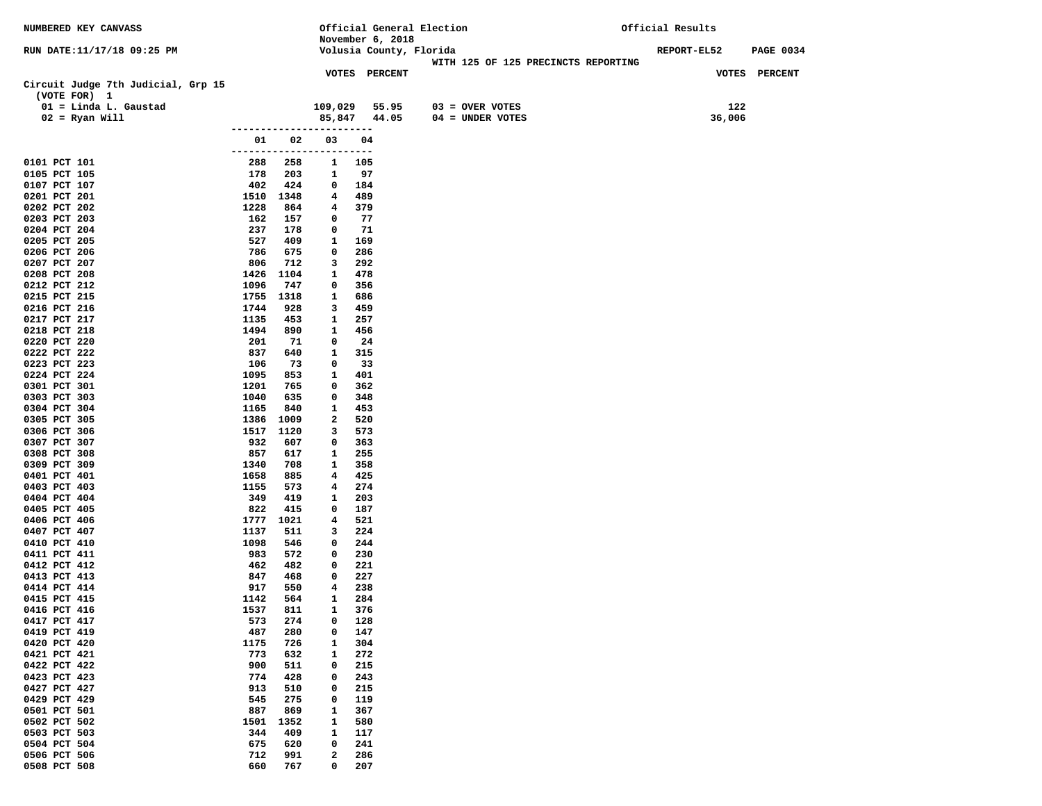| NUMBERED KEY CANVASS                               |                  |            |                                          |            |                         | Official General Election           | Official Results   |                  |
|----------------------------------------------------|------------------|------------|------------------------------------------|------------|-------------------------|-------------------------------------|--------------------|------------------|
|                                                    |                  |            | November 6, 2018                         |            |                         |                                     |                    |                  |
| RUN DATE:11/17/18 09:25 PM                         |                  |            |                                          |            | Volusia County, Florida | WITH 125 OF 125 PRECINCTS REPORTING | <b>REPORT-EL52</b> | <b>PAGE 0034</b> |
|                                                    |                  |            | <b>VOTES PERCENT</b>                     |            |                         |                                     |                    | VOTES PERCENT    |
| Circuit Judge 7th Judicial, Grp 15<br>(VOTE FOR) 1 |                  |            |                                          |            |                         |                                     |                    |                  |
| 01 = Linda L. Gaustad                              |                  |            | 109,029 55.95                            |            |                         | $03 =$ OVER VOTES                   | 122                |                  |
| $02$ = Ryan Will                                   |                  |            | 85,847 44.05                             |            |                         | 04 = UNDER VOTES                    | 36,006             |                  |
|                                                    | ---------------- |            |                                          |            |                         |                                     |                    |                  |
|                                                    |                  | 01 02      | 03                                       | 04         |                         |                                     |                    |                  |
| 0101 PCT 101                                       | 288              | 258        | ------------------------<br>$\mathbf{1}$ | 105        |                         |                                     |                    |                  |
| 0105 PCT 105                                       | 178              | 203        | 1                                        | 97         |                         |                                     |                    |                  |
| 0107 PCT 107                                       | 402              | 424        | $\mathbf 0$                              | 184        |                         |                                     |                    |                  |
| 0201 PCT 201                                       |                  | 1510 1348  | 4                                        | 489        |                         |                                     |                    |                  |
| 0202 PCT 202                                       | 1228             | 864        | 4                                        | 379        |                         |                                     |                    |                  |
| 0203 PCT 203                                       | 162              | 157        | $^{\circ}$                               | 77         |                         |                                     |                    |                  |
| 0204 PCT 204<br>0205 PCT 205                       | 237<br>527       | 178<br>409 | 0<br>$\mathbf{1}$                        | 71<br>169  |                         |                                     |                    |                  |
| 0206 PCT 206                                       | 786              | 675        | $\mathbf 0$                              | 286        |                         |                                     |                    |                  |
| 0207 PCT 207                                       | 806              | 712        | 3                                        | 292        |                         |                                     |                    |                  |
| 0208 PCT 208                                       |                  | 1426 1104  | $\mathbf{1}$                             | 478        |                         |                                     |                    |                  |
| 0212 PCT 212                                       | 1096             | 747        | 0                                        | 356        |                         |                                     |                    |                  |
| 0215 PCT 215                                       |                  | 1755 1318  | 1                                        | 686        |                         |                                     |                    |                  |
| 0216 PCT 216<br>0217 PCT 217                       | 1744<br>1135     | 928<br>453 | 3<br>1                                   | 459<br>257 |                         |                                     |                    |                  |
| 0218 PCT 218                                       | 1494             | 890        | $\mathbf{1}$                             | 456        |                         |                                     |                    |                  |
| 0220 PCT 220                                       | 201              | 71         | 0                                        | 24         |                         |                                     |                    |                  |
| 0222 PCT 222                                       | 837              | 640        | $\mathbf{1}$                             | 315        |                         |                                     |                    |                  |
| 0223 PCT 223                                       | 106              | 73         | 0                                        | 33         |                         |                                     |                    |                  |
| 0224 PCT 224                                       | 1095             | 853        | $\mathbf{1}$                             | 401        |                         |                                     |                    |                  |
| 0301 PCT 301<br>0303 PCT 303                       | 1201<br>1040     | 765<br>635 | 0<br>0                                   | 362<br>348 |                         |                                     |                    |                  |
| 0304 PCT 304                                       | 1165             | 840        | $\mathbf{1}$                             | 453        |                         |                                     |                    |                  |
| 0305 PCT 305                                       | 1386             | 1009       | 2                                        | 520        |                         |                                     |                    |                  |
| 0306 PCT 306                                       |                  | 1517 1120  | 3                                        | 573        |                         |                                     |                    |                  |
| 0307 PCT 307                                       | 932              | 607        | 0                                        | 363        |                         |                                     |                    |                  |
| 0308 PCT 308                                       | 857<br>1340      | 617<br>708 | 1<br>1                                   | 255<br>358 |                         |                                     |                    |                  |
| 0309 PCT 309<br>0401 PCT 401                       | 1658             | 885        | 4                                        | 425        |                         |                                     |                    |                  |
| 0403 PCT 403                                       | 1155             | 573        | 4                                        | 274        |                         |                                     |                    |                  |
| 0404 PCT 404                                       | 349              | 419        | $\mathbf{1}$                             | 203        |                         |                                     |                    |                  |
| 0405 PCT 405                                       | 822              | 415        | 0                                        | 187        |                         |                                     |                    |                  |
| 0406 PCT 406                                       |                  | 1777 1021  | 4                                        | 521        |                         |                                     |                    |                  |
| 0407 PCT 407<br>0410 PCT 410                       | 1137<br>1098     | 511<br>546 | 3<br>0                                   | 224<br>244 |                         |                                     |                    |                  |
| 0411 PCT 411                                       | 983              | 572        | $\mathbf{0}$                             | 230        |                         |                                     |                    |                  |
| 0412 PCT 412                                       | 462              | 482        | $^{\circ}$                               | 221        |                         |                                     |                    |                  |
| 0413 PCT 413                                       | 847              | 468        | 0                                        | 227        |                         |                                     |                    |                  |
| 0414 PCT 414                                       | 917              | 550        | $4\phantom{1}$                           | 238        |                         |                                     |                    |                  |
| 0415 PCT 415<br>0416 PCT 416                       | 1142<br>1537     | 564<br>811 | 1<br>$\mathbf{1}$                        | 284<br>376 |                         |                                     |                    |                  |
| 0417 PCT 417                                       | 573              | 274        | 0                                        | 128        |                         |                                     |                    |                  |
| 0419 PCT 419                                       | 487              | 280        | 0                                        | 147        |                         |                                     |                    |                  |
| 0420 PCT 420                                       | 1175             | 726        | $\mathbf{1}$                             | 304        |                         |                                     |                    |                  |
| 0421 PCT 421                                       | 773              | 632        | 1                                        | 272        |                         |                                     |                    |                  |
| 0422 PCT 422                                       | 900              | 511        | 0                                        | 215        |                         |                                     |                    |                  |
| 0423 PCT 423<br>0427 PCT 427                       | 774<br>913       | 428<br>510 | 0<br>0                                   | 243<br>215 |                         |                                     |                    |                  |
| 0429 PCT 429                                       | 545              | 275        | 0                                        | 119        |                         |                                     |                    |                  |
| 0501 PCT 501                                       | 887              | 869        | $\mathbf{1}$                             | 367        |                         |                                     |                    |                  |
| 0502 PCT 502                                       | 1501             | 1352       | 1                                        | 580        |                         |                                     |                    |                  |
| 0503 PCT 503                                       | 344              | 409        | $\mathbf{1}$                             | 117        |                         |                                     |                    |                  |
| 0504 PCT 504<br>0506 PCT 506                       | 675              | 620<br>991 | 0<br>$\mathbf{2}$                        | 241        |                         |                                     |                    |                  |
| 0508 PCT 508                                       | 712<br>660       | 767        | 0                                        | 286<br>207 |                         |                                     |                    |                  |
|                                                    |                  |            |                                          |            |                         |                                     |                    |                  |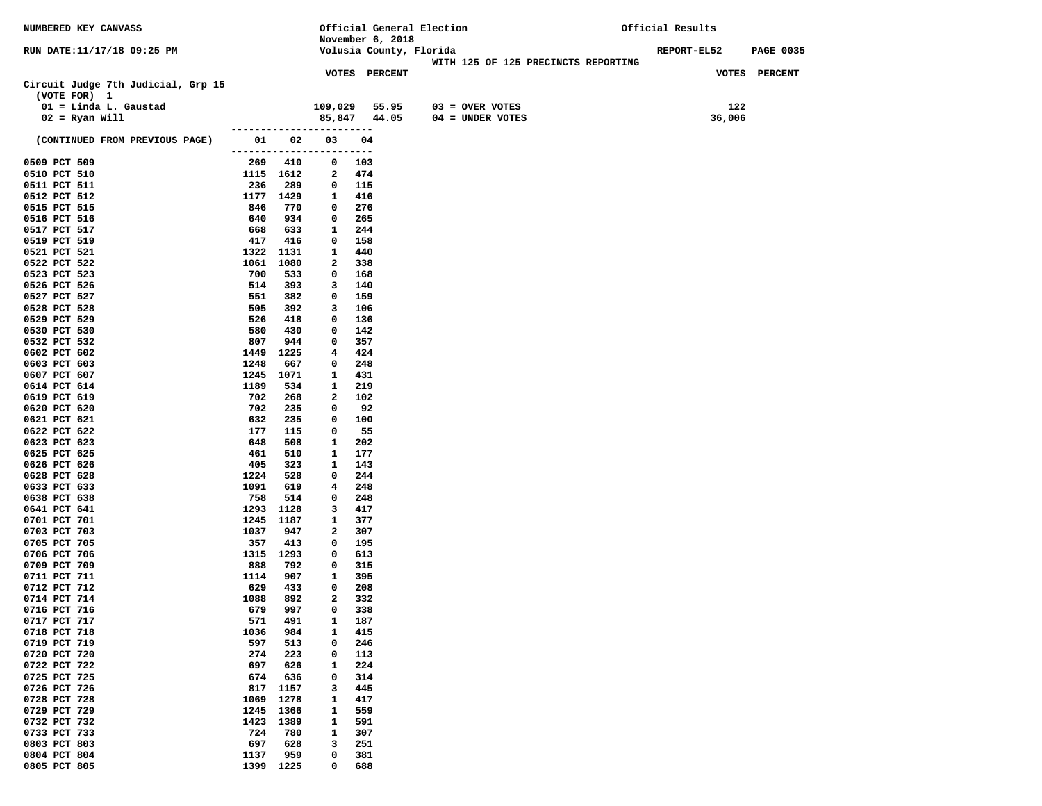| <b>NUMBERED KEY CANVASS</b>                        |                           |            |                              | Official General Election |                                     | Official Results                       |  |
|----------------------------------------------------|---------------------------|------------|------------------------------|---------------------------|-------------------------------------|----------------------------------------|--|
|                                                    |                           |            |                              | November 6, 2018          |                                     |                                        |  |
| RUN DATE:11/17/18 09:25 PM                         |                           |            |                              | Volusia County, Florida   |                                     | <b>REPORT-EL52</b><br><b>PAGE 0035</b> |  |
|                                                    |                           |            |                              |                           | WITH 125 OF 125 PRECINCTS REPORTING |                                        |  |
| Circuit Judge 7th Judicial, Grp 15<br>(VOTE FOR) 1 |                           |            |                              | <b>VOTES PERCENT</b>      |                                     | VOTES PERCENT                          |  |
| 01 = Linda L. Gaustad                              |                           |            |                              | 109,029 55.95             | 03 = OVER VOTES                     | 122                                    |  |
| $02 =$ Ryan Will                                   |                           |            |                              | 85,847 44.05              | $04 =$ UNDER VOTES                  | 36,006                                 |  |
|                                                    | ------------------------  |            |                              |                           |                                     |                                        |  |
| (CONTINUED FROM PREVIOUS PAGE)                     | ------------------------- | 01 02      | 03                           | 04                        |                                     |                                        |  |
| 0509 PCT 509                                       | 1115 1612                 | 269 410    | $\mathbf 0$                  | 103                       |                                     |                                        |  |
| 0510 PCT 510<br>0511 PCT 511                       | 236                       | 289        | $\mathbf{2}$<br>$\mathbf{0}$ | 474<br>115                |                                     |                                        |  |
| 0512 PCT 512                                       | 1177 1429                 |            | $\mathbf{1}$                 | 416                       |                                     |                                        |  |
| 0515 PCT 515                                       | 846                       | 770        | 0                            | 276                       |                                     |                                        |  |
| 0516 PCT 516                                       | 640                       | 934        | $\mathbf 0$                  | 265                       |                                     |                                        |  |
| 0517 PCT 517                                       | 668                       | 633        | $\mathbf{1}$                 | 244                       |                                     |                                        |  |
| 0519 PCT 519                                       | 417                       | 416        | $\mathbf 0$                  | 158                       |                                     |                                        |  |
| 0521 PCT 521                                       | 1322 1131                 |            | 1                            | 440                       |                                     |                                        |  |
| 0522 PCT 522                                       | 1061 1080                 |            | 2                            | 338                       |                                     |                                        |  |
| 0523 PCT 523                                       | 700                       | 533        | 0                            | 168                       |                                     |                                        |  |
| 0526 PCT 526                                       | 514                       | 393        | 3                            | 140                       |                                     |                                        |  |
| 0527 PCT 527                                       | 551                       | 382        | $\mathbf 0$                  | 159                       |                                     |                                        |  |
| 0528 PCT 528                                       | 505                       | 392        | 3                            | 106                       |                                     |                                        |  |
| 0529 PCT 529                                       | 526                       | 418        | 0                            | 136                       |                                     |                                        |  |
| 0530 PCT 530                                       | 580                       | 430        | 0                            | 142                       |                                     |                                        |  |
| 0532 PCT 532                                       | 807                       | 944        | 0                            | 357                       |                                     |                                        |  |
| 0602 PCT 602                                       | 1449                      | 1225       | 4                            | 424                       |                                     |                                        |  |
| 0603 PCT 603<br>0607 PCT 607                       | 1248                      | 667        | 0<br>1                       | 248                       |                                     |                                        |  |
| 0614 PCT 614                                       | 1245 1071<br>1189         | 534        | 1                            | 431<br>219                |                                     |                                        |  |
| 0619 PCT 619                                       | 702                       | 268        | 2                            | 102                       |                                     |                                        |  |
| 0620 PCT 620                                       | 702                       | 235        | 0                            | 92                        |                                     |                                        |  |
| 0621 PCT 621                                       | 632                       | 235        | 0                            | 100                       |                                     |                                        |  |
| 0622 PCT 622                                       | 177                       | 115        | $\mathbf 0$                  | 55                        |                                     |                                        |  |
| 0623 PCT 623                                       | 648                       | 508        | 1                            | 202                       |                                     |                                        |  |
| 0625 PCT 625                                       | 461                       | 510        | $\mathbf{1}$                 | 177                       |                                     |                                        |  |
| 0626 PCT 626                                       | 405                       | 323        | 1                            | 143                       |                                     |                                        |  |
| 0628 PCT 628                                       | 1224                      | 528        | 0                            | 244                       |                                     |                                        |  |
| 0633 PCT 633                                       | 1091                      | 619        | 4                            | 248                       |                                     |                                        |  |
| 0638 PCT 638                                       | 758                       | 514        | 0                            | 248                       |                                     |                                        |  |
| 0641 PCT 641                                       | 1293 1128                 |            | 3                            | 417                       |                                     |                                        |  |
| 0701 PCT 701                                       | 1245 1187                 |            | 1                            | 377                       |                                     |                                        |  |
| 0703 PCT 703<br>0705 PCT 705                       | 1037<br>357               | 947<br>413 | 2<br>0                       | 307<br>195                |                                     |                                        |  |
| 0706 PCT 706                                       | 1315 1293                 |            | 0                            | 613                       |                                     |                                        |  |
| 0709 PCT 709                                       | 888                       | 792        | $\mathbf 0$                  | 315                       |                                     |                                        |  |
| 0711 PCT 711                                       | 1114                      | 907        | 1                            | 395                       |                                     |                                        |  |
| 0712 PCT 712                                       | 629                       | 433        | 0                            | 208                       |                                     |                                        |  |
| 0714 PCT 714                                       | 1088                      | 892        | 2                            | 332                       |                                     |                                        |  |
| 0716 PCT 716                                       | 679                       | 997        | 0                            | 338                       |                                     |                                        |  |
| 0717 PCT 717                                       | 571                       | 491        | 1                            | 187                       |                                     |                                        |  |
| 0718 PCT 718                                       | 1036                      | 984        | 1                            | 415                       |                                     |                                        |  |
| 0719 PCT 719                                       | 597                       | 513        | $\mathbf 0$                  | 246                       |                                     |                                        |  |
| 0720 PCT 720                                       | 274                       | 223        | 0                            | 113                       |                                     |                                        |  |
| 0722 PCT 722                                       | 697                       | 626        | 1                            | 224                       |                                     |                                        |  |
| 0725 PCT 725                                       | 674                       | 636        | 0                            | 314                       |                                     |                                        |  |
| 0726 PCT 726                                       | 817                       | 1157       | з                            | 445                       |                                     |                                        |  |
| 0728 PCT 728                                       | 1069                      | 1278       | 1                            | 417                       |                                     |                                        |  |
| 0729 PCT 729                                       | 1245                      | 1366       | $\mathbf{1}$                 | 559                       |                                     |                                        |  |
| 0732 PCT 732                                       | 1423                      | 1389       | 1                            | 591                       |                                     |                                        |  |
| 0733 PCT 733<br>0803 PCT 803                       | 724<br>697                | 780<br>628 | $\mathbf{1}$<br>3            | 307<br>251                |                                     |                                        |  |
| 0804 PCT 804                                       | 1137                      | 959        | 0                            | 381                       |                                     |                                        |  |
| 0805 PCT 805                                       | 1399                      | 1225       | 0                            | 688                       |                                     |                                        |  |
|                                                    |                           |            |                              |                           |                                     |                                        |  |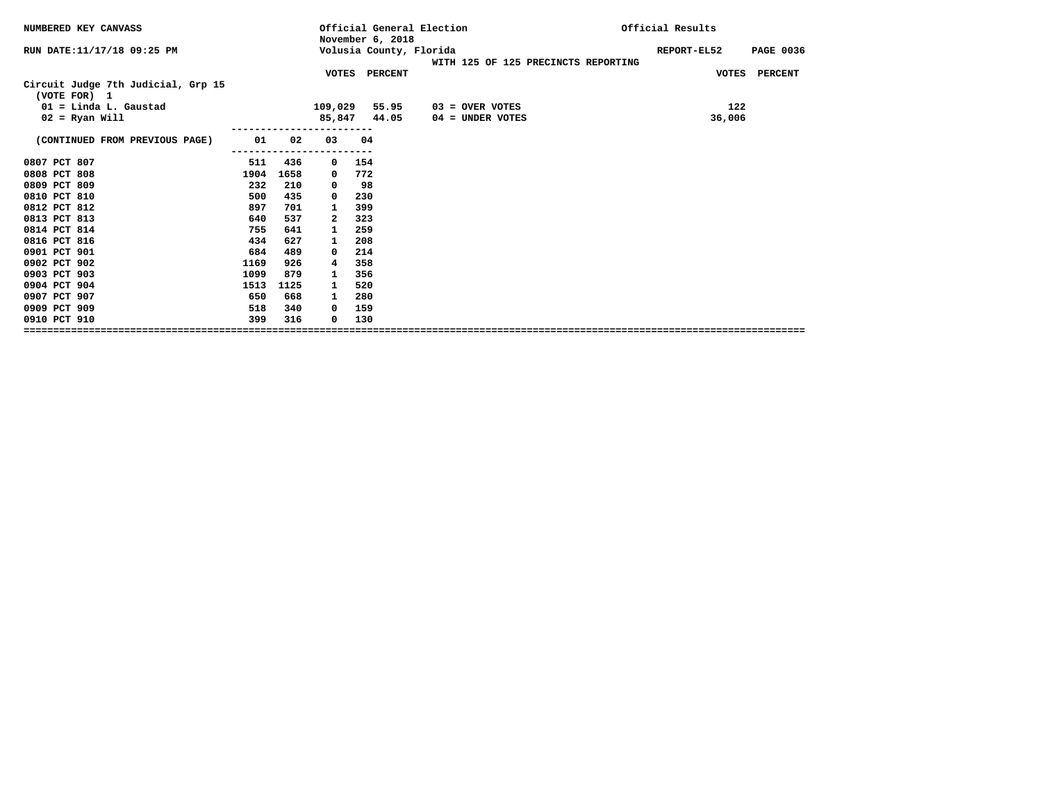| NUMBERED KEY CANVASS                               |      |      |             | November 6, 2018 | Official General Election           | Official Results                |
|----------------------------------------------------|------|------|-------------|------------------|-------------------------------------|---------------------------------|
| RUN DATE:11/17/18 09:25 PM                         |      |      |             |                  | Volusia County, Florida             | REPORT-EL52<br><b>PAGE 0036</b> |
|                                                    |      |      |             |                  | WITH 125 OF 125 PRECINCTS REPORTING |                                 |
|                                                    |      |      |             | VOTES PERCENT    |                                     | VOTES PERCENT                   |
| Circuit Judge 7th Judicial, Grp 15<br>(VOTE FOR) 1 |      |      |             |                  |                                     |                                 |
| $01 =$ Linda L. Gaustad                            |      |      | 109,029     | 55.95            | $03 =$ OVER VOTES                   | 122                             |
| $02$ = Ryan Will                                   |      |      |             | 85,847 44.05     | 04 = UNDER VOTES                    | 36,006                          |
|                                                    |      |      |             |                  |                                     |                                 |
| (CONTINUED FROM PREVIOUS PAGE)                     | 01   | 02   | 03          | 04               |                                     |                                 |
|                                                    |      |      |             |                  |                                     |                                 |
| 0807 PCT 807                                       | 511  | 436  | $\mathbf 0$ | 154              |                                     |                                 |
| 0808 PCT 808                                       | 1904 | 1658 | 0           | 772              |                                     |                                 |
| 0809 PCT 809                                       | 232  | 210  | 0           | 98               |                                     |                                 |
| 0810 PCT 810                                       | 500  | 435  | 0           | 230              |                                     |                                 |
| 0812 PCT 812                                       | 897  | 701  | 1           | 399              |                                     |                                 |
| 0813 PCT 813                                       | 640  | 537  | 2           | 323              |                                     |                                 |
| 0814 PCT 814                                       | 755  | 641  | 1           | 259              |                                     |                                 |
| 0816 PCT 816                                       | 434  | 627  | 1           | 208              |                                     |                                 |
| 0901 PCT 901                                       | 684  | 489  | 0           | 214              |                                     |                                 |
| 0902 PCT 902                                       | 1169 | 926  | 4           | 358              |                                     |                                 |
| 0903 PCT 903                                       | 1099 | 879  | 1           | 356              |                                     |                                 |
| 0904 PCT 904                                       | 1513 | 1125 | 1           | 520              |                                     |                                 |
| 0907 PCT 907                                       | 650  | 668  | 1           | 280              |                                     |                                 |
| 0909 PCT 909                                       | 518  | 340  | 0           | 159              |                                     |                                 |
| 0910 PCT 910                                       | 399  | 316  | 0           | 130              |                                     |                                 |
|                                                    |      |      |             |                  |                                     |                                 |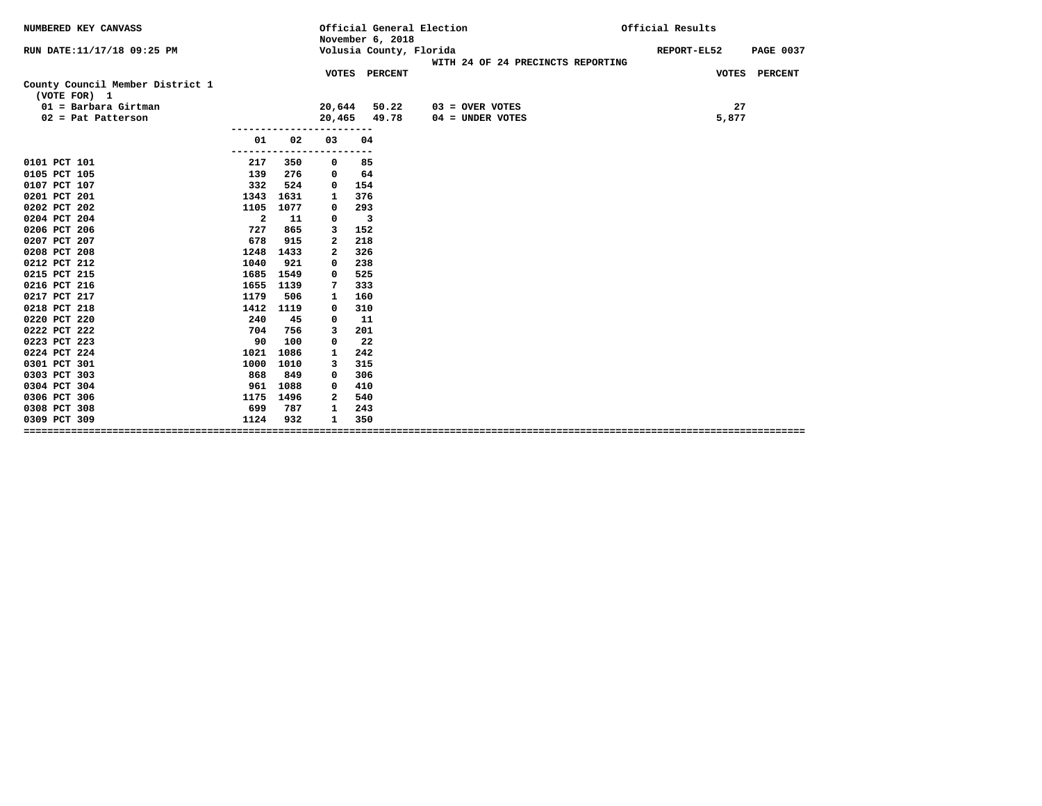| NUMBERED KEY CANVASS                             |                         |            |        | November 6, 2018        | Official General Election                                    | Official Results                |  |  |
|--------------------------------------------------|-------------------------|------------|--------|-------------------------|--------------------------------------------------------------|---------------------------------|--|--|
| RUN DATE:11/17/18 09:25 PM                       |                         |            |        |                         | Volusia County, Florida<br>WITH 24 OF 24 PRECINCTS REPORTING | REPORT-EL52<br><b>PAGE 0037</b> |  |  |
|                                                  |                         |            |        | VOTES PERCENT           |                                                              | VOTES PERCENT                   |  |  |
| County Council Member District 1<br>(VOTE FOR) 1 |                         |            |        |                         |                                                              |                                 |  |  |
| $01 =$ Barbara Girtman                           |                         |            | 20,644 | 50.22                   | $03 =$ OVER VOTES                                            | 27                              |  |  |
| $02$ = Pat Patterson                             |                         |            | 20,465 | 49.78                   | 04 = UNDER VOTES                                             | 5,877                           |  |  |
|                                                  |                         |            |        |                         |                                                              |                                 |  |  |
|                                                  | 01                      | 02         | 03     | 04                      |                                                              |                                 |  |  |
| 0101 PCT 101                                     | --------<br>217         | 350        |        | 85                      |                                                              |                                 |  |  |
| 0105 PCT 105                                     | 139                     | 276        | 0<br>0 | 64                      |                                                              |                                 |  |  |
| 0107 PCT 107                                     | 332                     | 524        | 0      | 154                     |                                                              |                                 |  |  |
| 0201 PCT 201                                     | 1343                    | 1631       | 1      | 376                     |                                                              |                                 |  |  |
| 0202 PCT 202                                     | 1105                    | 1077       | 0      | 293                     |                                                              |                                 |  |  |
| 0204 PCT 204                                     | $\overline{\mathbf{2}}$ | 11         | 0      | $\overline{\mathbf{3}}$ |                                                              |                                 |  |  |
| 0206 PCT 206                                     | 727                     | 865        | 3      | 152                     |                                                              |                                 |  |  |
| 0207 PCT 207                                     | 678                     | 915        | 2      | 218                     |                                                              |                                 |  |  |
| 0208 PCT 208                                     | 1248                    | 1433       | 2      | 326                     |                                                              |                                 |  |  |
| 0212 PCT 212                                     | 1040                    | 921        | 0      | 238                     |                                                              |                                 |  |  |
| 0215 PCT 215                                     | 1685                    | 1549       | 0      | 525                     |                                                              |                                 |  |  |
| 0216 PCT 216                                     | 1655                    | 1139       | 7      | 333                     |                                                              |                                 |  |  |
| 0217 PCT 217                                     | 1179                    | 506        | 1      | 160                     |                                                              |                                 |  |  |
| 0218 PCT 218                                     | 1412                    | 1119       | 0      | 310                     |                                                              |                                 |  |  |
| 0220 PCT 220                                     | 240                     | 45         | 0      | 11                      |                                                              |                                 |  |  |
| 0222 PCT 222                                     | 704                     | 756        | 3      | 201                     |                                                              |                                 |  |  |
| 0223 PCT 223                                     | 90                      | 100        | 0      | 22                      |                                                              |                                 |  |  |
| 0224 PCT 224                                     | 1021                    | 1086       | 1      | 242                     |                                                              |                                 |  |  |
| 0301 PCT 301                                     | 1000                    | 1010       | 3      | 315                     |                                                              |                                 |  |  |
| 0303 PCT 303                                     | 868                     | 849        | 0      | 306                     |                                                              |                                 |  |  |
| 0304 PCT 304                                     | 961                     | 1088       | 0      | 410                     |                                                              |                                 |  |  |
| 0306 PCT 306                                     | 1175                    | 1496       | 2      | 540                     |                                                              |                                 |  |  |
| 0308 PCT 308<br>0309 PCT 309                     | 699<br>1124             | 787<br>932 | 1<br>1 | 243<br>350              |                                                              |                                 |  |  |
|                                                  |                         |            |        |                         |                                                              |                                 |  |  |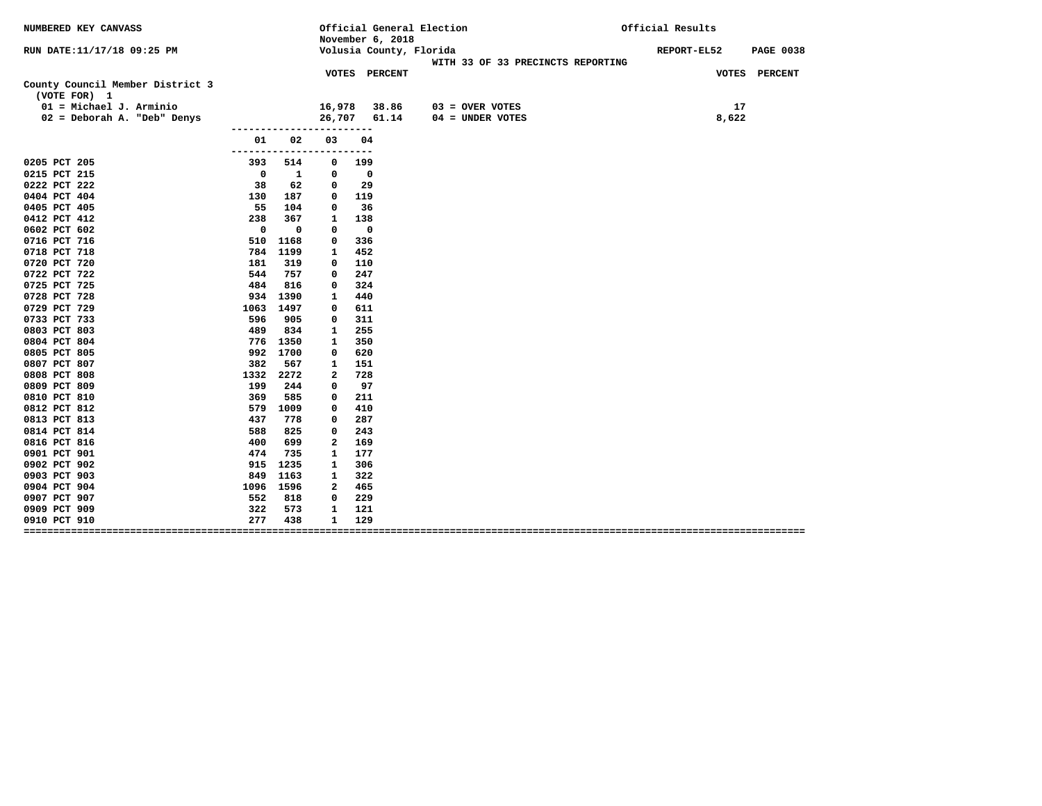| NUMBERED KEY CANVASS                             |                     |              | November 6, 2018     |                          | Official General Election                                    | Official Results                |
|--------------------------------------------------|---------------------|--------------|----------------------|--------------------------|--------------------------------------------------------------|---------------------------------|
| RUN DATE:11/17/18 09:25 PM                       |                     |              |                      |                          | Volusia County, Florida<br>WITH 33 OF 33 PRECINCTS REPORTING | REPORT-EL52<br><b>PAGE 0038</b> |
|                                                  |                     |              | <b>VOTES PERCENT</b> |                          |                                                              | VOTES PERCENT                   |
| County Council Member District 3<br>(VOTE FOR) 1 |                     |              |                      |                          |                                                              |                                 |
| $01 = Michael J. Arminio$                        |                     |              | 16,978               |                          | 38.86<br>$03 =$ OVER VOTES                                   | 17                              |
| 02 = Deborah A. "Deb" Denys                      |                     |              | 26,707               |                          | 61.14<br>$04 = UNDER VOTES$                                  | 8,622                           |
|                                                  |                     |              |                      |                          |                                                              |                                 |
|                                                  | 01<br>------------- | 02           | 03                   | 04                       |                                                              |                                 |
| 0205 PCT 205                                     | 393                 | 514          | 0                    | 199                      |                                                              |                                 |
| 0215 PCT 215                                     | $\mathbf 0$         | $\mathbf{1}$ | 0                    | 0                        |                                                              |                                 |
| 0222 PCT 222                                     | 38                  | 62           | 0                    | 29                       |                                                              |                                 |
| 0404 PCT 404                                     | 130                 | 187          | 0                    | 119                      |                                                              |                                 |
| 0405 PCT 405                                     | 55                  | 104          | 0                    | 36                       |                                                              |                                 |
| 0412 PCT 412                                     | 238                 | 367          | 1                    | 138                      |                                                              |                                 |
| 0602 PCT 602                                     | $\mathbf 0$         | $\mathbf 0$  | $\Omega$             | $\overline{\phantom{0}}$ |                                                              |                                 |
| 0716 PCT 716                                     | 510                 | 1168         | 0                    | 336                      |                                                              |                                 |
| 0718 PCT 718                                     |                     | 784 1199     | 1                    | 452                      |                                                              |                                 |
| 0720 PCT 720                                     | 181                 | 319          | 0                    | 110                      |                                                              |                                 |
| 0722 PCT 722                                     | 544                 | 757          | 0                    | 247                      |                                                              |                                 |
| 0725 PCT 725                                     | 484                 | 816          | 0                    | 324                      |                                                              |                                 |
| 0728 PCT 728                                     |                     | 934 1390     | 1                    | 440                      |                                                              |                                 |
| 0729 PCT 729                                     | 1063 1497           |              | 0                    | 611                      |                                                              |                                 |
| 0733 PCT 733                                     | 596                 | 905          | 0                    | 311                      |                                                              |                                 |
| 0803 PCT 803                                     | 489                 | 834          | 1                    | 255                      |                                                              |                                 |
| 0804 PCT 804                                     |                     | 776 1350     | 1                    | 350                      |                                                              |                                 |
| 0805 PCT 805                                     |                     | 992 1700     | 0                    | 620                      |                                                              |                                 |
| 0807 PCT 807                                     | 382                 | 567          | 1                    | 151                      |                                                              |                                 |
| 0808 PCT 808                                     | 1332                | 2272         | 2                    | 728                      |                                                              |                                 |
| 0809 PCT 809                                     | 199                 | 244          | 0                    | 97                       |                                                              |                                 |
| 0810 PCT 810                                     | 369                 | 585          | 0                    | 211                      |                                                              |                                 |
| 0812 PCT 812                                     | 579                 | 1009         | $\Omega$             | 410                      |                                                              |                                 |
| 0813 PCT 813                                     | 437                 | 778          | 0                    | 287                      |                                                              |                                 |
| 0814 PCT 814                                     | 588                 | 825          | 0                    | 243                      |                                                              |                                 |
| 0816 PCT 816                                     | 400                 | 699          | 2                    | 169                      |                                                              |                                 |
| 0901 PCT 901                                     | 474                 | 735          | 1                    | 177                      |                                                              |                                 |
| 0902 PCT 902                                     | 915                 | 1235         | 1                    | 306                      |                                                              |                                 |
| 0903 PCT 903                                     | 849                 | 1163         | 1                    | 322                      |                                                              |                                 |
| 0904 PCT 904                                     | 1096 1596           |              | 2                    | 465                      |                                                              |                                 |
| 0907 PCT 907                                     | 552                 | 818          | 0                    | 229                      |                                                              |                                 |
| 0909 PCT 909                                     | 322                 | 573          | 1                    | 121                      |                                                              |                                 |
| 0910 PCT 910                                     | 277                 | 438          | 1                    | 129                      |                                                              |                                 |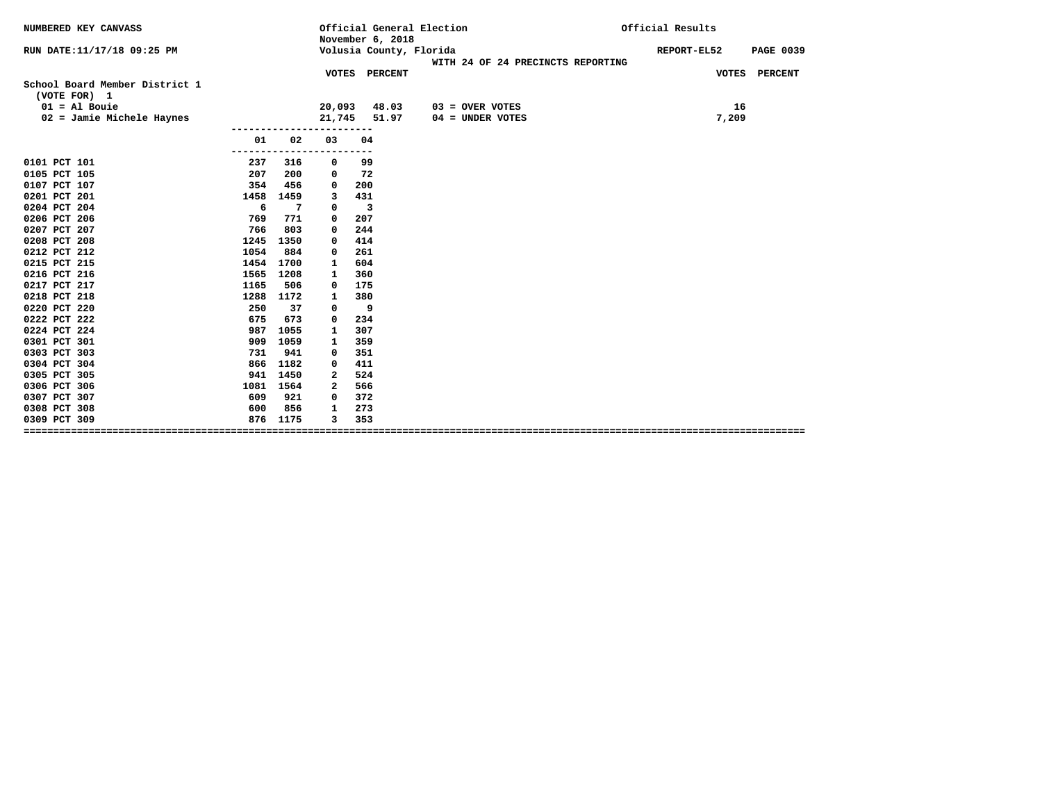| NUMBERED KEY CANVASS                           |      |                      |              | November 6, 2018        | Official General Election                                    | Official Results                |
|------------------------------------------------|------|----------------------|--------------|-------------------------|--------------------------------------------------------------|---------------------------------|
| RUN DATE:11/17/18 09:25 PM                     |      |                      |              |                         | Volusia County, Florida<br>WITH 24 OF 24 PRECINCTS REPORTING | REPORT-EL52<br><b>PAGE 0039</b> |
|                                                |      |                      |              | VOTES PERCENT           |                                                              | VOTES PERCENT                   |
| School Board Member District 1<br>(VOTE FOR) 1 |      |                      |              |                         |                                                              |                                 |
| $01 = A1$ Bouie                                |      |                      | 20,093       | 48.03                   | $03 =$ OVER VOTES                                            | 16                              |
| 02 = Jamie Michele Haynes                      |      |                      | 21,745       | 51.97                   | $04 =$ UNDER VOTES                                           | 7,209                           |
|                                                | 01   | 02                   | 03           | 04                      |                                                              |                                 |
| 0101 PCT 101                                   | 237  | -------------<br>316 | 0            | 99                      |                                                              |                                 |
| 0105 PCT 105                                   | 207  | 200                  | 0            | 72                      |                                                              |                                 |
| 0107 PCT 107                                   | 354  | 456                  | 0            | 200                     |                                                              |                                 |
| 0201 PCT 201                                   | 1458 | 1459                 | 3            | 431                     |                                                              |                                 |
| 0204 PCT 204                                   | - 6  | 7                    | 0            | $\overline{\mathbf{3}}$ |                                                              |                                 |
| 0206 PCT 206                                   | 769  | 771                  | 0            | 207                     |                                                              |                                 |
| 0207 PCT 207                                   | 766  | 803                  | 0            | 244                     |                                                              |                                 |
| 0208 PCT 208                                   | 1245 | 1350                 | 0            | 414                     |                                                              |                                 |
| 0212 PCT 212                                   | 1054 | 884                  | 0            | 261                     |                                                              |                                 |
| 0215 PCT 215                                   | 1454 | 1700                 | 1            | 604                     |                                                              |                                 |
| 0216 PCT 216                                   | 1565 | 1208                 | 1            | 360                     |                                                              |                                 |
| 0217 PCT 217                                   | 1165 | 506                  | 0            | 175                     |                                                              |                                 |
| 0218 PCT 218                                   | 1288 | 1172                 | 1            | 380                     |                                                              |                                 |
| 0220 PCT 220                                   | 250  | 37                   | 0            | 9                       |                                                              |                                 |
| 0222 PCT 222                                   | 675  | 673                  | 0            | 234                     |                                                              |                                 |
| 0224 PCT 224                                   | 987  | 1055                 | 1            | 307                     |                                                              |                                 |
| 0301 PCT 301                                   | 909  | 1059                 | 1            | 359                     |                                                              |                                 |
| 0303 PCT 303                                   | 731  | 941                  | 0            | 351                     |                                                              |                                 |
| 0304 PCT 304                                   | 866  | 1182                 | 0            | 411                     |                                                              |                                 |
| 0305 PCT 305                                   |      | 941 1450             | 2            | 524                     |                                                              |                                 |
| 0306 PCT 306                                   | 1081 | 1564                 | $\mathbf{2}$ | 566                     |                                                              |                                 |
| 0307 PCT 307                                   | 609  | 921                  | 0            | 372                     |                                                              |                                 |
| 0308 PCT 308                                   | 600  | 856                  | 1            | 273                     |                                                              |                                 |
| 0309 PCT 309                                   |      | 876 1175             | 3            | 353                     |                                                              |                                 |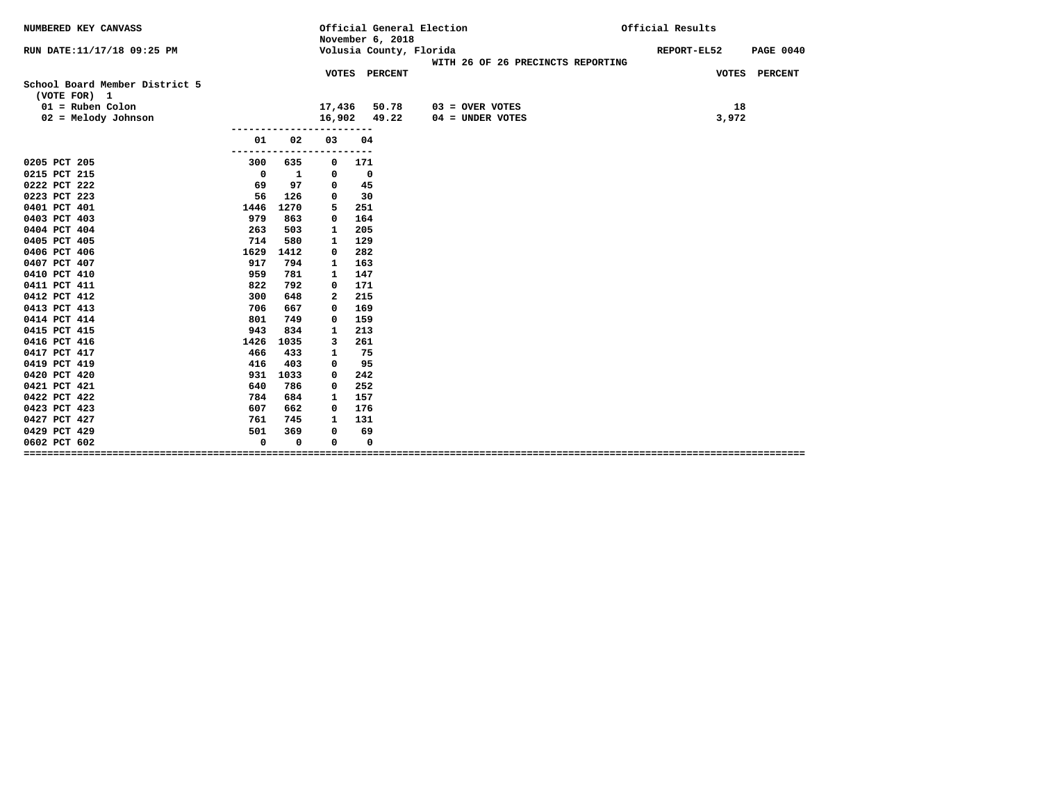| NUMBERED KEY CANVASS                           |                              | Official General Election<br>November 6, 2018 |                          |                         |  |                   | Official Results                  |  |             |       |                  |
|------------------------------------------------|------------------------------|-----------------------------------------------|--------------------------|-------------------------|--|-------------------|-----------------------------------|--|-------------|-------|------------------|
| RUN DATE: 11/17/18 09:25 PM                    |                              |                                               |                          | Volusia County, Florida |  |                   | WITH 26 OF 26 PRECINCTS REPORTING |  | REPORT-EL52 |       | <b>PAGE 0040</b> |
|                                                |                              |                                               |                          | VOTES PERCENT           |  |                   |                                   |  |             |       | VOTES PERCENT    |
| School Board Member District 5<br>(VOTE FOR) 1 |                              |                                               |                          |                         |  |                   |                                   |  |             |       |                  |
| $01 = Ruben$ Colon                             |                              | 17,436                                        |                          | 50.78                   |  | $03 =$ OVER VOTES |                                   |  |             | 18    |                  |
| $02$ = Melody Johnson                          |                              | 16,902 49.22                                  |                          |                         |  |                   | $04 =$ UNDER VOTES                |  |             | 3,972 |                  |
| 01                                             | 02                           | 03                                            | 04                       |                         |  |                   |                                   |  |             |       |                  |
| 0205 PCT 205<br>300                            | . - - - - - - - - - -<br>635 | ----------<br>0                               | 171                      |                         |  |                   |                                   |  |             |       |                  |
| 0215 PCT 215<br>$\overline{\mathbf{0}}$        | 1                            | 0                                             | $\overline{\phantom{0}}$ |                         |  |                   |                                   |  |             |       |                  |
| 0222 PCT 222<br>69                             | 97                           | 0                                             | 45                       |                         |  |                   |                                   |  |             |       |                  |
| 0223 PCT 223<br>56                             | 126                          | $\Omega$                                      | 30                       |                         |  |                   |                                   |  |             |       |                  |
| 0401 PCT 401<br>1446                           | 1270                         | 5                                             | 251                      |                         |  |                   |                                   |  |             |       |                  |
| 0403 PCT 403<br>979                            | 863                          | 0                                             | 164                      |                         |  |                   |                                   |  |             |       |                  |
| 263<br>0404 PCT 404                            | 503                          | 1                                             | 205                      |                         |  |                   |                                   |  |             |       |                  |
| 714<br>0405 PCT 405                            | 580                          | 1                                             | 129                      |                         |  |                   |                                   |  |             |       |                  |
| 1629<br>0406 PCT 406                           | 1412                         | 0                                             | 282                      |                         |  |                   |                                   |  |             |       |                  |
| 0407 PCT 407<br>917                            | 794                          | 1                                             | 163                      |                         |  |                   |                                   |  |             |       |                  |
| 0410 PCT 410<br>959                            | 781                          | 1                                             | 147                      |                         |  |                   |                                   |  |             |       |                  |
| 0411 PCT 411<br>822                            | 792                          | 0                                             | 171                      |                         |  |                   |                                   |  |             |       |                  |
| 0412 PCT 412<br>300                            | 648                          | 2                                             | 215                      |                         |  |                   |                                   |  |             |       |                  |
| 0413 PCT 413<br>706                            | 667                          | 0                                             | 169                      |                         |  |                   |                                   |  |             |       |                  |
| 0414 PCT 414<br>801                            | 749                          | 0                                             | 159                      |                         |  |                   |                                   |  |             |       |                  |
| 0415 PCT 415<br>943                            | 834                          | 1                                             | 213                      |                         |  |                   |                                   |  |             |       |                  |
| 0416 PCT 416<br>1426                           | 1035                         | 3                                             | 261                      |                         |  |                   |                                   |  |             |       |                  |
| 0417 PCT 417<br>466                            | 433                          | 1                                             | 75                       |                         |  |                   |                                   |  |             |       |                  |
| 416<br>0419 PCT 419                            | 403                          | 0                                             | 95                       |                         |  |                   |                                   |  |             |       |                  |
| 0420 PCT 420<br>931                            | 1033                         | 0                                             | 242                      |                         |  |                   |                                   |  |             |       |                  |
| 640<br>0421 PCT 421                            | 786                          | 0                                             | 252                      |                         |  |                   |                                   |  |             |       |                  |
| 0422 PCT 422<br>784                            | 684                          | 1                                             | 157                      |                         |  |                   |                                   |  |             |       |                  |
| 0423 PCT 423<br>607                            | 662                          | 0                                             | 176                      |                         |  |                   |                                   |  |             |       |                  |
| 0427 PCT 427<br>761                            | 745                          | 1                                             | 131                      |                         |  |                   |                                   |  |             |       |                  |
| 0429 PCT 429<br>501                            | 369                          | $\Omega$                                      | 69                       |                         |  |                   |                                   |  |             |       |                  |
| $\mathbf 0$<br>0602 PCT 602                    | 0                            | 0                                             | 0                        |                         |  |                   |                                   |  |             |       |                  |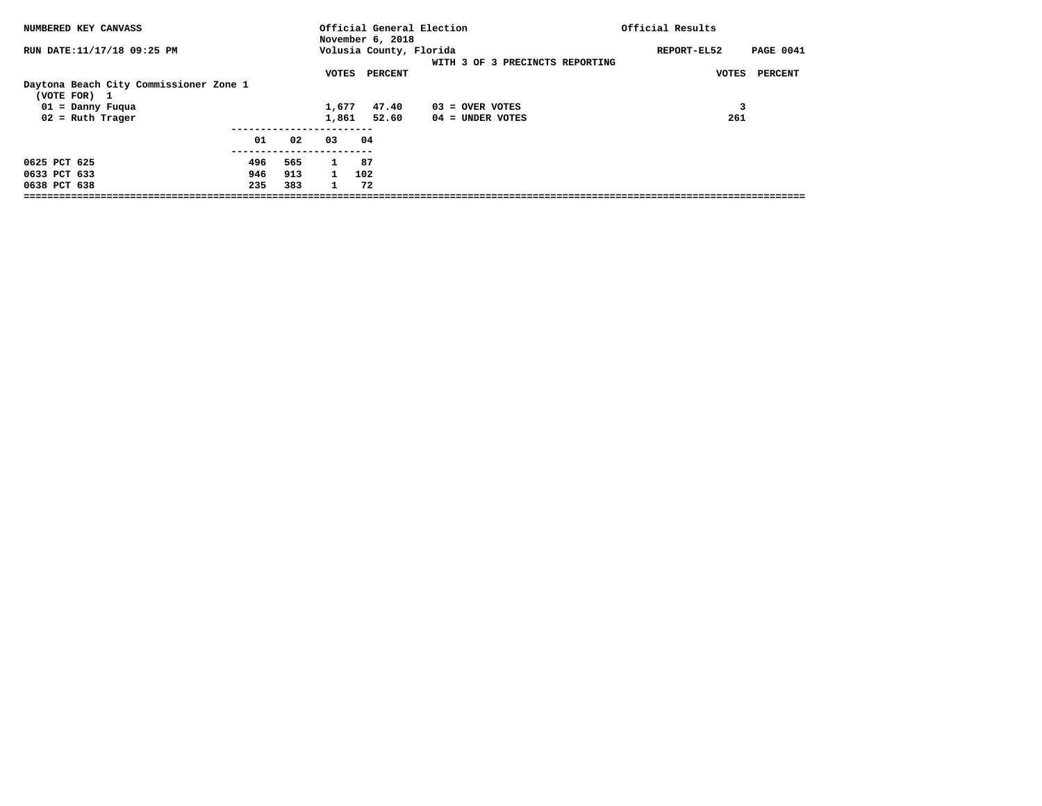| NUMBERED KEY CANVASS                                                         |                   |                   |                                              | November 6, 2018        | Official General Election       | Official Results                |
|------------------------------------------------------------------------------|-------------------|-------------------|----------------------------------------------|-------------------------|---------------------------------|---------------------------------|
| RUN DATE:11/17/18 09:25 PM                                                   |                   |                   |                                              | Volusia County, Florida | WITH 3 OF 3 PRECINCTS REPORTING | <b>PAGE 0041</b><br>REPORT-EL52 |
| Daytona Beach City Commissioner Zone 1<br>(VOTE FOR) 1<br>$01 =$ Danny Fuqua |                   |                   | VOTES<br>1,677                               | PERCENT<br>47.40        | $03 =$ OVER VOTES               | VOTES<br>PERCENT                |
| $02$ = Ruth Trager                                                           | 01                | 02                | 1,861<br>03                                  | 52.60<br>04             | $04 =$ UNDER VOTES              | 261                             |
| 0625 PCT 625<br>0633 PCT 633<br>0638 PCT 638                                 | 496<br>946<br>235 | 565<br>913<br>383 | $\mathbf{1}$<br>$\mathbf{1}$<br>$\mathbf{1}$ | 87<br>102<br>72         |                                 |                                 |
|                                                                              |                   |                   |                                              |                         |                                 |                                 |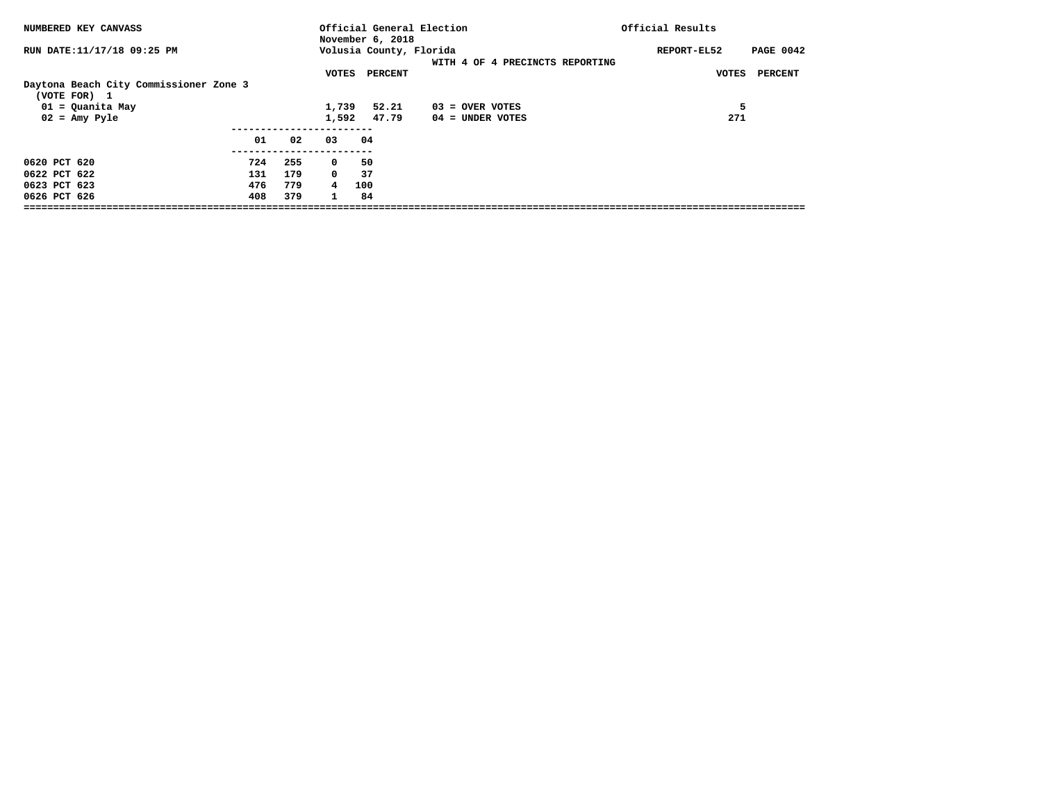| NUMBERED KEY CANVASS                                                                                 |                          |                          |                                | Official General Election<br>November 6, 2018 |                                       | Official Results                |
|------------------------------------------------------------------------------------------------------|--------------------------|--------------------------|--------------------------------|-----------------------------------------------|---------------------------------------|---------------------------------|
| RUN DATE:11/17/18 09:25 PM                                                                           |                          |                          |                                | Volusia County, Florida                       | WITH 4 OF 4 PRECINCTS REPORTING       | <b>PAGE 0042</b><br>REPORT-EL52 |
| Daytona Beach City Commissioner Zone 3<br>(VOTE FOR) 1<br>01 = Quanita May<br>$02 = \text{Amy Pyle}$ |                          |                          | VOTES<br>1,739<br>1,592        | PERCENT<br>52.21<br>47.79                     | $03 =$ OVER VOTES<br>04 = UNDER VOTES | PERCENT<br>VOTES<br>5<br>271    |
|                                                                                                      | 01                       | 02                       | 03                             | 04                                            |                                       |                                 |
| 0620 PCT 620<br>0622 PCT 622<br>0623 PCT 623<br>0626 PCT 626                                         | 724<br>131<br>476<br>408 | 255<br>179<br>779<br>379 | $^{\circ}$<br>$\mathbf 0$<br>4 | 50<br>37<br>100<br>84                         |                                       |                                 |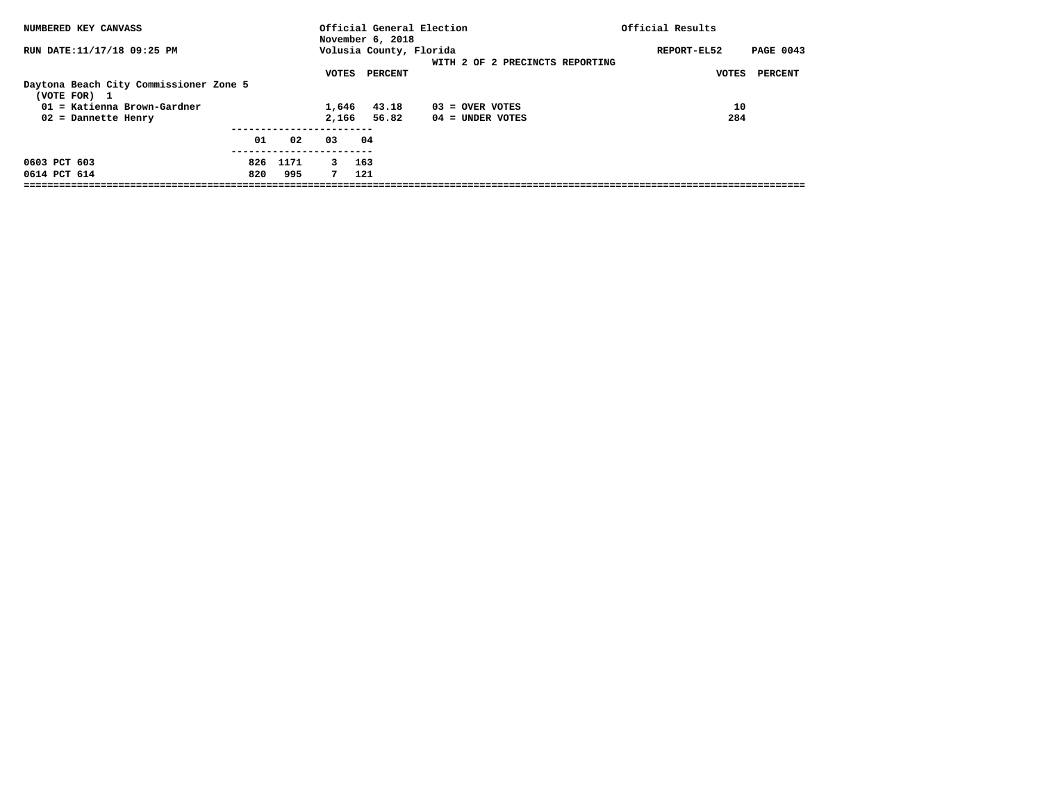| NUMBERED KEY CANVASS                                                                    |     |      |                | November 6, 2018        | Official General Election       | Official Results                |
|-----------------------------------------------------------------------------------------|-----|------|----------------|-------------------------|---------------------------------|---------------------------------|
| RUN DATE:11/17/18 09:25 PM                                                              |     |      |                | Volusia County, Florida | WITH 2 OF 2 PRECINCTS REPORTING | <b>PAGE 0043</b><br>REPORT-EL52 |
| Daytona Beach City Commissioner Zone 5<br>(VOTE FOR) 1<br>$01$ = Katienna Brown-Gardner |     |      | VOTES<br>1,646 | PERCENT<br>43.18        | $03 =$ OVER VOTES               | PERCENT<br>VOTES<br>10          |
| 02 = Dannette Henry                                                                     |     |      | 2,166          | 56.82                   | $04 =$ UNDER VOTES              | 284                             |
|                                                                                         | 01  | 02   | 03             | 04                      |                                 |                                 |
| 0603 PCT 603                                                                            | 826 | 1171 | $\mathbf{3}$   | 163                     |                                 |                                 |
| 0614 PCT 614                                                                            | 820 | 995  | 7              | 121                     |                                 |                                 |
|                                                                                         |     |      |                |                         |                                 |                                 |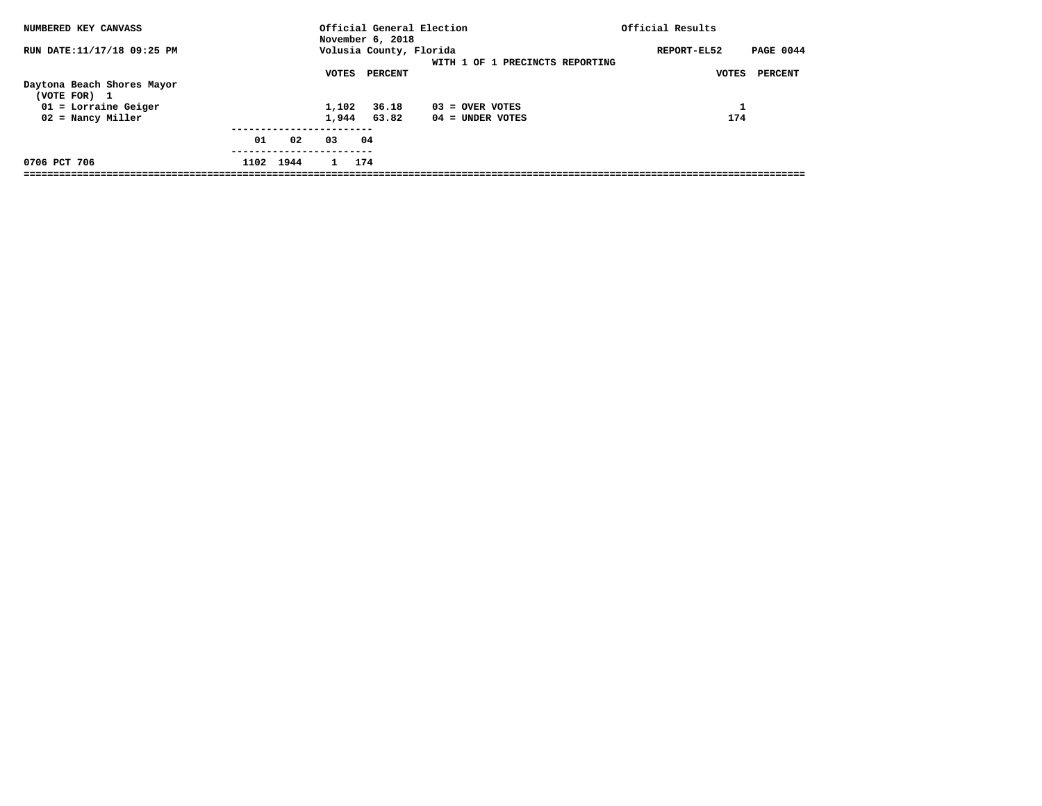| NUMBERED KEY CANVASS                                                                        |           |    |                | November 6, 2018                   | Official General Election               | Official Results                                    |
|---------------------------------------------------------------------------------------------|-----------|----|----------------|------------------------------------|-----------------------------------------|-----------------------------------------------------|
| RUN DATE:11/17/18 09:25 PM                                                                  |           |    | VOTES          | Volusia County, Florida<br>PERCENT | WITH 1 OF 1 PRECINCTS REPORTING         | <b>PAGE 0044</b><br>REPORT-EL52<br>PERCENT<br>VOTES |
| Daytona Beach Shores Mayor<br>(VOTE FOR) 1<br>$01$ = Lorraine Geiger<br>$02$ = Nancy Miller |           |    | 1,102<br>1,944 | 36.18<br>63.82                     | $03 =$ OVER VOTES<br>$04 =$ UNDER VOTES | 174                                                 |
|                                                                                             | 01        | 02 | 03             | 04                                 |                                         |                                                     |
| 0706 PCT 706                                                                                | 1102 1944 |    | $\mathbf{1}$   | 174                                |                                         |                                                     |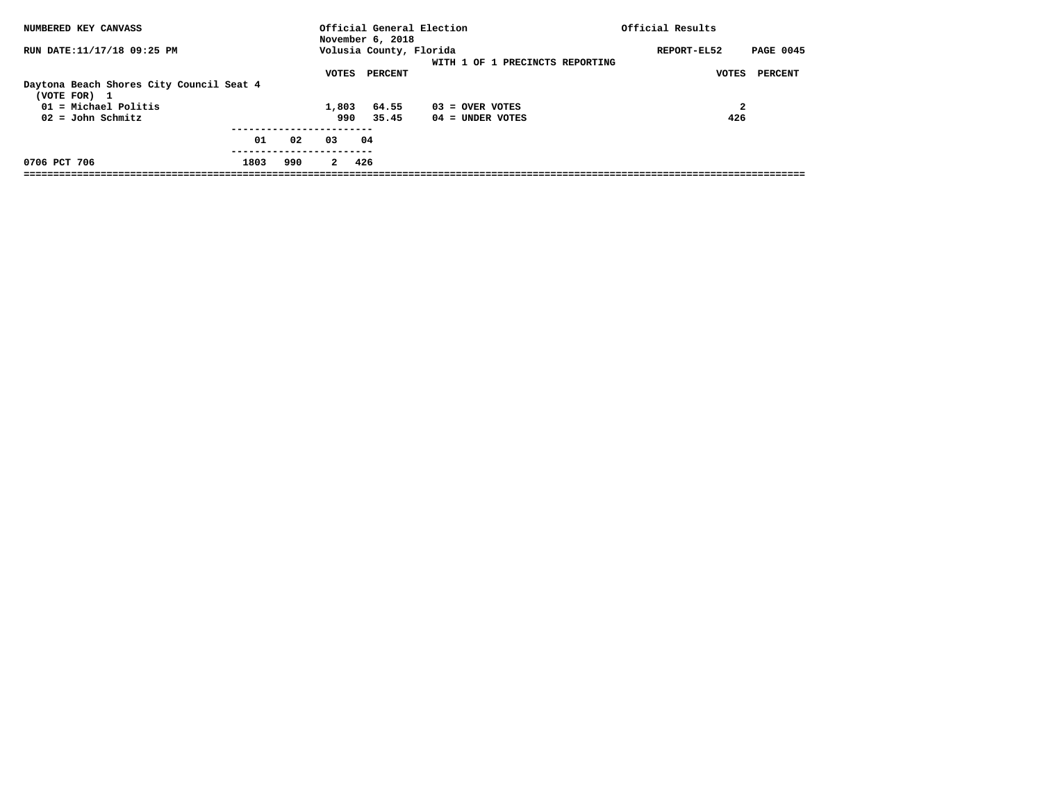| NUMBERED KEY CANVASS                                                                                      |      |     |                       | November 6, 2018          | Official General Election               | Official Results                    |
|-----------------------------------------------------------------------------------------------------------|------|-----|-----------------------|---------------------------|-----------------------------------------|-------------------------------------|
| RUN DATE:11/17/18 09:25 PM                                                                                |      |     |                       | Volusia County, Florida   | WITH 1 OF 1 PRECINCTS REPORTING         | <b>PAGE 0045</b><br>REPORT-EL52     |
| Daytona Beach Shores City Council Seat 4<br>(VOTE FOR) 1<br>$01 = Michael$ Politis<br>$02 =$ John Schmitz |      |     | VOTES<br>1,803<br>990 | PERCENT<br>64.55<br>35.45 | $03 =$ OVER VOTES<br>$04 =$ UNDER VOTES | PERCENT<br><b>VOTES</b><br>2<br>426 |
|                                                                                                           | 01   | 02  | 03                    | 04                        |                                         |                                     |
| 0706 PCT 706                                                                                              | 1803 | 990 | $\mathbf{2}$          | 426                       |                                         |                                     |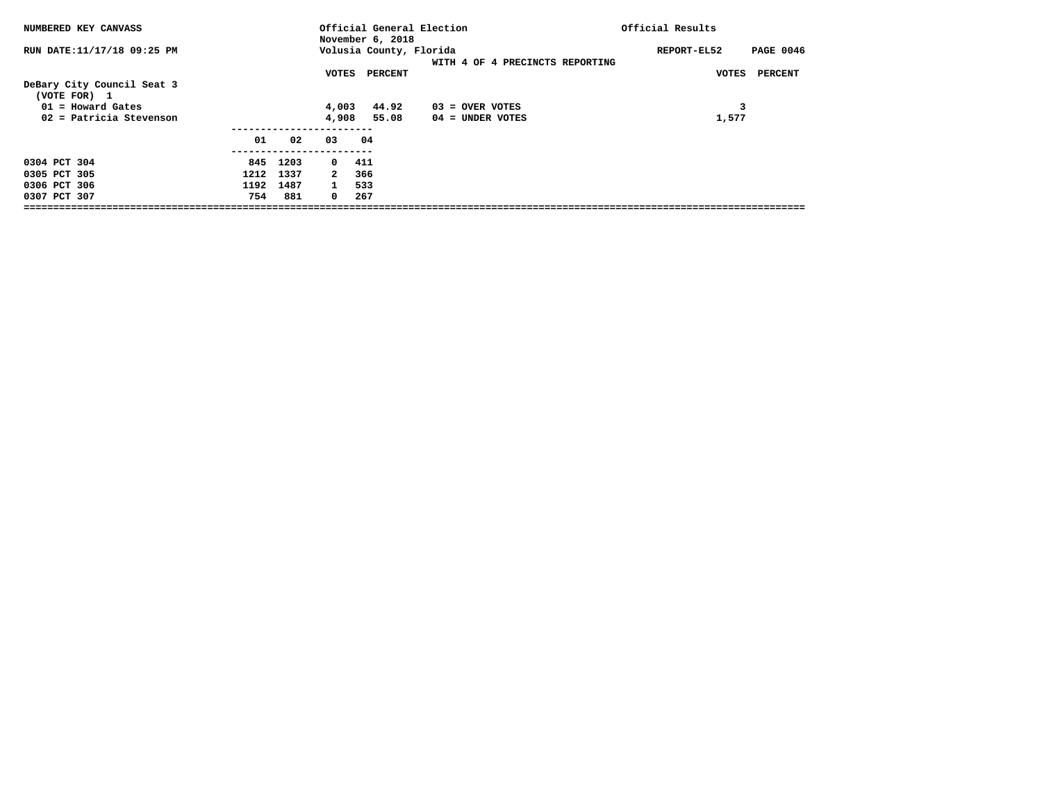| NUMBERED KEY CANVASS                       |      |           |              | Official General Election<br>November 6, 2018 |                                 | Official Results                |
|--------------------------------------------|------|-----------|--------------|-----------------------------------------------|---------------------------------|---------------------------------|
| RUN DATE:11/17/18 09:25 PM                 |      |           |              | Volusia County, Florida                       | WITH 4 OF 4 PRECINCTS REPORTING | REPORT-EL52<br><b>PAGE 0046</b> |
| DeBary City Council Seat 3<br>(VOTE FOR) 1 |      |           | VOTES        | PERCENT                                       |                                 | PERCENT<br>VOTES                |
| $01 =$ Howard Gates                        |      |           | 4,003        | 44.92                                         | $03 =$ OVER VOTES               | 3                               |
| 02 = Patricia Stevenson                    |      |           | 4,908        | 55.08                                         | $04 =$ UNDER VOTES              | 1,577                           |
|                                            | 01   | 02        | 03           | 04                                            |                                 |                                 |
| 0304 PCT 304                               |      | 845 1203  | $0\quad 411$ |                                               |                                 |                                 |
| 0305 PCT 305                               |      | 1212 1337 | 2            | 366                                           |                                 |                                 |
| 0306 PCT 306                               | 1192 | 1487      | $\mathbf{1}$ | 533                                           |                                 |                                 |
| 0307 PCT 307                               | 754  | 881       | $^{\circ}$   | 267                                           |                                 |                                 |
|                                            |      |           |              |                                               |                                 |                                 |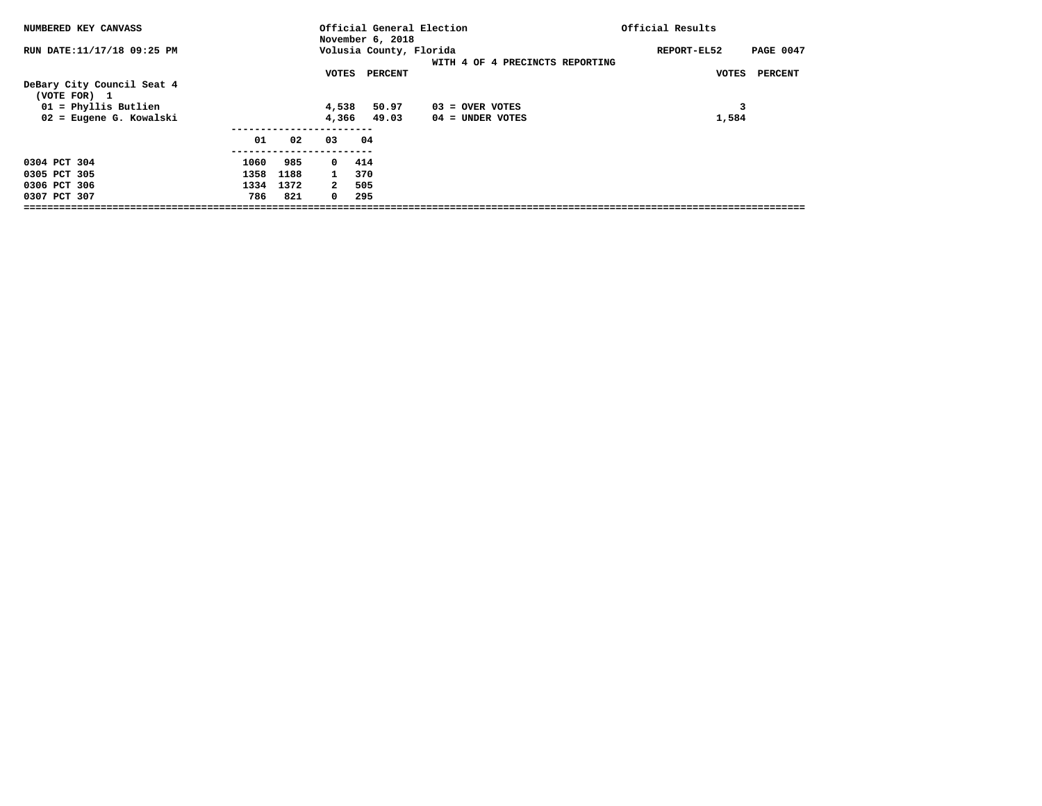| <b>NUMBERED KEY CANVASS</b>                |      |      |              | Official General Election<br>November 6, 2018 |                                 | Official Results                |
|--------------------------------------------|------|------|--------------|-----------------------------------------------|---------------------------------|---------------------------------|
| RUN DATE:11/17/18 09:25 PM                 |      |      |              | Volusia County, Florida                       | WITH 4 OF 4 PRECINCTS REPORTING | REPORT-EL52<br><b>PAGE 0047</b> |
| DeBary City Council Seat 4<br>(VOTE FOR) 1 |      |      | VOTES        | PERCENT                                       |                                 | PERCENT<br>VOTES                |
| 01 = Phyllis Butlien                       |      |      | 4,538        | 50.97                                         | $03 =$ OVER VOTES               | 3                               |
| 02 = Eugene G. Kowalski                    |      |      | 4,366        | 49.03                                         | $04 =$ UNDER VOTES              | 1,584                           |
|                                            | 01   | 02   | 03           | 04                                            |                                 |                                 |
| 0304 PCT 304                               | 1060 | 985  | $0\quad 414$ |                                               |                                 |                                 |
| 0305 PCT 305                               | 1358 | 1188 | $\mathbf{1}$ | 370                                           |                                 |                                 |
| 0306 PCT 306                               | 1334 | 1372 | 2            | 505                                           |                                 |                                 |
| 0307 PCT 307                               | 786  | 821  | $^{\circ}$   | 295                                           |                                 |                                 |
|                                            |      |      |              |                                               |                                 |                                 |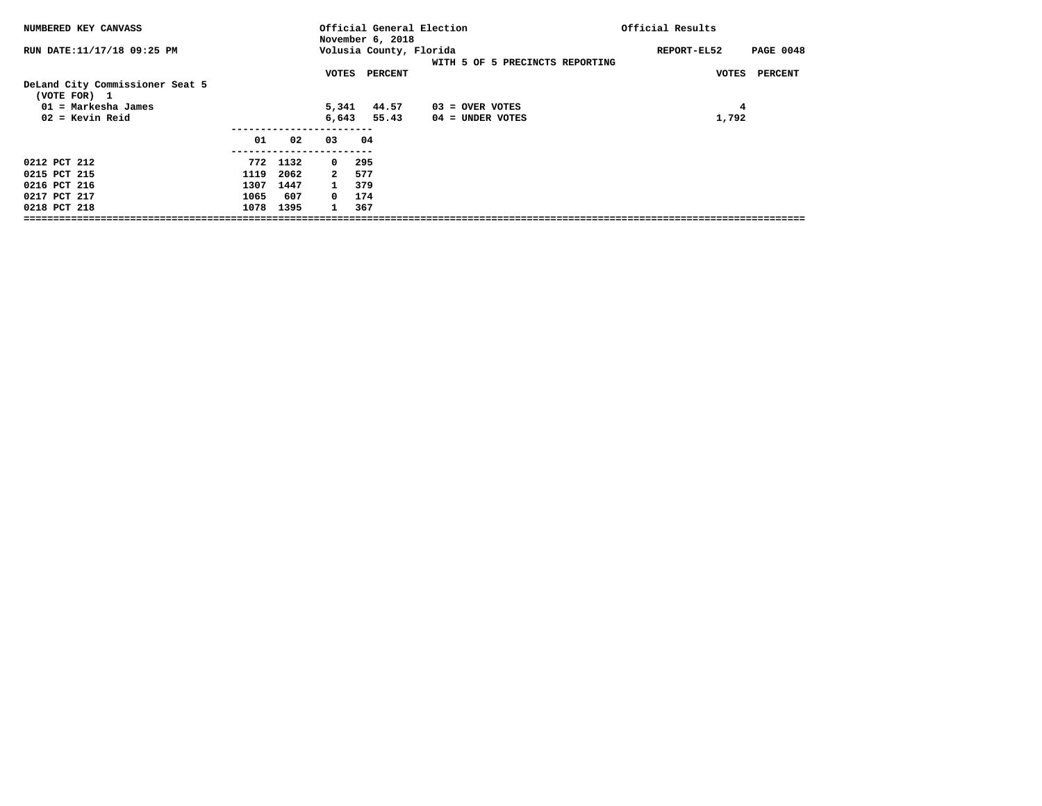| NUMBERED KEY CANVASS                            |      |      |              | November 6, 2018        | Official General Election       | Official Results                |
|-------------------------------------------------|------|------|--------------|-------------------------|---------------------------------|---------------------------------|
| RUN DATE:11/17/18 09:25 PM                      |      |      |              | Volusia County, Florida | WITH 5 OF 5 PRECINCTS REPORTING | <b>PAGE 0048</b><br>REPORT-EL52 |
|                                                 |      |      | VOTES        | PERCENT                 |                                 | <b>VOTES</b><br><b>PERCENT</b>  |
| DeLand City Commissioner Seat 5<br>(VOTE FOR) 1 |      |      |              |                         |                                 |                                 |
| $01$ = Markesha James                           |      |      | 5,341        | 44.57                   | $03 =$ OVER VOTES               | 4                               |
| $02 =$ Kevin Reid                               |      |      | 6,643        | 55.43                   | $04 =$ UNDER VOTES              | 1,792                           |
|                                                 |      |      |              |                         |                                 |                                 |
|                                                 | 01   | 02   | 03           | 04                      |                                 |                                 |
|                                                 |      |      |              |                         |                                 |                                 |
| 0212 PCT 212                                    | 772  | 1132 | $\mathbf{0}$ | 295                     |                                 |                                 |
| 0215 PCT 215                                    | 1119 | 2062 | $\mathbf{2}$ | 577                     |                                 |                                 |
| 0216 PCT 216                                    | 1307 | 1447 | $\mathbf{1}$ | 379                     |                                 |                                 |
| 0217 PCT 217                                    | 1065 | 607  | $^{\circ}$   | 174                     |                                 |                                 |
| 0218 PCT 218                                    | 1078 | 1395 | $\mathbf{1}$ | 367                     |                                 |                                 |
|                                                 |      |      |              |                         |                                 |                                 |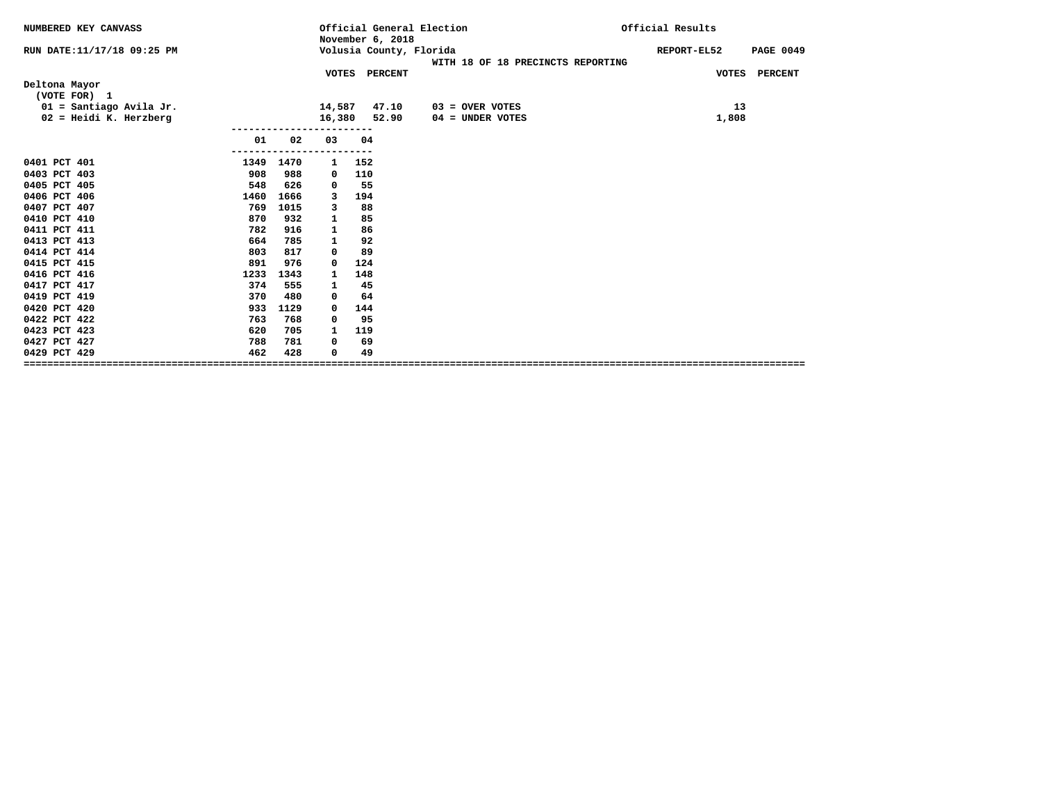| NUMBERED KEY CANVASS          |      |             | November 6, 2018 | Official General Election<br>Official Results |                  |
|-------------------------------|------|-------------|------------------|-----------------------------------------------|------------------|
| RUN DATE:11/17/18 09:25 PM    |      |             |                  | Volusia County, Florida<br>REPORT-EL52        | <b>PAGE 0049</b> |
|                               |      |             | VOTES PERCENT    | WITH 18 OF 18 PRECINCTS REPORTING             | VOTES PERCENT    |
| Deltona Mayor<br>(VOTE FOR) 1 |      |             |                  |                                               |                  |
| $01 =$ Santiago Avila Jr.     |      | 14,587      |                  | 47.10<br>13<br>$03 =$ OVER VOTES              |                  |
| $02$ = Heidi K. Herzberg      |      | 16,380      |                  | 52.90<br>1,808<br>$04 =$ UNDER VOTES          |                  |
| 01                            | 02   | 03          | 04               |                                               |                  |
| 0401 PCT 401<br>1349          | 1470 | ------<br>1 | ----<br>152      |                                               |                  |
| 908<br>0403 PCT 403           | 988  | 0           | 110              |                                               |                  |
| 0405 PCT 405<br>548           | 626  | 0           | 55               |                                               |                  |
| 0406 PCT 406<br>1460          | 1666 | 3           | 194              |                                               |                  |
| 0407 PCT 407<br>769           | 1015 | 3           | 88               |                                               |                  |
| 0410 PCT 410<br>870           | 932  | 1           | 85               |                                               |                  |
| 0411 PCT 411<br>782           | 916  | 1           | 86               |                                               |                  |
| 0413 PCT 413<br>664           | 785  | 1           | 92               |                                               |                  |
| 0414 PCT 414<br>803           | 817  | 0           | 89               |                                               |                  |
| 0415 PCT 415<br>891           | 976  | 0           | 124              |                                               |                  |
| 0416 PCT 416<br>1233          | 1343 | 1           | 148              |                                               |                  |
| 0417 PCT 417<br>374           | 555  | 1           | 45               |                                               |                  |
| 0419 PCT 419<br>370           | 480  | 0           | 64               |                                               |                  |
| 0420 PCT 420<br>933           | 1129 | 0           | 144              |                                               |                  |
| 0422 PCT 422<br>763           | 768  | 0           | 95               |                                               |                  |
| 0423 PCT 423<br>620           | 705  | 1           | 119              |                                               |                  |
| 0427 PCT 427<br>788           | 781  | 0           | 69               |                                               |                  |
| 0429 PCT 429<br>462           | 428  | $\mathbf 0$ | 49               |                                               |                  |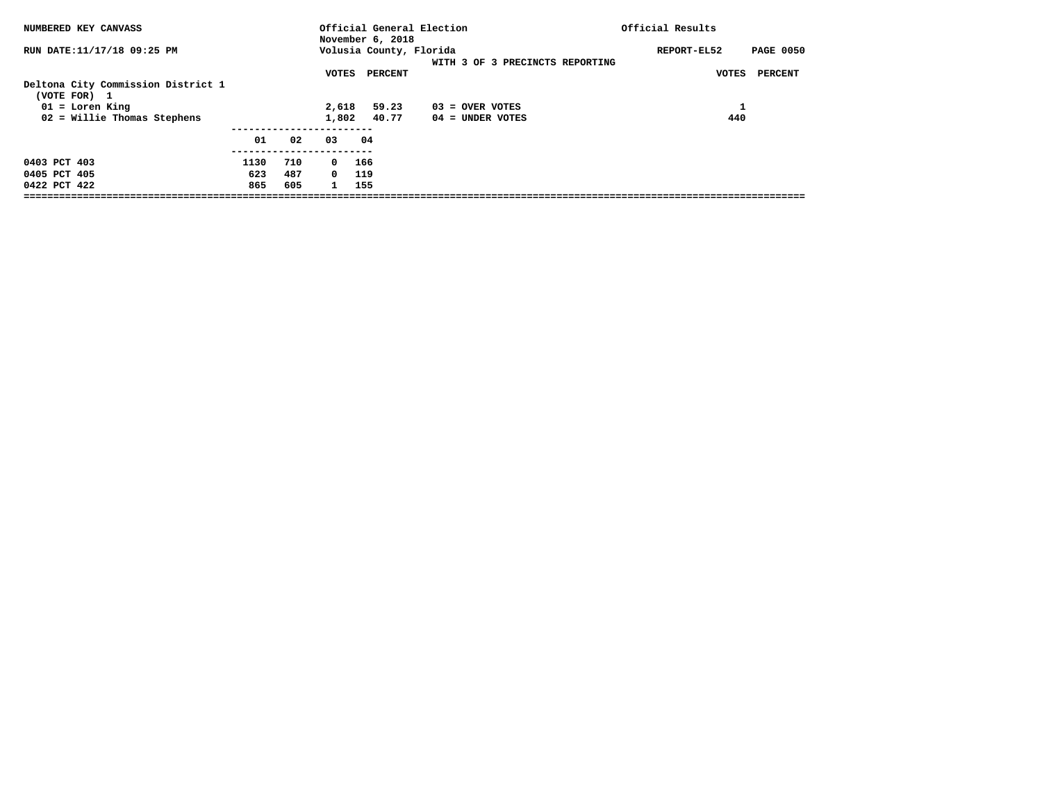| NUMBERED KEY CANVASS                               |      |     |              | Official General Election<br>November 6, 2018 |                                 | Official Results                |
|----------------------------------------------------|------|-----|--------------|-----------------------------------------------|---------------------------------|---------------------------------|
| RUN DATE:11/17/18 09:25 PM                         |      |     |              | Volusia County, Florida                       | WITH 3 OF 3 PRECINCTS REPORTING | <b>PAGE 0050</b><br>REPORT-EL52 |
| Deltona City Commission District 1<br>(VOTE FOR) 1 |      |     | VOTES        | PERCENT                                       |                                 | <b>PERCENT</b><br>VOTES         |
| $01 =$ Loren King                                  |      |     | 2,618        | 59.23                                         | 03 = OVER VOTES                 |                                 |
| 02 = Willie Thomas Stephens                        |      |     | 1,802        | 40.77                                         | $04 =$ UNDER VOTES              | 440                             |
|                                                    | 01   | 02  | 03           | 04                                            |                                 |                                 |
| 0403 PCT 403                                       | 1130 | 710 | $^{\circ}$   | 166                                           |                                 |                                 |
| 0405 PCT 405                                       | 623  | 487 | $0\quad 119$ |                                               |                                 |                                 |
| 0422 PCT 422                                       | 865  | 605 | $\mathbf{1}$ | 155                                           |                                 |                                 |
|                                                    |      |     |              |                                               |                                 |                                 |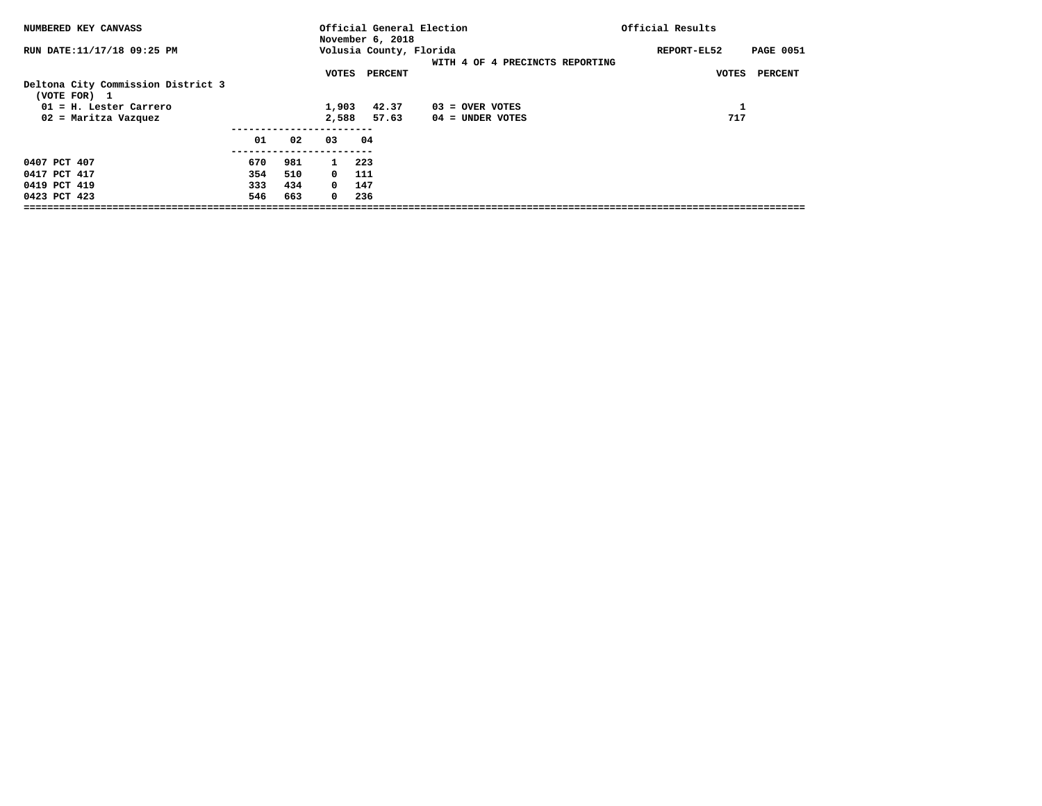| NUMBERED KEY CANVASS                               |     |     |              | Official General Election<br>November 6, 2018 |                                 | Official Results                |
|----------------------------------------------------|-----|-----|--------------|-----------------------------------------------|---------------------------------|---------------------------------|
| RUN DATE:11/17/18 09:25 PM                         |     |     |              | Volusia County, Florida                       | WITH 4 OF 4 PRECINCTS REPORTING | REPORT-EL52<br><b>PAGE 0051</b> |
| Deltona City Commission District 3<br>(VOTE FOR) 1 |     |     | VOTES        | PERCENT                                       |                                 | PERCENT<br>VOTES                |
| $01$ = H. Lester Carrero                           |     |     | 1,903        | 42.37                                         | $03 =$ OVER VOTES               | Ŧ.                              |
| 02 = Maritza Vazquez                               |     |     | 2,588        | 57.63                                         | $04 =$ UNDER VOTES              | 717                             |
|                                                    | 01  | 02  | 03           | 04                                            |                                 |                                 |
| 0407 PCT 407                                       | 670 | 981 | $\mathbf{1}$ | 223                                           |                                 |                                 |
| 0417 PCT 417                                       | 354 | 510 | $\mathbf{0}$ | 111                                           |                                 |                                 |
| 0419 PCT 419                                       | 333 | 434 | $^{\circ}$   | 147                                           |                                 |                                 |
| 0423 PCT 423                                       | 546 | 663 | $^{\circ}$   | 236                                           |                                 |                                 |
|                                                    |     |     |              |                                               |                                 |                                 |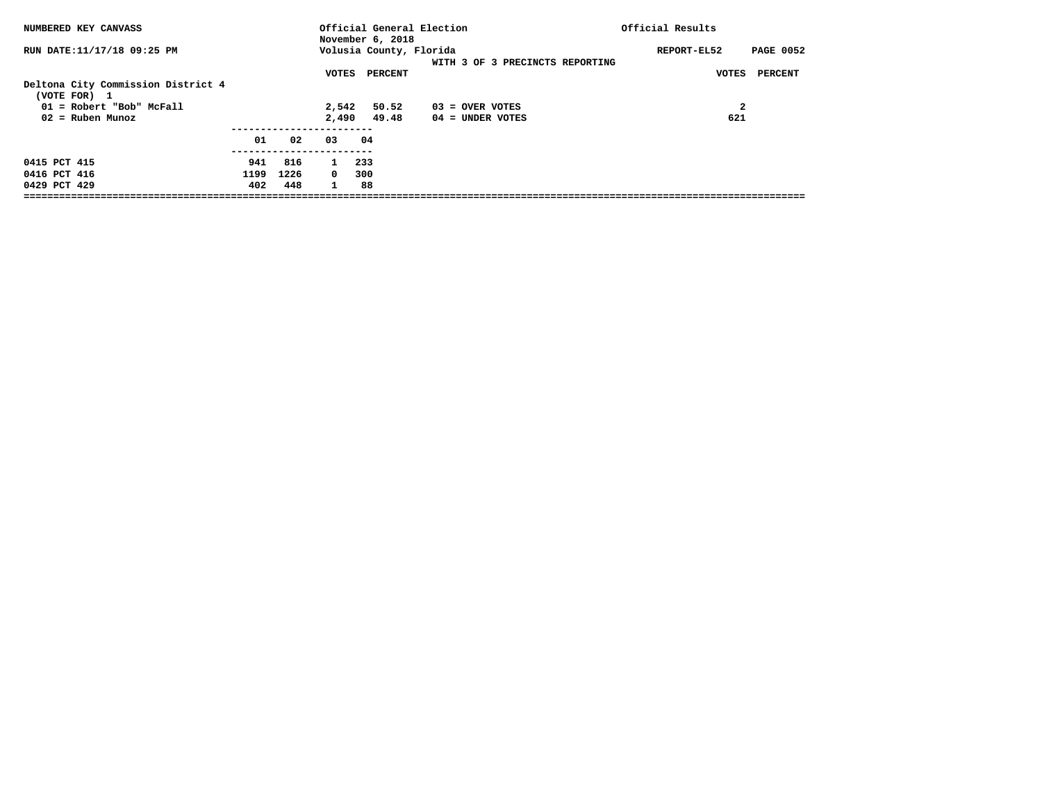| NUMBERED KEY CANVASS                               |      |      |              | November 6, 2018        | Official General Election       | Official Results                |
|----------------------------------------------------|------|------|--------------|-------------------------|---------------------------------|---------------------------------|
| RUN DATE:11/17/18 09:25 PM                         |      |      |              | Volusia County, Florida | WITH 3 OF 3 PRECINCTS REPORTING | <b>PAGE 0052</b><br>REPORT-EL52 |
| Deltona City Commission District 4<br>(VOTE FOR) 1 |      |      | VOTES        | PERCENT                 |                                 | <b>PERCENT</b><br>VOTES         |
| 01 = Robert "Bob" McFall                           |      |      | 2,542        | 50.52                   | 03 = OVER VOTES                 | 2                               |
| $02$ = Ruben Munoz                                 |      |      | 2,490        | 49.48                   | 04 = UNDER VOTES                | 621                             |
|                                                    | 01   | 02   | 03           | 04                      |                                 |                                 |
| 0415 PCT 415                                       | 941  | 816  | $\mathbf{1}$ | 233                     |                                 |                                 |
| 0416 PCT 416                                       | 1199 | 1226 | $\Omega$     | 300                     |                                 |                                 |
| 0429 PCT 429                                       | 402  | 448  | $\mathbf{1}$ | 88                      |                                 |                                 |
|                                                    |      |      |              |                         |                                 |                                 |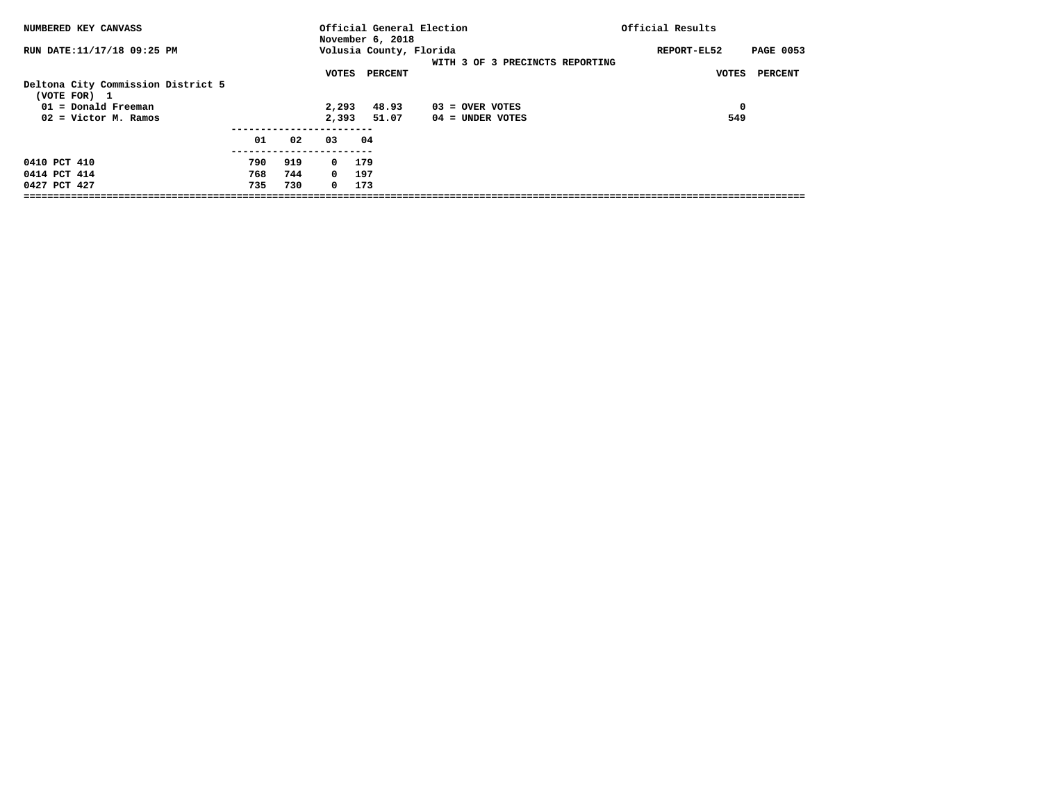| NUMBERED KEY CANVASS                               |     |     |            | Official General Election<br>November 6, 2018 |                                 | Official Results                |
|----------------------------------------------------|-----|-----|------------|-----------------------------------------------|---------------------------------|---------------------------------|
| RUN DATE:11/17/18 09:25 PM                         |     |     |            | Volusia County, Florida                       | WITH 3 OF 3 PRECINCTS REPORTING | <b>PAGE 0053</b><br>REPORT-EL52 |
| Deltona City Commission District 5<br>(VOTE FOR) 1 |     |     | VOTES      | PERCENT                                       |                                 | <b>PERCENT</b><br>VOTES         |
| 01 = Donald Freeman                                |     |     | 2,293      | 48.93                                         | 03 = OVER VOTES                 | $\mathbf 0$                     |
| $02 =$ Victor M. Ramos                             |     |     | 2,393      | 51.07                                         | $04 =$ UNDER VOTES              | 549                             |
|                                                    | 01  | 02  | 03         | 04                                            |                                 |                                 |
| 0410 PCT 410                                       | 790 | 919 | $^{\circ}$ | 179                                           |                                 |                                 |
| 0414 PCT 414                                       | 768 | 744 | 0 197      |                                               |                                 |                                 |
| 0427 PCT 427                                       | 735 | 730 | $\Omega$   | 173                                           |                                 |                                 |
|                                                    |     |     |            |                                               |                                 |                                 |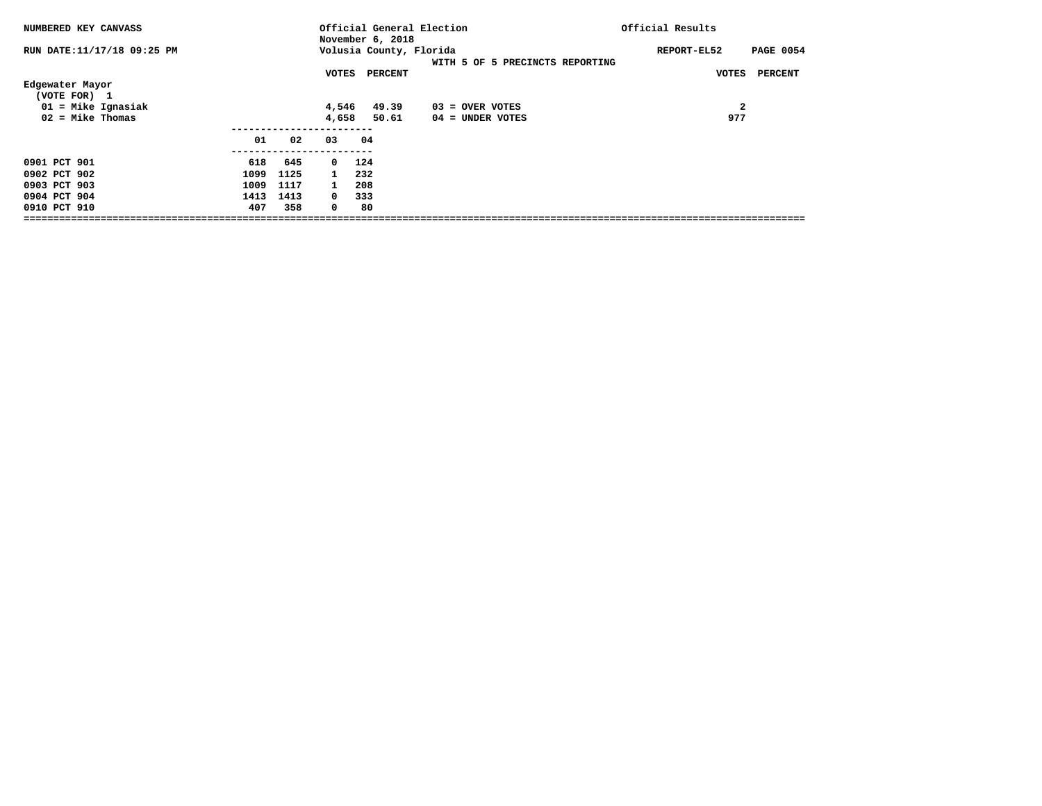| NUMBERED KEY CANVASS            |      |      |              | Official General Election<br>November 6, 2018 |                                 | Official Results                |
|---------------------------------|------|------|--------------|-----------------------------------------------|---------------------------------|---------------------------------|
| RUN DATE:11/17/18 09:25 PM      |      |      |              | Volusia County, Florida                       | WITH 5 OF 5 PRECINCTS REPORTING | <b>PAGE 0054</b><br>REPORT-EL52 |
|                                 |      |      | VOTES        | <b>PERCENT</b>                                |                                 | <b>PERCENT</b><br>VOTES         |
| Edgewater Mayor<br>(VOTE FOR) 1 |      |      |              |                                               |                                 |                                 |
| $01$ = Mike Ignasiak            |      |      | 4,546        | 49.39                                         | $03 =$ OVER VOTES               | $\mathbf{2}$                    |
| $02 =$ Mike Thomas              |      |      | 4,658        | 50.61                                         | $04 =$ UNDER VOTES              | 977                             |
|                                 |      |      |              |                                               |                                 |                                 |
|                                 | 01   | 02   | 03           | 04                                            |                                 |                                 |
|                                 |      |      |              |                                               |                                 |                                 |
| 0901 PCT 901                    | 618  | 645  | $\Omega$     | 124                                           |                                 |                                 |
| 0902 PCT 902                    | 1099 | 1125 |              | 232                                           |                                 |                                 |
| 0903 PCT 903                    | 1009 | 1117 | $\mathbf{1}$ | 208                                           |                                 |                                 |
| 0904 PCT 904                    | 1413 | 1413 | $^{\circ}$   | 333                                           |                                 |                                 |
| 0910 PCT 910                    | 407  | 358  | $\mathbf 0$  | 80                                            |                                 |                                 |
|                                 |      |      |              |                                               |                                 |                                 |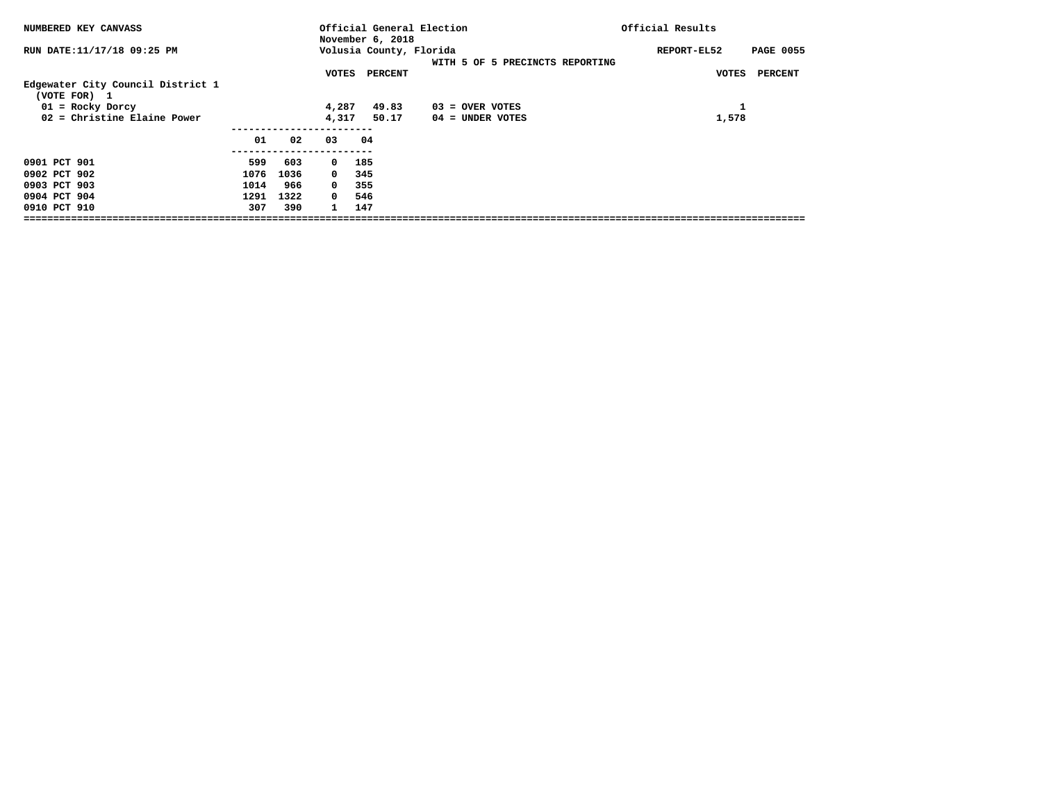| NUMBERED KEY CANVASS                              |      |      |              | November 6, 2018        | Official General Election       | Official Results                |
|---------------------------------------------------|------|------|--------------|-------------------------|---------------------------------|---------------------------------|
| RUN DATE:11/17/18 09:25 PM                        |      |      |              | Volusia County, Florida | WITH 5 OF 5 PRECINCTS REPORTING | REPORT-EL52<br><b>PAGE 0055</b> |
|                                                   |      |      | VOTES        | <b>PERCENT</b>          |                                 | <b>PERCENT</b><br><b>VOTES</b>  |
| Edgewater City Council District 1<br>(VOTE FOR) 1 |      |      |              |                         |                                 |                                 |
| $01 = \text{Rocky Dorcy}$                         |      |      | 4,287        | 49.83                   | $03 =$ OVER VOTES               | 1                               |
| $02$ = Christine Elaine Power                     |      |      | 4,317        | 50.17                   | $04 =$ UNDER VOTES              | 1,578                           |
|                                                   |      |      |              |                         |                                 |                                 |
|                                                   | 01   | 02   | 03           | 04                      |                                 |                                 |
|                                                   |      |      |              |                         |                                 |                                 |
| 0901 PCT 901                                      | 599  | 603  | $^{\circ}$   | 185                     |                                 |                                 |
| 0902 PCT 902                                      | 1076 | 1036 | $^{\circ}$   | 345                     |                                 |                                 |
| 0903 PCT 903                                      | 1014 | 966  | $^{\circ}$   | 355                     |                                 |                                 |
| 0904 PCT 904                                      | 1291 | 1322 | $^{\circ}$   | 546                     |                                 |                                 |
| 0910 PCT 910                                      | 307  | 390  | $\mathbf{1}$ | 147                     |                                 |                                 |
|                                                   |      |      |              |                         |                                 |                                 |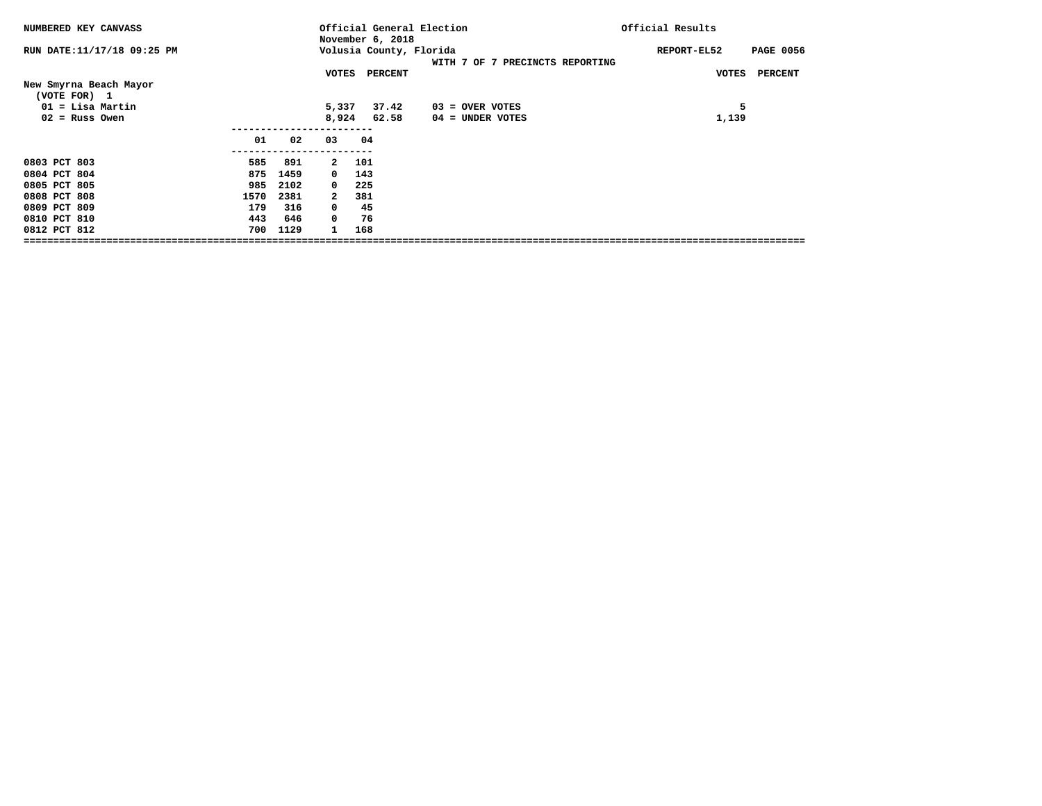| RUN DATE: 11/17/18 09:25 PM<br>Volusia County, Florida<br><b>PAGE 0056</b><br>REPORT-EL52<br>WITH 7 OF 7 PRECINCTS REPORTING<br>VOTES PERCENT<br><b>VOTES</b><br><b>PERCENT</b><br>New Smyrna Beach Mayor<br>(VOTE FOR) 1<br>5<br>$01 =$ Lisa Martin<br>5,337<br>37.42<br>$03 =$ OVER VOTES<br>$02$ = Russ Owen<br>8,924<br>62.58<br>1,139<br>04 = UNDER VOTES<br>01<br>03<br>04<br>02<br>0803 PCT 803<br>585<br>891<br>101<br>$\mathbf{2}$<br>143<br>0804 PCT 804<br>875<br>1459<br>$^{\circ}$<br>0805 PCT 805<br>985<br>2102<br>225<br>$^{\circ}$<br>0808 PCT 808<br>1570<br>2381<br>381<br>2<br>0809 PCT 809<br>316<br>45<br>179<br>0 | NUMBERED KEY CANVASS |     |     | Official General Election<br>November 6, 2018 |    |  |  | Official Results |  |  |
|------------------------------------------------------------------------------------------------------------------------------------------------------------------------------------------------------------------------------------------------------------------------------------------------------------------------------------------------------------------------------------------------------------------------------------------------------------------------------------------------------------------------------------------------------------------------------------------------------------------------------------------|----------------------|-----|-----|-----------------------------------------------|----|--|--|------------------|--|--|
|                                                                                                                                                                                                                                                                                                                                                                                                                                                                                                                                                                                                                                          |                      |     |     |                                               |    |  |  |                  |  |  |
|                                                                                                                                                                                                                                                                                                                                                                                                                                                                                                                                                                                                                                          |                      |     |     |                                               |    |  |  |                  |  |  |
|                                                                                                                                                                                                                                                                                                                                                                                                                                                                                                                                                                                                                                          |                      |     |     |                                               |    |  |  |                  |  |  |
|                                                                                                                                                                                                                                                                                                                                                                                                                                                                                                                                                                                                                                          |                      |     |     |                                               |    |  |  |                  |  |  |
|                                                                                                                                                                                                                                                                                                                                                                                                                                                                                                                                                                                                                                          |                      |     |     |                                               |    |  |  |                  |  |  |
|                                                                                                                                                                                                                                                                                                                                                                                                                                                                                                                                                                                                                                          |                      |     |     |                                               |    |  |  |                  |  |  |
|                                                                                                                                                                                                                                                                                                                                                                                                                                                                                                                                                                                                                                          |                      |     |     |                                               |    |  |  |                  |  |  |
|                                                                                                                                                                                                                                                                                                                                                                                                                                                                                                                                                                                                                                          |                      |     |     |                                               |    |  |  |                  |  |  |
|                                                                                                                                                                                                                                                                                                                                                                                                                                                                                                                                                                                                                                          |                      |     |     |                                               |    |  |  |                  |  |  |
|                                                                                                                                                                                                                                                                                                                                                                                                                                                                                                                                                                                                                                          |                      |     |     |                                               |    |  |  |                  |  |  |
|                                                                                                                                                                                                                                                                                                                                                                                                                                                                                                                                                                                                                                          |                      |     |     |                                               |    |  |  |                  |  |  |
|                                                                                                                                                                                                                                                                                                                                                                                                                                                                                                                                                                                                                                          |                      |     |     |                                               |    |  |  |                  |  |  |
|                                                                                                                                                                                                                                                                                                                                                                                                                                                                                                                                                                                                                                          | 0810 PCT 810         | 443 | 646 | $^{\circ}$                                    | 76 |  |  |                  |  |  |
| 0812 PCT 812<br>700<br>1129<br>168<br>$\mathbf{1}$                                                                                                                                                                                                                                                                                                                                                                                                                                                                                                                                                                                       |                      |     |     |                                               |    |  |  |                  |  |  |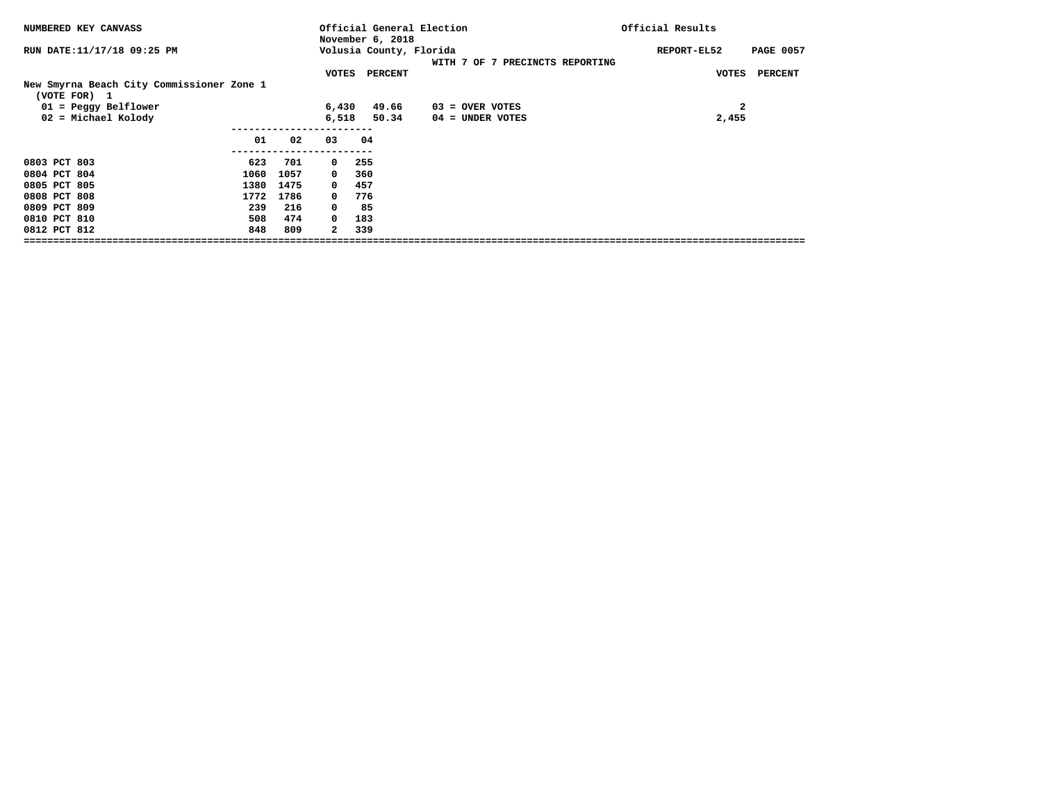| NUMBERED KEY CANVASS                                      |      |      |              |     | November 6, 2018 | Official General Election |                                 | Official Results |                                |
|-----------------------------------------------------------|------|------|--------------|-----|------------------|---------------------------|---------------------------------|------------------|--------------------------------|
| RUN DATE: 11/17/18 09:25 PM                               |      |      |              |     |                  | Volusia County, Florida   | WITH 7 OF 7 PRECINCTS REPORTING | REPORT-EL52      | <b>PAGE 0057</b>               |
|                                                           |      |      | VOTES        |     | <b>PERCENT</b>   |                           |                                 |                  | <b>VOTES</b><br><b>PERCENT</b> |
| New Smyrna Beach City Commissioner Zone 1<br>(VOTE FOR) 1 |      |      |              |     |                  |                           |                                 |                  |                                |
| $01 = Peggy Belllower$                                    |      |      | 6,430        |     | 49.66            |                           | $03 =$ OVER VOTES               |                  | $\mathbf{2}$                   |
| 02 = Michael Kolody                                       |      |      | 6,518        |     | 50.34            |                           | 04 = UNDER VOTES                |                  | 2,455                          |
|                                                           |      |      |              |     |                  |                           |                                 |                  |                                |
|                                                           | 01   | 02   | 03           | 04  |                  |                           |                                 |                  |                                |
|                                                           |      |      |              |     |                  |                           |                                 |                  |                                |
| 0803 PCT 803                                              | 623  | 701  | $^{\circ}$   | 255 |                  |                           |                                 |                  |                                |
| 0804 PCT 804                                              | 1060 | 1057 | $^{\circ}$   | 360 |                  |                           |                                 |                  |                                |
| 0805 PCT 805                                              | 1380 | 1475 | $^{\circ}$   | 457 |                  |                           |                                 |                  |                                |
| 0808 PCT 808                                              | 1772 | 1786 | $^{\circ}$   | 776 |                  |                           |                                 |                  |                                |
| 0809 PCT 809                                              | 239  | 216  | 0            | 85  |                  |                           |                                 |                  |                                |
| 0810 PCT 810                                              | 508  | 474  | $\Omega$     | 183 |                  |                           |                                 |                  |                                |
| 0812 PCT 812                                              | 848  | 809  | $\mathbf{2}$ | 339 |                  |                           |                                 |                  |                                |
|                                                           |      |      |              |     |                  |                           |                                 |                  |                                |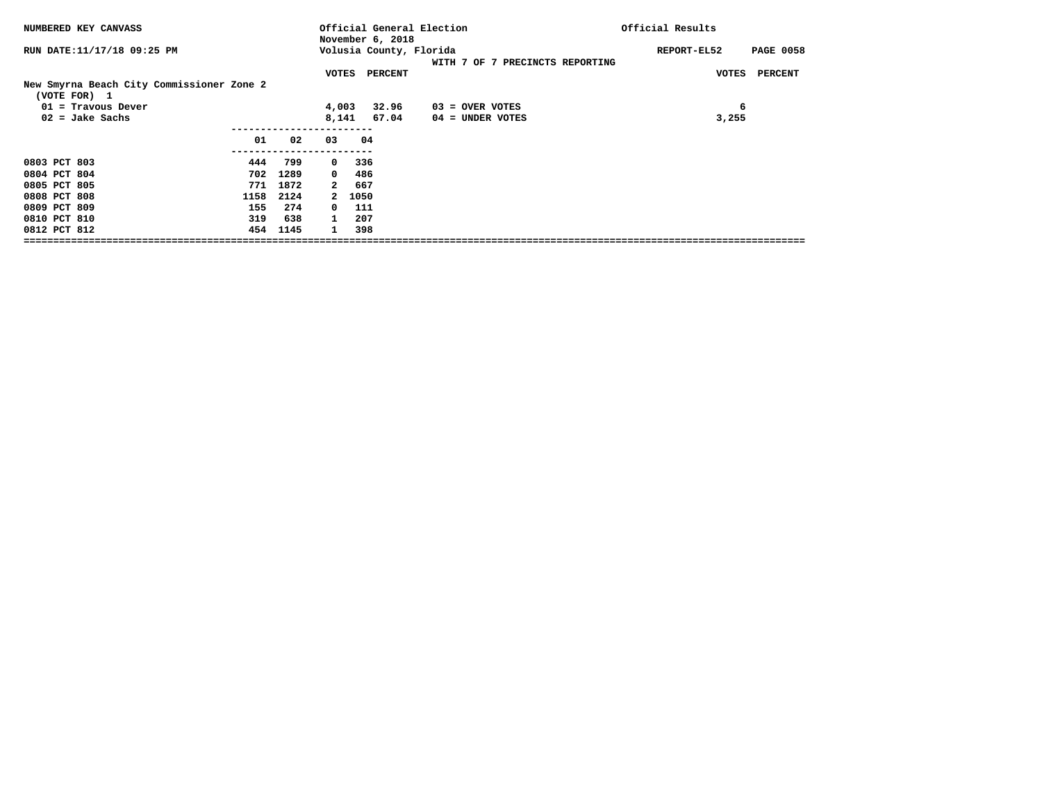| NUMBERED KEY CANVASS                                      |      |      |                         |        | November 6, 2018 | Official General Election |                                 | Official Results |                  |
|-----------------------------------------------------------|------|------|-------------------------|--------|------------------|---------------------------|---------------------------------|------------------|------------------|
| RUN DATE:11/17/18 09:25 PM                                |      |      |                         |        |                  | Volusia County, Florida   | WITH 7 OF 7 PRECINCTS REPORTING | REPORT-EL52      | <b>PAGE 0058</b> |
|                                                           |      |      | VOTES                   |        | <b>PERCENT</b>   |                           |                                 | <b>VOTES</b>     | <b>PERCENT</b>   |
| New Smyrna Beach City Commissioner Zone 2<br>(VOTE FOR) 1 |      |      |                         |        |                  |                           |                                 |                  |                  |
| $01$ = Travous Dever                                      |      |      | 4,003                   |        | 32.96            | $03 =$ OVER VOTES         |                                 | 6                |                  |
| $02 =$ Jake Sachs                                         |      |      | 8,141                   |        | 67.04            | 04 = UNDER VOTES          |                                 | 3,255            |                  |
|                                                           |      |      |                         |        |                  |                           |                                 |                  |                  |
|                                                           | 01   | 02   | 03                      | 04     |                  |                           |                                 |                  |                  |
| 0803 PCT 803                                              | 444  | 799  | $\overline{\mathbf{0}}$ | 336    |                  |                           |                                 |                  |                  |
| 0804 PCT 804                                              | 702  | 1289 | $\Omega$                | 486    |                  |                           |                                 |                  |                  |
| 0805 PCT 805                                              | 771  | 1872 | 2                       | 667    |                  |                           |                                 |                  |                  |
| 0808 PCT 808                                              | 1158 | 2124 |                         | 2 1050 |                  |                           |                                 |                  |                  |
| 0809 PCT 809                                              | 155  | 274  | $^{\circ}$              | 111    |                  |                           |                                 |                  |                  |
| 0810 PCT 810                                              | 319  | 638  | $\mathbf{1}$            | 207    |                  |                           |                                 |                  |                  |
| 0812 PCT 812                                              | 454  | 1145 |                         | 398    |                  |                           |                                 |                  |                  |
|                                                           |      |      |                         |        |                  |                           |                                 |                  |                  |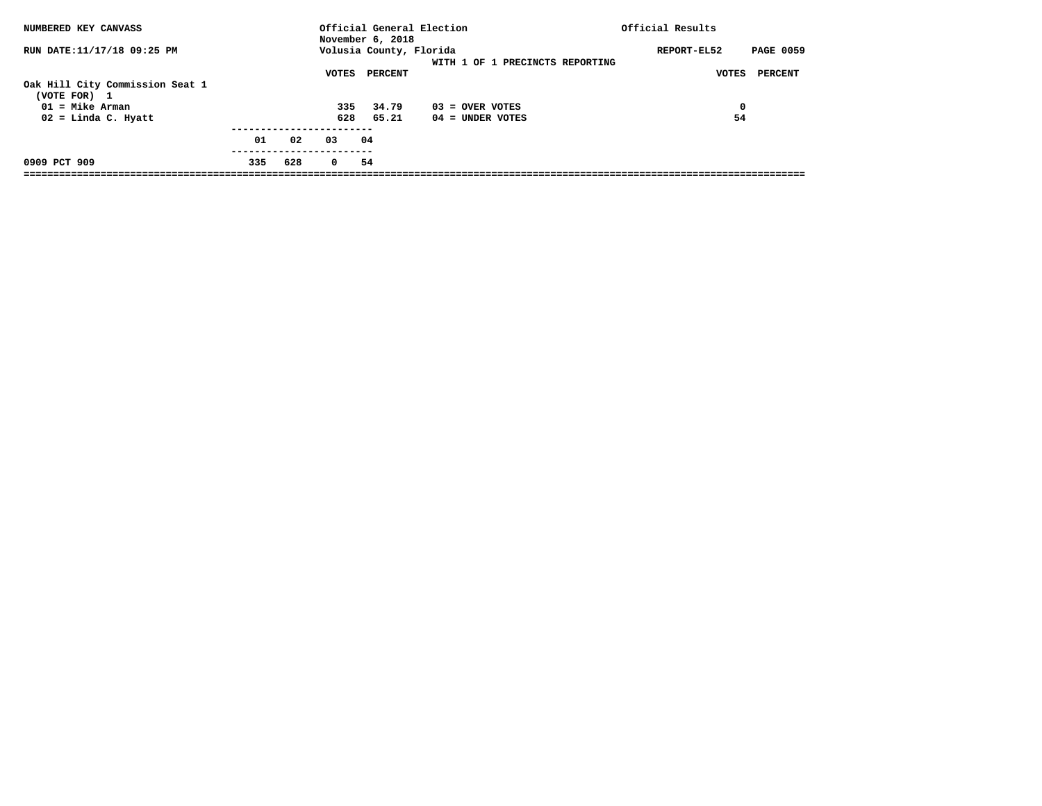| NUMBERED KEY CANVASS                                                                          |     |     |                     | November 6, 2018          | Official General Election               | Official Results                |
|-----------------------------------------------------------------------------------------------|-----|-----|---------------------|---------------------------|-----------------------------------------|---------------------------------|
| RUN DATE:11/17/18 09:25 PM                                                                    |     |     |                     | Volusia County, Florida   | WITH 1 OF 1 PRECINCTS REPORTING         | <b>PAGE 0059</b><br>REPORT-EL52 |
| Oak Hill City Commission Seat 1<br>(VOTE FOR) 1<br>$01 =$ Mike Arman<br>$02 =$ Linda C. Hyatt |     |     | VOTES<br>335<br>628 | PERCENT<br>34.79<br>65.21 | $03 =$ OVER VOTES<br>$04 =$ UNDER VOTES | PERCENT<br>VOTES<br>0<br>54     |
|                                                                                               | 01  | 02  | 03                  | 04                        |                                         |                                 |
| 0909 PCT 909                                                                                  | 335 | 628 | $\Omega$            | 54                        |                                         |                                 |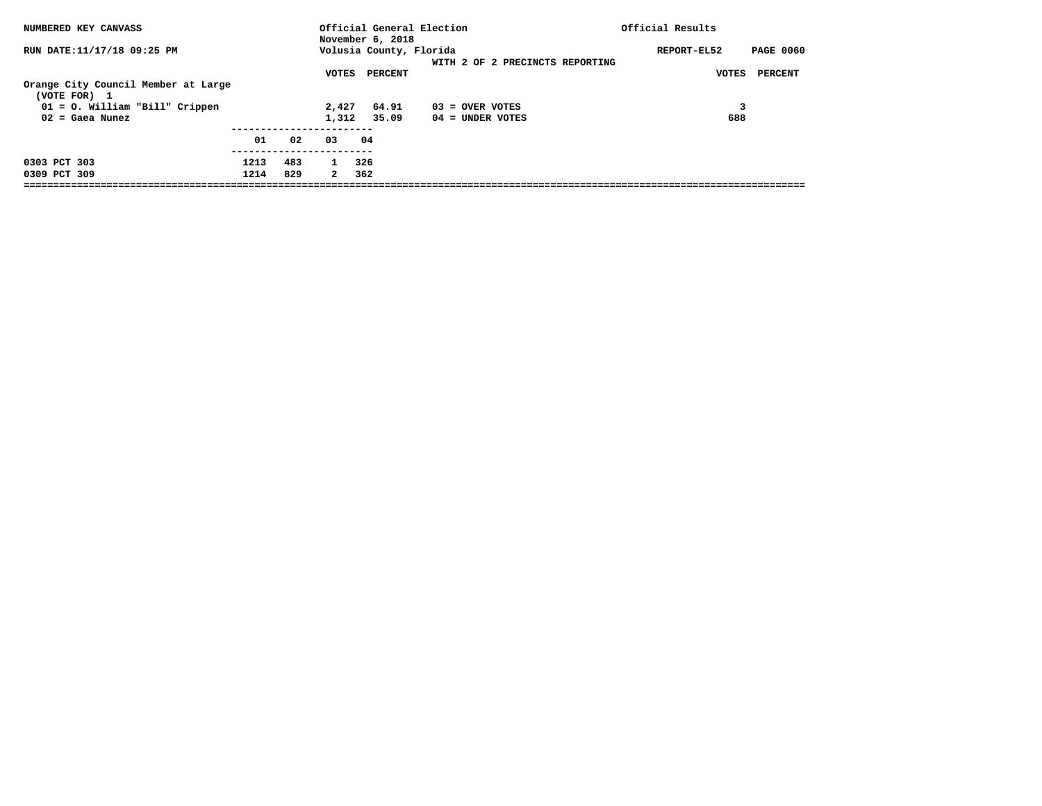| NUMBERED KEY CANVASS                                   |              |            |                              | November 6, 2018        | Official General Election               | Official Results                |
|--------------------------------------------------------|--------------|------------|------------------------------|-------------------------|-----------------------------------------|---------------------------------|
| RUN DATE:11/17/18 09:25 PM                             |              |            |                              | Volusia County, Florida | WITH 2 OF 2 PRECINCTS REPORTING         | <b>PAGE 0060</b><br>REPORT-EL52 |
| Orange City Council Member at Large<br>(VOTE FOR) 1    |              |            | VOTES                        | PERCENT                 |                                         | VOTES<br>PERCENT                |
| $01 = 0$ . William "Bill" Crippen<br>$02 =$ Gaea Nunez |              |            | 2,427<br>1,312               | 64.91<br>35.09          | $03 =$ OVER VOTES<br>$04 =$ UNDER VOTES | 688                             |
|                                                        | 01           | 02         | 03                           | 04                      |                                         |                                 |
| 0303 PCT 303<br>0309 PCT 309                           | 1213<br>1214 | 483<br>829 | $\mathbf{1}$<br>$\mathbf{2}$ | 326<br>362              |                                         |                                 |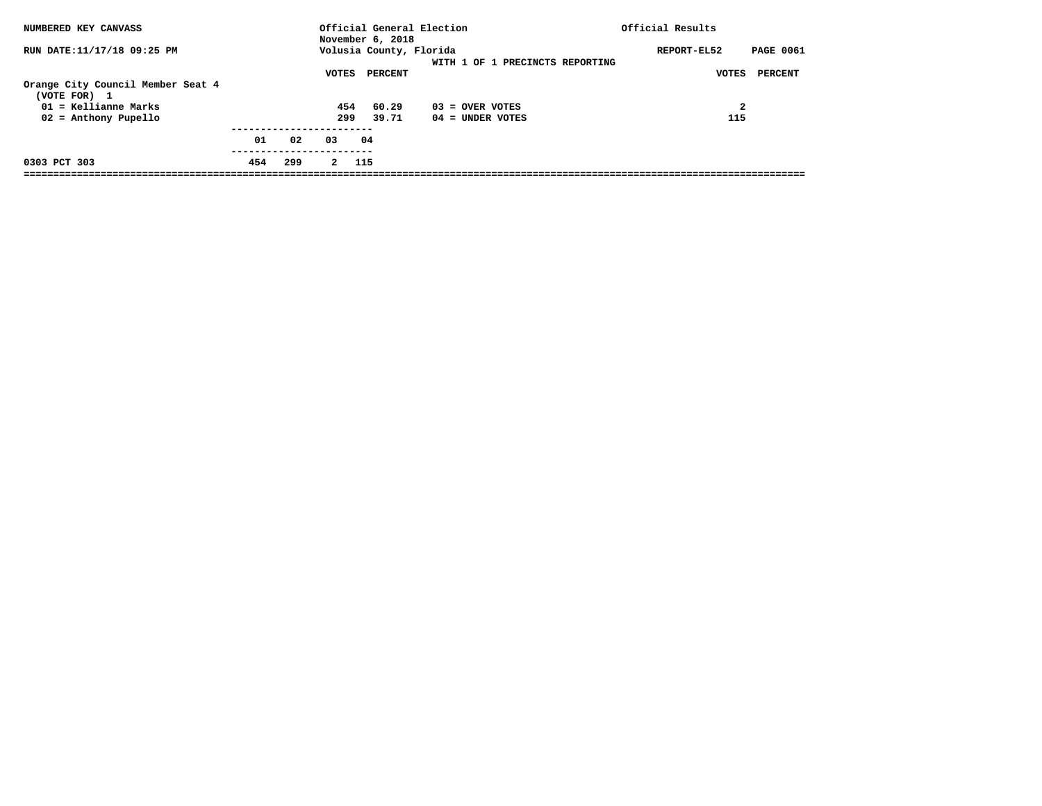| NUMBERED KEY CANVASS                                                                                  |     |     |                     | November 6, 2018          | Official General Election               | Official Results                |
|-------------------------------------------------------------------------------------------------------|-----|-----|---------------------|---------------------------|-----------------------------------------|---------------------------------|
| RUN DATE:11/17/18 09:25 PM                                                                            |     |     |                     | Volusia County, Florida   | WITH 1 OF 1 PRECINCTS REPORTING         | <b>PAGE 0061</b><br>REPORT-EL52 |
| Orange City Council Member Seat 4<br>(VOTE FOR) 1<br>$01$ = Kellianne Marks<br>$02$ = Anthony Pupello |     |     | VOTES<br>454<br>299 | PERCENT<br>60.29<br>39.71 | $03 =$ OVER VOTES<br>$04 =$ UNDER VOTES | PERCENT<br>VOTES<br>2<br>115    |
|                                                                                                       | 01  | 02  | 03                  | 04                        |                                         |                                 |
| 0303 PCT 303                                                                                          | 454 | 299 | $\mathbf{2}$        | 115                       |                                         |                                 |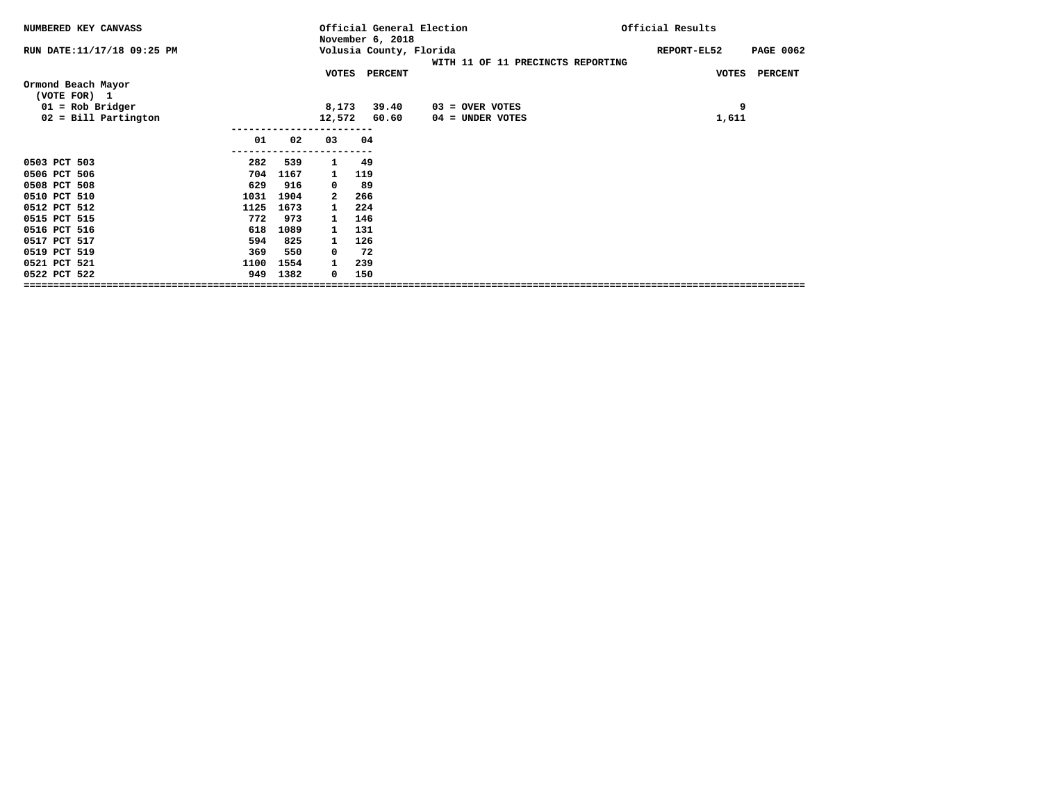| NUMBERED KEY CANVASS               |                |      |              | Official General Election<br>November 6, 2018 |                                   | Official Results                |
|------------------------------------|----------------|------|--------------|-----------------------------------------------|-----------------------------------|---------------------------------|
| RUN DATE:11/17/18 09:25 PM         |                |      |              | Volusia County, Florida                       | WITH 11 OF 11 PRECINCTS REPORTING | REPORT-EL52<br><b>PAGE 0062</b> |
|                                    |                |      | <b>VOTES</b> | <b>PERCENT</b>                                |                                   | <b>VOTES</b><br><b>PERCENT</b>  |
| Ormond Beach Mayor<br>(VOTE FOR) 1 |                |      |              |                                               |                                   |                                 |
| $01 = Rob Bridge$                  |                |      | 8,173        | 39.40                                         | $03 =$ OVER VOTES                 | 9                               |
| $02 =$ Bill Partington             |                |      | 12,572       | 60.60                                         | 04 = UNDER VOTES                  | 1,611                           |
|                                    | 01<br>-------- | 02   | 03           | 04                                            |                                   |                                 |
| 0503 PCT 503                       | 282            | 539  | 1            | -49                                           |                                   |                                 |
| 0506 PCT 506                       | 704            | 1167 | $\mathbf{1}$ | 119                                           |                                   |                                 |
| 0508 PCT 508                       | 629            | 916  | 0            | 89                                            |                                   |                                 |
| 0510 PCT 510                       | 1031           | 1904 | 2            | 266                                           |                                   |                                 |
| 0512 PCT 512                       | 1125           | 1673 |              | 224                                           |                                   |                                 |
| 0515 PCT 515                       | 772            | 973  | $\mathbf{1}$ | 146                                           |                                   |                                 |
| 0516 PCT 516                       | 618            | 1089 | $\mathbf{1}$ | 131                                           |                                   |                                 |
| 0517 PCT 517                       | 594            | 825  | 1            | 126                                           |                                   |                                 |
| 0519 PCT 519                       | 369            | 550  | 0            | 72                                            |                                   |                                 |
| 0521 PCT 521                       | 1100           | 1554 | 1            | 239                                           |                                   |                                 |
| 0522 PCT 522                       | 949            | 1382 | 0            | 150                                           |                                   |                                 |
|                                    |                |      |              |                                               |                                   |                                 |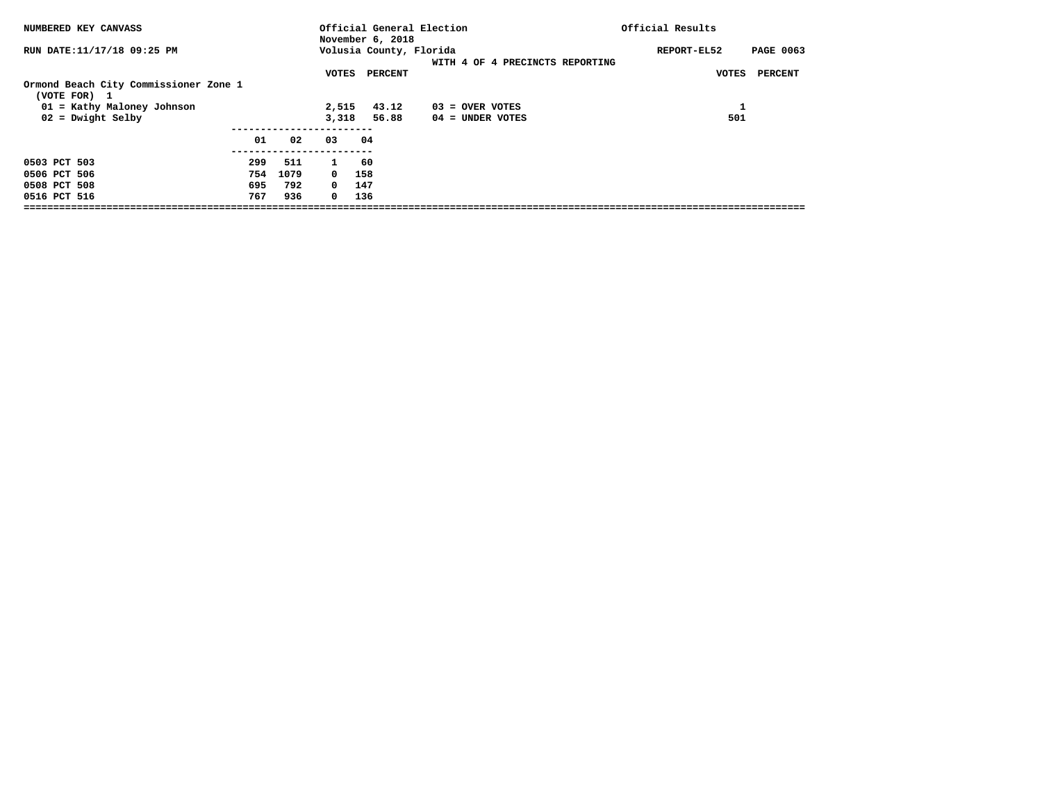| NUMBERED KEY CANVASS                                  |     |      |            | Official General Election<br>November 6, 2018 |                                 | Official Results                |
|-------------------------------------------------------|-----|------|------------|-----------------------------------------------|---------------------------------|---------------------------------|
| RUN DATE:11/17/18 09:25 PM                            |     |      |            | Volusia County, Florida                       | WITH 4 OF 4 PRECINCTS REPORTING | <b>PAGE 0063</b><br>REPORT-EL52 |
|                                                       |     |      | VOTES      | PERCENT                                       |                                 | PERCENT<br>VOTES                |
| Ormond Beach City Commissioner Zone 1<br>(VOTE FOR) 1 |     |      |            |                                               |                                 |                                 |
| 01 = Kathy Maloney Johnson                            |     |      | 2,515      | 43.12                                         | 03 = OVER VOTES                 | 1                               |
| $02$ = Dwight Selby                                   |     |      | 3,318      | 56.88                                         | $04 =$ UNDER VOTES              | 501                             |
|                                                       | 01  | 02   | 03         | 04                                            |                                 |                                 |
| 0503 PCT 503                                          | 299 | 511  | 1          | -60                                           |                                 |                                 |
| 0506 PCT 506                                          | 754 | 1079 | $^{\circ}$ | 158                                           |                                 |                                 |
| 0508 PCT 508                                          | 695 | 792  | $^{\circ}$ | 147                                           |                                 |                                 |
| 0516 PCT 516                                          | 767 | 936  | $^{\circ}$ | 136                                           |                                 |                                 |
|                                                       |     |      |            |                                               |                                 |                                 |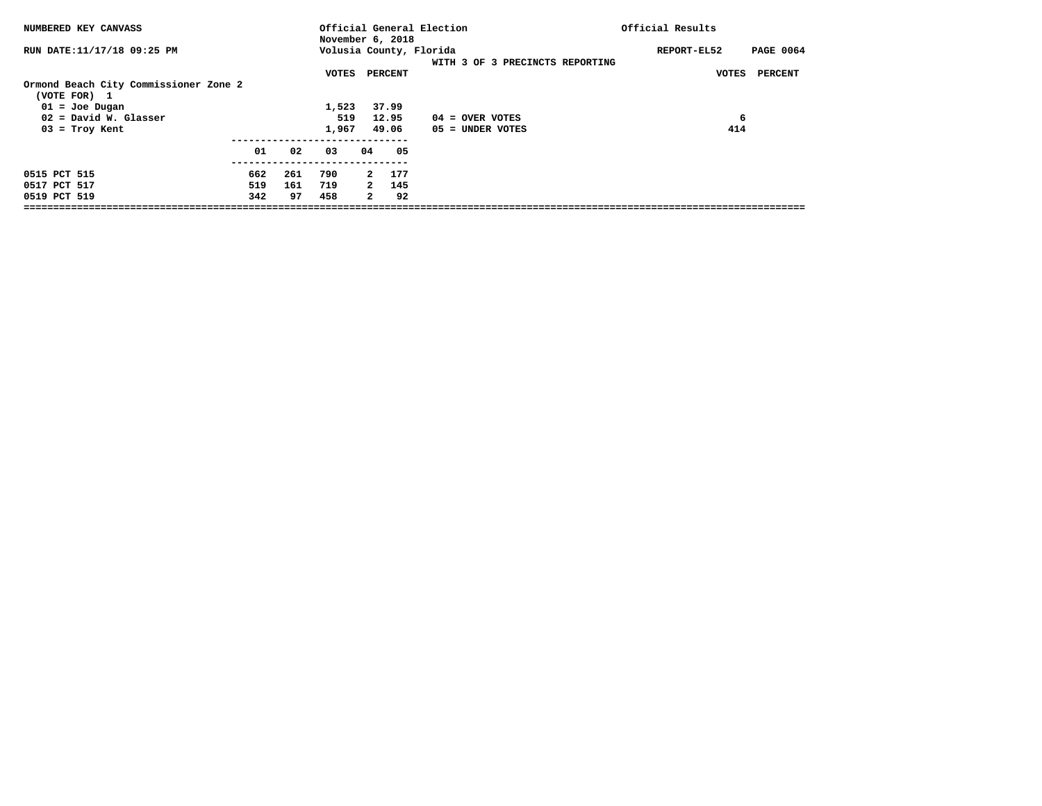| NUMBERED KEY CANVASS                                  |     |     |              |     | November 6, 2018        | Official General Election               | Official Results |                  |
|-------------------------------------------------------|-----|-----|--------------|-----|-------------------------|-----------------------------------------|------------------|------------------|
| RUN DATE:11/17/18 09:25 PM                            |     |     |              |     | Volusia County, Florida | WITH 3 OF 3 PRECINCTS REPORTING         | REPORT-EL52      | <b>PAGE 0064</b> |
| Ormond Beach City Commissioner Zone 2<br>(VOTE FOR) 1 |     |     | VOTES        |     | PERCENT                 |                                         | VOTES            | PERCENT          |
| $01 =$ Joe Dugan                                      |     |     | 1,523        |     | 37.99                   |                                         |                  |                  |
| $02$ = David W. Glasser<br>$03$ = Troy Kent           |     |     | 519<br>1,967 |     | 12.95<br>49.06          | $04 =$ OVER VOTES<br>$05 =$ UNDER VOTES | 6<br>414         |                  |
|                                                       | 01  | 02  | 03           | 04. | 05                      |                                         |                  |                  |
| 0515 PCT 515                                          | 662 | 261 | 790          |     | 177<br>$\mathbf{2}$     |                                         |                  |                  |
| 0517 PCT 517                                          | 519 | 161 | 719          |     | 145<br>$\overline{2}$   |                                         |                  |                  |
| 0519 PCT 519                                          | 342 | 97  | 458          |     | 92<br>$\mathbf{2}$      |                                         |                  |                  |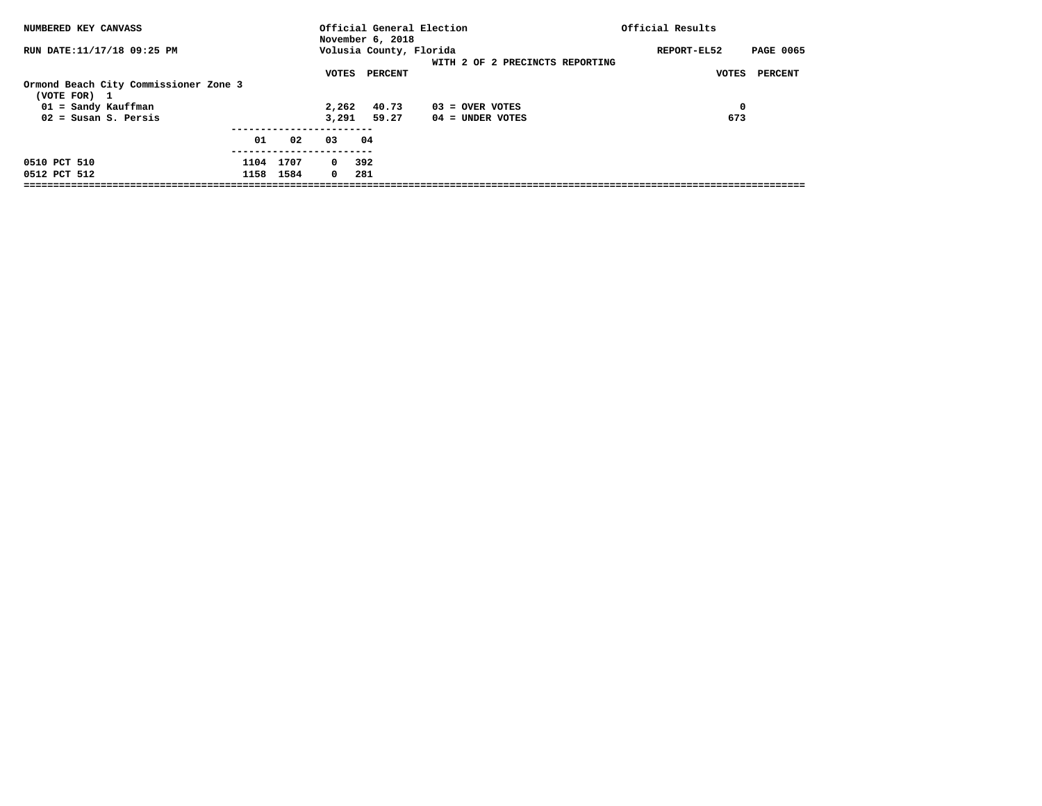| NUMBERED KEY CANVASS                                                                         |      |                   |                         | November 6, 2018        | Official General Election       | Official Results                |
|----------------------------------------------------------------------------------------------|------|-------------------|-------------------------|-------------------------|---------------------------------|---------------------------------|
| RUN DATE:11/17/18 09:25 PM                                                                   |      |                   |                         | Volusia County, Florida | WITH 2 OF 2 PRECINCTS REPORTING | <b>PAGE 0065</b><br>REPORT-EL52 |
| Ormond Beach City Commissioner Zone 3<br>(VOTE FOR)<br>$\mathbf{1}$<br>$01 =$ Sandy Kauffman |      |                   | VOTES<br>2,262          | PERCENT<br>40.73        | 03 = OVER VOTES                 | PERCENT<br>VOTES<br>0           |
| $02 =$ Susan S. Persis                                                                       |      |                   | 3,291                   | 59.27                   | $04 =$ UNDER VOTES              | 673                             |
|                                                                                              | 01   | 02                | 03                      | 04                      |                                 |                                 |
| 0510 PCT 510<br>0512 PCT 512                                                                 | 1104 | 1707<br>1158 1584 | $\circ$<br>$\mathbf{0}$ | 392<br>281              |                                 |                                 |
|                                                                                              |      |                   |                         |                         |                                 |                                 |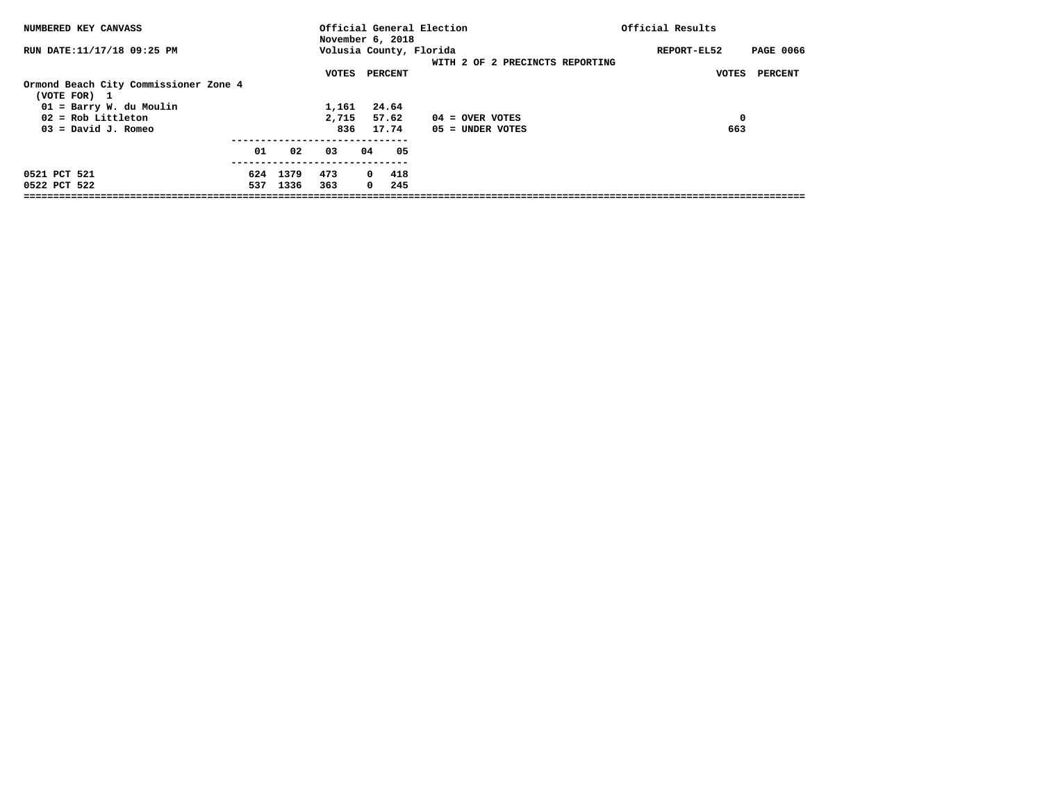| NUMBERED KEY CANVASS                                                                                                                  |            |              |                                |     | November 6, 2018                     | Official General Election                                  | Official Results  |                  |
|---------------------------------------------------------------------------------------------------------------------------------------|------------|--------------|--------------------------------|-----|--------------------------------------|------------------------------------------------------------|-------------------|------------------|
| RUN DATE:11/17/18 09:25 PM                                                                                                            |            |              |                                |     |                                      | Volusia County, Florida<br>WITH 2 OF 2 PRECINCTS REPORTING | REPORT-EL52       | <b>PAGE 0066</b> |
| Ormond Beach City Commissioner Zone 4<br>(VOTE FOR) 1<br>01 = Barry W. du Moulin<br>$02 = \text{Rob Little}$<br>$03 =$ David J. Romeo |            |              | VOTES<br>1,161<br>2,715<br>836 |     | PERCENT<br>24.64<br>57.62<br>17.74   | $04 =$ OVER VOTES<br>$05 =$ UNDER VOTES                    | VOTES<br>0<br>663 | <b>PERCENT</b>   |
|                                                                                                                                       | 01         | 02           | 03                             | 04. | 05                                   |                                                            |                   |                  |
| 0521 PCT 521<br>0522 PCT 522                                                                                                          | 624<br>537 | 1379<br>1336 | 473<br>363                     |     | 418<br>$\Omega$<br>$^{\circ}$<br>245 |                                                            |                   |                  |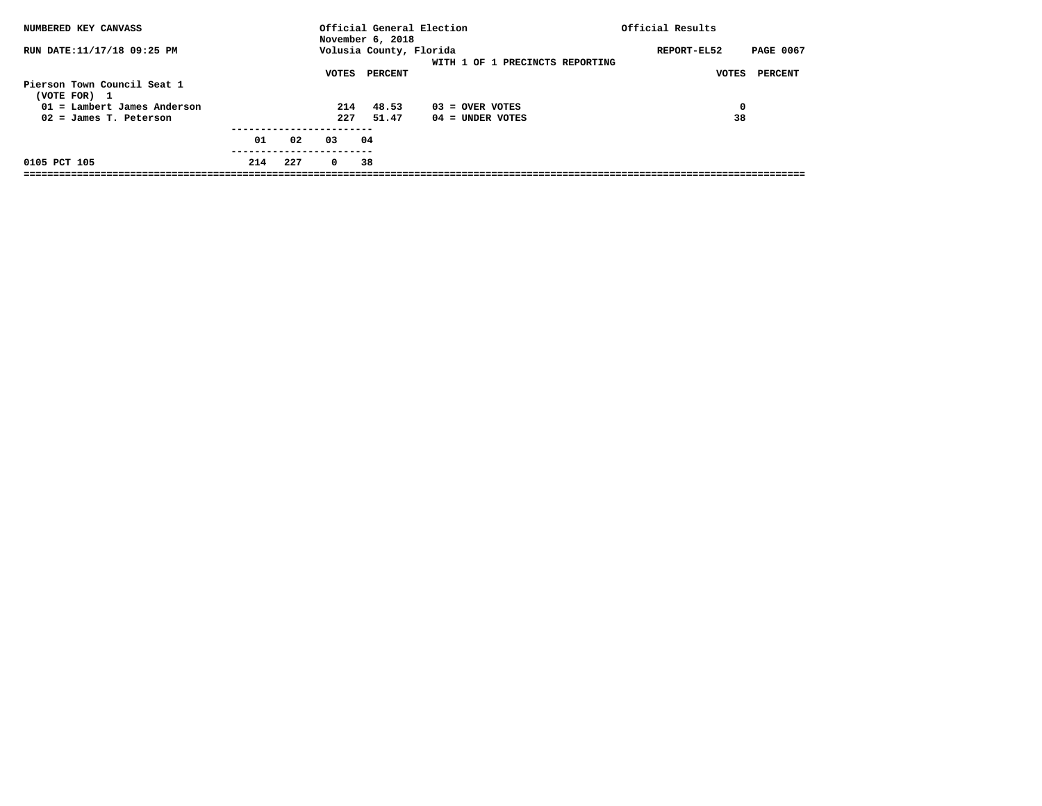| NUMBERED KEY CANVASS                                                         |     |     |            | November 6, 2018                   | Official General Election       | Official Results                                    |
|------------------------------------------------------------------------------|-----|-----|------------|------------------------------------|---------------------------------|-----------------------------------------------------|
| RUN DATE:11/17/18 09:25 PM                                                   |     |     | VOTES      | Volusia County, Florida<br>PERCENT | WITH 1 OF 1 PRECINCTS REPORTING | <b>PAGE 0067</b><br>REPORT-EL52<br>PERCENT<br>VOTES |
| Pierson Town Council Seat 1<br>(VOTE FOR) 1<br>$01$ = Lambert James Anderson |     |     | 214        | 48.53                              | $03 =$ OVER VOTES               | 0                                                   |
| $02 =$ James T. Peterson                                                     |     |     | 227        | 51.47                              | $04 =$ UNDER VOTES              | 38                                                  |
|                                                                              | 01  | 02  | 03         | 04                                 |                                 |                                                     |
| 0105 PCT 105                                                                 | 214 | 227 | $^{\circ}$ | 38                                 |                                 |                                                     |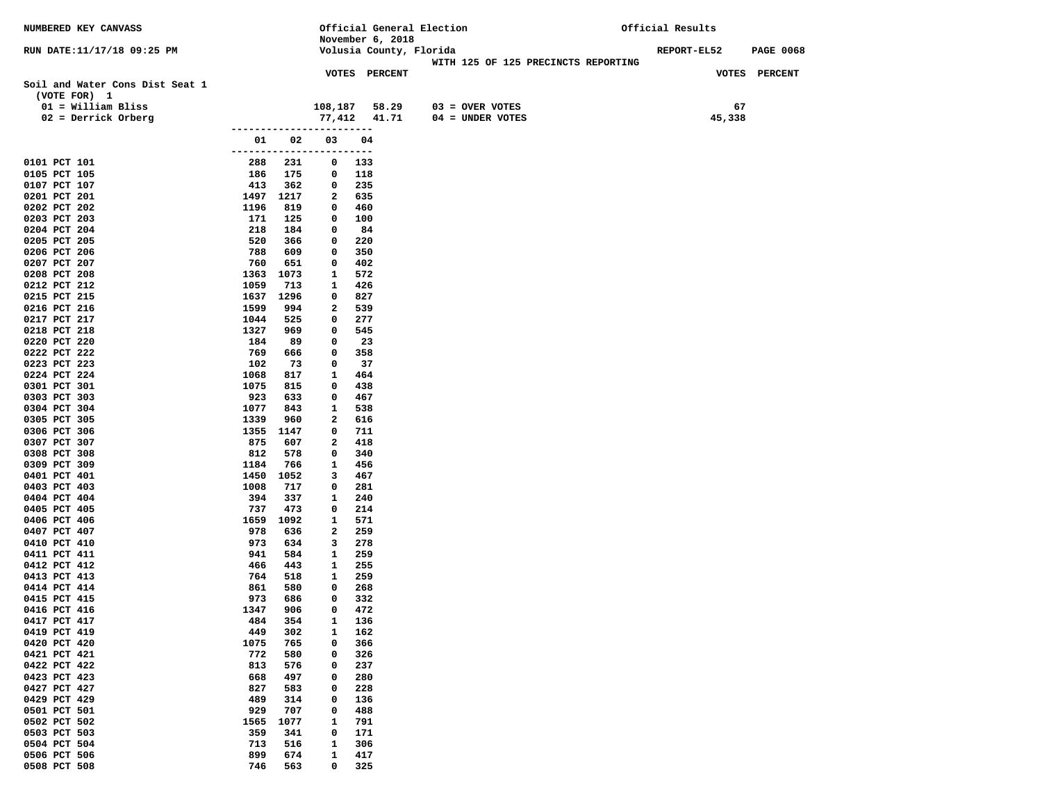| NUMBERED KEY CANVASS                            |                |                  |                          | Official General Election |                                     | Official Results |                  |
|-------------------------------------------------|----------------|------------------|--------------------------|---------------------------|-------------------------------------|------------------|------------------|
|                                                 |                |                  |                          | November 6, 2018          |                                     |                  |                  |
| RUN DATE:11/17/18 09:25 PM                      |                |                  |                          | Volusia County, Florida   | WITH 125 OF 125 PRECINCTS REPORTING | REPORT-EL52      | <b>PAGE 0068</b> |
|                                                 |                |                  |                          | <b>VOTES PERCENT</b>      |                                     |                  | VOTES PERCENT    |
| Soil and Water Cons Dist Seat 1<br>(VOTE FOR) 1 |                |                  |                          |                           |                                     |                  |                  |
| $01 =$ William Bliss                            |                |                  | 108,187                  | 58.29                     | $03 =$ OVER VOTES                   | 67               |                  |
| $02$ = Derrick Orberg                           |                |                  |                          | 77,412 41.71              | $04 = UNDER VOTES$                  | 45,338           |                  |
|                                                 | -------------- |                  |                          |                           |                                     |                  |                  |
|                                                 | 01             | 02               | 03                       | 04                        |                                     |                  |                  |
| 0101 PCT 101                                    |                |                  | ------------------------ |                           |                                     |                  |                  |
| 0105 PCT 105                                    | 288<br>186     | 231<br>175       | $\mathbf 0$<br>0         | 133<br>118                |                                     |                  |                  |
| 0107 PCT 107                                    | 413            | 362              | $\mathbf 0$              | 235                       |                                     |                  |                  |
| 0201 PCT 201                                    |                | 1497 1217        | $\mathbf{2}$             | 635                       |                                     |                  |                  |
| 0202 PCT 202                                    | 1196           | 819              | 0                        | 460                       |                                     |                  |                  |
| 0203 PCT 203                                    | 171            | 125              | 0                        | 100                       |                                     |                  |                  |
| 0204 PCT 204                                    | 218            | 184              | $\mathbf 0$              | 84                        |                                     |                  |                  |
| 0205 PCT 205<br>0206 PCT 206                    | 520<br>788     | 366<br>609       | $\mathbf 0$<br>0         | 220<br>350                |                                     |                  |                  |
| 0207 PCT 207                                    | 760            | 651              | 0                        | 402                       |                                     |                  |                  |
| 0208 PCT 208                                    | 1363           | 1073             | 1                        | 572                       |                                     |                  |                  |
| 0212 PCT 212                                    | 1059           | 713              | 1                        | 426                       |                                     |                  |                  |
| 0215 PCT 215                                    |                | 1637 1296        | 0                        | 827                       |                                     |                  |                  |
| 0216 PCT 216                                    | 1599           | 994              | 2                        | 539                       |                                     |                  |                  |
| 0217 PCT 217                                    | 1044           | 525              | 0                        | 277                       |                                     |                  |                  |
| 0218 PCT 218<br>0220 PCT 220                    | 1327<br>184    | 969<br>89        | 0<br>0                   | 545<br>23                 |                                     |                  |                  |
| 0222 PCT 222                                    | 769            | 666              | $\mathbf 0$              | 358                       |                                     |                  |                  |
| 0223 PCT 223                                    | 102            | 73               | 0                        | 37                        |                                     |                  |                  |
| 0224 PCT 224                                    | 1068           | 817              | $\mathbf{1}$             | 464                       |                                     |                  |                  |
| 0301 PCT 301                                    | 1075           | 815              | 0                        | 438                       |                                     |                  |                  |
| 0303 PCT 303                                    | 923            | 633              | 0                        | 467                       |                                     |                  |                  |
| 0304 PCT 304                                    | 1077           | 843              | 1                        | 538                       |                                     |                  |                  |
| 0305 PCT 305<br>0306 PCT 306                    | 1339           | 960<br>1355 1147 | 2<br>$\mathbf 0$         | 616<br>711                |                                     |                  |                  |
| 0307 PCT 307                                    | 875            | 607              | 2                        | 418                       |                                     |                  |                  |
| 0308 PCT 308                                    | 812            | 578              | 0                        | 340                       |                                     |                  |                  |
| 0309 PCT 309                                    | 1184           | 766              | 1                        | 456                       |                                     |                  |                  |
| 0401 PCT 401                                    | 1450           | 1052             | 3                        | 467                       |                                     |                  |                  |
| 0403 PCT 403                                    | 1008           | 717              | $\mathbf 0$              | 281                       |                                     |                  |                  |
| 0404 PCT 404<br>0405 PCT 405                    | 394<br>737     | 337<br>473       | 1<br>0                   | 240<br>214                |                                     |                  |                  |
| 0406 PCT 406                                    |                | 1659 1092        | $\mathbf{1}$             | 571                       |                                     |                  |                  |
| 0407 PCT 407                                    | 978            | 636              | $\mathbf{2}$             | 259                       |                                     |                  |                  |
| 0410 PCT 410                                    | 973            | 634              | 3                        | 278                       |                                     |                  |                  |
| 0411 PCT 411                                    | 941            | 584              | $\mathbf{1}$             | 259                       |                                     |                  |                  |
| 0412 PCT 412                                    | 466            | 443              | $\mathbf{1}$             | 255                       |                                     |                  |                  |
| 0413 PCT 413<br>0414 PCT 414                    | 764<br>861     | 518<br>580       | $\mathbf{1}$<br>0        | 259<br>268                |                                     |                  |                  |
| 0415 PCT 415                                    | 973            | 686              | 0                        | 332                       |                                     |                  |                  |
| 0416 PCT 416                                    | 1347           | 906              | 0                        | 472                       |                                     |                  |                  |
| 0417 PCT 417                                    | 484            | 354              | 1                        | 136                       |                                     |                  |                  |
| 0419 PCT 419                                    | 449            | 302              | 1                        | 162                       |                                     |                  |                  |
| 0420 PCT 420                                    | 1075           | 765              | 0                        | 366                       |                                     |                  |                  |
| 0421 PCT 421                                    | 772            | 580              | 0                        | 326                       |                                     |                  |                  |
| 0422 PCT 422<br>0423 PCT 423                    | 813<br>668     | 576<br>497       | 0<br>0                   | 237<br>280                |                                     |                  |                  |
| 0427 PCT 427                                    | 827            | 583              | 0                        | 228                       |                                     |                  |                  |
| 0429 PCT 429                                    | 489            | 314              | 0                        | 136                       |                                     |                  |                  |
| 0501 PCT 501                                    | 929            | 707              | 0                        | 488                       |                                     |                  |                  |
| 0502 PCT 502                                    | 1565           | 1077             | 1                        | 791                       |                                     |                  |                  |
| 0503 PCT 503                                    | 359            | 341              | 0                        | 171                       |                                     |                  |                  |
| 0504 PCT 504<br>0506 PCT 506                    | 713<br>899     | 516<br>674       | $\mathbf{1}$<br>1        | 306<br>417                |                                     |                  |                  |
| 0508 PCT 508                                    | 746            | 563              | 0                        | 325                       |                                     |                  |                  |
|                                                 |                |                  |                          |                           |                                     |                  |                  |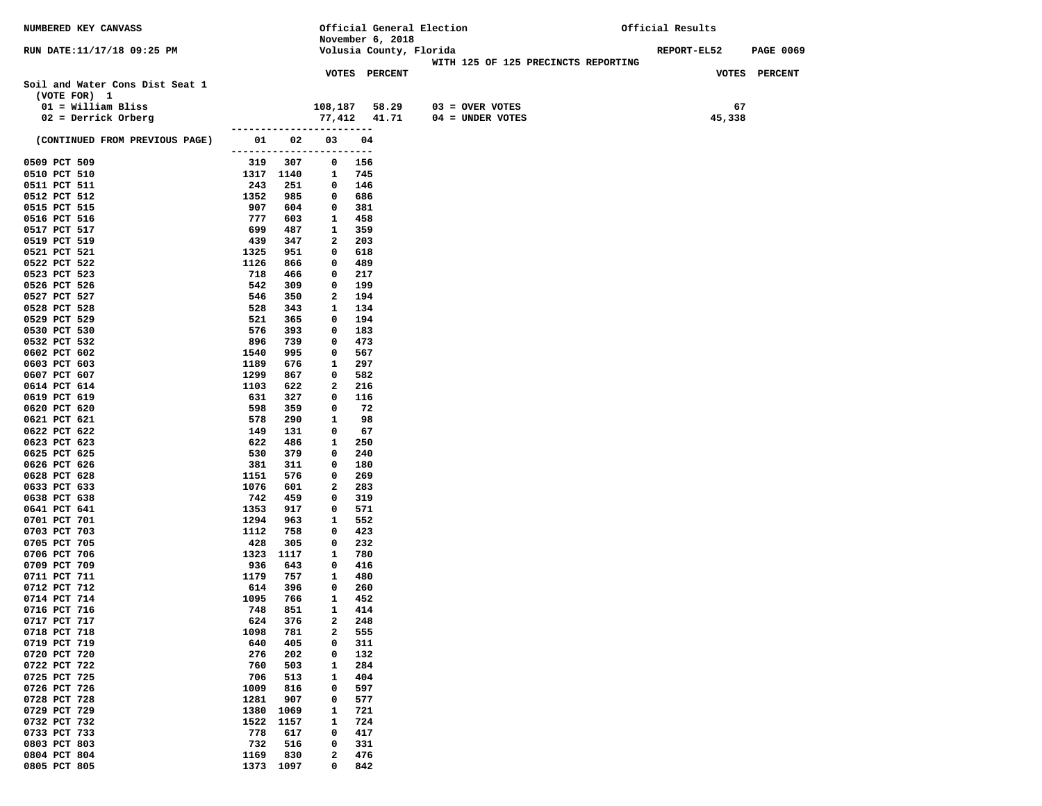| NUMBERED KEY CANVASS                            |                          |            |                          |            |                         | Official General Election           | Official Results   |                  |
|-------------------------------------------------|--------------------------|------------|--------------------------|------------|-------------------------|-------------------------------------|--------------------|------------------|
|                                                 |                          |            |                          |            | November 6, 2018        |                                     |                    |                  |
| RUN DATE:11/17/18 09:25 PM                      |                          |            |                          |            | Volusia County, Florida |                                     | <b>REPORT-EL52</b> | <b>PAGE 0069</b> |
|                                                 |                          |            |                          |            |                         | WITH 125 OF 125 PRECINCTS REPORTING |                    |                  |
| Soil and Water Cons Dist Seat 1<br>(VOTE FOR) 1 |                          |            | <b>VOTES PERCENT</b>     |            |                         |                                     |                    | VOTES PERCENT    |
| $01 =$ William Bliss                            |                          |            | 108,187                  |            |                         | $58.29$ $03 =$ OVER VOTES           | 67                 |                  |
| $02$ = Derrick Orberg                           |                          |            |                          |            | 77,412 41.71            | $04 =$ UNDER VOTES                  | 45,338             |                  |
|                                                 |                          |            | ------------------------ |            |                         |                                     |                    |                  |
| (CONTINUED FROM PREVIOUS PAGE)                  | ------------------------ |            | 01 02 03                 | 04         |                         |                                     |                    |                  |
| 0509 PCT 509                                    |                          | 319 307    | $^{\circ}$               | 156        |                         |                                     |                    |                  |
| 0510 PCT 510                                    | 1317 1140                |            | $\mathbf{1}$             | 745        |                         |                                     |                    |                  |
| 0511 PCT 511                                    | 243                      | 251        | $\mathbf{0}$             | 146        |                         |                                     |                    |                  |
| 0512 PCT 512                                    | 1352                     | 985        | $\mathbf{0}$             | 686        |                         |                                     |                    |                  |
| 0515 PCT 515                                    | 907                      | 604        | $\mathbf 0$              | 381        |                         |                                     |                    |                  |
| 0516 PCT 516                                    | 777                      | 603        | $\mathbf{1}$             | 458        |                         |                                     |                    |                  |
| 0517 PCT 517                                    | 699                      | 487        | 1<br>$\mathbf{2}$        | 359        |                         |                                     |                    |                  |
| 0519 PCT 519<br>0521 PCT 521                    | 439<br>1325              | 347<br>951 | 0                        | 203<br>618 |                         |                                     |                    |                  |
| 0522 PCT 522                                    | 1126                     | 866        | $\mathbf 0$              | 489        |                         |                                     |                    |                  |
| 0523 PCT 523                                    | 718                      | 466        | 0                        | 217        |                         |                                     |                    |                  |
| 0526 PCT 526                                    | 542                      | 309        | 0                        | 199        |                         |                                     |                    |                  |
| 0527 PCT 527                                    | 546                      | 350        | 2                        | 194        |                         |                                     |                    |                  |
| 0528 PCT 528                                    | 528                      | 343        | $\mathbf{1}$             | 134        |                         |                                     |                    |                  |
| 0529 PCT 529                                    | 521                      | 365        | 0                        | 194        |                         |                                     |                    |                  |
| 0530 PCT 530                                    | 576                      | 393        | 0                        | 183        |                         |                                     |                    |                  |
| 0532 PCT 532                                    | 896                      | 739        | 0                        | 473        |                         |                                     |                    |                  |
| 0602 PCT 602                                    | 1540                     | 995        | 0                        | 567        |                         |                                     |                    |                  |
| 0603 PCT 603                                    | 1189                     | 676        | 1                        | 297        |                         |                                     |                    |                  |
| 0607 PCT 607                                    | 1299                     | 867        | $\mathbf 0$              | 582        |                         |                                     |                    |                  |
| 0614 PCT 614                                    | 1103                     | 622        | 2                        | 216        |                         |                                     |                    |                  |
| 0619 PCT 619                                    | 631                      | 327        | 0                        | 116        |                         |                                     |                    |                  |
| 0620 PCT 620                                    | 598                      | 359        | 0                        | 72         |                         |                                     |                    |                  |
| 0621 PCT 621                                    | 578<br>149               | 290        | 1<br>0                   | 98         |                         |                                     |                    |                  |
| 0622 PCT 622<br>0623 PCT 623                    | 622                      | 131<br>486 | 1                        | 67<br>250  |                         |                                     |                    |                  |
| 0625 PCT 625                                    | 530                      | 379        | 0                        | 240        |                         |                                     |                    |                  |
| 0626 PCT 626                                    | 381                      | 311        | 0                        | 180        |                         |                                     |                    |                  |
| 0628 PCT 628                                    | 1151                     | 576        | 0                        | 269        |                         |                                     |                    |                  |
| 0633 PCT 633                                    | 1076                     | 601        | 2                        | 283        |                         |                                     |                    |                  |
| 0638 PCT 638                                    | 742                      | 459        | 0                        | 319        |                         |                                     |                    |                  |
| 0641 PCT 641                                    | 1353                     | 917        | 0                        | 571        |                         |                                     |                    |                  |
| 0701 PCT 701                                    | 1294                     | 963        | 1                        | 552        |                         |                                     |                    |                  |
| 0703 PCT 703                                    | 1112                     | 758        | 0                        | 423        |                         |                                     |                    |                  |
| 0705 PCT 705                                    | 428                      | 305        | 0                        | 232        |                         |                                     |                    |                  |
| 0706 PCT 706                                    | 1323 1117                |            | 1                        | 780        |                         |                                     |                    |                  |
| 0709 PCT 709                                    | 936                      | 643        | $\mathbf 0$              | 416        |                         |                                     |                    |                  |
| 0711 PCT 711                                    | 1179                     | 757        | $\mathbf{1}$             | 480        |                         |                                     |                    |                  |
| 0712 PCT 712<br>0714 PCT 714                    | 614<br>1095              | 396<br>766 | 0<br>$\mathbf{1}$        | 260<br>452 |                         |                                     |                    |                  |
| 0716 PCT 716                                    | 748                      | 851        | $\mathbf{1}$             | 414        |                         |                                     |                    |                  |
| 0717 PCT 717                                    | 624                      | 376        | 2                        | 248        |                         |                                     |                    |                  |
| 0718 PCT 718                                    | 1098                     | 781        | 2                        | 555        |                         |                                     |                    |                  |
| 0719 PCT 719                                    | 640                      | 405        | 0                        | 311        |                         |                                     |                    |                  |
| 0720 PCT 720                                    | 276                      | 202        | 0                        | 132        |                         |                                     |                    |                  |
| 0722 PCT 722                                    | 760                      | 503        | 1                        | 284        |                         |                                     |                    |                  |
| 0725 PCT 725                                    | 706                      | 513        | 1                        | 404        |                         |                                     |                    |                  |
| 0726 PCT 726                                    | 1009                     | 816        | 0                        | 597        |                         |                                     |                    |                  |
| 0728 PCT 728                                    | 1281                     | 907        | 0                        | 577        |                         |                                     |                    |                  |
| 0729 PCT 729                                    | 1380                     | 1069       | 1                        | 721        |                         |                                     |                    |                  |
| 0732 PCT 732                                    | 1522                     | 1157       | 1                        | 724        |                         |                                     |                    |                  |
| 0733 PCT 733                                    | 778                      | 617        | 0                        | 417        |                         |                                     |                    |                  |
| 0803 PCT 803                                    | 732                      | 516        | 0                        | 331        |                         |                                     |                    |                  |
| 0804 PCT 804                                    | 1169                     | 830        | 2                        | 476        |                         |                                     |                    |                  |
| 0805 PCT 805                                    | 1373 1097                |            | 0                        | 842        |                         |                                     |                    |                  |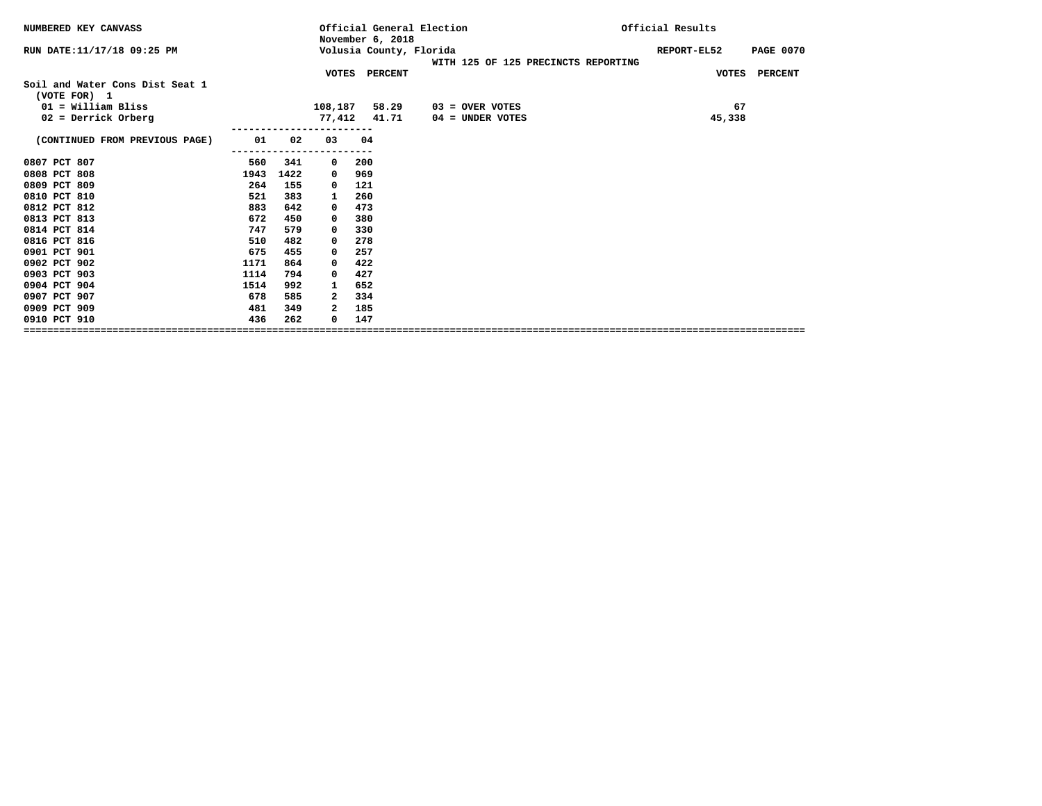| NUMBERED KEY CANVASS            |      |      |             | November 6, 2018 | Official General Election           | Official Results                |
|---------------------------------|------|------|-------------|------------------|-------------------------------------|---------------------------------|
| RUN DATE:11/17/18 09:25 PM      |      |      |             |                  | Volusia County, Florida             | <b>PAGE 0070</b><br>REPORT-EL52 |
|                                 |      |      |             |                  | WITH 125 OF 125 PRECINCTS REPORTING |                                 |
| Soil and Water Cons Dist Seat 1 |      |      |             | VOTES PERCENT    |                                     | VOTES PERCENT                   |
| (VOTE FOR) 1                    |      |      |             |                  |                                     |                                 |
| $01 =$ William Bliss            |      |      | 108,187     | 58.29            | $03 =$ OVER VOTES                   | 67                              |
| $02$ = Derrick Orberg           |      |      |             | 77,412 41.71     | $04 =$ UNDER VOTES                  | 45,338                          |
|                                 |      |      |             |                  |                                     |                                 |
| (CONTINUED FROM PREVIOUS PAGE)  | 01   | 02   | 03          | 04               |                                     |                                 |
| 0807 PCT 807                    | 560  | 341  | $\mathbf 0$ | 200              |                                     |                                 |
| 0808 PCT 808                    | 1943 | 1422 | 0           | 969              |                                     |                                 |
| 0809 PCT 809                    | 264  | 155  | 0           | 121              |                                     |                                 |
| 0810 PCT 810                    | 521  | 383  | 1           | 260              |                                     |                                 |
| 0812 PCT 812                    | 883  | 642  | 0           | 473              |                                     |                                 |
| 0813 PCT 813                    | 672  | 450  | 0           | 380              |                                     |                                 |
| 0814 PCT 814                    | 747  | 579  | 0           | 330              |                                     |                                 |
| 0816 PCT 816                    | 510  | 482  | 0           | 278              |                                     |                                 |
| 0901 PCT 901                    | 675  | 455  | 0           | 257              |                                     |                                 |
| 0902 PCT 902                    | 1171 | 864  | 0           | 422              |                                     |                                 |
| 0903 PCT 903                    | 1114 | 794  | 0           | 427              |                                     |                                 |
| 0904 PCT 904                    | 1514 | 992  | 1           | 652              |                                     |                                 |
| 0907 PCT 907                    | 678  | 585  | 2           | 334              |                                     |                                 |
| 0909 PCT 909                    | 481  | 349  | 2           | 185              |                                     |                                 |
| 0910 PCT 910                    | 436  | 262  | 0           | 147              |                                     |                                 |
|                                 |      |      |             |                  |                                     |                                 |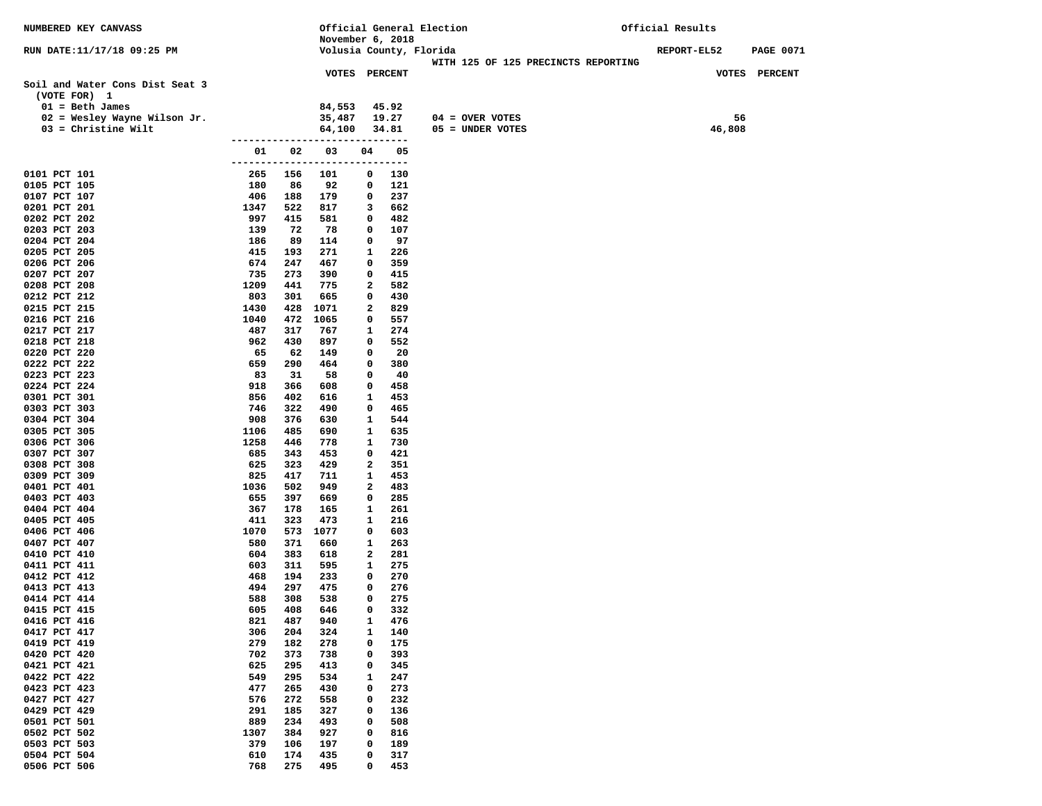| NUMBERED KEY CANVASS                            |                 |            |                                             |             |                                                                                                                                                                                                                                                                                                                                                                                                    | Official General Election           | Official Results |                  |
|-------------------------------------------------|-----------------|------------|---------------------------------------------|-------------|----------------------------------------------------------------------------------------------------------------------------------------------------------------------------------------------------------------------------------------------------------------------------------------------------------------------------------------------------------------------------------------------------|-------------------------------------|------------------|------------------|
|                                                 |                 |            | November 6, 2018<br>Volusia County, Florida |             |                                                                                                                                                                                                                                                                                                                                                                                                    |                                     |                  |                  |
| RUN DATE:11/17/18 09:25 PM                      |                 |            |                                             |             |                                                                                                                                                                                                                                                                                                                                                                                                    | WITH 125 OF 125 PRECINCTS REPORTING | REPORT-EL52      | <b>PAGE 0071</b> |
|                                                 |                 |            | <b>VOTES PERCENT</b>                        |             |                                                                                                                                                                                                                                                                                                                                                                                                    |                                     |                  | VOTES PERCENT    |
| Soil and Water Cons Dist Seat 3<br>(VOTE FOR) 1 |                 |            |                                             |             |                                                                                                                                                                                                                                                                                                                                                                                                    |                                     |                  |                  |
| $01 = \text{Beth James}$                        |                 |            | 84,553                                      |             | 45.92                                                                                                                                                                                                                                                                                                                                                                                              |                                     |                  |                  |
| 02 = Wesley Wayne Wilson Jr.                    |                 |            | 35,487                                      |             | 19.27                                                                                                                                                                                                                                                                                                                                                                                              | $04 =$ OVER VOTES                   |                  | 56               |
| $03$ = Christine Wilt                           |                 |            | 64,100                                      |             | 34.81                                                                                                                                                                                                                                                                                                                                                                                              | 05 = UNDER VOTES                    | 46,808           |                  |
|                                                 |                 |            | -------------------------                   |             |                                                                                                                                                                                                                                                                                                                                                                                                    |                                     |                  |                  |
|                                                 | 01<br>--------- | 02         | 03<br>-----------                           | 04<br>----- | 05<br>$\frac{1}{2} \frac{1}{2} \frac{1}{2} \frac{1}{2} \frac{1}{2} \frac{1}{2} \frac{1}{2} \frac{1}{2} \frac{1}{2} \frac{1}{2} \frac{1}{2} \frac{1}{2} \frac{1}{2} \frac{1}{2} \frac{1}{2} \frac{1}{2} \frac{1}{2} \frac{1}{2} \frac{1}{2} \frac{1}{2} \frac{1}{2} \frac{1}{2} \frac{1}{2} \frac{1}{2} \frac{1}{2} \frac{1}{2} \frac{1}{2} \frac{1}{2} \frac{1}{2} \frac{1}{2} \frac{1}{2} \frac{$ |                                     |                  |                  |
| 0101 PCT 101                                    | 265             | 156        | 101                                         | 0           | 130                                                                                                                                                                                                                                                                                                                                                                                                |                                     |                  |                  |
| 0105 PCT 105                                    | 180             | 86         | 92                                          | 0           | 121                                                                                                                                                                                                                                                                                                                                                                                                |                                     |                  |                  |
| 0107 PCT 107                                    | 406             | 188        | 179                                         | 0           | 237                                                                                                                                                                                                                                                                                                                                                                                                |                                     |                  |                  |
| 0201 PCT 201                                    | 1347            | 522        | 817                                         | 3           | 662                                                                                                                                                                                                                                                                                                                                                                                                |                                     |                  |                  |
| 0202 PCT 202                                    | 997             | 415        | 581                                         | 0           | 482                                                                                                                                                                                                                                                                                                                                                                                                |                                     |                  |                  |
| 0203 PCT 203<br>0204 PCT 204                    | 139<br>186      | 72<br>89   | 78<br>114                                   | 0<br>0      | 107<br>97                                                                                                                                                                                                                                                                                                                                                                                          |                                     |                  |                  |
| 0205 PCT 205                                    | 415             | 193        | 271                                         | 1           | 226                                                                                                                                                                                                                                                                                                                                                                                                |                                     |                  |                  |
| 0206 PCT 206                                    | 674             | 247        | 467                                         | 0           | 359                                                                                                                                                                                                                                                                                                                                                                                                |                                     |                  |                  |
| 0207 PCT 207                                    | 735             | 273        | 390                                         | 0           | 415                                                                                                                                                                                                                                                                                                                                                                                                |                                     |                  |                  |
| 0208 PCT 208                                    | 1209            | 441        | 775                                         | 2           | 582                                                                                                                                                                                                                                                                                                                                                                                                |                                     |                  |                  |
| 0212 PCT 212                                    | 803             | 301        | 665                                         | 0           | 430                                                                                                                                                                                                                                                                                                                                                                                                |                                     |                  |                  |
| 0215 PCT 215                                    | 1430            | 428        | 1071                                        | 2           | 829                                                                                                                                                                                                                                                                                                                                                                                                |                                     |                  |                  |
| 0216 PCT 216<br>0217 PCT 217                    | 1040<br>487     | 472<br>317 | 1065<br>767                                 | 0<br>1      | 557<br>274                                                                                                                                                                                                                                                                                                                                                                                         |                                     |                  |                  |
| 0218 PCT 218                                    | 962             | 430        | 897                                         | 0           | 552                                                                                                                                                                                                                                                                                                                                                                                                |                                     |                  |                  |
| 0220 PCT 220                                    | 65              | 62         | 149                                         | 0           | 20                                                                                                                                                                                                                                                                                                                                                                                                 |                                     |                  |                  |
| 0222 PCT 222                                    | 659             | 290        | 464                                         | 0           | 380                                                                                                                                                                                                                                                                                                                                                                                                |                                     |                  |                  |
| 0223 PCT 223                                    | 83              | 31         | 58                                          | 0           | 40                                                                                                                                                                                                                                                                                                                                                                                                 |                                     |                  |                  |
| 0224 PCT 224                                    | 918             | 366        | 608                                         | 0           | 458                                                                                                                                                                                                                                                                                                                                                                                                |                                     |                  |                  |
| 0301 PCT 301                                    | 856<br>746      | 402<br>322 | 616<br>490                                  | 1           | 453                                                                                                                                                                                                                                                                                                                                                                                                |                                     |                  |                  |
| 0303 PCT 303<br>0304 PCT 304                    | 908             | 376        | 630                                         | 0<br>1      | 465<br>544                                                                                                                                                                                                                                                                                                                                                                                         |                                     |                  |                  |
| 0305 PCT 305                                    | 1106            | 485        | 690                                         | 1           | 635                                                                                                                                                                                                                                                                                                                                                                                                |                                     |                  |                  |
| 0306 PCT 306                                    | 1258            | 446        | 778                                         | 1           | 730                                                                                                                                                                                                                                                                                                                                                                                                |                                     |                  |                  |
| 0307 PCT 307                                    | 685             | 343        | 453                                         | 0           | 421                                                                                                                                                                                                                                                                                                                                                                                                |                                     |                  |                  |
| 0308 PCT 308                                    | 625             | 323        | 429                                         | 2           | 351                                                                                                                                                                                                                                                                                                                                                                                                |                                     |                  |                  |
| 0309 PCT 309                                    | 825             | 417        | 711                                         | 1           | 453                                                                                                                                                                                                                                                                                                                                                                                                |                                     |                  |                  |
| 0401 PCT 401<br>0403 PCT 403                    | 1036<br>655     | 502<br>397 | 949<br>669                                  | 2<br>0      | 483<br>285                                                                                                                                                                                                                                                                                                                                                                                         |                                     |                  |                  |
| 0404 PCT 404                                    | 367             | 178        | 165                                         | 1           | 261                                                                                                                                                                                                                                                                                                                                                                                                |                                     |                  |                  |
| 0405 PCT 405                                    | 411             | 323        | 473                                         | 1           | 216                                                                                                                                                                                                                                                                                                                                                                                                |                                     |                  |                  |
| 0406 PCT 406                                    | 1070            | 573        | 1077                                        | 0           | 603                                                                                                                                                                                                                                                                                                                                                                                                |                                     |                  |                  |
| 0407 PCT 407                                    | 580             | 371        | 660                                         | 1           | 263                                                                                                                                                                                                                                                                                                                                                                                                |                                     |                  |                  |
| 0410 PCT 410                                    | 604             | 383        | 618                                         | 2           | 281                                                                                                                                                                                                                                                                                                                                                                                                |                                     |                  |                  |
| 0411 PCT 411                                    | 603             | 311        | 595                                         | 1           | 275                                                                                                                                                                                                                                                                                                                                                                                                |                                     |                  |                  |
| 0412 PCT 412<br>0413 PCT 413                    | 468<br>494      | 194<br>297 | 233<br>475                                  | 0<br>0      | 270<br>276                                                                                                                                                                                                                                                                                                                                                                                         |                                     |                  |                  |
| 0414 PCT 414                                    | 588             | 308        | 538                                         | 0           | 275                                                                                                                                                                                                                                                                                                                                                                                                |                                     |                  |                  |
| 0415 PCT 415                                    | 605             | 408        | 646                                         | 0           | 332                                                                                                                                                                                                                                                                                                                                                                                                |                                     |                  |                  |
| 0416 PCT 416                                    | 821             | 487        | 940                                         | 1           | 476                                                                                                                                                                                                                                                                                                                                                                                                |                                     |                  |                  |
| 0417 PCT 417                                    | 306             | 204        | 324                                         | 1           | 140                                                                                                                                                                                                                                                                                                                                                                                                |                                     |                  |                  |
| 0419 PCT 419                                    | 279             | 182        | 278                                         | 0           | 175                                                                                                                                                                                                                                                                                                                                                                                                |                                     |                  |                  |
| 0420 PCT 420                                    | 702             | 373<br>295 | 738                                         | 0<br>0      | 393                                                                                                                                                                                                                                                                                                                                                                                                |                                     |                  |                  |
| 0421 PCT 421<br>0422 PCT 422                    | 625<br>549      | 295        | 413<br>534                                  | $\mathbf 1$ | 345<br>247                                                                                                                                                                                                                                                                                                                                                                                         |                                     |                  |                  |
| 0423 PCT 423                                    | 477             | 265        | 430                                         | 0           | 273                                                                                                                                                                                                                                                                                                                                                                                                |                                     |                  |                  |
| 0427 PCT 427                                    | 576             | 272        | 558                                         | 0           | 232                                                                                                                                                                                                                                                                                                                                                                                                |                                     |                  |                  |
| 0429 PCT 429                                    | 291             | 185        | 327                                         | 0           | 136                                                                                                                                                                                                                                                                                                                                                                                                |                                     |                  |                  |
| 0501 PCT 501                                    | 889             | 234        | 493                                         | 0           | 508                                                                                                                                                                                                                                                                                                                                                                                                |                                     |                  |                  |
| 0502 PCT 502                                    | 1307            | 384        | 927                                         | 0           | 816                                                                                                                                                                                                                                                                                                                                                                                                |                                     |                  |                  |
| 0503 PCT 503<br>0504 PCT 504                    | 379<br>610      | 106<br>174 | 197<br>435                                  | 0<br>0      | 189<br>317                                                                                                                                                                                                                                                                                                                                                                                         |                                     |                  |                  |
| 0506 PCT 506                                    | 768             | 275        | 495                                         | 0           | 453                                                                                                                                                                                                                                                                                                                                                                                                |                                     |                  |                  |
|                                                 |                 |            |                                             |             |                                                                                                                                                                                                                                                                                                                                                                                                    |                                     |                  |                  |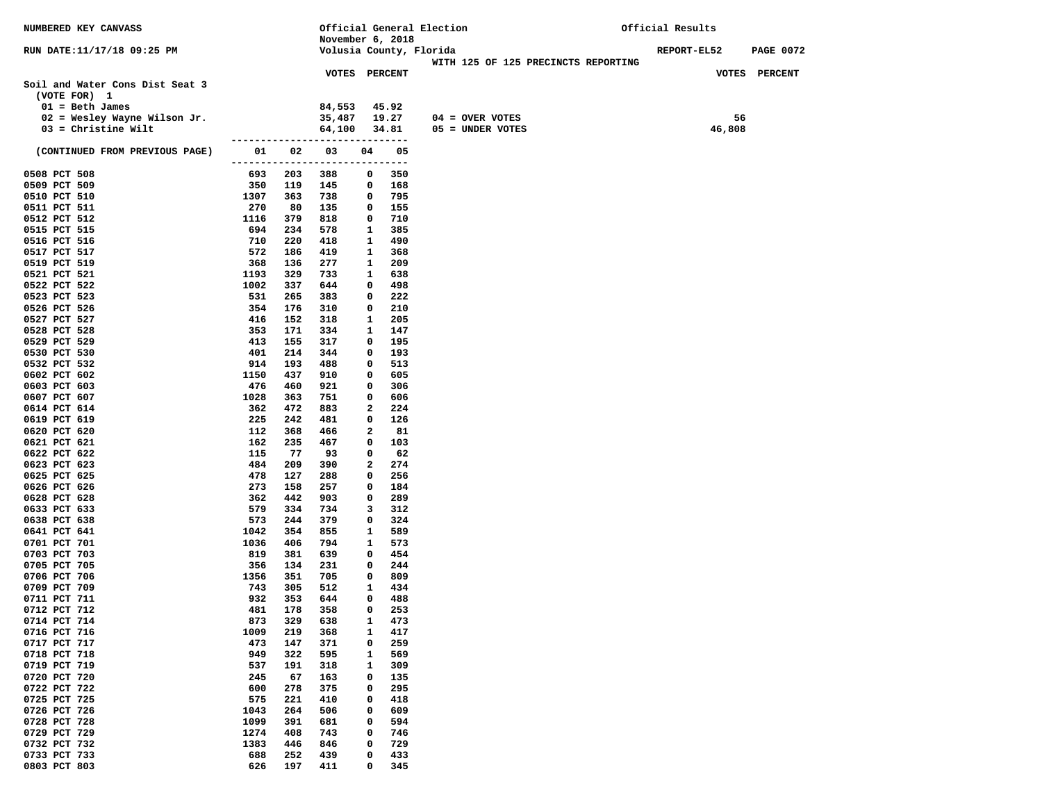| NUMBERED KEY CANVASS            |                     |            | Official General Election            |              |            |                                     | Official Results |                  |  |  |
|---------------------------------|---------------------|------------|--------------------------------------|--------------|------------|-------------------------------------|------------------|------------------|--|--|
|                                 |                     |            | November 6, 2018                     |              |            |                                     |                  |                  |  |  |
| RUN DATE:11/17/18 09:25 PM      |                     |            | Volusia County, Florida              |              |            |                                     | REPORT-EL52      | <b>PAGE 0072</b> |  |  |
|                                 |                     |            |                                      |              |            | WITH 125 OF 125 PRECINCTS REPORTING |                  |                  |  |  |
|                                 |                     |            | <b>VOTES PERCENT</b>                 |              |            |                                     |                  | VOTES PERCENT    |  |  |
| Soil and Water Cons Dist Seat 3 |                     |            |                                      |              |            |                                     |                  |                  |  |  |
| (VOTE FOR) 1                    |                     |            |                                      |              |            |                                     |                  |                  |  |  |
| $01 = \text{Beth James}$        |                     |            | 84,553                               |              | 45.92      |                                     |                  |                  |  |  |
| $02$ = Wesley Wayne Wilson Jr.  |                     |            | 35,487                               |              | 19.27      | $04 =$ OVER VOTES                   | 56               |                  |  |  |
| $03$ = Christine Wilt           |                     |            | 64,100                               |              | 34.81      | $05 =$ UNDER VOTES                  | 46,808           |                  |  |  |
| (CONTINUED FROM PREVIOUS PAGE)  | 01                  | 02         | ------------------------------<br>03 | 04           | 05         |                                     |                  |                  |  |  |
|                                 | ------------------- |            |                                      |              | $---$      |                                     |                  |                  |  |  |
| 0508 PCT 508                    | 693                 | 203        | 388                                  | 0            | 350        |                                     |                  |                  |  |  |
| 0509 PCT 509                    | 350                 | 119        | 145                                  | 0            | 168        |                                     |                  |                  |  |  |
| 0510 PCT 510                    | 1307                | 363        | 738                                  | 0            | 795        |                                     |                  |                  |  |  |
| 0511 PCT 511                    | 270                 | 80         | 135                                  | 0            | 155        |                                     |                  |                  |  |  |
| 0512 PCT 512                    | 1116                | 379        | 818                                  | 0            | 710        |                                     |                  |                  |  |  |
| 0515 PCT 515                    | 694                 | 234        | 578                                  | $\mathbf{1}$ | 385        |                                     |                  |                  |  |  |
| 0516 PCT 516                    | 710                 | 220        | 418                                  | 1            | 490        |                                     |                  |                  |  |  |
| 0517 PCT 517                    | 572                 | 186        | 419                                  | 1            | 368        |                                     |                  |                  |  |  |
| 0519 PCT 519                    | 368                 | 136        | 277                                  | 1            | 209        |                                     |                  |                  |  |  |
| 0521 PCT 521                    | 1193                | 329        | 733                                  | 1            | 638        |                                     |                  |                  |  |  |
| 0522 PCT 522                    | 1002                | 337        | 644                                  | 0            | 498        |                                     |                  |                  |  |  |
| 0523 PCT 523                    | 531                 | 265        | 383                                  | 0            | 222        |                                     |                  |                  |  |  |
| 0526 PCT 526                    | 354                 | 176        | 310                                  | 0            | 210        |                                     |                  |                  |  |  |
| 0527 PCT 527                    | 416                 | 152        | 318                                  | 1            | 205        |                                     |                  |                  |  |  |
| 0528 PCT 528                    | 353                 | 171        | 334                                  | 1            | 147        |                                     |                  |                  |  |  |
| 0529 PCT 529                    | 413                 | 155        | 317                                  | 0            | 195        |                                     |                  |                  |  |  |
| 0530 PCT 530                    | 401                 | 214        | 344                                  | 0            | 193        |                                     |                  |                  |  |  |
| 0532 PCT 532                    | 914                 | 193        | 488                                  | 0            | 513        |                                     |                  |                  |  |  |
| 0602 PCT 602<br>0603 PCT 603    | 1150<br>476         | 437<br>460 | 910<br>921                           | 0<br>0       | 605<br>306 |                                     |                  |                  |  |  |
| 0607 PCT 607                    | 1028                | 363        | 751                                  | 0            | 606        |                                     |                  |                  |  |  |
| 0614 PCT 614                    | 362                 | 472        | 883                                  | 2            | 224        |                                     |                  |                  |  |  |
| 0619 PCT 619                    | 225                 | 242        | 481                                  | 0            | 126        |                                     |                  |                  |  |  |
| 0620 PCT 620                    | 112                 | 368        | 466                                  | 2            | 81         |                                     |                  |                  |  |  |
| 0621 PCT 621                    | 162                 | 235        | 467                                  | 0            | 103        |                                     |                  |                  |  |  |
| 0622 PCT 622                    | 115                 | 77         | 93                                   | 0            | 62         |                                     |                  |                  |  |  |
| 0623 PCT 623                    | 484                 | 209        | 390                                  | 2            | 274        |                                     |                  |                  |  |  |
| 0625 PCT 625                    | 478                 | 127        | 288                                  | 0            | 256        |                                     |                  |                  |  |  |
| 0626 PCT 626                    | 273                 | 158        | 257                                  | 0            | 184        |                                     |                  |                  |  |  |
| 0628 PCT 628                    | 362                 | 442        | 903                                  | 0            | 289        |                                     |                  |                  |  |  |
| 0633 PCT 633                    | 579                 | 334        | 734                                  | 3            | 312        |                                     |                  |                  |  |  |
| 0638 PCT 638                    | 573                 | 244        | 379                                  | 0            | 324        |                                     |                  |                  |  |  |
| 0641 PCT 641                    | 1042                | 354        | 855                                  | 1            | 589        |                                     |                  |                  |  |  |
| 0701 PCT 701                    | 1036                | 406        | 794                                  | 1            | 573        |                                     |                  |                  |  |  |
| 0703 PCT 703<br>0705 PCT 705    | 819<br>356          | 381<br>134 | 639<br>231                           | 0<br>0       | 454<br>244 |                                     |                  |                  |  |  |
| 0706 PCT 706                    | 1356                | 351        | 705                                  | 0            | 809        |                                     |                  |                  |  |  |
| 0709 PCT 709                    | 743                 | 305        | 512                                  | 1            | 434        |                                     |                  |                  |  |  |
| 0711 PCT 711                    | 932                 | 353        | 644                                  | 0            | 488        |                                     |                  |                  |  |  |
| 0712 PCT 712                    | 481                 | 178        | 358                                  | 0            | 253        |                                     |                  |                  |  |  |
| 0714 PCT 714                    | 873                 | 329        | 638                                  | 1            | 473        |                                     |                  |                  |  |  |
| 0716 PCT 716                    | 1009                | 219        | 368                                  | 1            | 417        |                                     |                  |                  |  |  |
| 0717 PCT 717                    | 473                 | 147        | 371                                  | 0            | 259        |                                     |                  |                  |  |  |
| 0718 PCT 718                    | 949                 | 322        | 595                                  | 1            | 569        |                                     |                  |                  |  |  |
| 0719 PCT 719                    | 537                 | 191        | 318                                  | 1            | 309        |                                     |                  |                  |  |  |
| 0720 PCT 720                    | 245                 | 67         | 163                                  | 0            | 135        |                                     |                  |                  |  |  |
| 0722 PCT 722                    | 600                 | 278        | 375                                  | 0            | 295        |                                     |                  |                  |  |  |
| 0725 PCT 725                    | 575                 | 221        | 410                                  | 0            | 418        |                                     |                  |                  |  |  |
| 0726 PCT 726                    | 1043                | 264        | 506                                  | 0            | 609        |                                     |                  |                  |  |  |
| 0728 PCT 728                    | 1099                | 391        | 681                                  | 0            | 594        |                                     |                  |                  |  |  |
| 0729 PCT 729                    | 1274                | 408        | 743                                  | 0            | 746        |                                     |                  |                  |  |  |
| 0732 PCT 732                    | 1383                | 446        | 846                                  | 0            | 729        |                                     |                  |                  |  |  |
| 0733 PCT 733                    | 688                 | 252        | 439                                  | 0            | 433        |                                     |                  |                  |  |  |
| 0803 PCT 803                    | 626                 | 197        | 411                                  | 0            | 345        |                                     |                  |                  |  |  |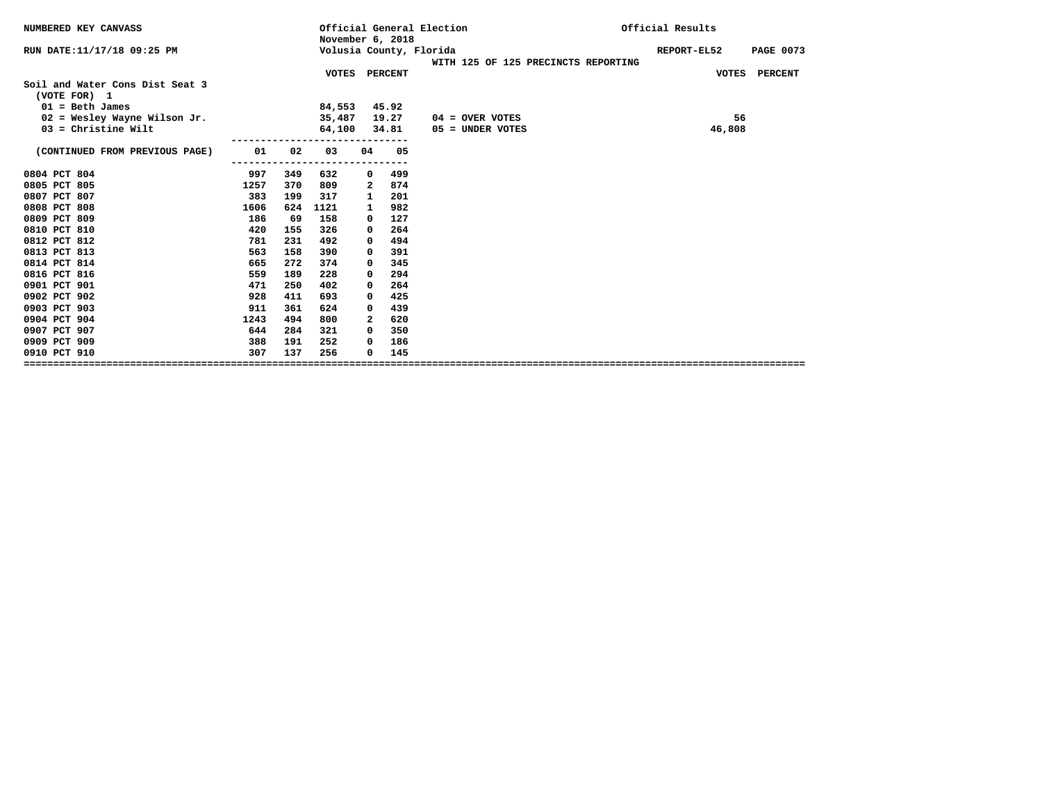| NUMBERED KEY CANVASS                            |     | November 6, 2018 |              |       | Official General Election           | Official Results |                  |
|-------------------------------------------------|-----|------------------|--------------|-------|-------------------------------------|------------------|------------------|
| RUN DATE:11/17/18 09:25 PM                      |     |                  |              |       | Volusia County, Florida             | REPORT-EL52      | <b>PAGE 0073</b> |
|                                                 |     |                  |              |       | WITH 125 OF 125 PRECINCTS REPORTING |                  |                  |
| Soil and Water Cons Dist Seat 3<br>(VOTE FOR) 1 |     | VOTES PERCENT    |              |       |                                     |                  | VOTES PERCENT    |
| $01 = \text{Beth James}$                        |     | 84,553           |              | 45.92 |                                     |                  |                  |
| $02$ = Wesley Wayne Wilson Jr.                  |     | 35,487           |              | 19.27 | $04 =$ OVER VOTES                   | 56               |                  |
| $03$ = Christine Wilt                           |     | 64,100           |              | 34.81 | 05 = UNDER VOTES                    | 46,808           |                  |
| (CONTINUED FROM PREVIOUS PAGE)<br>01            | 02  | 03               | 04           | 05    |                                     |                  |                  |
| 0804 PCT 804<br>997                             | 349 | 632              | 0            | 499   |                                     |                  |                  |
| 0805 PCT 805<br>1257                            | 370 | 809              | 2            | 874   |                                     |                  |                  |
| 0807 PCT 807<br>383                             | 199 | 317              | 1            | 201   |                                     |                  |                  |
| 0808 PCT 808<br>1606                            | 624 | 1121             | 1            | 982   |                                     |                  |                  |
| 0809 PCT 809<br>186                             | 69  | 158              | 0            | 127   |                                     |                  |                  |
| 0810 PCT 810<br>420                             | 155 | 326              | 0            | 264   |                                     |                  |                  |
| 0812 PCT 812<br>781                             | 231 | 492              | 0            | 494   |                                     |                  |                  |
| 0813 PCT 813<br>563                             | 158 | 390              | 0            | 391   |                                     |                  |                  |
| 0814 PCT 814<br>665                             | 272 | 374              | 0            | 345   |                                     |                  |                  |
| 0816 PCT 816<br>559                             | 189 | 228              | 0            | 294   |                                     |                  |                  |
| 0901 PCT 901<br>471                             | 250 | 402              | 0            | 264   |                                     |                  |                  |
| 0902 PCT 902<br>928                             | 411 | 693              | 0            | 425   |                                     |                  |                  |
| 0903 PCT 903<br>911                             | 361 | 624              | 0            | 439   |                                     |                  |                  |
| 0904 PCT 904<br>1243                            | 494 | 800              | $\mathbf{2}$ | 620   |                                     |                  |                  |
| 0907 PCT 907<br>644                             | 284 | 321              | $^{\circ}$   | 350   |                                     |                  |                  |
| 0909 PCT 909<br>388                             | 191 | 252              | 0            | 186   |                                     |                  |                  |
| 307<br>0910 PCT 910                             | 137 | 256              | 0            | 145   |                                     |                  |                  |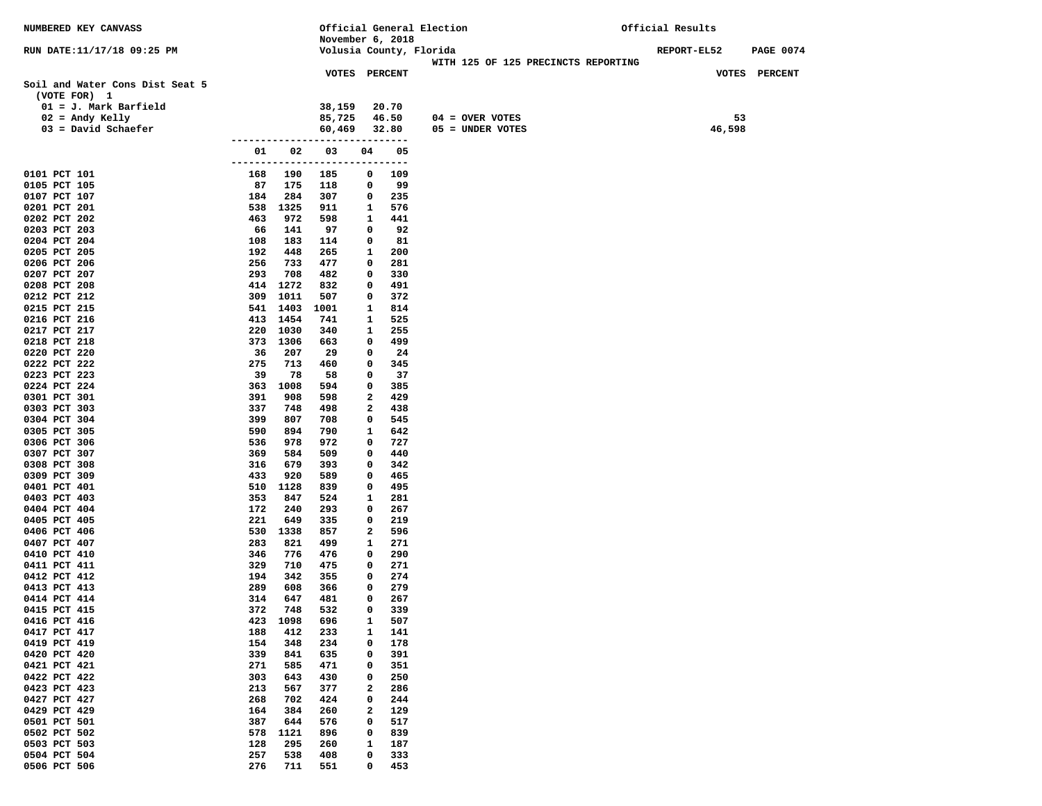| NUMBERED KEY CANVASS                            |            |             |                                  |        |              | Official General Election                                      | Official Results   |                  |
|-------------------------------------------------|------------|-------------|----------------------------------|--------|--------------|----------------------------------------------------------------|--------------------|------------------|
|                                                 |            |             | November 6, 2018                 |        |              |                                                                |                    |                  |
| RUN DATE:11/17/18 09:25 PM                      |            |             |                                  |        |              | Volusia County, Florida<br>WITH 125 OF 125 PRECINCTS REPORTING | <b>REPORT-EL52</b> | <b>PAGE 0074</b> |
|                                                 |            |             | <b>VOTES PERCENT</b>             |        |              |                                                                |                    | VOTES PERCENT    |
| Soil and Water Cons Dist Seat 5<br>(VOTE FOR) 1 |            |             |                                  |        |              |                                                                |                    |                  |
| $01 = J.$ Mark Barfield                         |            |             | 38,159                           |        | 20.70        |                                                                |                    |                  |
| $02$ = Andy Kelly                               |            |             | 85,725                           |        | 46.50        | $04 =$ OVER VOTES                                              |                    | 53               |
| $03 = David Schaefer$                           |            |             | 60,469                           |        | 32.80        | 05 = UNDER VOTES                                               |                    | 46,598           |
|                                                 |            |             | ------------------------------   |        |              |                                                                |                    |                  |
|                                                 | 01         | 02          | 03<br>-------------------------- | 04     | 05<br>$-- -$ |                                                                |                    |                  |
| 0101 PCT 101                                    | 168        | 190         | 185                              | 0      | 109          |                                                                |                    |                  |
| 0105 PCT 105                                    | 87         | 175         | 118                              | 0      | 99           |                                                                |                    |                  |
| 0107 PCT 107                                    | 184        | 284         | 307                              | 0      | 235          |                                                                |                    |                  |
| 0201 PCT 201                                    |            | 538 1325    | 911                              | 1      | 576          |                                                                |                    |                  |
| 0202 PCT 202                                    | 463        | 972         | 598                              | 1      | 441          |                                                                |                    |                  |
| 0203 PCT 203                                    | 66         | 141         | 97                               | 0      | 92           |                                                                |                    |                  |
| 0204 PCT 204                                    | 108<br>192 | 183         | 114                              | 0      | 81           |                                                                |                    |                  |
| 0205 PCT 205<br>0206 PCT 206                    | 256        | 448<br>733  | 265<br>477                       | 1<br>0 | 200<br>281   |                                                                |                    |                  |
| 0207 PCT 207                                    | 293        | 708         | 482                              | 0      | 330          |                                                                |                    |                  |
| 0208 PCT 208                                    |            | 414 1272    | 832                              | 0      | 491          |                                                                |                    |                  |
| 0212 PCT 212                                    | 309        | 1011        | 507                              | 0      | 372          |                                                                |                    |                  |
| 0215 PCT 215                                    |            | 541 1403    | 1001                             | 1      | 814          |                                                                |                    |                  |
| 0216 PCT 216                                    |            | 413 1454    | 741                              | 1      | 525          |                                                                |                    |                  |
| 0217 PCT 217                                    |            | 220 1030    | 340                              | 1      | 255          |                                                                |                    |                  |
| 0218 PCT 218<br>0220 PCT 220                    | 373<br>36  | 1306<br>207 | 663<br>29                        | 0<br>0 | 499<br>24    |                                                                |                    |                  |
| 0222 PCT 222                                    | 275        | 713         | 460                              | 0      | 345          |                                                                |                    |                  |
| 0223 PCT 223                                    | 39         | 78          | 58                               | 0      | 37           |                                                                |                    |                  |
| 0224 PCT 224                                    | 363        | 1008        | 594                              | 0      | 385          |                                                                |                    |                  |
| 0301 PCT 301                                    | 391        | 908         | 598                              | 2      | 429          |                                                                |                    |                  |
| 0303 PCT 303                                    | 337        | 748         | 498                              | 2      | 438          |                                                                |                    |                  |
| 0304 PCT 304                                    | 399        | 807         | 708                              | 0      | 545          |                                                                |                    |                  |
| 0305 PCT 305                                    | 590<br>536 | 894<br>978  | 790<br>972                       | 1<br>0 | 642<br>727   |                                                                |                    |                  |
| 0306 PCT 306<br>0307 PCT 307                    | 369        | 584         | 509                              | 0      | 440          |                                                                |                    |                  |
| 0308 PCT 308                                    | 316        | 679         | 393                              | 0      | 342          |                                                                |                    |                  |
| 0309 PCT 309                                    | 433        | 920         | 589                              | 0      | 465          |                                                                |                    |                  |
| 0401 PCT 401                                    | 510        | 1128        | 839                              | 0      | 495          |                                                                |                    |                  |
| 0403 PCT 403                                    | 353        | 847         | 524                              | 1      | 281          |                                                                |                    |                  |
| 0404 PCT 404                                    | 172        | 240         | 293                              | 0      | 267          |                                                                |                    |                  |
| 0405 PCT 405<br>0406 PCT 406                    | 221<br>530 | 649<br>1338 | 335<br>857                       | 0<br>2 | 219<br>596   |                                                                |                    |                  |
| 0407 PCT 407                                    | 283        | 821         | 499                              | 1      | 271          |                                                                |                    |                  |
| 0410 PCT 410                                    | 346        | 776         | 476                              | 0      | 290          |                                                                |                    |                  |
| 0411 PCT 411                                    | 329        | 710         | 475                              | 0      | 271          |                                                                |                    |                  |
| 0412 PCT 412                                    | 194        | 342         | 355                              | 0      | 274          |                                                                |                    |                  |
| 0413 PCT 413                                    | 289        | 608         | 366                              | 0      | 279          |                                                                |                    |                  |
| 0414 PCT 414                                    | 314        | 647         | 481                              | 0      | 267          |                                                                |                    |                  |
| 0415 PCT 415                                    | 372        | 748         | 532                              | 0      | 339          |                                                                |                    |                  |
| 0416 PCT 416<br>0417 PCT 417                    | 423<br>188 | 1098<br>412 | 696<br>233                       | 1<br>1 | 507<br>141   |                                                                |                    |                  |
| 0419 PCT 419                                    | 154        | 348         | 234                              | 0      | 178          |                                                                |                    |                  |
| 0420 PCT 420                                    | 339        | 841         | 635                              | 0      | 391          |                                                                |                    |                  |
| 0421 PCT 421                                    | 271        | 585         | 471                              | 0      | 351          |                                                                |                    |                  |
| 0422 PCT 422                                    | 303        | 643         | 430                              | 0      | 250          |                                                                |                    |                  |
| 0423 PCT 423                                    | 213        | 567         | 377                              | 2      | 286          |                                                                |                    |                  |
| 0427 PCT 427                                    | 268        | 702         | 424                              | 0      | 244          |                                                                |                    |                  |
| 0429 PCT 429<br>0501 PCT 501                    | 164<br>387 | 384<br>644  | 260<br>576                       | 2<br>0 | 129<br>517   |                                                                |                    |                  |
| 0502 PCT 502                                    | 578        | 1121        | 896                              | 0      | 839          |                                                                |                    |                  |
| 0503 PCT 503                                    | 128        | 295         | 260                              | 1      | 187          |                                                                |                    |                  |
| 0504 PCT 504                                    | 257        | 538         | 408                              | 0      | 333          |                                                                |                    |                  |
| 0506 PCT 506                                    | 276        | 711         | 551                              | 0      | 453          |                                                                |                    |                  |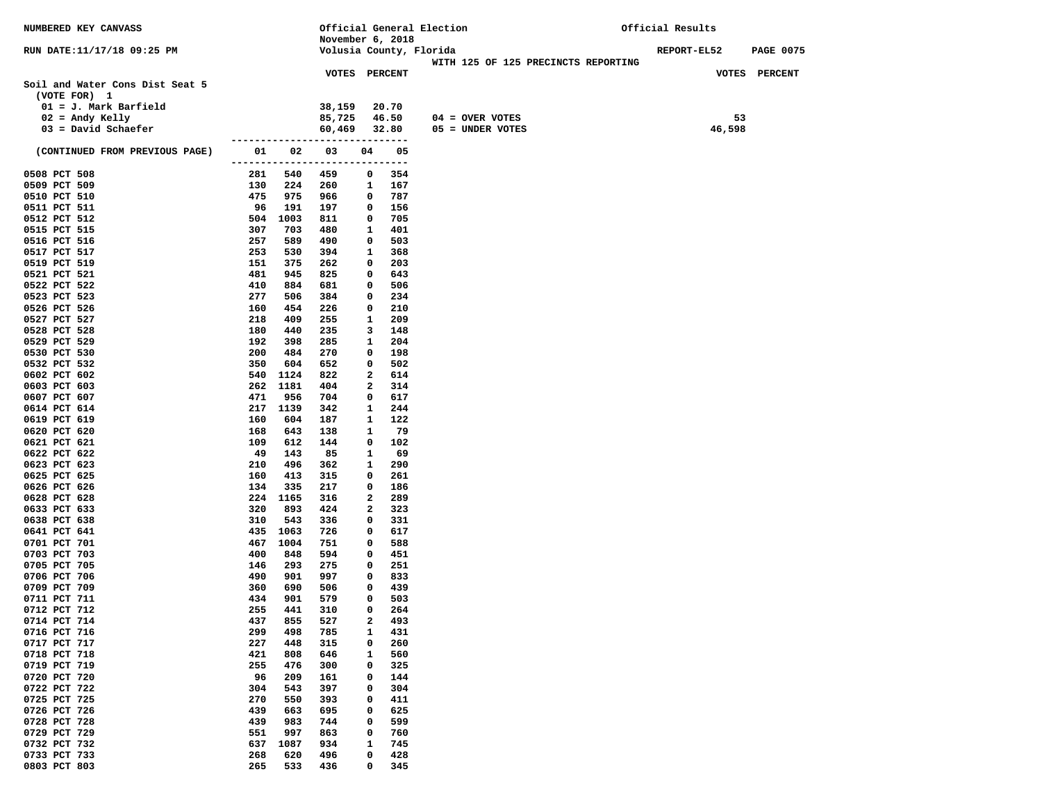| NUMBERED KEY CANVASS            |                            |            | Official General Election       |              |                         | Official Results                    |             |        |                  |
|---------------------------------|----------------------------|------------|---------------------------------|--------------|-------------------------|-------------------------------------|-------------|--------|------------------|
|                                 |                            |            | November 6, 2018                |              |                         |                                     |             |        |                  |
| RUN DATE:11/17/18 09:25 PM      |                            |            |                                 |              | Volusia County, Florida | WITH 125 OF 125 PRECINCTS REPORTING | REPORT-EL52 |        | <b>PAGE 0075</b> |
|                                 |                            |            | <b>VOTES PERCENT</b>            |              |                         |                                     |             |        | VOTES PERCENT    |
| Soil and Water Cons Dist Seat 5 |                            |            |                                 |              |                         |                                     |             |        |                  |
| (VOTE FOR) 1                    |                            |            |                                 |              |                         |                                     |             |        |                  |
| $01 = J.$ Mark Barfield         |                            |            | 38,159                          |              | 20.70                   |                                     |             |        |                  |
| $02$ = Andy Kelly               |                            |            | 85,725                          |              | 46.50                   | $04 =$ OVER VOTES                   |             | 53     |                  |
| $03 = David Schaefer$           |                            |            | 60,469                          |              | 32.80                   | 05 = UNDER VOTES                    |             | 46,598 |                  |
|                                 |                            |            | ------------------------------- |              |                         |                                     |             |        |                  |
| (CONTINUED FROM PREVIOUS PAGE)  | 01<br>-------------------- | 02         | 03                              | 04           | 05<br>-----             |                                     |             |        |                  |
| 0508 PCT 508                    | 281                        | 540        | 459                             | 0            | 354                     |                                     |             |        |                  |
| 0509 PCT 509                    | 130                        | 224        | 260                             | 1            | 167                     |                                     |             |        |                  |
| 0510 PCT 510                    | 475                        | 975        | 966                             | 0            | 787                     |                                     |             |        |                  |
| 0511 PCT 511                    | 96                         | 191        | 197                             | $\mathbf{o}$ | 156                     |                                     |             |        |                  |
| 0512 PCT 512                    | 504                        | 1003       | 811                             | 0            | 705                     |                                     |             |        |                  |
| 0515 PCT 515                    | 307                        | 703        | 480                             | 1            | 401                     |                                     |             |        |                  |
| 0516 PCT 516                    | 257                        | 589        | 490                             | 0            | 503                     |                                     |             |        |                  |
| 0517 PCT 517                    | 253                        | 530        | 394                             | 1            | 368                     |                                     |             |        |                  |
| 0519 PCT 519                    | 151                        | 375        | 262                             | 0            | 203                     |                                     |             |        |                  |
| 0521 PCT 521                    | 481                        | 945        | 825                             | 0            | 643                     |                                     |             |        |                  |
| 0522 PCT 522                    | 410                        | 884        | 681                             | 0            | 506                     |                                     |             |        |                  |
| 0523 PCT 523<br>0526 PCT 526    | 277<br>160                 | 506<br>454 | 384<br>226                      | 0<br>0       | 234<br>210              |                                     |             |        |                  |
| 0527 PCT 527                    | 218                        | 409        | 255                             | 1            | 209                     |                                     |             |        |                  |
| 0528 PCT 528                    | 180                        | 440        | 235                             | 3            | 148                     |                                     |             |        |                  |
| 0529 PCT 529                    | 192                        | 398        | 285                             | 1            | 204                     |                                     |             |        |                  |
| 0530 PCT 530                    | 200                        | 484        | 270                             | $\mathbf{o}$ | 198                     |                                     |             |        |                  |
| 0532 PCT 532                    | 350                        | 604        | 652                             | 0            | 502                     |                                     |             |        |                  |
| 0602 PCT 602                    | 540                        | 1124       | 822                             | 2            | 614                     |                                     |             |        |                  |
| 0603 PCT 603                    | 262                        | 1181       | 404                             | 2            | 314                     |                                     |             |        |                  |
| 0607 PCT 607                    | 471                        | 956        | 704                             | 0            | 617                     |                                     |             |        |                  |
| 0614 PCT 614                    | 217                        | 1139       | 342                             | 1            | 244                     |                                     |             |        |                  |
| 0619 PCT 619                    | 160                        | 604        | 187                             | 1            | 122                     |                                     |             |        |                  |
| 0620 PCT 620                    | 168<br>109                 | 643        | 138                             | 1            | 79<br>102               |                                     |             |        |                  |
| 0621 PCT 621<br>0622 PCT 622    | 49                         | 612<br>143 | 144<br>85                       | 0<br>1       | 69                      |                                     |             |        |                  |
| 0623 PCT 623                    | 210                        | 496        | 362                             | 1            | 290                     |                                     |             |        |                  |
| 0625 PCT 625                    | 160                        | 413        | 315                             | 0            | 261                     |                                     |             |        |                  |
| 0626 PCT 626                    | 134                        | 335        | 217                             | 0            | 186                     |                                     |             |        |                  |
| 0628 PCT 628                    | 224                        | 1165       | 316                             | 2            | 289                     |                                     |             |        |                  |
| 0633 PCT 633                    | 320                        | 893        | 424                             | 2            | 323                     |                                     |             |        |                  |
| 0638 PCT 638                    | 310                        | 543        | 336                             | 0            | 331                     |                                     |             |        |                  |
| 0641 PCT 641                    | 435                        | 1063       | 726                             | 0            | 617                     |                                     |             |        |                  |
| 0701 PCT 701                    | 467                        | 1004       | 751                             | 0            | 588                     |                                     |             |        |                  |
| 0703 PCT 703                    | 400                        | 848        | 594                             | 0            | 451                     |                                     |             |        |                  |
| 0705 PCT 705<br>0706 PCT 706    | 146<br>490                 | 293        | 275<br>997                      | 0<br>0       | 251<br>833              |                                     |             |        |                  |
| 0709 PCT 709                    | 360                        | 901<br>690 | 506                             | $\mathbf{o}$ | 439                     |                                     |             |        |                  |
| 0711 PCT 711                    | 434                        | 901        | 579                             | 0            | 503                     |                                     |             |        |                  |
| 0712 PCT 712                    | 255                        | 441        | 310                             | 0            | 264                     |                                     |             |        |                  |
| 0714 PCT 714                    | 437                        | 855        | 527                             | 2            | 493                     |                                     |             |        |                  |
| 0716 PCT 716                    | 299                        | 498        | 785                             | $\mathbf{1}$ | 431                     |                                     |             |        |                  |
| 0717 PCT 717                    | 227                        | 448        | 315                             | 0            | 260                     |                                     |             |        |                  |
| 0718 PCT 718                    | 421                        | 808        | 646                             | 1            | 560                     |                                     |             |        |                  |
| 0719 PCT 719                    | 255                        | 476        | 300                             | 0            | 325                     |                                     |             |        |                  |
| 0720 PCT 720                    | 96                         | 209        | 161                             | 0            | 144                     |                                     |             |        |                  |
| 0722 PCT 722                    | 304                        | 543        | 397                             | 0            | 304                     |                                     |             |        |                  |
| 0725 PCT 725                    | 270                        | 550        | 393                             | 0            | 411                     |                                     |             |        |                  |
| 0726 PCT 726<br>0728 PCT 728    | 439<br>439                 | 663<br>983 | 695<br>744                      | 0<br>0       | 625<br>599              |                                     |             |        |                  |
| 0729 PCT 729                    | 551                        | 997        | 863                             | 0            | 760                     |                                     |             |        |                  |
| 0732 PCT 732                    | 637                        | 1087       | 934                             | 1            | 745                     |                                     |             |        |                  |
| 0733 PCT 733                    | 268                        | 620        | 496                             | 0            | 428                     |                                     |             |        |                  |
| 0803 PCT 803                    | 265                        | 533        | 436                             | 0            | 345                     |                                     |             |        |                  |
|                                 |                            |            |                                 |              |                         |                                     |             |        |                  |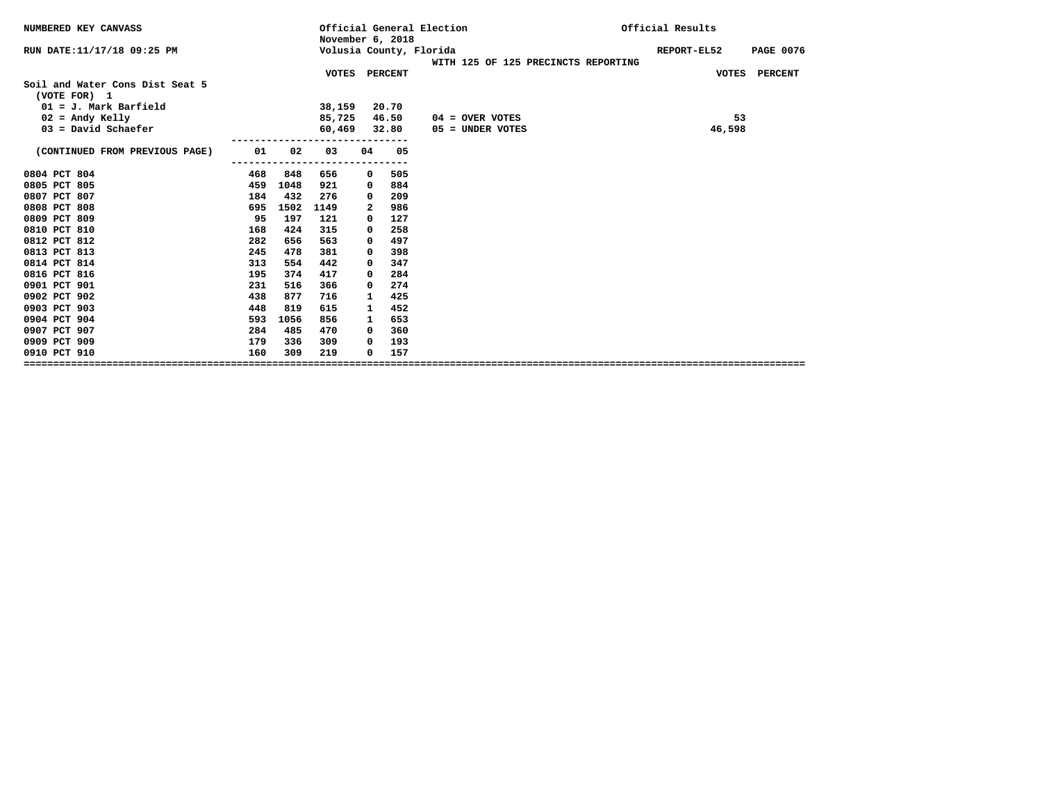| November 6, 2018                                                                  | <b>PAGE 0076</b> |
|-----------------------------------------------------------------------------------|------------------|
| RUN DATE:11/17/18 09:25 PM<br>Volusia County, Florida<br>REPORT-EL52              |                  |
| WITH 125 OF 125 PRECINCTS REPORTING                                               |                  |
| VOTES PERCENT<br>VOTES PERCENT<br>Soil and Water Cons Dist Seat 5<br>(VOTE FOR) 1 |                  |
| $01 = J$ . Mark Barfield<br>20.70<br>38,159                                       |                  |
| $02$ = Andy Kelly<br>85,725<br>46.50<br>53<br>$04 =$ OVER VOTES                   |                  |
| $03 = David Schaefer$<br>46,598<br>60,469<br>32.80<br>05 = UNDER VOTES            |                  |
| (CONTINUED FROM PREVIOUS PAGE)<br>01<br>02<br>05<br>03<br>04                      |                  |
| 505<br>0804 PCT 804<br>468<br>848<br>656<br>0                                     |                  |
| 0805 PCT 805<br>459<br>884<br>1048<br>921<br>0                                    |                  |
| 0807 PCT 807<br>432<br>184<br>209<br>276<br>0                                     |                  |
| 0808 PCT 808<br>986<br>695<br>1502<br>1149<br>2                                   |                  |
| 0809 PCT 809<br>127<br>95<br>197<br>121<br>0                                      |                  |
| 0810 PCT 810<br>258<br>424<br>315<br>168<br>0                                     |                  |
| 0812 PCT 812<br>282<br>497<br>656<br>563<br>0                                     |                  |
| 0813 PCT 813<br>398<br>245<br>478<br>381<br>0                                     |                  |
| 0814 PCT 814<br>313<br>347<br>554<br>442<br>0                                     |                  |
| 0816 PCT 816<br>284<br>374<br>417<br>195<br>0                                     |                  |
| 0901 PCT 901<br>274<br>231<br>516<br>366<br>0                                     |                  |
| 0902 PCT 902<br>425<br>438<br>877<br>716<br>$\mathbf{1}$                          |                  |
| 0903 PCT 903<br>452<br>448<br>819<br>615<br>1                                     |                  |
| 0904 PCT 904<br>593<br>653<br>1056<br>856<br>$\mathbf{1}$                         |                  |
| 0907 PCT 907<br>485<br>470<br>360<br>284<br>0                                     |                  |
| 0909 PCT 909<br>179<br>193<br>336<br>309<br>0                                     |                  |
| 157<br>0910 PCT 910<br>160<br>309<br>219<br>0                                     |                  |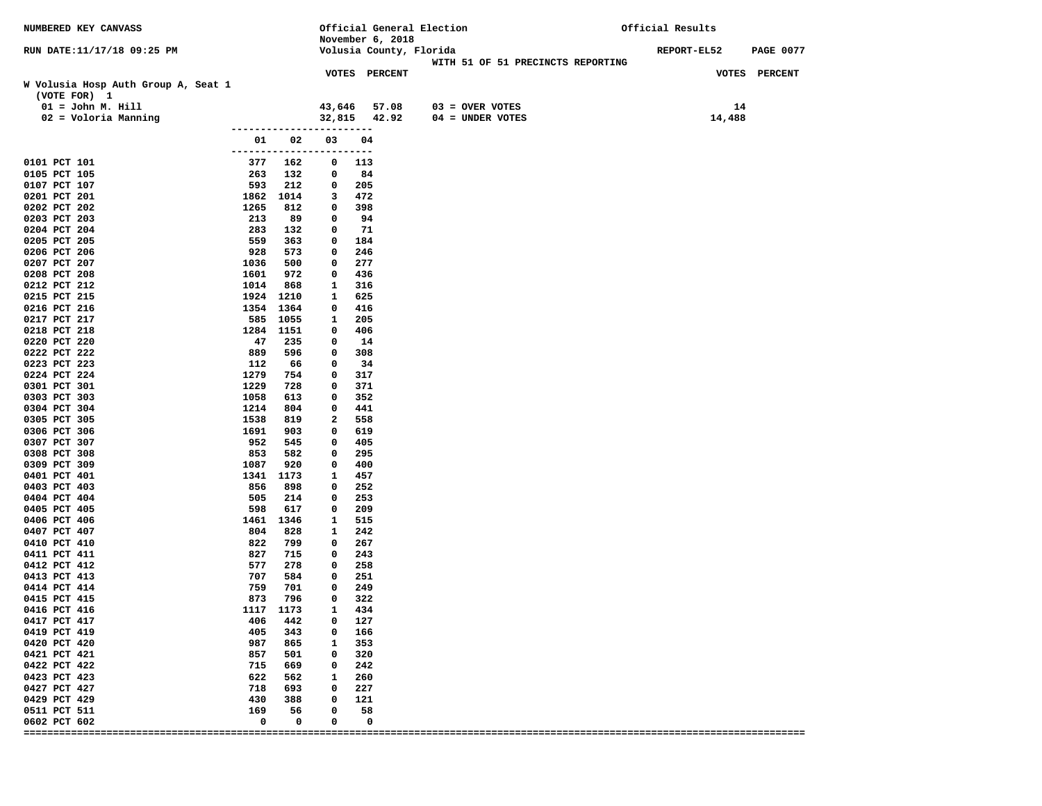| NUMBERED KEY CANVASS                                |                                |                    |              | November 6, 2018       | Official General Election |                   |                                   | Official Results |                  |
|-----------------------------------------------------|--------------------------------|--------------------|--------------|------------------------|---------------------------|-------------------|-----------------------------------|------------------|------------------|
| RUN DATE:11/17/18 09:25 PM                          |                                |                    |              |                        | Volusia County, Florida   |                   | WITH 51 OF 51 PRECINCTS REPORTING | REPORT-EL52      | <b>PAGE 0077</b> |
| W Volusia Hosp Auth Group A, Seat 1<br>(VOTE FOR) 1 |                                |                    |              | VOTES PERCENT          |                           |                   |                                   |                  | VOTES PERCENT    |
| $01 = John M. Hill$                                 |                                |                    | 43,646       | 57.08                  |                           | $03 =$ OVER VOTES |                                   | 14               |                  |
| 02 = Voloria Manning                                |                                |                    | 32,815       | 42.92                  |                           | 04 = UNDER VOTES  |                                   | 14,488           |                  |
|                                                     | -------------                  |                    |              | -----                  |                           |                   |                                   |                  |                  |
|                                                     | 01<br>------------------------ | 02                 | 03           | 04                     |                           |                   |                                   |                  |                  |
| 0101 PCT 101                                        | 377                            | 162                | 0            | 113                    |                           |                   |                                   |                  |                  |
| 0105 PCT 105                                        | 263                            | 132                | 0            | 84                     |                           |                   |                                   |                  |                  |
| 0107 PCT 107                                        | 593                            | 212                | 0            | 205                    |                           |                   |                                   |                  |                  |
| 0201 PCT 201                                        | 1862                           | 1014               | 3            | 472                    |                           |                   |                                   |                  |                  |
| 0202 PCT 202                                        | 1265                           | 812                | 0            | 398                    |                           |                   |                                   |                  |                  |
| 0203 PCT 203<br>0204 PCT 204                        | 213<br>283                     | 89<br>132          | 0<br>0       | 94<br>71               |                           |                   |                                   |                  |                  |
| 0205 PCT 205                                        | 559                            | 363                | 0            | 184                    |                           |                   |                                   |                  |                  |
| 0206 PCT 206                                        | 928                            | 573                | 0            | 246                    |                           |                   |                                   |                  |                  |
| 0207 PCT 207                                        | 1036                           | 500                | 0            | 277                    |                           |                   |                                   |                  |                  |
| 0208 PCT 208                                        | 1601                           | 972                | 0            | 436                    |                           |                   |                                   |                  |                  |
| 0212 PCT 212                                        | 1014                           | 868                | 1            | 316                    |                           |                   |                                   |                  |                  |
| 0215 PCT 215                                        | 1924 1210                      |                    | 1            | 625                    |                           |                   |                                   |                  |                  |
| 0216 PCT 216                                        | 1354 1364                      |                    | 0            | 416                    |                           |                   |                                   |                  |                  |
| 0217 PCT 217                                        | 585                            | 1055               | 1            | 205                    |                           |                   |                                   |                  |                  |
| 0218 PCT 218                                        | 1284                           | 1151               | 0            | 406                    |                           |                   |                                   |                  |                  |
| 0220 PCT 220                                        | 47                             | 235                | 0            | 14                     |                           |                   |                                   |                  |                  |
| 0222 PCT 222<br>0223 PCT 223                        | 889<br>112                     | 596<br>66          | 0<br>0       | 308<br>34              |                           |                   |                                   |                  |                  |
| 0224 PCT 224                                        | 1279                           | 754                | 0            | 317                    |                           |                   |                                   |                  |                  |
| 0301 PCT 301                                        | 1229                           | 728                | 0            | 371                    |                           |                   |                                   |                  |                  |
| 0303 PCT 303                                        | 1058                           | 613                | 0            | 352                    |                           |                   |                                   |                  |                  |
| 0304 PCT 304                                        | 1214                           | 804                | 0            | 441                    |                           |                   |                                   |                  |                  |
| 0305 PCT 305                                        | 1538                           | 819                | 2            | 558                    |                           |                   |                                   |                  |                  |
| 0306 PCT 306                                        | 1691                           | 903                | 0            | 619                    |                           |                   |                                   |                  |                  |
| 0307 PCT 307                                        | 952                            | 545                | 0            | 405                    |                           |                   |                                   |                  |                  |
| 0308 PCT 308                                        | 853                            | 582                | 0            | 295                    |                           |                   |                                   |                  |                  |
| 0309 PCT 309<br>0401 PCT 401                        | 1087<br>1341 1173              | 920                | 0<br>1       | 400<br>457             |                           |                   |                                   |                  |                  |
| 0403 PCT 403                                        | 856                            | 898                | 0            | 252                    |                           |                   |                                   |                  |                  |
| 0404 PCT 404                                        | 505                            | 214                | 0            | 253                    |                           |                   |                                   |                  |                  |
| 0405 PCT 405                                        | 598                            | 617                | 0            | 209                    |                           |                   |                                   |                  |                  |
| 0406 PCT 406                                        | 1461                           | 1346               | 1            | 515                    |                           |                   |                                   |                  |                  |
| 0407 PCT 407                                        | 804                            | 828                | 1            | 242                    |                           |                   |                                   |                  |                  |
| 0410 PCT 410                                        | 822                            | 799                | 0            | 267                    |                           |                   |                                   |                  |                  |
| 0411 PCT 411                                        | 827                            | 715                | 0            | 243                    |                           |                   |                                   |                  |                  |
| 0412 PCT 412<br>0413 PCT 413                        | 577<br>707                     | 278<br>584         | 0<br>0       | 258<br>251             |                           |                   |                                   |                  |                  |
| 0414 PCT 414                                        | 759                            | 701                | 0            | 249                    |                           |                   |                                   |                  |                  |
| 0415 PCT 415                                        | 873                            | 796                | 0            | 322                    |                           |                   |                                   |                  |                  |
| 0416 PCT 416                                        | 1117 1173                      |                    | $\mathbf{1}$ | 434                    |                           |                   |                                   |                  |                  |
| 0417 PCT 417                                        |                                | 406 442            |              | $0\quad 127$           |                           |                   |                                   |                  |                  |
| 0419 PCT 419                                        |                                | 405 343            |              | $0\quad 166$           |                           |                   |                                   |                  |                  |
| 0420 PCT 420                                        |                                | 987 865            |              | 1 353                  |                           |                   |                                   |                  |                  |
| 0421 PCT 421                                        |                                | 857 501            |              | $0\quad 320$           |                           |                   |                                   |                  |                  |
| 0422 PCT 422                                        |                                | 715 669            |              | $0\qquad 242$          |                           |                   |                                   |                  |                  |
| 0423 PCT 423                                        |                                | 622 562<br>718 693 |              | 1 260<br>$0\qquad 227$ |                           |                   |                                   |                  |                  |
| 0427 PCT 427<br>0429 PCT 429                        |                                | 430 388            |              | $0\quad 121$           |                           |                   |                                   |                  |                  |
| 0511 PCT 511                                        | 169                            | 56                 | $^{\circ}$   | 58                     |                           |                   |                                   |                  |                  |
| 0602 PCT 602                                        | 0                              | $\mathbf 0$        | 0            | 0                      |                           |                   |                                   |                  |                  |
|                                                     |                                |                    |              |                        |                           |                   |                                   |                  |                  |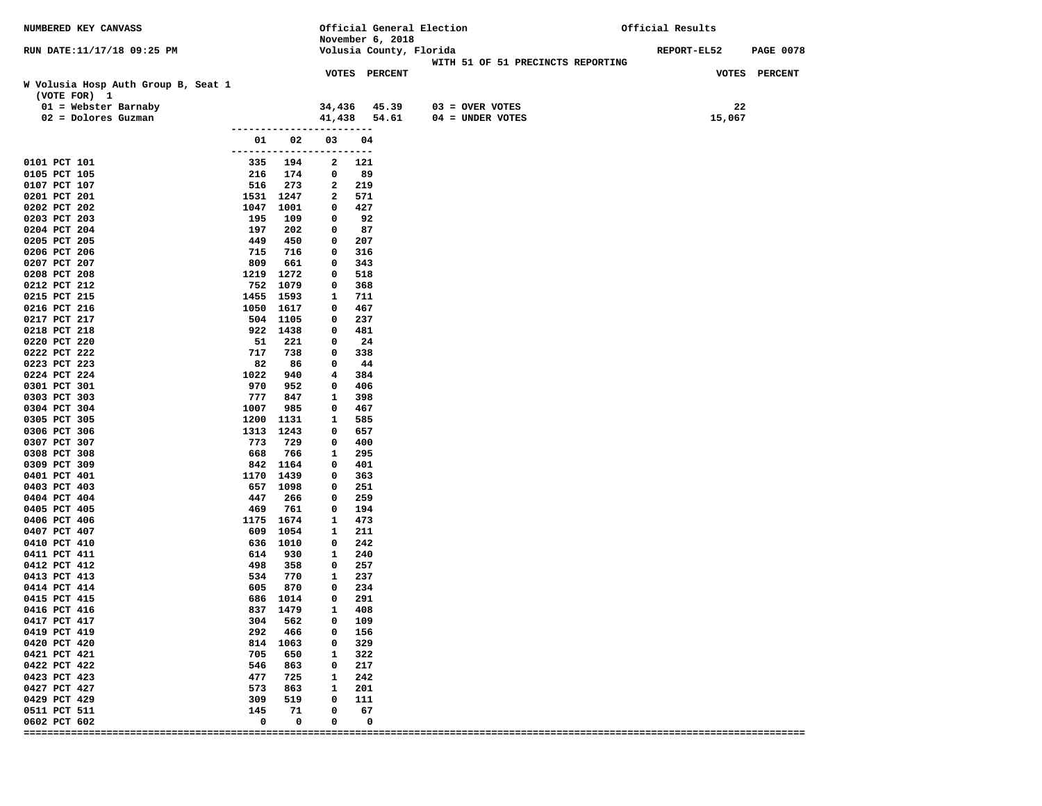| NUMBERED KEY CANVASS                                |                                |                     |                   | November 6, 2018 | Official General Election         | Official Results                |
|-----------------------------------------------------|--------------------------------|---------------------|-------------------|------------------|-----------------------------------|---------------------------------|
| RUN DATE:11/17/18 09:25 PM                          |                                |                     |                   |                  | Volusia County, Florida           | REPORT-EL52<br><b>PAGE 0078</b> |
|                                                     |                                |                     |                   | VOTES PERCENT    | WITH 51 OF 51 PRECINCTS REPORTING | VOTES PERCENT                   |
| W Volusia Hosp Auth Group B, Seat 1<br>(VOTE FOR) 1 |                                |                     |                   |                  |                                   |                                 |
| $01$ = Webster Barnaby                              |                                |                     | 34,436            |                  | 45.39<br>$03 =$ OVER VOTES        | 22                              |
| $02 = Dolores Guzman$                               |                                |                     | 41,438            |                  | 54.61<br>$04 = UNDER VOTES$       | 15,067                          |
|                                                     |                                |                     |                   | ----             |                                   |                                 |
|                                                     | 01<br>------------------------ | 02                  | 03                | 04               |                                   |                                 |
| 0101 PCT 101                                        | 335                            | 194                 | 2                 | 121              |                                   |                                 |
| 0105 PCT 105                                        | 216                            | 174                 | 0                 | 89               |                                   |                                 |
| 0107 PCT 107                                        | 516                            | 273                 | 2                 | 219              |                                   |                                 |
| 0201 PCT 201                                        |                                | 1531 1247           | 2                 | 571              |                                   |                                 |
| 0202 PCT 202                                        | 1047                           | 1001                | 0                 | 427              |                                   |                                 |
| 0203 PCT 203                                        | 195<br>197                     | 109                 | 0                 | 92               |                                   |                                 |
| 0204 PCT 204<br>0205 PCT 205                        | 449                            | 202<br>450          | 0<br>0            | 87<br>207        |                                   |                                 |
| 0206 PCT 206                                        | 715                            | 716                 | 0                 | 316              |                                   |                                 |
| 0207 PCT 207                                        | 809                            | 661                 | 0                 | 343              |                                   |                                 |
| 0208 PCT 208                                        | 1219                           | 1272                | 0                 | 518              |                                   |                                 |
| 0212 PCT 212                                        |                                | 752 1079            | 0                 | 368              |                                   |                                 |
| 0215 PCT 215                                        | 1455                           | 1593                | 1                 | 711              |                                   |                                 |
| 0216 PCT 216                                        |                                | 1050 1617           | 0                 | 467              |                                   |                                 |
| 0217 PCT 217                                        |                                | 504 1105            | 0                 | 237              |                                   |                                 |
| 0218 PCT 218                                        |                                | 922 1438            | 0                 | 481              |                                   |                                 |
| 0220 PCT 220                                        | 51                             | 221                 | 0                 | 24               |                                   |                                 |
| 0222 PCT 222                                        | 717                            | 738                 | 0                 | 338              |                                   |                                 |
| 0223 PCT 223<br>0224 PCT 224                        | 82<br>1022                     | 86<br>940           | 0<br>4            | 44<br>384        |                                   |                                 |
| 0301 PCT 301                                        | 970                            | 952                 | 0                 | 406              |                                   |                                 |
| 0303 PCT 303                                        | 777                            | 847                 | 1                 | 398              |                                   |                                 |
| 0304 PCT 304                                        | 1007                           | 985                 | 0                 | 467              |                                   |                                 |
| 0305 PCT 305                                        | 1200                           | 1131                | 1                 | 585              |                                   |                                 |
| 0306 PCT 306                                        | 1313                           | 1243                | 0                 | 657              |                                   |                                 |
| 0307 PCT 307                                        | 773                            | 729                 | 0                 | 400              |                                   |                                 |
| 0308 PCT 308                                        | 668                            | 766                 | 1                 | 295              |                                   |                                 |
| 0309 PCT 309                                        | 842                            | 1164                | 0                 | 401              |                                   |                                 |
| 0401 PCT 401                                        | 1170                           | 1439                | 0                 | 363              |                                   |                                 |
| 0403 PCT 403<br>0404 PCT 404                        | 447                            | 657 1098<br>266     | 0<br>0            | 251<br>259       |                                   |                                 |
| 0405 PCT 405                                        | 469                            | 761                 | 0                 | 194              |                                   |                                 |
| 0406 PCT 406                                        |                                | 1175 1674           | 1                 | 473              |                                   |                                 |
| 0407 PCT 407                                        | 609                            | 1054                | 1                 | 211              |                                   |                                 |
| 0410 PCT 410                                        | 636                            | 1010                | 0                 | 242              |                                   |                                 |
| 0411 PCT 411                                        | 614                            | 930                 | 1                 | 240              |                                   |                                 |
| 0412 PCT 412                                        | 498                            | 358                 | 0                 | 257              |                                   |                                 |
| 0413 PCT 413                                        | 534                            | 770                 | 1                 | 237              |                                   |                                 |
| 0414 PCT 414                                        | 605                            | 870                 | 0                 | 234              |                                   |                                 |
| 0415 PCT 415                                        |                                | 686 1014            | 0                 | 291<br>408       |                                   |                                 |
| 0416 PCT 416<br>0417 PCT 417                        |                                | 837 1479<br>304 562 | 1<br>$\mathbf{0}$ | 109              |                                   |                                 |
| 0419 PCT 419                                        | 292                            | 466                 | $\mathbf{0}$      | 156              |                                   |                                 |
| 0420 PCT 420                                        |                                | 814 1063            | $\mathbf{0}$      | 329              |                                   |                                 |
| 0421 PCT 421                                        | 705                            | 650                 | $\mathbf{1}$      | 322              |                                   |                                 |
| 0422 PCT 422                                        | 546                            | 863                 | $\mathbf{0}$      | 217              |                                   |                                 |
| 0423 PCT 423                                        | 477                            | 725                 | $\mathbf{1}$      | 242              |                                   |                                 |
| 0427 PCT 427                                        | 573                            | 863                 | $\mathbf{1}$      | 201              |                                   |                                 |
| 0429 PCT 429                                        | 309                            | 519                 | 0                 | 111              |                                   |                                 |
| 0511 PCT 511                                        | 145                            | 71                  | 0                 | 67               |                                   |                                 |
| 0602 PCT 602                                        | 0                              | 0                   | 0                 | 0                |                                   |                                 |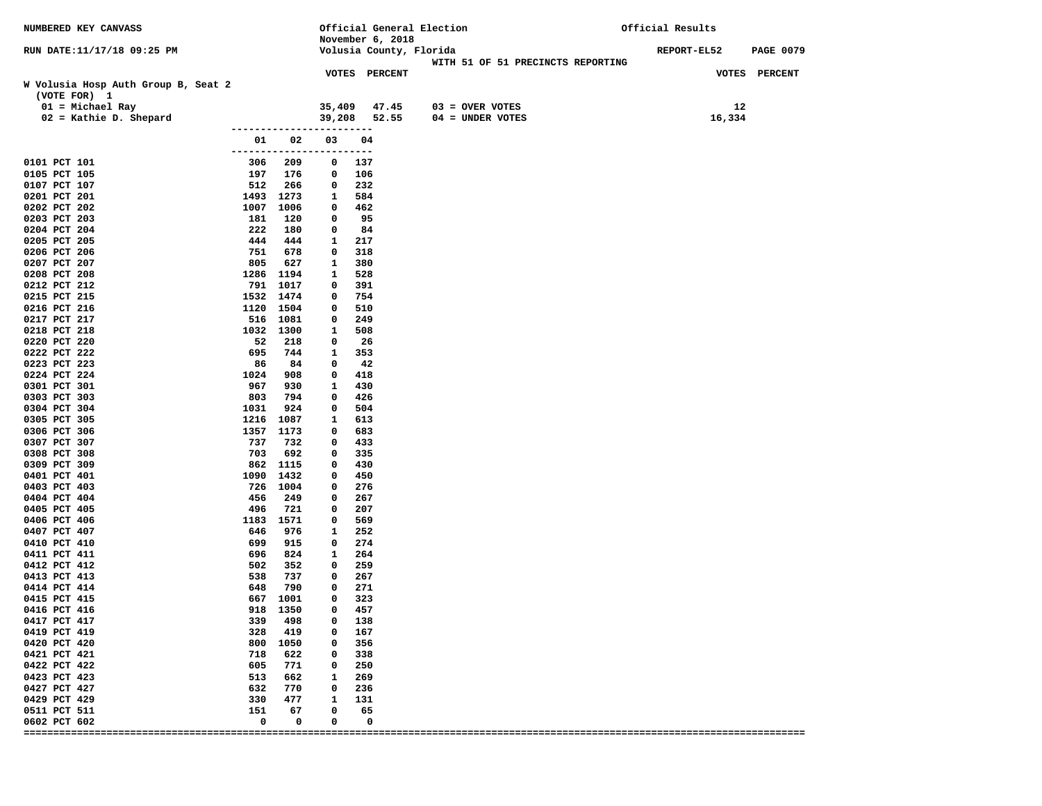| NUMBERED KEY CANVASS                                |                                |                   |             |               | Official General Election<br>November 6, 2018 |                   |                                   | Official Results |                  |
|-----------------------------------------------------|--------------------------------|-------------------|-------------|---------------|-----------------------------------------------|-------------------|-----------------------------------|------------------|------------------|
| RUN DATE:11/17/18 09:25 PM                          |                                |                   |             |               | Volusia County, Florida                       |                   | WITH 51 OF 51 PRECINCTS REPORTING | REPORT-EL52      | <b>PAGE 0079</b> |
|                                                     |                                |                   |             | VOTES PERCENT |                                               |                   |                                   |                  | VOTES PERCENT    |
| W Volusia Hosp Auth Group B, Seat 2<br>(VOTE FOR) 1 |                                |                   |             |               |                                               |                   |                                   |                  |                  |
| $01 = Michael Ray$                                  |                                |                   | 35,409      |               | 47.45                                         | $03 =$ OVER VOTES |                                   | 12               |                  |
| $02$ = Kathie D. Shepard                            |                                |                   | 39,208      |               | 52.55                                         | 04 = UNDER VOTES  |                                   | 16,334           |                  |
|                                                     | -------------                  |                   |             | $---$         |                                               |                   |                                   |                  |                  |
|                                                     | 01<br>------------------------ | 02                | 03          | 04            |                                               |                   |                                   |                  |                  |
| 0101 PCT 101                                        | 306                            | 209               | 0           | 137           |                                               |                   |                                   |                  |                  |
| 0105 PCT 105                                        | 197                            | 176               | 0           | 106           |                                               |                   |                                   |                  |                  |
| 0107 PCT 107                                        | 512                            | 266               | 0           | 232           |                                               |                   |                                   |                  |                  |
| 0201 PCT 201                                        |                                | 1493 1273         | 1           | 584           |                                               |                   |                                   |                  |                  |
| 0202 PCT 202                                        | 1007                           | 1006              | 0           | 462<br>95     |                                               |                   |                                   |                  |                  |
| 0203 PCT 203<br>0204 PCT 204                        | 181<br>222                     | 120<br>180        | 0<br>0      | 84            |                                               |                   |                                   |                  |                  |
| 0205 PCT 205                                        | 444                            | 444               | 1           | 217           |                                               |                   |                                   |                  |                  |
| 0206 PCT 206                                        | 751                            | 678               | 0           | 318           |                                               |                   |                                   |                  |                  |
| 0207 PCT 207                                        | 805                            | 627               | 1           | 380           |                                               |                   |                                   |                  |                  |
| 0208 PCT 208                                        |                                | 1286 1194         | 1           | 528           |                                               |                   |                                   |                  |                  |
| 0212 PCT 212                                        |                                | 791 1017          | 0           | 391           |                                               |                   |                                   |                  |                  |
| 0215 PCT 215                                        |                                | 1532 1474         | 0           | 754           |                                               |                   |                                   |                  |                  |
| 0216 PCT 216                                        |                                | 1120 1504         | 0           | 510           |                                               |                   |                                   |                  |                  |
| 0217 PCT 217                                        | 516                            | 1081              | 0           | 249           |                                               |                   |                                   |                  |                  |
| 0218 PCT 218                                        |                                | 1032 1300         | 1           | 508           |                                               |                   |                                   |                  |                  |
| 0220 PCT 220<br>0222 PCT 222                        | 52<br>695                      | 218<br>744        | 0           | 26<br>353     |                                               |                   |                                   |                  |                  |
| 0223 PCT 223                                        | 86                             | 84                | 1<br>0      | 42            |                                               |                   |                                   |                  |                  |
| 0224 PCT 224                                        | 1024                           | 908               | 0           | 418           |                                               |                   |                                   |                  |                  |
| 0301 PCT 301                                        | 967                            | 930               | 1           | 430           |                                               |                   |                                   |                  |                  |
| 0303 PCT 303                                        | 803                            | 794               | 0           | 426           |                                               |                   |                                   |                  |                  |
| 0304 PCT 304                                        | 1031                           | 924               | 0           | 504           |                                               |                   |                                   |                  |                  |
| 0305 PCT 305                                        | 1216                           | 1087              | 1           | 613           |                                               |                   |                                   |                  |                  |
| 0306 PCT 306                                        |                                | 1357 1173         | 0           | 683           |                                               |                   |                                   |                  |                  |
| 0307 PCT 307                                        | 737                            | 732               | 0           | 433           |                                               |                   |                                   |                  |                  |
| 0308 PCT 308                                        | 703                            | 692               | 0           | 335           |                                               |                   |                                   |                  |                  |
| 0309 PCT 309                                        |                                | 862 1115          | 0           | 430           |                                               |                   |                                   |                  |                  |
| 0401 PCT 401<br>0403 PCT 403                        | 1090<br>726                    | 1432<br>1004      | 0<br>0      | 450<br>276    |                                               |                   |                                   |                  |                  |
| 0404 PCT 404                                        | 456                            | 249               | 0           | 267           |                                               |                   |                                   |                  |                  |
| 0405 PCT 405                                        | 496                            | 721               | 0           | 207           |                                               |                   |                                   |                  |                  |
| 0406 PCT 406                                        | 1183                           | 1571              | 0           | 569           |                                               |                   |                                   |                  |                  |
| 0407 PCT 407                                        | 646                            | 976               | 1           | 252           |                                               |                   |                                   |                  |                  |
| 0410 PCT 410                                        | 699                            | 915               | 0           | 274           |                                               |                   |                                   |                  |                  |
| 0411 PCT 411                                        | 696                            | 824               | 1           | 264           |                                               |                   |                                   |                  |                  |
| 0412 PCT 412                                        | 502                            | 352               | 0           | 259           |                                               |                   |                                   |                  |                  |
| 0413 PCT 413<br>0414 PCT 414                        | 538<br>648                     | 737<br>790        | 0<br>0      | 267<br>271    |                                               |                   |                                   |                  |                  |
| 0415 PCT 415                                        |                                | 667 1001          | 0           | 323           |                                               |                   |                                   |                  |                  |
| 0416 PCT 416                                        |                                | 918 1350          | 0           | 457           |                                               |                   |                                   |                  |                  |
| 0417 PCT 417                                        |                                | 339 498           |             | $0\quad 138$  |                                               |                   |                                   |                  |                  |
| 0419 PCT 419                                        |                                | 328 419           |             | $0\quad 167$  |                                               |                   |                                   |                  |                  |
| 0420 PCT 420                                        |                                | 800 1050          |             | 0 356         |                                               |                   |                                   |                  |                  |
| 0421 PCT 421                                        | 718                            | 622               |             | $0\quad 338$  |                                               |                   |                                   |                  |                  |
| 0422 PCT 422                                        |                                | 605 771           |             | $0\qquad 250$ |                                               |                   |                                   |                  |                  |
| 0423 PCT 423                                        |                                | 513 662           |             | 1 269         |                                               |                   |                                   |                  |                  |
| 0427 PCT 427                                        |                                | 632 770           |             | $0\quad 236$  |                                               |                   |                                   |                  |                  |
| 0429 PCT 429                                        |                                | 330 477           | $\mathbf 0$ | 1 131         |                                               |                   |                                   |                  |                  |
| 0511 PCT 511<br>0602 PCT 602                        | 151<br>0                       | 67<br>$\mathbf 0$ | 0           | 65<br>0       |                                               |                   |                                   |                  |                  |
|                                                     |                                |                   |             |               |                                               |                   |                                   |                  |                  |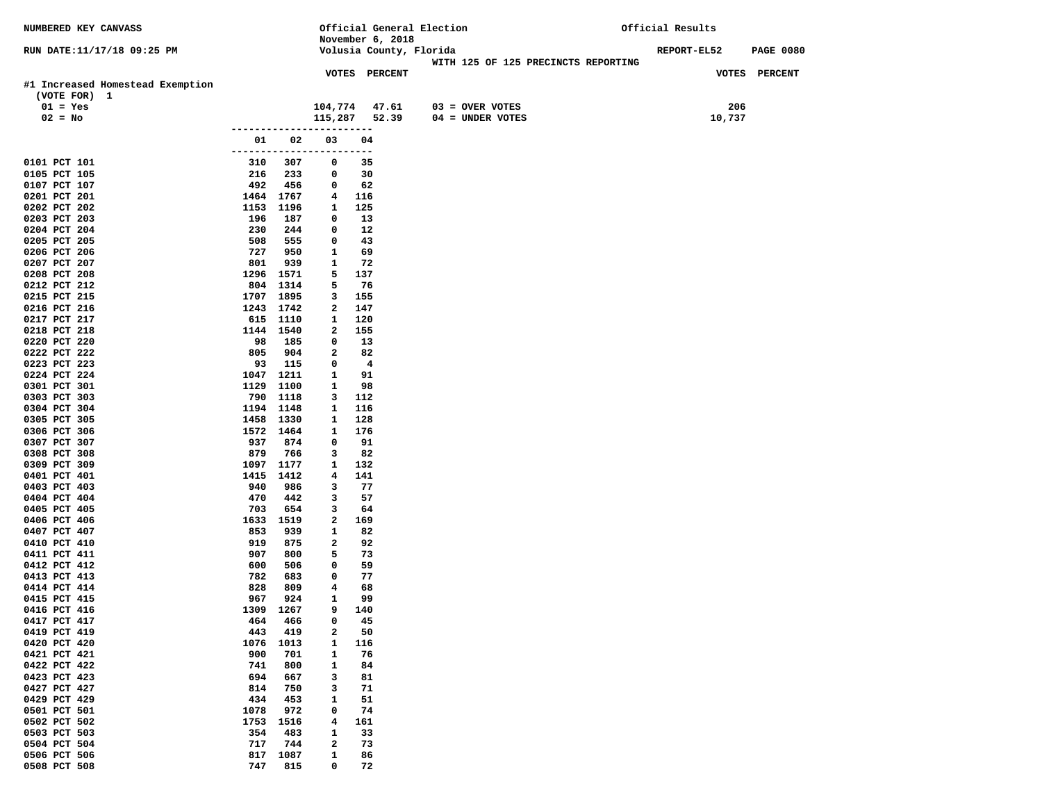| NUMBERED KEY CANVASS                             |             |                   |                                         |                  |                         | Official General Election           | Official Results |                  |
|--------------------------------------------------|-------------|-------------------|-----------------------------------------|------------------|-------------------------|-------------------------------------|------------------|------------------|
|                                                  |             |                   |                                         | November 6, 2018 |                         |                                     |                  |                  |
| RUN DATE:11/17/18 09:25 PM                       |             |                   |                                         |                  | Volusia County, Florida | WITH 125 OF 125 PRECINCTS REPORTING | REPORT-EL52      | <b>PAGE 0080</b> |
|                                                  |             |                   |                                         | VOTES PERCENT    |                         |                                     |                  | VOTES PERCENT    |
| #1 Increased Homestead Exemption<br>(VOTE FOR) 1 |             |                   |                                         |                  |                         |                                     |                  |                  |
| $01 = Yes$                                       |             |                   | 104,774 47.61                           |                  |                         | $03 =$ OVER VOTES                   | 206              |                  |
| $02 = No$                                        |             |                   | 115,287 52.39                           |                  |                         | $04 = UNDER VOTES$                  | 10,737           |                  |
|                                                  |             | -----------       |                                         |                  |                         |                                     |                  |                  |
|                                                  | 01          | 02                | 03                                      | 04               |                         |                                     |                  |                  |
| 0101 PCT 101                                     | 310         | 307               | ------------------------<br>0           | 35               |                         |                                     |                  |                  |
| 0105 PCT 105                                     | 216         | 233               | 0                                       | 30               |                         |                                     |                  |                  |
| 0107 PCT 107                                     | 492         | 456               | 0                                       | 62               |                         |                                     |                  |                  |
| 0201 PCT 201                                     |             | 1464 1767         | 4                                       | 116              |                         |                                     |                  |                  |
| 0202 PCT 202                                     | 1153        | 1196              | 1                                       | 125              |                         |                                     |                  |                  |
| 0203 PCT 203<br>0204 PCT 204                     | 196<br>230  | 187<br>244        | $\mathbf 0$<br>0                        | 13<br>12         |                         |                                     |                  |                  |
| 0205 PCT 205                                     | 508         | 555               | 0                                       | 43               |                         |                                     |                  |                  |
| 0206 PCT 206                                     | 727         | 950               | $\mathbf{1}$                            | 69               |                         |                                     |                  |                  |
| 0207 PCT 207                                     | 801         | 939               | 1                                       | 72               |                         |                                     |                  |                  |
| 0208 PCT 208                                     |             | 1296 1571         | 5                                       | 137              |                         |                                     |                  |                  |
| 0212 PCT 212                                     | 804         | 1314              | 5                                       | 76               |                         |                                     |                  |                  |
| 0215 PCT 215<br>0216 PCT 216                     | 1243        | 1707 1895<br>1742 | 3<br>2                                  | 155<br>147       |                         |                                     |                  |                  |
| 0217 PCT 217                                     |             | 615 1110          | 1                                       | 120              |                         |                                     |                  |                  |
| 0218 PCT 218                                     |             | 1144 1540         | 2                                       | 155              |                         |                                     |                  |                  |
| 0220 PCT 220                                     | 98          | 185               | 0                                       | 13               |                         |                                     |                  |                  |
| 0222 PCT 222                                     | 805         | 904               | 2                                       | 82               |                         |                                     |                  |                  |
| 0223 PCT 223                                     | 93          | 115               | $\mathbf 0$                             | 4                |                         |                                     |                  |                  |
| 0224 PCT 224                                     |             | 1047 1211         | $\mathbf{1}$<br>1                       | 91               |                         |                                     |                  |                  |
| 0301 PCT 301<br>0303 PCT 303                     | 1129<br>790 | 1100<br>1118      | 3                                       | 98<br>112        |                         |                                     |                  |                  |
| 0304 PCT 304                                     |             | 1194 1148         | 1                                       | 116              |                         |                                     |                  |                  |
| 0305 PCT 305                                     |             | 1458 1330         | 1                                       | 128              |                         |                                     |                  |                  |
| 0306 PCT 306                                     |             | 1572 1464         | 1                                       | 176              |                         |                                     |                  |                  |
| 0307 PCT 307                                     | 937         | 874               | 0                                       | 91               |                         |                                     |                  |                  |
| 0308 PCT 308<br>0309 PCT 309                     | 879<br>1097 | 766<br>1177       | 3<br>1                                  | 82<br>132        |                         |                                     |                  |                  |
| 0401 PCT 401                                     |             | 1415 1412         | 4                                       | 141              |                         |                                     |                  |                  |
| 0403 PCT 403                                     | 940         | 986               | 3                                       | 77               |                         |                                     |                  |                  |
| 0404 PCT 404                                     | 470         | 442               | 3                                       | 57               |                         |                                     |                  |                  |
| 0405 PCT 405                                     | 703         | 654               | 3                                       | 64               |                         |                                     |                  |                  |
| 0406 PCT 406                                     | 1633        | 1519              | 2                                       | 169              |                         |                                     |                  |                  |
| 0407 PCT 407<br>0410 PCT 410                     | 853<br>919  | 939<br>875        | $\mathbf{1}$<br>$\overline{\mathbf{2}}$ | 82<br>92         |                         |                                     |                  |                  |
| 0411 PCT 411                                     | 907         | 800               | 5                                       | 73               |                         |                                     |                  |                  |
| 0412 PCT 412                                     | 600         | 506               | 0                                       | 59               |                         |                                     |                  |                  |
| 0413 PCT 413                                     | 782         | 683               | 0                                       | 77               |                         |                                     |                  |                  |
| 0414 PCT 414                                     | 828         | 809               | 4                                       | 68               |                         |                                     |                  |                  |
| 0415 PCT 415                                     | 967         | 924               | 1                                       | 99               |                         |                                     |                  |                  |
| 0416 PCT 416<br>0417 PCT 417                     | 1309<br>464 | 1267<br>466       | 9<br>0                                  | 140<br>45        |                         |                                     |                  |                  |
| 0419 PCT 419                                     | 443         | 419               | 2                                       | 50               |                         |                                     |                  |                  |
| 0420 PCT 420                                     | 1076        | 1013              | 1                                       | 116              |                         |                                     |                  |                  |
| 0421 PCT 421                                     | 900         | 701               | 1                                       | 76               |                         |                                     |                  |                  |
| 0422 PCT 422                                     | 741         | 800               | $\mathbf{1}$                            | 84               |                         |                                     |                  |                  |
| 0423 PCT 423                                     | 694         | 667               | 3                                       | 81               |                         |                                     |                  |                  |
| 0427 PCT 427<br>0429 PCT 429                     | 814<br>434  | 750<br>453        | з<br>$\mathbf{1}$                       | 71<br>51         |                         |                                     |                  |                  |
| 0501 PCT 501                                     | 1078        | 972               | $\mathbf 0$                             | 74               |                         |                                     |                  |                  |
| 0502 PCT 502                                     | 1753        | 1516              | 4                                       | 161              |                         |                                     |                  |                  |
| 0503 PCT 503                                     | 354         | 483               | 1                                       | 33               |                         |                                     |                  |                  |
| 0504 PCT 504                                     | 717         | 744               | $\mathbf{2}$                            | 73               |                         |                                     |                  |                  |
| 0506 PCT 506                                     | 817         | 1087              | 1                                       | 86               |                         |                                     |                  |                  |
| 0508 PCT 508                                     | 747         | 815               | 0                                       | 72               |                         |                                     |                  |                  |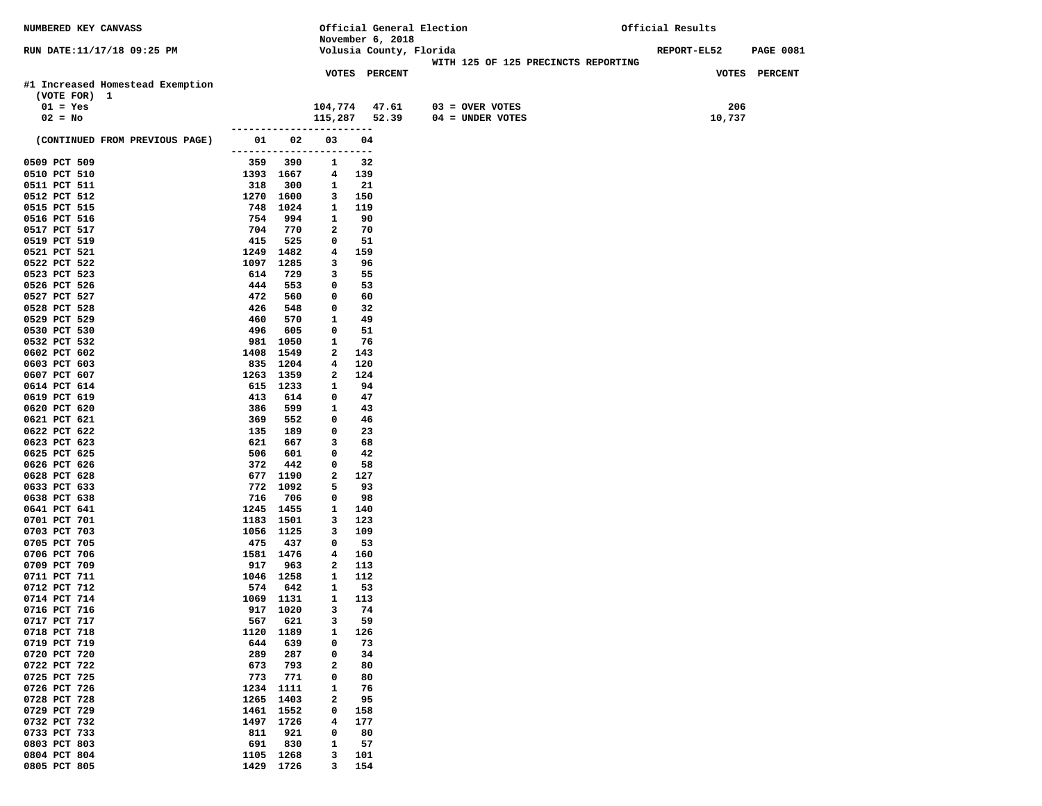| <b>NUMBERED KEY CANVASS</b>      |                                     |                  |                          |             |                         | Official General Election           | Official Results   |                  |
|----------------------------------|-------------------------------------|------------------|--------------------------|-------------|-------------------------|-------------------------------------|--------------------|------------------|
|                                  |                                     |                  |                          |             | November 6, 2018        |                                     |                    |                  |
| RUN DATE:11/17/18 09:25 PM       |                                     |                  |                          |             | Volusia County, Florida |                                     | <b>REPORT-EL52</b> | <b>PAGE 0081</b> |
|                                  |                                     |                  |                          |             | VOTES PERCENT           | WITH 125 OF 125 PRECINCTS REPORTING |                    | VOTES PERCENT    |
| #1 Increased Homestead Exemption |                                     |                  |                          |             |                         |                                     |                    |                  |
| (VOTE FOR) 1                     |                                     |                  |                          |             |                         |                                     |                    |                  |
| $01 = Yes$                       |                                     |                  | 104,774 47.61            |             |                         | $03 =$ OVER VOTES                   | 206                |                  |
| $02 = No$                        |                                     |                  | 115,287 52.39            |             |                         | $04 = UNDER VOTES$                  | 10,737             |                  |
|                                  | . _ _ _ _ _ _ _ _ _ _ _ _ _ _ _ _ _ |                  |                          | $- - - - -$ |                         |                                     |                    |                  |
| (CONTINUED FROM PREVIOUS PAGE)   |                                     | 01 02            | 03                       | 04          |                         |                                     |                    |                  |
|                                  |                                     |                  | ------------------------ |             |                         |                                     |                    |                  |
| 0509 PCT 509                     | 359                                 | 390              | 1                        | 32          |                         |                                     |                    |                  |
| 0510 PCT 510                     |                                     | 1393 1667        | 4                        | 139         |                         |                                     |                    |                  |
| 0511 PCT 511<br>0512 PCT 512     | 318                                 | 300<br>1270 1600 | 1<br>3                   | 21<br>150   |                         |                                     |                    |                  |
| 0515 PCT 515                     |                                     | 748 1024         | 1                        | 119         |                         |                                     |                    |                  |
| 0516 PCT 516                     | 754                                 | 994              | 1                        | 90          |                         |                                     |                    |                  |
| 0517 PCT 517                     | 704                                 | 770              | 2                        | 70          |                         |                                     |                    |                  |
| 0519 PCT 519                     | 415                                 | 525              | 0                        | 51          |                         |                                     |                    |                  |
| 0521 PCT 521                     |                                     | 1249 1482        | 4                        | 159         |                         |                                     |                    |                  |
| 0522 PCT 522                     | 1097                                | 1285             | 3                        | 96          |                         |                                     |                    |                  |
| 0523 PCT 523                     | 614                                 | 729              | 3                        | 55          |                         |                                     |                    |                  |
| 0526 PCT 526                     | 444                                 | 553              | 0                        | 53          |                         |                                     |                    |                  |
| 0527 PCT 527<br>0528 PCT 528     | 472<br>426                          | 560<br>548       | 0<br>0                   | 60<br>32    |                         |                                     |                    |                  |
| 0529 PCT 529                     | 460                                 | 570              | 1                        | 49          |                         |                                     |                    |                  |
| 0530 PCT 530                     | 496                                 | 605              | 0                        | 51          |                         |                                     |                    |                  |
| 0532 PCT 532                     |                                     | 981 1050         | 1                        | 76          |                         |                                     |                    |                  |
| 0602 PCT 602                     | 1408                                | 1549             | 2                        | 143         |                         |                                     |                    |                  |
| 0603 PCT 603                     |                                     | 835 1204         | 4                        | 120         |                         |                                     |                    |                  |
| 0607 PCT 607                     |                                     | 1263 1359        | 2                        | 124         |                         |                                     |                    |                  |
| 0614 PCT 614                     |                                     | 615 1233         | 1                        | 94          |                         |                                     |                    |                  |
| 0619 PCT 619<br>0620 PCT 620     | 413<br>386                          | 614<br>599       | 0<br>1                   | 47<br>43    |                         |                                     |                    |                  |
| 0621 PCT 621                     | 369                                 | 552              | 0                        | 46          |                         |                                     |                    |                  |
| 0622 PCT 622                     | 135                                 | 189              | 0                        | 23          |                         |                                     |                    |                  |
| 0623 PCT 623                     | 621                                 | 667              | 3                        | 68          |                         |                                     |                    |                  |
| 0625 PCT 625                     | 506                                 | 601              | 0                        | 42          |                         |                                     |                    |                  |
| 0626 PCT 626                     | 372                                 | 442              | 0                        | 58          |                         |                                     |                    |                  |
| 0628 PCT 628                     |                                     | 677 1190         | 2                        | 127         |                         |                                     |                    |                  |
| 0633 PCT 633                     |                                     | 772 1092         | 5<br>0                   | 93<br>98    |                         |                                     |                    |                  |
| 0638 PCT 638<br>0641 PCT 641     | 716                                 | 706<br>1245 1455 | 1                        | 140         |                         |                                     |                    |                  |
| 0701 PCT 701                     |                                     | 1183 1501        | 3                        | 123         |                         |                                     |                    |                  |
| 0703 PCT 703                     |                                     | 1056 1125        | 3                        | 109         |                         |                                     |                    |                  |
| 0705 PCT 705                     | 475                                 | 437              | 0                        | 53          |                         |                                     |                    |                  |
| 0706 PCT 706                     |                                     | 1581 1476        | 4                        | 160         |                         |                                     |                    |                  |
| 0709 PCT 709                     | 917                                 | 963              | 2                        | 113         |                         |                                     |                    |                  |
| 0711 PCT 711                     |                                     | 1046 1258        | 1                        | 112         |                         |                                     |                    |                  |
| 0712 PCT 712<br>0714 PCT 714     | 574                                 | 642<br>1069 1131 | 1<br>1                   | 53<br>113   |                         |                                     |                    |                  |
| 0716 PCT 716                     |                                     | 917 1020         | 3                        | 74          |                         |                                     |                    |                  |
| 0717 PCT 717                     | 567                                 | 621              | 3                        | 59          |                         |                                     |                    |                  |
| 0718 PCT 718                     | 1120                                | 1189             | 1                        | 126         |                         |                                     |                    |                  |
| 0719 PCT 719                     | 644                                 | 639              | 0                        | 73          |                         |                                     |                    |                  |
| 0720 PCT 720                     | 289                                 | 287              | 0                        | 34          |                         |                                     |                    |                  |
| 0722 PCT 722                     | 673                                 | 793              | $\mathbf{2}$             | 80          |                         |                                     |                    |                  |
| 0725 PCT 725<br>0726 PCT 726     | 773<br>1234                         | 771<br>1111      | 0<br>1                   | 80          |                         |                                     |                    |                  |
| 0728 PCT 728                     | 1265                                | 1403             | 2                        | 76<br>95    |                         |                                     |                    |                  |
| 0729 PCT 729                     | 1461                                | 1552             | $\mathbf 0$              | 158         |                         |                                     |                    |                  |
| 0732 PCT 732                     | 1497                                | 1726             | 4                        | 177         |                         |                                     |                    |                  |
| 0733 PCT 733                     | 811                                 | 921              | 0                        | 80          |                         |                                     |                    |                  |
| 0803 PCT 803                     | 691                                 | 830              | 1                        | 57          |                         |                                     |                    |                  |
| 0804 PCT 804                     | 1105                                | 1268             | з                        | 101         |                         |                                     |                    |                  |
| 0805 PCT 805                     |                                     | 1429 1726        | 3                        | 154         |                         |                                     |                    |                  |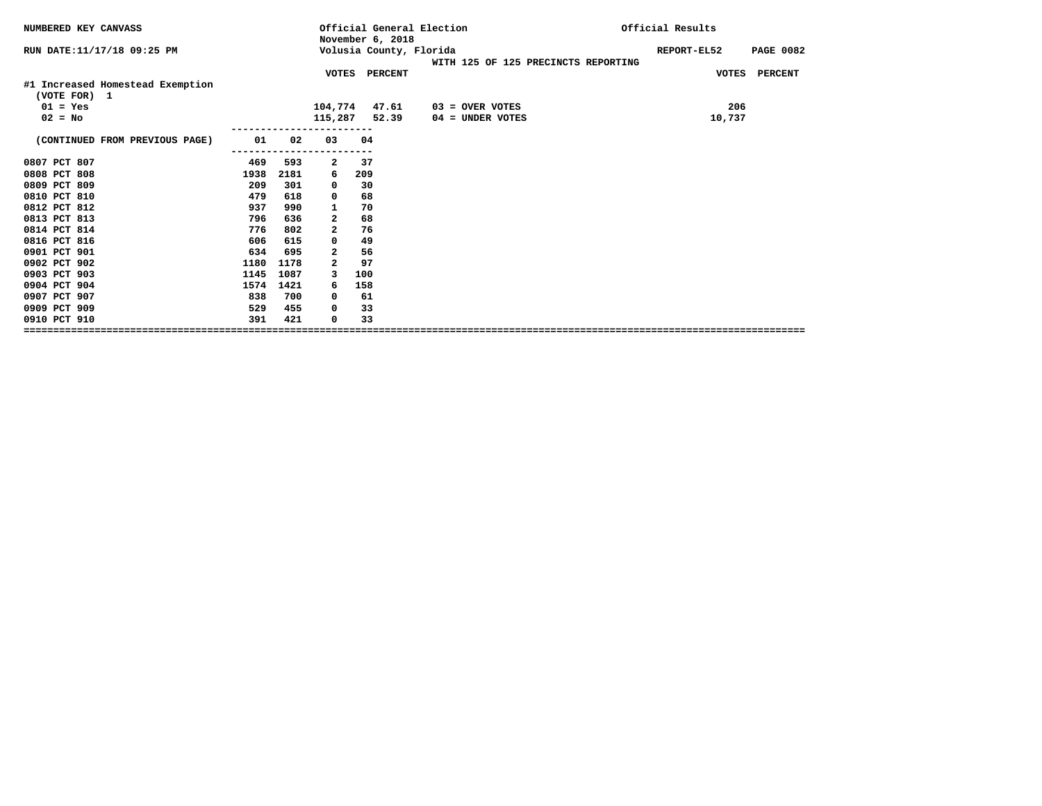| NUMBERED KEY CANVASS                             |      |      |                         | November 6, 2018 | Official General Election                                      | Official Results |                  |
|--------------------------------------------------|------|------|-------------------------|------------------|----------------------------------------------------------------|------------------|------------------|
| RUN DATE: 11/17/18 09:25 PM                      |      |      |                         |                  | Volusia County, Florida<br>WITH 125 OF 125 PRECINCTS REPORTING | REPORT-EL52      | <b>PAGE 0082</b> |
|                                                  |      |      |                         | VOTES PERCENT    |                                                                |                  | VOTES PERCENT    |
| #1 Increased Homestead Exemption<br>(VOTE FOR) 1 |      |      |                         |                  |                                                                |                  |                  |
| $01 = Yes$                                       |      |      | 104,774 47.61           |                  | $03 =$ OVER VOTES                                              | 206              |                  |
| $02 = No$                                        |      |      | 115,287 52.39           |                  | 04 = UNDER VOTES                                               | 10,737           |                  |
| (CONTINUED FROM PREVIOUS PAGE)                   | 01   | 02   | 03                      | 04               |                                                                |                  |                  |
| 0807 PCT 807                                     | 469  | 593  | $\overline{\mathbf{2}}$ | 37               |                                                                |                  |                  |
| 0808 PCT 808                                     | 1938 | 2181 | 6                       | 209              |                                                                |                  |                  |
| 0809 PCT 809                                     | 209  | 301  | 0                       | 30               |                                                                |                  |                  |
| 0810 PCT 810                                     | 479  | 618  | 0                       | 68               |                                                                |                  |                  |
| 0812 PCT 812                                     | 937  | 990  | 1                       | 70               |                                                                |                  |                  |
| 0813 PCT 813                                     | 796  | 636  | 2                       | 68               |                                                                |                  |                  |
| 0814 PCT 814                                     | 776  | 802  | 2                       | 76               |                                                                |                  |                  |
| 0816 PCT 816                                     | 606  | 615  | 0                       | 49               |                                                                |                  |                  |
| 0901 PCT 901                                     | 634  | 695  | 2                       | 56               |                                                                |                  |                  |
| 0902 PCT 902                                     | 1180 | 1178 | $\overline{a}$          | 97               |                                                                |                  |                  |
| 0903 PCT 903                                     | 1145 | 1087 | 3                       | 100              |                                                                |                  |                  |
| 0904 PCT 904                                     | 1574 | 1421 | 6                       | 158              |                                                                |                  |                  |
| 0907 PCT 907                                     | 838  | 700  | 0                       | 61               |                                                                |                  |                  |
| 0909 PCT 909                                     | 529  | 455  | 0                       | 33               |                                                                |                  |                  |
| 0910 PCT 910                                     | 391  | 421  | $\mathbf 0$             | 33               |                                                                |                  |                  |
| ================================                 |      |      |                         |                  |                                                                |                  |                  |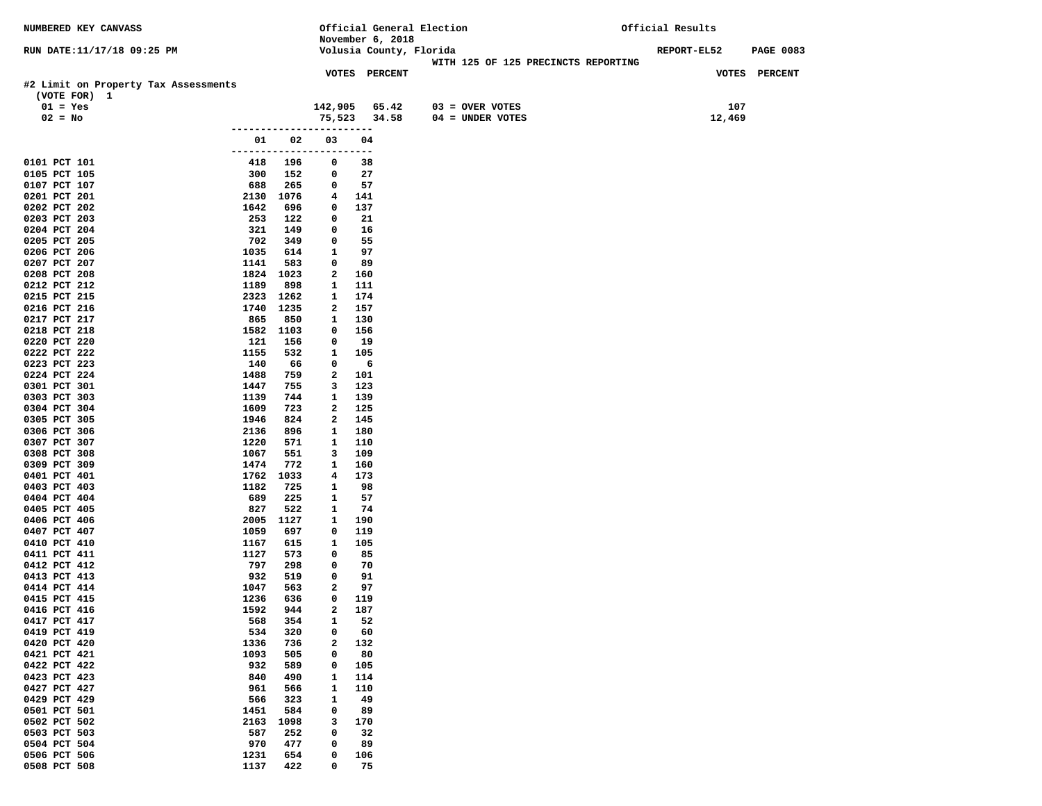| NUMBERED KEY CANVASS                 |              |                |                               |               |                  | Official General Election                                      | Official Results |        |                  |
|--------------------------------------|--------------|----------------|-------------------------------|---------------|------------------|----------------------------------------------------------------|------------------|--------|------------------|
|                                      |              |                |                               |               | November 6, 2018 |                                                                |                  |        |                  |
| RUN DATE:11/17/18 09:25 PM           |              |                |                               |               |                  | Volusia County, Florida<br>WITH 125 OF 125 PRECINCTS REPORTING | REPORT-EL52      |        | <b>PAGE 0083</b> |
|                                      |              |                |                               | VOTES PERCENT |                  |                                                                |                  |        | VOTES PERCENT    |
| #2 Limit on Property Tax Assessments |              |                |                               |               |                  |                                                                |                  |        |                  |
| (VOTE FOR) 1                         |              |                |                               |               |                  |                                                                |                  |        |                  |
| $01 = Yes$                           |              |                | 142,905                       |               | 65.42            | $03 =$ OVER VOTES                                              |                  | 107    |                  |
| $02 = No$                            |              |                | 75,523                        |               | 34.58            | 04 = UNDER VOTES                                               |                  | 12,469 |                  |
|                                      |              | -------------- |                               | ---           |                  |                                                                |                  |        |                  |
|                                      |              | 01 02          | 03                            | 04            |                  |                                                                |                  |        |                  |
| 0101 PCT 101                         | 418          | 196            | ------------------------<br>0 | 38            |                  |                                                                |                  |        |                  |
| 0105 PCT 105                         | 300          | 152            | 0                             | 27            |                  |                                                                |                  |        |                  |
| 0107 PCT 107                         | 688          | 265            | 0                             | 57            |                  |                                                                |                  |        |                  |
| 0201 PCT 201                         |              | 2130 1076      | 4                             | 141           |                  |                                                                |                  |        |                  |
| 0202 PCT 202                         | 1642         | 696            | 0                             | 137           |                  |                                                                |                  |        |                  |
| 0203 PCT 203                         | 253          | 122            | 0                             | 21            |                  |                                                                |                  |        |                  |
| 0204 PCT 204                         | 321          | 149            | 0                             | 16            |                  |                                                                |                  |        |                  |
| 0205 PCT 205<br>0206 PCT 206         | 702<br>1035  | 349<br>614     | 0<br>$\mathbf{1}$             | 55<br>97      |                  |                                                                |                  |        |                  |
| 0207 PCT 207                         | 1141         | 583            | 0                             | 89            |                  |                                                                |                  |        |                  |
| 0208 PCT 208                         |              | 1824 1023      | $\mathbf{2}$                  | 160           |                  |                                                                |                  |        |                  |
| 0212 PCT 212                         | 1189         | 898            | 1                             | 111           |                  |                                                                |                  |        |                  |
| 0215 PCT 215                         |              | 2323 1262      | $\mathbf{1}$                  | 174           |                  |                                                                |                  |        |                  |
| 0216 PCT 216                         |              | 1740 1235      | $\mathbf{2}$                  | 157           |                  |                                                                |                  |        |                  |
| 0217 PCT 217                         | 865          | 850            | 1                             | 130           |                  |                                                                |                  |        |                  |
| 0218 PCT 218                         |              | 1582 1103      | 0                             | 156           |                  |                                                                |                  |        |                  |
| 0220 PCT 220<br>0222 PCT 222         | 121<br>1155  | 156<br>532     | $\mathbf 0$<br>$\mathbf{1}$   | 19<br>105     |                  |                                                                |                  |        |                  |
| 0223 PCT 223                         | 140          | 66             | 0                             | 6             |                  |                                                                |                  |        |                  |
| 0224 PCT 224                         | 1488         | 759            | $\mathbf{2}$                  | 101           |                  |                                                                |                  |        |                  |
| 0301 PCT 301                         | 1447         | 755            | 3                             | 123           |                  |                                                                |                  |        |                  |
| 0303 PCT 303                         | 1139         | 744            | $\mathbf{1}$                  | 139           |                  |                                                                |                  |        |                  |
| 0304 PCT 304                         | 1609         | 723            | $\mathbf{2}$                  | 125           |                  |                                                                |                  |        |                  |
| 0305 PCT 305                         | 1946         | 824            | $\mathbf{2}$                  | 145           |                  |                                                                |                  |        |                  |
| 0306 PCT 306<br>0307 PCT 307         | 2136<br>1220 | 896<br>571     | $\mathbf{1}$<br>$\mathbf{1}$  | 180<br>110    |                  |                                                                |                  |        |                  |
| 0308 PCT 308                         | 1067         | 551            | 3                             | 109           |                  |                                                                |                  |        |                  |
| 0309 PCT 309                         | 1474         | 772            | $\mathbf{1}$                  | 160           |                  |                                                                |                  |        |                  |
| 0401 PCT 401                         |              | 1762 1033      | 4                             | 173           |                  |                                                                |                  |        |                  |
| 0403 PCT 403                         | 1182         | 725            | $\mathbf{1}$                  | 98            |                  |                                                                |                  |        |                  |
| 0404 PCT 404                         | 689          | 225            | 1                             | 57            |                  |                                                                |                  |        |                  |
| 0405 PCT 405                         | 827          | 522            | $\mathbf{1}$                  | 74            |                  |                                                                |                  |        |                  |
| 0406 PCT 406<br>0407 PCT 407         | 2005<br>1059 | 1127<br>697    | $\mathbf{1}$<br>0             | 190<br>119    |                  |                                                                |                  |        |                  |
| 0410 PCT 410                         | 1167         | 615            | 1                             | 105           |                  |                                                                |                  |        |                  |
| 0411 PCT 411                         | 1127         | 573            | 0                             | 85            |                  |                                                                |                  |        |                  |
| 0412 PCT 412                         | 797          | 298            | 0                             | 70            |                  |                                                                |                  |        |                  |
| 0413 PCT 413                         | 932          | 519            | $\mathbf 0$                   | 91            |                  |                                                                |                  |        |                  |
| 0414 PCT 414                         | 1047         | 563            | 2                             | 97            |                  |                                                                |                  |        |                  |
| 0415 PCT 415                         | 1236         | 636            | 0                             | 119           |                  |                                                                |                  |        |                  |
| 0416 PCT 416                         | 1592         | 944            | $\overline{a}$                | 187           |                  |                                                                |                  |        |                  |
| 0417 PCT 417<br>0419 PCT 419         | 568<br>534   | 354<br>320     | 1<br>0                        | 52<br>60      |                  |                                                                |                  |        |                  |
| 0420 PCT 420                         | 1336         | 736            | $\mathbf{2}$                  | 132           |                  |                                                                |                  |        |                  |
| 0421 PCT 421                         | 1093         | 505            | 0                             | 80            |                  |                                                                |                  |        |                  |
| 0422 PCT 422                         | 932          | 589            | 0                             | 105           |                  |                                                                |                  |        |                  |
| 0423 PCT 423                         | 840          | 490            | $\mathbf{1}$                  | 114           |                  |                                                                |                  |        |                  |
| 0427 PCT 427                         | 961          | 566            | 1                             | 110           |                  |                                                                |                  |        |                  |
| 0429 PCT 429<br>0501 PCT 501         | 566          | 323            | 1                             | 49            |                  |                                                                |                  |        |                  |
| 0502 PCT 502                         | 1451<br>2163 | 584<br>1098    | $\mathbf 0$<br>3              | 89<br>170     |                  |                                                                |                  |        |                  |
| 0503 PCT 503                         | 587          | 252            | 0                             | 32            |                  |                                                                |                  |        |                  |
| 0504 PCT 504                         | 970          | 477            | 0                             | 89            |                  |                                                                |                  |        |                  |
| 0506 PCT 506                         | 1231         | 654            | 0                             | 106           |                  |                                                                |                  |        |                  |
| 0508 PCT 508                         | 1137         | 422            | 0                             | 75            |                  |                                                                |                  |        |                  |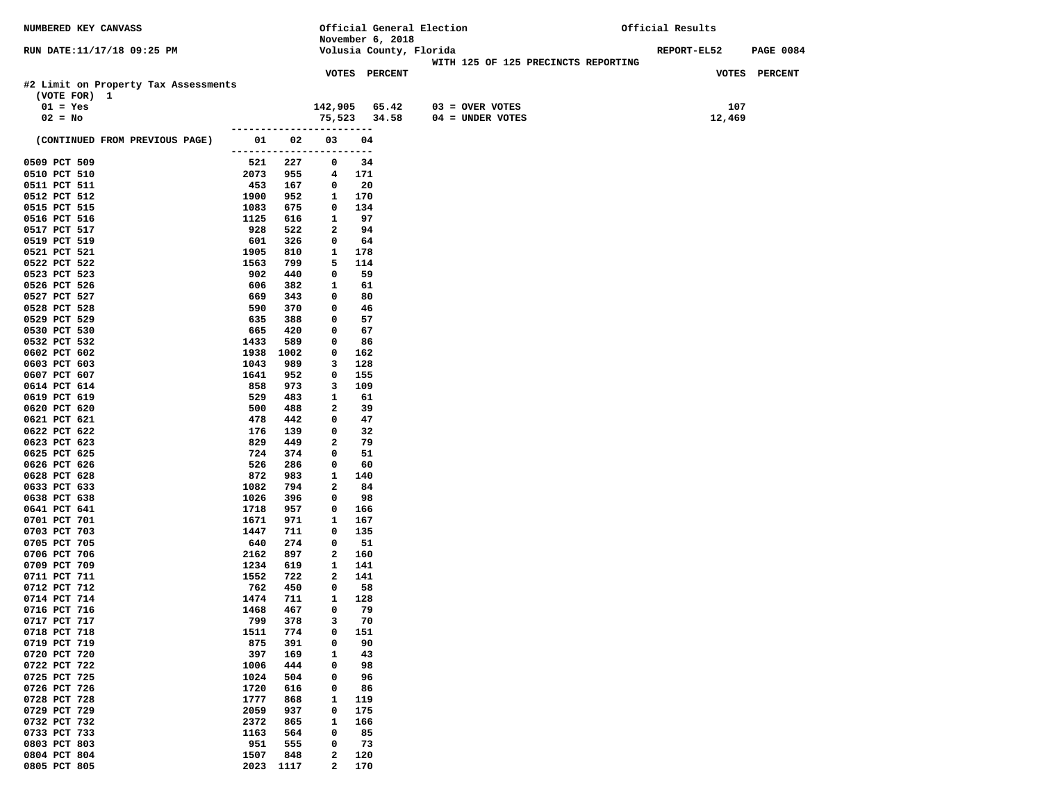| NUMBERED KEY CANVASS                                 |              |             |                                | Official General Election |                                     | Official Results |                  |
|------------------------------------------------------|--------------|-------------|--------------------------------|---------------------------|-------------------------------------|------------------|------------------|
|                                                      |              |             |                                | November 6, 2018          |                                     |                  |                  |
| RUN DATE:11/17/18 09:25 PM                           |              |             |                                | Volusia County, Florida   | WITH 125 OF 125 PRECINCTS REPORTING | REPORT-EL52      | <b>PAGE 0084</b> |
|                                                      |              |             |                                | VOTES PERCENT             |                                     |                  | VOTES PERCENT    |
| #2 Limit on Property Tax Assessments<br>(VOTE FOR) 1 |              |             |                                |                           |                                     |                  |                  |
| $01 = Yes$                                           |              |             |                                | 142,905 65.42             | $03 =$ OVER VOTES                   | 107              |                  |
| $02 = No$                                            |              |             |                                | 75,523 34.58              | $04 = UNDER VOTES$                  | 12,469           |                  |
|                                                      |              | ----------- |                                |                           |                                     |                  |                  |
| (CONTINUED FROM PREVIOUS PAGE)                       | 01           | 02          | 03<br>------------------------ | 04                        |                                     |                  |                  |
| 0509 PCT 509                                         | 521          | 227         | 0                              | 34                        |                                     |                  |                  |
| 0510 PCT 510                                         | 2073         | 955         | 4                              | 171                       |                                     |                  |                  |
| 0511 PCT 511<br>0512 PCT 512                         | 453          | 167         | 0                              | 20                        |                                     |                  |                  |
| 0515 PCT 515                                         | 1900<br>1083 | 952<br>675  | 1<br>0                         | 170<br>134                |                                     |                  |                  |
| 0516 PCT 516                                         | 1125         | 616         | $\mathbf{1}$                   | 97                        |                                     |                  |                  |
| 0517 PCT 517                                         | 928          | 522         | 2                              | 94                        |                                     |                  |                  |
| 0519 PCT 519                                         | 601          | 326         | 0                              | 64                        |                                     |                  |                  |
| 0521 PCT 521                                         | 1905         | 810         | $\mathbf{1}$                   | 178                       |                                     |                  |                  |
| 0522 PCT 522                                         | 1563         | 799         | 5                              | 114                       |                                     |                  |                  |
| 0523 PCT 523                                         | 902          | 440         | 0                              | 59                        |                                     |                  |                  |
| 0526 PCT 526                                         | 606          | 382         | 1                              | 61                        |                                     |                  |                  |
| 0527 PCT 527                                         | 669          | 343         | $\mathbf 0$                    | 80                        |                                     |                  |                  |
| 0528 PCT 528                                         | 590          | 370         | 0                              | 46                        |                                     |                  |                  |
| 0529 PCT 529                                         | 635          | 388         | 0                              | 57                        |                                     |                  |                  |
| 0530 PCT 530                                         | 665          | 420         | 0                              | 67                        |                                     |                  |                  |
| 0532 PCT 532<br>0602 PCT 602                         | 1433<br>1938 | 589<br>1002 | 0<br>$\mathbf 0$               | 86<br>162                 |                                     |                  |                  |
| 0603 PCT 603                                         | 1043         | 989         | 3                              | 128                       |                                     |                  |                  |
| 0607 PCT 607                                         | 1641         | 952         | 0                              | 155                       |                                     |                  |                  |
| 0614 PCT 614                                         | 858          | 973         | 3                              | 109                       |                                     |                  |                  |
| 0619 PCT 619                                         | 529          | 483         | 1                              | 61                        |                                     |                  |                  |
| 0620 PCT 620                                         | 500          | 488         | 2                              | 39                        |                                     |                  |                  |
| 0621 PCT 621                                         | 478          | 442         | 0                              | 47                        |                                     |                  |                  |
| 0622 PCT 622                                         | 176          | 139         | $\mathbf 0$                    | 32                        |                                     |                  |                  |
| 0623 PCT 623                                         | 829          | 449         | 2                              | 79                        |                                     |                  |                  |
| 0625 PCT 625                                         | 724          | 374         | 0                              | 51                        |                                     |                  |                  |
| 0626 PCT 626                                         | 526<br>872   | 286         | 0                              | 60<br>140                 |                                     |                  |                  |
| 0628 PCT 628<br>0633 PCT 633                         | 1082         | 983<br>794  | 1<br>$\overline{a}$            | 84                        |                                     |                  |                  |
| 0638 PCT 638                                         | 1026         | 396         | $\mathbf 0$                    | 98                        |                                     |                  |                  |
| 0641 PCT 641                                         | 1718         | 957         | 0                              | 166                       |                                     |                  |                  |
| 0701 PCT 701                                         | 1671         | 971         | 1                              | 167                       |                                     |                  |                  |
| 0703 PCT 703                                         | 1447         | 711         | 0                              | 135                       |                                     |                  |                  |
| 0705 PCT 705                                         | 640          | 274         | $\mathbf{o}$                   | 51                        |                                     |                  |                  |
| 0706 PCT 706                                         | 2162         | 897         | $\mathbf{2}$                   | 160                       |                                     |                  |                  |
| 0709 PCT 709                                         | 1234         | 619         | $\mathbf{1}$                   | 141                       |                                     |                  |                  |
| 0711 PCT 711                                         | 1552         | 722         | $\mathbf{2}$                   | 141                       |                                     |                  |                  |
| 0712 PCT 712<br>0714 PCT 714                         | 762<br>1474  | 450<br>711  | 0<br>1                         | 58<br>128                 |                                     |                  |                  |
| 0716 PCT 716                                         | 1468         | 467         | $\mathbf 0$                    | 79                        |                                     |                  |                  |
| 0717 PCT 717                                         | 799          | 378         | 3                              | 70                        |                                     |                  |                  |
| 0718 PCT 718                                         | 1511         | 774         | 0                              | 151                       |                                     |                  |                  |
| 0719 PCT 719                                         | 875          | 391         | 0                              | 90                        |                                     |                  |                  |
| 0720 PCT 720                                         | 397          | 169         | 1                              | 43                        |                                     |                  |                  |
| 0722 PCT 722                                         | 1006         | 444         | 0                              | 98                        |                                     |                  |                  |
| 0725 PCT 725                                         | 1024         | 504         | 0                              | 96                        |                                     |                  |                  |
| 0726 PCT 726                                         | 1720         | 616         | 0                              | 86                        |                                     |                  |                  |
| 0728 PCT 728                                         | 1777         | 868         | 1                              | 119                       |                                     |                  |                  |
| 0729 PCT 729<br>0732 PCT 732                         | 2059         | 937         | 0                              | 175                       |                                     |                  |                  |
| 0733 PCT 733                                         | 2372<br>1163 | 865<br>564  | 1<br>0                         | 166<br>85                 |                                     |                  |                  |
| 0803 PCT 803                                         | 951          | 555         | 0                              | 73                        |                                     |                  |                  |
| 0804 PCT 804                                         | 1507         | 848         | 2                              | 120                       |                                     |                  |                  |
| 0805 PCT 805                                         | 2023         | 1117        | 2                              | 170                       |                                     |                  |                  |
|                                                      |              |             |                                |                           |                                     |                  |                  |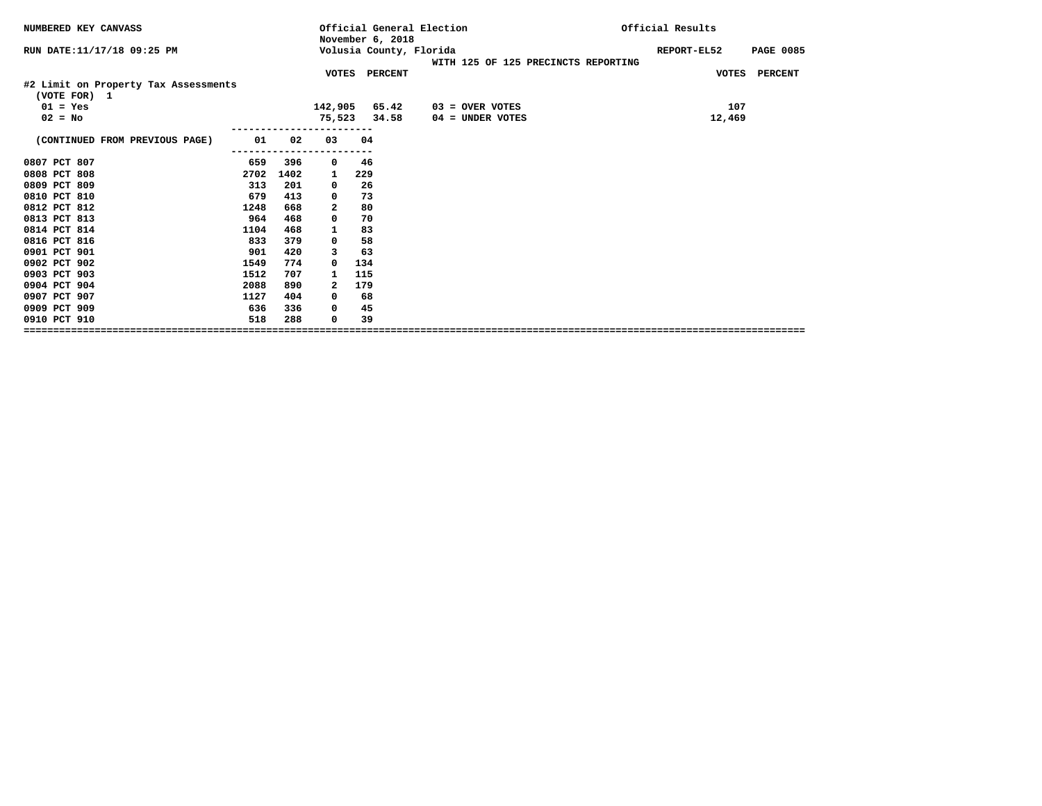| NUMBERED KEY CANVASS                                 |      |      |          | Official General Election<br>November 6, 2018 |                                     | Official Results                |
|------------------------------------------------------|------|------|----------|-----------------------------------------------|-------------------------------------|---------------------------------|
| RUN DATE: 11/17/18 09:25 PM                          |      |      |          | Volusia County, Florida                       | WITH 125 OF 125 PRECINCTS REPORTING | REPORT-EL52<br><b>PAGE 0085</b> |
|                                                      |      |      |          | VOTES PERCENT                                 |                                     | VOTES PERCENT                   |
| #2 Limit on Property Tax Assessments<br>(VOTE FOR) 1 |      |      |          |                                               |                                     |                                 |
| $01 = Yes$                                           |      |      |          | 142,905 65.42                                 | $03 =$ OVER VOTES                   | 107                             |
| $02 = No$                                            |      |      |          | 75,523 34.58                                  | $04 =$ UNDER VOTES                  | 12,469                          |
| (CONTINUED FROM PREVIOUS PAGE)                       | 01   | 02   | 03       | 04                                            |                                     |                                 |
| 0807 PCT 807                                         | 659  | 396  | 0        | 46                                            |                                     |                                 |
| 0808 PCT 808                                         | 2702 | 1402 | 1        | 229                                           |                                     |                                 |
| 0809 PCT 809                                         | 313  | 201  | 0        | 26                                            |                                     |                                 |
| 0810 PCT 810                                         | 679  | 413  | 0        | 73                                            |                                     |                                 |
| 0812 PCT 812                                         | 1248 | 668  | 2        | 80                                            |                                     |                                 |
| 0813 PCT 813                                         | 964  | 468  | 0        | 70                                            |                                     |                                 |
| 0814 PCT 814                                         | 1104 | 468  | 1        | 83                                            |                                     |                                 |
| 0816 PCT 816                                         | 833  | 379  | 0        | 58                                            |                                     |                                 |
| 0901 PCT 901                                         | 901  | 420  | 3        | 63                                            |                                     |                                 |
| 0902 PCT 902                                         | 1549 | 774  | $\Omega$ | 134                                           |                                     |                                 |
| 0903 PCT 903                                         | 1512 | 707  | 1        | 115                                           |                                     |                                 |
| 0904 PCT 904                                         | 2088 | 890  | 2        | 179                                           |                                     |                                 |
| 0907 PCT 907                                         | 1127 | 404  | 0        | 68                                            |                                     |                                 |
| 0909 PCT 909                                         | 636  | 336  | 0        | 45                                            |                                     |                                 |
| 0910 PCT 910                                         | 518  | 288  | 0        | 39                                            |                                     |                                 |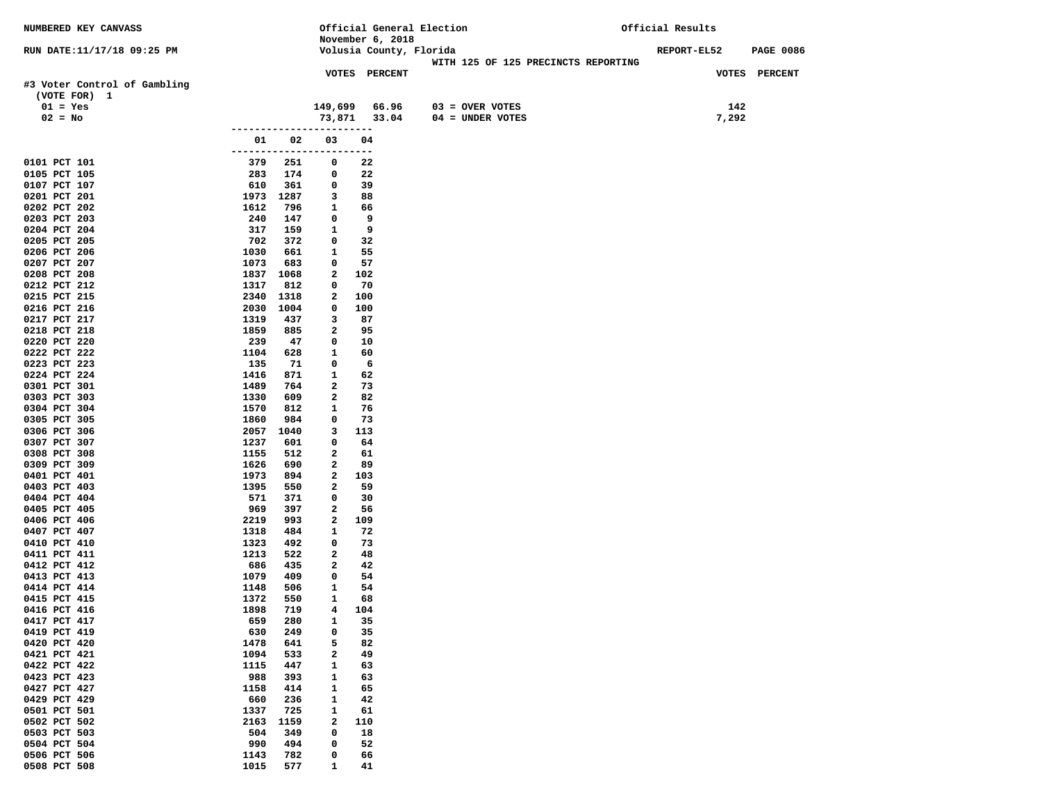| NUMBERED KEY CANVASS                         |                       |             |                         | Official General Election |                                     | Official Results |                  |
|----------------------------------------------|-----------------------|-------------|-------------------------|---------------------------|-------------------------------------|------------------|------------------|
|                                              |                       |             |                         | November 6, 2018          |                                     |                  |                  |
| RUN DATE:11/17/18 09:25 PM                   |                       |             |                         | Volusia County, Florida   | WITH 125 OF 125 PRECINCTS REPORTING | REPORT-EL52      | <b>PAGE 0086</b> |
|                                              |                       |             |                         | VOTES PERCENT             |                                     |                  | VOTES PERCENT    |
| #3 Voter Control of Gambling<br>(VOTE FOR) 1 |                       |             |                         |                           |                                     |                  |                  |
| $01 = Yes$                                   |                       |             | 149,699                 | 66.96                     | $03 =$ OVER VOTES                   | 142              |                  |
| $02 = No$                                    |                       |             |                         | 73,871 33.04              | $04 = UNDER VOTES$                  | 7,292            |                  |
|                                              | -------------         |             |                         |                           |                                     |                  |                  |
|                                              | 01                    | 02          | 03                      | 04                        |                                     |                  |                  |
| 0101 PCT 101                                 | --------------<br>379 | 251         | 0                       | $---$<br>22               |                                     |                  |                  |
| 0105 PCT 105                                 | 283                   | 174         | 0                       | 22                        |                                     |                  |                  |
| 0107 PCT 107                                 | 610                   | 361         | 0                       | 39                        |                                     |                  |                  |
| 0201 PCT 201                                 | 1973                  | 1287        | 3                       | 88                        |                                     |                  |                  |
| 0202 PCT 202<br>0203 PCT 203                 | 1612<br>240           | 796<br>147  | 1<br>0                  | 66<br>9                   |                                     |                  |                  |
| 0204 PCT 204                                 | 317                   | 159         | 1                       | 9                         |                                     |                  |                  |
| 0205 PCT 205                                 | 702                   | 372         | 0                       | 32                        |                                     |                  |                  |
| 0206 PCT 206                                 | 1030                  | 661         | 1                       | 55                        |                                     |                  |                  |
| 0207 PCT 207                                 | 1073                  | 683         | 0                       | 57                        |                                     |                  |                  |
| 0208 PCT 208                                 |                       | 1837 1068   | 2                       | 102                       |                                     |                  |                  |
| 0212 PCT 212<br>0215 PCT 215                 | 1317<br>2340          | 812<br>1318 | 0<br>2                  | 70<br>100                 |                                     |                  |                  |
| 0216 PCT 216                                 | 2030                  | 1004        | 0                       | 100                       |                                     |                  |                  |
| 0217 PCT 217                                 | 1319                  | 437         | 3                       | 87                        |                                     |                  |                  |
| 0218 PCT 218                                 | 1859                  | 885         | 2                       | 95                        |                                     |                  |                  |
| 0220 PCT 220                                 | 239                   | 47          | 0                       | 10                        |                                     |                  |                  |
| 0222 PCT 222                                 | 1104                  | 628         | 1                       | 60                        |                                     |                  |                  |
| 0223 PCT 223<br>0224 PCT 224                 | 135<br>1416           | 71<br>871   | 0<br>$\mathbf{1}$       | 6<br>62                   |                                     |                  |                  |
| 0301 PCT 301                                 | 1489                  | 764         | 2                       | 73                        |                                     |                  |                  |
| 0303 PCT 303                                 | 1330                  | 609         | 2                       | 82                        |                                     |                  |                  |
| 0304 PCT 304                                 | 1570                  | 812         | 1                       | 76                        |                                     |                  |                  |
| 0305 PCT 305                                 | 1860                  | 984         | 0                       | 73                        |                                     |                  |                  |
| 0306 PCT 306                                 | 2057                  | 1040        | 3                       | 113                       |                                     |                  |                  |
| 0307 PCT 307<br>0308 PCT 308                 | 1237<br>1155          | 601<br>512  | 0<br>2                  | 64<br>61                  |                                     |                  |                  |
| 0309 PCT 309                                 | 1626                  | 690         | 2                       | 89                        |                                     |                  |                  |
| 0401 PCT 401                                 | 1973                  | 894         | 2                       | 103                       |                                     |                  |                  |
| 0403 PCT 403                                 | 1395                  | 550         | $\mathbf{2}$            | 59                        |                                     |                  |                  |
| 0404 PCT 404                                 | 571                   | 371         | 0                       | 30                        |                                     |                  |                  |
| 0405 PCT 405<br>0406 PCT 406                 | 969<br>2219           | 397<br>993  | 2<br>2                  | 56<br>109                 |                                     |                  |                  |
| 0407 PCT 407                                 | 1318                  | 484         | 1                       | 72                        |                                     |                  |                  |
| 0410 PCT 410                                 | 1323                  | 492         | 0                       | 73                        |                                     |                  |                  |
| 0411 PCT 411                                 | 1213                  | 522         | 2                       | 48                        |                                     |                  |                  |
| 0412 PCT 412                                 | 686                   | 435         | 2                       | 42                        |                                     |                  |                  |
| 0413 PCT 413                                 | 1079                  | 409         | 0                       | 54                        |                                     |                  |                  |
| 0414 PCT 414<br>0415 PCT 415                 | 1148<br>1372          | 506<br>550  | 1<br>$\mathbf{1}$       | 54<br>68                  |                                     |                  |                  |
| 0416 PCT 416                                 | 1898                  | 719         | $\overline{\mathbf{4}}$ | 104                       |                                     |                  |                  |
| 0417 PCT 417                                 | 659                   | 280         | 1                       | 35                        |                                     |                  |                  |
| 0419 PCT 419                                 | 630                   | 249         | 0                       | 35                        |                                     |                  |                  |
| 0420 PCT 420                                 | 1478                  | 641         | 5                       | 82                        |                                     |                  |                  |
| 0421 PCT 421                                 | 1094                  | 533         | 2                       | 49                        |                                     |                  |                  |
| 0422 PCT 422<br>0423 PCT 423                 | 1115<br>988           | 447<br>393  | 1<br>$\mathbf{1}$       | 63<br>63                  |                                     |                  |                  |
| 0427 PCT 427                                 | 1158                  | 414         | 1                       | 65                        |                                     |                  |                  |
| 0429 PCT 429                                 | 660                   | 236         | $\mathbf{1}$            | 42                        |                                     |                  |                  |
| 0501 PCT 501                                 | 1337                  | 725         | $\mathbf{1}$            | 61                        |                                     |                  |                  |
| 0502 PCT 502                                 | 2163                  | 1159        | 2                       | 110                       |                                     |                  |                  |
| 0503 PCT 503                                 | 504                   | 349         | 0                       | 18                        |                                     |                  |                  |
| 0504 PCT 504<br>0506 PCT 506                 | 990<br>1143           | 494<br>782  | 0<br>0                  | 52<br>66                  |                                     |                  |                  |
| 0508 PCT 508                                 | 1015                  | 577         | 1                       | 41                        |                                     |                  |                  |
|                                              |                       |             |                         |                           |                                     |                  |                  |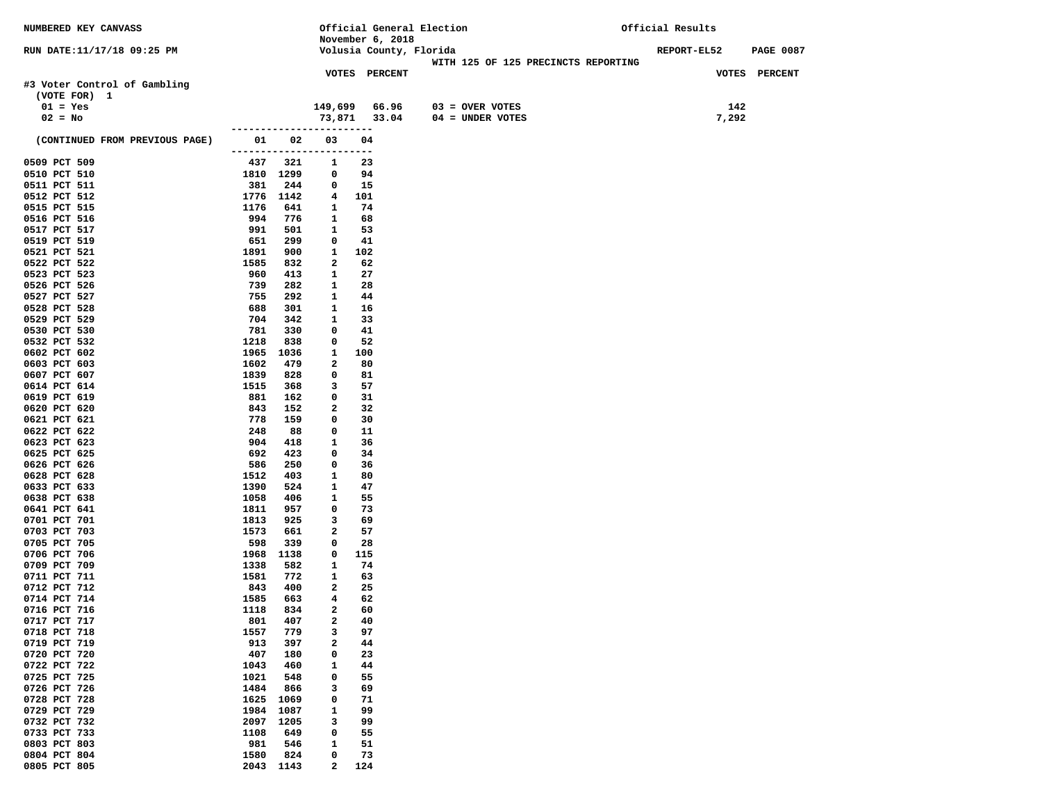| NUMBERED KEY CANVASS           |                           |               |                   |                         | Official General Election           | Official Results |                  |
|--------------------------------|---------------------------|---------------|-------------------|-------------------------|-------------------------------------|------------------|------------------|
|                                |                           |               |                   | November 6, 2018        |                                     |                  |                  |
| RUN DATE:11/17/18 09:25 PM     |                           |               |                   | Volusia County, Florida |                                     | REPORT-EL52      | <b>PAGE 0087</b> |
|                                |                           |               |                   |                         | WITH 125 OF 125 PRECINCTS REPORTING |                  |                  |
|                                |                           |               |                   | VOTES PERCENT           |                                     | VOTES PERCENT    |                  |
| #3 Voter Control of Gambling   |                           |               |                   |                         |                                     |                  |                  |
| (VOTE FOR) 1                   |                           |               |                   |                         |                                     |                  |                  |
| $01 = Yes$                     |                           |               |                   | 149,699 66.96           | $03 =$ OVER VOTES                   | 142              |                  |
| $02 = No$                      |                           |               |                   | 73,871 33.04            | $04 = UNDER VOTES$                  | 7,292            |                  |
|                                |                           | ------------- |                   | ----                    |                                     |                  |                  |
| (CONTINUED FROM PREVIOUS PAGE) | 01<br>------------------- | 02            | 03                | 04                      |                                     |                  |                  |
| 0509 PCT 509                   | 437                       | 321           | 1                 | ---<br>23               |                                     |                  |                  |
| 0510 PCT 510                   |                           | 1810 1299     | $\mathbf{0}$      | 94                      |                                     |                  |                  |
| 0511 PCT 511                   | 381                       | 244           | $\mathbf 0$       | 15                      |                                     |                  |                  |
| 0512 PCT 512                   |                           | 1776 1142     | 4                 | 101                     |                                     |                  |                  |
| 0515 PCT 515                   | 1176                      | 641           | 1                 | 74                      |                                     |                  |                  |
| 0516 PCT 516                   | 994                       | 776           | 1                 | 68                      |                                     |                  |                  |
| 0517 PCT 517                   | 991                       | 501           | 1                 | 53                      |                                     |                  |                  |
| 0519 PCT 519                   | 651                       | 299           | $\mathbf 0$       | 41                      |                                     |                  |                  |
| 0521 PCT 521                   | 1891                      | 900           | $\mathbf{1}$      | 102                     |                                     |                  |                  |
| 0522 PCT 522                   | 1585                      | 832           | $\mathbf{2}$      | 62                      |                                     |                  |                  |
| 0523 PCT 523                   | 960                       | 413           | 1                 | 27                      |                                     |                  |                  |
| 0526 PCT 526                   | 739                       | 282           | 1                 | 28                      |                                     |                  |                  |
| 0527 PCT 527                   | 755                       | 292           | $\mathbf{1}$      | 44                      |                                     |                  |                  |
| 0528 PCT 528                   | 688                       | 301           | $\mathbf{1}$      | 16                      |                                     |                  |                  |
| 0529 PCT 529                   | 704                       | 342           | 1                 | 33                      |                                     |                  |                  |
| 0530 PCT 530                   | 781                       | 330           | 0                 | 41                      |                                     |                  |                  |
| 0532 PCT 532                   | 1218                      | 838           | 0                 | 52                      |                                     |                  |                  |
| 0602 PCT 602                   | 1965                      | 1036          | 1                 | 100                     |                                     |                  |                  |
| 0603 PCT 603                   | 1602                      | 479           | 2                 | 80                      |                                     |                  |                  |
| 0607 PCT 607<br>0614 PCT 614   | 1839<br>1515              | 828<br>368    | 0<br>3            | 81<br>57                |                                     |                  |                  |
| 0619 PCT 619                   | 881                       | 162           | 0                 | 31                      |                                     |                  |                  |
| 0620 PCT 620                   | 843                       | 152           | $\mathbf{2}$      | 32                      |                                     |                  |                  |
| 0621 PCT 621                   | 778                       | 159           | 0                 | 30                      |                                     |                  |                  |
| 0622 PCT 622                   | 248                       | 88            | 0                 | 11                      |                                     |                  |                  |
| 0623 PCT 623                   | 904                       | 418           | 1                 | 36                      |                                     |                  |                  |
| 0625 PCT 625                   | 692                       | 423           | $\mathbf 0$       | 34                      |                                     |                  |                  |
| 0626 PCT 626                   | 586                       | 250           | 0                 | 36                      |                                     |                  |                  |
| 0628 PCT 628                   | 1512                      | 403           | 1                 | 80                      |                                     |                  |                  |
| 0633 PCT 633                   | 1390                      | 524           | 1                 | 47                      |                                     |                  |                  |
| 0638 PCT 638                   | 1058                      | 406           | 1                 | 55                      |                                     |                  |                  |
| 0641 PCT 641                   | 1811                      | 957           | 0                 | 73                      |                                     |                  |                  |
| 0701 PCT 701                   | 1813                      | 925           | 3                 | 69                      |                                     |                  |                  |
| 0703 PCT 703                   | 1573                      | 661           | $\mathbf{2}$      | 57                      |                                     |                  |                  |
| 0705 PCT 705                   | 598                       | 339           | 0                 | 28                      |                                     |                  |                  |
| 0706 PCT 706<br>0709 PCT 709   | 1968                      | 1138          | 0<br>$\mathbf{1}$ | 115<br>74               |                                     |                  |                  |
| 0711 PCT 711                   | 1338<br>1581              | 582<br>772    | $\mathbf{1}$      | 63                      |                                     |                  |                  |
| 0712 PCT 712                   | 843                       | 400           | 2                 | 25                      |                                     |                  |                  |
| 0714 PCT 714                   | 1585                      | 663           | 4                 | 62                      |                                     |                  |                  |
| 0716 PCT 716                   | 1118                      | 834           | $\overline{a}$    | 60                      |                                     |                  |                  |
| 0717 PCT 717                   | 801                       | 407           | 2                 | 40                      |                                     |                  |                  |
| 0718 PCT 718                   | 1557                      | 779           | з                 | 97                      |                                     |                  |                  |
| 0719 PCT 719                   | 913                       | 397           | 2                 | 44                      |                                     |                  |                  |
| 0720 PCT 720                   | 407                       | 180           | 0                 | 23                      |                                     |                  |                  |
| 0722 PCT 722                   | 1043                      | 460           | 1                 | 44                      |                                     |                  |                  |
| 0725 PCT 725                   | 1021                      | 548           | 0                 | 55                      |                                     |                  |                  |
| 0726 PCT 726                   | 1484                      | 866           | з                 | 69                      |                                     |                  |                  |
| 0728 PCT 728                   | 1625                      | 1069          | 0                 | 71                      |                                     |                  |                  |
| 0729 PCT 729                   | 1984                      | 1087          | 1                 | 99                      |                                     |                  |                  |
| 0732 PCT 732                   | 2097                      | 1205          | 3                 | 99                      |                                     |                  |                  |
| 0733 PCT 733                   | 1108                      | 649           | 0                 | 55                      |                                     |                  |                  |
| 0803 PCT 803                   | 981                       | 546           | 1                 | 51                      |                                     |                  |                  |
| 0804 PCT 804                   | 1580                      | 824           | 0                 | 73                      |                                     |                  |                  |
| 0805 PCT 805                   |                           | 2043 1143     | 2                 | 124                     |                                     |                  |                  |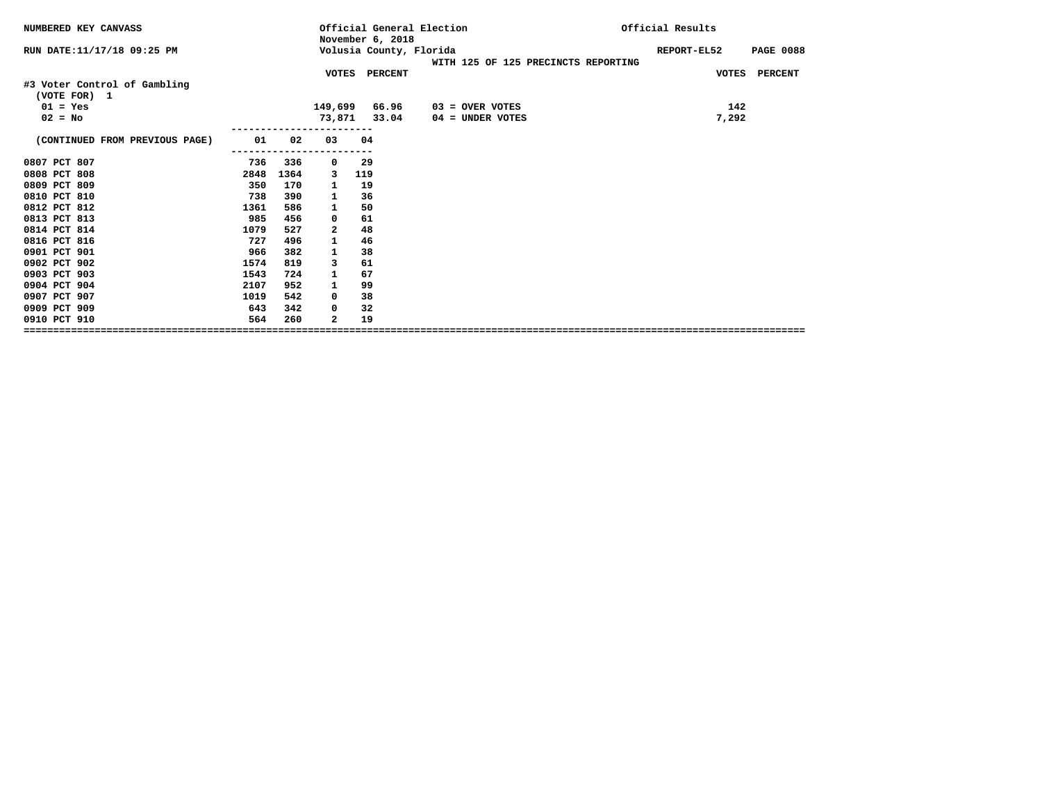| NUMBERED KEY CANVASS                         |      |      |              | Official General Election<br>November 6, 2018 |                                     | Official Results |                  |
|----------------------------------------------|------|------|--------------|-----------------------------------------------|-------------------------------------|------------------|------------------|
| RUN DATE:11/17/18 09:25 PM                   |      |      |              | Volusia County, Florida                       | WITH 125 OF 125 PRECINCTS REPORTING | REPORT-EL52      | <b>PAGE 0088</b> |
|                                              |      |      |              | VOTES PERCENT                                 |                                     |                  | VOTES PERCENT    |
| #3 Voter Control of Gambling<br>(VOTE FOR) 1 |      |      |              |                                               |                                     |                  |                  |
| $01 = Yes$                                   |      |      |              | 149,699 66.96                                 | $03 =$ OVER VOTES                   |                  | 142              |
| $02 = No$                                    |      |      |              | 73,871 33.04                                  | 04 = UNDER VOTES                    |                  | 7,292            |
| (CONTINUED FROM PREVIOUS PAGE)               | 01   | 02   | 03           | 04                                            |                                     |                  |                  |
|                                              |      |      |              |                                               |                                     |                  |                  |
| 0807 PCT 807                                 | 736  | 336  | 0            | 29                                            |                                     |                  |                  |
| 0808 PCT 808                                 | 2848 | 1364 | 3            | 119                                           |                                     |                  |                  |
| 0809 PCT 809                                 | 350  | 170  | 1            | 19                                            |                                     |                  |                  |
| 0810 PCT 810                                 | 738  | 390  | 1            | 36                                            |                                     |                  |                  |
| 0812 PCT 812                                 | 1361 | 586  | 1            | 50                                            |                                     |                  |                  |
| 0813 PCT 813                                 | 985  | 456  | 0            | 61                                            |                                     |                  |                  |
| 0814 PCT 814                                 | 1079 | 527  | $\mathbf{2}$ | 48                                            |                                     |                  |                  |
| 0816 PCT 816                                 | 727  | 496  | 1            | 46                                            |                                     |                  |                  |
| 0901 PCT 901                                 | 966  | 382  | 1            | 38                                            |                                     |                  |                  |
| 0902 PCT 902                                 | 1574 | 819  | 3            | 61                                            |                                     |                  |                  |
| 0903 PCT 903                                 | 1543 | 724  | 1            | 67                                            |                                     |                  |                  |
| 0904 PCT 904                                 | 2107 | 952  | 1            | 99                                            |                                     |                  |                  |
| 0907 PCT 907                                 | 1019 | 542  | 0            | 38                                            |                                     |                  |                  |
| 0909 PCT 909                                 | 643  | 342  | 0            | 32                                            |                                     |                  |                  |
| 0910 PCT 910                                 | 564  | 260  | $\mathbf{2}$ | 19                                            |                                     |                  |                  |
|                                              |      |      |              |                                               |                                     |                  |                  |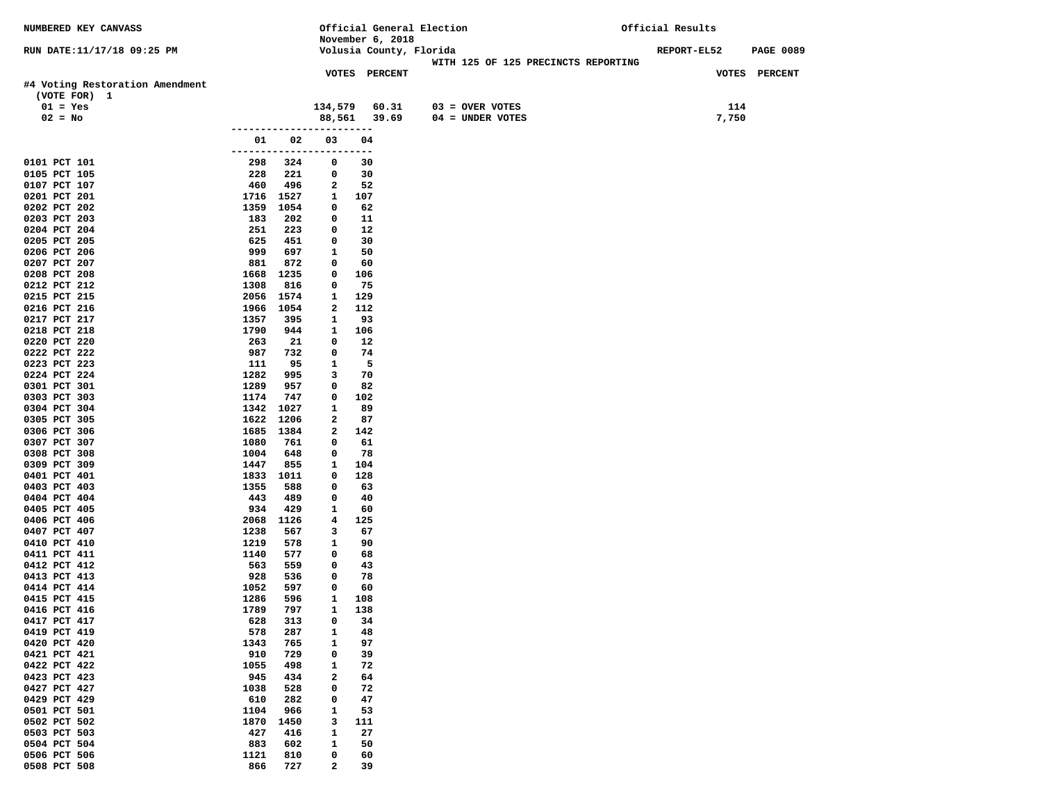| NUMBERED KEY CANVASS            |                      |            |                |               |                         | Official General Election |                                     | Official Results |       |                  |
|---------------------------------|----------------------|------------|----------------|---------------|-------------------------|---------------------------|-------------------------------------|------------------|-------|------------------|
|                                 |                      |            |                |               | November 6, 2018        |                           |                                     |                  |       |                  |
| RUN DATE:11/17/18 09:25 PM      |                      |            |                |               | Volusia County, Florida |                           |                                     | REPORT-EL52      |       | <b>PAGE 0089</b> |
|                                 |                      |            |                |               |                         |                           | WITH 125 OF 125 PRECINCTS REPORTING |                  |       |                  |
|                                 |                      |            |                | VOTES PERCENT |                         |                           |                                     |                  |       | VOTES PERCENT    |
| #4 Voting Restoration Amendment |                      |            |                |               |                         |                           |                                     |                  |       |                  |
| (VOTE FOR) 1                    |                      |            |                |               |                         |                           |                                     |                  |       |                  |
| $01 = Yes$                      |                      |            | 134,579        |               | 60.31                   | $03 =$ OVER VOTES         |                                     |                  | 114   |                  |
| $02 = No$                       |                      |            | 88,561         |               | 39.69                   | $04 = UNDER VOTES$        |                                     |                  | 7,750 |                  |
|                                 | --------------       |            |                | ----          |                         |                           |                                     |                  |       |                  |
|                                 | 01                   | 02         | 03             | 04            |                         |                           |                                     |                  |       |                  |
| 0101 PCT 101                    | -------------<br>298 | 324        | 0              | ---<br>30     |                         |                           |                                     |                  |       |                  |
| 0105 PCT 105                    | 228                  | 221        | 0              | 30            |                         |                           |                                     |                  |       |                  |
| 0107 PCT 107                    | 460                  | 496        | $\mathbf{2}$   | 52            |                         |                           |                                     |                  |       |                  |
| 0201 PCT 201                    | 1716                 | 1527       | 1              | 107           |                         |                           |                                     |                  |       |                  |
| 0202 PCT 202                    | 1359                 | 1054       | 0              | 62            |                         |                           |                                     |                  |       |                  |
| 0203 PCT 203                    | 183                  | 202        | 0              | 11            |                         |                           |                                     |                  |       |                  |
| 0204 PCT 204                    | 251                  | 223        | 0              | 12            |                         |                           |                                     |                  |       |                  |
| 0205 PCT 205                    | 625                  | 451        | 0              | 30            |                         |                           |                                     |                  |       |                  |
| 0206 PCT 206                    | 999                  | 697        | 1              | 50            |                         |                           |                                     |                  |       |                  |
| 0207 PCT 207                    | 881                  | 872        | 0              | 60            |                         |                           |                                     |                  |       |                  |
| 0208 PCT 208                    |                      | 1668 1235  | 0              | 106           |                         |                           |                                     |                  |       |                  |
| 0212 PCT 212                    | 1308                 | 816        | 0              | 75            |                         |                           |                                     |                  |       |                  |
| 0215 PCT 215                    |                      | 2056 1574  | 1              | 129           |                         |                           |                                     |                  |       |                  |
| 0216 PCT 216                    |                      | 1966 1054  | $\mathbf{2}$   | 112           |                         |                           |                                     |                  |       |                  |
| 0217 PCT 217                    | 1357                 | 395        | 1              | 93            |                         |                           |                                     |                  |       |                  |
| 0218 PCT 218                    | 1790                 | 944        | $\mathbf{1}$   | 106           |                         |                           |                                     |                  |       |                  |
| 0220 PCT 220                    | 263                  | 21         | 0              | 12            |                         |                           |                                     |                  |       |                  |
| 0222 PCT 222                    | 987                  | 732        | 0              | 74            |                         |                           |                                     |                  |       |                  |
| 0223 PCT 223                    | 111                  | 95         | 1              | -5            |                         |                           |                                     |                  |       |                  |
| 0224 PCT 224                    | 1282<br>1289         | 995<br>957 | 3<br>0         | 70<br>82      |                         |                           |                                     |                  |       |                  |
| 0301 PCT 301<br>0303 PCT 303    | 1174                 | 747        | 0              | 102           |                         |                           |                                     |                  |       |                  |
| 0304 PCT 304                    |                      | 1342 1027  | 1              | 89            |                         |                           |                                     |                  |       |                  |
| 0305 PCT 305                    | 1622                 | 1206       | 2              | 87            |                         |                           |                                     |                  |       |                  |
| 0306 PCT 306                    |                      | 1685 1384  | 2              | 142           |                         |                           |                                     |                  |       |                  |
| 0307 PCT 307                    | 1080                 | 761        | 0              | 61            |                         |                           |                                     |                  |       |                  |
| 0308 PCT 308                    | 1004                 | 648        | 0              | 78            |                         |                           |                                     |                  |       |                  |
| 0309 PCT 309                    | 1447                 | 855        | 1              | 104           |                         |                           |                                     |                  |       |                  |
| 0401 PCT 401                    |                      | 1833 1011  | 0              | 128           |                         |                           |                                     |                  |       |                  |
| 0403 PCT 403                    | 1355                 | 588        | 0              | 63            |                         |                           |                                     |                  |       |                  |
| 0404 PCT 404                    | 443                  | 489        | 0              | 40            |                         |                           |                                     |                  |       |                  |
| 0405 PCT 405                    | 934                  | 429        | 1              | 60            |                         |                           |                                     |                  |       |                  |
| 0406 PCT 406                    |                      | 2068 1126  | $\overline{4}$ | 125           |                         |                           |                                     |                  |       |                  |
| 0407 PCT 407                    | 1238                 | 567        | 3              | 67            |                         |                           |                                     |                  |       |                  |
| 0410 PCT 410                    | 1219                 | 578        | 1              | 90            |                         |                           |                                     |                  |       |                  |
| 0411 PCT 411                    | 1140                 | 577        | 0              | 68            |                         |                           |                                     |                  |       |                  |
| 0412 PCT 412                    | 563                  | 559        | $\mathbf 0$    | 43<br>78      |                         |                           |                                     |                  |       |                  |
| 0413 PCT 413<br>0414 PCT 414    | 928<br>1052          | 536<br>597 | 0<br>0         | 60            |                         |                           |                                     |                  |       |                  |
| 0415 PCT 415                    | 1286                 | 596        | 1              | 108           |                         |                           |                                     |                  |       |                  |
| 0416 PCT 416                    | 1789                 | 797        | $\mathbf{1}$   | 138           |                         |                           |                                     |                  |       |                  |
| 0417 PCT 417                    | 628                  | 313        | 0              | 34            |                         |                           |                                     |                  |       |                  |
| 0419 PCT 419                    | 578                  | 287        | 1              | 48            |                         |                           |                                     |                  |       |                  |
| 0420 PCT 420                    | 1343                 | 765        | 1              | 97            |                         |                           |                                     |                  |       |                  |
| 0421 PCT 421                    | 910                  | 729        | 0              | 39            |                         |                           |                                     |                  |       |                  |
| 0422 PCT 422                    | 1055                 | 498        | 1              | 72            |                         |                           |                                     |                  |       |                  |
| 0423 PCT 423                    | 945                  | 434        | $\mathbf{2}$   | 64            |                         |                           |                                     |                  |       |                  |
| 0427 PCT 427                    | 1038                 | 528        | 0              | 72            |                         |                           |                                     |                  |       |                  |
| 0429 PCT 429                    | 610                  | 282        | 0              | 47            |                         |                           |                                     |                  |       |                  |
| 0501 PCT 501                    | 1104                 | 966        | 1              | 53            |                         |                           |                                     |                  |       |                  |
| 0502 PCT 502                    | 1870                 | 1450       | 3              | 111           |                         |                           |                                     |                  |       |                  |
| 0503 PCT 503                    | 427                  | 416        | 1              | 27            |                         |                           |                                     |                  |       |                  |
| 0504 PCT 504                    | 883                  | 602        | 1              | 50            |                         |                           |                                     |                  |       |                  |
| 0506 PCT 506                    | 1121                 | 810        | 0              | 60            |                         |                           |                                     |                  |       |                  |
| 0508 PCT 508                    | 866                  | 727        | 2              | 39            |                         |                           |                                     |                  |       |                  |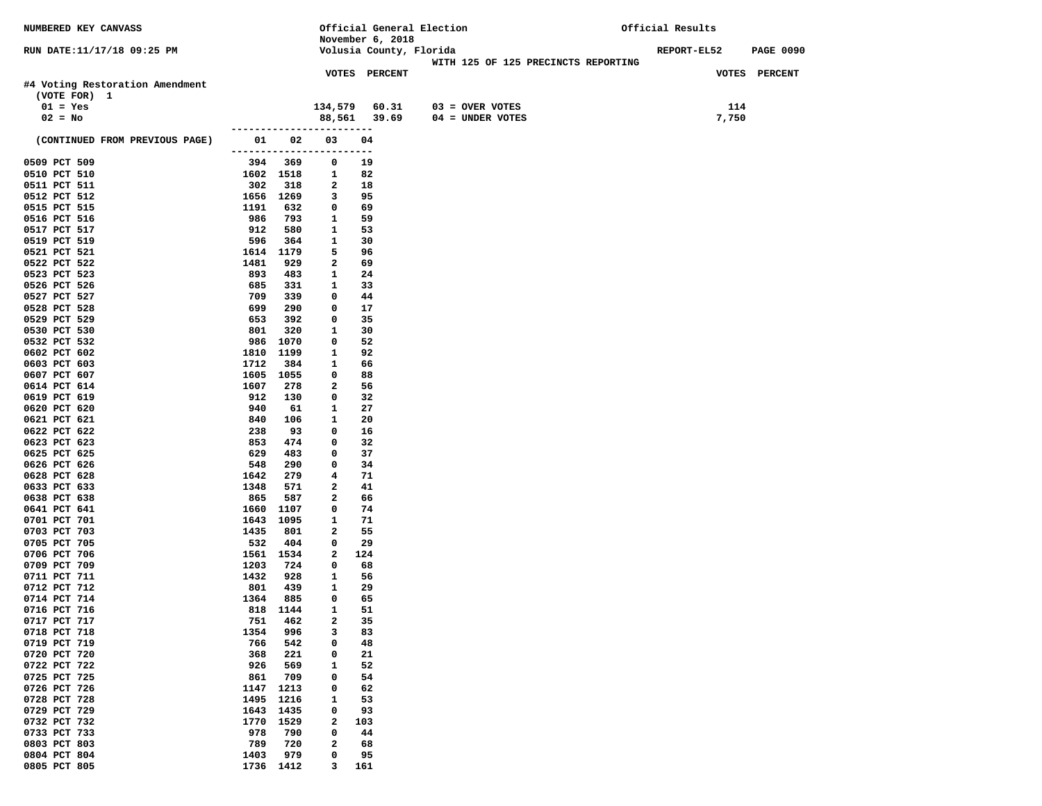| NUMBERED KEY CANVASS                            |                            |            |                   |                         | Official General Election           | Official Results |                  |
|-------------------------------------------------|----------------------------|------------|-------------------|-------------------------|-------------------------------------|------------------|------------------|
|                                                 |                            |            |                   | November 6, 2018        |                                     |                  |                  |
| RUN DATE:11/17/18 09:25 PM                      |                            |            |                   | Volusia County, Florida | WITH 125 OF 125 PRECINCTS REPORTING | REPORT-EL52      | <b>PAGE 0090</b> |
|                                                 |                            |            |                   | VOTES PERCENT           |                                     |                  | VOTES PERCENT    |
| #4 Voting Restoration Amendment<br>(VOTE FOR) 1 |                            |            |                   |                         |                                     |                  |                  |
| $01 = Yes$                                      |                            |            | 134,579           | 60.31                   | $03 =$ OVER VOTES                   | 114              |                  |
| $02 = No$                                       |                            |            | 88,561            | 39.69                   | $04 = UNDER VOTES$                  | 7,750            |                  |
| (CONTINUED FROM PREVIOUS PAGE)                  | 01                         | 02         | 03                | 04                      |                                     |                  |                  |
| 0509 PCT 509                                    | -------------------<br>394 | 369        | 0                 | ---<br>19               |                                     |                  |                  |
| 0510 PCT 510                                    |                            | 1602 1518  | 1                 | 82                      |                                     |                  |                  |
| 0511 PCT 511                                    | 302                        | 318        | 2                 | 18                      |                                     |                  |                  |
| 0512 PCT 512                                    |                            | 1656 1269  | 3                 | 95                      |                                     |                  |                  |
| 0515 PCT 515                                    | 1191                       | 632        | 0                 | 69                      |                                     |                  |                  |
| 0516 PCT 516                                    | 986                        | 793        | 1                 | 59                      |                                     |                  |                  |
| 0517 PCT 517<br>0519 PCT 519                    | 912<br>596                 | 580<br>364 | 1<br>1            | 53<br>30                |                                     |                  |                  |
| 0521 PCT 521                                    |                            | 1614 1179  | 5                 | 96                      |                                     |                  |                  |
| 0522 PCT 522                                    | 1481                       | 929        | 2                 | 69                      |                                     |                  |                  |
| 0523 PCT 523                                    | 893                        | 483        | 1                 | 24                      |                                     |                  |                  |
| 0526 PCT 526                                    | 685                        | 331        | 1                 | 33                      |                                     |                  |                  |
| 0527 PCT 527                                    | 709                        | 339        | 0                 | 44                      |                                     |                  |                  |
| 0528 PCT 528                                    | 699                        | 290        | 0                 | 17                      |                                     |                  |                  |
| 0529 PCT 529<br>0530 PCT 530                    | 653<br>801                 | 392<br>320 | 0<br>1            | 35<br>30                |                                     |                  |                  |
| 0532 PCT 532                                    | 986                        | 1070       | 0                 | 52                      |                                     |                  |                  |
| 0602 PCT 602                                    | 1810                       | 1199       | $\mathbf{1}$      | 92                      |                                     |                  |                  |
| 0603 PCT 603                                    | 1712                       | 384        | 1                 | 66                      |                                     |                  |                  |
| 0607 PCT 607                                    |                            | 1605 1055  | 0                 | 88                      |                                     |                  |                  |
| 0614 PCT 614                                    | 1607                       | 278        | 2                 | 56                      |                                     |                  |                  |
| 0619 PCT 619                                    | 912                        | 130        | 0                 | 32                      |                                     |                  |                  |
| 0620 PCT 620<br>0621 PCT 621                    | 940<br>840                 | 61<br>106  | 1<br>1            | 27<br>20                |                                     |                  |                  |
| 0622 PCT 622                                    | 238                        | 93         | 0                 | 16                      |                                     |                  |                  |
| 0623 PCT 623                                    | 853                        | 474        | 0                 | 32                      |                                     |                  |                  |
| 0625 PCT 625                                    | 629                        | 483        | 0                 | 37                      |                                     |                  |                  |
| 0626 PCT 626                                    | 548                        | 290        | 0                 | 34                      |                                     |                  |                  |
| 0628 PCT 628                                    | 1642                       | 279        | 4                 | 71                      |                                     |                  |                  |
| 0633 PCT 633<br>0638 PCT 638                    | 1348<br>865                | 571<br>587 | 2<br>2            | 41<br>66                |                                     |                  |                  |
| 0641 PCT 641                                    | 1660                       | 1107       | 0                 | 74                      |                                     |                  |                  |
| 0701 PCT 701                                    | 1643                       | 1095       | 1                 | 71                      |                                     |                  |                  |
| 0703 PCT 703                                    | 1435                       | 801        | $\mathbf{2}$      | 55                      |                                     |                  |                  |
| 0705 PCT 705                                    | 532                        | 404        | 0                 | 29                      |                                     |                  |                  |
| 0706 PCT 706                                    |                            | 1561 1534  | 2                 | 124                     |                                     |                  |                  |
| 0709 PCT 709                                    | 1203                       | 724        | $\mathbf 0$       | 68                      |                                     |                  |                  |
| 0711 PCT 711<br>0712 PCT 712                    | 1432<br>801                | 928<br>439 | 1<br>1            | 56<br>29                |                                     |                  |                  |
| 0714 PCT 714                                    | 1364                       | 885        | 0                 | 65                      |                                     |                  |                  |
| 0716 PCT 716                                    | 818                        | 1144       | 1                 | 51                      |                                     |                  |                  |
| 0717 PCT 717                                    | 751                        | 462        | 2                 | 35                      |                                     |                  |                  |
| 0718 PCT 718                                    | 1354                       | 996        | 3                 | 83                      |                                     |                  |                  |
| 0719 PCT 719                                    | 766                        | 542        | 0                 | 48                      |                                     |                  |                  |
| 0720 PCT 720                                    | 368                        | 221        | 0                 | 21                      |                                     |                  |                  |
| 0722 PCT 722<br>0725 PCT 725                    | 926<br>861                 | 569<br>709 | 1<br>0            | 52<br>54                |                                     |                  |                  |
| 0726 PCT 726                                    | 1147                       | 1213       | 0                 | 62                      |                                     |                  |                  |
| 0728 PCT 728                                    | 1495                       | 1216       | 1                 | 53                      |                                     |                  |                  |
| 0729 PCT 729                                    | 1643                       | 1435       | 0                 | 93                      |                                     |                  |                  |
| 0732 PCT 732                                    | 1770                       | 1529       | 2                 | 103                     |                                     |                  |                  |
| 0733 PCT 733                                    | 978                        | 790        | 0                 | 44                      |                                     |                  |                  |
| 0803 PCT 803<br>0804 PCT 804                    | 789                        | 720<br>979 | $\mathbf{2}$<br>0 | 68<br>95                |                                     |                  |                  |
| 0805 PCT 805                                    | 1403                       | 1736 1412  | 3                 | 161                     |                                     |                  |                  |
|                                                 |                            |            |                   |                         |                                     |                  |                  |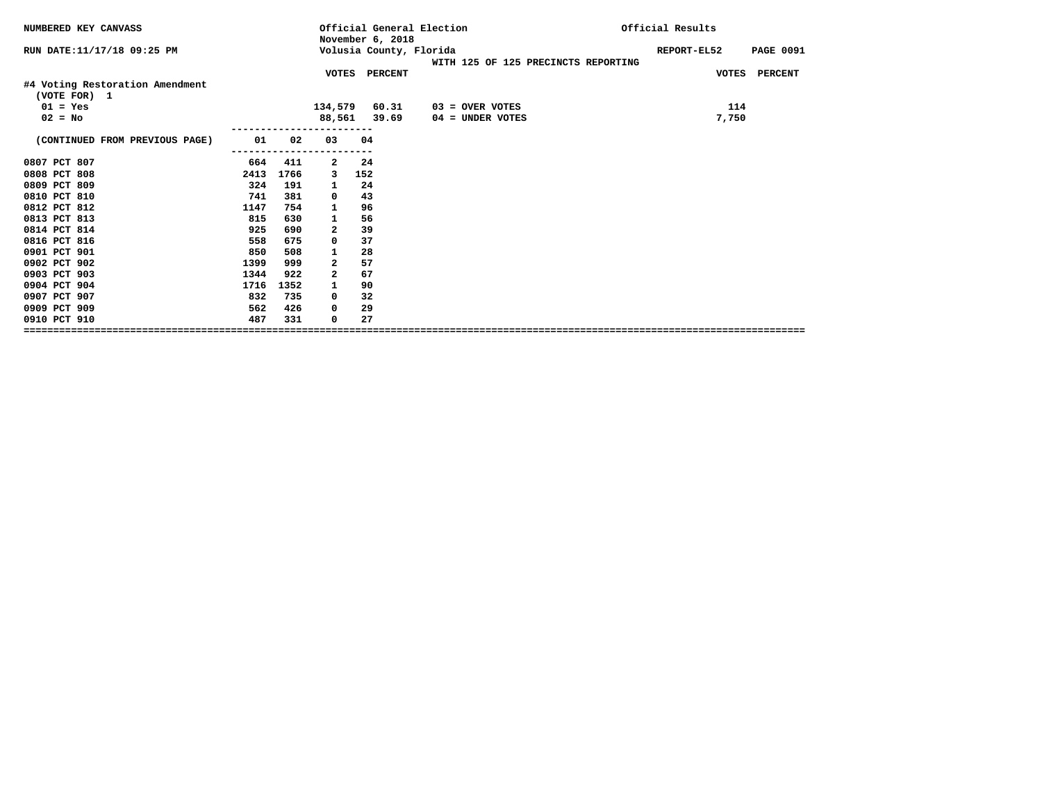| NUMBERED KEY CANVASS                            |      |      |              | November 6, 2018        | Official General Election           | Official Results |                  |
|-------------------------------------------------|------|------|--------------|-------------------------|-------------------------------------|------------------|------------------|
| RUN DATE:11/17/18 09:25 PM                      |      |      |              | Volusia County, Florida | WITH 125 OF 125 PRECINCTS REPORTING | REPORT-EL52      | <b>PAGE 0091</b> |
|                                                 |      |      | VOTES        | <b>PERCENT</b>          |                                     |                  | VOTES PERCENT    |
| #4 Voting Restoration Amendment<br>(VOTE FOR) 1 |      |      |              |                         |                                     |                  |                  |
| $01 = Yes$                                      |      |      |              | 134,579 60.31           | 03 = OVER VOTES                     | 114              |                  |
| $02 = No$                                       |      |      |              | 88,561 39.69            | 04 = UNDER VOTES                    | 7,750            |                  |
| (CONTINUED FROM PREVIOUS PAGE)                  | 01   | 02   | 03           | 04                      |                                     |                  |                  |
| 0807 PCT 807                                    | 664  | 411  | $\mathbf{2}$ | 24                      |                                     |                  |                  |
| 0808 PCT 808                                    | 2413 | 1766 | 3            | 152                     |                                     |                  |                  |
| 0809 PCT 809                                    | 324  | 191  | 1            | 24                      |                                     |                  |                  |
| 0810 PCT 810                                    | 741  | 381  | 0            | 43                      |                                     |                  |                  |
| 0812 PCT 812                                    | 1147 | 754  | 1            | 96                      |                                     |                  |                  |
| 0813 PCT 813                                    | 815  | 630  | 1            | 56                      |                                     |                  |                  |
| 0814 PCT 814                                    | 925  | 690  | $\mathbf{2}$ | 39                      |                                     |                  |                  |
| 0816 PCT 816                                    | 558  | 675  | 0            | 37                      |                                     |                  |                  |
| 0901 PCT 901                                    | 850  | 508  | 1            | 28                      |                                     |                  |                  |
| 0902 PCT 902                                    | 1399 | 999  | $\mathbf{2}$ | 57                      |                                     |                  |                  |
| 0903 PCT 903                                    | 1344 | 922  | 2            | 67                      |                                     |                  |                  |
| 0904 PCT 904                                    | 1716 | 1352 | 1            | 90                      |                                     |                  |                  |
| 0907 PCT 907                                    | 832  | 735  | 0            | 32                      |                                     |                  |                  |
| 0909 PCT 909                                    | 562  | 426  | 0            | 29                      |                                     |                  |                  |
| 0910 PCT 910                                    | 487  | 331  | 0            | 27                      |                                     |                  |                  |
|                                                 |      |      |              |                         |                                     |                  |                  |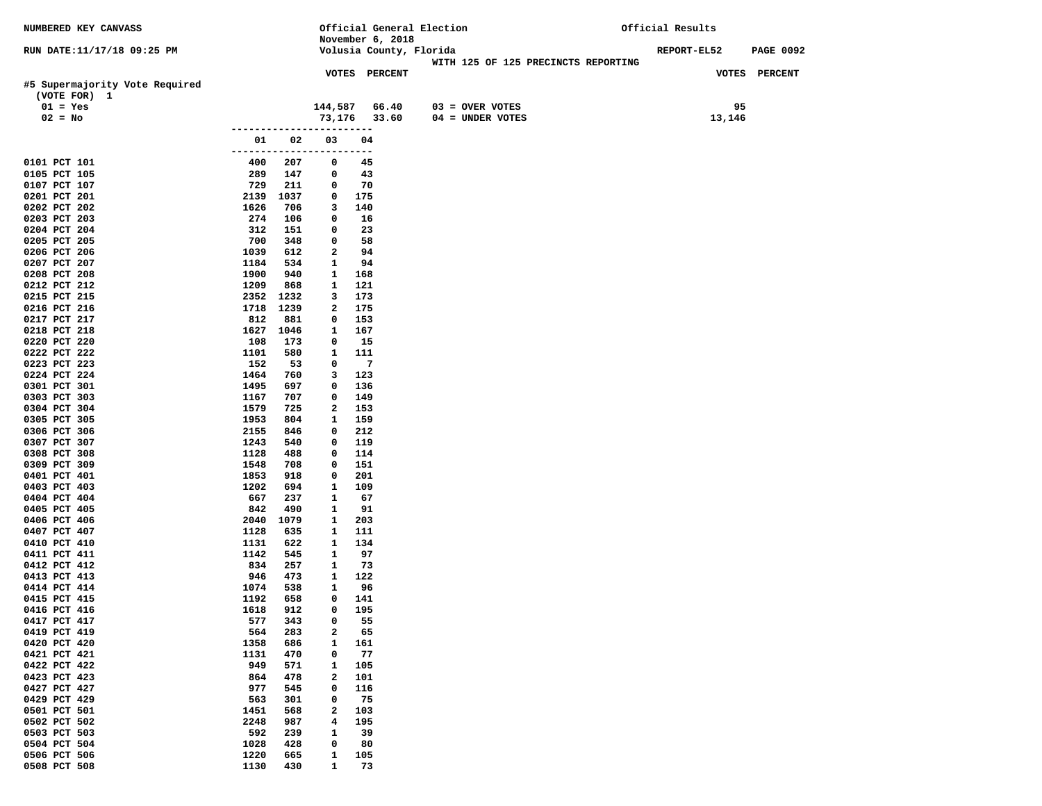| NUMBERED KEY CANVASS                           |                       |             |                   |                  | Official General Election                                      | Official Results |                  |
|------------------------------------------------|-----------------------|-------------|-------------------|------------------|----------------------------------------------------------------|------------------|------------------|
|                                                |                       |             |                   | November 6, 2018 |                                                                |                  |                  |
| RUN DATE:11/17/18 09:25 PM                     |                       |             |                   |                  | Volusia County, Florida<br>WITH 125 OF 125 PRECINCTS REPORTING | REPORT-EL52      | <b>PAGE 0092</b> |
|                                                |                       |             |                   | VOTES PERCENT    |                                                                |                  | VOTES PERCENT    |
| #5 Supermajority Vote Required<br>(VOTE FOR) 1 |                       |             |                   |                  |                                                                |                  |                  |
| $01 = Yes$                                     |                       |             | 144,587           | 66.40            | $03 =$ OVER VOTES                                              | 95               |                  |
| $02 = No$                                      |                       |             | 73,176            | 33.60            | $04 = UNDER VOTES$                                             | 13,146           |                  |
|                                                |                       | ----------- |                   |                  |                                                                |                  |                  |
|                                                | 01                    | 02          | 03                | 04               |                                                                |                  |                  |
| 0101 PCT 101                                   | --------------<br>400 | 207         | 0                 | $---$<br>45      |                                                                |                  |                  |
| 0105 PCT 105                                   | 289                   | 147         | 0                 | 43               |                                                                |                  |                  |
| 0107 PCT 107                                   | 729                   | 211         | 0                 | 70               |                                                                |                  |                  |
| 0201 PCT 201                                   | 2139                  | 1037        | 0                 | 175              |                                                                |                  |                  |
| 0202 PCT 202                                   | 1626                  | 706         | 3                 | 140              |                                                                |                  |                  |
| 0203 PCT 203                                   | 274                   | 106         | 0                 | 16               |                                                                |                  |                  |
| 0204 PCT 204<br>0205 PCT 205                   | 312<br>700            | 151<br>348  | 0<br>0            | 23<br>58         |                                                                |                  |                  |
| 0206 PCT 206                                   | 1039                  | 612         | $\mathbf{2}$      | 94               |                                                                |                  |                  |
| 0207 PCT 207                                   | 1184                  | 534         | 1                 | 94               |                                                                |                  |                  |
| 0208 PCT 208                                   | 1900                  | 940         | 1                 | 168              |                                                                |                  |                  |
| 0212 PCT 212                                   | 1209                  | 868         | 1                 | 121              |                                                                |                  |                  |
| 0215 PCT 215                                   | 2352                  | 1232        | 3                 | 173              |                                                                |                  |                  |
| 0216 PCT 216<br>0217 PCT 217                   | 1718<br>812           | 1239<br>881 | 2<br>0            | 175<br>153       |                                                                |                  |                  |
| 0218 PCT 218                                   | 1627                  | 1046        | 1                 | 167              |                                                                |                  |                  |
| 0220 PCT 220                                   | 108                   | 173         | 0                 | 15               |                                                                |                  |                  |
| 0222 PCT 222                                   | 1101                  | 580         | 1                 | 111              |                                                                |                  |                  |
| 0223 PCT 223                                   | 152                   | 53          | 0                 | $\overline{7}$   |                                                                |                  |                  |
| 0224 PCT 224                                   | 1464                  | 760         | 3                 | 123              |                                                                |                  |                  |
| 0301 PCT 301<br>0303 PCT 303                   | 1495<br>1167          | 697<br>707  | 0<br>0            | 136<br>149       |                                                                |                  |                  |
| 0304 PCT 304                                   | 1579                  | 725         | 2                 | 153              |                                                                |                  |                  |
| 0305 PCT 305                                   | 1953                  | 804         | 1                 | 159              |                                                                |                  |                  |
| 0306 PCT 306                                   | 2155                  | 846         | 0                 | 212              |                                                                |                  |                  |
| 0307 PCT 307                                   | 1243                  | 540         | 0                 | 119              |                                                                |                  |                  |
| 0308 PCT 308                                   | 1128                  | 488         | 0                 | 114              |                                                                |                  |                  |
| 0309 PCT 309<br>0401 PCT 401                   | 1548<br>1853          | 708<br>918  | 0<br>0            | 151<br>201       |                                                                |                  |                  |
| 0403 PCT 403                                   | 1202                  | 694         | 1                 | 109              |                                                                |                  |                  |
| 0404 PCT 404                                   | 667                   | 237         | 1                 | 67               |                                                                |                  |                  |
| 0405 PCT 405                                   | 842                   | 490         | $\mathbf{1}$      | 91               |                                                                |                  |                  |
| 0406 PCT 406                                   | 2040                  | 1079        | 1                 | 203              |                                                                |                  |                  |
| 0407 PCT 407<br>0410 PCT 410                   | 1128<br>1131          | 635<br>622  | 1<br>$\mathbf{1}$ | 111<br>134       |                                                                |                  |                  |
| 0411 PCT 411                                   | 1142                  | 545         | 1                 | 97               |                                                                |                  |                  |
| 0412 PCT 412                                   | 834                   | 257         | $\mathbf{1}$      | 73               |                                                                |                  |                  |
| 0413 PCT 413                                   | 946                   | 473         | 1                 | 122              |                                                                |                  |                  |
| 0414 PCT 414                                   | 1074                  | 538         | 1                 | 96               |                                                                |                  |                  |
| 0415 PCT 415                                   | 1192                  | 658         | 0                 | 141              |                                                                |                  |                  |
| 0416 PCT 416<br>0417 PCT 417                   | 1618<br>577           | 912<br>343  | 0<br>0            | 195<br>55        |                                                                |                  |                  |
| 0419 PCT 419                                   | 564                   | 283         | 2                 | 65               |                                                                |                  |                  |
| 0420 PCT 420                                   | 1358                  | 686         | $\mathbf{1}$      | 161              |                                                                |                  |                  |
| 0421 PCT 421                                   | 1131                  | 470         | 0                 | 77               |                                                                |                  |                  |
| 0422 PCT 422                                   | 949                   | 571         | $\mathbf{1}$      | 105              |                                                                |                  |                  |
| 0423 PCT 423                                   | 864                   | 478         | $\mathbf{2}$      | 101              |                                                                |                  |                  |
| 0427 PCT 427<br>0429 PCT 429                   | 977<br>563            | 545<br>301  | 0<br>0            | 116<br>75        |                                                                |                  |                  |
| 0501 PCT 501                                   | 1451                  | 568         | $\mathbf{2}$      | 103              |                                                                |                  |                  |
| 0502 PCT 502                                   | 2248                  | 987         | 4                 | 195              |                                                                |                  |                  |
| 0503 PCT 503                                   | 592                   | 239         | $\mathbf{1}$      | 39               |                                                                |                  |                  |
| 0504 PCT 504                                   | 1028                  | 428         | 0                 | 80               |                                                                |                  |                  |
| 0506 PCT 506                                   | 1220                  | 665         | 1                 | 105              |                                                                |                  |                  |
| 0508 PCT 508                                   | 1130                  | 430         | $\mathbf{1}$      | 73               |                                                                |                  |                  |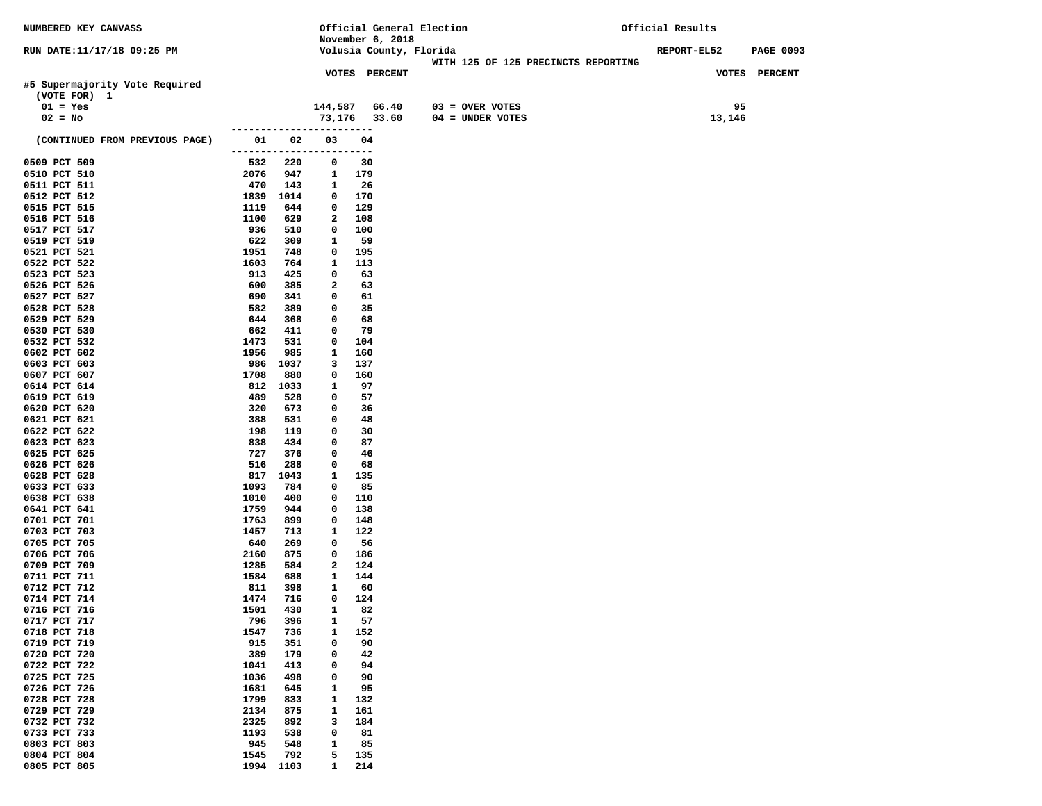| NUMBERED KEY CANVASS                           |              |            |                                |            |                         | Official General Election           | Official Results   |                  |
|------------------------------------------------|--------------|------------|--------------------------------|------------|-------------------------|-------------------------------------|--------------------|------------------|
|                                                |              |            |                                |            | November 6, 2018        |                                     |                    |                  |
| RUN DATE:11/17/18 09:25 PM                     |              |            |                                |            | Volusia County, Florida | WITH 125 OF 125 PRECINCTS REPORTING | <b>REPORT-EL52</b> | <b>PAGE 0093</b> |
|                                                |              |            |                                |            | <b>VOTES PERCENT</b>    |                                     |                    | VOTES PERCENT    |
| #5 Supermajority Vote Required<br>(VOTE FOR) 1 |              |            |                                |            |                         |                                     |                    |                  |
| $01 = Yes$                                     |              |            | 144,587                        |            | 66.40                   | $03 =$ OVER VOTES                   | 95                 |                  |
| $02 = No$                                      |              |            | 73,176 33.60                   |            |                         | 04 = UNDER VOTES                    | 13,146             |                  |
| (CONTINUED FROM PREVIOUS PAGE)                 | 01           | 02         | 03<br>------------------------ | 04         |                         |                                     |                    |                  |
| 0509 PCT 509                                   | 532          | 220        | $\mathbf 0$                    | 30         |                         |                                     |                    |                  |
| 0510 PCT 510                                   | 2076         | 947        | $\mathbf{1}$                   | 179        |                         |                                     |                    |                  |
| 0511 PCT 511                                   | 470          | 143        | 1                              | 26         |                         |                                     |                    |                  |
| 0512 PCT 512                                   | 1839         | 1014       | 0                              | 170        |                         |                                     |                    |                  |
| 0515 PCT 515                                   | 1119         | 644        | $\mathbf 0$                    | 129        |                         |                                     |                    |                  |
| 0516 PCT 516                                   | 1100         | 629        | $\mathbf{2}$<br>0              | 108        |                         |                                     |                    |                  |
| 0517 PCT 517<br>0519 PCT 519                   | 936<br>622   | 510<br>309 | 1                              | 100<br>59  |                         |                                     |                    |                  |
| 0521 PCT 521                                   | 1951         | 748        | 0                              | 195        |                         |                                     |                    |                  |
| 0522 PCT 522                                   | 1603         | 764        | $\mathbf{1}$                   | 113        |                         |                                     |                    |                  |
| 0523 PCT 523                                   | 913          | 425        | 0                              | 63         |                         |                                     |                    |                  |
| 0526 PCT 526                                   | 600          | 385        | 2                              | 63         |                         |                                     |                    |                  |
| 0527 PCT 527                                   | 690          | 341        | $\mathbf 0$                    | 61         |                         |                                     |                    |                  |
| 0528 PCT 528                                   | 582          | 389        | $\mathbf 0$                    | 35         |                         |                                     |                    |                  |
| 0529 PCT 529                                   | 644          | 368        | 0                              | 68         |                         |                                     |                    |                  |
| 0530 PCT 530                                   | 662<br>1473  | 411<br>531 | 0<br>0                         | 79<br>104  |                         |                                     |                    |                  |
| 0532 PCT 532<br>0602 PCT 602                   | 1956         | 985        | 1                              | 160        |                         |                                     |                    |                  |
| 0603 PCT 603                                   | 986          | 1037       | 3                              | 137        |                         |                                     |                    |                  |
| 0607 PCT 607                                   | 1708         | 880        | $\mathbf 0$                    | 160        |                         |                                     |                    |                  |
| 0614 PCT 614                                   | 812          | 1033       | 1                              | 97         |                         |                                     |                    |                  |
| 0619 PCT 619                                   | 489          | 528        | 0                              | 57         |                         |                                     |                    |                  |
| 0620 PCT 620                                   | 320          | 673        | 0                              | 36         |                         |                                     |                    |                  |
| 0621 PCT 621                                   | 388          | 531        | $\mathbf 0$                    | 48         |                         |                                     |                    |                  |
| 0622 PCT 622                                   | 198          | 119        | $\mathbf 0$                    | 30         |                         |                                     |                    |                  |
| 0623 PCT 623<br>0625 PCT 625                   | 838<br>727   | 434<br>376 | $\mathbf 0$<br>0               | 87<br>46   |                         |                                     |                    |                  |
| 0626 PCT 626                                   | 516          | 288        | 0                              | 68         |                         |                                     |                    |                  |
| 0628 PCT 628                                   | 817          | 1043       | 1                              | 135        |                         |                                     |                    |                  |
| 0633 PCT 633                                   | 1093         | 784        | $\mathbf 0$                    | 85         |                         |                                     |                    |                  |
| 0638 PCT 638                                   | 1010         | 400        | $\mathbf 0$                    | 110        |                         |                                     |                    |                  |
| 0641 PCT 641                                   | 1759         | 944        | $\mathbf 0$                    | 138        |                         |                                     |                    |                  |
| 0701 PCT 701                                   | 1763         | 899        | 0                              | 148        |                         |                                     |                    |                  |
| 0703 PCT 703                                   | 1457         | 713        | $\mathbf{1}$                   | 122        |                         |                                     |                    |                  |
| 0705 PCT 705                                   | 640          | 269        | 0                              | 56         |                         |                                     |                    |                  |
| 0706 PCT 706<br>0709 PCT 709                   | 2160<br>1285 | 875<br>584 | $\mathbf 0$<br>$\mathbf{2}$    | 186<br>124 |                         |                                     |                    |                  |
| 0711 PCT 711                                   | 1584         | 688        | 1                              | 144        |                         |                                     |                    |                  |
| 0712 PCT 712                                   | 811          | 398        | 1                              | 60         |                         |                                     |                    |                  |
| 0714 PCT 714                                   | 1474         | 716        | 0                              | 124        |                         |                                     |                    |                  |
| 0716 PCT 716                                   | 1501         | 430        | $\mathbf{1}$                   | 82         |                         |                                     |                    |                  |
| 0717 PCT 717                                   | 796          | 396        | $\mathbf{1}$                   | 57         |                         |                                     |                    |                  |
| 0718 PCT 718                                   | 1547         | 736        | 1                              | 152        |                         |                                     |                    |                  |
| 0719 PCT 719                                   | 915          | 351        | 0                              | 90         |                         |                                     |                    |                  |
| 0720 PCT 720                                   | 389          | 179        | 0                              | 42         |                         |                                     |                    |                  |
| 0722 PCT 722<br>0725 PCT 725                   | 1041<br>1036 | 413<br>498 | 0<br>0                         | 94<br>90   |                         |                                     |                    |                  |
| 0726 PCT 726                                   | 1681         | 645        | 1                              | 95         |                         |                                     |                    |                  |
| 0728 PCT 728                                   | 1799         | 833        | 1                              | 132        |                         |                                     |                    |                  |
| 0729 PCT 729                                   | 2134         | 875        | $\mathbf{1}$                   | 161        |                         |                                     |                    |                  |
| 0732 PCT 732                                   | 2325         | 892        | 3                              | 184        |                         |                                     |                    |                  |
| 0733 PCT 733                                   | 1193         | 538        | 0                              | 81         |                         |                                     |                    |                  |
| 0803 PCT 803                                   | 945          | 548        | 1                              | 85         |                         |                                     |                    |                  |
| 0804 PCT 804                                   | 1545         | 792        | 5                              | 135        |                         |                                     |                    |                  |
| 0805 PCT 805                                   |              | 1994 1103  | $\mathbf{1}$                   | 214        |                         |                                     |                    |                  |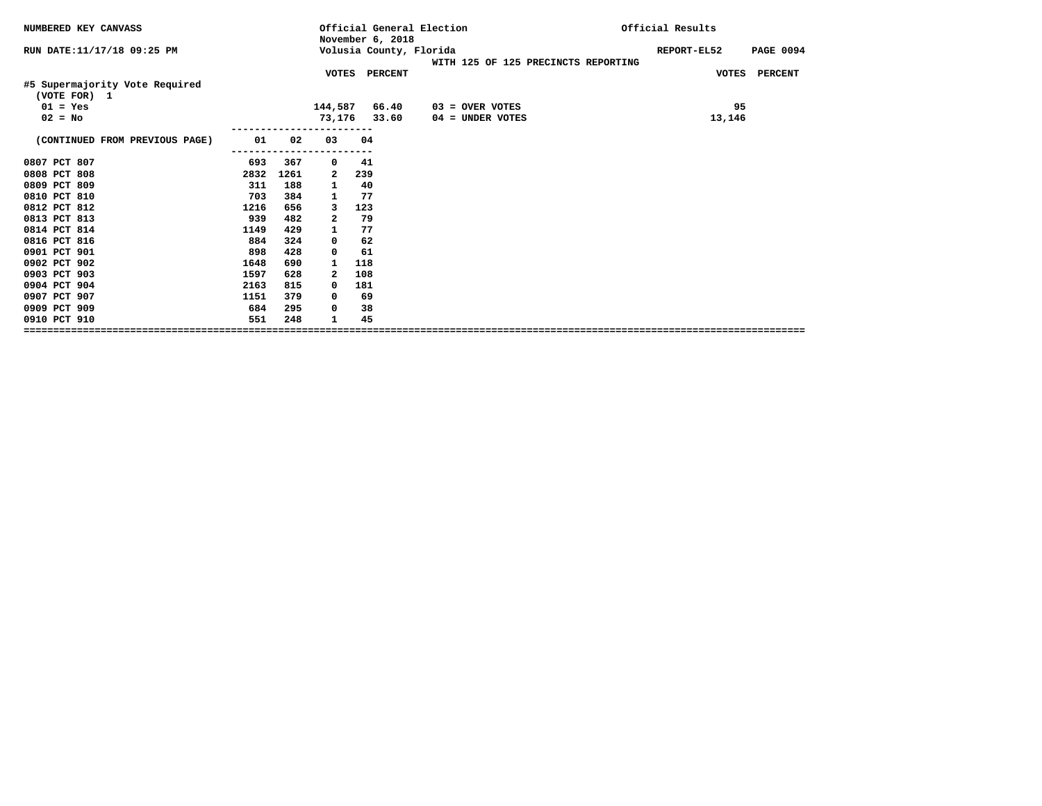| NUMBERED KEY CANVASS                           |      |      |              | November 6, 2018 | Official General Election                                      | Official Results                |
|------------------------------------------------|------|------|--------------|------------------|----------------------------------------------------------------|---------------------------------|
| RUN DATE: 11/17/18 09:25 PM                    |      |      |              |                  | Volusia County, Florida<br>WITH 125 OF 125 PRECINCTS REPORTING | <b>PAGE 0094</b><br>REPORT-EL52 |
|                                                |      |      |              | VOTES PERCENT    |                                                                | VOTES PERCENT                   |
| #5 Supermajority Vote Required<br>(VOTE FOR) 1 |      |      |              |                  |                                                                |                                 |
| $01 = Yes$                                     |      |      | 144,587      | 66.40            | $03 =$ OVER VOTES                                              | 95                              |
| $02 = No$                                      |      |      |              | 73,176 33.60     | 04 = UNDER VOTES                                               | 13,146                          |
| (CONTINUED FROM PREVIOUS PAGE)                 | 01   | 02   | 03           | 04               |                                                                |                                 |
| 0807 PCT 807                                   | 693  | 367  | 0            | 41               |                                                                |                                 |
| 0808 PCT 808                                   | 2832 | 1261 | 2            | 239              |                                                                |                                 |
| 0809 PCT 809                                   | 311  | 188  | $\mathbf{1}$ | 40               |                                                                |                                 |
| 0810 PCT 810                                   | 703  | 384  | 1            | 77               |                                                                |                                 |
| 0812 PCT 812                                   | 1216 | 656  | 3            | 123              |                                                                |                                 |
| 0813 PCT 813                                   | 939  | 482  | 2            | 79               |                                                                |                                 |
| 0814 PCT 814                                   | 1149 | 429  | 1            | 77               |                                                                |                                 |
| 0816 PCT 816                                   | 884  | 324  | 0            | 62               |                                                                |                                 |
| 0901 PCT 901                                   | 898  | 428  | $^{\circ}$   | 61               |                                                                |                                 |
| 0902 PCT 902                                   | 1648 | 690  | 1            | 118              |                                                                |                                 |
| 0903 PCT 903                                   | 1597 | 628  | 2            | 108              |                                                                |                                 |
| 0904 PCT 904                                   | 2163 | 815  | $^{\circ}$   | 181              |                                                                |                                 |
| 0907 PCT 907                                   | 1151 | 379  | 0            | 69               |                                                                |                                 |
| 0909 PCT 909                                   | 684  | 295  | 0            | 38               |                                                                |                                 |
| 0910 PCT 910                                   | 551  | 248  | 1            | 45               |                                                                |                                 |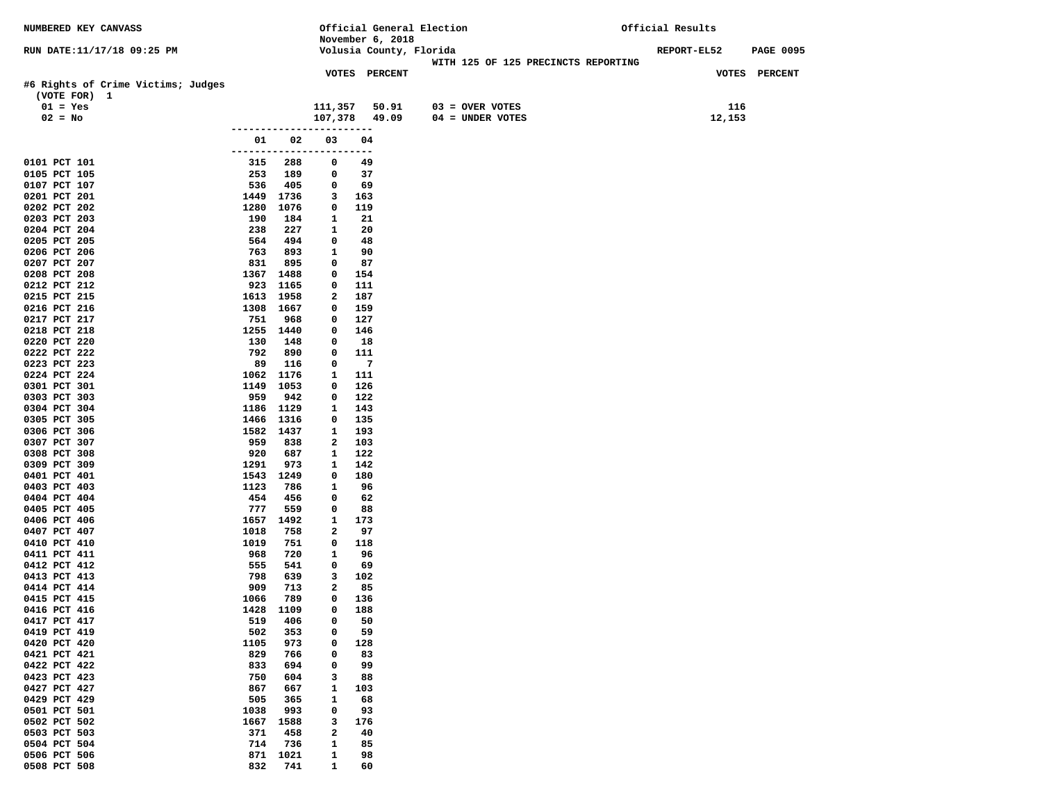| NUMBERED KEY CANVASS                               |                     |             |                              |                |                         | Official General Election           | Official Results |        |                  |
|----------------------------------------------------|---------------------|-------------|------------------------------|----------------|-------------------------|-------------------------------------|------------------|--------|------------------|
|                                                    |                     |             |                              |                | November 6, 2018        |                                     |                  |        |                  |
| RUN DATE:11/17/18 09:25 PM                         |                     |             |                              |                | Volusia County, Florida | WITH 125 OF 125 PRECINCTS REPORTING | REPORT-EL52      |        | <b>PAGE 0095</b> |
|                                                    |                     |             |                              |                | VOTES PERCENT           |                                     |                  |        | VOTES PERCENT    |
| #6 Rights of Crime Victims; Judges<br>(VOTE FOR) 1 |                     |             |                              |                |                         |                                     |                  |        |                  |
| $01 = Yes$                                         |                     |             | 111,357                      |                | 50.91                   | $03 =$ OVER VOTES                   |                  | 116    |                  |
| $02 = No$                                          |                     |             | 107,378                      |                | 49.09                   | $04 = UNDER VOTES$                  |                  | 12,153 |                  |
|                                                    |                     | ----------- |                              |                |                         |                                     |                  |        |                  |
|                                                    | 01                  | 02          | 03                           | 04             |                         |                                     |                  |        |                  |
|                                                    | ------------------- |             |                              | ----           |                         |                                     |                  |        |                  |
| 0101 PCT 101<br>0105 PCT 105                       | 315<br>253          | 288<br>189  | 0<br>0                       | 49<br>37       |                         |                                     |                  |        |                  |
| 0107 PCT 107                                       | 536                 | 405         | 0                            | 69             |                         |                                     |                  |        |                  |
| 0201 PCT 201                                       | 1449                | 1736        | 3                            | 163            |                         |                                     |                  |        |                  |
| 0202 PCT 202                                       | 1280                | 1076        | 0                            | 119            |                         |                                     |                  |        |                  |
| 0203 PCT 203                                       | 190                 | 184         | $\mathbf{1}$                 | 21             |                         |                                     |                  |        |                  |
| 0204 PCT 204                                       | 238                 | 227         | 1                            | 20             |                         |                                     |                  |        |                  |
| 0205 PCT 205                                       | 564                 | 494         | 0                            | 48             |                         |                                     |                  |        |                  |
| 0206 PCT 206<br>0207 PCT 207                       | 763<br>831          | 893<br>895  | $\mathbf{1}$<br>0            | 90<br>87       |                         |                                     |                  |        |                  |
| 0208 PCT 208                                       | 1367                | 1488        | 0                            | 154            |                         |                                     |                  |        |                  |
| 0212 PCT 212                                       | 923                 | 1165        | 0                            | 111            |                         |                                     |                  |        |                  |
| 0215 PCT 215                                       |                     | 1613 1958   | 2                            | 187            |                         |                                     |                  |        |                  |
| 0216 PCT 216                                       |                     | 1308 1667   | 0                            | 159            |                         |                                     |                  |        |                  |
| 0217 PCT 217                                       | 751                 | 968         | 0                            | 127            |                         |                                     |                  |        |                  |
| 0218 PCT 218                                       |                     | 1255 1440   | 0                            | 146            |                         |                                     |                  |        |                  |
| 0220 PCT 220<br>0222 PCT 222                       | 130<br>792          | 148<br>890  | 0<br>0                       | 18<br>111      |                         |                                     |                  |        |                  |
| 0223 PCT 223                                       | 89                  | 116         | 0                            | $\overline{7}$ |                         |                                     |                  |        |                  |
| 0224 PCT 224                                       | 1062                | 1176        | 1                            | 111            |                         |                                     |                  |        |                  |
| 0301 PCT 301                                       | 1149                | 1053        | 0                            | 126            |                         |                                     |                  |        |                  |
| 0303 PCT 303                                       | 959                 | 942         | 0                            | 122            |                         |                                     |                  |        |                  |
| 0304 PCT 304                                       | 1186                | 1129        | 1                            | 143            |                         |                                     |                  |        |                  |
| 0305 PCT 305                                       | 1466                | 1316        | 0                            | 135            |                         |                                     |                  |        |                  |
| 0306 PCT 306                                       |                     | 1582 1437   | 1                            | 193            |                         |                                     |                  |        |                  |
| 0307 PCT 307<br>0308 PCT 308                       | 959<br>920          | 838<br>687  | 2<br>1                       | 103<br>122     |                         |                                     |                  |        |                  |
| 0309 PCT 309                                       | 1291                | 973         | 1                            | 142            |                         |                                     |                  |        |                  |
| 0401 PCT 401                                       |                     | 1543 1249   | 0                            | 180            |                         |                                     |                  |        |                  |
| 0403 PCT 403                                       | 1123                | 786         | $\mathbf{1}$                 | 96             |                         |                                     |                  |        |                  |
| 0404 PCT 404                                       | 454                 | 456         | 0                            | 62             |                         |                                     |                  |        |                  |
| 0405 PCT 405                                       | 777                 | 559         | 0                            | 88             |                         |                                     |                  |        |                  |
| 0406 PCT 406                                       | 1657                | 1492        | $\mathbf{1}$<br>$\mathbf{2}$ | 173            |                         |                                     |                  |        |                  |
| 0407 PCT 407<br>0410 PCT 410                       | 1018<br>1019        | 758<br>751  | 0                            | 97<br>118      |                         |                                     |                  |        |                  |
| 0411 PCT 411                                       | 968                 | 720         | 1                            | 96             |                         |                                     |                  |        |                  |
| 0412 PCT 412                                       | 555                 | 541         | 0                            | 69             |                         |                                     |                  |        |                  |
| 0413 PCT 413                                       | 798                 | 639         | 3                            | 102            |                         |                                     |                  |        |                  |
| 0414 PCT 414                                       | 909                 | 713         | 2                            | 85             |                         |                                     |                  |        |                  |
| 0415 PCT 415                                       | 1066                | 789         | 0                            | 136            |                         |                                     |                  |        |                  |
| 0416 PCT 416                                       | 1428                | 1109        | $\mathbf 0$                  | 188            |                         |                                     |                  |        |                  |
| 0417 PCT 417<br>0419 PCT 419                       | 519<br>502          | 406<br>353  | 0<br>0                       | 50<br>59       |                         |                                     |                  |        |                  |
| 0420 PCT 420                                       | 1105                | 973         | 0                            | 128            |                         |                                     |                  |        |                  |
| 0421 PCT 421                                       | 829                 | 766         | 0                            | 83             |                         |                                     |                  |        |                  |
| 0422 PCT 422                                       | 833                 | 694         | 0                            | 99             |                         |                                     |                  |        |                  |
| 0423 PCT 423                                       | 750                 | 604         | 3                            | 88             |                         |                                     |                  |        |                  |
| 0427 PCT 427                                       | 867                 | 667         | 1                            | 103            |                         |                                     |                  |        |                  |
| 0429 PCT 429                                       | 505                 | 365         | $\mathbf{1}$                 | 68             |                         |                                     |                  |        |                  |
| 0501 PCT 501<br>0502 PCT 502                       | 1038<br>1667        | 993<br>1588 | 0<br>3                       | 93<br>176      |                         |                                     |                  |        |                  |
| 0503 PCT 503                                       | 371                 | 458         | 2                            | 40             |                         |                                     |                  |        |                  |
| 0504 PCT 504                                       | 714                 | 736         | 1                            | 85             |                         |                                     |                  |        |                  |
| 0506 PCT 506                                       | 871                 | 1021        | 1                            | 98             |                         |                                     |                  |        |                  |
| 0508 PCT 508                                       | 832                 | 741         | $\mathbf{1}$                 | 60             |                         |                                     |                  |        |                  |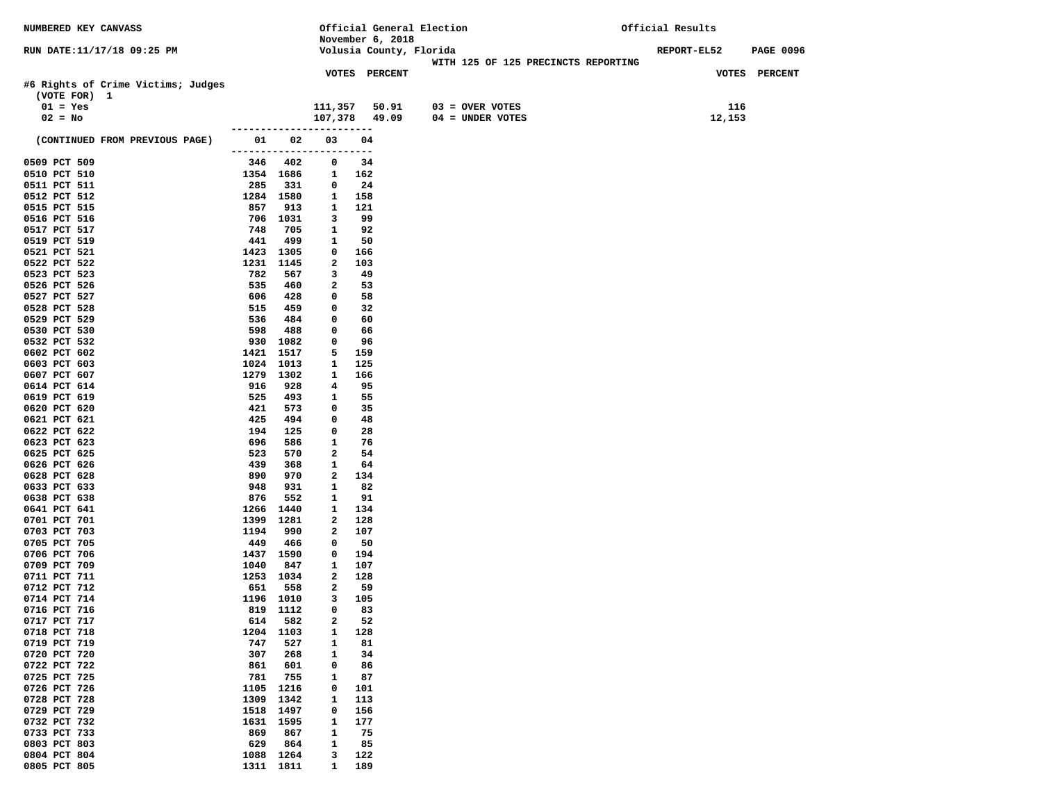| <b>NUMBERED KEY CANVASS</b>                        |                           |                  |                               |              |                         | Official General Election           | Official Results   |                  |
|----------------------------------------------------|---------------------------|------------------|-------------------------------|--------------|-------------------------|-------------------------------------|--------------------|------------------|
|                                                    |                           |                  |                               |              | November 6, 2018        |                                     |                    |                  |
| RUN DATE:11/17/18 09:25 PM                         |                           |                  |                               |              | Volusia County, Florida |                                     | <b>REPORT-EL52</b> | <b>PAGE 0096</b> |
|                                                    |                           |                  |                               |              | VOTES PERCENT           | WITH 125 OF 125 PRECINCTS REPORTING |                    | VOTES PERCENT    |
| #6 Rights of Crime Victims; Judges<br>(VOTE FOR) 1 |                           |                  |                               |              |                         |                                     |                    |                  |
| $01 = Yes$                                         |                           |                  | 111,357                       |              | 50.91                   | $03 = OVER VOTES$                   | 116                |                  |
| $02 = No$                                          |                           |                  | 107,378 49.09                 |              |                         | $04 = UNDER VOTES$                  | 12,153             |                  |
| (CONTINUED FROM PREVIOUS PAGE)                     | ------------------<br>01. | 02               | 03                            | ------<br>04 |                         |                                     |                    |                  |
| 0509 PCT 509                                       | 346                       | 402              | ------------------------<br>0 | 34           |                         |                                     |                    |                  |
| 0510 PCT 510                                       |                           | 1354 1686        | $\mathbf{1}$                  | 162          |                         |                                     |                    |                  |
| 0511 PCT 511                                       | 285                       | 331              | 0                             | 24           |                         |                                     |                    |                  |
| 0512 PCT 512                                       |                           | 1284 1580        | 1                             | 158          |                         |                                     |                    |                  |
| 0515 PCT 515                                       | 857                       | 913              | 1                             | 121          |                         |                                     |                    |                  |
| 0516 PCT 516                                       |                           | 706 1031         | 3                             | 99           |                         |                                     |                    |                  |
| 0517 PCT 517<br>0519 PCT 519                       | 748<br>441                | 705<br>499       | 1<br>1                        | 92<br>50     |                         |                                     |                    |                  |
| 0521 PCT 521                                       |                           | 1423 1305        | 0                             | 166          |                         |                                     |                    |                  |
| 0522 PCT 522                                       | 1231                      | 1145             | 2                             | 103          |                         |                                     |                    |                  |
| 0523 PCT 523                                       | 782                       | 567              | 3                             | 49           |                         |                                     |                    |                  |
| 0526 PCT 526                                       | 535                       | 460              | 2                             | 53           |                         |                                     |                    |                  |
| 0527 PCT 527                                       | 606                       | 428              | $\mathbf 0$                   | 58           |                         |                                     |                    |                  |
| 0528 PCT 528                                       | 515                       | 459              | 0                             | 32           |                         |                                     |                    |                  |
| 0529 PCT 529<br>0530 PCT 530                       | 536                       | 484              | 0                             | 60           |                         |                                     |                    |                  |
| 0532 PCT 532                                       | 598<br>930                | 488<br>1082      | 0<br>0                        | 66<br>96     |                         |                                     |                    |                  |
| 0602 PCT 602                                       |                           | 1421 1517        | 5                             | 159          |                         |                                     |                    |                  |
| 0603 PCT 603                                       |                           | 1024 1013        | 1                             | 125          |                         |                                     |                    |                  |
| 0607 PCT 607                                       |                           | 1279 1302        | 1                             | 166          |                         |                                     |                    |                  |
| 0614 PCT 614                                       | 916                       | 928              | 4                             | 95           |                         |                                     |                    |                  |
| 0619 PCT 619                                       | 525                       | 493              | 1                             | 55           |                         |                                     |                    |                  |
| 0620 PCT 620                                       | 421                       | 573              | 0<br>0                        | 35           |                         |                                     |                    |                  |
| 0621 PCT 621<br>0622 PCT 622                       | 425<br>194                | 494<br>125       | 0                             | 48<br>28     |                         |                                     |                    |                  |
| 0623 PCT 623                                       | 696                       | 586              | 1                             | 76           |                         |                                     |                    |                  |
| 0625 PCT 625                                       | 523                       | 570              | $\mathbf{2}$                  | 54           |                         |                                     |                    |                  |
| 0626 PCT 626                                       | 439                       | 368              | 1                             | 64           |                         |                                     |                    |                  |
| 0628 PCT 628                                       | 890                       | 970              | 2                             | 134          |                         |                                     |                    |                  |
| 0633 PCT 633                                       | 948                       | 931              | 1                             | 82           |                         |                                     |                    |                  |
| 0638 PCT 638                                       | 876                       | 552              | 1                             | 91           |                         |                                     |                    |                  |
| 0641 PCT 641<br>0701 PCT 701                       | 1266<br>1399              | 1440<br>1281     | 1<br>2                        | 134<br>128   |                         |                                     |                    |                  |
| 0703 PCT 703                                       | 1194                      | 990              | 2                             | 107          |                         |                                     |                    |                  |
| 0705 PCT 705                                       | 449                       | 466              | 0                             | 50           |                         |                                     |                    |                  |
| 0706 PCT 706                                       |                           | 1437 1590        | 0                             | 194          |                         |                                     |                    |                  |
| 0709 PCT 709                                       | 1040                      | 847              | $\mathbf{1}$                  | 107          |                         |                                     |                    |                  |
| 0711 PCT 711                                       |                           | 1253 1034        | 2                             | 128          |                         |                                     |                    |                  |
| 0712 PCT 712<br>0714 PCT 714                       | 651                       | 558<br>1196 1010 | 2<br>3                        | 59<br>105    |                         |                                     |                    |                  |
| 0716 PCT 716                                       |                           | 819 1112         | 0                             | 83           |                         |                                     |                    |                  |
| 0717 PCT 717                                       | 614                       | 582              | 2                             | 52           |                         |                                     |                    |                  |
| 0718 PCT 718                                       | 1204                      | 1103             | 1                             | 128          |                         |                                     |                    |                  |
| 0719 PCT 719                                       | 747                       | 527              | $\mathbf{1}$                  | 81           |                         |                                     |                    |                  |
| 0720 PCT 720                                       | 307                       | 268              | 1                             | 34           |                         |                                     |                    |                  |
| 0722 PCT 722                                       | 861                       | 601              | 0                             | 86           |                         |                                     |                    |                  |
| 0725 PCT 725<br>0726 PCT 726                       | 781                       | 755<br>1216      | 1<br>0                        | 87           |                         |                                     |                    |                  |
| 0728 PCT 728                                       | 1105<br>1309              | 1342             | $\mathbf{1}$                  | 101<br>113   |                         |                                     |                    |                  |
| 0729 PCT 729                                       | 1518                      | 1497             | 0                             | 156          |                         |                                     |                    |                  |
| 0732 PCT 732                                       | 1631                      | 1595             | 1                             | 177          |                         |                                     |                    |                  |
| 0733 PCT 733                                       | 869                       | 867              | 1                             | 75           |                         |                                     |                    |                  |
| 0803 PCT 803                                       | 629                       | 864              | 1                             | 85           |                         |                                     |                    |                  |
| 0804 PCT 804                                       | 1088                      | 1264             | з                             | 122          |                         |                                     |                    |                  |
| 0805 PCT 805                                       |                           | 1311 1811        | 1                             | 189          |                         |                                     |                    |                  |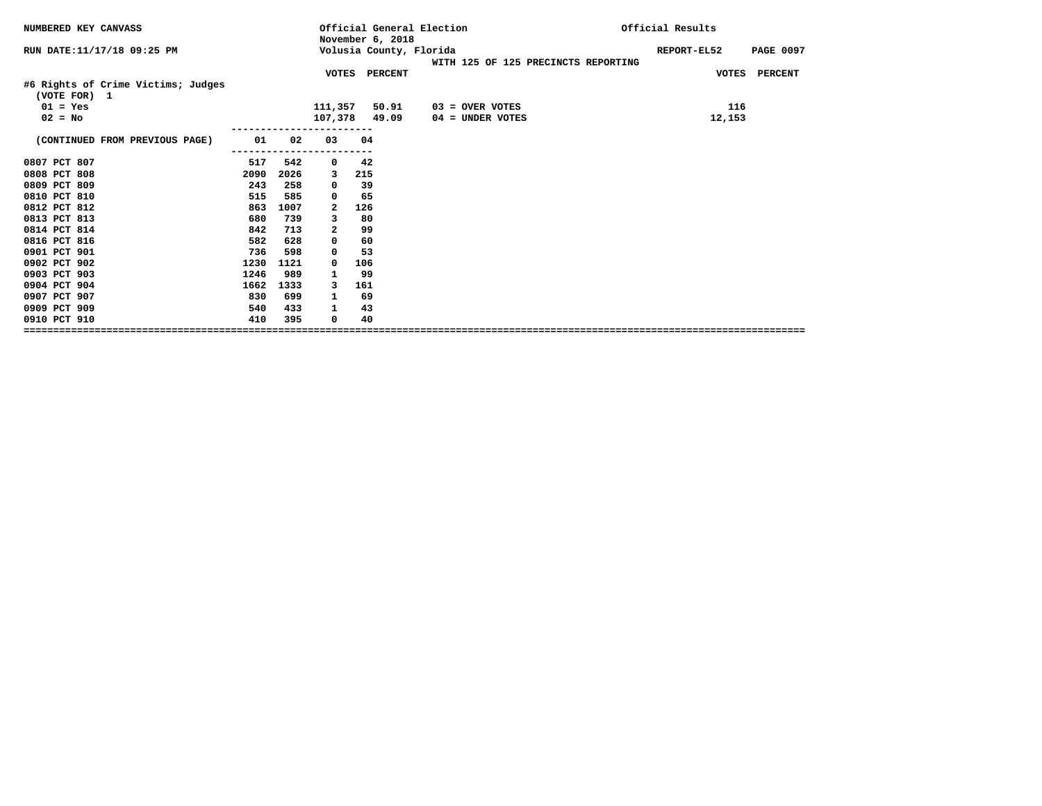| NUMBERED KEY CANVASS                               |      |      |              | Official General Election<br>November 6, 2018 |                                     | Official Results                |
|----------------------------------------------------|------|------|--------------|-----------------------------------------------|-------------------------------------|---------------------------------|
| RUN DATE:11/17/18 09:25 PM                         |      |      |              | Volusia County, Florida                       | WITH 125 OF 125 PRECINCTS REPORTING | REPORT-EL52<br><b>PAGE 0097</b> |
|                                                    |      |      |              | VOTES PERCENT                                 |                                     | VOTES PERCENT                   |
| #6 Rights of Crime Victims; Judges<br>(VOTE FOR) 1 |      |      |              |                                               |                                     |                                 |
| $01 = Yes$                                         |      |      | 111,357      | 50.91                                         | $03 =$ OVER VOTES                   | 116                             |
| $02 = No$                                          |      |      | 107,378      | 49.09                                         | $04 =$ UNDER VOTES                  | 12,153                          |
|                                                    |      |      |              |                                               |                                     |                                 |
| (CONTINUED FROM PREVIOUS PAGE)                     | 01   | 02   | 03           | 04                                            |                                     |                                 |
| 0807 PCT 807                                       | 517  | 542  | 0            | 42                                            |                                     |                                 |
| 0808 PCT 808                                       | 2090 | 2026 | 3            | 215                                           |                                     |                                 |
| 0809 PCT 809                                       | 243  | 258  | 0            | 39                                            |                                     |                                 |
| 0810 PCT 810                                       | 515  | 585  | 0            | 65                                            |                                     |                                 |
| 0812 PCT 812                                       | 863  | 1007 | 2            | 126                                           |                                     |                                 |
| 0813 PCT 813                                       | 680  | 739  | 3            | 80                                            |                                     |                                 |
| 0814 PCT 814                                       | 842  | 713  | $\mathbf{2}$ | 99                                            |                                     |                                 |
| 0816 PCT 816                                       | 582  | 628  | 0            | 60                                            |                                     |                                 |
| 0901 PCT 901                                       | 736  | 598  | 0            | 53                                            |                                     |                                 |
| 0902 PCT 902                                       | 1230 | 1121 | 0            | 106                                           |                                     |                                 |
| 0903 PCT 903                                       | 1246 | 989  | 1            | 99                                            |                                     |                                 |
| 0904 PCT 904                                       | 1662 | 1333 | 3            | 161                                           |                                     |                                 |
| 0907 PCT 907                                       | 830  | 699  | 1            | 69                                            |                                     |                                 |
| 0909 PCT 909                                       | 540  | 433  | 1            | 43                                            |                                     |                                 |
| 0910 PCT 910                                       | 410  | 395  | 0            | 40                                            |                                     |                                 |
|                                                    |      |      |              |                                               |                                     |                                 |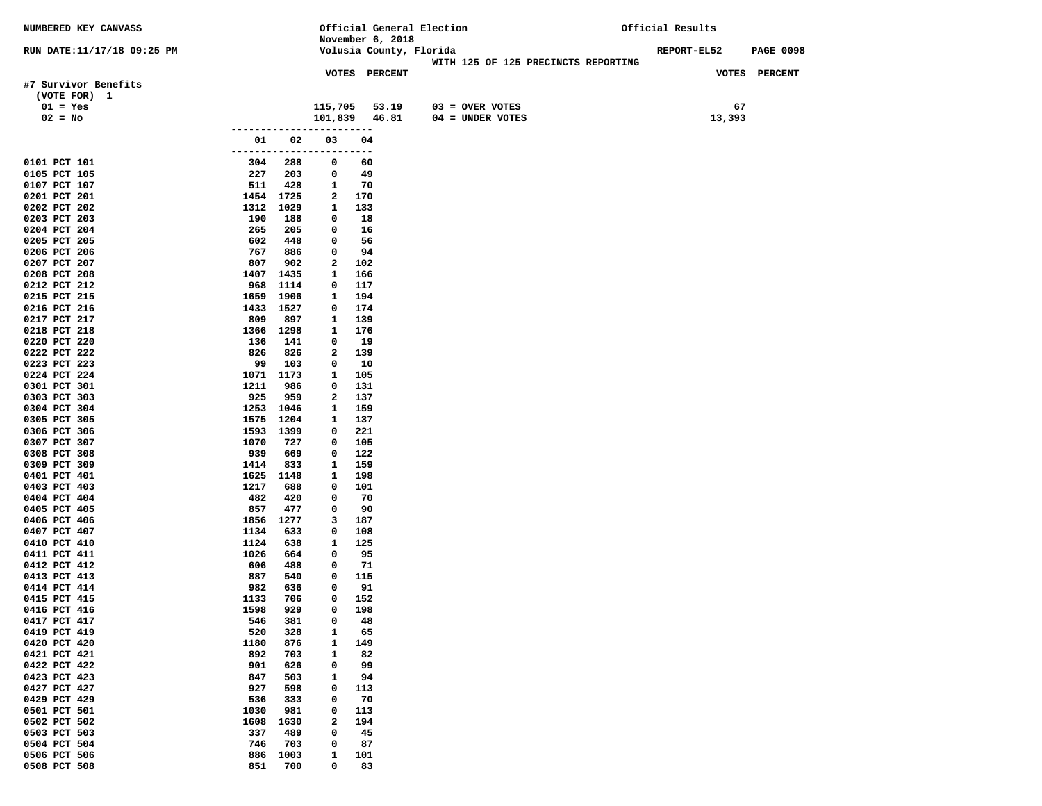| <b>NUMBERED KEY CANVASS</b>  |                             |                   | Official General Election |                                     | Official Results                       |
|------------------------------|-----------------------------|-------------------|---------------------------|-------------------------------------|----------------------------------------|
|                              |                             |                   | November 6, 2018          |                                     |                                        |
| RUN DATE:11/17/18 09:25 PM   |                             |                   | Volusia County, Florida   | WITH 125 OF 125 PRECINCTS REPORTING | <b>REPORT-EL52</b><br><b>PAGE 0098</b> |
|                              |                             |                   | VOTES PERCENT             |                                     | VOTES PERCENT                          |
| #7 Survivor Benefits         |                             |                   |                           |                                     |                                        |
| (VOTE FOR) 1                 |                             |                   |                           |                                     |                                        |
| $01 = Yes$                   |                             | 115,705           | 53.19                     | $03 =$ OVER VOTES                   | 67                                     |
| $02 = No$                    |                             |                   | 101,839 46.81             | $04 =$ UNDER VOTES                  | 13,393                                 |
|                              | 01 -                        | 02<br>03          | 04                        |                                     |                                        |
|                              | ------------------------    |                   |                           |                                     |                                        |
| 0101 PCT 101                 | 304<br>288                  | 0                 | 60                        |                                     |                                        |
| 0105 PCT 105                 | 227<br>203                  | 0                 | 49                        |                                     |                                        |
| 0107 PCT 107                 | 511<br>428                  | 1                 | 70                        |                                     |                                        |
| 0201 PCT 201<br>0202 PCT 202 | 1454 1725<br>1312<br>1029   | 2<br>$\mathbf{1}$ | 170<br>133                |                                     |                                        |
| 0203 PCT 203                 | 190<br>188                  | 0                 | 18                        |                                     |                                        |
| 0204 PCT 204                 | 265<br>205                  | 0                 | 16                        |                                     |                                        |
| 0205 PCT 205                 | 602<br>448                  | 0                 | 56                        |                                     |                                        |
| 0206 PCT 206                 | 767<br>886                  | 0                 | 94                        |                                     |                                        |
| 0207 PCT 207                 | 807<br>902                  | $\mathbf{2}$      | 102                       |                                     |                                        |
| 0208 PCT 208<br>0212 PCT 212 | 1407<br>1435<br>968<br>1114 | 1<br>0            | 166<br>117                |                                     |                                        |
| 0215 PCT 215                 | 1659<br>1906                | 1                 | 194                       |                                     |                                        |
| 0216 PCT 216                 | 1433 1527                   | 0                 | 174                       |                                     |                                        |
| 0217 PCT 217                 | 809<br>897                  | 1                 | 139                       |                                     |                                        |
| 0218 PCT 218                 | 1366 1298                   | 1                 | 176                       |                                     |                                        |
| 0220 PCT 220                 | 136<br>141                  | 0                 | 19                        |                                     |                                        |
| 0222 PCT 222                 | 826<br>826                  | 2                 | 139                       |                                     |                                        |
| 0223 PCT 223<br>0224 PCT 224 | 99<br>103<br>1173<br>1071   | 0<br>1            | 10<br>105                 |                                     |                                        |
| 0301 PCT 301                 | 1211<br>986                 | 0                 | 131                       |                                     |                                        |
| 0303 PCT 303                 | 925<br>959                  | 2                 | 137                       |                                     |                                        |
| 0304 PCT 304                 | 1253 1046                   | 1                 | 159                       |                                     |                                        |
| 0305 PCT 305                 | 1575 1204                   | 1                 | 137                       |                                     |                                        |
| 0306 PCT 306                 | 1593 1399                   | 0                 | 221                       |                                     |                                        |
| 0307 PCT 307<br>0308 PCT 308 | 1070<br>727<br>939<br>669   | 0<br>0            | 105<br>122                |                                     |                                        |
| 0309 PCT 309                 | 1414<br>833                 | 1                 | 159                       |                                     |                                        |
| 0401 PCT 401                 | 1625<br>1148                | 1                 | 198                       |                                     |                                        |
| 0403 PCT 403                 | 1217<br>688                 | 0                 | 101                       |                                     |                                        |
| 0404 PCT 404                 | 482<br>420                  | 0                 | 70                        |                                     |                                        |
| 0405 PCT 405                 | 857<br>477                  | 0                 | 90                        |                                     |                                        |
| 0406 PCT 406<br>0407 PCT 407 | 1856<br>1277<br>1134<br>633 | 3<br>0            | 187<br>108                |                                     |                                        |
| 0410 PCT 410                 | 1124<br>638                 | $\mathbf{1}$      | 125                       |                                     |                                        |
| 0411 PCT 411                 | 1026<br>664                 | 0                 | 95                        |                                     |                                        |
| 0412 PCT 412                 | 606<br>488                  | 0                 | 71                        |                                     |                                        |
| 0413 PCT 413                 | 887<br>540                  | 0                 | 115                       |                                     |                                        |
| 0414 PCT 414                 | 982<br>636                  | 0                 | 91                        |                                     |                                        |
| 0415 PCT 415                 | 1133<br>706                 | 0<br>$\mathbf 0$  | 152                       |                                     |                                        |
| 0416 PCT 416<br>0417 PCT 417 | 1598<br>929<br>381<br>546   | 0                 | 198<br>48                 |                                     |                                        |
| 0419 PCT 419                 | 520<br>328                  | 1                 | 65                        |                                     |                                        |
| 0420 PCT 420                 | 876<br>1180                 | 1                 | 149                       |                                     |                                        |
| 0421 PCT 421                 | 892<br>703                  | 1                 | 82                        |                                     |                                        |
| 0422 PCT 422                 | 901<br>626                  | 0                 | 99                        |                                     |                                        |
| 0423 PCT 423                 | 847<br>503                  | 1                 | 94                        |                                     |                                        |
| 0427 PCT 427<br>0429 PCT 429 | 927<br>598<br>536<br>333    | 0<br>0            | 113<br>70                 |                                     |                                        |
| 0501 PCT 501                 | 981<br>1030                 | 0                 | 113                       |                                     |                                        |
| 0502 PCT 502                 | 1608<br>1630                | 2                 | 194                       |                                     |                                        |
| 0503 PCT 503                 | 337<br>489                  | 0                 | 45                        |                                     |                                        |
| 0504 PCT 504                 | 746<br>703                  | 0                 | 87                        |                                     |                                        |
| 0506 PCT 506                 | 1003<br>886                 | 1                 | 101                       |                                     |                                        |
| 0508 PCT 508                 | 700<br>851                  | 0                 | 83                        |                                     |                                        |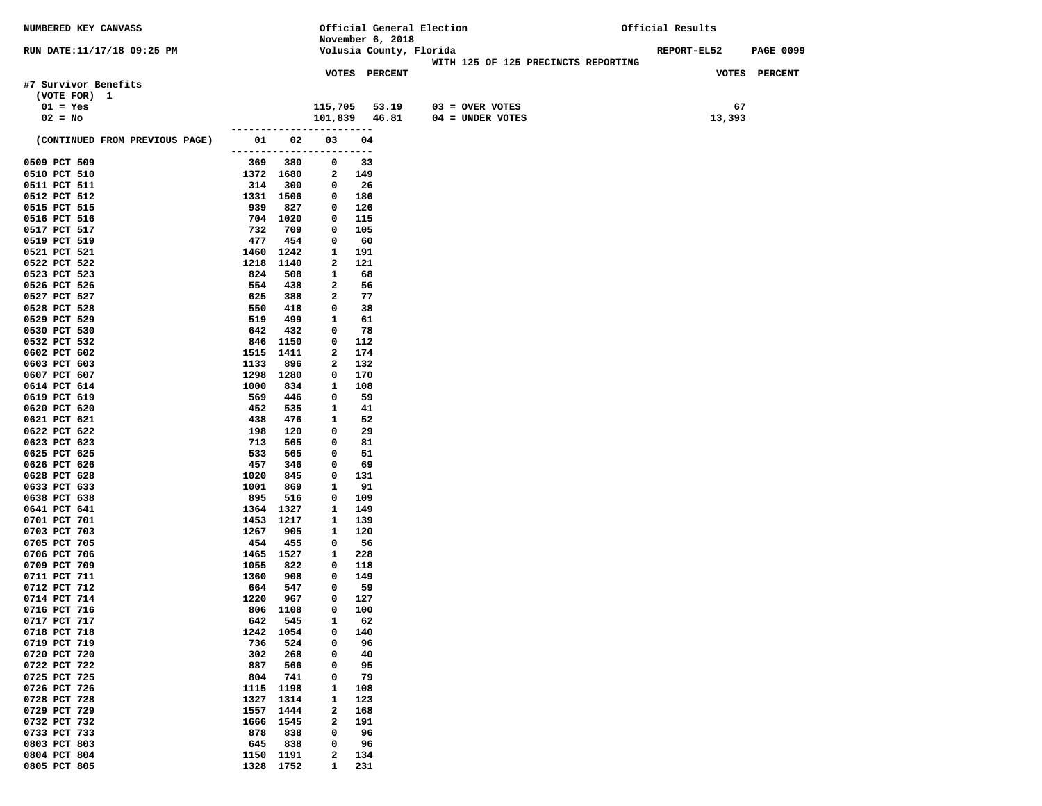| NUMBERED KEY CANVASS           |                           |                   | Official General Election |                                     | Official Results                       |
|--------------------------------|---------------------------|-------------------|---------------------------|-------------------------------------|----------------------------------------|
|                                |                           |                   | November 6, 2018          |                                     |                                        |
| RUN DATE:11/17/18 09:25 PM     |                           |                   | Volusia County, Florida   | WITH 125 OF 125 PRECINCTS REPORTING | <b>REPORT-EL52</b><br><b>PAGE 0099</b> |
|                                |                           |                   | <b>VOTES PERCENT</b>      |                                     | VOTES PERCENT                          |
| #7 Survivor Benefits           |                           |                   |                           |                                     |                                        |
| (VOTE FOR) 1                   |                           |                   |                           |                                     |                                        |
| $01 = Yes$                     |                           | 115,705           |                           | $53.19$ 03 = OVER VOTES             | 67                                     |
| $02 = No$                      |                           |                   | 101,839 46.81             | $04 =$ UNDER VOTES                  | 13,393                                 |
|                                | -------------------       |                   | $- - - - - -$             |                                     |                                        |
| (CONTINUED FROM PREVIOUS PAGE) | 01 02                     | 03                | 04                        |                                     |                                        |
|                                | ------------------------  |                   |                           |                                     |                                        |
| 0509 PCT 509                   | 369 380                   | 0                 | 33                        |                                     |                                        |
| 0510 PCT 510<br>0511 PCT 511   | 1372 1680<br>314<br>300   | $\mathbf{2}$<br>0 | 149<br>- 26               |                                     |                                        |
| 0512 PCT 512                   | 1331 1506                 | 0                 | 186                       |                                     |                                        |
| 0515 PCT 515                   | 939<br>827                | 0                 | 126                       |                                     |                                        |
| 0516 PCT 516                   | 704 1020                  | 0                 | 115                       |                                     |                                        |
| 0517 PCT 517                   | 732<br>709                | 0                 | 105                       |                                     |                                        |
| 0519 PCT 519                   | 477<br>454                | 0                 | - 60                      |                                     |                                        |
| 0521 PCT 521                   | 1460<br>1242              | 1                 | 191                       |                                     |                                        |
| 0522 PCT 522                   | 1218<br>1140              | 2                 | 121                       |                                     |                                        |
| 0523 PCT 523                   | 824<br>508                | $\mathbf{1}$      | 68                        |                                     |                                        |
| 0526 PCT 526<br>0527 PCT 527   | 554<br>438<br>625<br>388  | 2<br>2            | 56<br>77                  |                                     |                                        |
| 0528 PCT 528                   | 550<br>418                | 0                 | 38                        |                                     |                                        |
| 0529 PCT 529                   | 519<br>499                | 1                 | 61                        |                                     |                                        |
| 0530 PCT 530                   | 642<br>432                | 0                 | 78                        |                                     |                                        |
| 0532 PCT 532                   | 846 1150                  | 0                 | 112                       |                                     |                                        |
| 0602 PCT 602                   | 1515 1411                 | 2                 | 174                       |                                     |                                        |
| 0603 PCT 603                   | 1133<br>896               | 2                 | 132                       |                                     |                                        |
| 0607 PCT 607                   | 1298 1280                 | 0                 | 170                       |                                     |                                        |
| 0614 PCT 614                   | 1000<br>834               | 1                 | 108                       |                                     |                                        |
| 0619 PCT 619<br>0620 PCT 620   | 569<br>446<br>452<br>535  | 0<br>1            | 59                        |                                     |                                        |
| 0621 PCT 621                   | 438<br>476                | 1                 | 41<br>52                  |                                     |                                        |
| 0622 PCT 622                   | 198<br>120                | 0                 | 29                        |                                     |                                        |
| 0623 PCT 623                   | 713<br>565                | 0                 | 81                        |                                     |                                        |
| 0625 PCT 625                   | 533<br>565                | 0                 | 51                        |                                     |                                        |
| 0626 PCT 626                   | 457<br>346                | 0                 | 69                        |                                     |                                        |
| 0628 PCT 628                   | 1020<br>845               | 0                 | 131                       |                                     |                                        |
| 0633 PCT 633                   | 1001<br>869               | 1                 | 91                        |                                     |                                        |
| 0638 PCT 638<br>0641 PCT 641   | 895<br>516<br>1364 1327   | 0<br>1            | 109<br>149                |                                     |                                        |
| 0701 PCT 701                   | 1453<br>1217              | 1                 | 139                       |                                     |                                        |
| 0703 PCT 703                   | 1267<br>905               | 1                 | 120                       |                                     |                                        |
| 0705 PCT 705                   | 454<br>455                | 0                 | 56                        |                                     |                                        |
| 0706 PCT 706                   | 1465 1527                 | 1                 | 228                       |                                     |                                        |
| 0709 PCT 709                   | 1055<br>822               | $\mathbf 0$       | 118                       |                                     |                                        |
| 0711 PCT 711                   | 1360<br>908               | $\mathbf 0$       | 149                       |                                     |                                        |
| 0712 PCT 712<br>0714 PCT 714   | 664<br>547<br>1220<br>967 | 0<br>0            | - 59<br>127               |                                     |                                        |
| 0716 PCT 716                   | 806 1108                  | $\mathbf 0$       | 100                       |                                     |                                        |
| 0717 PCT 717                   | 545<br>642                | 1                 | 62                        |                                     |                                        |
| 0718 PCT 718                   | 1242<br>1054              | 0                 | 140                       |                                     |                                        |
| 0719 PCT 719                   | 736<br>524                | 0                 | 96                        |                                     |                                        |
| 0720 PCT 720                   | 302<br>268                | 0                 | 40                        |                                     |                                        |
| 0722 PCT 722                   | 887<br>566                | 0                 | 95                        |                                     |                                        |
| 0725 PCT 725<br>0726 PCT 726   | 741<br>804<br>1198        | 0<br>1            | 79                        |                                     |                                        |
| 0728 PCT 728                   | 1115<br>1314<br>1327      | 1                 | 108<br>123                |                                     |                                        |
| 0729 PCT 729                   | 1557<br>1444              | $\mathbf{2}$      | 168                       |                                     |                                        |
| 0732 PCT 732                   | 1666<br>1545              | 2                 | 191                       |                                     |                                        |
| 0733 PCT 733                   | 878<br>838                | 0                 | 96                        |                                     |                                        |
| 0803 PCT 803                   | 645<br>838                | 0                 | 96                        |                                     |                                        |
| 0804 PCT 804                   | 1191<br>1150              | 2                 | 134                       |                                     |                                        |
| 0805 PCT 805                   | 1328<br>1752              | 1                 | 231                       |                                     |                                        |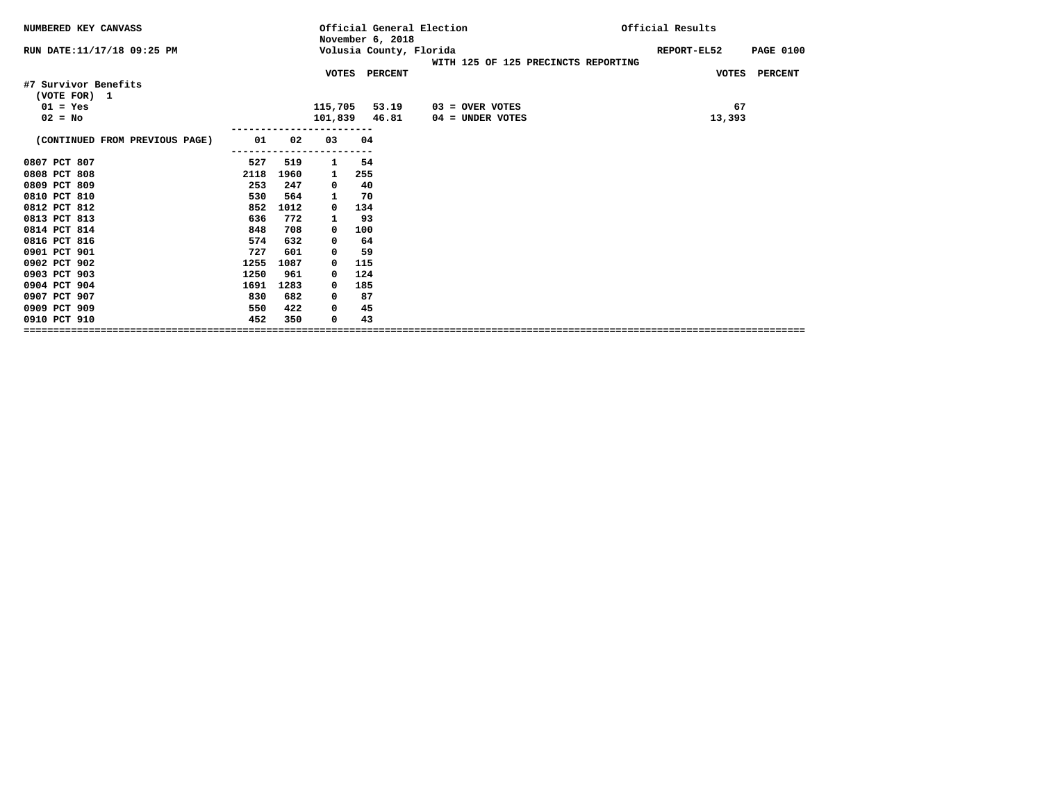| NUMBERED KEY CANVASS           |      |      |         | November 6, 2018        | Official General Election           | Official Results |                  |
|--------------------------------|------|------|---------|-------------------------|-------------------------------------|------------------|------------------|
| RUN DATE: 11/17/18 09:25 PM    |      |      |         | Volusia County, Florida |                                     | REPORT-EL52      | <b>PAGE 0100</b> |
|                                |      |      |         |                         | WITH 125 OF 125 PRECINCTS REPORTING |                  |                  |
|                                |      |      |         | VOTES PERCENT           |                                     | VOTES PERCENT    |                  |
| #7 Survivor Benefits           |      |      |         |                         |                                     |                  |                  |
| (VOTE FOR) 1                   |      |      |         |                         |                                     |                  |                  |
| $01 = Yes$                     |      |      | 115,705 | 53.19                   | $03 =$ OVER VOTES                   | 67               |                  |
| $02 = No$                      |      |      | 101,839 | 46.81                   | 04 = UNDER VOTES                    | 13,393           |                  |
|                                |      |      |         |                         |                                     |                  |                  |
| (CONTINUED FROM PREVIOUS PAGE) | 01   | 02   | 03      | 04                      |                                     |                  |                  |
|                                |      |      |         |                         |                                     |                  |                  |
| 0807 PCT 807                   | 527  | 519  | 1       | 54                      |                                     |                  |                  |
| 0808 PCT 808                   | 2118 | 1960 | 1       | 255                     |                                     |                  |                  |
| 0809 PCT 809                   | 253  | 247  | 0       | 40                      |                                     |                  |                  |
| 0810 PCT 810                   | 530  | 564  | 1       | 70                      |                                     |                  |                  |
| 0812 PCT 812                   | 852  | 1012 | 0       | 134                     |                                     |                  |                  |
| 0813 PCT 813                   | 636  | 772  | 1       | 93                      |                                     |                  |                  |
| 0814 PCT 814                   | 848  | 708  | 0       | 100                     |                                     |                  |                  |
| 0816 PCT 816                   | 574  | 632  | 0       | 64                      |                                     |                  |                  |
| 0901 PCT 901                   | 727  | 601  | 0       | 59                      |                                     |                  |                  |
| 0902 PCT 902                   | 1255 | 1087 | 0       | 115                     |                                     |                  |                  |
| 0903 PCT 903                   | 1250 | 961  | 0       | 124                     |                                     |                  |                  |
| 0904 PCT 904                   | 1691 | 1283 | 0       | 185                     |                                     |                  |                  |
| 0907 PCT 907                   | 830  | 682  | 0       | 87                      |                                     |                  |                  |
| 0909 PCT 909                   | 550  | 422  | 0       | 45                      |                                     |                  |                  |
| 0910 PCT 910                   | 452  | 350  | 0       | 43                      |                                     |                  |                  |
| =============================  |      |      |         |                         |                                     |                  |                  |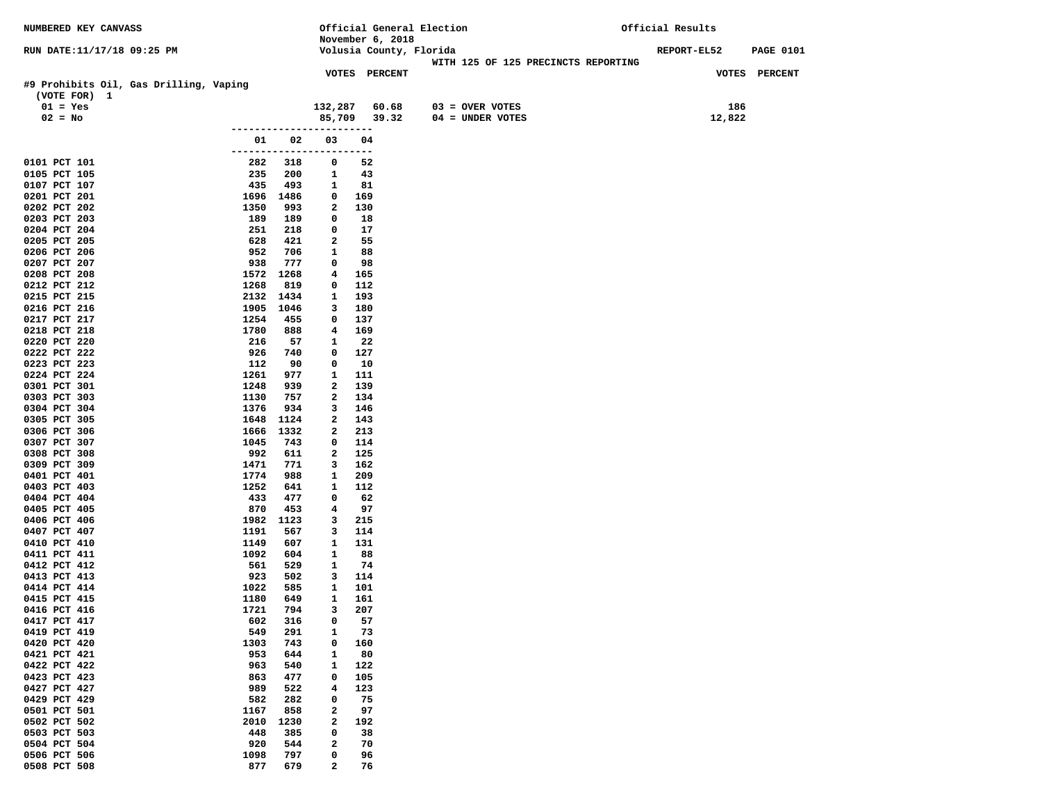| NUMBERED KEY CANVASS                   |                          |             |                   | Official General Election |                                     | Official Results |             |                  |  |
|----------------------------------------|--------------------------|-------------|-------------------|---------------------------|-------------------------------------|------------------|-------------|------------------|--|
|                                        |                          |             |                   | November 6, 2018          |                                     |                  |             |                  |  |
| RUN DATE:11/17/18 09:25 PM             |                          |             |                   | Volusia County, Florida   |                                     |                  | REPORT-EL52 | <b>PAGE 0101</b> |  |
|                                        |                          |             |                   |                           | WITH 125 OF 125 PRECINCTS REPORTING |                  |             |                  |  |
| #9 Prohibits Oil, Gas Drilling, Vaping |                          |             |                   | <b>VOTES PERCENT</b>      |                                     |                  |             | VOTES PERCENT    |  |
| (VOTE FOR) 1                           |                          |             |                   |                           |                                     |                  |             |                  |  |
| $01 = Yes$                             |                          |             | 132,287           | 60.68                     | $03 =$ OVER VOTES                   |                  | 186         |                  |  |
| $02 = No$                              |                          |             |                   | 85,709 39.32              | 04 = UNDER VOTES                    |                  | 12,822      |                  |  |
|                                        |                          |             |                   |                           |                                     |                  |             |                  |  |
|                                        | 01                       | 02          | 03                | 04                        |                                     |                  |             |                  |  |
|                                        | ------------------------ |             |                   |                           |                                     |                  |             |                  |  |
| 0101 PCT 101                           | 282                      | 318         | 0                 | 52                        |                                     |                  |             |                  |  |
| 0105 PCT 105                           | 235                      | 200         | 1                 | 43                        |                                     |                  |             |                  |  |
| 0107 PCT 107                           | 435                      | 493         | 1                 | 81                        |                                     |                  |             |                  |  |
| 0201 PCT 201                           | 1696                     | 1486        | 0                 | 169                       |                                     |                  |             |                  |  |
| 0202 PCT 202<br>0203 PCT 203           | 1350<br>189              | 993<br>189  | 2<br>0            | 130<br>18                 |                                     |                  |             |                  |  |
| 0204 PCT 204                           | 251                      | 218         | 0                 | 17                        |                                     |                  |             |                  |  |
| 0205 PCT 205                           | 628                      | 421         | 2                 | 55                        |                                     |                  |             |                  |  |
| 0206 PCT 206                           | 952                      | 706         | $\mathbf{1}$      | 88                        |                                     |                  |             |                  |  |
| 0207 PCT 207                           | 938                      | 777         | 0                 | 98                        |                                     |                  |             |                  |  |
| 0208 PCT 208                           | 1572                     | 1268        | 4                 | 165                       |                                     |                  |             |                  |  |
| 0212 PCT 212                           | 1268                     | 819         | 0                 | 112                       |                                     |                  |             |                  |  |
| 0215 PCT 215                           | 2132                     | 1434        | 1                 | 193                       |                                     |                  |             |                  |  |
| 0216 PCT 216                           | 1905                     | 1046        | 3                 | 180                       |                                     |                  |             |                  |  |
| 0217 PCT 217                           | 1254                     | 455         | 0                 | 137                       |                                     |                  |             |                  |  |
| 0218 PCT 218<br>0220 PCT 220           | 1780<br>216              | 888<br>57   | 4<br>1            | 169<br>22                 |                                     |                  |             |                  |  |
| 0222 PCT 222                           | 926                      | 740         | 0                 | 127                       |                                     |                  |             |                  |  |
| 0223 PCT 223                           | 112                      | 90          | 0                 | 10                        |                                     |                  |             |                  |  |
| 0224 PCT 224                           | 1261                     | 977         | $\mathbf{1}$      | 111                       |                                     |                  |             |                  |  |
| 0301 PCT 301                           | 1248                     | 939         | 2                 | 139                       |                                     |                  |             |                  |  |
| 0303 PCT 303                           | 1130                     | 757         | 2                 | 134                       |                                     |                  |             |                  |  |
| 0304 PCT 304                           | 1376                     | 934         | 3                 | 146                       |                                     |                  |             |                  |  |
| 0305 PCT 305                           | 1648                     | 1124        | 2                 | 143                       |                                     |                  |             |                  |  |
| 0306 PCT 306<br>0307 PCT 307           | 1666<br>1045             | 1332<br>743 | 2<br>0            | 213<br>114                |                                     |                  |             |                  |  |
| 0308 PCT 308                           | 992                      | 611         | 2                 | 125                       |                                     |                  |             |                  |  |
| 0309 PCT 309                           | 1471                     | 771         | 3                 | 162                       |                                     |                  |             |                  |  |
| 0401 PCT 401                           | 1774                     | 988         | 1                 | 209                       |                                     |                  |             |                  |  |
| 0403 PCT 403                           | 1252                     | 641         | 1                 | 112                       |                                     |                  |             |                  |  |
| 0404 PCT 404                           | 433                      | 477         | 0                 | 62                        |                                     |                  |             |                  |  |
| 0405 PCT 405                           | 870                      | 453         | 4                 | 97                        |                                     |                  |             |                  |  |
| 0406 PCT 406                           | 1982                     | 1123        | 3<br>3            | 215                       |                                     |                  |             |                  |  |
| 0407 PCT 407<br>0410 PCT 410           | 1191<br>1149             | 567<br>607  | $\mathbf{1}$      | 114<br>131                |                                     |                  |             |                  |  |
| 0411 PCT 411                           | 1092                     | 604         | $\mathbf{1}$      | 88                        |                                     |                  |             |                  |  |
| 0412 PCT 412                           | 561                      | 529         | 1                 | 74                        |                                     |                  |             |                  |  |
| 0413 PCT 413                           | 923                      | 502         | 3                 | 114                       |                                     |                  |             |                  |  |
| 0414 PCT 414                           | 1022                     | 585         | $\mathbf{1}$      | 101                       |                                     |                  |             |                  |  |
| 0415 PCT 415                           | 1180                     | 649         | 1                 | 161                       |                                     |                  |             |                  |  |
| 0416 PCT 416                           | 1721                     | 794         | 3                 | 207                       |                                     |                  |             |                  |  |
| 0417 PCT 417<br>0419 PCT 419           | 602                      | 316         | 0                 | 57                        |                                     |                  |             |                  |  |
| 0420 PCT 420                           | 549<br>1303              | 291<br>743  | 1<br>$\mathbf 0$  | 73<br>160                 |                                     |                  |             |                  |  |
| 0421 PCT 421                           | 953                      | 644         | 1                 | 80                        |                                     |                  |             |                  |  |
| 0422 PCT 422                           | 963                      | 540         | $\mathbf{1}$      | 122                       |                                     |                  |             |                  |  |
| 0423 PCT 423                           | 863                      | 477         | $\mathbf 0$       | 105                       |                                     |                  |             |                  |  |
| 0427 PCT 427                           | 989                      | 522         | 4                 | 123                       |                                     |                  |             |                  |  |
| 0429 PCT 429                           | 582                      | 282         | $\mathbf 0$       | 75                        |                                     |                  |             |                  |  |
| 0501 PCT 501                           | 1167                     | 858         | $\mathbf{2}$      | 97                        |                                     |                  |             |                  |  |
| 0502 PCT 502                           | 2010                     | 1230        | $\mathbf{2}$      | 192                       |                                     |                  |             |                  |  |
| 0503 PCT 503                           | 448                      | 385         | $\mathbf 0$       | 38                        |                                     |                  |             |                  |  |
| 0504 PCT 504<br>0506 PCT 506           | 920<br>1098              | 544<br>797  | $\mathbf{2}$<br>0 | 70<br>96                  |                                     |                  |             |                  |  |
| 0508 PCT 508                           | 877                      | 679         | $\overline{a}$    | 76                        |                                     |                  |             |                  |  |
|                                        |                          |             |                   |                           |                                     |                  |             |                  |  |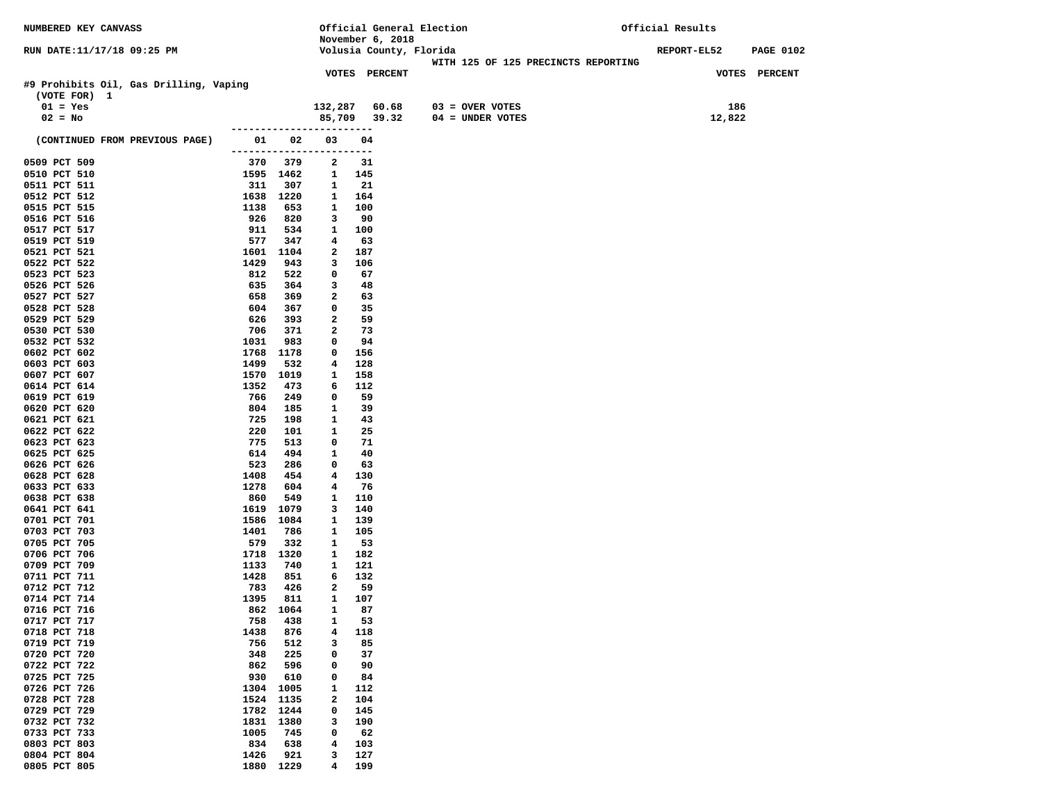| NUMBERED KEY CANVASS                   |              |                  |                                | Official General Election                   |                                     | Official Results |                  |  |
|----------------------------------------|--------------|------------------|--------------------------------|---------------------------------------------|-------------------------------------|------------------|------------------|--|
| RUN DATE:11/17/18 09:25 PM             |              |                  |                                | November 6, 2018<br>Volusia County, Florida |                                     | REPORT-EL52      | <b>PAGE 0102</b> |  |
|                                        |              |                  |                                |                                             | WITH 125 OF 125 PRECINCTS REPORTING |                  |                  |  |
|                                        |              |                  |                                | <b>VOTES PERCENT</b>                        |                                     | VOTES PERCENT    |                  |  |
| #9 Prohibits Oil, Gas Drilling, Vaping |              |                  |                                |                                             |                                     |                  |                  |  |
| (VOTE FOR) 1                           |              |                  |                                |                                             |                                     |                  |                  |  |
| $01 = Yes$                             |              |                  | 132,287                        | 60.68                                       | $03 =$ OVER VOTES                   | 186              |                  |  |
| $02 = No$                              |              |                  |                                | 85,709 39.32                                | 04 = UNDER VOTES                    | 12,822           |                  |  |
|                                        |              |                  | ------------------------       |                                             |                                     |                  |                  |  |
| (CONTINUED FROM PREVIOUS PAGE)         | 01 1         | 02               | 03<br>------------------------ | 04                                          |                                     |                  |                  |  |
| 0509 PCT 509                           | 370          | 379              | 2                              | 31                                          |                                     |                  |                  |  |
| 0510 PCT 510                           |              | 1595 1462        | $\mathbf{1}$                   | 145                                         |                                     |                  |                  |  |
| 0511 PCT 511                           | 311          | 307              | 1                              | 21                                          |                                     |                  |                  |  |
| 0512 PCT 512                           |              | 1638 1220        | 1                              | 164                                         |                                     |                  |                  |  |
| 0515 PCT 515                           | 1138         | 653              | 1                              | 100                                         |                                     |                  |                  |  |
| 0516 PCT 516                           | 926          | 820              | 3                              | 90                                          |                                     |                  |                  |  |
| 0517 PCT 517                           | 911          | 534              | 1                              | 100                                         |                                     |                  |                  |  |
| 0519 PCT 519                           | 577          | 347              | 4                              | 63                                          |                                     |                  |                  |  |
| 0521 PCT 521<br>0522 PCT 522           | 1601<br>1429 | 1104<br>943      | 2<br>3                         | 187<br>106                                  |                                     |                  |                  |  |
| 0523 PCT 523                           | 812          | 522              | 0                              | 67                                          |                                     |                  |                  |  |
| 0526 PCT 526                           | 635          | 364              | 3                              | 48                                          |                                     |                  |                  |  |
| 0527 PCT 527                           | 658          | 369              | $\mathbf{2}$                   | 63                                          |                                     |                  |                  |  |
| 0528 PCT 528                           | 604          | 367              | 0                              | 35                                          |                                     |                  |                  |  |
| 0529 PCT 529                           | 626          | 393              | 2                              | 59                                          |                                     |                  |                  |  |
| 0530 PCT 530                           | 706          | 371              | 2                              | 73                                          |                                     |                  |                  |  |
| 0532 PCT 532                           | 1031         | 983              | 0                              | 94                                          |                                     |                  |                  |  |
| 0602 PCT 602<br>0603 PCT 603           | 1768<br>1499 | 1178<br>532      | 0<br>$\overline{4}$            | 156<br>128                                  |                                     |                  |                  |  |
| 0607 PCT 607                           | 1570         | 1019             | 1                              | 158                                         |                                     |                  |                  |  |
| 0614 PCT 614                           | 1352         | 473              | 6                              | 112                                         |                                     |                  |                  |  |
| 0619 PCT 619                           | 766          | 249              | 0                              | 59                                          |                                     |                  |                  |  |
| 0620 PCT 620                           | 804          | 185              | 1                              | 39                                          |                                     |                  |                  |  |
| 0621 PCT 621                           | 725          | 198              | 1                              | 43                                          |                                     |                  |                  |  |
| 0622 PCT 622                           | 220          | 101              | 1                              | 25                                          |                                     |                  |                  |  |
| 0623 PCT 623<br>0625 PCT 625           | 775<br>614   | 513<br>494       | 0<br>1                         | 71<br>40                                    |                                     |                  |                  |  |
| 0626 PCT 626                           | 523          | 286              | 0                              | 63                                          |                                     |                  |                  |  |
| 0628 PCT 628                           | 1408         | 454              | $\overline{4}$                 | 130                                         |                                     |                  |                  |  |
| 0633 PCT 633                           | 1278         | 604              | 4                              | 76                                          |                                     |                  |                  |  |
| 0638 PCT 638                           | 860          | 549              | 1                              | 110                                         |                                     |                  |                  |  |
| 0641 PCT 641                           | 1619         | 1079             | 3                              | 140                                         |                                     |                  |                  |  |
| 0701 PCT 701                           | 1586         | 1084             | 1                              | 139                                         |                                     |                  |                  |  |
| 0703 PCT 703                           | 1401         | 786              | 1                              | 105                                         |                                     |                  |                  |  |
| 0705 PCT 705<br>0706 PCT 706           | 579          | 332<br>1718 1320 | 1<br>1                         | 53<br>182                                   |                                     |                  |                  |  |
| 0709 PCT 709                           | 1133         | 740              | 1                              | 121                                         |                                     |                  |                  |  |
| 0711 PCT 711                           | 1428         | 851              | 6                              | 132                                         |                                     |                  |                  |  |
| 0712 PCT 712                           | 783          | 426              | 2                              | 59                                          |                                     |                  |                  |  |
| 0714 PCT 714                           | 1395         | 811              | $\mathbf{1}$                   | 107                                         |                                     |                  |                  |  |
| 0716 PCT 716                           |              | 862 1064         | $\mathbf{1}$                   | 87                                          |                                     |                  |                  |  |
| 0717 PCT 717<br>0718 PCT 718           | 758          | 438<br>876       | 1<br>4                         | 53                                          |                                     |                  |                  |  |
| 0719 PCT 719                           | 1438<br>756  | 512              | 3                              | 118<br>85                                   |                                     |                  |                  |  |
| 0720 PCT 720                           | 348          | 225              | 0                              | 37                                          |                                     |                  |                  |  |
| 0722 PCT 722                           | 862          | 596              | 0                              | 90                                          |                                     |                  |                  |  |
| 0725 PCT 725                           | 930          | 610              | 0                              | 84                                          |                                     |                  |                  |  |
| 0726 PCT 726                           | 1304         | 1005             | 1                              | 112                                         |                                     |                  |                  |  |
| 0728 PCT 728                           | 1524         | 1135             | 2                              | 104                                         |                                     |                  |                  |  |
| 0729 PCT 729                           | 1782         | 1244             | 0                              | 145                                         |                                     |                  |                  |  |
| 0732 PCT 732<br>0733 PCT 733           | 1831<br>1005 | 1380<br>745      | з<br>0                         | 190<br>62                                   |                                     |                  |                  |  |
| 0803 PCT 803                           | 834          | 638              | 4                              | 103                                         |                                     |                  |                  |  |
| 0804 PCT 804                           | 1426         | 921              | з                              | 127                                         |                                     |                  |                  |  |
| 0805 PCT 805                           | 1880         | 1229             | 4                              | 199                                         |                                     |                  |                  |  |
|                                        |              |                  |                                |                                             |                                     |                  |                  |  |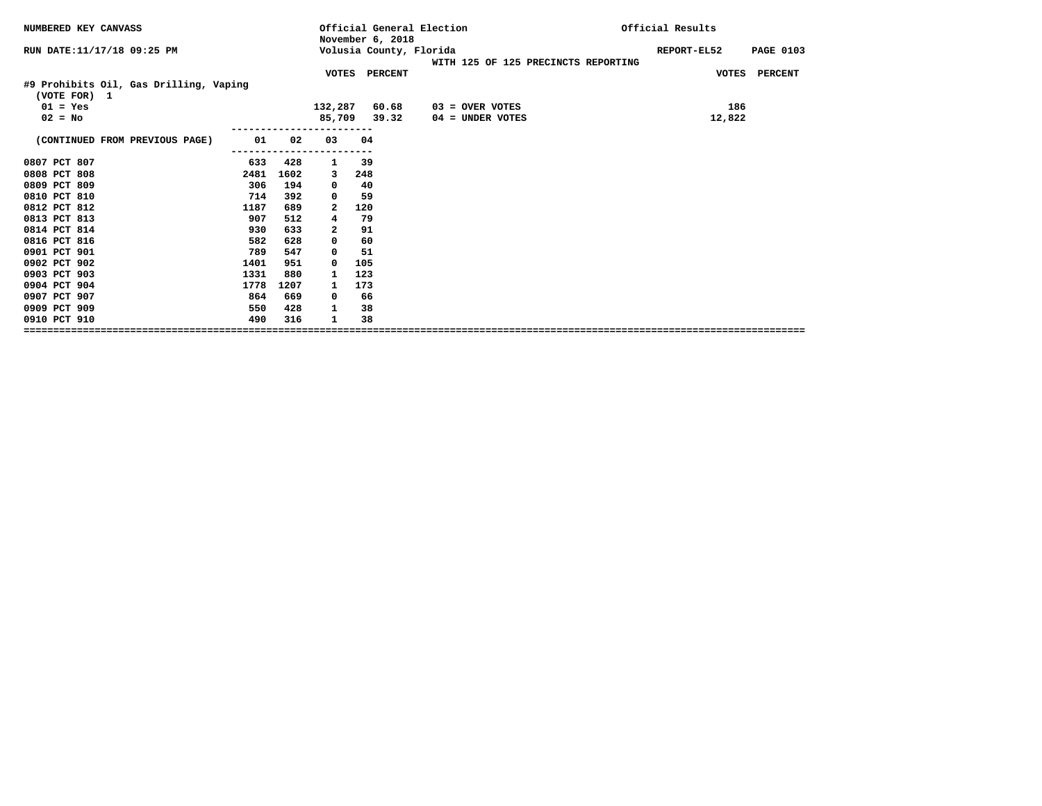| NUMBERED KEY CANVASS                                   |      |      |         | Official General Election<br>November 6, 2018 |                                     | Official Results                |  |
|--------------------------------------------------------|------|------|---------|-----------------------------------------------|-------------------------------------|---------------------------------|--|
| RUN DATE: 11/17/18 09:25 PM                            |      |      |         | Volusia County, Florida                       |                                     | REPORT-EL52<br><b>PAGE 0103</b> |  |
|                                                        |      |      |         | VOTES PERCENT                                 | WITH 125 OF 125 PRECINCTS REPORTING | VOTES PERCENT                   |  |
| #9 Prohibits Oil, Gas Drilling, Vaping<br>(VOTE FOR) 1 |      |      |         |                                               |                                     |                                 |  |
| $01 = Yes$                                             |      |      | 132,287 | 60.68                                         | 03 = OVER VOTES                     | 186                             |  |
| $02 = No$                                              |      |      | 85,709  | 39.32                                         | $04 =$ UNDER VOTES                  | 12,822                          |  |
| (CONTINUED FROM PREVIOUS PAGE)                         | 01   | 02   | 03      | 04                                            |                                     |                                 |  |
| 0807 PCT 807                                           | 633  | 428  | 1       | 39                                            |                                     |                                 |  |
| 0808 PCT 808                                           | 2481 | 1602 | 3       | 248                                           |                                     |                                 |  |
| 0809 PCT 809                                           | 306  | 194  | 0       | 40                                            |                                     |                                 |  |
| 0810 PCT 810                                           | 714  | 392  | 0       | 59                                            |                                     |                                 |  |
| 0812 PCT 812                                           | 1187 | 689  | 2       | 120                                           |                                     |                                 |  |
| 0813 PCT 813                                           | 907  | 512  | 4       | 79                                            |                                     |                                 |  |
| 0814 PCT 814                                           | 930  | 633  | 2       | 91                                            |                                     |                                 |  |
| 0816 PCT 816                                           | 582  | 628  | 0       | 60                                            |                                     |                                 |  |
| 0901 PCT 901                                           | 789  | 547  | 0       | 51                                            |                                     |                                 |  |
| 0902 PCT 902                                           | 1401 | 951  | 0       | 105                                           |                                     |                                 |  |
| 0903 PCT 903                                           | 1331 | 880  | 1       | 123                                           |                                     |                                 |  |
| 0904 PCT 904                                           | 1778 | 1207 |         | 173                                           |                                     |                                 |  |
| 0907 PCT 907                                           | 864  | 669  | 0       | 66                                            |                                     |                                 |  |
| 0909 PCT 909                                           | 550  | 428  | 1       | 38                                            |                                     |                                 |  |
| 0910 PCT 910                                           | 490  | 316  | 1       | 38                                            |                                     |                                 |  |
|                                                        |      |      |         |                                               |                                     |                                 |  |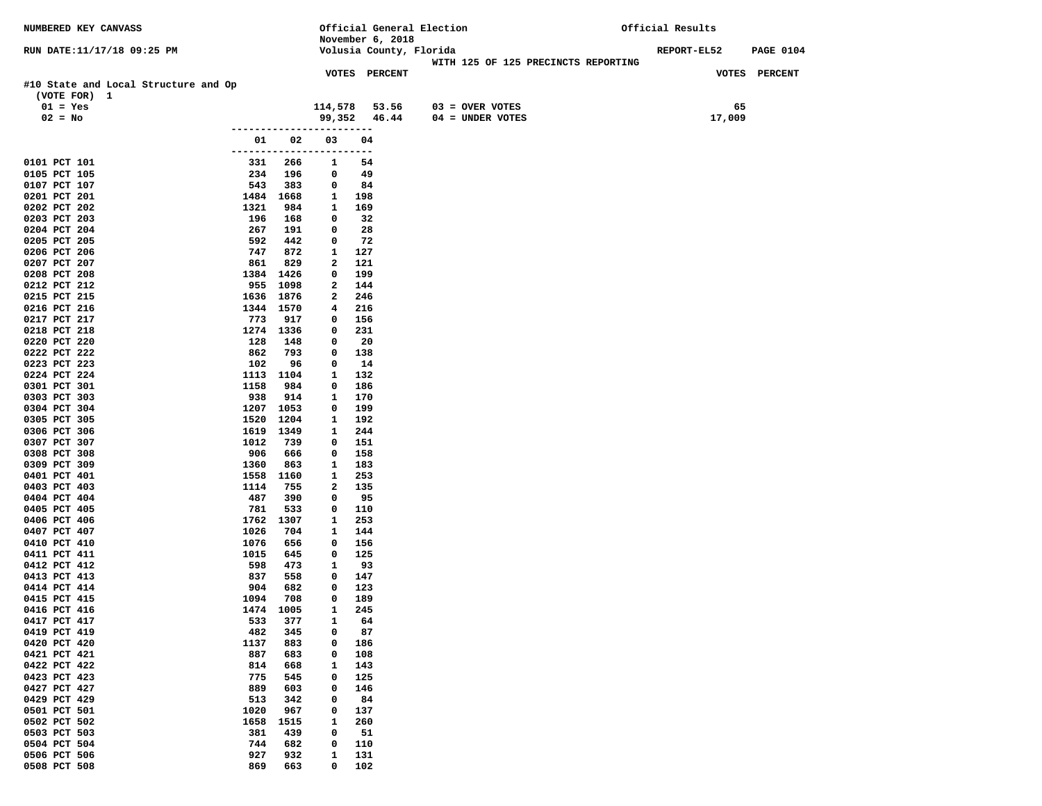| NUMBERED KEY CANVASS                                 |             |                  |                          | Official General Election |                                     | Official Results |                                 |  |  |
|------------------------------------------------------|-------------|------------------|--------------------------|---------------------------|-------------------------------------|------------------|---------------------------------|--|--|
|                                                      |             |                  |                          | November 6, 2018          |                                     |                  |                                 |  |  |
| RUN DATE:11/17/18 09:25 PM                           |             |                  |                          | Volusia County, Florida   |                                     |                  | REPORT-EL52<br><b>PAGE 0104</b> |  |  |
|                                                      |             |                  |                          |                           | WITH 125 OF 125 PRECINCTS REPORTING |                  |                                 |  |  |
|                                                      |             |                  |                          | VOTES PERCENT             |                                     |                  | VOTES PERCENT                   |  |  |
| #10 State and Local Structure and Op<br>(VOTE FOR) 1 |             |                  |                          |                           |                                     |                  |                                 |  |  |
| $01 = Yes$                                           |             |                  |                          | 114,578 53.56             | $03 = OVER VOTES$                   |                  | 65                              |  |  |
| $02 = No$                                            |             |                  |                          | 99,352 46.44              | $04 = UNDER VOTES$                  |                  | 17,009                          |  |  |
|                                                      |             |                  |                          |                           |                                     |                  |                                 |  |  |
|                                                      | 01          | 02               | 03                       | 04                        |                                     |                  |                                 |  |  |
|                                                      |             |                  | ------------------------ |                           |                                     |                  |                                 |  |  |
| 0101 PCT 101                                         | 331         | 266              | 1                        | 54                        |                                     |                  |                                 |  |  |
| 0105 PCT 105                                         | 234         | 196              | 0                        | 49                        |                                     |                  |                                 |  |  |
| 0107 PCT 107                                         | 543         | 383              | 0                        | 84                        |                                     |                  |                                 |  |  |
| 0201 PCT 201                                         |             | 1484 1668        | 1                        | 198                       |                                     |                  |                                 |  |  |
| 0202 PCT 202                                         | 1321        | 984              | 1                        | 169                       |                                     |                  |                                 |  |  |
| 0203 PCT 203                                         | 196         | 168              | 0                        | 32                        |                                     |                  |                                 |  |  |
| 0204 PCT 204                                         | 267<br>592  | 191              | 0                        | 28<br>72                  |                                     |                  |                                 |  |  |
| 0205 PCT 205<br>0206 PCT 206                         | 747         | 442<br>872       | 0<br>1                   | 127                       |                                     |                  |                                 |  |  |
| 0207 PCT 207                                         | 861         | 829              | 2                        | 121                       |                                     |                  |                                 |  |  |
| 0208 PCT 208                                         | 1384        | 1426             | 0                        | 199                       |                                     |                  |                                 |  |  |
| 0212 PCT 212                                         | 955         | 1098             | 2                        | 144                       |                                     |                  |                                 |  |  |
| 0215 PCT 215                                         |             | 1636 1876        | 2                        | 246                       |                                     |                  |                                 |  |  |
| 0216 PCT 216                                         | 1344        | 1570             | 4                        | 216                       |                                     |                  |                                 |  |  |
| 0217 PCT 217                                         | 773         | 917              | 0                        | 156                       |                                     |                  |                                 |  |  |
| 0218 PCT 218                                         |             | 1274 1336        | 0                        | 231                       |                                     |                  |                                 |  |  |
| 0220 PCT 220                                         | 128         | 148              | 0                        | 20                        |                                     |                  |                                 |  |  |
| 0222 PCT 222                                         | 862         | 793              | 0                        | 138                       |                                     |                  |                                 |  |  |
| 0223 PCT 223                                         | 102         | 96               | 0                        | 14                        |                                     |                  |                                 |  |  |
| 0224 PCT 224<br>0301 PCT 301                         | 1158        | 1113 1104<br>984 | 1<br>0                   | 132<br>186                |                                     |                  |                                 |  |  |
| 0303 PCT 303                                         | 938         | 914              | 1                        | 170                       |                                     |                  |                                 |  |  |
| 0304 PCT 304                                         | 1207        | 1053             | 0                        | 199                       |                                     |                  |                                 |  |  |
| 0305 PCT 305                                         | 1520        | 1204             | 1                        | 192                       |                                     |                  |                                 |  |  |
| 0306 PCT 306                                         |             | 1619 1349        | 1                        | 244                       |                                     |                  |                                 |  |  |
| 0307 PCT 307                                         | 1012        | 739              | 0                        | 151                       |                                     |                  |                                 |  |  |
| 0308 PCT 308                                         | 906         | 666              | 0                        | 158                       |                                     |                  |                                 |  |  |
| 0309 PCT 309                                         | 1360        | 863              | 1                        | 183                       |                                     |                  |                                 |  |  |
| 0401 PCT 401                                         | 1558        | 1160             | 1                        | 253                       |                                     |                  |                                 |  |  |
| 0403 PCT 403                                         | 1114        | 755              | 2                        | 135                       |                                     |                  |                                 |  |  |
| 0404 PCT 404                                         | 487<br>781  | 390              | 0                        | 95                        |                                     |                  |                                 |  |  |
| 0405 PCT 405<br>0406 PCT 406                         | 1762        | 533<br>1307      | 0<br>1                   | 110<br>253                |                                     |                  |                                 |  |  |
| 0407 PCT 407                                         | 1026        | 704              | 1                        | 144                       |                                     |                  |                                 |  |  |
| 0410 PCT 410                                         | 1076        | 656              | 0                        | 156                       |                                     |                  |                                 |  |  |
| 0411 PCT 411                                         | 1015        | 645              | 0                        | 125                       |                                     |                  |                                 |  |  |
| 0412 PCT 412                                         | 598         | 473              | 1                        | 93                        |                                     |                  |                                 |  |  |
| 0413 PCT 413                                         | 837         | 558              | 0                        | 147                       |                                     |                  |                                 |  |  |
| 0414 PCT 414                                         | 904         | 682              | 0                        | 123                       |                                     |                  |                                 |  |  |
| 0415 PCT 415                                         | 1094        | 708              | 0                        | 189                       |                                     |                  |                                 |  |  |
| 0416 PCT 416                                         | 1474        | 1005             | $\mathbf{1}$             | 245                       |                                     |                  |                                 |  |  |
| 0417 PCT 417                                         | 533         | 377              | 1                        | 64                        |                                     |                  |                                 |  |  |
| 0419 PCT 419<br>0420 PCT 420                         | 482<br>1137 | 345<br>883       | 0<br>0                   | 87<br>186                 |                                     |                  |                                 |  |  |
| 0421 PCT 421                                         | 887         | 683              | 0                        | 108                       |                                     |                  |                                 |  |  |
| 0422 PCT 422                                         | 814         | 668              | $\mathbf{1}$             | 143                       |                                     |                  |                                 |  |  |
| 0423 PCT 423                                         | 775         | 545              | $\mathbf 0$              | 125                       |                                     |                  |                                 |  |  |
| 0427 PCT 427                                         | 889         | 603              | 0                        | 146                       |                                     |                  |                                 |  |  |
| 0429 PCT 429                                         | 513         | 342              | 0                        | 84                        |                                     |                  |                                 |  |  |
| 0501 PCT 501                                         | 1020        | 967              | 0                        | 137                       |                                     |                  |                                 |  |  |
| 0502 PCT 502                                         | 1658        | 1515             | 1                        | 260                       |                                     |                  |                                 |  |  |
| 0503 PCT 503                                         | 381         | 439              | 0                        | 51                        |                                     |                  |                                 |  |  |
| 0504 PCT 504                                         | 744         | 682              | 0                        | 110                       |                                     |                  |                                 |  |  |
| 0506 PCT 506                                         | 927         | 932              | $\mathbf{1}$             | 131                       |                                     |                  |                                 |  |  |
| 0508 PCT 508                                         | 869         | 663              | $\mathbf 0$              | 102                       |                                     |                  |                                 |  |  |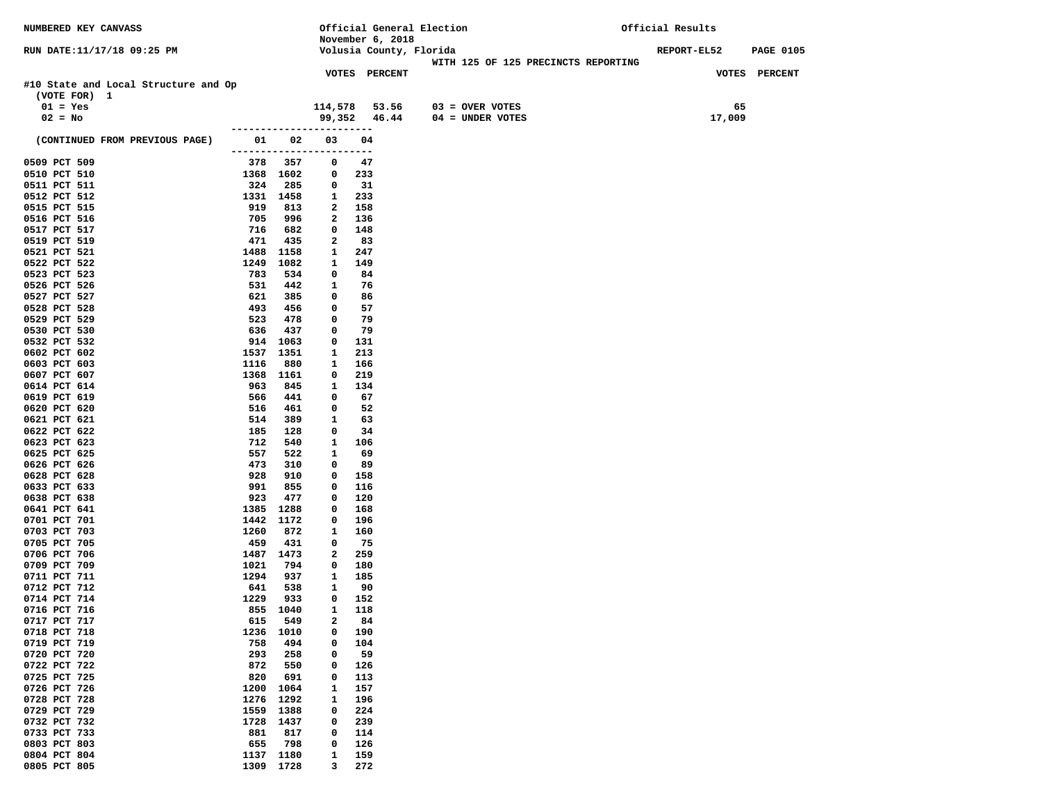| NUMBERED KEY CANVASS                                 |                          |             |                  | Official General Election |                                     | Official Results                       |
|------------------------------------------------------|--------------------------|-------------|------------------|---------------------------|-------------------------------------|----------------------------------------|
|                                                      |                          |             |                  | November 6, 2018          |                                     |                                        |
| RUN DATE:11/17/18 09:25 PM                           |                          |             |                  | Volusia County, Florida   |                                     | <b>REPORT-EL52</b><br><b>PAGE 0105</b> |
|                                                      |                          |             |                  |                           | WITH 125 OF 125 PRECINCTS REPORTING |                                        |
|                                                      |                          |             |                  | <b>VOTES PERCENT</b>      |                                     | VOTES PERCENT                          |
| #10 State and Local Structure and Op<br>(VOTE FOR) 1 |                          |             |                  |                           |                                     |                                        |
|                                                      |                          |             |                  | 114,578 53.56             |                                     | 65                                     |
| $01 = Yes$                                           |                          |             |                  |                           | 03 = OVER VOTES                     |                                        |
| $02 = No$                                            |                          |             |                  | 99,352 46.44              | 04 = UNDER VOTES                    | 17,009                                 |
| (CONTINUED FROM PREVIOUS PAGE)                       | 01 1                     | 02          | 03               | 04                        |                                     |                                        |
|                                                      | ------------------------ |             |                  |                           |                                     |                                        |
| 0509 PCT 509                                         | 378 357                  |             | 0                | 47                        |                                     |                                        |
| 0510 PCT 510                                         | 1368 1602                |             | 0                | 233                       |                                     |                                        |
| 0511 PCT 511                                         | 324                      | 285         | 0                | - 31                      |                                     |                                        |
| 0512 PCT 512                                         | 1331 1458                |             | 1                | 233                       |                                     |                                        |
| 0515 PCT 515                                         | 919                      | 813         | 2                | 158                       |                                     |                                        |
| 0516 PCT 516                                         | 705                      | 996         | $\mathbf{2}$     | 136                       |                                     |                                        |
| 0517 PCT 517                                         | 716                      | 682         | 0                | 148                       |                                     |                                        |
| 0519 PCT 519                                         | 471                      | 435         | 2                | 83                        |                                     |                                        |
| 0521 PCT 521                                         | 1488                     | 1158        | 1                | 247                       |                                     |                                        |
| 0522 PCT 522                                         | 1249                     | 1082        | 1                | 149                       |                                     |                                        |
| 0523 PCT 523                                         | 783                      | 534         | 0                | 84                        |                                     |                                        |
| 0526 PCT 526                                         | 531                      | 442         | 1                | 76                        |                                     |                                        |
| 0527 PCT 527                                         | 621                      | 385         | 0                | 86                        |                                     |                                        |
| 0528 PCT 528                                         | 493                      | 456         | 0                | 57                        |                                     |                                        |
| 0529 PCT 529                                         | 523                      | 478         | 0                | 79                        |                                     |                                        |
| 0530 PCT 530                                         | 636                      | 437         | 0                | 79                        |                                     |                                        |
| 0532 PCT 532<br>0602 PCT 602                         | 914 1063                 |             | 0                | 131                       |                                     |                                        |
| 0603 PCT 603                                         | 1537<br>1116             | 1351<br>880 | 1<br>1           | 213<br>166                |                                     |                                        |
| 0607 PCT 607                                         | 1368 1161                |             | 0                | 219                       |                                     |                                        |
| 0614 PCT 614                                         | 963                      | 845         | 1                | 134                       |                                     |                                        |
| 0619 PCT 619                                         | 566                      | 441         | 0                | 67                        |                                     |                                        |
| 0620 PCT 620                                         | 516                      | 461         | 0                | 52                        |                                     |                                        |
| 0621 PCT 621                                         | 514                      | 389         | 1                | 63                        |                                     |                                        |
| 0622 PCT 622                                         | 185                      | 128         | 0                | 34                        |                                     |                                        |
| 0623 PCT 623                                         | 712                      | 540         | $\mathbf{1}$     | 106                       |                                     |                                        |
| 0625 PCT 625                                         | 557                      | 522         | 1                | 69                        |                                     |                                        |
| 0626 PCT 626                                         | 473                      | 310         | 0                | 89                        |                                     |                                        |
| 0628 PCT 628                                         | 928                      | 910         | 0                | 158                       |                                     |                                        |
| 0633 PCT 633                                         | 991                      | 855         | 0                | 116                       |                                     |                                        |
| 0638 PCT 638                                         | 923                      | 477         | 0                | 120                       |                                     |                                        |
| 0641 PCT 641                                         | 1385                     | 1288        | 0                | 168                       |                                     |                                        |
| 0701 PCT 701                                         | 1442                     | 1172        | 0                | 196                       |                                     |                                        |
| 0703 PCT 703                                         | 1260                     | 872         | 1                | 160                       |                                     |                                        |
| 0705 PCT 705<br>0706 PCT 706                         | 459<br>1487 1473         | 431         | 0<br>2           | - 75<br>259               |                                     |                                        |
| 0709 PCT 709                                         | 1021                     | 794         | 0                | 180                       |                                     |                                        |
| 0711 PCT 711                                         | 1294                     | 937         | 1                | 185                       |                                     |                                        |
| 0712 PCT 712                                         | 641                      | 538         | 1                | 90                        |                                     |                                        |
| 0714 PCT 714                                         | 1229                     | 933         | 0                | 152                       |                                     |                                        |
| 0716 PCT 716                                         | 855 1040                 |             | $\mathbf{1}$     | 118                       |                                     |                                        |
| 0717 PCT 717                                         | 615                      | 549         | 2                | 84                        |                                     |                                        |
| 0718 PCT 718                                         | 1236                     | 1010        | 0                | 190                       |                                     |                                        |
| 0719 PCT 719                                         | 758                      | 494         | 0                | 104                       |                                     |                                        |
| 0720 PCT 720                                         | 293                      | 258         | 0                | 59                        |                                     |                                        |
| 0722 PCT 722                                         | 872                      | 550         | 0                | 126                       |                                     |                                        |
| 0725 PCT 725                                         | 820                      | 691         | 0                | 113                       |                                     |                                        |
| 0726 PCT 726                                         | 1200                     | 1064        | 1                | 157                       |                                     |                                        |
| 0728 PCT 728                                         | 1276                     | 1292        | 1                | 196                       |                                     |                                        |
| 0729 PCT 729                                         | 1559                     | 1388        | 0                | 224                       |                                     |                                        |
| 0732 PCT 732                                         | 1728                     | 1437        | 0                | 239                       |                                     |                                        |
| 0733 PCT 733                                         | 881                      | 817         | 0                | 114                       |                                     |                                        |
| 0803 PCT 803<br>0804 PCT 804                         | 655<br>1137              | 798<br>1180 | $\mathbf 0$<br>1 | 126<br>159                |                                     |                                        |
| 0805 PCT 805                                         | 1309                     | 1728        | 3                | 272                       |                                     |                                        |
|                                                      |                          |             |                  |                           |                                     |                                        |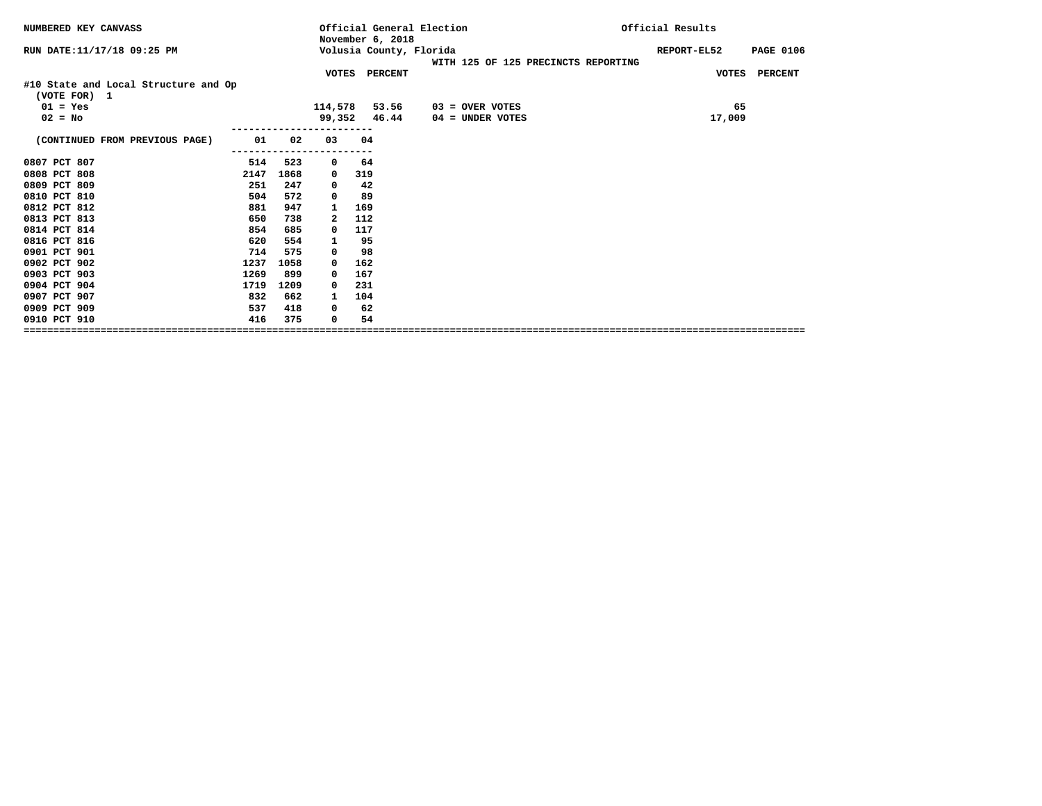| NUMBERED KEY CANVASS                                 |      |      |              | Official General Election<br>November 6, 2018 |                                     | Official Results                |
|------------------------------------------------------|------|------|--------------|-----------------------------------------------|-------------------------------------|---------------------------------|
| RUN DATE: 11/17/18 09:25 PM                          |      |      |              | Volusia County, Florida                       | WITH 125 OF 125 PRECINCTS REPORTING | REPORT-EL52<br><b>PAGE 0106</b> |
|                                                      |      |      |              | VOTES PERCENT                                 |                                     | VOTES PERCENT                   |
| #10 State and Local Structure and Op<br>(VOTE FOR) 1 |      |      |              |                                               |                                     |                                 |
| $01 = Yes$                                           |      |      | 114,578      | 53.56                                         | $03 =$ OVER VOTES                   | 65                              |
| $02 = No$                                            |      |      |              | 99,352 46.44                                  | $04 =$ UNDER VOTES                  | 17,009                          |
| (CONTINUED FROM PREVIOUS PAGE)                       | 01   | 02   | 03           | 04                                            |                                     |                                 |
|                                                      |      |      |              |                                               |                                     |                                 |
| 0807 PCT 807                                         | 514  | 523  | 0            | 64                                            |                                     |                                 |
| 0808 PCT 808                                         | 2147 | 1868 | 0            | 319                                           |                                     |                                 |
| 0809 PCT 809                                         | 251  | 247  | 0            | 42                                            |                                     |                                 |
| 0810 PCT 810                                         | 504  | 572  | 0            | 89                                            |                                     |                                 |
| 0812 PCT 812                                         | 881  | 947  | 1            | 169                                           |                                     |                                 |
| 0813 PCT 813                                         | 650  | 738  | $\mathbf{2}$ | 112                                           |                                     |                                 |
| 0814 PCT 814                                         | 854  | 685  | 0            | 117                                           |                                     |                                 |
| 0816 PCT 816                                         | 620  | 554  | 1            | 95                                            |                                     |                                 |
| 0901 PCT 901                                         | 714  | 575  | 0            | 98                                            |                                     |                                 |
| 0902 PCT 902                                         | 1237 | 1058 | $\Omega$     | 162                                           |                                     |                                 |
| 0903 PCT 903                                         | 1269 | 899  | 0            | 167                                           |                                     |                                 |
| 0904 PCT 904                                         | 1719 | 1209 | $^{\circ}$   | 231                                           |                                     |                                 |
| 0907 PCT 907                                         | 832  | 662  | 1            | 104                                           |                                     |                                 |
| 0909 PCT 909                                         | 537  | 418  | 0            | 62                                            |                                     |                                 |
| 0910 PCT 910                                         | 416  | 375  | 0            | 54                                            |                                     |                                 |
|                                                      |      |      |              |                                               |                                     |                                 |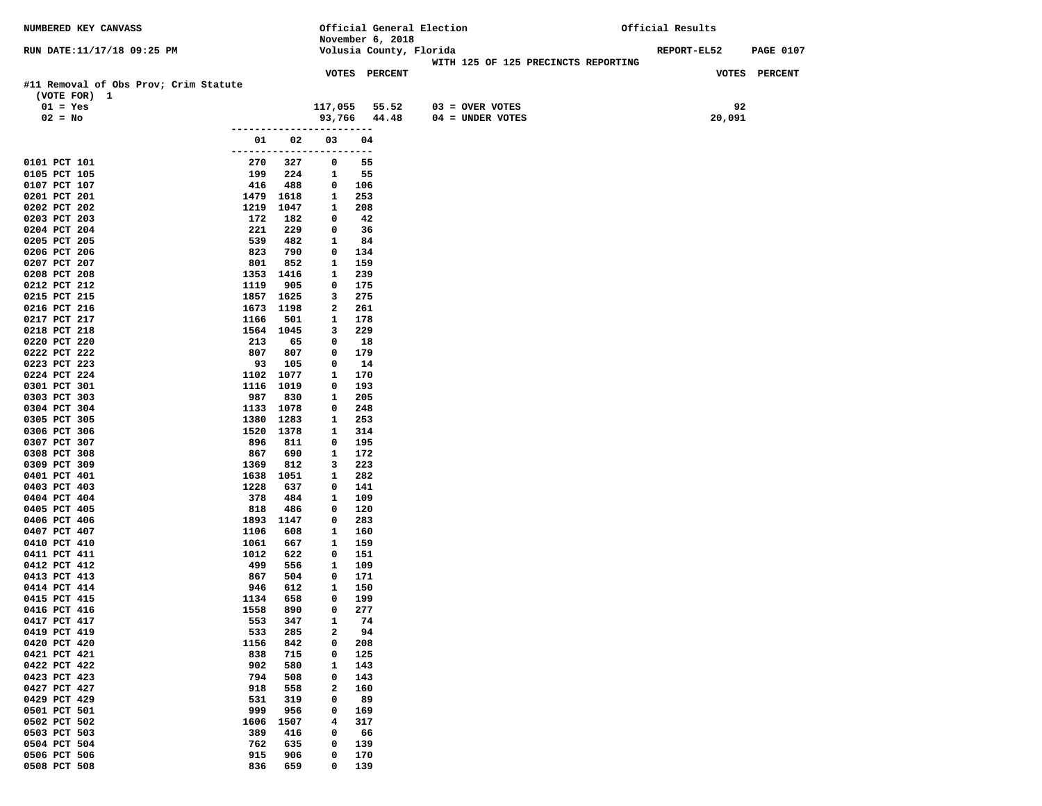| NUMBERED KEY CANVASS                  |              |                  | Official General Election |                         |                                     | Official Results |                                 |  |  |
|---------------------------------------|--------------|------------------|---------------------------|-------------------------|-------------------------------------|------------------|---------------------------------|--|--|
|                                       |              |                  |                           | November 6, 2018        |                                     |                  |                                 |  |  |
| RUN DATE:11/17/18 09:25 PM            |              |                  |                           | Volusia County, Florida |                                     |                  | REPORT-EL52<br><b>PAGE 0107</b> |  |  |
|                                       |              |                  |                           |                         | WITH 125 OF 125 PRECINCTS REPORTING |                  |                                 |  |  |
| #11 Removal of Obs Prov; Crim Statute |              |                  |                           | <b>VOTES PERCENT</b>    |                                     |                  | VOTES PERCENT                   |  |  |
| (VOTE FOR) 1                          |              |                  |                           |                         |                                     |                  |                                 |  |  |
| $01 = Yes$                            |              |                  | 117,055                   | 55.52                   | $03 =$ OVER VOTES                   |                  | 92                              |  |  |
| $02 = No$                             |              |                  | 93,766                    | 44.48                   | $04 = UNDER VOTES$                  |                  | 20,091                          |  |  |
|                                       |              |                  |                           |                         |                                     |                  |                                 |  |  |
|                                       | 01           | 02               | 03                        | 04                      |                                     |                  |                                 |  |  |
|                                       |              |                  | ------------------------  |                         |                                     |                  |                                 |  |  |
| 0101 PCT 101                          | 270          | 327              | 0                         | 55                      |                                     |                  |                                 |  |  |
| 0105 PCT 105                          | 199          | 224              | 1                         | 55                      |                                     |                  |                                 |  |  |
| 0107 PCT 107                          | 416          | 488              | 0                         | 106                     |                                     |                  |                                 |  |  |
| 0201 PCT 201<br>0202 PCT 202          | 1479         | 1618             | 1                         | 253                     |                                     |                  |                                 |  |  |
| 0203 PCT 203                          | 1219<br>172  | 1047<br>182      | 1<br>0                    | 208<br>42               |                                     |                  |                                 |  |  |
| 0204 PCT 204                          | 221          | 229              | 0                         | 36                      |                                     |                  |                                 |  |  |
| 0205 PCT 205                          | 539          | 482              | 1                         | 84                      |                                     |                  |                                 |  |  |
| 0206 PCT 206                          | 823          | 790              | 0                         | 134                     |                                     |                  |                                 |  |  |
| 0207 PCT 207                          | 801          | 852              | 1                         | 159                     |                                     |                  |                                 |  |  |
| 0208 PCT 208                          | 1353         | 1416             | 1                         | 239                     |                                     |                  |                                 |  |  |
| 0212 PCT 212                          | 1119         | 905              | 0                         | 175                     |                                     |                  |                                 |  |  |
| 0215 PCT 215                          |              | 1857 1625        | 3                         | 275                     |                                     |                  |                                 |  |  |
| 0216 PCT 216<br>0217 PCT 217          | 1673<br>1166 | 1198             | 2<br>1                    | 261<br>178              |                                     |                  |                                 |  |  |
| 0218 PCT 218                          |              | 501<br>1564 1045 | 3                         | 229                     |                                     |                  |                                 |  |  |
| 0220 PCT 220                          | 213          | 65               | 0                         | 18                      |                                     |                  |                                 |  |  |
| 0222 PCT 222                          | 807          | 807              | 0                         | 179                     |                                     |                  |                                 |  |  |
| 0223 PCT 223                          | 93           | 105              | 0                         | 14                      |                                     |                  |                                 |  |  |
| 0224 PCT 224                          | 1102         | 1077             | 1                         | 170                     |                                     |                  |                                 |  |  |
| 0301 PCT 301                          | 1116         | 1019             | 0                         | 193                     |                                     |                  |                                 |  |  |
| 0303 PCT 303<br>0304 PCT 304          | 987<br>1133  | 830<br>1078      | 1<br>0                    | 205<br>248              |                                     |                  |                                 |  |  |
| 0305 PCT 305                          | 1380         | 1283             | $\mathbf{1}$              | 253                     |                                     |                  |                                 |  |  |
| 0306 PCT 306                          | 1520         | 1378             | 1                         | 314                     |                                     |                  |                                 |  |  |
| 0307 PCT 307                          | 896          | 811              | 0                         | 195                     |                                     |                  |                                 |  |  |
| 0308 PCT 308                          | 867          | 690              | $\mathbf{1}$              | 172                     |                                     |                  |                                 |  |  |
| 0309 PCT 309                          | 1369         | 812              | 3                         | 223                     |                                     |                  |                                 |  |  |
| 0401 PCT 401                          | 1638         | 1051             | 1                         | 282                     |                                     |                  |                                 |  |  |
| 0403 PCT 403<br>0404 PCT 404          | 1228<br>378  | 637<br>484       | 0<br>$\mathbf{1}$         | 141<br>109              |                                     |                  |                                 |  |  |
| 0405 PCT 405                          | 818          | 486              | 0                         | 120                     |                                     |                  |                                 |  |  |
| 0406 PCT 406                          | 1893         | 1147             | 0                         | 283                     |                                     |                  |                                 |  |  |
| 0407 PCT 407                          | 1106         | 608              | 1                         | 160                     |                                     |                  |                                 |  |  |
| 0410 PCT 410                          | 1061         | 667              | 1                         | 159                     |                                     |                  |                                 |  |  |
| 0411 PCT 411                          | 1012         | 622              | 0                         | 151                     |                                     |                  |                                 |  |  |
| 0412 PCT 412                          | 499          | 556              | 1                         | 109                     |                                     |                  |                                 |  |  |
| 0413 PCT 413                          | 867          | 504              | 0                         | 171                     |                                     |                  |                                 |  |  |
| 0414 PCT 414<br>0415 PCT 415          | 946<br>1134  | 612<br>658       | $\mathbf{1}$<br>0         | 150<br>199              |                                     |                  |                                 |  |  |
| 0416 PCT 416                          | 1558         | 890              | $\mathbf 0$               | 277                     |                                     |                  |                                 |  |  |
| 0417 PCT 417                          | 553          | 347              | 1                         | 74                      |                                     |                  |                                 |  |  |
| 0419 PCT 419                          | 533          | 285              | $\mathbf{2}$              | 94                      |                                     |                  |                                 |  |  |
| 0420 PCT 420                          | 1156         | 842              | $\mathbf 0$               | 208                     |                                     |                  |                                 |  |  |
| 0421 PCT 421                          | 838          | 715              | 0                         | 125                     |                                     |                  |                                 |  |  |
| 0422 PCT 422                          | 902          | 580              | 1                         | 143                     |                                     |                  |                                 |  |  |
| 0423 PCT 423<br>0427 PCT 427          | 794<br>918   | 508<br>558       | $\mathbf 0$<br>2          | 143<br>160              |                                     |                  |                                 |  |  |
| 0429 PCT 429                          | 531          | 319              | 0                         | 89                      |                                     |                  |                                 |  |  |
| 0501 PCT 501                          | 999          | 956              | 0                         | 169                     |                                     |                  |                                 |  |  |
| 0502 PCT 502                          | 1606         | 1507             | 4                         | 317                     |                                     |                  |                                 |  |  |
| 0503 PCT 503                          | 389          | 416              | 0                         | 66                      |                                     |                  |                                 |  |  |
| 0504 PCT 504                          | 762          | 635              | 0                         | 139                     |                                     |                  |                                 |  |  |
| 0506 PCT 506                          | 915          | 906              | 0                         | 170                     |                                     |                  |                                 |  |  |
| 0508 PCT 508                          | 836          | 659              | $\mathbf 0$               | 139                     |                                     |                  |                                 |  |  |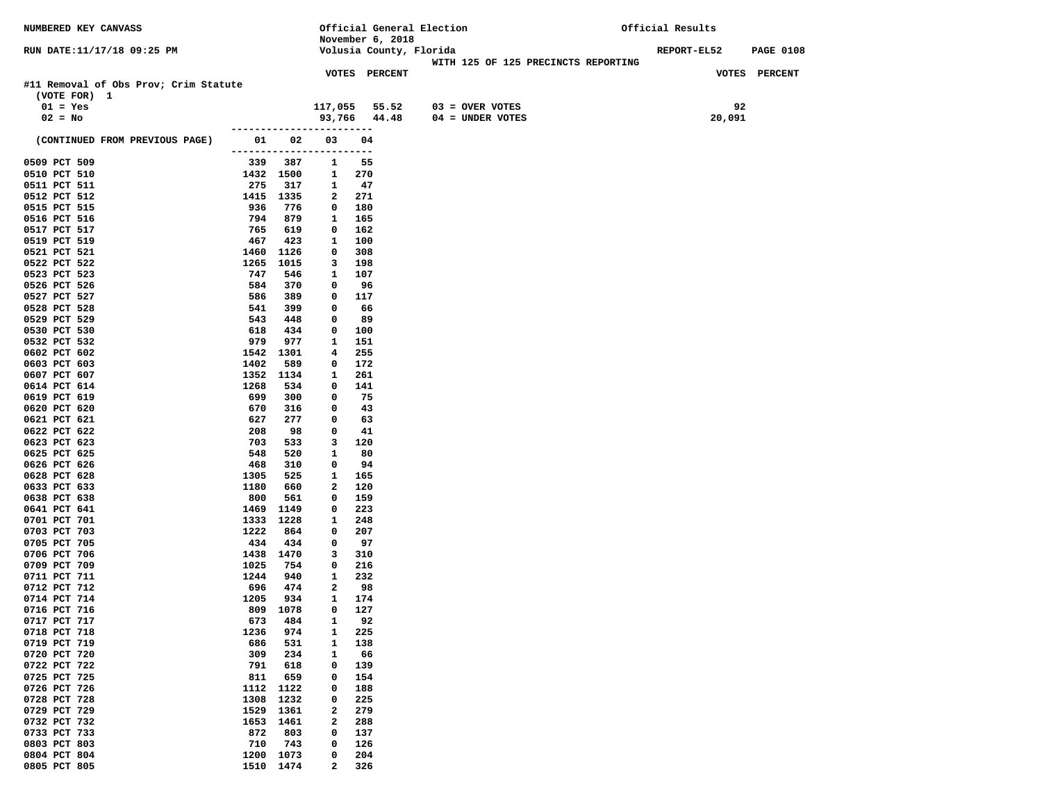| NUMBERED KEY CANVASS                  |                          |             |                      |            |                  | Official General Election |                                     | Official Results   |                  |
|---------------------------------------|--------------------------|-------------|----------------------|------------|------------------|---------------------------|-------------------------------------|--------------------|------------------|
|                                       |                          |             |                      |            | November 6, 2018 |                           |                                     |                    |                  |
| RUN DATE: 11/17/18 09:25 PM           |                          |             |                      |            |                  | Volusia County, Florida   |                                     | <b>REPORT-EL52</b> | <b>PAGE 0108</b> |
|                                       |                          |             |                      |            |                  |                           | WITH 125 OF 125 PRECINCTS REPORTING |                    |                  |
|                                       |                          |             | <b>VOTES PERCENT</b> |            |                  |                           |                                     |                    | VOTES PERCENT    |
| #11 Removal of Obs Prov; Crim Statute |                          |             |                      |            |                  |                           |                                     |                    |                  |
| (VOTE FOR) 1                          |                          |             |                      |            |                  | $03 =$ OVER VOTES         |                                     | 92                 |                  |
| $01 = Yes$                            |                          |             | 117,055 55.52        |            |                  |                           |                                     |                    |                  |
| $02 = No$                             | -----------------------  |             | 93,766 44.48         |            |                  | 04 = UNDER VOTES          |                                     | 20,091             |                  |
| (CONTINUED FROM PREVIOUS PAGE)        | 01 1                     | 02          | 03                   | 04         |                  |                           |                                     |                    |                  |
|                                       | ------------------------ |             |                      |            |                  |                           |                                     |                    |                  |
| 0509 PCT 509                          | 339                      | 387         | 1                    | 55         |                  |                           |                                     |                    |                  |
| 0510 PCT 510                          | 1432 1500                |             | 1                    | 270        |                  |                           |                                     |                    |                  |
| 0511 PCT 511                          | 275                      | 317         | 1                    | -47        |                  |                           |                                     |                    |                  |
| 0512 PCT 512                          | 1415 1335                |             | 2                    | 271        |                  |                           |                                     |                    |                  |
| 0515 PCT 515                          | 936                      | 776         | 0                    | 180        |                  |                           |                                     |                    |                  |
| 0516 PCT 516                          | 794                      | 879         | 1                    | 165        |                  |                           |                                     |                    |                  |
| 0517 PCT 517                          | 765                      | 619         | 0                    | 162        |                  |                           |                                     |                    |                  |
| 0519 PCT 519                          | 467                      | 423         | 1                    | 100        |                  |                           |                                     |                    |                  |
| 0521 PCT 521                          | 1460                     | 1126        | 0                    | 308        |                  |                           |                                     |                    |                  |
| 0522 PCT 522                          | 1265                     | 1015        | 3                    | 198        |                  |                           |                                     |                    |                  |
| 0523 PCT 523                          | 747                      | 546         | 1                    | 107        |                  |                           |                                     |                    |                  |
| 0526 PCT 526                          | 584                      | 370         | 0                    | 96         |                  |                           |                                     |                    |                  |
| 0527 PCT 527                          | 586                      | 389         | 0                    | 117        |                  |                           |                                     |                    |                  |
| 0528 PCT 528                          | 541                      | 399         | 0                    | 66         |                  |                           |                                     |                    |                  |
| 0529 PCT 529                          | 543                      | 448         | 0                    | 89         |                  |                           |                                     |                    |                  |
| 0530 PCT 530                          | 618                      | 434         | 0                    | 100        |                  |                           |                                     |                    |                  |
| 0532 PCT 532                          | 979                      | 977         | 1                    | 151        |                  |                           |                                     |                    |                  |
| 0602 PCT 602                          | 1542<br>1402             | 1301<br>589 | 4<br>0               | 255        |                  |                           |                                     |                    |                  |
| 0603 PCT 603<br>0607 PCT 607          | 1352                     | 1134        | 1                    | 172<br>261 |                  |                           |                                     |                    |                  |
| 0614 PCT 614                          | 1268                     | 534         | 0                    | 141        |                  |                           |                                     |                    |                  |
| 0619 PCT 619                          | 699                      | 300         | 0                    | 75         |                  |                           |                                     |                    |                  |
| 0620 PCT 620                          | 670                      | 316         | 0                    | 43         |                  |                           |                                     |                    |                  |
| 0621 PCT 621                          | 627                      | 277         | 0                    | 63         |                  |                           |                                     |                    |                  |
| 0622 PCT 622                          | 208                      | 98          | 0                    | 41         |                  |                           |                                     |                    |                  |
| 0623 PCT 623                          | 703                      | 533         | 3                    | 120        |                  |                           |                                     |                    |                  |
| 0625 PCT 625                          | 548                      | 520         | 1                    | 80         |                  |                           |                                     |                    |                  |
| 0626 PCT 626                          | 468                      | 310         | 0                    | 94         |                  |                           |                                     |                    |                  |
| 0628 PCT 628                          | 1305                     | 525         | 1                    | 165        |                  |                           |                                     |                    |                  |
| 0633 PCT 633                          | 1180                     | 660         | 2                    | 120        |                  |                           |                                     |                    |                  |
| 0638 PCT 638                          | 800                      | 561         | 0                    | 159        |                  |                           |                                     |                    |                  |
| 0641 PCT 641                          | 1469                     | 1149        | 0                    | 223        |                  |                           |                                     |                    |                  |
| 0701 PCT 701                          | 1333                     | 1228        | 1                    | 248        |                  |                           |                                     |                    |                  |
| 0703 PCT 703                          | 1222                     | 864         | 0                    | 207        |                  |                           |                                     |                    |                  |
| 0705 PCT 705                          | 434                      | 434         | 0                    | 97         |                  |                           |                                     |                    |                  |
| 0706 PCT 706<br>0709 PCT 709          | 1438 1470                |             | 3                    | 310        |                  |                           |                                     |                    |                  |
| 0711 PCT 711                          | 1025<br>1244             | 754<br>940  | 0<br>1               | 216<br>232 |                  |                           |                                     |                    |                  |
| 0712 PCT 712                          | 696                      | 474         | 2                    | 98         |                  |                           |                                     |                    |                  |
| 0714 PCT 714                          | 1205                     | 934         | 1                    | 174        |                  |                           |                                     |                    |                  |
| 0716 PCT 716                          | 809 1078                 |             | $\mathbf 0$          | 127        |                  |                           |                                     |                    |                  |
| 0717 PCT 717                          | 673                      | 484         | 1                    | 92         |                  |                           |                                     |                    |                  |
| 0718 PCT 718                          | 1236                     | 974         | 1                    | 225        |                  |                           |                                     |                    |                  |
| 0719 PCT 719                          | 686                      | 531         | $\mathbf{1}$         | 138        |                  |                           |                                     |                    |                  |
| 0720 PCT 720                          | 309                      | 234         | 1                    | 66         |                  |                           |                                     |                    |                  |
| 0722 PCT 722                          | 791                      | 618         | 0                    | 139        |                  |                           |                                     |                    |                  |
| 0725 PCT 725                          | 811                      | 659         | 0                    | 154        |                  |                           |                                     |                    |                  |
| 0726 PCT 726                          | 1112                     | 1122        | 0                    | 188        |                  |                           |                                     |                    |                  |
| 0728 PCT 728                          | 1308                     | 1232        | 0                    | 225        |                  |                           |                                     |                    |                  |
| 0729 PCT 729                          | 1529                     | 1361        | 2                    | 279        |                  |                           |                                     |                    |                  |
| 0732 PCT 732                          | 1653                     | 1461        | 2                    | 288        |                  |                           |                                     |                    |                  |
| 0733 PCT 733                          | 872                      | 803         | 0                    | 137        |                  |                           |                                     |                    |                  |
| 0803 PCT 803                          | 710                      | 743         | 0                    | 126        |                  |                           |                                     |                    |                  |
| 0804 PCT 804                          | 1200                     | 1073        | 0                    | 204        |                  |                           |                                     |                    |                  |
| 0805 PCT 805                          | 1510                     | 1474        | 2                    | 326        |                  |                           |                                     |                    |                  |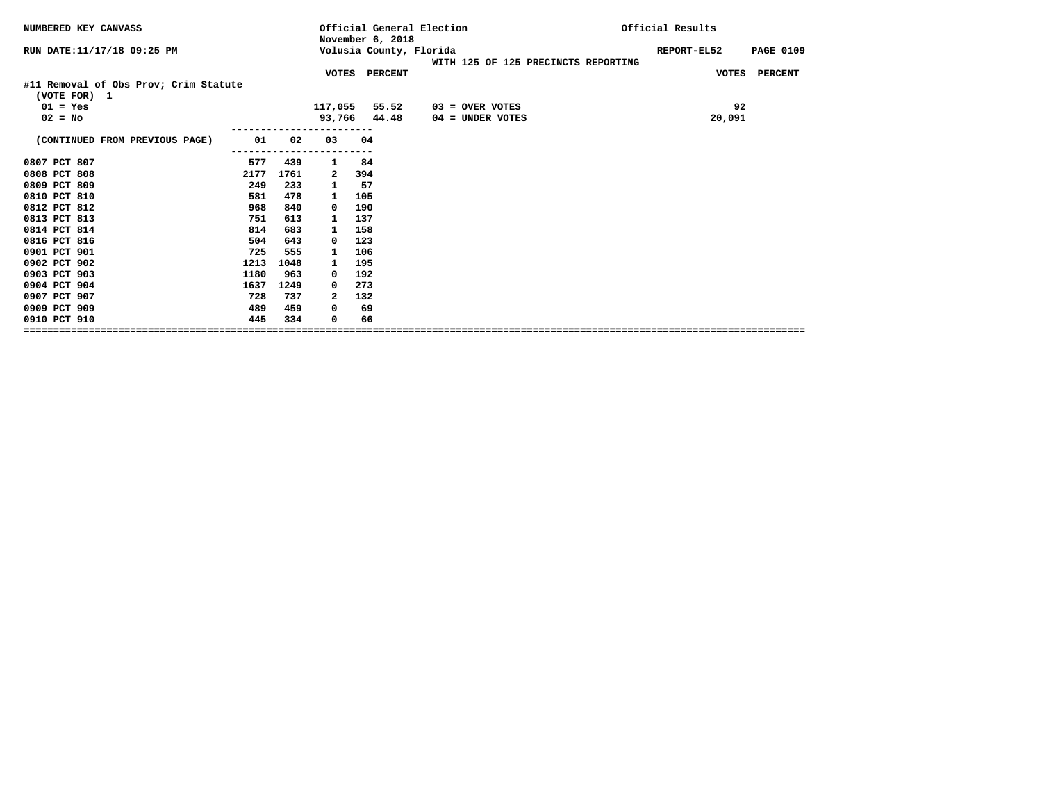| NUMBERED KEY CANVASS                                  |          |          | Official General Election<br>November 6, 2018 |                                     | Official Results |                                 |
|-------------------------------------------------------|----------|----------|-----------------------------------------------|-------------------------------------|------------------|---------------------------------|
| RUN DATE: 11/17/18 09:25 PM                           |          |          | Volusia County, Florida                       | WITH 125 OF 125 PRECINCTS REPORTING |                  | REPORT-EL52<br><b>PAGE 0109</b> |
|                                                       |          |          | VOTES PERCENT                                 |                                     |                  | VOTES PERCENT                   |
| #11 Removal of Obs Prov; Crim Statute<br>(VOTE FOR) 1 |          |          |                                               |                                     |                  |                                 |
| $01 = Yes$                                            |          | 117,055  | 55.52                                         | 03 = OVER VOTES                     |                  | 92                              |
| $02 = No$                                             |          |          | 93,766 44.48                                  | $04 =$ UNDER VOTES                  |                  | 20,091                          |
| (CONTINUED FROM PREVIOUS PAGE)                        | 01<br>02 | 03       | 04                                            |                                     |                  |                                 |
| 0807 PCT 807<br>577                                   | 439      | 1        | 84                                            |                                     |                  |                                 |
| 0808 PCT 808<br>2177                                  | 1761     | 2        | 394                                           |                                     |                  |                                 |
| 0809 PCT 809<br>249                                   | 233      | 1        | 57                                            |                                     |                  |                                 |
| 0810 PCT 810<br>581                                   | 478      | 1        | 105                                           |                                     |                  |                                 |
| 0812 PCT 812<br>968                                   | 840      | $\Omega$ | 190                                           |                                     |                  |                                 |
| 0813 PCT 813<br>751                                   | 613      | 1        | 137                                           |                                     |                  |                                 |
| 0814 PCT 814<br>814                                   | 683      | 1        | 158                                           |                                     |                  |                                 |
| 0816 PCT 816<br>504                                   | 643      | 0        | 123                                           |                                     |                  |                                 |
| 0901 PCT 901<br>725                                   | 555      |          | 106                                           |                                     |                  |                                 |
| 0902 PCT 902<br>1213                                  | 1048     | 1        | 195                                           |                                     |                  |                                 |
| 0903 PCT 903<br>1180                                  | 963      | 0        | 192                                           |                                     |                  |                                 |
| 0904 PCT 904<br>1637                                  | 1249     | 0        | 273                                           |                                     |                  |                                 |
| 0907 PCT 907<br>728                                   | 737      | 2        | 132                                           |                                     |                  |                                 |
| 0909 PCT 909<br>489                                   | 459      | 0        | 69                                            |                                     |                  |                                 |
| 0910 PCT 910<br>445                                   | 334      | 0        | 66                                            |                                     |                  |                                 |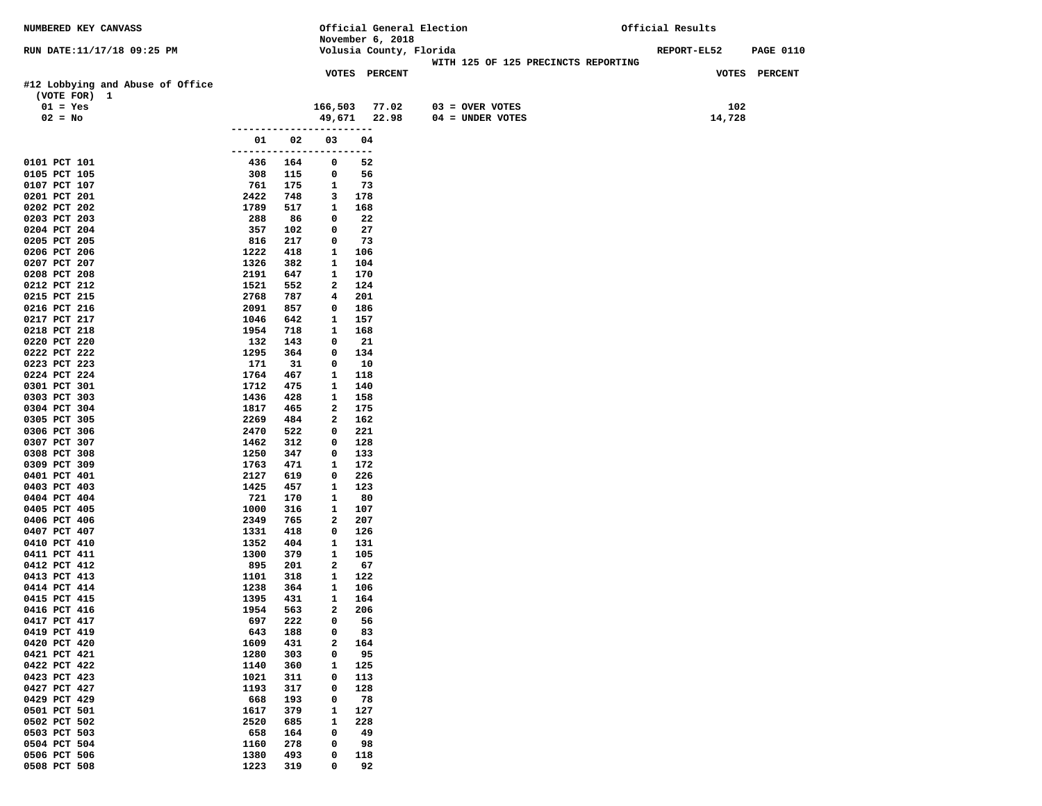| <b>NUMBERED KEY CANVASS</b>                      |              |            |                          | Official General Election |                                     | Official Results |                  |
|--------------------------------------------------|--------------|------------|--------------------------|---------------------------|-------------------------------------|------------------|------------------|
|                                                  |              |            |                          | November 6, 2018          |                                     |                  |                  |
| RUN DATE:11/17/18 09:25 PM                       |              |            |                          | Volusia County, Florida   |                                     | REPORT-EL52      | <b>PAGE 0110</b> |
|                                                  |              |            |                          | <b>VOTES PERCENT</b>      | WITH 125 OF 125 PRECINCTS REPORTING |                  | VOTES PERCENT    |
| #12 Lobbying and Abuse of Office<br>(VOTE FOR) 1 |              |            |                          |                           |                                     |                  |                  |
| $01 = Yes$                                       |              |            | 166,503                  | 77.02                     | $03 = OVER VOTES$                   | 102              |                  |
| $02 = No$                                        |              |            | 49,671                   | 22.98                     | $04 = UNDER VOTES$                  | 14,728           |                  |
|                                                  |              |            |                          |                           |                                     |                  |                  |
|                                                  | 01           | 02         | 03                       | 04                        |                                     |                  |                  |
|                                                  |              |            | ------------------------ |                           |                                     |                  |                  |
| 0101 PCT 101<br>0105 PCT 105                     | 436<br>308   | 164<br>115 | 0<br>0                   | 52<br>56                  |                                     |                  |                  |
| 0107 PCT 107                                     | 761          | 175        | 1                        | 73                        |                                     |                  |                  |
| 0201 PCT 201                                     | 2422         | 748        | 3                        | 178                       |                                     |                  |                  |
| 0202 PCT 202                                     | 1789         | 517        | 1                        | 168                       |                                     |                  |                  |
| 0203 PCT 203                                     | 288          | 86         | 0                        | 22                        |                                     |                  |                  |
| 0204 PCT 204                                     | 357          | 102        | 0                        | 27                        |                                     |                  |                  |
| 0205 PCT 205                                     | 816          | 217        | 0                        | 73                        |                                     |                  |                  |
| 0206 PCT 206<br>0207 PCT 207                     | 1222<br>1326 | 418<br>382 | 1<br>1                   | 106<br>104                |                                     |                  |                  |
| 0208 PCT 208                                     | 2191         | 647        | 1                        | 170                       |                                     |                  |                  |
| 0212 PCT 212                                     | 1521         | 552        | 2                        | 124                       |                                     |                  |                  |
| 0215 PCT 215                                     | 2768         | 787        | 4                        | 201                       |                                     |                  |                  |
| 0216 PCT 216                                     | 2091         | 857        | 0                        | 186                       |                                     |                  |                  |
| 0217 PCT 217                                     | 1046         | 642        | 1                        | 157                       |                                     |                  |                  |
| 0218 PCT 218                                     | 1954         | 718        | 1                        | 168                       |                                     |                  |                  |
| 0220 PCT 220                                     | 132          | 143        | 0                        | 21                        |                                     |                  |                  |
| 0222 PCT 222<br>0223 PCT 223                     | 1295<br>171  | 364<br>31  | 0<br>0                   | 134<br>10                 |                                     |                  |                  |
| 0224 PCT 224                                     | 1764         | 467        | 1                        | 118                       |                                     |                  |                  |
| 0301 PCT 301                                     | 1712         | 475        | 1                        | 140                       |                                     |                  |                  |
| 0303 PCT 303                                     | 1436         | 428        | 1                        | 158                       |                                     |                  |                  |
| 0304 PCT 304                                     | 1817         | 465        | 2                        | 175                       |                                     |                  |                  |
| 0305 PCT 305                                     | 2269         | 484        | 2                        | 162                       |                                     |                  |                  |
| 0306 PCT 306                                     | 2470         | 522        | 0                        | 221                       |                                     |                  |                  |
| 0307 PCT 307<br>0308 PCT 308                     | 1462<br>1250 | 312<br>347 | 0<br>0                   | 128<br>133                |                                     |                  |                  |
| 0309 PCT 309                                     | 1763         | 471        | 1                        | 172                       |                                     |                  |                  |
| 0401 PCT 401                                     | 2127         | 619        | 0                        | 226                       |                                     |                  |                  |
| 0403 PCT 403                                     | 1425         | 457        | 1                        | 123                       |                                     |                  |                  |
| 0404 PCT 404                                     | 721          | 170        | 1                        | 80                        |                                     |                  |                  |
| 0405 PCT 405                                     | 1000         | 316        | 1                        | 107                       |                                     |                  |                  |
| 0406 PCT 406                                     | 2349         | 765        | 2                        | 207                       |                                     |                  |                  |
| 0407 PCT 407<br>0410 PCT 410                     | 1331<br>1352 | 418<br>404 | 0<br>1                   | 126<br>131                |                                     |                  |                  |
| 0411 PCT 411                                     | 1300         | 379        | 1                        | 105                       |                                     |                  |                  |
| 0412 PCT 412                                     | 895          | 201        | 2                        | 67                        |                                     |                  |                  |
| 0413 PCT 413                                     | 1101         | 318        | 1                        | 122                       |                                     |                  |                  |
| 0414 PCT 414                                     | 1238         | 364        | 1                        | 106                       |                                     |                  |                  |
| 0415 PCT 415                                     | 1395         | 431        | 1                        | 164                       |                                     |                  |                  |
| 0416 PCT 416                                     | 1954         | 563        | $\overline{a}$           | 206                       |                                     |                  |                  |
| 0417 PCT 417<br>0419 PCT 419                     | 697<br>643   | 222<br>188 | 0<br>0                   | 56<br>83                  |                                     |                  |                  |
| 0420 PCT 420                                     | 1609         | 431        | $\mathbf{2}$             | 164                       |                                     |                  |                  |
| 0421 PCT 421                                     | 1280         | 303        | 0                        | 95                        |                                     |                  |                  |
| 0422 PCT 422                                     | 1140         | 360        | $\mathbf{1}$             | 125                       |                                     |                  |                  |
| 0423 PCT 423                                     | 1021         | 311        | $\mathbf 0$              | 113                       |                                     |                  |                  |
| 0427 PCT 427                                     | 1193         | 317        | 0                        | 128                       |                                     |                  |                  |
| 0429 PCT 429                                     | 668          | 193        | 0                        | 78                        |                                     |                  |                  |
| 0501 PCT 501                                     | 1617         | 379        | $\mathbf{1}$             | 127                       |                                     |                  |                  |
| 0502 PCT 502<br>0503 PCT 503                     | 2520<br>658  | 685<br>164 | 1<br>0                   | 228<br>49                 |                                     |                  |                  |
| 0504 PCT 504                                     | 1160         | 278        | 0                        | 98                        |                                     |                  |                  |
| 0506 PCT 506                                     | 1380         | 493        | 0                        | 118                       |                                     |                  |                  |
| 0508 PCT 508                                     | 1223         | 319        | 0                        | 92                        |                                     |                  |                  |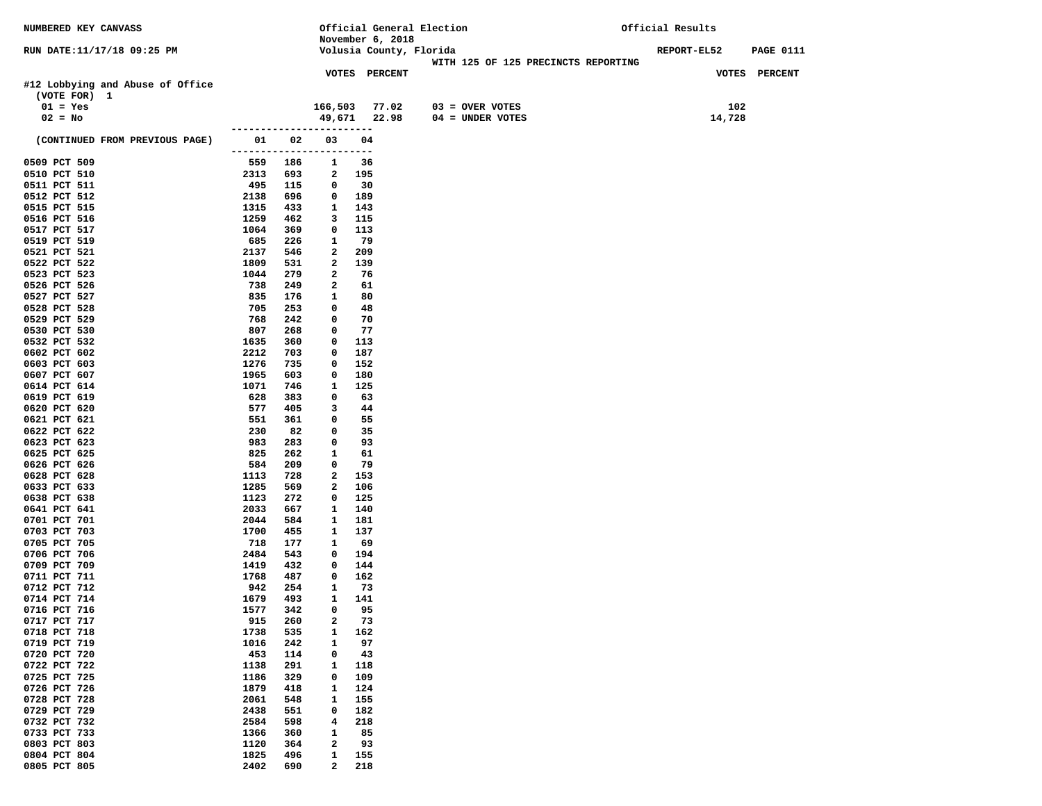| NUMBERED KEY CANVASS                             |                   |            |                                |                      | Official General Election           | Official Results |                  |
|--------------------------------------------------|-------------------|------------|--------------------------------|----------------------|-------------------------------------|------------------|------------------|
|                                                  |                   |            |                                | November 6, 2018     |                                     |                  |                  |
| RUN DATE:11/17/18 09:25 PM                       |                   |            |                                |                      | Volusia County, Florida             | REPORT-EL52      | <b>PAGE 0111</b> |
|                                                  |                   |            |                                | <b>VOTES PERCENT</b> | WITH 125 OF 125 PRECINCTS REPORTING |                  | VOTES PERCENT    |
| #12 Lobbying and Abuse of Office<br>(VOTE FOR) 1 |                   |            |                                |                      |                                     |                  |                  |
| $01 = Yes$                                       |                   |            |                                | 166,503 77.02        | $03 =$ OVER VOTES                   | 102              |                  |
| $02 = No$                                        |                   |            | 49,671                         | 22.98                | $04 = UNDER VOTES$                  | 14,728           |                  |
|                                                  | ----------------- |            |                                |                      |                                     |                  |                  |
| (CONTINUED FROM PREVIOUS PAGE)                   | 01 1              | 02         | 03<br>------------------------ | 04                   |                                     |                  |                  |
| 0509 PCT 509                                     | 559               | 186        | 1                              | 36                   |                                     |                  |                  |
| 0510 PCT 510                                     | 2313              | 693        | 2                              | 195                  |                                     |                  |                  |
| 0511 PCT 511                                     | 495               | 115        | 0                              | 30                   |                                     |                  |                  |
| 0512 PCT 512                                     | 2138              | 696        | 0                              | 189                  |                                     |                  |                  |
| 0515 PCT 515                                     | 1315              | 433        | 1                              | 143                  |                                     |                  |                  |
| 0516 PCT 516<br>0517 PCT 517                     | 1259<br>1064      | 462<br>369 | 3<br>0                         | 115<br>113           |                                     |                  |                  |
| 0519 PCT 519                                     | 685               | 226        | 1                              | - 79                 |                                     |                  |                  |
| 0521 PCT 521                                     | 2137              | 546        | 2                              | 209                  |                                     |                  |                  |
| 0522 PCT 522                                     | 1809              | 531        | $\mathbf{2}$                   | 139                  |                                     |                  |                  |
| 0523 PCT 523                                     | 1044              | 279        | 2                              | 76                   |                                     |                  |                  |
| 0526 PCT 526                                     | 738               | 249        | 2                              | 61                   |                                     |                  |                  |
| 0527 PCT 527                                     | 835               | 176        | 1                              | 80                   |                                     |                  |                  |
| 0528 PCT 528                                     | 705               | 253        | $\mathbf 0$                    | 48                   |                                     |                  |                  |
| 0529 PCT 529                                     | 768               | 242        | 0                              | 70                   |                                     |                  |                  |
| 0530 PCT 530                                     | 807               | 268        | 0                              | 77                   |                                     |                  |                  |
| 0532 PCT 532                                     | 1635              | 360        | 0                              | 113                  |                                     |                  |                  |
| 0602 PCT 602                                     | 2212              | 703        | 0                              | 187                  |                                     |                  |                  |
| 0603 PCT 603<br>0607 PCT 607                     | 1276<br>1965      | 735<br>603 | 0<br>$\mathbf 0$               | 152<br>180           |                                     |                  |                  |
| 0614 PCT 614                                     | 1071              | 746        | 1                              | 125                  |                                     |                  |                  |
| 0619 PCT 619                                     | 628               | 383        | 0                              | 63                   |                                     |                  |                  |
| 0620 PCT 620                                     | 577               | 405        | 3                              | 44                   |                                     |                  |                  |
| 0621 PCT 621                                     | 551               | 361        | $\mathbf 0$                    | 55                   |                                     |                  |                  |
| 0622 PCT 622                                     | 230               | 82         | $\mathbf 0$                    | 35                   |                                     |                  |                  |
| 0623 PCT 623                                     | 983               | 283        | 0                              | 93                   |                                     |                  |                  |
| 0625 PCT 625                                     | 825               | 262        | $\mathbf{1}$                   | 61                   |                                     |                  |                  |
| 0626 PCT 626                                     | 584               | 209        | 0                              | 79                   |                                     |                  |                  |
| 0628 PCT 628                                     | 1113              | 728        | $\mathbf{2}$                   | 153                  |                                     |                  |                  |
| 0633 PCT 633                                     | 1285              | 569        | 2                              | 106                  |                                     |                  |                  |
| 0638 PCT 638<br>0641 PCT 641                     | 1123<br>2033      | 272<br>667 | 0<br>1                         | 125<br>140           |                                     |                  |                  |
| 0701 PCT 701                                     | 2044              | 584        | 1                              | 181                  |                                     |                  |                  |
| 0703 PCT 703                                     | 1700              | 455        | 1                              | 137                  |                                     |                  |                  |
| 0705 PCT 705                                     | 718               | 177        | 1                              | 69                   |                                     |                  |                  |
| 0706 PCT 706                                     | 2484              | 543        | $\mathbf 0$                    | 194                  |                                     |                  |                  |
| 0709 PCT 709                                     | 1419              | 432        | $^{\circ}$                     | 144                  |                                     |                  |                  |
| 0711 PCT 711                                     | 1768              | 487        | $\mathbf 0$                    | 162                  |                                     |                  |                  |
| 0712 PCT 712                                     | 942               | 254        | 1                              | 73                   |                                     |                  |                  |
| 0714 PCT 714                                     | 1679              | 493        | 1                              | 141                  |                                     |                  |                  |
| 0716 PCT 716                                     | 1577              | 342        | $\mathbf{0}$                   | 95                   |                                     |                  |                  |
| 0717 PCT 717<br>0718 PCT 718                     | 915<br>1738       | 260<br>535 | 2<br>1                         | 73<br>162            |                                     |                  |                  |
| 0719 PCT 719                                     | 1016              | 242        | $\mathbf{1}$                   | 97                   |                                     |                  |                  |
| 0720 PCT 720                                     | 453               | 114        | 0                              | 43                   |                                     |                  |                  |
| 0722 PCT 722                                     | 1138              | 291        | 1                              | 118                  |                                     |                  |                  |
| 0725 PCT 725                                     | 1186              | 329        | $\mathbf 0$                    | 109                  |                                     |                  |                  |
| 0726 PCT 726                                     | 1879              | 418        | 1                              | 124                  |                                     |                  |                  |
| 0728 PCT 728                                     | 2061              | 548        | 1                              | 155                  |                                     |                  |                  |
| 0729 PCT 729                                     | 2438              | 551        | 0                              | 182                  |                                     |                  |                  |
| 0732 PCT 732                                     | 2584              | 598        | 4                              | 218                  |                                     |                  |                  |
| 0733 PCT 733                                     | 1366              | 360        | 1                              | 85                   |                                     |                  |                  |
| 0803 PCT 803                                     | 1120              | 364        | $\mathbf{2}$                   | 93                   |                                     |                  |                  |
| 0804 PCT 804                                     | 1825              | 496        | 1<br>$\mathbf{2}$              | 155<br>218           |                                     |                  |                  |
| 0805 PCT 805                                     | 2402              | 690        |                                |                      |                                     |                  |                  |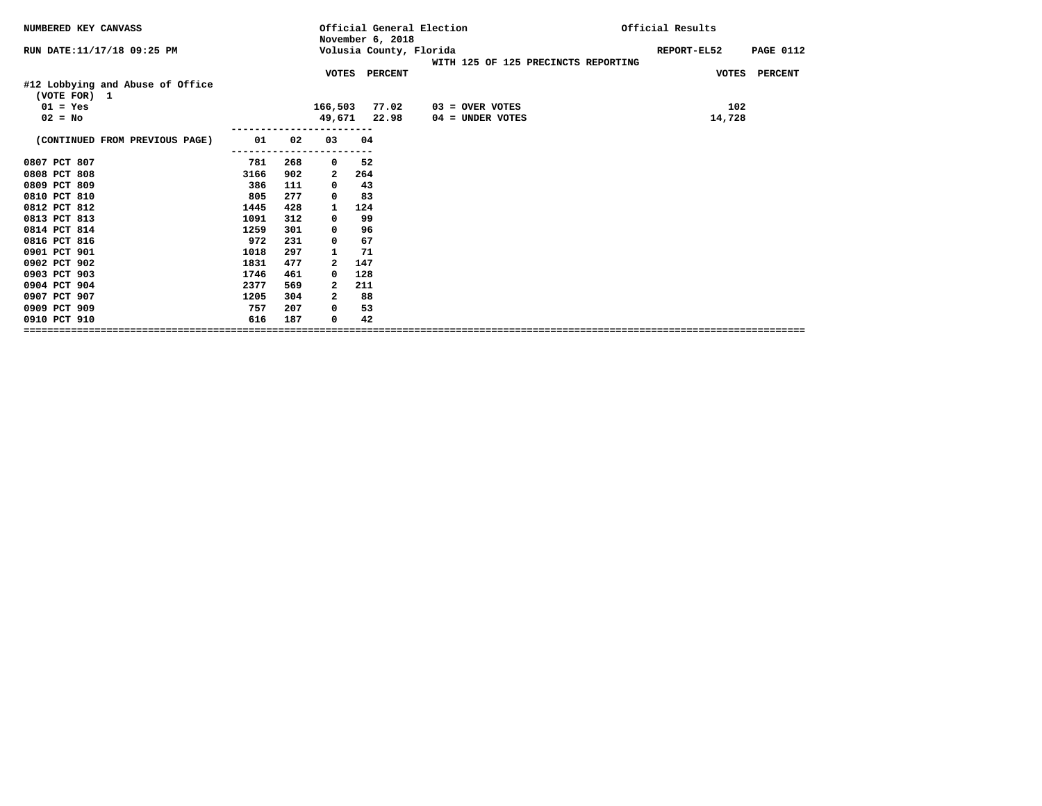| NUMBERED KEY CANVASS                             |      |     |                         | November 6, 2018 | Official General Election                                      | Official Results                |
|--------------------------------------------------|------|-----|-------------------------|------------------|----------------------------------------------------------------|---------------------------------|
| RUN DATE: 11/17/18 09:25 PM                      |      |     |                         |                  | Volusia County, Florida<br>WITH 125 OF 125 PRECINCTS REPORTING | <b>PAGE 0112</b><br>REPORT-EL52 |
|                                                  |      |     |                         | VOTES PERCENT    |                                                                | VOTES PERCENT                   |
| #12 Lobbying and Abuse of Office<br>(VOTE FOR) 1 |      |     |                         |                  |                                                                |                                 |
| $01 = Yes$                                       |      |     |                         | 166,503 77.02    | $03 =$ OVER VOTES                                              | 102                             |
| $02 = No$                                        |      |     |                         | 49,671 22.98     | 04 = UNDER VOTES                                               | 14,728                          |
| (CONTINUED FROM PREVIOUS PAGE)                   | 01   | 02  | 03                      | 04               |                                                                |                                 |
|                                                  |      |     |                         |                  |                                                                |                                 |
| 0807 PCT 807                                     | 781  | 268 | 0                       | 52               |                                                                |                                 |
| 0808 PCT 808                                     | 3166 | 902 | 2                       | 264              |                                                                |                                 |
| 0809 PCT 809                                     | 386  | 111 | $\mathbf 0$             | 43               |                                                                |                                 |
| 0810 PCT 810                                     | 805  | 277 | 0                       | 83               |                                                                |                                 |
| 0812 PCT 812                                     | 1445 | 428 | 1                       | 124              |                                                                |                                 |
| 0813 PCT 813                                     | 1091 | 312 | 0                       | 99               |                                                                |                                 |
| 0814 PCT 814                                     | 1259 | 301 | 0                       | 96               |                                                                |                                 |
| 0816 PCT 816                                     | 972  | 231 | 0                       | 67               |                                                                |                                 |
| 0901 PCT 901                                     | 1018 | 297 | 1                       | 71               |                                                                |                                 |
| 0902 PCT 902                                     | 1831 | 477 | $\overline{\mathbf{2}}$ | 147              |                                                                |                                 |
| 0903 PCT 903                                     | 1746 | 461 | 0                       | 128              |                                                                |                                 |
| 0904 PCT 904                                     | 2377 | 569 | 2                       | 211              |                                                                |                                 |
| 0907 PCT 907                                     | 1205 | 304 | 2                       | 88               |                                                                |                                 |
| 0909 PCT 909                                     | 757  | 207 | 0                       | 53               |                                                                |                                 |
| 0910 PCT 910                                     | 616  | 187 | 0                       | 42               |                                                                |                                 |
|                                                  |      |     |                         |                  |                                                                |                                 |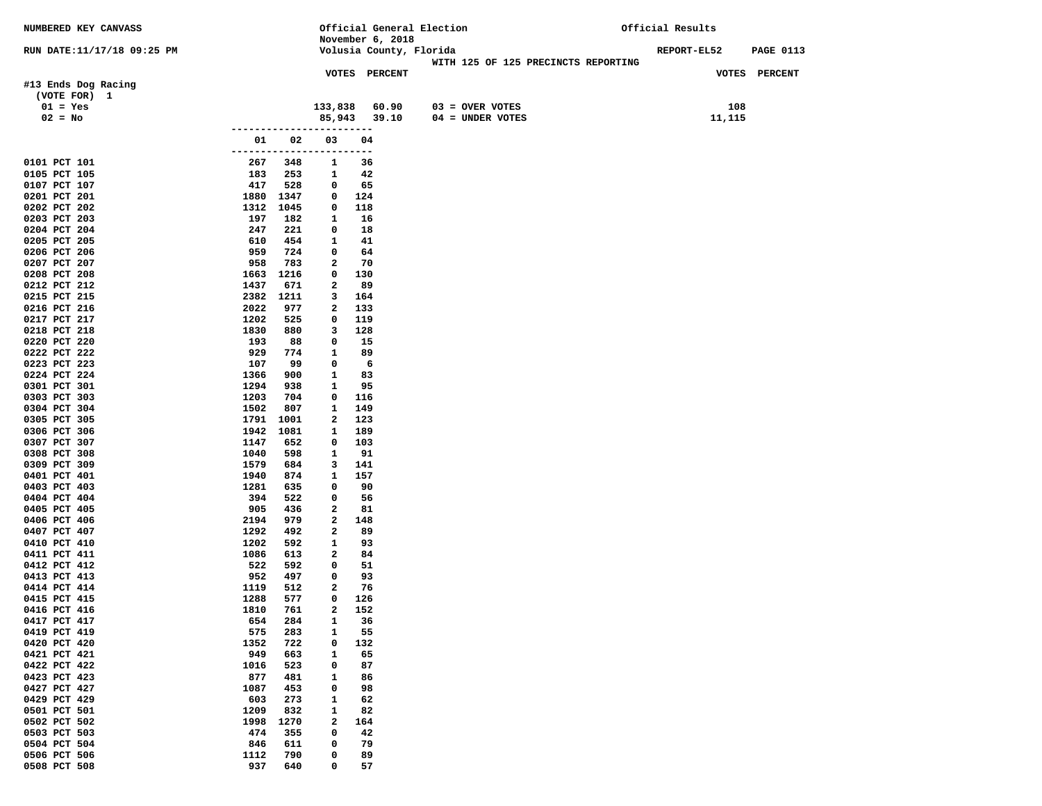| November 6, 2018<br>Volusia County, Florida<br><b>REPORT-EL52</b><br>RUN DATE:11/17/18 09:25 PM<br><b>PAGE 0113</b><br>WITH 125 OF 125 PRECINCTS REPORTING<br>VOTES PERCENT<br><b>VOTES PERCENT</b><br>#13 Ends Dog Racing<br>(VOTE FOR) 1<br>108<br>133,838<br>60.90<br>$03 =$ OVER VOTES<br>$01 = Yes$<br>$02 = No$<br>85,943<br>39.10<br>04 = UNDER VOTES<br>11,115<br>02<br>03<br>01<br>04<br>------------------------<br>0101 PCT 101<br>267<br>348<br>36<br>1<br>0105 PCT 105<br>183<br>253<br>42<br>1<br>65<br>0107 PCT 107<br>417<br>528<br>0<br>0201 PCT 201<br>1880<br>1347<br>0<br>124<br>0<br>118<br>0202 PCT 202<br>1312<br>1045<br>0203 PCT 203<br>197<br>182<br>$\mathbf{1}$<br>16<br>0204 PCT 204<br>247<br>221<br>0<br>18<br>0205 PCT 205<br>610<br>$\mathbf{1}$<br>41<br>454<br>959<br>724<br>0206 PCT 206<br>0<br>64<br>0207 PCT 207<br>958<br>783<br>2<br>70<br>0208 PCT 208<br>1216<br>0<br>130<br>1663<br>$\mathbf{2}$<br>89<br>0212 PCT 212<br>1437<br>671<br>0215 PCT 215<br>2382<br>1211<br>3<br>164<br>$\overline{\mathbf{2}}$<br>0216 PCT 216<br>2022<br>977<br>133<br>0217 PCT 217<br>1202<br>525<br>0<br>119<br>0218 PCT 218<br>1830<br>3<br>128<br>880<br>193<br>0<br>15<br>0220 PCT 220<br>88<br>0222 PCT 222<br>929<br>774<br>$\mathbf{1}$<br>89<br>0223 PCT 223<br>107<br>99<br>0<br>6<br>83<br>0224 PCT 224<br>$\mathbf{1}$<br>1366<br>900<br>0301 PCT 301<br>1294<br>938<br>$\mathbf{1}$<br>95<br>0303 PCT 303<br>1203<br>704<br>0<br>116<br>0304 PCT 304<br>1502<br>807<br>1<br>149<br>0305 PCT 305<br>1791<br>1001<br>123<br>2<br>0306 PCT 306<br>1942<br>1081<br>$\mathbf{1}$<br>189<br>0307 PCT 307<br>652<br>1147<br>0<br>103<br>0308 PCT 308<br>1040<br>598<br>$\mathbf{1}$<br>91<br>0309 PCT 309<br>1579<br>684<br>3<br>141<br>1940<br>874<br>1<br>157<br>0401 PCT 401<br>0403 PCT 403<br>1281<br>635<br>90<br>0<br>0404 PCT 404<br>394<br>522<br>0<br>56<br>0405 PCT 405<br>905<br>436<br>2<br>81<br>0406 PCT 406<br>2194<br>979<br>$\mathbf{2}$<br>148<br>0407 PCT 407<br>1292<br>492<br>$\mathbf{2}$<br>89<br>0410 PCT 410<br>1202<br>592<br>$\mathbf{1}$<br>93<br>0411 PCT 411<br>1086<br>613<br>2<br>84<br>0412 PCT 412<br>522<br>592<br>51<br>0<br>0413 PCT 413<br>952<br>497<br>93<br>0<br>0414 PCT 414<br>1119<br>512<br>2<br>76<br>0415 PCT 415<br>1288<br>577<br>0<br>126<br>$\overline{a}$<br>152<br>0416 PCT 416<br>1810<br>761<br>284<br>1<br>36<br>0417 PCT 417<br>654<br>283<br>0419 PCT 419<br>575<br>1<br>55<br>0420 PCT 420<br>722<br>$\mathbf 0$<br>132<br>1352<br>949<br>0421 PCT 421<br>663<br>1<br>65<br>0422 PCT 422<br>1016<br>523<br>0<br>87<br>0423 PCT 423<br>877<br>481<br>$\mathbf{1}$<br>86<br>1087<br>453<br>0427 PCT 427<br>0<br>98<br>0429 PCT 429<br>603<br>273<br>$\mathbf{1}$<br>62<br>0501 PCT 501<br>1209<br>832<br>82<br>1<br>$\mathbf{2}$<br>0502 PCT 502<br>1998<br>1270<br>164<br>474<br>$\mathbf 0$<br>0503 PCT 503<br>355<br>42<br>0504 PCT 504<br>846<br>611<br>0<br>79<br>790<br>89<br>0506 PCT 506<br>1112<br>0<br>0508 PCT 508<br>937<br>640<br>57<br>0 | NUMBERED KEY CANVASS |  | Official General Election | Official Results |
|---------------------------------------------------------------------------------------------------------------------------------------------------------------------------------------------------------------------------------------------------------------------------------------------------------------------------------------------------------------------------------------------------------------------------------------------------------------------------------------------------------------------------------------------------------------------------------------------------------------------------------------------------------------------------------------------------------------------------------------------------------------------------------------------------------------------------------------------------------------------------------------------------------------------------------------------------------------------------------------------------------------------------------------------------------------------------------------------------------------------------------------------------------------------------------------------------------------------------------------------------------------------------------------------------------------------------------------------------------------------------------------------------------------------------------------------------------------------------------------------------------------------------------------------------------------------------------------------------------------------------------------------------------------------------------------------------------------------------------------------------------------------------------------------------------------------------------------------------------------------------------------------------------------------------------------------------------------------------------------------------------------------------------------------------------------------------------------------------------------------------------------------------------------------------------------------------------------------------------------------------------------------------------------------------------------------------------------------------------------------------------------------------------------------------------------------------------------------------------------------------------------------------------------------------------------------------------------------------------------------------------------------------------------------------------------------------------------------------------------------------------------------------------------------------------------------------------------------------------------------------------------------------------------------------------------------------------------------------------------------------------------------------------------------------|----------------------|--|---------------------------|------------------|
|                                                                                                                                                                                                                                                                                                                                                                                                                                                                                                                                                                                                                                                                                                                                                                                                                                                                                                                                                                                                                                                                                                                                                                                                                                                                                                                                                                                                                                                                                                                                                                                                                                                                                                                                                                                                                                                                                                                                                                                                                                                                                                                                                                                                                                                                                                                                                                                                                                                                                                                                                                                                                                                                                                                                                                                                                                                                                                                                                                                                                                                   |                      |  |                           |                  |
|                                                                                                                                                                                                                                                                                                                                                                                                                                                                                                                                                                                                                                                                                                                                                                                                                                                                                                                                                                                                                                                                                                                                                                                                                                                                                                                                                                                                                                                                                                                                                                                                                                                                                                                                                                                                                                                                                                                                                                                                                                                                                                                                                                                                                                                                                                                                                                                                                                                                                                                                                                                                                                                                                                                                                                                                                                                                                                                                                                                                                                                   |                      |  |                           |                  |
|                                                                                                                                                                                                                                                                                                                                                                                                                                                                                                                                                                                                                                                                                                                                                                                                                                                                                                                                                                                                                                                                                                                                                                                                                                                                                                                                                                                                                                                                                                                                                                                                                                                                                                                                                                                                                                                                                                                                                                                                                                                                                                                                                                                                                                                                                                                                                                                                                                                                                                                                                                                                                                                                                                                                                                                                                                                                                                                                                                                                                                                   |                      |  |                           |                  |
|                                                                                                                                                                                                                                                                                                                                                                                                                                                                                                                                                                                                                                                                                                                                                                                                                                                                                                                                                                                                                                                                                                                                                                                                                                                                                                                                                                                                                                                                                                                                                                                                                                                                                                                                                                                                                                                                                                                                                                                                                                                                                                                                                                                                                                                                                                                                                                                                                                                                                                                                                                                                                                                                                                                                                                                                                                                                                                                                                                                                                                                   |                      |  |                           |                  |
|                                                                                                                                                                                                                                                                                                                                                                                                                                                                                                                                                                                                                                                                                                                                                                                                                                                                                                                                                                                                                                                                                                                                                                                                                                                                                                                                                                                                                                                                                                                                                                                                                                                                                                                                                                                                                                                                                                                                                                                                                                                                                                                                                                                                                                                                                                                                                                                                                                                                                                                                                                                                                                                                                                                                                                                                                                                                                                                                                                                                                                                   |                      |  |                           |                  |
|                                                                                                                                                                                                                                                                                                                                                                                                                                                                                                                                                                                                                                                                                                                                                                                                                                                                                                                                                                                                                                                                                                                                                                                                                                                                                                                                                                                                                                                                                                                                                                                                                                                                                                                                                                                                                                                                                                                                                                                                                                                                                                                                                                                                                                                                                                                                                                                                                                                                                                                                                                                                                                                                                                                                                                                                                                                                                                                                                                                                                                                   |                      |  |                           |                  |
|                                                                                                                                                                                                                                                                                                                                                                                                                                                                                                                                                                                                                                                                                                                                                                                                                                                                                                                                                                                                                                                                                                                                                                                                                                                                                                                                                                                                                                                                                                                                                                                                                                                                                                                                                                                                                                                                                                                                                                                                                                                                                                                                                                                                                                                                                                                                                                                                                                                                                                                                                                                                                                                                                                                                                                                                                                                                                                                                                                                                                                                   |                      |  |                           |                  |
|                                                                                                                                                                                                                                                                                                                                                                                                                                                                                                                                                                                                                                                                                                                                                                                                                                                                                                                                                                                                                                                                                                                                                                                                                                                                                                                                                                                                                                                                                                                                                                                                                                                                                                                                                                                                                                                                                                                                                                                                                                                                                                                                                                                                                                                                                                                                                                                                                                                                                                                                                                                                                                                                                                                                                                                                                                                                                                                                                                                                                                                   |                      |  |                           |                  |
|                                                                                                                                                                                                                                                                                                                                                                                                                                                                                                                                                                                                                                                                                                                                                                                                                                                                                                                                                                                                                                                                                                                                                                                                                                                                                                                                                                                                                                                                                                                                                                                                                                                                                                                                                                                                                                                                                                                                                                                                                                                                                                                                                                                                                                                                                                                                                                                                                                                                                                                                                                                                                                                                                                                                                                                                                                                                                                                                                                                                                                                   |                      |  |                           |                  |
|                                                                                                                                                                                                                                                                                                                                                                                                                                                                                                                                                                                                                                                                                                                                                                                                                                                                                                                                                                                                                                                                                                                                                                                                                                                                                                                                                                                                                                                                                                                                                                                                                                                                                                                                                                                                                                                                                                                                                                                                                                                                                                                                                                                                                                                                                                                                                                                                                                                                                                                                                                                                                                                                                                                                                                                                                                                                                                                                                                                                                                                   |                      |  |                           |                  |
|                                                                                                                                                                                                                                                                                                                                                                                                                                                                                                                                                                                                                                                                                                                                                                                                                                                                                                                                                                                                                                                                                                                                                                                                                                                                                                                                                                                                                                                                                                                                                                                                                                                                                                                                                                                                                                                                                                                                                                                                                                                                                                                                                                                                                                                                                                                                                                                                                                                                                                                                                                                                                                                                                                                                                                                                                                                                                                                                                                                                                                                   |                      |  |                           |                  |
|                                                                                                                                                                                                                                                                                                                                                                                                                                                                                                                                                                                                                                                                                                                                                                                                                                                                                                                                                                                                                                                                                                                                                                                                                                                                                                                                                                                                                                                                                                                                                                                                                                                                                                                                                                                                                                                                                                                                                                                                                                                                                                                                                                                                                                                                                                                                                                                                                                                                                                                                                                                                                                                                                                                                                                                                                                                                                                                                                                                                                                                   |                      |  |                           |                  |
|                                                                                                                                                                                                                                                                                                                                                                                                                                                                                                                                                                                                                                                                                                                                                                                                                                                                                                                                                                                                                                                                                                                                                                                                                                                                                                                                                                                                                                                                                                                                                                                                                                                                                                                                                                                                                                                                                                                                                                                                                                                                                                                                                                                                                                                                                                                                                                                                                                                                                                                                                                                                                                                                                                                                                                                                                                                                                                                                                                                                                                                   |                      |  |                           |                  |
|                                                                                                                                                                                                                                                                                                                                                                                                                                                                                                                                                                                                                                                                                                                                                                                                                                                                                                                                                                                                                                                                                                                                                                                                                                                                                                                                                                                                                                                                                                                                                                                                                                                                                                                                                                                                                                                                                                                                                                                                                                                                                                                                                                                                                                                                                                                                                                                                                                                                                                                                                                                                                                                                                                                                                                                                                                                                                                                                                                                                                                                   |                      |  |                           |                  |
|                                                                                                                                                                                                                                                                                                                                                                                                                                                                                                                                                                                                                                                                                                                                                                                                                                                                                                                                                                                                                                                                                                                                                                                                                                                                                                                                                                                                                                                                                                                                                                                                                                                                                                                                                                                                                                                                                                                                                                                                                                                                                                                                                                                                                                                                                                                                                                                                                                                                                                                                                                                                                                                                                                                                                                                                                                                                                                                                                                                                                                                   |                      |  |                           |                  |
|                                                                                                                                                                                                                                                                                                                                                                                                                                                                                                                                                                                                                                                                                                                                                                                                                                                                                                                                                                                                                                                                                                                                                                                                                                                                                                                                                                                                                                                                                                                                                                                                                                                                                                                                                                                                                                                                                                                                                                                                                                                                                                                                                                                                                                                                                                                                                                                                                                                                                                                                                                                                                                                                                                                                                                                                                                                                                                                                                                                                                                                   |                      |  |                           |                  |
|                                                                                                                                                                                                                                                                                                                                                                                                                                                                                                                                                                                                                                                                                                                                                                                                                                                                                                                                                                                                                                                                                                                                                                                                                                                                                                                                                                                                                                                                                                                                                                                                                                                                                                                                                                                                                                                                                                                                                                                                                                                                                                                                                                                                                                                                                                                                                                                                                                                                                                                                                                                                                                                                                                                                                                                                                                                                                                                                                                                                                                                   |                      |  |                           |                  |
|                                                                                                                                                                                                                                                                                                                                                                                                                                                                                                                                                                                                                                                                                                                                                                                                                                                                                                                                                                                                                                                                                                                                                                                                                                                                                                                                                                                                                                                                                                                                                                                                                                                                                                                                                                                                                                                                                                                                                                                                                                                                                                                                                                                                                                                                                                                                                                                                                                                                                                                                                                                                                                                                                                                                                                                                                                                                                                                                                                                                                                                   |                      |  |                           |                  |
|                                                                                                                                                                                                                                                                                                                                                                                                                                                                                                                                                                                                                                                                                                                                                                                                                                                                                                                                                                                                                                                                                                                                                                                                                                                                                                                                                                                                                                                                                                                                                                                                                                                                                                                                                                                                                                                                                                                                                                                                                                                                                                                                                                                                                                                                                                                                                                                                                                                                                                                                                                                                                                                                                                                                                                                                                                                                                                                                                                                                                                                   |                      |  |                           |                  |
|                                                                                                                                                                                                                                                                                                                                                                                                                                                                                                                                                                                                                                                                                                                                                                                                                                                                                                                                                                                                                                                                                                                                                                                                                                                                                                                                                                                                                                                                                                                                                                                                                                                                                                                                                                                                                                                                                                                                                                                                                                                                                                                                                                                                                                                                                                                                                                                                                                                                                                                                                                                                                                                                                                                                                                                                                                                                                                                                                                                                                                                   |                      |  |                           |                  |
|                                                                                                                                                                                                                                                                                                                                                                                                                                                                                                                                                                                                                                                                                                                                                                                                                                                                                                                                                                                                                                                                                                                                                                                                                                                                                                                                                                                                                                                                                                                                                                                                                                                                                                                                                                                                                                                                                                                                                                                                                                                                                                                                                                                                                                                                                                                                                                                                                                                                                                                                                                                                                                                                                                                                                                                                                                                                                                                                                                                                                                                   |                      |  |                           |                  |
|                                                                                                                                                                                                                                                                                                                                                                                                                                                                                                                                                                                                                                                                                                                                                                                                                                                                                                                                                                                                                                                                                                                                                                                                                                                                                                                                                                                                                                                                                                                                                                                                                                                                                                                                                                                                                                                                                                                                                                                                                                                                                                                                                                                                                                                                                                                                                                                                                                                                                                                                                                                                                                                                                                                                                                                                                                                                                                                                                                                                                                                   |                      |  |                           |                  |
|                                                                                                                                                                                                                                                                                                                                                                                                                                                                                                                                                                                                                                                                                                                                                                                                                                                                                                                                                                                                                                                                                                                                                                                                                                                                                                                                                                                                                                                                                                                                                                                                                                                                                                                                                                                                                                                                                                                                                                                                                                                                                                                                                                                                                                                                                                                                                                                                                                                                                                                                                                                                                                                                                                                                                                                                                                                                                                                                                                                                                                                   |                      |  |                           |                  |
|                                                                                                                                                                                                                                                                                                                                                                                                                                                                                                                                                                                                                                                                                                                                                                                                                                                                                                                                                                                                                                                                                                                                                                                                                                                                                                                                                                                                                                                                                                                                                                                                                                                                                                                                                                                                                                                                                                                                                                                                                                                                                                                                                                                                                                                                                                                                                                                                                                                                                                                                                                                                                                                                                                                                                                                                                                                                                                                                                                                                                                                   |                      |  |                           |                  |
|                                                                                                                                                                                                                                                                                                                                                                                                                                                                                                                                                                                                                                                                                                                                                                                                                                                                                                                                                                                                                                                                                                                                                                                                                                                                                                                                                                                                                                                                                                                                                                                                                                                                                                                                                                                                                                                                                                                                                                                                                                                                                                                                                                                                                                                                                                                                                                                                                                                                                                                                                                                                                                                                                                                                                                                                                                                                                                                                                                                                                                                   |                      |  |                           |                  |
|                                                                                                                                                                                                                                                                                                                                                                                                                                                                                                                                                                                                                                                                                                                                                                                                                                                                                                                                                                                                                                                                                                                                                                                                                                                                                                                                                                                                                                                                                                                                                                                                                                                                                                                                                                                                                                                                                                                                                                                                                                                                                                                                                                                                                                                                                                                                                                                                                                                                                                                                                                                                                                                                                                                                                                                                                                                                                                                                                                                                                                                   |                      |  |                           |                  |
|                                                                                                                                                                                                                                                                                                                                                                                                                                                                                                                                                                                                                                                                                                                                                                                                                                                                                                                                                                                                                                                                                                                                                                                                                                                                                                                                                                                                                                                                                                                                                                                                                                                                                                                                                                                                                                                                                                                                                                                                                                                                                                                                                                                                                                                                                                                                                                                                                                                                                                                                                                                                                                                                                                                                                                                                                                                                                                                                                                                                                                                   |                      |  |                           |                  |
|                                                                                                                                                                                                                                                                                                                                                                                                                                                                                                                                                                                                                                                                                                                                                                                                                                                                                                                                                                                                                                                                                                                                                                                                                                                                                                                                                                                                                                                                                                                                                                                                                                                                                                                                                                                                                                                                                                                                                                                                                                                                                                                                                                                                                                                                                                                                                                                                                                                                                                                                                                                                                                                                                                                                                                                                                                                                                                                                                                                                                                                   |                      |  |                           |                  |
|                                                                                                                                                                                                                                                                                                                                                                                                                                                                                                                                                                                                                                                                                                                                                                                                                                                                                                                                                                                                                                                                                                                                                                                                                                                                                                                                                                                                                                                                                                                                                                                                                                                                                                                                                                                                                                                                                                                                                                                                                                                                                                                                                                                                                                                                                                                                                                                                                                                                                                                                                                                                                                                                                                                                                                                                                                                                                                                                                                                                                                                   |                      |  |                           |                  |
|                                                                                                                                                                                                                                                                                                                                                                                                                                                                                                                                                                                                                                                                                                                                                                                                                                                                                                                                                                                                                                                                                                                                                                                                                                                                                                                                                                                                                                                                                                                                                                                                                                                                                                                                                                                                                                                                                                                                                                                                                                                                                                                                                                                                                                                                                                                                                                                                                                                                                                                                                                                                                                                                                                                                                                                                                                                                                                                                                                                                                                                   |                      |  |                           |                  |
|                                                                                                                                                                                                                                                                                                                                                                                                                                                                                                                                                                                                                                                                                                                                                                                                                                                                                                                                                                                                                                                                                                                                                                                                                                                                                                                                                                                                                                                                                                                                                                                                                                                                                                                                                                                                                                                                                                                                                                                                                                                                                                                                                                                                                                                                                                                                                                                                                                                                                                                                                                                                                                                                                                                                                                                                                                                                                                                                                                                                                                                   |                      |  |                           |                  |
|                                                                                                                                                                                                                                                                                                                                                                                                                                                                                                                                                                                                                                                                                                                                                                                                                                                                                                                                                                                                                                                                                                                                                                                                                                                                                                                                                                                                                                                                                                                                                                                                                                                                                                                                                                                                                                                                                                                                                                                                                                                                                                                                                                                                                                                                                                                                                                                                                                                                                                                                                                                                                                                                                                                                                                                                                                                                                                                                                                                                                                                   |                      |  |                           |                  |
|                                                                                                                                                                                                                                                                                                                                                                                                                                                                                                                                                                                                                                                                                                                                                                                                                                                                                                                                                                                                                                                                                                                                                                                                                                                                                                                                                                                                                                                                                                                                                                                                                                                                                                                                                                                                                                                                                                                                                                                                                                                                                                                                                                                                                                                                                                                                                                                                                                                                                                                                                                                                                                                                                                                                                                                                                                                                                                                                                                                                                                                   |                      |  |                           |                  |
|                                                                                                                                                                                                                                                                                                                                                                                                                                                                                                                                                                                                                                                                                                                                                                                                                                                                                                                                                                                                                                                                                                                                                                                                                                                                                                                                                                                                                                                                                                                                                                                                                                                                                                                                                                                                                                                                                                                                                                                                                                                                                                                                                                                                                                                                                                                                                                                                                                                                                                                                                                                                                                                                                                                                                                                                                                                                                                                                                                                                                                                   |                      |  |                           |                  |
|                                                                                                                                                                                                                                                                                                                                                                                                                                                                                                                                                                                                                                                                                                                                                                                                                                                                                                                                                                                                                                                                                                                                                                                                                                                                                                                                                                                                                                                                                                                                                                                                                                                                                                                                                                                                                                                                                                                                                                                                                                                                                                                                                                                                                                                                                                                                                                                                                                                                                                                                                                                                                                                                                                                                                                                                                                                                                                                                                                                                                                                   |                      |  |                           |                  |
|                                                                                                                                                                                                                                                                                                                                                                                                                                                                                                                                                                                                                                                                                                                                                                                                                                                                                                                                                                                                                                                                                                                                                                                                                                                                                                                                                                                                                                                                                                                                                                                                                                                                                                                                                                                                                                                                                                                                                                                                                                                                                                                                                                                                                                                                                                                                                                                                                                                                                                                                                                                                                                                                                                                                                                                                                                                                                                                                                                                                                                                   |                      |  |                           |                  |
|                                                                                                                                                                                                                                                                                                                                                                                                                                                                                                                                                                                                                                                                                                                                                                                                                                                                                                                                                                                                                                                                                                                                                                                                                                                                                                                                                                                                                                                                                                                                                                                                                                                                                                                                                                                                                                                                                                                                                                                                                                                                                                                                                                                                                                                                                                                                                                                                                                                                                                                                                                                                                                                                                                                                                                                                                                                                                                                                                                                                                                                   |                      |  |                           |                  |
|                                                                                                                                                                                                                                                                                                                                                                                                                                                                                                                                                                                                                                                                                                                                                                                                                                                                                                                                                                                                                                                                                                                                                                                                                                                                                                                                                                                                                                                                                                                                                                                                                                                                                                                                                                                                                                                                                                                                                                                                                                                                                                                                                                                                                                                                                                                                                                                                                                                                                                                                                                                                                                                                                                                                                                                                                                                                                                                                                                                                                                                   |                      |  |                           |                  |
|                                                                                                                                                                                                                                                                                                                                                                                                                                                                                                                                                                                                                                                                                                                                                                                                                                                                                                                                                                                                                                                                                                                                                                                                                                                                                                                                                                                                                                                                                                                                                                                                                                                                                                                                                                                                                                                                                                                                                                                                                                                                                                                                                                                                                                                                                                                                                                                                                                                                                                                                                                                                                                                                                                                                                                                                                                                                                                                                                                                                                                                   |                      |  |                           |                  |
|                                                                                                                                                                                                                                                                                                                                                                                                                                                                                                                                                                                                                                                                                                                                                                                                                                                                                                                                                                                                                                                                                                                                                                                                                                                                                                                                                                                                                                                                                                                                                                                                                                                                                                                                                                                                                                                                                                                                                                                                                                                                                                                                                                                                                                                                                                                                                                                                                                                                                                                                                                                                                                                                                                                                                                                                                                                                                                                                                                                                                                                   |                      |  |                           |                  |
|                                                                                                                                                                                                                                                                                                                                                                                                                                                                                                                                                                                                                                                                                                                                                                                                                                                                                                                                                                                                                                                                                                                                                                                                                                                                                                                                                                                                                                                                                                                                                                                                                                                                                                                                                                                                                                                                                                                                                                                                                                                                                                                                                                                                                                                                                                                                                                                                                                                                                                                                                                                                                                                                                                                                                                                                                                                                                                                                                                                                                                                   |                      |  |                           |                  |
|                                                                                                                                                                                                                                                                                                                                                                                                                                                                                                                                                                                                                                                                                                                                                                                                                                                                                                                                                                                                                                                                                                                                                                                                                                                                                                                                                                                                                                                                                                                                                                                                                                                                                                                                                                                                                                                                                                                                                                                                                                                                                                                                                                                                                                                                                                                                                                                                                                                                                                                                                                                                                                                                                                                                                                                                                                                                                                                                                                                                                                                   |                      |  |                           |                  |
|                                                                                                                                                                                                                                                                                                                                                                                                                                                                                                                                                                                                                                                                                                                                                                                                                                                                                                                                                                                                                                                                                                                                                                                                                                                                                                                                                                                                                                                                                                                                                                                                                                                                                                                                                                                                                                                                                                                                                                                                                                                                                                                                                                                                                                                                                                                                                                                                                                                                                                                                                                                                                                                                                                                                                                                                                                                                                                                                                                                                                                                   |                      |  |                           |                  |
|                                                                                                                                                                                                                                                                                                                                                                                                                                                                                                                                                                                                                                                                                                                                                                                                                                                                                                                                                                                                                                                                                                                                                                                                                                                                                                                                                                                                                                                                                                                                                                                                                                                                                                                                                                                                                                                                                                                                                                                                                                                                                                                                                                                                                                                                                                                                                                                                                                                                                                                                                                                                                                                                                                                                                                                                                                                                                                                                                                                                                                                   |                      |  |                           |                  |
|                                                                                                                                                                                                                                                                                                                                                                                                                                                                                                                                                                                                                                                                                                                                                                                                                                                                                                                                                                                                                                                                                                                                                                                                                                                                                                                                                                                                                                                                                                                                                                                                                                                                                                                                                                                                                                                                                                                                                                                                                                                                                                                                                                                                                                                                                                                                                                                                                                                                                                                                                                                                                                                                                                                                                                                                                                                                                                                                                                                                                                                   |                      |  |                           |                  |
|                                                                                                                                                                                                                                                                                                                                                                                                                                                                                                                                                                                                                                                                                                                                                                                                                                                                                                                                                                                                                                                                                                                                                                                                                                                                                                                                                                                                                                                                                                                                                                                                                                                                                                                                                                                                                                                                                                                                                                                                                                                                                                                                                                                                                                                                                                                                                                                                                                                                                                                                                                                                                                                                                                                                                                                                                                                                                                                                                                                                                                                   |                      |  |                           |                  |
|                                                                                                                                                                                                                                                                                                                                                                                                                                                                                                                                                                                                                                                                                                                                                                                                                                                                                                                                                                                                                                                                                                                                                                                                                                                                                                                                                                                                                                                                                                                                                                                                                                                                                                                                                                                                                                                                                                                                                                                                                                                                                                                                                                                                                                                                                                                                                                                                                                                                                                                                                                                                                                                                                                                                                                                                                                                                                                                                                                                                                                                   |                      |  |                           |                  |
|                                                                                                                                                                                                                                                                                                                                                                                                                                                                                                                                                                                                                                                                                                                                                                                                                                                                                                                                                                                                                                                                                                                                                                                                                                                                                                                                                                                                                                                                                                                                                                                                                                                                                                                                                                                                                                                                                                                                                                                                                                                                                                                                                                                                                                                                                                                                                                                                                                                                                                                                                                                                                                                                                                                                                                                                                                                                                                                                                                                                                                                   |                      |  |                           |                  |
|                                                                                                                                                                                                                                                                                                                                                                                                                                                                                                                                                                                                                                                                                                                                                                                                                                                                                                                                                                                                                                                                                                                                                                                                                                                                                                                                                                                                                                                                                                                                                                                                                                                                                                                                                                                                                                                                                                                                                                                                                                                                                                                                                                                                                                                                                                                                                                                                                                                                                                                                                                                                                                                                                                                                                                                                                                                                                                                                                                                                                                                   |                      |  |                           |                  |
|                                                                                                                                                                                                                                                                                                                                                                                                                                                                                                                                                                                                                                                                                                                                                                                                                                                                                                                                                                                                                                                                                                                                                                                                                                                                                                                                                                                                                                                                                                                                                                                                                                                                                                                                                                                                                                                                                                                                                                                                                                                                                                                                                                                                                                                                                                                                                                                                                                                                                                                                                                                                                                                                                                                                                                                                                                                                                                                                                                                                                                                   |                      |  |                           |                  |
|                                                                                                                                                                                                                                                                                                                                                                                                                                                                                                                                                                                                                                                                                                                                                                                                                                                                                                                                                                                                                                                                                                                                                                                                                                                                                                                                                                                                                                                                                                                                                                                                                                                                                                                                                                                                                                                                                                                                                                                                                                                                                                                                                                                                                                                                                                                                                                                                                                                                                                                                                                                                                                                                                                                                                                                                                                                                                                                                                                                                                                                   |                      |  |                           |                  |
|                                                                                                                                                                                                                                                                                                                                                                                                                                                                                                                                                                                                                                                                                                                                                                                                                                                                                                                                                                                                                                                                                                                                                                                                                                                                                                                                                                                                                                                                                                                                                                                                                                                                                                                                                                                                                                                                                                                                                                                                                                                                                                                                                                                                                                                                                                                                                                                                                                                                                                                                                                                                                                                                                                                                                                                                                                                                                                                                                                                                                                                   |                      |  |                           |                  |
|                                                                                                                                                                                                                                                                                                                                                                                                                                                                                                                                                                                                                                                                                                                                                                                                                                                                                                                                                                                                                                                                                                                                                                                                                                                                                                                                                                                                                                                                                                                                                                                                                                                                                                                                                                                                                                                                                                                                                                                                                                                                                                                                                                                                                                                                                                                                                                                                                                                                                                                                                                                                                                                                                                                                                                                                                                                                                                                                                                                                                                                   |                      |  |                           |                  |
|                                                                                                                                                                                                                                                                                                                                                                                                                                                                                                                                                                                                                                                                                                                                                                                                                                                                                                                                                                                                                                                                                                                                                                                                                                                                                                                                                                                                                                                                                                                                                                                                                                                                                                                                                                                                                                                                                                                                                                                                                                                                                                                                                                                                                                                                                                                                                                                                                                                                                                                                                                                                                                                                                                                                                                                                                                                                                                                                                                                                                                                   |                      |  |                           |                  |
|                                                                                                                                                                                                                                                                                                                                                                                                                                                                                                                                                                                                                                                                                                                                                                                                                                                                                                                                                                                                                                                                                                                                                                                                                                                                                                                                                                                                                                                                                                                                                                                                                                                                                                                                                                                                                                                                                                                                                                                                                                                                                                                                                                                                                                                                                                                                                                                                                                                                                                                                                                                                                                                                                                                                                                                                                                                                                                                                                                                                                                                   |                      |  |                           |                  |
|                                                                                                                                                                                                                                                                                                                                                                                                                                                                                                                                                                                                                                                                                                                                                                                                                                                                                                                                                                                                                                                                                                                                                                                                                                                                                                                                                                                                                                                                                                                                                                                                                                                                                                                                                                                                                                                                                                                                                                                                                                                                                                                                                                                                                                                                                                                                                                                                                                                                                                                                                                                                                                                                                                                                                                                                                                                                                                                                                                                                                                                   |                      |  |                           |                  |
|                                                                                                                                                                                                                                                                                                                                                                                                                                                                                                                                                                                                                                                                                                                                                                                                                                                                                                                                                                                                                                                                                                                                                                                                                                                                                                                                                                                                                                                                                                                                                                                                                                                                                                                                                                                                                                                                                                                                                                                                                                                                                                                                                                                                                                                                                                                                                                                                                                                                                                                                                                                                                                                                                                                                                                                                                                                                                                                                                                                                                                                   |                      |  |                           |                  |
|                                                                                                                                                                                                                                                                                                                                                                                                                                                                                                                                                                                                                                                                                                                                                                                                                                                                                                                                                                                                                                                                                                                                                                                                                                                                                                                                                                                                                                                                                                                                                                                                                                                                                                                                                                                                                                                                                                                                                                                                                                                                                                                                                                                                                                                                                                                                                                                                                                                                                                                                                                                                                                                                                                                                                                                                                                                                                                                                                                                                                                                   |                      |  |                           |                  |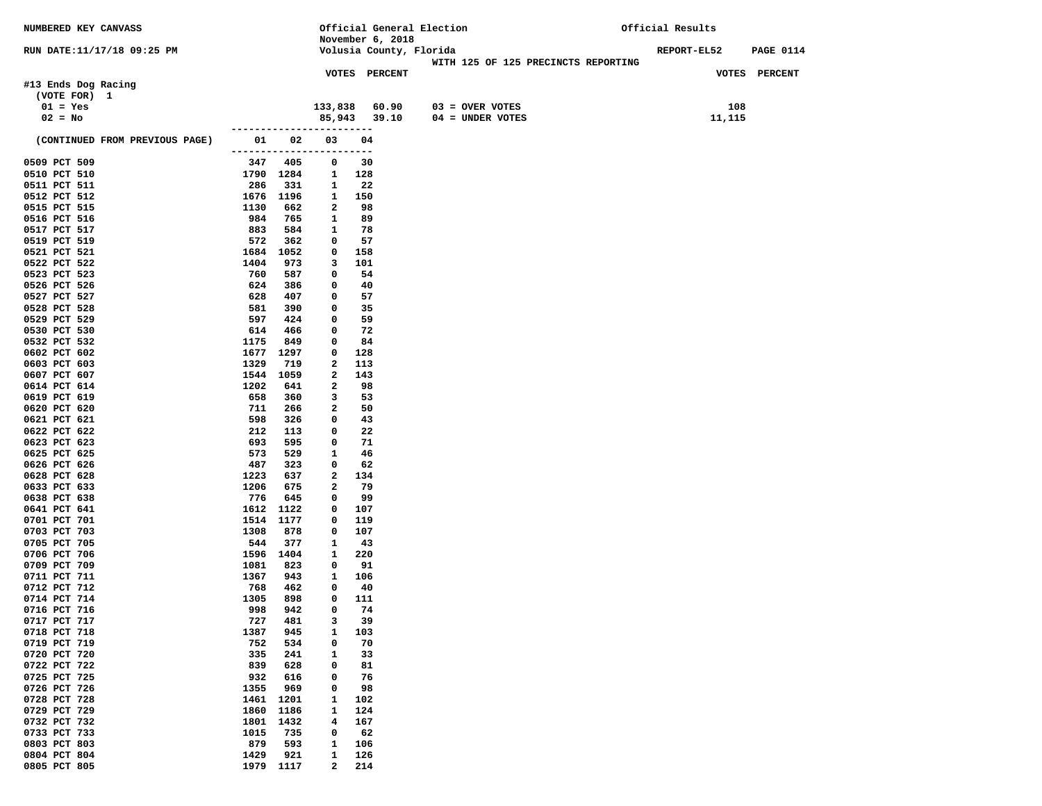| NUMBERED KEY CANVASS           |                          |            |                   |            |                         | Official General Election           | Official Results |                  |
|--------------------------------|--------------------------|------------|-------------------|------------|-------------------------|-------------------------------------|------------------|------------------|
|                                |                          |            |                   |            | November 6, 2018        |                                     |                  |                  |
| RUN DATE:11/17/18 09:25 PM     |                          |            |                   |            | Volusia County, Florida | WITH 125 OF 125 PRECINCTS REPORTING | REPORT-EL52      | <b>PAGE 0114</b> |
|                                |                          |            |                   |            | VOTES PERCENT           |                                     |                  | VOTES PERCENT    |
| #13 Ends Dog Racing            |                          |            |                   |            |                         |                                     |                  |                  |
| (VOTE FOR) 1                   |                          |            |                   |            |                         |                                     |                  |                  |
| $01 = Yes$                     |                          |            | 133,838           |            | 60.90                   | $03 =$ OVER VOTES                   | 108              |                  |
| $02 = No$                      |                          |            |                   |            | 85,943 39.10            | 04 = UNDER VOTES                    | 11,115           |                  |
|                                | ------------------       |            |                   |            |                         |                                     |                  |                  |
| (CONTINUED FROM PREVIOUS PAGE) | 01                       | 02         | 03                | 04         |                         |                                     |                  |                  |
|                                | ------------------------ |            |                   |            |                         |                                     |                  |                  |
| 0509 PCT 509                   | 347                      | 405        | 0                 | 30         |                         |                                     |                  |                  |
| 0510 PCT 510                   | 1790 1284<br>286         |            | 1                 | 128        |                         |                                     |                  |                  |
| 0511 PCT 511<br>0512 PCT 512   | 1676 1196                | 331        | 1<br>1            | 22<br>150  |                         |                                     |                  |                  |
| 0515 PCT 515                   | 1130                     | 662        | 2                 | 98         |                         |                                     |                  |                  |
| 0516 PCT 516                   | 984                      | 765        | 1                 | 89         |                         |                                     |                  |                  |
| 0517 PCT 517                   | 883                      | 584        | 1                 | 78         |                         |                                     |                  |                  |
| 0519 PCT 519                   | 572                      | 362        | 0                 | 57         |                         |                                     |                  |                  |
| 0521 PCT 521                   | 1684                     | 1052       | 0                 | 158        |                         |                                     |                  |                  |
| 0522 PCT 522                   | 1404                     | 973        | 3                 | 101        |                         |                                     |                  |                  |
| 0523 PCT 523                   | 760                      | 587        | 0                 | 54         |                         |                                     |                  |                  |
| 0526 PCT 526                   | 624                      | 386        | 0                 | 40         |                         |                                     |                  |                  |
| 0527 PCT 527<br>0528 PCT 528   | 628<br>581               | 407<br>390 | 0<br>0            | 57<br>35   |                         |                                     |                  |                  |
| 0529 PCT 529                   | 597                      | 424        | 0                 | 59         |                         |                                     |                  |                  |
| 0530 PCT 530                   | 614                      | 466        | 0                 | 72         |                         |                                     |                  |                  |
| 0532 PCT 532                   | 1175                     | 849        | 0                 | 84         |                         |                                     |                  |                  |
| 0602 PCT 602                   | 1677                     | 1297       | 0                 | 128        |                         |                                     |                  |                  |
| 0603 PCT 603                   | 1329                     | 719        | 2                 | 113        |                         |                                     |                  |                  |
| 0607 PCT 607                   | 1544                     | 1059       | 2                 | 143        |                         |                                     |                  |                  |
| 0614 PCT 614<br>0619 PCT 619   | 1202                     | 641        | 2<br>3            | 98         |                         |                                     |                  |                  |
| 0620 PCT 620                   | 658<br>711               | 360<br>266 | 2                 | 53<br>50   |                         |                                     |                  |                  |
| 0621 PCT 621                   | 598                      | 326        | 0                 | 43         |                         |                                     |                  |                  |
| 0622 PCT 622                   | 212                      | 113        | 0                 | 22         |                         |                                     |                  |                  |
| 0623 PCT 623                   | 693                      | 595        | 0                 | 71         |                         |                                     |                  |                  |
| 0625 PCT 625                   | 573                      | 529        | 1                 | 46         |                         |                                     |                  |                  |
| 0626 PCT 626                   | 487                      | 323        | 0                 | 62         |                         |                                     |                  |                  |
| 0628 PCT 628<br>0633 PCT 633   | 1223<br>1206             | 637<br>675 | 2<br>2            | 134<br>79  |                         |                                     |                  |                  |
| 0638 PCT 638                   | 776                      | 645        | 0                 | 99         |                         |                                     |                  |                  |
| 0641 PCT 641                   | 1612                     | 1122       | 0                 | 107        |                         |                                     |                  |                  |
| 0701 PCT 701                   | 1514                     | 1177       | 0                 | 119        |                         |                                     |                  |                  |
| 0703 PCT 703                   | 1308                     | 878        | 0                 | 107        |                         |                                     |                  |                  |
| 0705 PCT 705                   | 544                      | 377        | 1                 | -43        |                         |                                     |                  |                  |
| 0706 PCT 706                   | 1596                     | 1404       | 1                 | 220        |                         |                                     |                  |                  |
| 0709 PCT 709                   | 1081                     | 823        | 0                 | 91         |                         |                                     |                  |                  |
| 0711 PCT 711<br>0712 PCT 712   | 1367<br>768              | 943<br>462 | 1<br>0            | 106<br>40  |                         |                                     |                  |                  |
| 0714 PCT 714                   | 1305                     | 898        | 0                 | 111        |                         |                                     |                  |                  |
| 0716 PCT 716                   | 998                      | 942        | $\mathbf 0$       | 74         |                         |                                     |                  |                  |
| 0717 PCT 717                   | 727                      | 481        | з                 | 39         |                         |                                     |                  |                  |
| 0718 PCT 718                   | 1387                     | 945        | 1                 | 103        |                         |                                     |                  |                  |
| 0719 PCT 719                   | 752                      | 534        | 0                 | 70         |                         |                                     |                  |                  |
| 0720 PCT 720                   | 335                      | 241        | 1                 | 33         |                         |                                     |                  |                  |
| 0722 PCT 722<br>0725 PCT 725   | 839<br>932               | 628<br>616 | 0<br>0            | 81<br>76   |                         |                                     |                  |                  |
| 0726 PCT 726                   | 1355                     | 969        | 0                 | 98         |                         |                                     |                  |                  |
| 0728 PCT 728                   | 1461                     | 1201       | 1                 | 102        |                         |                                     |                  |                  |
| 0729 PCT 729                   | 1860                     | 1186       | 1                 | 124        |                         |                                     |                  |                  |
| 0732 PCT 732                   | 1801                     | 1432       | 4                 | 167        |                         |                                     |                  |                  |
| 0733 PCT 733                   | 1015                     | 735        | 0                 | 62         |                         |                                     |                  |                  |
| 0803 PCT 803                   | 879                      | 593        | 1                 | 106        |                         |                                     |                  |                  |
| 0804 PCT 804<br>0805 PCT 805   | 1429<br>1979 1117        | 921        | 1<br>$\mathbf{2}$ | 126<br>214 |                         |                                     |                  |                  |
|                                |                          |            |                   |            |                         |                                     |                  |                  |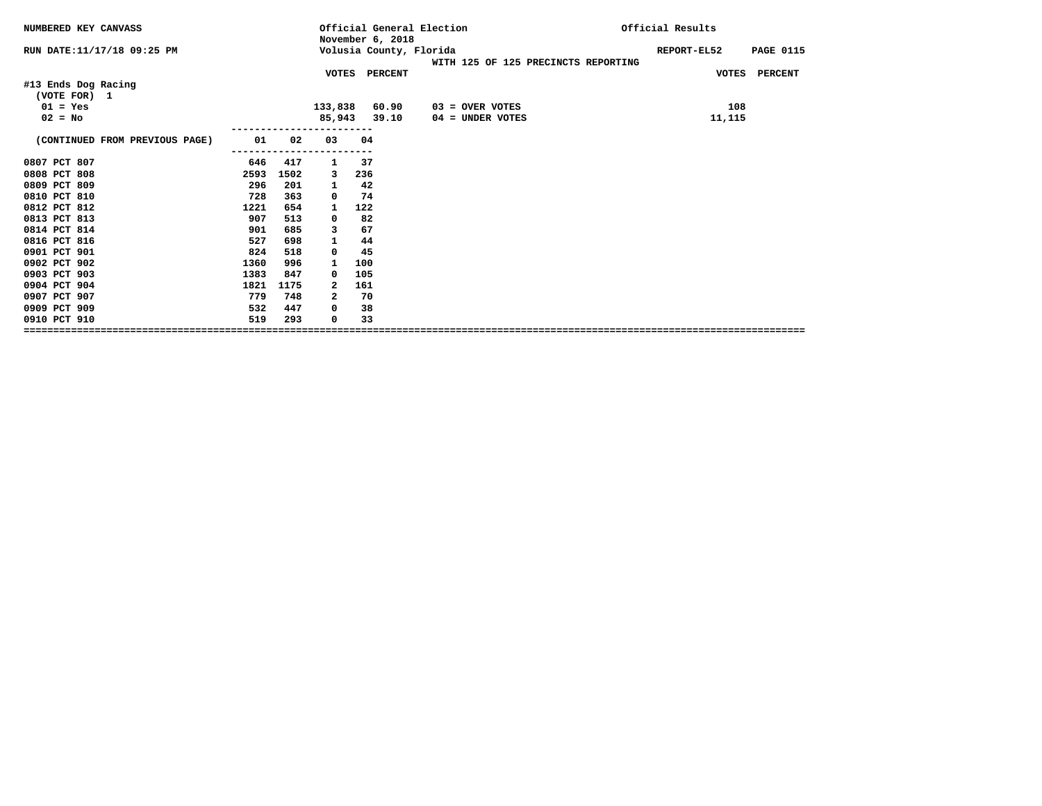| NUMBERED KEY CANVASS                |      |      | November 6, 2018 |               | Official General Election                                      | Official Results                |
|-------------------------------------|------|------|------------------|---------------|----------------------------------------------------------------|---------------------------------|
| RUN DATE: 11/17/18 09:25 PM         |      |      |                  |               | Volusia County, Florida<br>WITH 125 OF 125 PRECINCTS REPORTING | <b>PAGE 0115</b><br>REPORT-EL52 |
|                                     |      |      |                  | VOTES PERCENT |                                                                | VOTES PERCENT                   |
| #13 Ends Dog Racing<br>(VOTE FOR) 1 |      |      |                  |               |                                                                |                                 |
| $01 = Yes$                          |      |      | 133,838          | 60.90         | 03 = OVER VOTES                                                | 108                             |
| $02 = No$                           |      |      | 85,943           | 39.10         | 04 = UNDER VOTES                                               | 11,115                          |
| (CONTINUED FROM PREVIOUS PAGE)      | 01   | 02   | 03               | 04            |                                                                |                                 |
| 0807 PCT 807                        | 646  | 417  | 1                | 37            |                                                                |                                 |
| 0808 PCT 808                        | 2593 | 1502 | 3                | 236           |                                                                |                                 |
| 0809 PCT 809                        | 296  | 201  | 1                | 42            |                                                                |                                 |
| 0810 PCT 810                        | 728  | 363  | 0                | 74            |                                                                |                                 |
| 0812 PCT 812                        | 1221 | 654  | 1                | 122           |                                                                |                                 |
| 0813 PCT 813                        | 907  | 513  | 0                | 82            |                                                                |                                 |
| 0814 PCT 814                        | 901  | 685  | з                | 67            |                                                                |                                 |
| 0816 PCT 816                        | 527  | 698  |                  | 44            |                                                                |                                 |
| 0901 PCT 901                        | 824  | 518  | 0                | 45            |                                                                |                                 |
| 0902 PCT 902                        | 1360 | 996  | 1                | 100           |                                                                |                                 |
| 0903 PCT 903                        | 1383 | 847  | 0                | 105           |                                                                |                                 |
| 0904 PCT 904                        | 1821 | 1175 | 2                | 161           |                                                                |                                 |
| 0907 PCT 907                        | 779  | 748  | 2                | 70            |                                                                |                                 |
| 0909 PCT 909                        | 532  | 447  | 0                | 38            |                                                                |                                 |
| 0910 PCT 910                        | 519  | 293  | 0                | 33            |                                                                |                                 |
|                                     |      |      |                  |               |                                                                |                                 |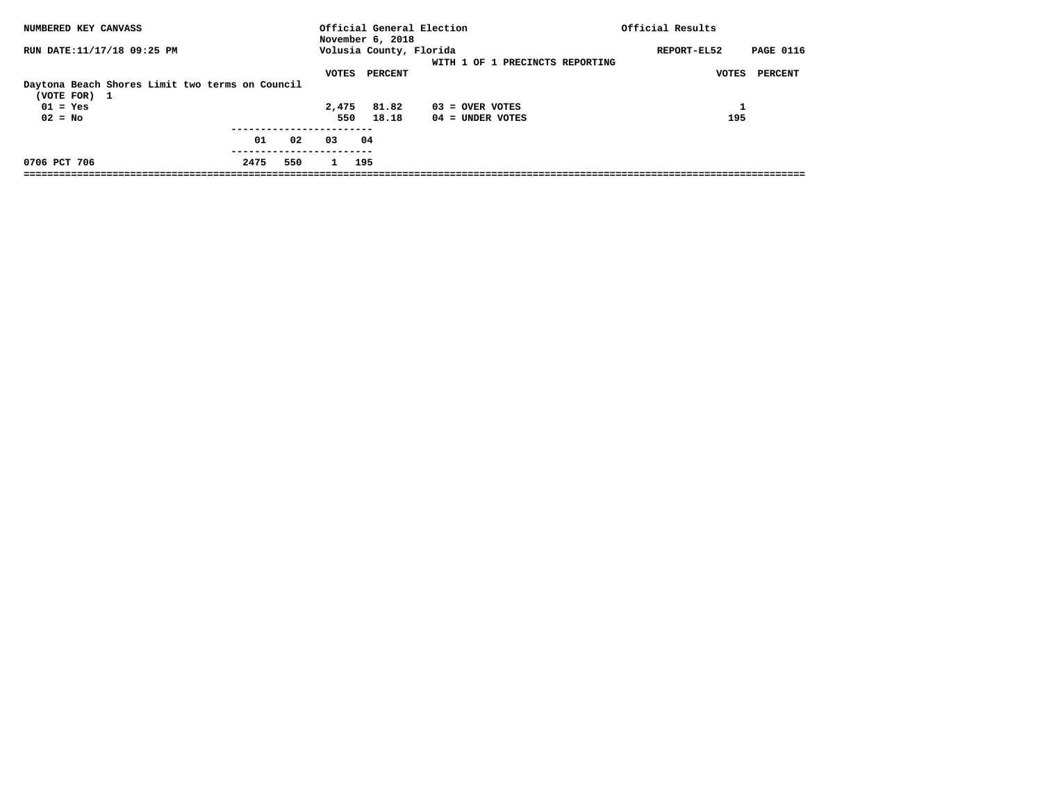| NUMBERED KEY CANVASS                                                                       | Official General Election<br>November 6, 2018                                  | Official Results                                    |
|--------------------------------------------------------------------------------------------|--------------------------------------------------------------------------------|-----------------------------------------------------|
| RUN DATE:11/17/18 09:25 PM                                                                 | Volusia County, Florida<br>WITH 1 OF 1 PRECINCTS REPORTING<br>VOTES<br>PERCENT | <b>PAGE 0116</b><br>REPORT-EL52<br>PERCENT<br>VOTES |
| Daytona Beach Shores Limit two terms on Council<br>(VOTE FOR) 1<br>$01 = Yes$<br>$02 = No$ | 2,475<br>81.82<br>$03 =$ OVER VOTES<br>550<br>18.18<br>$04 =$ UNDER VOTES      | 195                                                 |
| 01<br>02                                                                                   | 03<br>04                                                                       |                                                     |
| 0706 PCT 706<br>2475<br>550                                                                | 195<br>$\mathbf{1}$                                                            |                                                     |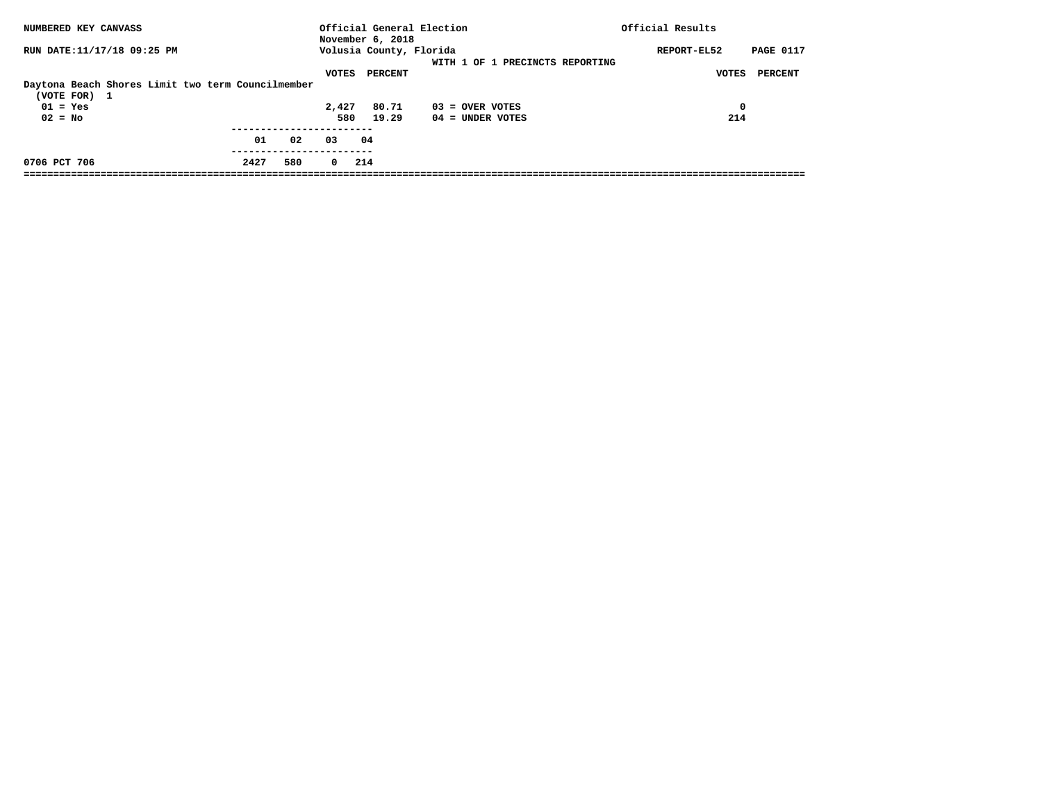| NUMBERED KEY CANVASS                                                                         |      |     |              | November 6, 2018                   | Official General Election               | Official Results                                    |
|----------------------------------------------------------------------------------------------|------|-----|--------------|------------------------------------|-----------------------------------------|-----------------------------------------------------|
| RUN DATE:11/17/18 09:25 PM                                                                   |      |     | VOTES        | Volusia County, Florida<br>PERCENT | WITH 1 OF 1 PRECINCTS REPORTING         | REPORT-EL52<br><b>PAGE 0117</b><br>PERCENT<br>VOTES |
| Daytona Beach Shores Limit two term Councilmember<br>(VOTE FOR) 1<br>$01 = Yes$<br>$02 = No$ |      |     | 2,427<br>580 | 80.71<br>19.29                     | $03 =$ OVER VOTES<br>$04 =$ UNDER VOTES | $\mathbf 0$<br>214                                  |
|                                                                                              | 01   | 02  | 03           | 04                                 |                                         |                                                     |
| 0706 PCT 706                                                                                 | 2427 | 580 | $^{\circ}$   | 214                                |                                         |                                                     |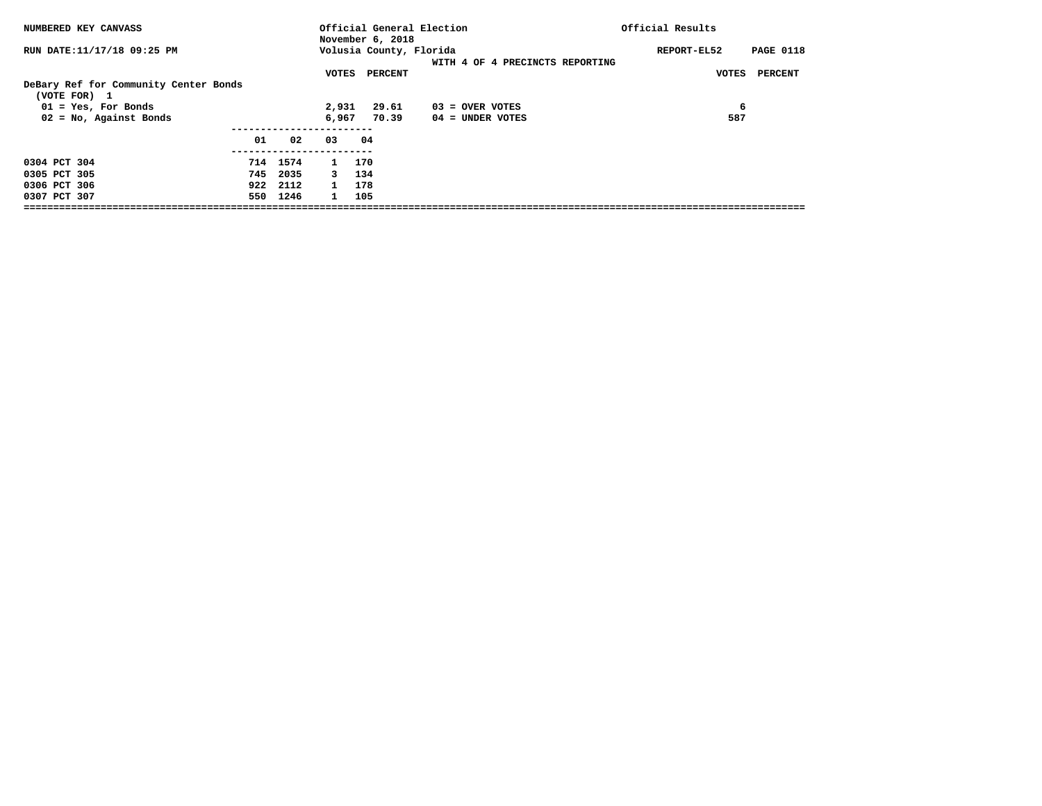| NUMBERED KEY CANVASS                                  |    |          |              | Official General Election<br>November 6, 2018 |                                 | Official Results                |
|-------------------------------------------------------|----|----------|--------------|-----------------------------------------------|---------------------------------|---------------------------------|
| RUN DATE:11/17/18 09:25 PM                            |    |          |              | Volusia County, Florida                       | WITH 4 OF 4 PRECINCTS REPORTING | REPORT-EL52<br><b>PAGE 0118</b> |
| DeBary Ref for Community Center Bonds<br>(VOTE FOR) 1 |    |          | VOTES        | PERCENT                                       |                                 | PERCENT<br>VOTES                |
| $01 = Yes$ , For Bonds                                |    |          | 2,931        | 29.61                                         | $03 =$ OVER VOTES               | 6                               |
| $02 = No$ , Against Bonds                             |    |          | 6,967        | 70.39                                         | 04 = UNDER VOTES                | 587                             |
|                                                       | 01 | 02       | 03           | 04                                            |                                 |                                 |
| 0304 PCT 304                                          |    | 714 1574 | 1 170        |                                               |                                 |                                 |
| 0305 PCT 305                                          |    | 745 2035 | $\mathbf{3}$ | 134                                           |                                 |                                 |
| 0306 PCT 306                                          |    | 922 2112 | 1 178        |                                               |                                 |                                 |
| 0307 PCT 307                                          |    | 550 1246 | $\mathbf{1}$ | 105                                           |                                 |                                 |
|                                                       |    |          |              |                                               |                                 |                                 |